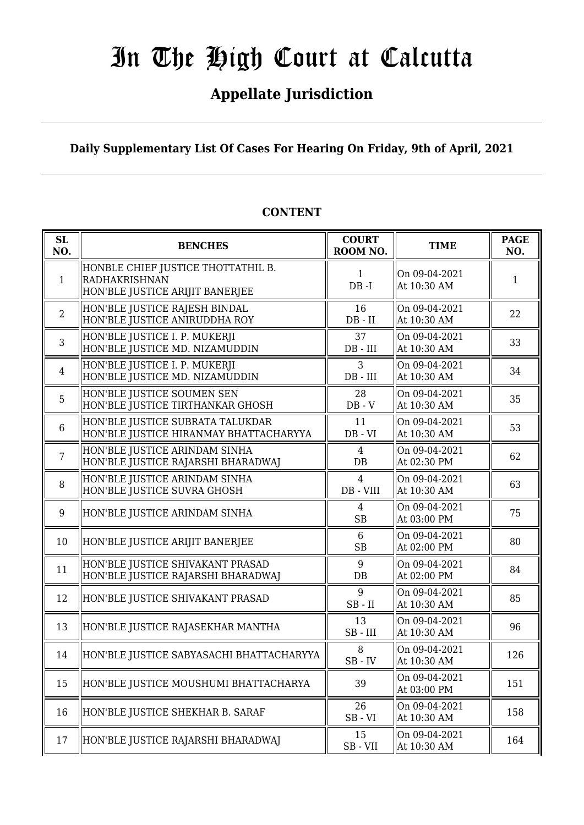## **Appellate Jurisdiction**

**Daily Supplementary List Of Cases For Hearing On Friday, 9th of April, 2021**

| SL<br>NO.      | <b>BENCHES</b>                                                                         | <b>COURT</b><br>ROOM NO.    | <b>TIME</b>                  | <b>PAGE</b><br>NO. |
|----------------|----------------------------------------------------------------------------------------|-----------------------------|------------------------------|--------------------|
| $\mathbf{1}$   | HONBLE CHIEF JUSTICE THOTTATHIL B.<br>RADHAKRISHNAN<br>HON'BLE JUSTICE ARIJIT BANERJEE | $\mathbf{1}$<br>$DB - I$    | On 09-04-2021<br>At 10:30 AM | $\mathbf{1}$       |
| $\overline{2}$ | HON'BLE JUSTICE RAJESH BINDAL<br>HON'BLE JUSTICE ANIRUDDHA ROY                         | 16<br>$DB - II$             | On 09-04-2021<br>At 10:30 AM | 22                 |
| 3              | HON'BLE JUSTICE I. P. MUKERJI<br>HON'BLE JUSTICE MD. NIZAMUDDIN                        | 37<br>$DB$ - $III$          | On 09-04-2021<br>At 10:30 AM | 33                 |
| $\overline{4}$ | HON'BLE JUSTICE I. P. MUKERJI<br>HON'BLE JUSTICE MD. NIZAMUDDIN                        | 3<br>$DB$ - $III$           | On 09-04-2021<br>At 10:30 AM | 34                 |
| 5              | HON'BLE JUSTICE SOUMEN SEN<br>HON'BLE JUSTICE TIRTHANKAR GHOSH                         | 28<br>$DB - V$              | On 09-04-2021<br>At 10:30 AM | 35                 |
| 6              | HON'BLE JUSTICE SUBRATA TALUKDAR<br>HON'BLE JUSTICE HIRANMAY BHATTACHARYYA             | 11<br>$DB - VI$             | On 09-04-2021<br>At 10:30 AM | 53                 |
| $\overline{7}$ | HON'BLE JUSTICE ARINDAM SINHA<br>HON'BLE JUSTICE RAJARSHI BHARADWAJ                    | $\overline{4}$<br>$DB$      | On 09-04-2021<br>At 02:30 PM | 62                 |
| 8              | HON'BLE JUSTICE ARINDAM SINHA<br>HON'BLE JUSTICE SUVRA GHOSH                           | 4<br>$DB - VIII$            | On 09-04-2021<br>At 10:30 AM | 63                 |
| 9              | HON'BLE JUSTICE ARINDAM SINHA                                                          | $\overline{4}$<br><b>SB</b> | On 09-04-2021<br>At 03:00 PM | 75                 |
| 10             | HON'BLE JUSTICE ARIJIT BANERJEE                                                        | 6<br><b>SB</b>              | On 09-04-2021<br>At 02:00 PM | 80                 |
| 11             | HON'BLE JUSTICE SHIVAKANT PRASAD<br>HON'BLE JUSTICE RAJARSHI BHARADWAJ                 | 9<br>$DB$                   | On 09-04-2021<br>At 02:00 PM | 84                 |
| 12             | HON'BLE JUSTICE SHIVAKANT PRASAD                                                       | 9<br>$SB$ - $II$            | On 09-04-2021<br>At 10:30 AM | 85                 |
| 13             | HON'BLE JUSTICE RAJASEKHAR MANTHA                                                      | 13<br>$SB - III$            | On 09-04-2021<br>At 10:30 AM | 96                 |
| 14             | HON'BLE JUSTICE SABYASACHI BHATTACHARYYA                                               | 8<br>$SB$ - $IV$            | On 09-04-2021<br>At 10:30 AM | 126                |
| 15             | HON'BLE JUSTICE MOUSHUMI BHATTACHARYA                                                  | 39                          | On 09-04-2021<br>At 03:00 PM | 151                |
| 16             | HON'BLE JUSTICE SHEKHAR B. SARAF                                                       | 26<br>$SB - VI$             | On 09-04-2021<br>At 10:30 AM | 158                |
| 17             | HON'BLE JUSTICE RAJARSHI BHARADWAJ                                                     | 15<br>SB-VII                | On 09-04-2021<br>At 10:30 AM | 164                |

#### **CONTENT**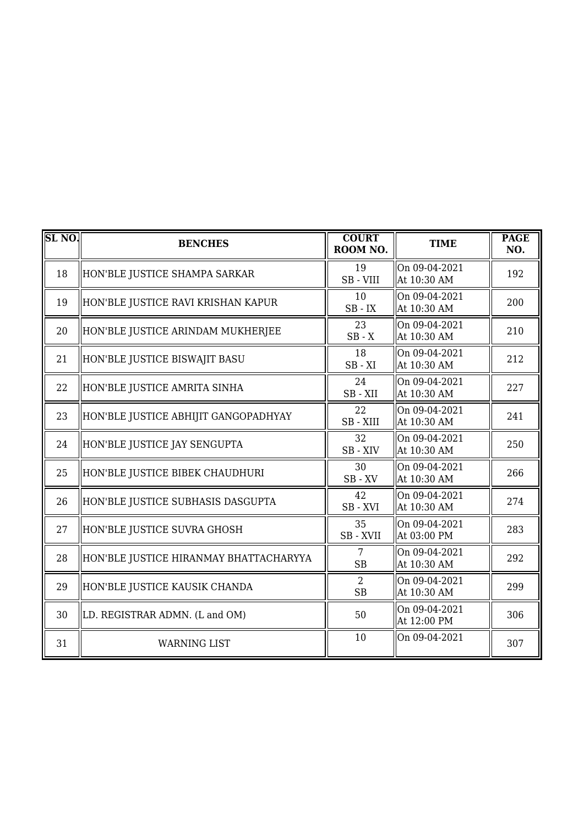| <b>SL NO.</b> | <b>BENCHES</b>                         | <b>COURT</b><br>ROOM NO.    | <b>TIME</b>                  | <b>PAGE</b><br>NO. |
|---------------|----------------------------------------|-----------------------------|------------------------------|--------------------|
| 18            | HON'BLE JUSTICE SHAMPA SARKAR          | 19<br>SB-VIII               | On 09-04-2021<br>At 10:30 AM | 192                |
| 19            | HON'BLE JUSTICE RAVI KRISHAN KAPUR     | 10<br>$SB$ - $IX$           | On 09-04-2021<br>At 10:30 AM | 200                |
| 20            | HON'BLE JUSTICE ARINDAM MUKHERJEE      | 23<br>$SB - X$              | On 09-04-2021<br>At 10:30 AM | 210                |
| 21            | HON'BLE JUSTICE BISWAJIT BASU          | 18<br>$SB - XI$             | On 09-04-2021<br>At 10:30 AM | 212                |
| 22            | HON'BLE JUSTICE AMRITA SINHA           | 24<br>SB-XII                | On 09-04-2021<br>At 10:30 AM | 227                |
| 23            | HON'BLE JUSTICE ABHIJIT GANGOPADHYAY   | 22<br>SB-XIII               | On 09-04-2021<br>At 10:30 AM | 241                |
| 24            | HON'BLE JUSTICE JAY SENGUPTA           | 32<br>SB - XIV              | On 09-04-2021<br>At 10:30 AM | 250                |
| 25            | HON'BLE JUSTICE BIBEK CHAUDHURI        | 30<br>$SB$ - $XV$           | On 09-04-2021<br>At 10:30 AM | 266                |
| 26            | HON'BLE JUSTICE SUBHASIS DASGUPTA      | 42<br>SB - XVI              | On 09-04-2021<br>At 10:30 AM | 274                |
| 27            | HON'BLE JUSTICE SUVRA GHOSH            | 35<br>SB - XVII             | On 09-04-2021<br>At 03:00 PM | 283                |
| 28            | HON'BLE JUSTICE HIRANMAY BHATTACHARYYA | 7<br><b>SB</b>              | On 09-04-2021<br>At 10:30 AM | 292                |
| 29            | HON'BLE JUSTICE KAUSIK CHANDA          | $\overline{2}$<br><b>SB</b> | On 09-04-2021<br>At 10:30 AM | 299                |
| 30            | LD. REGISTRAR ADMN. (L and OM)         | 50                          | On 09-04-2021<br>At 12:00 PM | 306                |
| 31            | <b>WARNING LIST</b>                    | 10                          | On 09-04-2021                | 307                |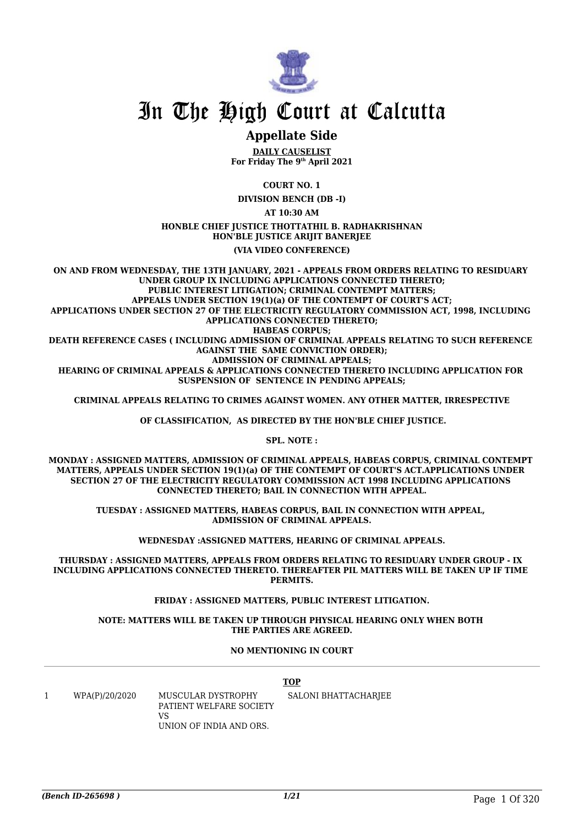

### **Appellate Side**

**DAILY CAUSELIST For Friday The 9th April 2021**

**COURT NO. 1**

**DIVISION BENCH (DB -I)**

**AT 10:30 AM**

#### **HONBLE CHIEF JUSTICE THOTTATHIL B. RADHAKRISHNAN HON'BLE JUSTICE ARIJIT BANERJEE**

**(VIA VIDEO CONFERENCE)**

**ON AND FROM WEDNESDAY, THE 13TH JANUARY, 2021 - APPEALS FROM ORDERS RELATING TO RESIDUARY UNDER GROUP IX INCLUDING APPLICATIONS CONNECTED THERETO; PUBLIC INTEREST LITIGATION; CRIMINAL CONTEMPT MATTERS; APPEALS UNDER SECTION 19(1)(a) OF THE CONTEMPT OF COURT'S ACT; APPLICATIONS UNDER SECTION 27 OF THE ELECTRICITY REGULATORY COMMISSION ACT, 1998, INCLUDING APPLICATIONS CONNECTED THERETO; HABEAS CORPUS; DEATH REFERENCE CASES ( INCLUDING ADMISSION OF CRIMINAL APPEALS RELATING TO SUCH REFERENCE AGAINST THE SAME CONVICTION ORDER); ADMISSION OF CRIMINAL APPEALS; HEARING OF CRIMINAL APPEALS & APPLICATIONS CONNECTED THERETO INCLUDING APPLICATION FOR SUSPENSION OF SENTENCE IN PENDING APPEALS;**

**CRIMINAL APPEALS RELATING TO CRIMES AGAINST WOMEN. ANY OTHER MATTER, IRRESPECTIVE**

 **OF CLASSIFICATION, AS DIRECTED BY THE HON'BLE CHIEF JUSTICE.**

**SPL. NOTE :**

**MONDAY : ASSIGNED MATTERS, ADMISSION OF CRIMINAL APPEALS, HABEAS CORPUS, CRIMINAL CONTEMPT MATTERS, APPEALS UNDER SECTION 19(1)(a) OF THE CONTEMPT OF COURT'S ACT.APPLICATIONS UNDER SECTION 27 OF THE ELECTRICITY REGULATORY COMMISSION ACT 1998 INCLUDING APPLICATIONS CONNECTED THERETO; BAIL IN CONNECTION WITH APPEAL.**

**TUESDAY : ASSIGNED MATTERS, HABEAS CORPUS, BAIL IN CONNECTION WITH APPEAL, ADMISSION OF CRIMINAL APPEALS.**

**WEDNESDAY :ASSIGNED MATTERS, HEARING OF CRIMINAL APPEALS.**

**THURSDAY : ASSIGNED MATTERS, APPEALS FROM ORDERS RELATING TO RESIDUARY UNDER GROUP - IX INCLUDING APPLICATIONS CONNECTED THERETO. THEREAFTER PIL MATTERS WILL BE TAKEN UP IF TIME PERMITS.**

**FRIDAY : ASSIGNED MATTERS, PUBLIC INTEREST LITIGATION.**

#### **NOTE: MATTERS WILL BE TAKEN UP THROUGH PHYSICAL HEARING ONLY WHEN BOTH THE PARTIES ARE AGREED.**

#### **NO MENTIONING IN COURT**

## **TOP**

1 WPA(P)/20/2020 MUSCULAR DYSTROPHY PATIENT WELFARE SOCIETY VS UNION OF INDIA AND ORS. SALONI BHATTACHARJEE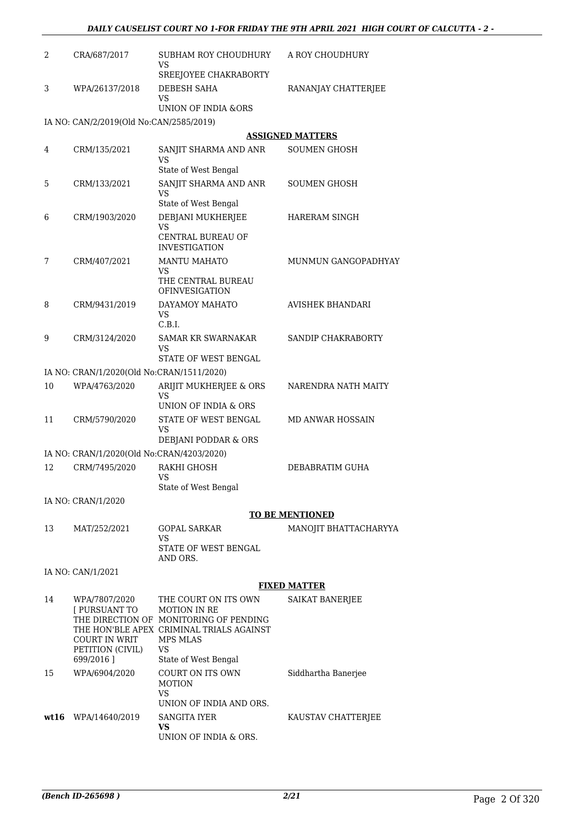| 2  | CRA/687/2017                                                        | SUBHAM ROY CHOUDHURY<br><b>VS</b><br>SREEJOYEE CHAKRABORTY                                                                                          | A ROY CHOUDHURY         |
|----|---------------------------------------------------------------------|-----------------------------------------------------------------------------------------------------------------------------------------------------|-------------------------|
| 3  | WPA/26137/2018                                                      | <b>DEBESH SAHA</b><br>VS<br><b>UNION OF INDIA &amp;ORS</b>                                                                                          | RANANJAY CHATTERJEE     |
|    | IA NO: CAN/2/2019(Old No:CAN/2585/2019)                             |                                                                                                                                                     |                         |
|    |                                                                     |                                                                                                                                                     | <b>ASSIGNED MATTERS</b> |
| 4  | CRM/135/2021                                                        | SANJIT SHARMA AND ANR<br>VS<br>State of West Bengal                                                                                                 | <b>SOUMEN GHOSH</b>     |
| 5  | CRM/133/2021                                                        | SANJIT SHARMA AND ANR<br>VS<br>State of West Bengal                                                                                                 | SOUMEN GHOSH            |
| 6  | CRM/1903/2020                                                       | DEBJANI MUKHERJEE<br>VS<br><b>CENTRAL BUREAU OF</b><br><b>INVESTIGATION</b>                                                                         | HARERAM SINGH           |
| 7  | CRM/407/2021                                                        | <b>MANTU MAHATO</b><br>VS<br>THE CENTRAL BUREAU                                                                                                     | MUNMUN GANGOPADHYAY     |
| 8  | CRM/9431/2019                                                       | <b>OFINVESIGATION</b><br>DAYAMOY MAHATO<br><b>VS</b><br>C.B.I.                                                                                      | <b>AVISHEK BHANDARI</b> |
| 9  | CRM/3124/2020                                                       | SAMAR KR SWARNAKAR<br>VS<br>STATE OF WEST BENGAL                                                                                                    | SANDIP CHAKRABORTY      |
|    | IA NO: CRAN/1/2020(Old No:CRAN/1511/2020)                           |                                                                                                                                                     |                         |
| 10 | WPA/4763/2020                                                       | ARIJIT MUKHERJEE & ORS<br>VS<br>UNION OF INDIA & ORS                                                                                                | NARENDRA NATH MAITY     |
| 11 | CRM/5790/2020                                                       | STATE OF WEST BENGAL<br>VS<br>DEBJANI PODDAR & ORS                                                                                                  | <b>MD ANWAR HOSSAIN</b> |
|    | IA NO: CRAN/1/2020(Old No:CRAN/4203/2020)                           |                                                                                                                                                     |                         |
| 12 | CRM/7495/2020                                                       | RAKHI GHOSH<br>VS<br>State of West Bengal                                                                                                           | DEBABRATIM GUHA         |
|    | IA NO: CRAN/1/2020                                                  |                                                                                                                                                     |                         |
|    |                                                                     |                                                                                                                                                     | <b>TO BE MENTIONED</b>  |
| 13 | MAT/252/2021                                                        | <b>GOPAL SARKAR</b><br>VS<br>STATE OF WEST BENGAL                                                                                                   | MANOJIT BHATTACHARYYA   |
|    |                                                                     | AND ORS.                                                                                                                                            |                         |
|    | IA NO: CAN/1/2021                                                   |                                                                                                                                                     |                         |
|    |                                                                     |                                                                                                                                                     | <b>FIXED MATTER</b>     |
| 14 | WPA/7807/2020<br>[ PURSUANT TO<br>COURT IN WRIT<br>PETITION (CIVIL) | THE COURT ON ITS OWN<br><b>MOTION IN RE</b><br>THE DIRECTION OF MONITORING OF PENDING<br>THE HON'BLE APEX CRIMINAL TRIALS AGAINST<br>MPS MLAS<br>VS | <b>SAIKAT BANERIEE</b>  |
|    | 699/2016]                                                           | State of West Bengal                                                                                                                                |                         |
| 15 | WPA/6904/2020                                                       | COURT ON ITS OWN<br><b>MOTION</b><br>VS<br>UNION OF INDIA AND ORS.                                                                                  | Siddhartha Banerjee     |
|    | wt16 WPA/14640/2019                                                 | <b>SANGITA IYER</b><br><b>VS</b>                                                                                                                    | KAUSTAV CHATTERJEE      |

UNION OF INDIA & ORS.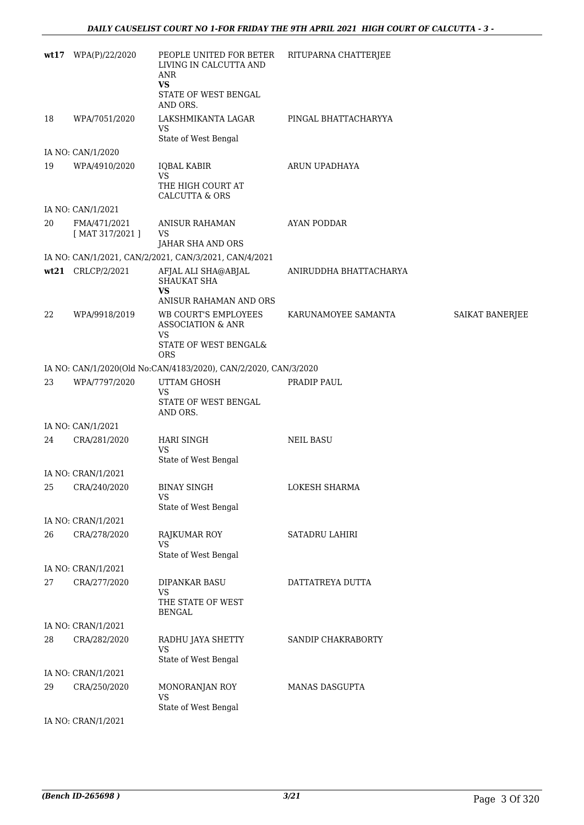|    | wt17 WPA(P)/22/2020                | PEOPLE UNITED FOR BETER<br>LIVING IN CALCUTTA AND<br>ANR<br><b>VS</b>    | RITUPARNA CHATTERJEE   |                 |
|----|------------------------------------|--------------------------------------------------------------------------|------------------------|-----------------|
|    |                                    | STATE OF WEST BENGAL<br>AND ORS.                                         |                        |                 |
| 18 | WPA/7051/2020                      | LAKSHMIKANTA LAGAR<br>VS                                                 | PINGAL BHATTACHARYYA   |                 |
|    |                                    | State of West Bengal                                                     |                        |                 |
| 19 | IA NO: CAN/1/2020<br>WPA/4910/2020 | IQBAL KABIR                                                              | ARUN UPADHAYA          |                 |
|    |                                    | <b>VS</b><br>THE HIGH COURT AT<br><b>CALCUTTA &amp; ORS</b>              |                        |                 |
|    | IA NO: CAN/1/2021                  |                                                                          |                        |                 |
| 20 | FMA/471/2021<br>[MAT 317/2021]     | ANISUR RAHAMAN<br>VS                                                     | <b>AYAN PODDAR</b>     |                 |
|    |                                    | JAHAR SHA AND ORS                                                        |                        |                 |
|    |                                    | IA NO: CAN/1/2021, CAN/2/2021, CAN/3/2021, CAN/4/2021                    |                        |                 |
|    | wt21 CRLCP/2/2021                  | AFJAL ALI SHA@ABJAL<br><b>SHAUKAT SHA</b><br><b>VS</b>                   | ANIRUDDHA BHATTACHARYA |                 |
|    |                                    | ANISUR RAHAMAN AND ORS                                                   |                        |                 |
| 22 | WPA/9918/2019                      | <b>WB COURT'S EMPLOYEES</b><br><b>ASSOCIATION &amp; ANR</b><br><b>VS</b> | KARUNAMOYEE SAMANTA    | SAIKAT BANERJEE |
|    |                                    | STATE OF WEST BENGAL&<br><b>ORS</b>                                      |                        |                 |
|    |                                    | IA NO: CAN/1/2020(Old No:CAN/4183/2020), CAN/2/2020, CAN/3/2020          |                        |                 |
| 23 | WPA/7797/2020                      | UTTAM GHOSH<br>VS<br>STATE OF WEST BENGAL                                | PRADIP PAUL            |                 |
|    |                                    | AND ORS.                                                                 |                        |                 |
|    | IA NO: CAN/1/2021                  |                                                                          |                        |                 |
| 24 | CRA/281/2020                       | <b>HARI SINGH</b><br><b>VS</b><br>State of West Bengal                   | <b>NEIL BASU</b>       |                 |
|    | IA NO: CRAN/1/2021                 |                                                                          |                        |                 |
|    | 25 CRA/240/2020                    | BINAY SINGH<br>VS                                                        | LOKESH SHARMA          |                 |
|    |                                    | State of West Bengal                                                     |                        |                 |
| 26 | IA NO: CRAN/1/2021<br>CRA/278/2020 |                                                                          |                        |                 |
|    |                                    | RAJKUMAR ROY<br><b>VS</b><br>State of West Bengal                        | SATADRU LAHIRI         |                 |
|    | IA NO: CRAN/1/2021                 |                                                                          |                        |                 |
| 27 | CRA/277/2020                       | <b>DIPANKAR BASU</b><br>VS<br>THE STATE OF WEST                          | DATTATREYA DUTTA       |                 |
|    |                                    | <b>BENGAL</b>                                                            |                        |                 |
|    | IA NO: CRAN/1/2021                 |                                                                          |                        |                 |
| 28 | CRA/282/2020                       | RADHU JAYA SHETTY<br><b>VS</b><br>State of West Bengal                   | SANDIP CHAKRABORTY     |                 |
|    | IA NO: CRAN/1/2021                 |                                                                          |                        |                 |
| 29 | CRA/250/2020                       | MONORANJAN ROY<br><b>VS</b>                                              | MANAS DASGUPTA         |                 |
|    | IA NO: CRAN/1/2021                 | State of West Bengal                                                     |                        |                 |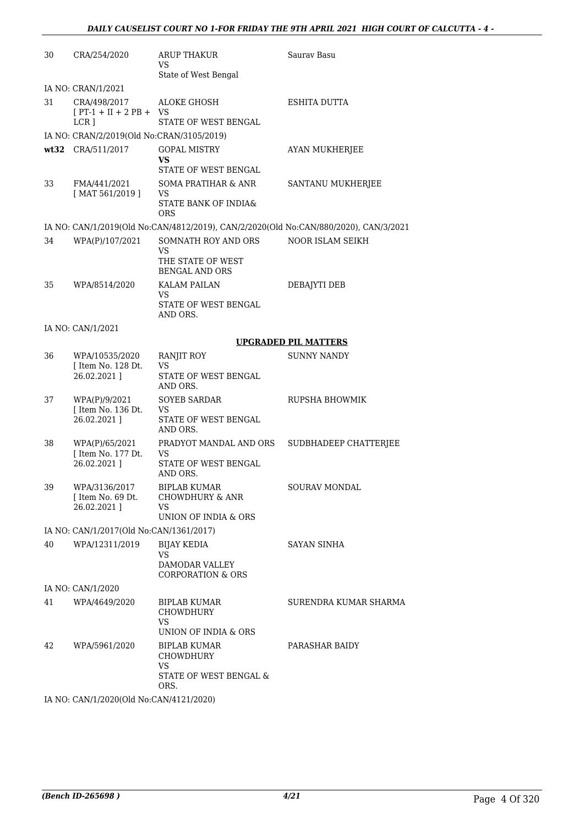| 30 | CRA/254/2020                                                  | <b>ARUP THAKUR</b><br>VS<br>State of West Bengal                                     | Saurav Basu                 |
|----|---------------------------------------------------------------|--------------------------------------------------------------------------------------|-----------------------------|
|    | IA NO: CRAN/1/2021                                            |                                                                                      |                             |
| 31 | CRA/498/2017<br>$[PT-1 + II + 2 PB + VS]$<br>LCR <sub>1</sub> | <b>ALOKE GHOSH</b><br>STATE OF WEST BENGAL                                           | ESHITA DUTTA                |
|    | IA NO: CRAN/2/2019(Old No:CRAN/3105/2019)                     |                                                                                      |                             |
|    | wt32 CRA/511/2017                                             | <b>GOPAL MISTRY</b><br>VS<br>STATE OF WEST BENGAL                                    | <b>AYAN MUKHERJEE</b>       |
| 33 | FMA/441/2021<br>$[$ MAT 561/2019 $]$                          | <b>SOMA PRATIHAR &amp; ANR</b><br>VS<br>STATE BANK OF INDIA&<br><b>ORS</b>           | SANTANU MUKHERJEE           |
|    |                                                               | IA NO: CAN/1/2019(Old No:CAN/4812/2019), CAN/2/2020(Old No:CAN/880/2020), CAN/3/2021 |                             |
| 34 | WPA(P)/107/2021                                               | SOMNATH ROY AND ORS<br><b>VS</b><br>THE STATE OF WEST<br><b>BENGAL AND ORS</b>       | NOOR ISLAM SEIKH            |
| 35 | WPA/8514/2020                                                 | <b>KALAM PAILAN</b>                                                                  | DEBAJYTI DEB                |
|    |                                                               | VS<br>STATE OF WEST BENGAL<br>AND ORS.                                               |                             |
|    | IA NO: CAN/1/2021                                             |                                                                                      |                             |
|    |                                                               |                                                                                      | <b>UPGRADED PIL MATTERS</b> |
| 36 | WPA/10535/2020<br>[ Item No. 128 Dt.<br>26.02.2021]           | RANJIT ROY<br>VS<br>STATE OF WEST BENGAL<br>AND ORS.                                 | <b>SUNNY NANDY</b>          |
| 37 | WPA(P)/9/2021<br>[ Item No. 136 Dt.<br>26.02.2021]            | <b>SOYEB SARDAR</b><br><b>VS</b><br>STATE OF WEST BENGAL<br>AND ORS.                 | RUPSHA BHOWMIK              |
| 38 | WPA(P)/65/2021<br>[ Item No. 177 Dt.<br>26.02.2021]           | PRADYOT MANDAL AND ORS<br>VS<br>STATE OF WEST BENGAL<br>AND ORS.                     | SUDBHADEEP CHATTERJEE       |
| 39 | WPA/3136/2017<br>[ Item No. 69 Dt.<br>26.02.2021 1            | <b>BIPLAB KUMAR</b><br><b>CHOWDHURY &amp; ANR</b><br>VS<br>UNION OF INDIA & ORS      | SOURAV MONDAL               |
|    | IA NO: CAN/1/2017(Old No:CAN/1361/2017)                       |                                                                                      |                             |
| 40 | WPA/12311/2019                                                | <b>BIJAY KEDIA</b><br>VS                                                             | <b>SAYAN SINHA</b>          |
|    |                                                               | DAMODAR VALLEY<br><b>CORPORATION &amp; ORS</b>                                       |                             |
|    | IA NO: CAN/1/2020                                             |                                                                                      |                             |
| 41 | WPA/4649/2020                                                 | <b>BIPLAB KUMAR</b><br>CHOWDHURY<br><b>VS</b>                                        | SURENDRA KUMAR SHARMA       |
|    |                                                               | UNION OF INDIA & ORS                                                                 |                             |
| 42 | WPA/5961/2020                                                 | <b>BIPLAB KUMAR</b><br><b>CHOWDHURY</b><br>VS                                        | PARASHAR BAIDY              |
|    |                                                               | STATE OF WEST BENGAL &<br>ORS.                                                       |                             |
|    | IA NO: CAN/1/2020(Old No:CAN/4121/2020)                       |                                                                                      |                             |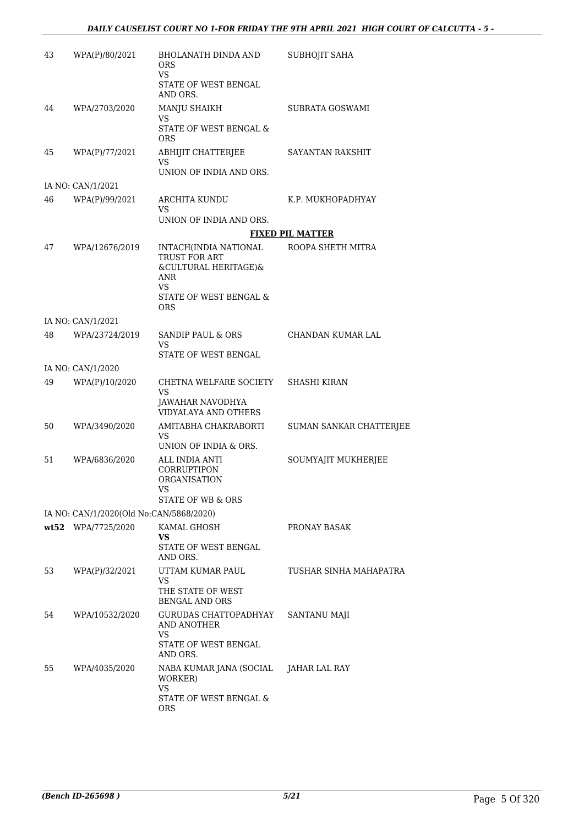| 43  | WPA(P)/80/2021                          | <b>BHOLANATH DINDA AND</b><br><b>ORS</b><br><b>VS</b>                                                               | SUBHOJIT SAHA           |
|-----|-----------------------------------------|---------------------------------------------------------------------------------------------------------------------|-------------------------|
|     |                                         | STATE OF WEST BENGAL<br>AND ORS.                                                                                    |                         |
| 44  | WPA/2703/2020                           | MANJU SHAIKH                                                                                                        | SUBRATA GOSWAMI         |
|     |                                         | VS<br>STATE OF WEST BENGAL &<br><b>ORS</b>                                                                          |                         |
| 45  | WPA(P)/77/2021                          | ABHIJIT CHATTERJEE<br>VS<br>UNION OF INDIA AND ORS.                                                                 | <b>SAYANTAN RAKSHIT</b> |
|     | IA NO: CAN/1/2021                       |                                                                                                                     |                         |
| 46  | WPA(P)/99/2021                          | ARCHITA KUNDU<br>VS                                                                                                 | K.P. MUKHOPADHYAY       |
|     |                                         | UNION OF INDIA AND ORS.                                                                                             |                         |
|     |                                         |                                                                                                                     | <b>FIXED PIL MATTER</b> |
| 47  | WPA/12676/2019                          | INTACH(INDIA NATIONAL<br>TRUST FOR ART<br>&CULTURAL HERITAGE)&<br>ANR<br>VS<br>STATE OF WEST BENGAL &<br><b>ORS</b> | ROOPA SHETH MITRA       |
|     | IA NO: CAN/1/2021                       |                                                                                                                     |                         |
| 48  | WPA/23724/2019                          | <b>SANDIP PAUL &amp; ORS</b><br>VS<br>STATE OF WEST BENGAL                                                          | CHANDAN KUMAR LAL       |
|     | IA NO: CAN/1/2020                       |                                                                                                                     |                         |
| 49  | WPA(P)/10/2020                          | CHETNA WELFARE SOCIETY<br>VS<br>JAWAHAR NAVODHYA<br><b>VIDYALAYA AND OTHERS</b>                                     | SHASHI KIRAN            |
| 50  | WPA/3490/2020                           | AMITABHA CHAKRABORTI<br>VS<br>UNION OF INDIA & ORS.                                                                 | SUMAN SANKAR CHATTERJEE |
| 51  | WPA/6836/2020                           | ALL INDIA ANTI<br>CORRUPTIPON<br>ORGANISATION<br>VS<br>STATE OF WB & ORS                                            | SOUMYAJIT MUKHERJEE     |
|     | IA NO: CAN/1/2020(Old No:CAN/5868/2020) |                                                                                                                     |                         |
|     | wt52 WPA/7725/2020                      | KAMAL GHOSH<br>VS<br>STATE OF WEST BENGAL<br>AND ORS.                                                               | PRONAY BASAK            |
| 53. | WPA(P)/32/2021                          | UTTAM KUMAR PAUL<br>VS<br>THE STATE OF WEST<br><b>BENGAL AND ORS</b>                                                | TUSHAR SINHA MAHAPATRA  |
| 54  | WPA/10532/2020                          | GURUDAS CHATTOPADHYAY<br>AND ANOTHER<br>VS<br>STATE OF WEST BENGAL<br>AND ORS.                                      | <b>SANTANU MAJI</b>     |
| 55  | WPA/4035/2020                           | NABA KUMAR JANA (SOCIAL<br>WORKER)<br>VS<br>STATE OF WEST BENGAL &                                                  | JAHAR LAL RAY           |
|     |                                         | ORS                                                                                                                 |                         |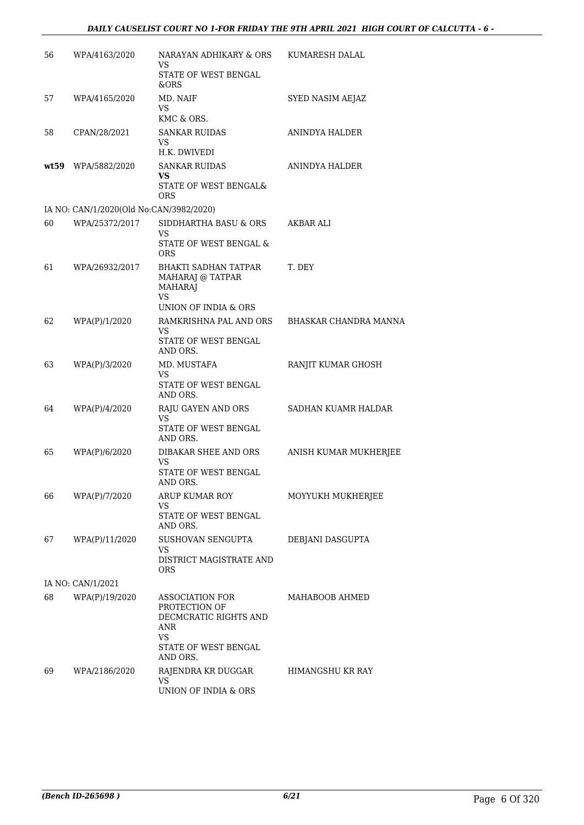| 56 | WPA/4163/2020                           | NARAYAN ADHIKARY & ORS<br>VS.<br>STATE OF WEST BENGAL                                                        | KUMARESH DALAL        |
|----|-----------------------------------------|--------------------------------------------------------------------------------------------------------------|-----------------------|
|    |                                         | &ORS                                                                                                         |                       |
| 57 | WPA/4165/2020                           | MD. NAIF<br>VS<br>KMC & ORS.                                                                                 | SYED NASIM AEJAZ      |
| 58 | CPAN/28/2021                            | <b>SANKAR RUIDAS</b>                                                                                         | ANINDYA HALDER        |
|    |                                         | VS<br>H.K. DWIVEDI                                                                                           |                       |
|    | wt59 WPA/5882/2020                      | <b>SANKAR RUIDAS</b><br>VS                                                                                   | <b>ANINDYA HALDER</b> |
|    |                                         | STATE OF WEST BENGAL&<br>ORS                                                                                 |                       |
|    | IA NO: CAN/1/2020(Old No:CAN/3982/2020) |                                                                                                              |                       |
| 60 | WPA/25372/2017                          | SIDDHARTHA BASU & ORS<br>VS                                                                                  | AKBAR ALI             |
|    |                                         | STATE OF WEST BENGAL &<br><b>ORS</b>                                                                         |                       |
| 61 | WPA/26932/2017                          | <b>BHAKTI SADHAN TATPAR</b><br>MAHARAJ @ TATPAR<br><b>MAHARAJ</b><br><b>VS</b><br>UNION OF INDIA & ORS       | T. DEY                |
| 62 | WPA(P)/1/2020                           | RAMKRISHNA PAL AND ORS                                                                                       | BHASKAR CHANDRA MANNA |
|    |                                         | VS<br>STATE OF WEST BENGAL<br>AND ORS.                                                                       |                       |
| 63 | WPA(P)/3/2020                           | MD. MUSTAFA<br>VS                                                                                            | RANJIT KUMAR GHOSH    |
|    |                                         | STATE OF WEST BENGAL<br>AND ORS.                                                                             |                       |
| 64 | WPA(P)/4/2020                           | RAJU GAYEN AND ORS<br>VS                                                                                     | SADHAN KUAMR HALDAR   |
|    |                                         | STATE OF WEST BENGAL<br>AND ORS.                                                                             |                       |
| 65 | WPA(P)/6/2020                           | DIBAKAR SHEE AND ORS<br><b>VS</b>                                                                            | ANISH KUMAR MUKHERJEE |
|    |                                         | STATE OF WEST BENGAL<br>AND ORS.                                                                             |                       |
| 66 | WPA(P)/7/2020                           | ARUP KUMAR ROY                                                                                               | MOYYUKH MUKHERJEE     |
|    |                                         | VS<br>STATE OF WEST BENGAL<br>AND ORS.                                                                       |                       |
| 67 | WPA(P)/11/2020                          | SUSHOVAN SENGUPTA<br>VS                                                                                      | DEBJANI DASGUPTA      |
|    |                                         | DISTRICT MAGISTRATE AND<br><b>ORS</b>                                                                        |                       |
|    | IA NO: CAN/1/2021                       |                                                                                                              |                       |
| 68 | WPA(P)/19/2020                          | <b>ASSOCIATION FOR</b><br>PROTECTION OF<br>DECMCRATIC RIGHTS AND<br>ANR<br><b>VS</b><br>STATE OF WEST BENGAL | MAHABOOB AHMED        |
|    |                                         | AND ORS.                                                                                                     |                       |
| 69 | WPA/2186/2020                           | RAJENDRA KR DUGGAR<br><b>VS</b><br>UNION OF INDIA & ORS                                                      | HIMANGSHU KR RAY      |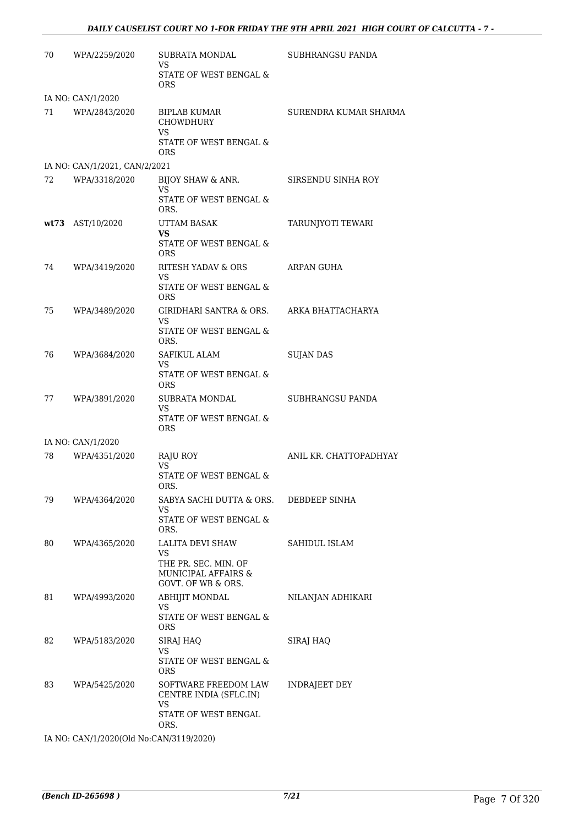| 70 | WPA/2259/2020                 | SUBRATA MONDAL<br>VS                                                                | SUBHRANGSU PANDA       |
|----|-------------------------------|-------------------------------------------------------------------------------------|------------------------|
|    |                               | STATE OF WEST BENGAL &<br>ORS.                                                      |                        |
|    | IA NO: CAN/1/2020             |                                                                                     |                        |
| 71 | WPA/2843/2020                 | BIPLAB KUMAR<br><b>CHOWDHURY</b><br>VS                                              | SURENDRA KUMAR SHARMA  |
|    |                               | STATE OF WEST BENGAL &<br><b>ORS</b>                                                |                        |
|    | IA NO: CAN/1/2021, CAN/2/2021 |                                                                                     |                        |
| 72 | WPA/3318/2020                 | BIJOY SHAW & ANR.<br><b>VS</b>                                                      | SIRSENDU SINHA ROY     |
|    |                               | STATE OF WEST BENGAL &<br>ORS.                                                      |                        |
|    | wt73 AST/10/2020              | UTTAM BASAK<br>VS                                                                   | TARUNJYOTI TEWARI      |
|    |                               | STATE OF WEST BENGAL &<br><b>ORS</b>                                                |                        |
| 74 | WPA/3419/2020                 | RITESH YADAV & ORS<br>VS                                                            | ARPAN GUHA             |
|    |                               | STATE OF WEST BENGAL &<br><b>ORS</b>                                                |                        |
| 75 | WPA/3489/2020                 | GIRIDHARI SANTRA & ORS.<br><b>VS</b>                                                | ARKA BHATTACHARYA      |
|    |                               | STATE OF WEST BENGAL &<br>ORS.                                                      |                        |
| 76 | WPA/3684/2020                 | SAFIKUL ALAM<br>VS                                                                  | <b>SUJAN DAS</b>       |
|    |                               | STATE OF WEST BENGAL &<br><b>ORS</b>                                                |                        |
| 77 | WPA/3891/2020                 | SUBRATA MONDAL<br>VS<br>STATE OF WEST BENGAL &                                      | SUBHRANGSU PANDA       |
|    |                               | <b>ORS</b>                                                                          |                        |
|    | IA NO: CAN/1/2020             |                                                                                     |                        |
| 78 | WPA/4351/2020                 | RAJU ROY<br>VS.<br>STATE OF WEST BENGAL &<br>ORS.                                   | ANIL KR. CHATTOPADHYAY |
| 79 | WPA/4364/2020                 | SABYA SACHI DUTTA & ORS.                                                            | DEBDEEP SINHA          |
|    |                               | VS<br>STATE OF WEST BENGAL &<br>ORS.                                                |                        |
| 80 | WPA/4365/2020                 | LALITA DEVI SHAW<br>VS                                                              | SAHIDUL ISLAM          |
|    |                               | THE PR. SEC. MIN. OF<br>MUNICIPAL AFFAIRS &<br>GOVT. OF WB & ORS.                   |                        |
| 81 | WPA/4993/2020                 | ABHIJIT MONDAL<br>VS                                                                | NILANJAN ADHIKARI      |
|    |                               | STATE OF WEST BENGAL &<br>ORS                                                       |                        |
| 82 | WPA/5183/2020                 | SIRAJ HAQ<br>VS                                                                     | SIRAJ HAQ              |
|    |                               | STATE OF WEST BENGAL &<br>ORS                                                       |                        |
| 83 | WPA/5425/2020                 | SOFTWARE FREEDOM LAW<br>CENTRE INDIA (SFLC.IN)<br><b>VS</b><br>STATE OF WEST BENGAL | INDRAJEET DEY          |
|    |                               | ORS.                                                                                |                        |

IA NO: CAN/1/2020(Old No:CAN/3119/2020)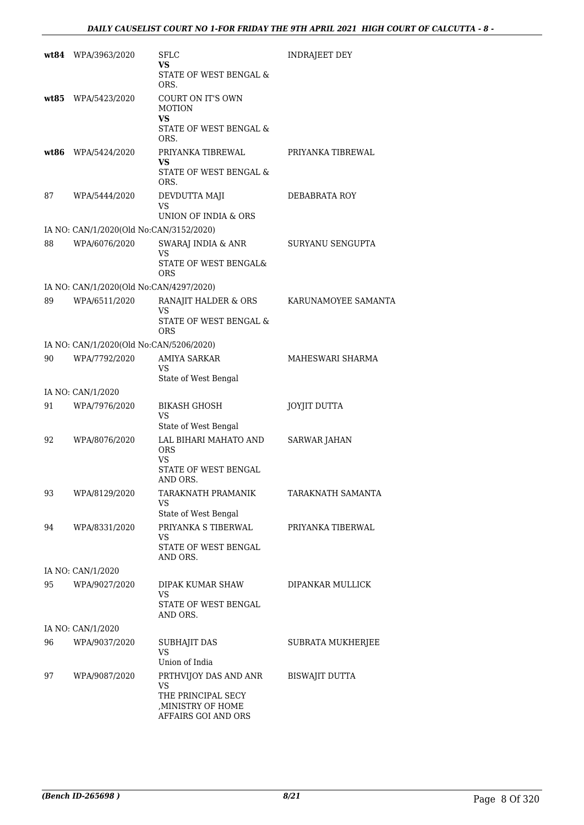|    | wt84 WPA/3963/2020                      | SFLC<br>VS<br>STATE OF WEST BENGAL &<br>ORS.                                                   | <b>INDRAJEET DEY</b>  |
|----|-----------------------------------------|------------------------------------------------------------------------------------------------|-----------------------|
|    | wt85 WPA/5423/2020                      | COURT ON IT'S OWN<br><b>MOTION</b><br>VS<br>STATE OF WEST BENGAL &<br>ORS.                     |                       |
|    | wt86 WPA/5424/2020                      | PRIYANKA TIBREWAL<br>VS.<br>STATE OF WEST BENGAL &<br>ORS.                                     | PRIYANKA TIBREWAL     |
| 87 | WPA/5444/2020                           | DEVDUTTA MAJI<br>VS<br>UNION OF INDIA & ORS                                                    | DEBABRATA ROY         |
|    | IA NO: CAN/1/2020(Old No:CAN/3152/2020) |                                                                                                |                       |
| 88 | WPA/6076/2020                           | SWARAJ INDIA & ANR<br>VS<br>STATE OF WEST BENGAL&<br>ORS                                       | SURYANU SENGUPTA      |
|    | IA NO: CAN/1/2020(Old No:CAN/4297/2020) |                                                                                                |                       |
| 89 | WPA/6511/2020                           | RANAJIT HALDER & ORS<br>VS<br>STATE OF WEST BENGAL &                                           | KARUNAMOYEE SAMANTA   |
|    |                                         | <b>ORS</b>                                                                                     |                       |
|    | IA NO: CAN/1/2020(Old No:CAN/5206/2020) |                                                                                                |                       |
| 90 | WPA/7792/2020                           | AMIYA SARKAR<br>VS<br>State of West Bengal                                                     | MAHESWARI SHARMA      |
|    | IA NO: CAN/1/2020                       |                                                                                                |                       |
| 91 | WPA/7976/2020                           | <b>BIKASH GHOSH</b><br>VS<br>State of West Bengal                                              | <b>JOYJIT DUTTA</b>   |
| 92 | WPA/8076/2020                           | LAL BIHARI MAHATO AND<br><b>ORS</b><br>VS<br>STATE OF WEST BENGAL<br>AND ORS.                  | <b>SARWAR JAHAN</b>   |
| 93 | WPA/8129/2020                           | TARAKNATH PRAMANIK<br>VS<br>State of West Bengal                                               | TARAKNATH SAMANTA     |
| 94 | WPA/8331/2020                           | PRIYANKA S TIBERWAL<br>VS.<br>STATE OF WEST BENGAL<br>AND ORS.                                 | PRIYANKA TIBERWAL     |
|    | IA NO: CAN/1/2020                       |                                                                                                |                       |
| 95 | WPA/9027/2020                           | DIPAK KUMAR SHAW<br>VS                                                                         | DIPANKAR MULLICK      |
|    |                                         | STATE OF WEST BENGAL<br>AND ORS.                                                               |                       |
|    | IA NO: CAN/1/2020                       |                                                                                                |                       |
| 96 | WPA/9037/2020                           | <b>SUBHAJIT DAS</b><br><b>VS</b><br>Union of India                                             | SUBRATA MUKHERJEE     |
| 97 | WPA/9087/2020                           | PRTHVIJOY DAS AND ANR<br>VS<br>THE PRINCIPAL SECY<br>, MINISTRY OF HOME<br>AFFAIRS GOI AND ORS | <b>BISWAJIT DUTTA</b> |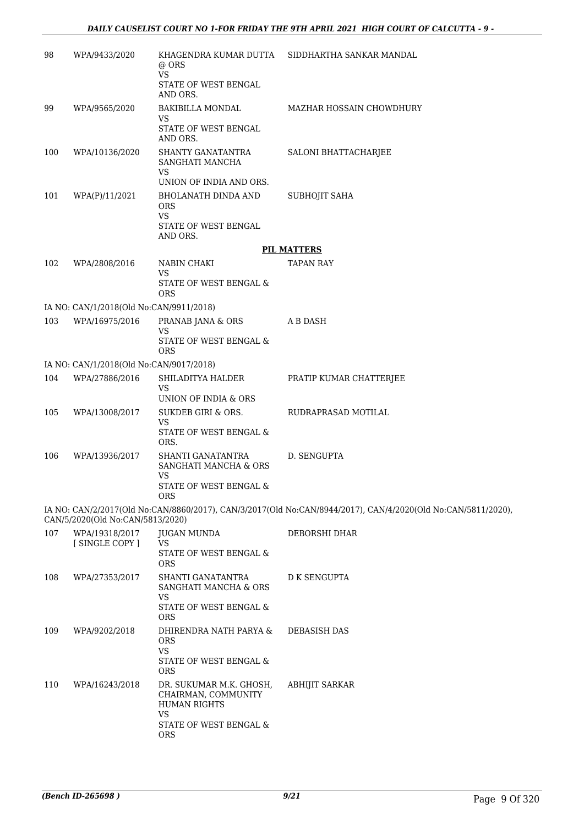| 98  | WPA/9433/2020                           | KHAGENDRA KUMAR DUTTA<br>@ ORS<br><b>VS</b>                                 | SIDDHARTHA SANKAR MANDAL                                                                                     |
|-----|-----------------------------------------|-----------------------------------------------------------------------------|--------------------------------------------------------------------------------------------------------------|
|     |                                         | STATE OF WEST BENGAL<br>AND ORS.                                            |                                                                                                              |
| 99  | WPA/9565/2020                           | BAKIBILLA MONDAL<br>VS                                                      | MAZHAR HOSSAIN CHOWDHURY                                                                                     |
|     |                                         | STATE OF WEST BENGAL<br>AND ORS.                                            |                                                                                                              |
| 100 | WPA/10136/2020                          | SHANTY GANATANTRA<br>SANGHATI MANCHA<br><b>VS</b>                           | SALONI BHATTACHARJEE                                                                                         |
|     |                                         | UNION OF INDIA AND ORS.                                                     |                                                                                                              |
| 101 | WPA(P)/11/2021                          | BHOLANATH DINDA AND<br><b>ORS</b><br><b>VS</b>                              | SUBHOJIT SAHA                                                                                                |
|     |                                         | STATE OF WEST BENGAL<br>AND ORS.                                            |                                                                                                              |
|     |                                         |                                                                             | <b>PIL MATTERS</b>                                                                                           |
| 102 | WPA/2808/2016                           | NABIN CHAKI                                                                 | <b>TAPAN RAY</b>                                                                                             |
|     |                                         | VS<br>STATE OF WEST BENGAL &<br><b>ORS</b>                                  |                                                                                                              |
|     | IA NO: CAN/1/2018(Old No:CAN/9911/2018) |                                                                             |                                                                                                              |
| 103 | WPA/16975/2016                          | PRANAB JANA & ORS<br>VS                                                     | A B DASH                                                                                                     |
|     |                                         | STATE OF WEST BENGAL &<br><b>ORS</b>                                        |                                                                                                              |
|     | IA NO: CAN/1/2018(Old No:CAN/9017/2018) |                                                                             |                                                                                                              |
| 104 | WPA/27886/2016                          | SHILADITYA HALDER<br>VS<br>UNION OF INDIA & ORS                             | PRATIP KUMAR CHATTERJEE                                                                                      |
| 105 | WPA/13008/2017                          | SUKDEB GIRI & ORS.                                                          | RUDRAPRASAD MOTILAL                                                                                          |
|     |                                         | VS<br>STATE OF WEST BENGAL &<br>ORS.                                        |                                                                                                              |
| 106 | WPA/13936/2017                          | SHANTI GANATANTRA<br>SANGHATI MANCHA & ORS<br><b>VS</b>                     | D. SENGUPTA                                                                                                  |
|     |                                         | STATE OF WEST BENGAL &<br><b>ORS</b>                                        |                                                                                                              |
|     | CAN/5/2020(Old No:CAN/5813/2020)        |                                                                             | IA NO: CAN/2/2017(Old No:CAN/8860/2017), CAN/3/2017(Old No:CAN/8944/2017), CAN/4/2020(Old No:CAN/5811/2020), |
| 107 | WPA/19318/2017                          | JUGAN MUNDA                                                                 | DEBORSHI DHAR                                                                                                |
|     | [SINGLE COPY]                           | VS<br>STATE OF WEST BENGAL &<br><b>ORS</b>                                  |                                                                                                              |
| 108 | WPA/27353/2017                          | SHANTI GANATANTRA<br>SANGHATI MANCHA & ORS<br>VS                            | <b>D K SENGUPTA</b>                                                                                          |
|     |                                         | STATE OF WEST BENGAL &<br><b>ORS</b>                                        |                                                                                                              |
| 109 | WPA/9202/2018                           | DHIRENDRA NATH PARYA &<br>ORS<br><b>VS</b>                                  | <b>DEBASISH DAS</b>                                                                                          |
|     |                                         | STATE OF WEST BENGAL &<br><b>ORS</b>                                        |                                                                                                              |
| 110 | WPA/16243/2018                          | DR. SUKUMAR M.K. GHOSH,<br>CHAIRMAN, COMMUNITY<br><b>HUMAN RIGHTS</b><br>VS | ABHIJIT SARKAR                                                                                               |
|     |                                         | STATE OF WEST BENGAL &<br><b>ORS</b>                                        |                                                                                                              |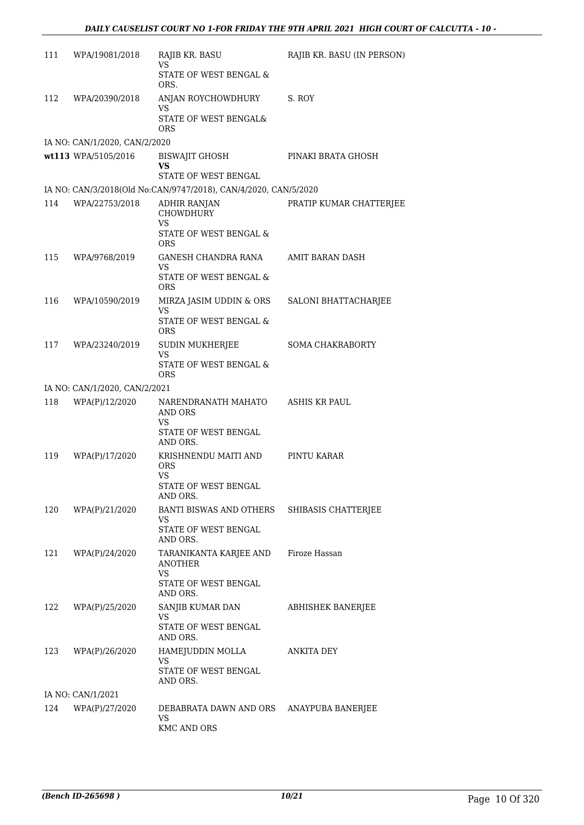| 111 | WPA/19081/2018                | RAJIB KR. BASU<br>VS                                                 | RAJIB KR. BASU (IN PERSON) |
|-----|-------------------------------|----------------------------------------------------------------------|----------------------------|
|     |                               | STATE OF WEST BENGAL &<br>ORS.                                       |                            |
| 112 | WPA/20390/2018                | ANJAN ROYCHOWDHURY<br>VS                                             | S. ROY                     |
|     |                               | STATE OF WEST BENGAL&<br><b>ORS</b>                                  |                            |
|     | IA NO: CAN/1/2020, CAN/2/2020 |                                                                      |                            |
|     | wt113 WPA/5105/2016           | <b>BISWAJIT GHOSH</b><br>VS<br>STATE OF WEST BENGAL                  | PINAKI BRATA GHOSH         |
|     |                               | IA NO: CAN/3/2018(Old No:CAN/9747/2018), CAN/4/2020, CAN/5/2020      |                            |
| 114 | WPA/22753/2018                | ADHIR RANJAN<br>CHOWDHURY<br><b>VS</b><br>STATE OF WEST BENGAL &     | PRATIP KUMAR CHATTERJEE    |
|     |                               | ORS                                                                  |                            |
| 115 | WPA/9768/2019                 | GANESH CHANDRA RANA<br>VS                                            | AMIT BARAN DASH            |
|     |                               | STATE OF WEST BENGAL &<br><b>ORS</b>                                 |                            |
| 116 | WPA/10590/2019                | MIRZA JASIM UDDIN & ORS<br><b>VS</b>                                 | SALONI BHATTACHARJEE       |
|     |                               | STATE OF WEST BENGAL &<br><b>ORS</b>                                 |                            |
| 117 | WPA/23240/2019                | SUDIN MUKHERJEE<br><b>VS</b>                                         | <b>SOMA CHAKRABORTY</b>    |
|     |                               | STATE OF WEST BENGAL &<br><b>ORS</b>                                 |                            |
|     | IA NO: CAN/1/2020, CAN/2/2021 |                                                                      |                            |
| 118 | WPA(P)/12/2020                | NARENDRANATH MAHATO<br>AND ORS                                       | ASHIS KR PAUL              |
|     |                               | <b>VS</b><br>STATE OF WEST BENGAL<br>AND ORS.                        |                            |
| 119 | WPA(P)/17/2020                | KRISHNENDU MAITI AND<br><b>ORS</b>                                   | PINTU KARAR                |
|     |                               | <b>VS</b><br>STATE OF WEST BENGAL<br>AND ORS.                        |                            |
| 120 | WPA(P)/21/2020                | BANTI BISWAS AND OTHERS SHIBASIS CHATTERJEE<br>VS                    |                            |
|     |                               | STATE OF WEST BENGAL<br>AND ORS.                                     |                            |
| 121 | WPA(P)/24/2020                | TARANIKANTA KARJEE AND Firoze Hassan<br><b>ANOTHER</b><br>VS         |                            |
|     |                               | STATE OF WEST BENGAL<br>AND ORS.                                     |                            |
| 122 | WPA(P)/25/2020                | SANJIB KUMAR DAN<br>VS                                               | ABHISHEK BANERJEE          |
|     |                               | STATE OF WEST BENGAL<br>AND ORS.                                     |                            |
| 123 | WPA(P)/26/2020                | HAMEJUDDIN MOLLA<br>VS                                               | <b>ANKITA DEY</b>          |
|     |                               | STATE OF WEST BENGAL<br>AND ORS.                                     |                            |
|     | IA NO: CAN/1/2021             |                                                                      |                            |
| 124 | WPA(P)/27/2020                | DEBABRATA DAWN AND ORS ANAYPUBA BANERJEE<br>VS<br><b>KMC AND ORS</b> |                            |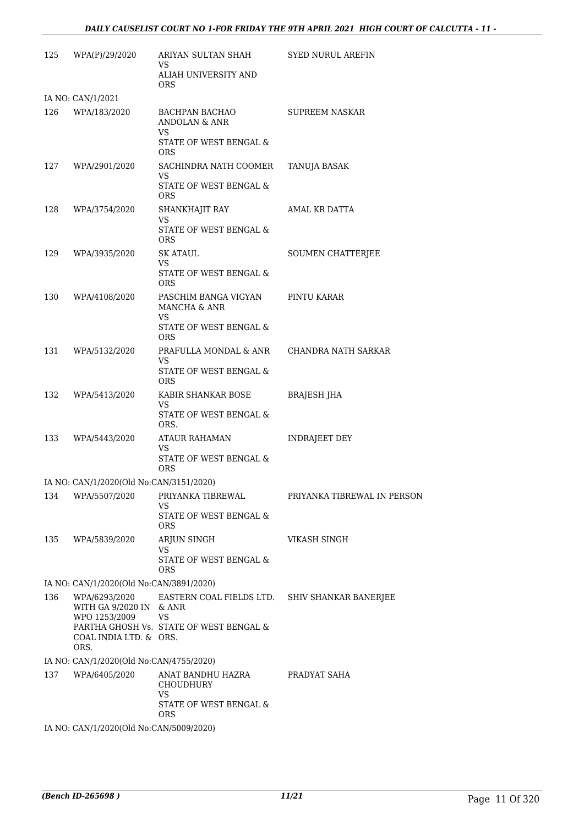| 125 | WPA(P)/29/2020                                            | ARIYAN SULTAN SHAH<br>VS.<br>ALIAH UNIVERSITY AND<br><b>ORS</b> | <b>SYED NURUL AREFIN</b>    |
|-----|-----------------------------------------------------------|-----------------------------------------------------------------|-----------------------------|
|     | IA NO: CAN/1/2021                                         |                                                                 |                             |
| 126 | WPA/183/2020                                              | BACHPAN BACHAO<br>ANDOLAN & ANR<br>VS                           | <b>SUPREEM NASKAR</b>       |
|     |                                                           | STATE OF WEST BENGAL &<br>ORS.                                  |                             |
| 127 | WPA/2901/2020                                             | SACHINDRA NATH COOMER<br>VS.                                    | <b>TANUJA BASAK</b>         |
|     |                                                           | STATE OF WEST BENGAL &<br>ORS.                                  |                             |
| 128 | WPA/3754/2020                                             | SHANKHAJIT RAY<br>VS<br>STATE OF WEST BENGAL &                  | AMAL KR DATTA               |
| 129 | WPA/3935/2020                                             | ORS.<br><b>SK ATAUL</b>                                         | SOUMEN CHATTERJEE           |
|     |                                                           | VS.<br>STATE OF WEST BENGAL &                                   |                             |
|     |                                                           | ORS.                                                            |                             |
| 130 | WPA/4108/2020                                             | PASCHIM BANGA VIGYAN<br>MANCHA & ANR<br>VS                      | PINTU KARAR                 |
|     |                                                           | STATE OF WEST BENGAL &<br>ORS.                                  |                             |
| 131 | WPA/5132/2020                                             | PRAFULLA MONDAL & ANR<br>VS.                                    | CHANDRA NATH SARKAR         |
|     |                                                           | STATE OF WEST BENGAL &<br><b>ORS</b>                            |                             |
| 132 | WPA/5413/2020                                             | KABIR SHANKAR BOSE                                              | <b>BRAJESH JHA</b>          |
|     |                                                           | VS<br>STATE OF WEST BENGAL &<br>ORS.                            |                             |
| 133 | WPA/5443/2020                                             | ATAUR RAHAMAN                                                   | <b>INDRAJEET DEY</b>        |
|     |                                                           | VS<br>STATE OF WEST BENGAL &<br><b>ORS</b>                      |                             |
|     | IA NO: CAN/1/2020(Old No:CAN/3151/2020)                   |                                                                 |                             |
| 134 | WPA/5507/2020                                             | PRIYANKA TIBREWAL<br>VS.                                        | PRIYANKA TIBREWAL IN PERSON |
|     |                                                           | STATE OF WEST BENGAL &<br><b>ORS</b>                            |                             |
| 135 | WPA/5839/2020                                             | ARJUN SINGH                                                     | VIKASH SINGH                |
|     |                                                           | VS<br>STATE OF WEST BENGAL &<br><b>ORS</b>                      |                             |
|     | IA NO: CAN/1/2020(Old No:CAN/3891/2020)                   |                                                                 |                             |
| 136 | WPA/6293/2020<br>WITH GA 9/2020 IN & ANR<br>WPO 1253/2009 | EASTERN COAL FIELDS LTD.<br>VS                                  | SHIV SHANKAR BANERJEE       |
|     | COAL INDIA LTD. & ORS.<br>ORS.                            | PARTHA GHOSH Vs. STATE OF WEST BENGAL &                         |                             |
|     | IA NO: CAN/1/2020(Old No:CAN/4755/2020)                   |                                                                 |                             |
| 137 | WPA/6405/2020                                             | ANAT BANDHU HAZRA<br><b>CHOUDHURY</b><br><b>VS</b>              | PRADYAT SAHA                |
|     |                                                           | STATE OF WEST BENGAL &<br><b>ORS</b>                            |                             |
|     | IA NO: CAN/1/2020(Old No:CAN/5009/2020)                   |                                                                 |                             |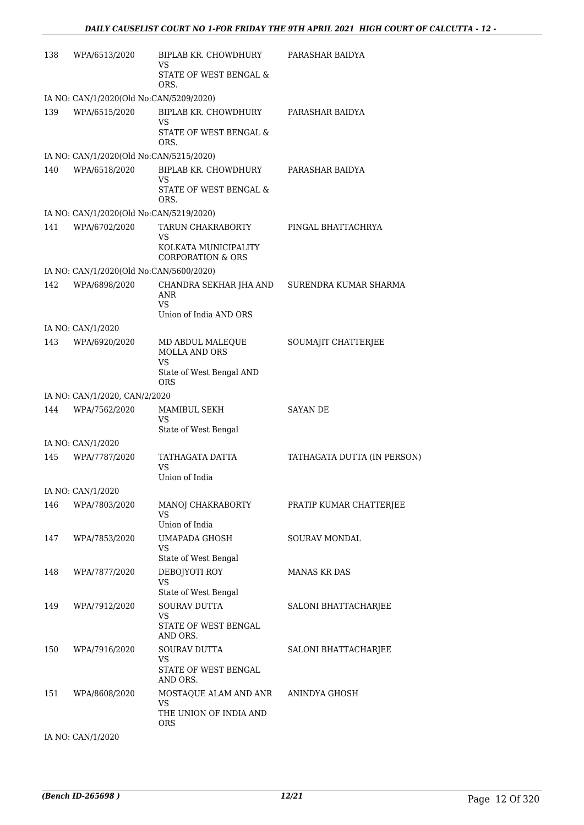| 138 | WPA/6513/2020                           | BIPLAB KR. CHOWDHURY<br>VS                           | PARASHAR BAIDYA             |
|-----|-----------------------------------------|------------------------------------------------------|-----------------------------|
|     |                                         | STATE OF WEST BENGAL &<br>ORS.                       |                             |
|     | IA NO: CAN/1/2020(Old No:CAN/5209/2020) |                                                      |                             |
| 139 | WPA/6515/2020                           | BIPLAB KR. CHOWDHURY<br>VS.                          | PARASHAR BAIDYA             |
|     |                                         | STATE OF WEST BENGAL &<br>ORS.                       |                             |
|     | IA NO: CAN/1/2020(Old No:CAN/5215/2020) |                                                      |                             |
| 140 | WPA/6518/2020                           | BIPLAB KR. CHOWDHURY<br><b>VS</b>                    | PARASHAR BAIDYA             |
|     |                                         | STATE OF WEST BENGAL &<br>ORS.                       |                             |
|     | IA NO: CAN/1/2020(Old No:CAN/5219/2020) |                                                      |                             |
| 141 | WPA/6702/2020                           | TARUN CHAKRABORTY<br>VS                              | PINGAL BHATTACHRYA          |
|     |                                         | KOLKATA MUNICIPALITY<br><b>CORPORATION &amp; ORS</b> |                             |
|     | IA NO: CAN/1/2020(Old No:CAN/5600/2020) |                                                      |                             |
| 142 | WPA/6898/2020                           | CHANDRA SEKHAR JHA AND<br>ANR                        | SURENDRA KUMAR SHARMA       |
|     |                                         | VS.<br>Union of India AND ORS                        |                             |
|     | IA NO: CAN/1/2020                       |                                                      |                             |
| 143 | WPA/6920/2020                           | MD ABDUL MALEQUE<br>MOLLA AND ORS                    | SOUMAJIT CHATTERJEE         |
|     |                                         | VS<br>State of West Bengal AND<br>ORS                |                             |
|     | IA NO: CAN/1/2020, CAN/2/2020           |                                                      |                             |
| 144 | WPA/7562/2020                           | MAMIBUL SEKH<br>VS                                   | <b>SAYAN DE</b>             |
|     |                                         | State of West Bengal                                 |                             |
|     | IA NO: CAN/1/2020                       |                                                      |                             |
| 145 | WPA/7787/2020                           | TATHAGATA DATTA<br>VS                                | TATHAGATA DUTTA (IN PERSON) |
|     |                                         | Union of India                                       |                             |
|     | IA NO: CAN/1/2020                       |                                                      |                             |
| 146 | WPA/7803/2020                           | MANOJ CHAKRABORTY<br>VS.<br>Union of India           | PRATIP KUMAR CHATTERJEE     |
| 147 | WPA/7853/2020                           | UMAPADA GHOSH                                        | <b>SOURAV MONDAL</b>        |
|     |                                         | VS<br>State of West Bengal                           |                             |
| 148 | WPA/7877/2020                           | DEBOJYOTI ROY<br>VS                                  | <b>MANAS KR DAS</b>         |
|     |                                         | State of West Bengal                                 |                             |
| 149 | WPA/7912/2020                           | <b>SOURAV DUTTA</b>                                  | SALONI BHATTACHARJEE        |
|     |                                         | VS<br>STATE OF WEST BENGAL<br>AND ORS.               |                             |
| 150 | WPA/7916/2020                           | SOURAV DUTTA                                         | SALONI BHATTACHARJEE        |
|     |                                         | VS<br>STATE OF WEST BENGAL<br>AND ORS.               |                             |
| 151 | WPA/8608/2020                           | MOSTAQUE ALAM AND ANR<br><b>VS</b>                   | ANINDYA GHOSH               |
|     |                                         | THE UNION OF INDIA AND<br><b>ORS</b>                 |                             |
|     |                                         |                                                      |                             |

IA NO: CAN/1/2020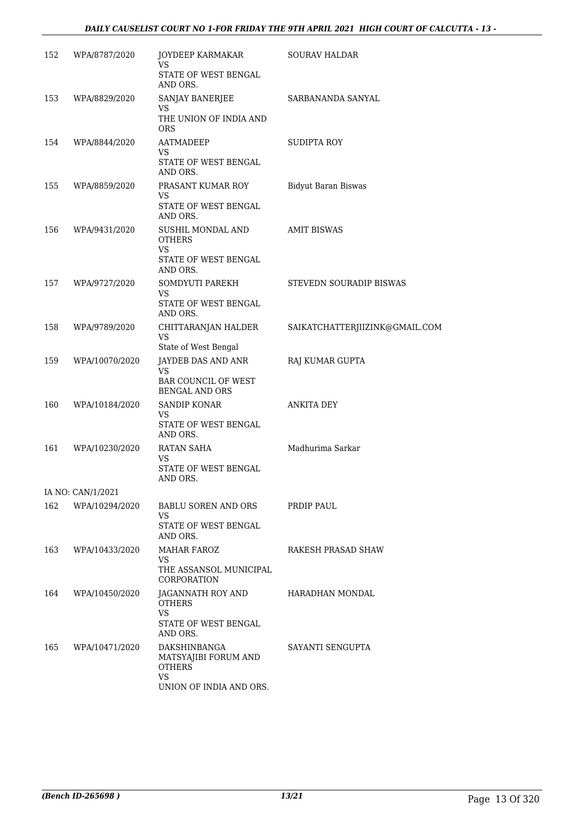#### *DAILY CAUSELIST COURT NO 1-FOR FRIDAY THE 9TH APRIL 2021 HIGH COURT OF CALCUTTA - 13 -*

| 152 | WPA/8787/2020     | JOYDEEP KARMAKAR<br>VS                                       | <b>SOURAV HALDAR</b>           |
|-----|-------------------|--------------------------------------------------------------|--------------------------------|
|     |                   | STATE OF WEST BENGAL<br>AND ORS.                             |                                |
| 153 | WPA/8829/2020     | <b>SANJAY BANERJEE</b>                                       | SARBANANDA SANYAL              |
|     |                   | <b>VS</b><br>THE UNION OF INDIA AND<br>ORS.                  |                                |
| 154 | WPA/8844/2020     | AATMADEEP                                                    | <b>SUDIPTA ROY</b>             |
|     |                   | VS<br>STATE OF WEST BENGAL<br>AND ORS.                       |                                |
| 155 | WPA/8859/2020     | PRASANT KUMAR ROY                                            | <b>Bidyut Baran Biswas</b>     |
|     |                   | VS<br>STATE OF WEST BENGAL<br>AND ORS.                       |                                |
| 156 | WPA/9431/2020     | SUSHIL MONDAL AND<br><b>OTHERS</b><br>VS                     | <b>AMIT BISWAS</b>             |
|     |                   | STATE OF WEST BENGAL<br>AND ORS.                             |                                |
| 157 | WPA/9727/2020     | SOMDYUTI PAREKH<br>VS                                        | STEVEDN SOURADIP BISWAS        |
|     |                   | STATE OF WEST BENGAL<br>AND ORS.                             |                                |
| 158 | WPA/9789/2020     | CHITTARANJAN HALDER<br>VS                                    | SAIKATCHATTERJIIZINK@GMAIL.COM |
| 159 | WPA/10070/2020    | State of West Bengal<br>JAYDEB DAS AND ANR                   | RAJ KUMAR GUPTA                |
|     |                   | VS<br><b>BAR COUNCIL OF WEST</b><br><b>BENGAL AND ORS</b>    |                                |
| 160 | WPA/10184/2020    | SANDIP KONAR                                                 | <b>ANKITA DEY</b>              |
|     |                   | VS<br>STATE OF WEST BENGAL<br>AND ORS.                       |                                |
| 161 | WPA/10230/2020    | RATAN SAHA<br>VS                                             | Madhurima Sarkar               |
|     |                   | STATE OF WEST BENGAL<br>AND ORS.                             |                                |
|     | IA NO: CAN/1/2021 |                                                              |                                |
| 162 | WPA/10294/2020    | BABLU SOREN AND ORS                                          | PRDIP PAUL                     |
|     |                   | VS<br>STATE OF WEST BENGAL<br>AND ORS.                       |                                |
| 163 | WPA/10433/2020    | <b>MAHAR FAROZ</b>                                           | RAKESH PRASAD SHAW             |
|     |                   | VS<br>THE ASSANSOL MUNICIPAL<br>CORPORATION                  |                                |
| 164 | WPA/10450/2020    | JAGANNATH ROY AND<br><b>OTHERS</b><br><b>VS</b>              | HARADHAN MONDAL                |
|     |                   | STATE OF WEST BENGAL<br>AND ORS.                             |                                |
| 165 | WPA/10471/2020    | DAKSHINBANGA<br>MATSYAJIBI FORUM AND<br><b>OTHERS</b><br>VS. | SAYANTI SENGUPTA               |
|     |                   | UNION OF INDIA AND ORS.                                      |                                |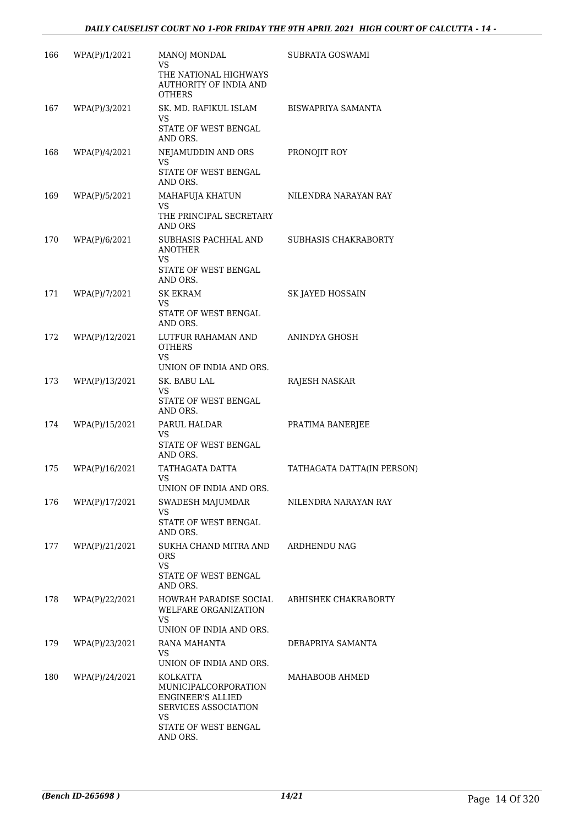| 166 | WPA(P)/1/2021  | <b>MANOJ MONDAL</b><br>VS<br>THE NATIONAL HIGHWAYS<br>AUTHORITY OF INDIA AND                                                    | SUBRATA GOSWAMI            |
|-----|----------------|---------------------------------------------------------------------------------------------------------------------------------|----------------------------|
| 167 | WPA(P)/3/2021  | <b>OTHERS</b><br>SK. MD. RAFIKUL ISLAM                                                                                          | BISWAPRIYA SAMANTA         |
|     |                | VS<br>STATE OF WEST BENGAL<br>AND ORS.                                                                                          |                            |
| 168 | WPA(P)/4/2021  | NEJAMUDDIN AND ORS<br><b>VS</b>                                                                                                 | PRONOJIT ROY               |
|     |                | STATE OF WEST BENGAL<br>AND ORS.                                                                                                |                            |
| 169 | WPA(P)/5/2021  | MAHAFUJA KHATUN<br>VS                                                                                                           | NILENDRA NARAYAN RAY       |
|     |                | THE PRINCIPAL SECRETARY<br>AND ORS                                                                                              |                            |
| 170 | WPA(P)/6/2021  | SUBHASIS PACHHAL AND<br><b>ANOTHER</b><br>VS                                                                                    | SUBHASIS CHAKRABORTY       |
|     |                | STATE OF WEST BENGAL<br>AND ORS.                                                                                                |                            |
| 171 | WPA(P)/7/2021  | <b>SK EKRAM</b>                                                                                                                 | SK JAYED HOSSAIN           |
|     |                | <b>VS</b><br>STATE OF WEST BENGAL<br>AND ORS.                                                                                   |                            |
| 172 | WPA(P)/12/2021 | LUTFUR RAHAMAN AND<br><b>OTHERS</b><br><b>VS</b><br>UNION OF INDIA AND ORS.                                                     | ANINDYA GHOSH              |
| 173 | WPA(P)/13/2021 | SK. BABU LAL                                                                                                                    | RAJESH NASKAR              |
|     |                | <b>VS</b><br>STATE OF WEST BENGAL<br>AND ORS.                                                                                   |                            |
| 174 | WPA(P)/15/2021 | PARUL HALDAR                                                                                                                    | PRATIMA BANERJEE           |
|     |                | VS<br>STATE OF WEST BENGAL<br>AND ORS.                                                                                          |                            |
| 175 | WPA(P)/16/2021 | TATHAGATA DATTA                                                                                                                 | TATHAGATA DATTA(IN PERSON) |
|     |                | VS<br>UNION OF INDIA AND ORS.                                                                                                   |                            |
| 176 | WPA(P)/17/2021 | SWADESH MAJUMDAR                                                                                                                | NILENDRA NARAYAN RAY       |
|     |                | VS<br>STATE OF WEST BENGAL<br>AND ORS.                                                                                          |                            |
| 177 | WPA(P)/21/2021 | SUKHA CHAND MITRA AND<br><b>ORS</b>                                                                                             | ARDHENDU NAG               |
|     |                | VS.<br>STATE OF WEST BENGAL<br>AND ORS.                                                                                         |                            |
| 178 | WPA(P)/22/2021 | HOWRAH PARADISE SOCIAL<br><b>WELFARE ORGANIZATION</b><br><b>VS</b><br>UNION OF INDIA AND ORS.                                   | ABHISHEK CHAKRABORTY       |
| 179 | WPA(P)/23/2021 | RANA MAHANTA                                                                                                                    | DEBAPRIYA SAMANTA          |
|     |                | VS<br>UNION OF INDIA AND ORS.                                                                                                   |                            |
| 180 | WPA(P)/24/2021 | KOLKATTA<br>MUNICIPALCORPORATION<br><b>ENGINEER'S ALLIED</b><br>SERVICES ASSOCIATION<br>VS.<br>STATE OF WEST BENGAL<br>AND ORS. | MAHABOOB AHMED             |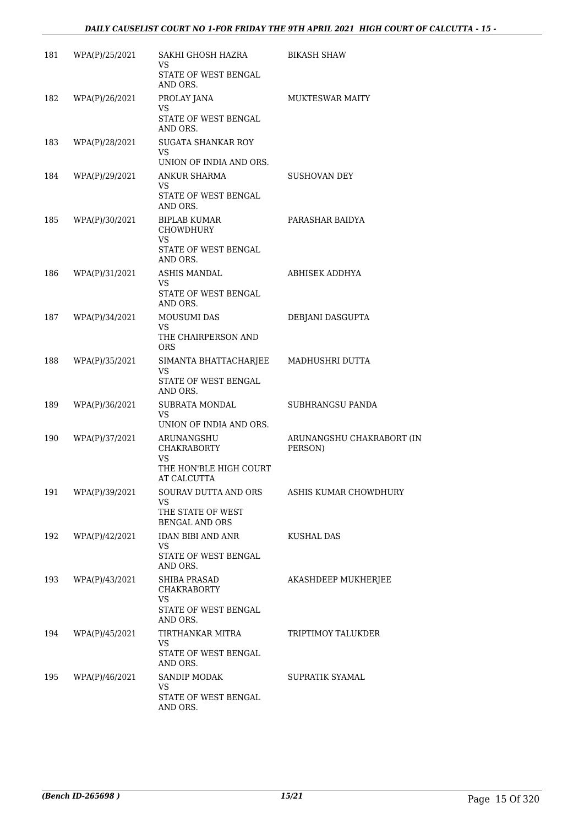| 181 | WPA(P)/25/2021 | SAKHI GHOSH HAZRA<br>VS                                | <b>BIKASH SHAW</b>                   |
|-----|----------------|--------------------------------------------------------|--------------------------------------|
|     |                | STATE OF WEST BENGAL<br>AND ORS.                       |                                      |
| 182 | WPA(P)/26/2021 | PROLAY JANA<br><b>VS</b>                               | MUKTESWAR MAITY                      |
|     |                | STATE OF WEST BENGAL<br>AND ORS.                       |                                      |
| 183 | WPA(P)/28/2021 | <b>SUGATA SHANKAR ROY</b><br>VS.                       |                                      |
|     |                | UNION OF INDIA AND ORS.                                |                                      |
| 184 | WPA(P)/29/2021 | ANKUR SHARMA<br>VS                                     | <b>SUSHOVAN DEY</b>                  |
|     |                | STATE OF WEST BENGAL<br>AND ORS.                       |                                      |
| 185 | WPA(P)/30/2021 | BIPLAB KUMAR<br><b>CHOWDHURY</b>                       | PARASHAR BAIDYA                      |
|     |                | <b>VS</b><br>STATE OF WEST BENGAL<br>AND ORS.          |                                      |
| 186 | WPA(P)/31/2021 | <b>ASHIS MANDAL</b>                                    | ABHISEK ADDHYA                       |
|     |                | VS<br>STATE OF WEST BENGAL<br>AND ORS.                 |                                      |
| 187 | WPA(P)/34/2021 | MOUSUMI DAS                                            | DEBJANI DASGUPTA                     |
|     |                | VS<br>THE CHAIRPERSON AND<br><b>ORS</b>                |                                      |
| 188 | WPA(P)/35/2021 | SIMANTA BHATTACHARJEE<br>VS                            | MADHUSHRI DUTTA                      |
|     |                | STATE OF WEST BENGAL<br>AND ORS.                       |                                      |
| 189 | WPA(P)/36/2021 | SUBRATA MONDAL<br><b>VS</b>                            | SUBHRANGSU PANDA                     |
|     |                | UNION OF INDIA AND ORS.                                |                                      |
| 190 | WPA(P)/37/2021 | ARUNANGSHU<br><b>CHAKRABORTY</b><br>VS                 | ARUNANGSHU CHAKRABORT (IN<br>PERSON) |
|     |                | THE HON'BLE HIGH COURT<br><b>AT CALCUTTA</b>           |                                      |
| 191 | WPA(P)/39/2021 | <b>SOURAV DUTTA AND ORS</b><br>VS.                     | ASHIS KUMAR CHOWDHURY                |
|     |                | THE STATE OF WEST<br><b>BENGAL AND ORS</b>             |                                      |
| 192 | WPA(P)/42/2021 | IDAN BIBI AND ANR<br>VS                                | <b>KUSHAL DAS</b>                    |
|     |                | STATE OF WEST BENGAL<br>AND ORS.                       |                                      |
| 193 | WPA(P)/43/2021 | <b>SHIBA PRASAD</b><br><b>CHAKRABORTY</b><br><b>VS</b> | AKASHDEEP MUKHERJEE                  |
|     |                | STATE OF WEST BENGAL<br>AND ORS.                       |                                      |
| 194 | WPA(P)/45/2021 | TIRTHANKAR MITRA                                       | TRIPTIMOY TALUKDER                   |
|     |                | VS<br>STATE OF WEST BENGAL<br>AND ORS.                 |                                      |
| 195 | WPA(P)/46/2021 | <b>SANDIP MODAK</b>                                    | SUPRATIK SYAMAL                      |
|     |                | VS<br>STATE OF WEST BENGAL<br>AND ORS.                 |                                      |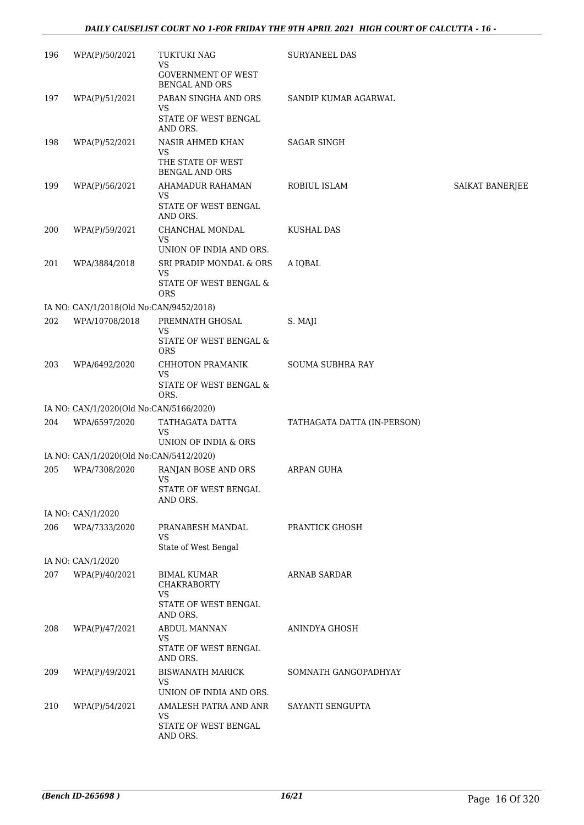#### *DAILY CAUSELIST COURT NO 1-FOR FRIDAY THE 9TH APRIL 2021 HIGH COURT OF CALCUTTA - 16 -*

| 196 | WPA(P)/50/2021                          | TUKTUKI NAG<br>VS                                  | SURYANEEL DAS               |                 |
|-----|-----------------------------------------|----------------------------------------------------|-----------------------------|-----------------|
|     |                                         | <b>GOVERNMENT OF WEST</b><br><b>BENGAL AND ORS</b> |                             |                 |
| 197 | WPA(P)/51/2021                          | PABAN SINGHA AND ORS<br>VS                         | SANDIP KUMAR AGARWAL        |                 |
|     |                                         | STATE OF WEST BENGAL<br>AND ORS.                   |                             |                 |
| 198 | WPA(P)/52/2021                          | <b>NASIR AHMED KHAN</b><br>VS                      | <b>SAGAR SINGH</b>          |                 |
|     |                                         | THE STATE OF WEST<br><b>BENGAL AND ORS</b>         |                             |                 |
| 199 | WPA(P)/56/2021                          | AHAMADUR RAHAMAN<br><b>VS</b>                      | ROBIUL ISLAM                | SAIKAT BANERJEE |
|     |                                         | STATE OF WEST BENGAL<br>AND ORS.                   |                             |                 |
| 200 | WPA(P)/59/2021                          | CHANCHAL MONDAL<br>VS                              | <b>KUSHAL DAS</b>           |                 |
|     |                                         | UNION OF INDIA AND ORS.                            |                             |                 |
| 201 | WPA/3884/2018                           | SRI PRADIP MONDAL & ORS<br><b>VS</b>               | A IQBAL                     |                 |
|     |                                         | STATE OF WEST BENGAL &<br><b>ORS</b>               |                             |                 |
|     | IA NO: CAN/1/2018(Old No:CAN/9452/2018) |                                                    |                             |                 |
| 202 | WPA/10708/2018                          | PREMNATH GHOSAL<br>VS                              | S. MAJI                     |                 |
|     |                                         | STATE OF WEST BENGAL &<br><b>ORS</b>               |                             |                 |
| 203 | WPA/6492/2020                           | CHHOTON PRAMANIK<br>VS                             | SOUMA SUBHRA RAY            |                 |
|     |                                         | STATE OF WEST BENGAL &<br>ORS.                     |                             |                 |
|     | IA NO: CAN/1/2020(Old No:CAN/5166/2020) |                                                    |                             |                 |
| 204 | WPA/6597/2020                           | TATHAGATA DATTA<br>VS                              | TATHAGATA DATTA (IN-PERSON) |                 |
|     |                                         | UNION OF INDIA & ORS                               |                             |                 |
|     | IA NO: CAN/1/2020(Old No:CAN/5412/2020) |                                                    |                             |                 |
| 205 | WPA/7308/2020                           | RANJAN BOSE AND ORS<br><b>VS</b>                   | <b>ARPAN GUHA</b>           |                 |
|     |                                         | STATE OF WEST BENGAL<br>AND ORS.                   |                             |                 |
|     | IA NO: CAN/1/2020                       |                                                    |                             |                 |
| 206 | WPA/7333/2020                           | PRANABESH MANDAL<br><b>VS</b>                      | PRANTICK GHOSH              |                 |
|     |                                         | State of West Bengal                               |                             |                 |
|     | IA NO: CAN/1/2020                       |                                                    |                             |                 |
| 207 | WPA(P)/40/2021                          | BIMAL KUMAR<br><b>CHAKRABORTY</b><br><b>VS</b>     | <b>ARNAB SARDAR</b>         |                 |
|     |                                         | STATE OF WEST BENGAL<br>AND ORS.                   |                             |                 |
| 208 | WPA(P)/47/2021                          | <b>ABDUL MANNAN</b><br><b>VS</b>                   | ANINDYA GHOSH               |                 |
|     |                                         | STATE OF WEST BENGAL<br>AND ORS.                   |                             |                 |
| 209 | WPA(P)/49/2021                          | <b>BISWANATH MARICK</b><br>VS                      | SOMNATH GANGOPADHYAY        |                 |
|     |                                         | UNION OF INDIA AND ORS.                            |                             |                 |
| 210 | WPA(P)/54/2021                          | AMALESH PATRA AND ANR<br>VS                        | SAYANTI SENGUPTA            |                 |
|     |                                         | STATE OF WEST BENGAL<br>AND ORS.                   |                             |                 |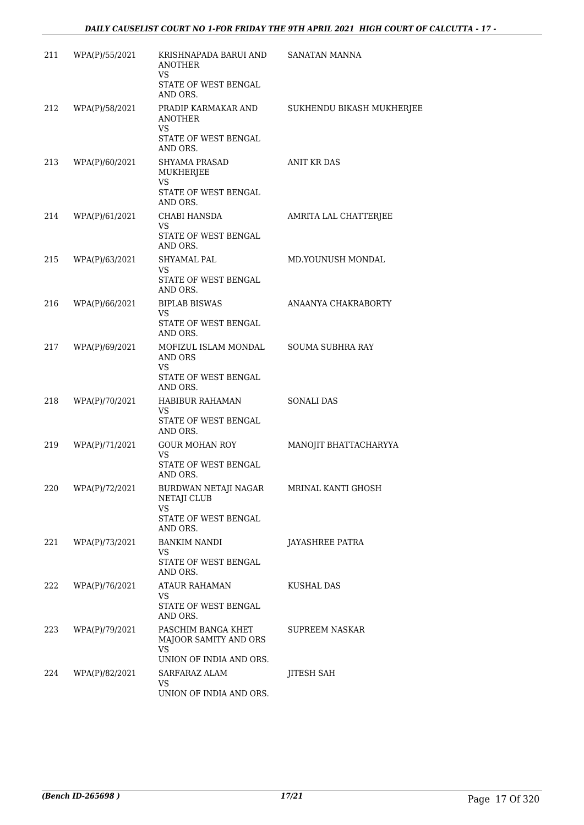| 211 | WPA(P)/55/2021     | KRISHNAPADA BARUI AND<br><b>ANOTHER</b><br><b>VS</b>          | SANATAN MANNA             |
|-----|--------------------|---------------------------------------------------------------|---------------------------|
|     |                    | STATE OF WEST BENGAL<br>AND ORS.                              |                           |
| 212 | WPA(P)/58/2021     | PRADIP KARMAKAR AND<br><b>ANOTHER</b><br>VS                   | SUKHENDU BIKASH MUKHERJEE |
|     |                    | STATE OF WEST BENGAL<br>AND ORS.                              |                           |
| 213 | WPA(P)/60/2021     | SHYAMA PRASAD<br>MUKHERJEE<br><b>VS</b>                       | ANIT KR DAS               |
|     |                    | STATE OF WEST BENGAL<br>AND ORS.                              |                           |
| 214 | WPA(P)/61/2021     | CHABI HANSDA<br><b>VS</b><br>STATE OF WEST BENGAL             | AMRITA LAL CHATTERJEE     |
|     |                    | AND ORS.                                                      |                           |
| 215 | WPA(P)/63/2021     | <b>SHYAMAL PAL</b><br><b>VS</b><br>STATE OF WEST BENGAL       | MD.YOUNUSH MONDAL         |
|     |                    | AND ORS.                                                      |                           |
| 216 | WPA(P)/66/2021     | <b>BIPLAB BISWAS</b><br>VS                                    | ANAANYA CHAKRABORTY       |
|     |                    | STATE OF WEST BENGAL<br>AND ORS.                              |                           |
| 217 | WPA(P)/69/2021     | MOFIZUL ISLAM MONDAL SOUMA SUBHRA RAY<br>AND ORS<br><b>VS</b> |                           |
|     |                    | STATE OF WEST BENGAL<br>AND ORS.                              |                           |
| 218 | WPA(P)/70/2021     | HABIBUR RAHAMAN                                               | SONALI DAS                |
|     |                    | VS<br>STATE OF WEST BENGAL<br>AND ORS.                        |                           |
| 219 | WPA(P)/71/2021     | GOUR MOHAN ROY<br>VS                                          | MANOJIT BHATTACHARYYA     |
|     |                    | STATE OF WEST BENGAL<br>AND ORS.                              |                           |
|     | 220 WPA(P)/72/2021 | BURDWAN NETAJI NAGAR<br><b>NETAJI CLUB</b><br>VS.             | MRINAL KANTI GHOSH        |
|     |                    | STATE OF WEST BENGAL<br>AND ORS.                              |                           |
| 221 | WPA(P)/73/2021     | <b>BANKIM NANDI</b><br><b>VS</b>                              | <b>JAYASHREE PATRA</b>    |
|     |                    | STATE OF WEST BENGAL<br>AND ORS.                              |                           |
| 222 | WPA(P)/76/2021     | ATAUR RAHAMAN<br>VS                                           | KUSHAL DAS                |
|     |                    | STATE OF WEST BENGAL<br>AND ORS.                              |                           |
| 223 | WPA(P)/79/2021     | PASCHIM BANGA KHET<br>MAJOOR SAMITY AND ORS<br>VS.            | SUPREEM NASKAR            |
| 224 | WPA(P)/82/2021     | UNION OF INDIA AND ORS.<br>SARFARAZ ALAM                      |                           |
|     |                    | VS                                                            | JITESH SAH                |
|     |                    | UNION OF INDIA AND ORS.                                       |                           |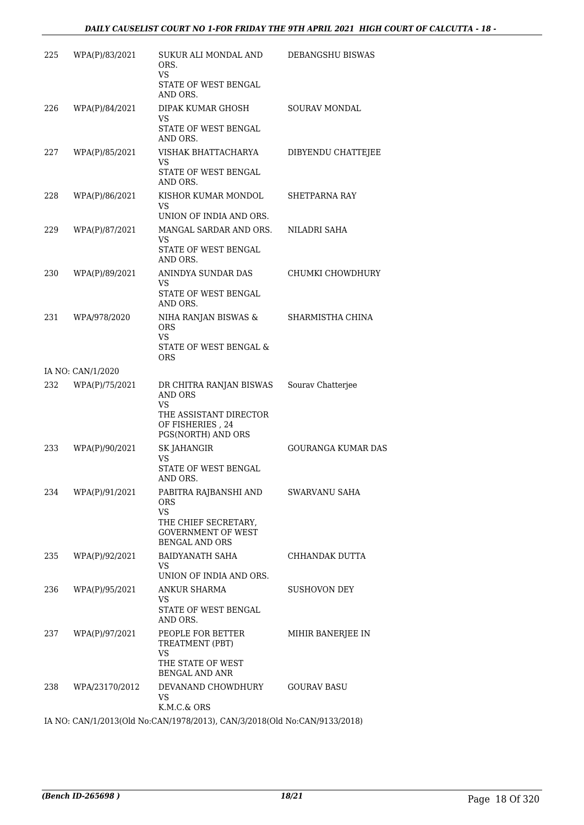| 225 | WPA(P)/83/2021    | SUKUR ALI MONDAL AND<br>ORS.                                                             | DEBANGSHU BISWAS          |
|-----|-------------------|------------------------------------------------------------------------------------------|---------------------------|
|     |                   | VS.<br>STATE OF WEST BENGAL<br>AND ORS.                                                  |                           |
| 226 | WPA(P)/84/2021    | DIPAK KUMAR GHOSH<br>VS                                                                  | <b>SOURAV MONDAL</b>      |
|     |                   | STATE OF WEST BENGAL<br>AND ORS.                                                         |                           |
| 227 | WPA(P)/85/2021    | VISHAK BHATTACHARYA<br>VS<br>STATE OF WEST BENGAL<br>AND ORS.                            | DIBYENDU CHATTEJEE        |
| 228 | WPA(P)/86/2021    | KISHOR KUMAR MONDOL<br>VS<br>UNION OF INDIA AND ORS.                                     | SHETPARNA RAY             |
| 229 | WPA(P)/87/2021    | MANGAL SARDAR AND ORS.<br><b>VS</b><br>STATE OF WEST BENGAL<br>AND ORS.                  | NILADRI SAHA              |
| 230 | WPA(P)/89/2021    | ANINDYA SUNDAR DAS<br>VS.<br>STATE OF WEST BENGAL                                        | CHUMKI CHOWDHURY          |
| 231 | WPA/978/2020      | AND ORS.<br>NIHA RANJAN BISWAS &<br><b>ORS</b><br>VS.<br>STATE OF WEST BENGAL &          | SHARMISTHA CHINA          |
|     | IA NO: CAN/1/2020 | <b>ORS</b>                                                                               |                           |
| 232 | WPA(P)/75/2021    | DR CHITRA RANJAN BISWAS<br>AND ORS<br><b>VS</b><br>THE ASSISTANT DIRECTOR                | Sourav Chatterjee         |
|     |                   | OF FISHERIES, 24<br>PGS(NORTH) AND ORS                                                   |                           |
| 233 | WPA(P)/90/2021    | SK JAHANGIR<br><b>VS</b><br>STATE OF WEST BENGAL<br>AND ORS.                             | <b>GOURANGA KUMAR DAS</b> |
| 234 | WPA(P)/91/2021    | PABITRA RAJBANSHI AND<br>ORS.<br><b>VS</b><br>THE CHIEF SECRETARY,                       | <b>SWARVANU SAHA</b>      |
|     |                   | <b>GOVERNMENT OF WEST</b><br><b>BENGAL AND ORS</b>                                       |                           |
| 235 | WPA(P)/92/2021    | BAIDYANATH SAHA<br>VS<br>UNION OF INDIA AND ORS.                                         | CHHANDAK DUTTA            |
| 236 | WPA(P)/95/2021    | ANKUR SHARMA<br>VS                                                                       | SUSHOVON DEY              |
|     |                   | STATE OF WEST BENGAL<br>AND ORS.                                                         |                           |
| 237 | WPA(P)/97/2021    | PEOPLE FOR BETTER<br>TREATMENT (PBT)<br>VS<br>THE STATE OF WEST<br><b>BENGAL AND ANR</b> | MIHIR BANERJEE IN         |
| 238 | WPA/23170/2012    | DEVANAND CHOWDHURY<br>VS<br>K.M.C.& ORS                                                  | <b>GOURAV BASU</b>        |
|     |                   | IA NO: CAN/1/2013(Old No:CAN/1978/2013), CAN/3/2018(Old No:CAN/9133/2018)                |                           |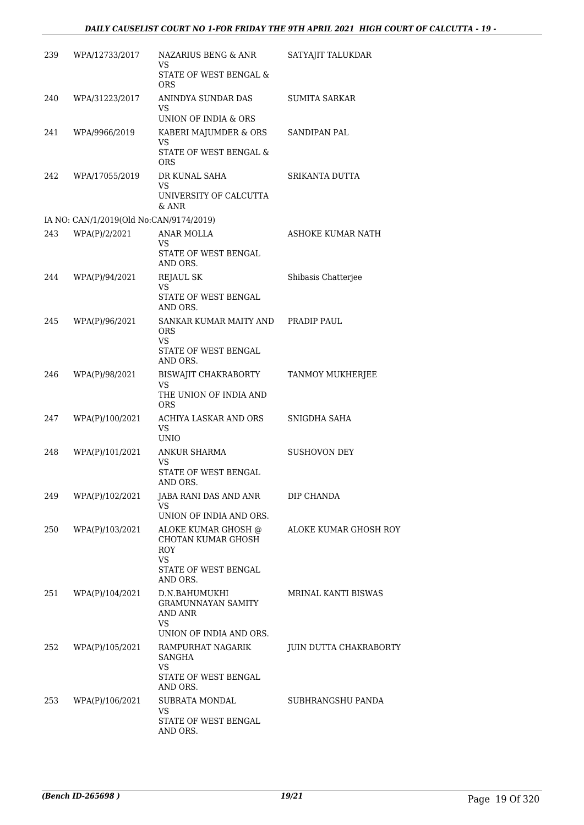| 239 | WPA/12733/2017                          | NAZARIUS BENG & ANR<br>VS                                                                    | SATYAJIT TALUKDAR          |
|-----|-----------------------------------------|----------------------------------------------------------------------------------------------|----------------------------|
|     |                                         | STATE OF WEST BENGAL &<br><b>ORS</b>                                                         |                            |
| 240 | WPA/31223/2017                          | ANINDYA SUNDAR DAS<br>VS.<br>UNION OF INDIA & ORS                                            | <b>SUMITA SARKAR</b>       |
| 241 | WPA/9966/2019                           | KABERI MAJUMDER & ORS                                                                        | <b>SANDIPAN PAL</b>        |
|     |                                         | VS.<br>STATE OF WEST BENGAL &<br><b>ORS</b>                                                  |                            |
| 242 | WPA/17055/2019                          | DR KUNAL SAHA<br>VS.<br>UNIVERSITY OF CALCUTTA                                               | SRIKANTA DUTTA             |
|     | IA NO: CAN/1/2019(Old No:CAN/9174/2019) | & ANR                                                                                        |                            |
| 243 | WPA(P)/2/2021                           | ANAR MOLLA                                                                                   | ASHOKE KUMAR NATH          |
|     |                                         | VS.<br>STATE OF WEST BENGAL<br>AND ORS.                                                      |                            |
| 244 | WPA(P)/94/2021                          | <b>REJAUL SK</b>                                                                             | Shibasis Chatterjee        |
|     |                                         | VS.<br>STATE OF WEST BENGAL<br>AND ORS.                                                      |                            |
| 245 | WPA(P)/96/2021                          | SANKAR KUMAR MAITY AND PRADIP PAUL<br><b>ORS</b><br>VS<br>STATE OF WEST BENGAL               |                            |
|     |                                         | AND ORS.                                                                                     |                            |
| 246 | WPA(P)/98/2021                          | BISWAJIT CHAKRABORTY<br>VS.<br>THE UNION OF INDIA AND<br><b>ORS</b>                          | TANMOY MUKHERJEE           |
| 247 | WPA(P)/100/2021                         | ACHIYA LASKAR AND ORS<br>VS.<br><b>UNIO</b>                                                  | SNIGDHA SAHA               |
| 248 | WPA(P)/101/2021                         | ANKUR SHARMA                                                                                 | <b>SUSHOVON DEY</b>        |
|     |                                         | VS.<br>STATE OF WEST BENGAL<br>AND ORS.                                                      |                            |
| 249 | WPA(P)/102/2021                         | JABA RANI DAS AND ANR<br>VS<br>UNION OF INDIA AND ORS.                                       | DIP CHANDA                 |
| 250 | WPA(P)/103/2021                         | ALOKE KUMAR GHOSH @<br>CHOTAN KUMAR GHOSH<br><b>ROY</b><br><b>VS</b><br>STATE OF WEST BENGAL | ALOKE KUMAR GHOSH ROY      |
| 251 | WPA(P)/104/2021                         | AND ORS.<br>D.N.BAHUMUKHI<br><b>GRAMUNNAYAN SAMITY</b><br>AND ANR                            | <b>MRINAL KANTI BISWAS</b> |
|     |                                         | <b>VS</b>                                                                                    |                            |
| 252 | WPA(P)/105/2021                         | UNION OF INDIA AND ORS.<br>RAMPURHAT NAGARIK<br>SANGHA                                       | JUIN DUTTA CHAKRABORTY     |
|     |                                         | <b>VS</b><br>STATE OF WEST BENGAL<br>AND ORS.                                                |                            |
| 253 | WPA(P)/106/2021                         | SUBRATA MONDAL<br>VS                                                                         | SUBHRANGSHU PANDA          |
|     |                                         | STATE OF WEST BENGAL<br>AND ORS.                                                             |                            |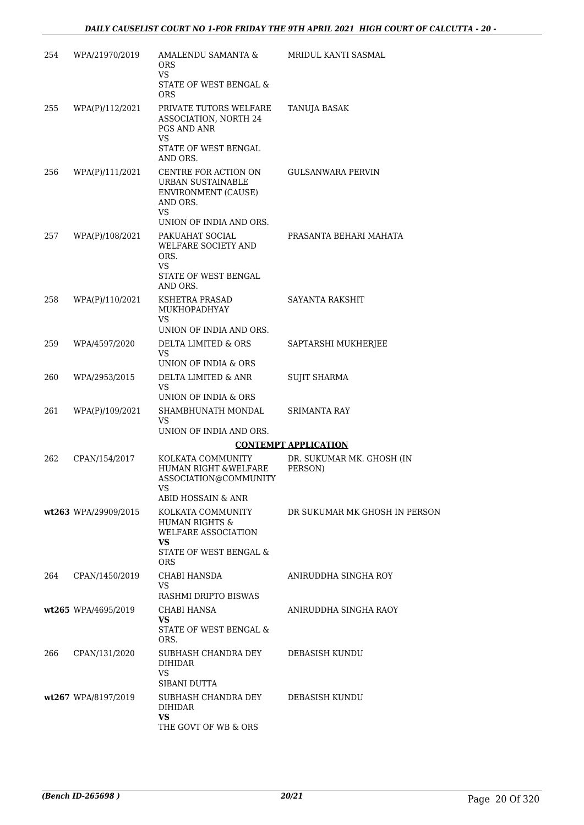| 254 | WPA/21970/2019       | AMALENDU SAMANTA &<br>ORS.<br><b>VS</b><br>STATE OF WEST BENGAL &                                                             | MRIDUL KANTI SASMAL                  |
|-----|----------------------|-------------------------------------------------------------------------------------------------------------------------------|--------------------------------------|
| 255 | WPA(P)/112/2021      | <b>ORS</b><br>PRIVATE TUTORS WELFARE<br>ASSOCIATION, NORTH 24<br>PGS AND ANR<br><b>VS</b><br>STATE OF WEST BENGAL<br>AND ORS. | TANUJA BASAK                         |
| 256 | WPA(P)/111/2021      | CENTRE FOR ACTION ON<br>URBAN SUSTAINABLE<br><b>ENVIRONMENT (CAUSE)</b><br>AND ORS.<br>VS<br>UNION OF INDIA AND ORS.          | GULSANWARA PERVIN                    |
| 257 | WPA(P)/108/2021      | PAKUAHAT SOCIAL<br><b>WELFARE SOCIETY AND</b><br>ORS.<br><b>VS</b><br>STATE OF WEST BENGAL<br>AND ORS.                        | PRASANTA BEHARI MAHATA               |
| 258 | WPA(P)/110/2021      | KSHETRA PRASAD<br>MUKHOPADHYAY<br><b>VS</b><br>UNION OF INDIA AND ORS.                                                        | SAYANTA RAKSHIT                      |
| 259 | WPA/4597/2020        | DELTA LIMITED & ORS<br><b>VS</b><br>UNION OF INDIA & ORS                                                                      | SAPTARSHI MUKHERJEE                  |
| 260 | WPA/2953/2015        | DELTA LIMITED & ANR<br>VS<br>UNION OF INDIA & ORS                                                                             | <b>SUJIT SHARMA</b>                  |
| 261 | WPA(P)/109/2021      | SHAMBHUNATH MONDAL<br>VS<br>UNION OF INDIA AND ORS.                                                                           | SRIMANTA RAY                         |
|     |                      |                                                                                                                               | <b>CONTEMPT APPLICATION</b>          |
| 262 | CPAN/154/2017        | KOLKATA COMMUNITY<br><b>HUMAN RIGHT &amp;WELFARE</b><br>ASSOCIATION@COMMUNITY                                                 | DR. SUKUMAR MK. GHOSH (IN<br>PERSON) |
|     |                      | ABID HOSSAIN & ANR                                                                                                            |                                      |
|     | wt263 WPA/29909/2015 | KOLKATA COMMUNITY<br><b>HUMAN RIGHTS &amp;</b><br>WELFARE ASSOCIATION<br>VS<br>STATE OF WEST BENGAL &                         | DR SUKUMAR MK GHOSH IN PERSON        |
|     |                      | <b>ORS</b>                                                                                                                    |                                      |
| 264 | CPAN/1450/2019       | CHABI HANSDA<br><b>VS</b><br>RASHMI DRIPTO BISWAS                                                                             | ANIRUDDHA SINGHA ROY                 |
|     | wt265 WPA/4695/2019  | CHABI HANSA<br>VS.                                                                                                            | ANIRUDDHA SINGHA RAOY                |
|     |                      | STATE OF WEST BENGAL &<br>ORS.                                                                                                |                                      |
| 266 | CPAN/131/2020        | SUBHASH CHANDRA DEY<br>DIHIDAR<br>VS                                                                                          | DEBASISH KUNDU                       |
|     |                      | SIBANI DUTTA                                                                                                                  |                                      |
|     | wt267 WPA/8197/2019  | SUBHASH CHANDRA DEY<br><b>DIHIDAR</b><br>VS.                                                                                  | DEBASISH KUNDU                       |
|     |                      | THE GOVT OF WB & ORS                                                                                                          |                                      |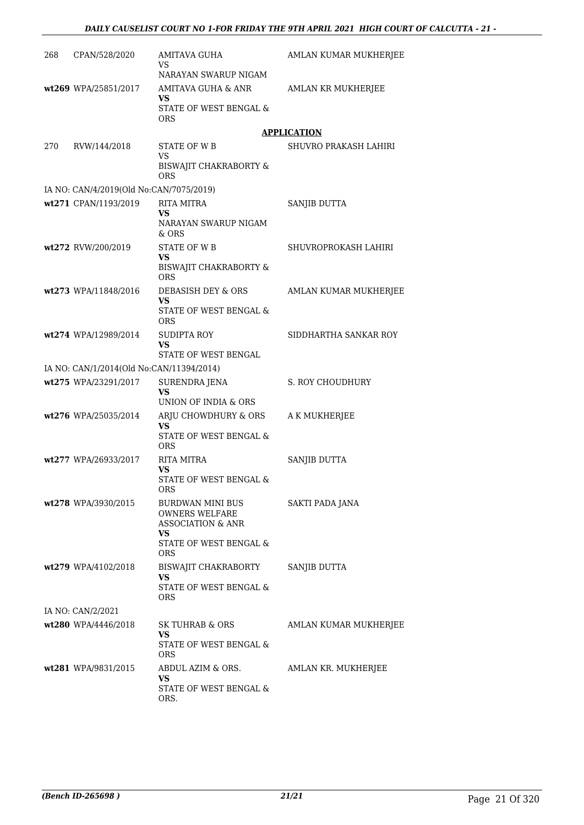| 268 | CPAN/528/2020                            | <b>AMITAVA GUHA</b><br>VS                                                                                        | AMLAN KUMAR MUKHERJEE        |
|-----|------------------------------------------|------------------------------------------------------------------------------------------------------------------|------------------------------|
|     | wt269 WPA/25851/2017                     | NARAYAN SWARUP NIGAM<br>AMITAVA GUHA & ANR<br>VS<br><b>STATE OF WEST BENGAL &amp;</b><br><b>ORS</b>              | AMLAN KR MUKHERJEE           |
|     |                                          |                                                                                                                  | <b>APPLICATION</b>           |
| 270 | RVW/144/2018                             | <b>STATE OF WB</b>                                                                                               | <b>SHUVRO PRAKASH LAHIRI</b> |
|     |                                          | VS<br><b>BISWAJIT CHAKRABORTY &amp;</b><br>ORS                                                                   |                              |
|     | IA NO: CAN/4/2019(Old No:CAN/7075/2019)  |                                                                                                                  |                              |
|     | wt271 CPAN/1193/2019                     | <b>RITA MITRA</b><br>VS<br>NARAYAN SWARUP NIGAM<br>& ORS                                                         | SANJIB DUTTA                 |
|     | wt272 RVW/200/2019                       | <b>STATE OF WB</b><br>VS<br>BISWAJIT CHAKRABORTY &<br><b>ORS</b>                                                 | SHUVROPROKASH LAHIRI         |
|     | wt273 WPA/11848/2016                     | DEBASISH DEY & ORS<br>VS<br>STATE OF WEST BENGAL &<br><b>ORS</b>                                                 | AMLAN KUMAR MUKHERJEE        |
|     | wt274 WPA/12989/2014                     | <b>SUDIPTA ROY</b><br><b>VS</b><br>STATE OF WEST BENGAL                                                          | SIDDHARTHA SANKAR ROY        |
|     | IA NO: CAN/1/2014(Old No:CAN/11394/2014) |                                                                                                                  |                              |
|     | wt275 WPA/23291/2017                     | <b>SURENDRA JENA</b><br><b>VS</b><br>UNION OF INDIA & ORS                                                        | S. ROY CHOUDHURY             |
|     | wt276 WPA/25035/2014                     | ARJU CHOWDHURY & ORS<br><b>VS</b><br><b>STATE OF WEST BENGAL &amp;</b><br><b>ORS</b>                             | A K MUKHERJEE                |
|     | wt277 WPA/26933/2017                     | RITA MITRA<br>VS<br>STATE OF WEST BENGAL &<br>ORS                                                                | SANJIB DUTTA                 |
|     | wt278 WPA/3930/2015                      | BURDWAN MINI BUS<br><b>OWNERS WELFARE</b><br><b>ASSOCIATION &amp; ANR</b><br>VS<br>STATE OF WEST BENGAL &<br>ORS | SAKTI PADA JANA              |
|     | wt279 WPA/4102/2018                      | BISWAJIT CHAKRABORTY<br>VS<br>STATE OF WEST BENGAL &<br>ORS                                                      | SANJIB DUTTA                 |
|     | IA NO: CAN/2/2021                        |                                                                                                                  |                              |
|     | wt280 WPA/4446/2018                      | SK TUHRAB & ORS<br>VS<br>STATE OF WEST BENGAL &<br>ORS                                                           | AMLAN KUMAR MUKHERJEE        |
|     | wt281 WPA/9831/2015                      | ABDUL AZIM & ORS.<br>VS<br>STATE OF WEST BENGAL &<br>ORS.                                                        | AMLAN KR. MUKHERJEE          |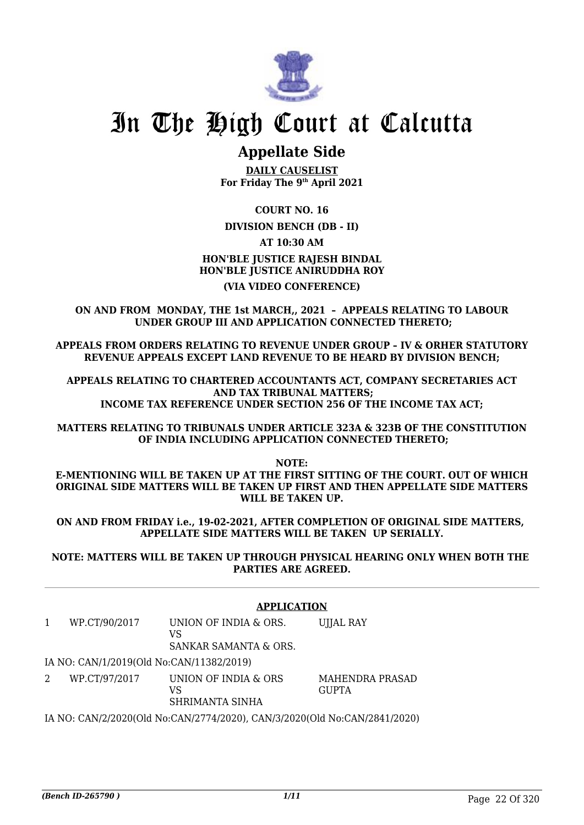

## **Appellate Side**

**DAILY CAUSELIST For Friday The 9th April 2021**

**COURT NO. 16**

**DIVISION BENCH (DB - II)**

**AT 10:30 AM**

**HON'BLE JUSTICE RAJESH BINDAL HON'BLE JUSTICE ANIRUDDHA ROY (VIA VIDEO CONFERENCE)**

**ON AND FROM MONDAY, THE 1st MARCH,, 2021 – APPEALS RELATING TO LABOUR UNDER GROUP III AND APPLICATION CONNECTED THERETO;**

**APPEALS FROM ORDERS RELATING TO REVENUE UNDER GROUP – IV & ORHER STATUTORY REVENUE APPEALS EXCEPT LAND REVENUE TO BE HEARD BY DIVISION BENCH;**

**APPEALS RELATING TO CHARTERED ACCOUNTANTS ACT, COMPANY SECRETARIES ACT AND TAX TRIBUNAL MATTERS; INCOME TAX REFERENCE UNDER SECTION 256 OF THE INCOME TAX ACT;**

**MATTERS RELATING TO TRIBUNALS UNDER ARTICLE 323A & 323B OF THE CONSTITUTION OF INDIA INCLUDING APPLICATION CONNECTED THERETO;**

**NOTE:**

**E-MENTIONING WILL BE TAKEN UP AT THE FIRST SITTING OF THE COURT. OUT OF WHICH ORIGINAL SIDE MATTERS WILL BE TAKEN UP FIRST AND THEN APPELLATE SIDE MATTERS WILL BE TAKEN UP.**

**ON AND FROM FRIDAY i.e., 19-02-2021, AFTER COMPLETION OF ORIGINAL SIDE MATTERS, APPELLATE SIDE MATTERS WILL BE TAKEN UP SERIALLY.**

**NOTE: MATTERS WILL BE TAKEN UP THROUGH PHYSICAL HEARING ONLY WHEN BOTH THE PARTIES ARE AGREED.**

#### **APPLICATION**

1 WP.CT/90/2017 UNION OF INDIA & ORS.  $V<sub>C</sub>$ SANKAR SAMANTA & ORS. UJJAL RAY IA NO: CAN/1/2019(Old No:CAN/11382/2019) 2 WP.CT/97/2017 UNION OF INDIA & ORS VS MAHENDRA PRASAD **GUPTA** 

SHRIMANTA SINHA

IA NO: CAN/2/2020(Old No:CAN/2774/2020), CAN/3/2020(Old No:CAN/2841/2020)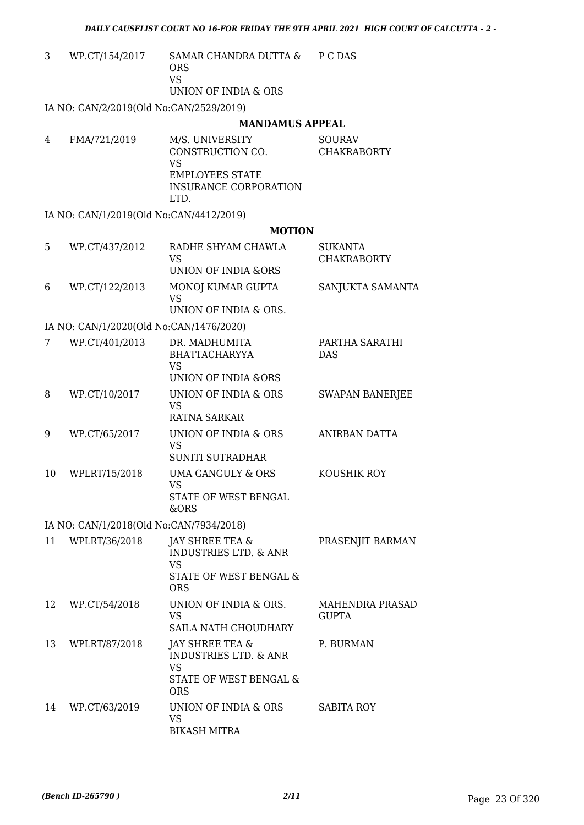| 3  | WP.CT/154/2017                          | SAMAR CHANDRA DUTTA &<br><b>ORS</b><br><b>VS</b><br>UNION OF INDIA & ORS                                           | P C DAS                              |
|----|-----------------------------------------|--------------------------------------------------------------------------------------------------------------------|--------------------------------------|
|    | IA NO: CAN/2/2019(Old No:CAN/2529/2019) |                                                                                                                    |                                      |
|    |                                         | <b>MANDAMUS APPEAL</b>                                                                                             |                                      |
| 4  | FMA/721/2019                            | M/S. UNIVERSITY<br>CONSTRUCTION CO.<br><b>VS</b><br><b>EMPLOYEES STATE</b><br><b>INSURANCE CORPORATION</b><br>LTD. | <b>SOURAV</b><br><b>CHAKRABORTY</b>  |
|    | IA NO: CAN/1/2019(Old No:CAN/4412/2019) |                                                                                                                    |                                      |
|    |                                         | <b>MOTION</b>                                                                                                      |                                      |
| 5  | WP.CT/437/2012                          | RADHE SHYAM CHAWLA<br><b>VS</b><br>UNION OF INDIA &ORS                                                             | <b>SUKANTA</b><br><b>CHAKRABORTY</b> |
| 6  | WP.CT/122/2013                          | MONOJ KUMAR GUPTA<br><b>VS</b><br>UNION OF INDIA & ORS.                                                            | SANJUKTA SAMANTA                     |
|    | IA NO: CAN/1/2020(Old No:CAN/1476/2020) |                                                                                                                    |                                      |
| 7  | WP.CT/401/2013                          | DR. MADHUMITA<br><b>BHATTACHARYYA</b><br><b>VS</b><br><b>UNION OF INDIA &amp;ORS</b>                               | PARTHA SARATHI<br><b>DAS</b>         |
| 8  | WP.CT/10/2017                           | UNION OF INDIA & ORS<br><b>VS</b><br><b>RATNA SARKAR</b>                                                           | <b>SWAPAN BANERJEE</b>               |
| 9  | WP.CT/65/2017                           | UNION OF INDIA & ORS<br><b>VS</b><br><b>SUNITI SUTRADHAR</b>                                                       | ANIRBAN DATTA                        |
| 10 | WPLRT/15/2018                           | <b>UMA GANGULY &amp; ORS</b><br>VS.<br>STATE OF WEST BENGAL<br>&ORS                                                | KOUSHIK ROY                          |
|    | IA NO: CAN/1/2018(Old No:CAN/7934/2018) |                                                                                                                    |                                      |
| 11 | WPLRT/36/2018                           | JAY SHREE TEA &<br><b>INDUSTRIES LTD. &amp; ANR</b><br>VS<br>STATE OF WEST BENGAL &<br><b>ORS</b>                  | PRASENJIT BARMAN                     |
| 12 | WP.CT/54/2018                           | UNION OF INDIA & ORS.<br>VS<br>SAILA NATH CHOUDHARY                                                                | MAHENDRA PRASAD<br><b>GUPTA</b>      |
| 13 | WPLRT/87/2018                           | JAY SHREE TEA &<br><b>INDUSTRIES LTD. &amp; ANR</b><br><b>VS</b><br>STATE OF WEST BENGAL &<br><b>ORS</b>           | P. BURMAN                            |
| 14 | WP.CT/63/2019                           | UNION OF INDIA & ORS<br><b>VS</b><br><b>BIKASH MITRA</b>                                                           | <b>SABITA ROY</b>                    |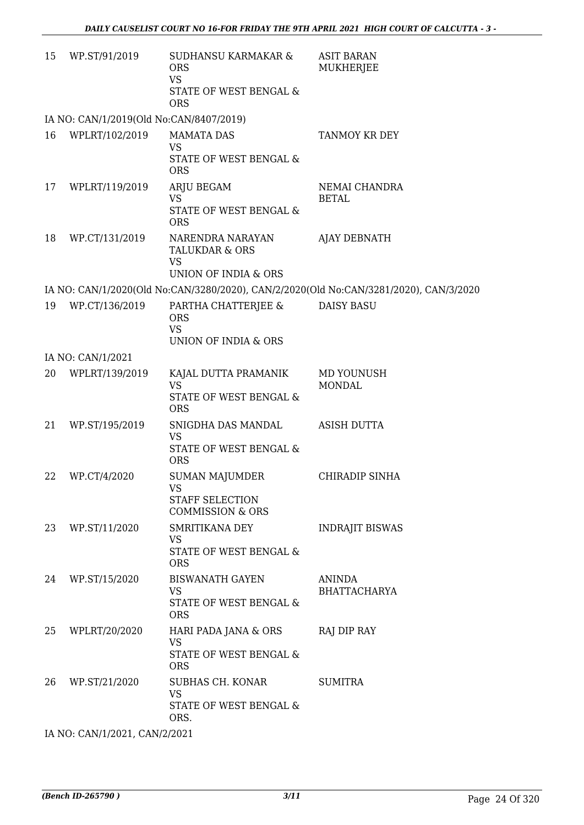| 15 | WP.ST/91/2019                           | <b>SUDHANSU KARMAKAR &amp;</b><br><b>ORS</b><br><b>VS</b><br>STATE OF WEST BENGAL &<br><b>ORS</b> | <b>ASIT BARAN</b><br>MUKHERJEE                                                        |
|----|-----------------------------------------|---------------------------------------------------------------------------------------------------|---------------------------------------------------------------------------------------|
|    | IA NO: CAN/1/2019(Old No:CAN/8407/2019) |                                                                                                   |                                                                                       |
| 16 | WPLRT/102/2019                          | <b>MAMATA DAS</b><br><b>VS</b><br><b>STATE OF WEST BENGAL &amp;</b><br><b>ORS</b>                 | TANMOY KR DEY                                                                         |
| 17 | WPLRT/119/2019                          | ARJU BEGAM<br><b>VS</b><br>STATE OF WEST BENGAL &<br><b>ORS</b>                                   | NEMAI CHANDRA<br><b>BETAL</b>                                                         |
| 18 | WP.CT/131/2019                          | NARENDRA NARAYAN<br><b>TALUKDAR &amp; ORS</b><br><b>VS</b><br>UNION OF INDIA & ORS                | <b>AJAY DEBNATH</b>                                                                   |
|    |                                         |                                                                                                   | IA NO: CAN/1/2020(Old No:CAN/3280/2020), CAN/2/2020(Old No:CAN/3281/2020), CAN/3/2020 |
| 19 | WP.CT/136/2019                          | PARTHA CHATTERJEE &<br><b>ORS</b><br><b>VS</b><br>UNION OF INDIA & ORS                            | <b>DAISY BASU</b>                                                                     |
|    | IA NO: CAN/1/2021                       |                                                                                                   |                                                                                       |
| 20 | WPLRT/139/2019                          | KAJAL DUTTA PRAMANIK<br><b>VS</b><br>STATE OF WEST BENGAL &<br><b>ORS</b>                         | MD YOUNUSH<br><b>MONDAL</b>                                                           |
| 21 | WP.ST/195/2019                          | SNIGDHA DAS MANDAL<br><b>VS</b><br>STATE OF WEST BENGAL &<br><b>ORS</b>                           | <b>ASISH DUTTA</b>                                                                    |
| 22 | WP.CT/4/2020                            | SUMAN MAJUMDER<br>VS.<br><b>STAFF SELECTION</b><br><b>COMMISSION &amp; ORS</b>                    | CHIRADIP SINHA                                                                        |
| 23 | WP.ST/11/2020                           | <b>SMRITIKANA DEY</b><br>VS<br>STATE OF WEST BENGAL &<br><b>ORS</b>                               | <b>INDRAJIT BISWAS</b>                                                                |
| 24 | WP.ST/15/2020                           | <b>BISWANATH GAYEN</b><br><b>VS</b><br>STATE OF WEST BENGAL &<br><b>ORS</b>                       | <b>ANINDA</b><br><b>BHATTACHARYA</b>                                                  |
| 25 | WPLRT/20/2020                           | HARI PADA JANA & ORS<br>VS<br>STATE OF WEST BENGAL &<br><b>ORS</b>                                | RAJ DIP RAY                                                                           |
| 26 | WP.ST/21/2020                           | SUBHAS CH. KONAR<br><b>VS</b><br>STATE OF WEST BENGAL &<br>ORS.                                   | <b>SUMITRA</b>                                                                        |
|    | IA NO: CAN/1/2021, CAN/2/2021           |                                                                                                   |                                                                                       |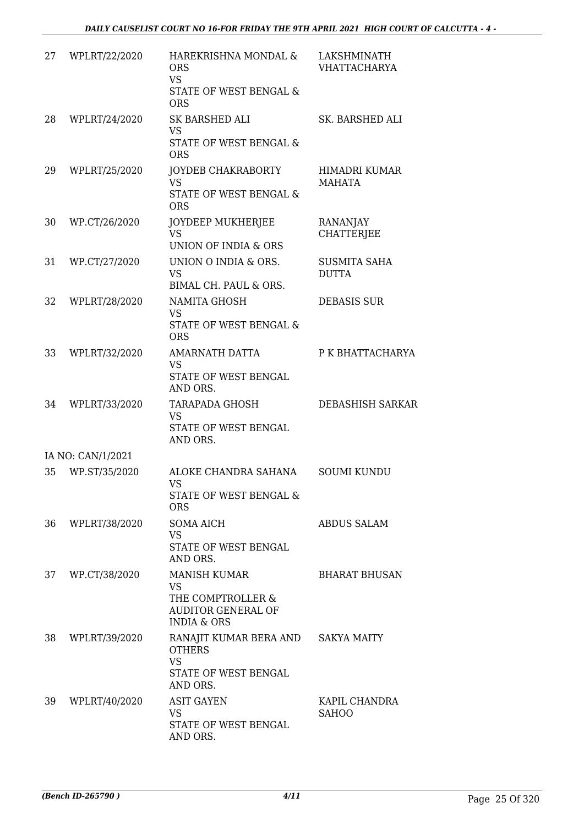| 27 | WPLRT/22/2020     | HAREKRISHNA MONDAL &<br><b>ORS</b><br>VS.<br>STATE OF WEST BENGAL &<br><b>ORS</b>                            | LAKSHMINATH<br><b>VHATTACHARYA</b>  |
|----|-------------------|--------------------------------------------------------------------------------------------------------------|-------------------------------------|
| 28 | WPLRT/24/2020     | SK BARSHED ALI<br><b>VS</b><br>STATE OF WEST BENGAL &<br><b>ORS</b>                                          | SK. BARSHED ALI                     |
| 29 | WPLRT/25/2020     | JOYDEB CHAKRABORTY<br><b>VS</b><br>STATE OF WEST BENGAL &<br><b>ORS</b>                                      | HIMADRI KUMAR<br><b>MAHATA</b>      |
| 30 | WP.CT/26/2020     | JOYDEEP MUKHERJEE<br><b>VS</b><br>UNION OF INDIA & ORS                                                       | RANANJAY<br><b>CHATTERJEE</b>       |
| 31 | WP.CT/27/2020     | UNION O INDIA & ORS.<br><b>VS</b><br>BIMAL CH. PAUL & ORS.                                                   | <b>SUSMITA SAHA</b><br><b>DUTTA</b> |
| 32 | WPLRT/28/2020     | NAMITA GHOSH<br><b>VS</b><br>STATE OF WEST BENGAL &<br><b>ORS</b>                                            | <b>DEBASIS SUR</b>                  |
| 33 | WPLRT/32/2020     | <b>AMARNATH DATTA</b><br><b>VS</b><br>STATE OF WEST BENGAL<br>AND ORS.                                       | P K BHATTACHARYA                    |
| 34 | WPLRT/33/2020     | TARAPADA GHOSH<br><b>VS</b><br>STATE OF WEST BENGAL<br>AND ORS.                                              | <b>DEBASHISH SARKAR</b>             |
|    | IA NO: CAN/1/2021 |                                                                                                              |                                     |
| 35 | WP.ST/35/2020     | ALOKE CHANDRA SAHANA<br>VS<br>STATE OF WEST BENGAL &<br><b>ORS</b>                                           | <b>SOUMI KUNDU</b>                  |
| 36 | WPLRT/38/2020     | SOMA AICH<br>VS<br>STATE OF WEST BENGAL<br>AND ORS.                                                          | <b>ABDUS SALAM</b>                  |
| 37 | WP.CT/38/2020     | <b>MANISH KUMAR</b><br><b>VS</b><br>THE COMPTROLLER &<br><b>AUDITOR GENERAL OF</b><br><b>INDIA &amp; ORS</b> | <b>BHARAT BHUSAN</b>                |
| 38 | WPLRT/39/2020     | RANAJIT KUMAR BERA AND<br><b>OTHERS</b><br><b>VS</b><br>STATE OF WEST BENGAL<br>AND ORS.                     | <b>SAKYA MAITY</b>                  |
| 39 | WPLRT/40/2020     | <b>ASIT GAYEN</b><br>VS<br>STATE OF WEST BENGAL<br>AND ORS.                                                  | KAPIL CHANDRA<br><b>SAHOO</b>       |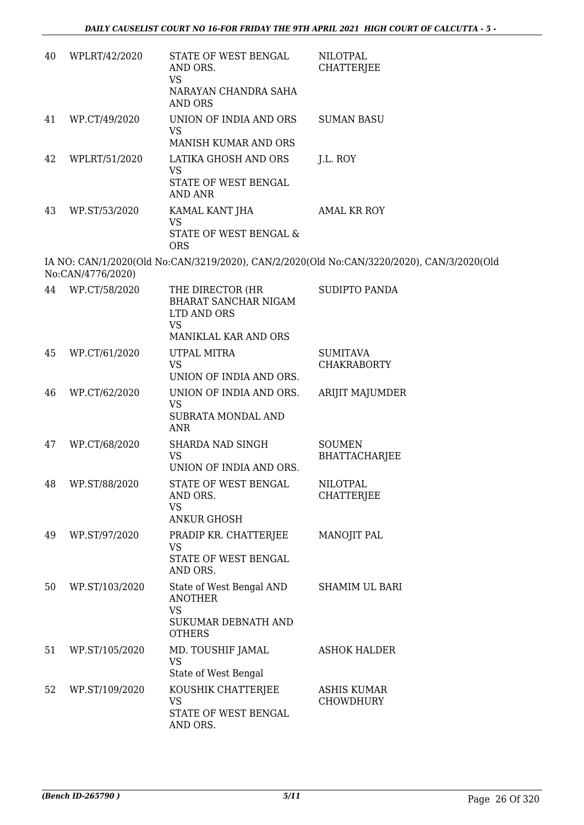| 40 | WPLRT/42/2020     | STATE OF WEST BENGAL<br>AND ORS.<br><b>VS</b><br>NARAYAN CHANDRA SAHA<br><b>AND ORS</b>         | <b>NILOTPAL</b><br><b>CHATTERJEE</b>                                                      |
|----|-------------------|-------------------------------------------------------------------------------------------------|-------------------------------------------------------------------------------------------|
| 41 | WP.CT/49/2020     | UNION OF INDIA AND ORS<br><b>VS</b><br>MANISH KUMAR AND ORS                                     | <b>SUMAN BASU</b>                                                                         |
| 42 | WPLRT/51/2020     | LATIKA GHOSH AND ORS<br><b>VS</b><br>STATE OF WEST BENGAL<br><b>AND ANR</b>                     | J.L. ROY                                                                                  |
| 43 | WP.ST/53/2020     | KAMAL KANT JHA<br>VS<br>STATE OF WEST BENGAL &<br><b>ORS</b>                                    | <b>AMAL KR ROY</b>                                                                        |
|    | No:CAN/4776/2020) |                                                                                                 | IA NO: CAN/1/2020(Old No:CAN/3219/2020), CAN/2/2020(Old No:CAN/3220/2020), CAN/3/2020(Old |
|    | 44 WP.CT/58/2020  | THE DIRECTOR (HR<br>BHARAT SANCHAR NIGAM<br>LTD AND ORS<br><b>VS</b><br>MANIKLAL KAR AND ORS    | SUDIPTO PANDA                                                                             |
| 45 | WP.CT/61/2020     | UTPAL MITRA<br><b>VS</b><br>UNION OF INDIA AND ORS.                                             | <b>SUMITAVA</b><br><b>CHAKRABORTY</b>                                                     |
| 46 | WP.CT/62/2020     | UNION OF INDIA AND ORS.<br><b>VS</b><br>SUBRATA MONDAL AND<br><b>ANR</b>                        | ARIJIT MAJUMDER                                                                           |
| 47 | WP.CT/68/2020     | SHARDA NAD SINGH<br><b>VS</b><br>UNION OF INDIA AND ORS.                                        | <b>SOUMEN</b><br><b>BHATTACHARJEE</b>                                                     |
| 48 | WP.ST/88/2020     | STATE OF WEST BENGAL<br>AND ORS.<br><b>VS</b><br><b>ANKUR GHOSH</b>                             | NILOTPAL<br><b>CHATTERJEE</b>                                                             |
| 49 | WP.ST/97/2020     | PRADIP KR. CHATTERJEE<br><b>VS</b><br>STATE OF WEST BENGAL<br>AND ORS.                          | MANOJIT PAL                                                                               |
| 50 | WP.ST/103/2020    | State of West Bengal AND<br><b>ANOTHER</b><br><b>VS</b><br>SUKUMAR DEBNATH AND<br><b>OTHERS</b> | <b>SHAMIM UL BARI</b>                                                                     |
| 51 | WP.ST/105/2020    | MD. TOUSHIF JAMAL<br><b>VS</b><br>State of West Bengal                                          | <b>ASHOK HALDER</b>                                                                       |
| 52 | WP.ST/109/2020    | KOUSHIK CHATTERJEE<br>VS<br>STATE OF WEST BENGAL<br>AND ORS.                                    | <b>ASHIS KUMAR</b><br>CHOWDHURY                                                           |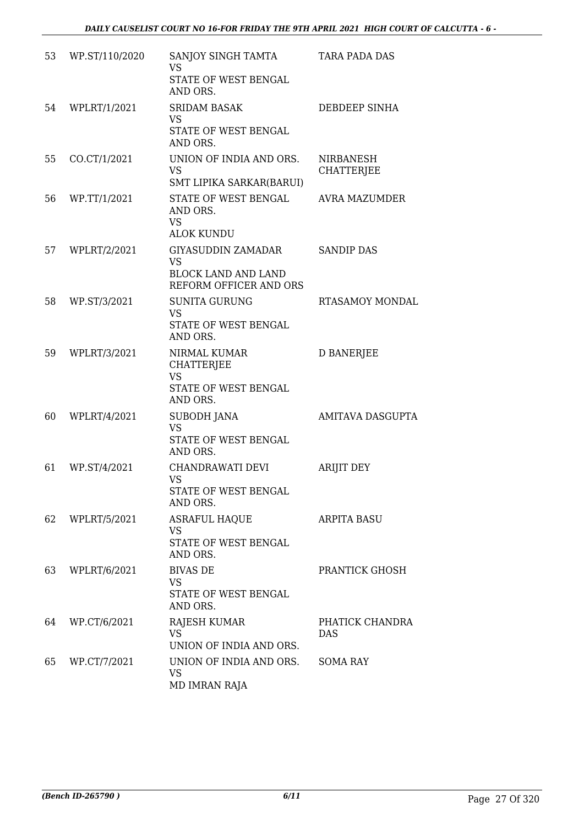| 53 | WP.ST/110/2020 | SANJOY SINGH TAMTA<br><b>VS</b><br>STATE OF WEST BENGAL<br>AND ORS.                            | <b>TARA PADA DAS</b>           |
|----|----------------|------------------------------------------------------------------------------------------------|--------------------------------|
| 54 | WPLRT/1/2021   | <b>SRIDAM BASAK</b><br><b>VS</b><br>STATE OF WEST BENGAL<br>AND ORS.                           | DEBDEEP SINHA                  |
| 55 | CO.CT/1/2021   | UNION OF INDIA AND ORS.<br><b>VS</b><br>SMT LIPIKA SARKAR(BARUI)                               | NIRBANESH<br><b>CHATTERJEE</b> |
| 56 | WP.TT/1/2021   | STATE OF WEST BENGAL<br>AND ORS.<br><b>VS</b><br><b>ALOK KUNDU</b>                             | <b>AVRA MAZUMDER</b>           |
| 57 | WPLRT/2/2021   | <b>GIYASUDDIN ZAMADAR</b><br><b>VS</b><br><b>BLOCK LAND AND LAND</b><br>REFORM OFFICER AND ORS | <b>SANDIP DAS</b>              |
| 58 | WP.ST/3/2021   | <b>SUNITA GURUNG</b><br><b>VS</b><br>STATE OF WEST BENGAL<br>AND ORS.                          | <b>RTASAMOY MONDAL</b>         |
| 59 | WPLRT/3/2021   | NIRMAL KUMAR<br><b>CHATTERJEE</b><br><b>VS</b><br>STATE OF WEST BENGAL<br>AND ORS.             | <b>D BANERJEE</b>              |
| 60 | WPLRT/4/2021   | <b>SUBODH JANA</b><br><b>VS</b><br>STATE OF WEST BENGAL<br>AND ORS.                            | <b>AMITAVA DASGUPTA</b>        |
| 61 | WP.ST/4/2021   | CHANDRAWATI DEVI<br><b>VS</b><br>STATE OF WEST BENGAL<br>AND ORS.                              | <b>ARIJIT DEY</b>              |
| 62 | WPLRT/5/2021   | <b>ASRAFUL HAQUE</b><br><b>VS</b><br>STATE OF WEST BENGAL<br>AND ORS.                          | <b>ARPITA BASU</b>             |
| 63 | WPLRT/6/2021   | <b>BIVAS DE</b><br><b>VS</b><br>STATE OF WEST BENGAL<br>AND ORS.                               | PRANTICK GHOSH                 |
| 64 | WP.CT/6/2021   | RAJESH KUMAR<br><b>VS</b><br>UNION OF INDIA AND ORS.                                           | PHATICK CHANDRA<br><b>DAS</b>  |
| 65 | WP.CT/7/2021   | UNION OF INDIA AND ORS.<br><b>VS</b><br>MD IMRAN RAJA                                          | <b>SOMA RAY</b>                |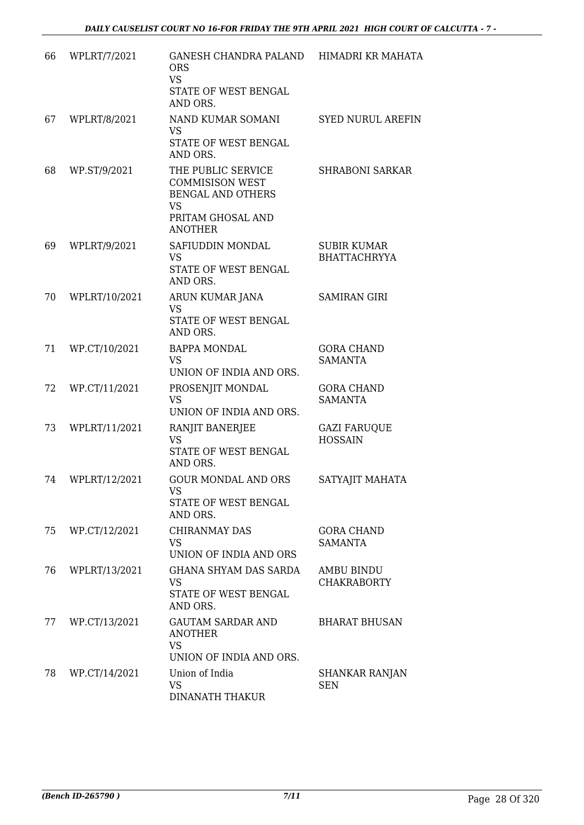| 66 | WPLRT/7/2021  | GANESH CHANDRA PALAND<br><b>ORS</b><br><b>VS</b><br>STATE OF WEST BENGAL<br>AND ORS.                                         | HIMADRI KR MAHATA                         |
|----|---------------|------------------------------------------------------------------------------------------------------------------------------|-------------------------------------------|
| 67 | WPLRT/8/2021  | NAND KUMAR SOMANI<br><b>VS</b><br>STATE OF WEST BENGAL<br>AND ORS.                                                           | <b>SYED NURUL AREFIN</b>                  |
| 68 | WP.ST/9/2021  | THE PUBLIC SERVICE<br><b>COMMISISON WEST</b><br><b>BENGAL AND OTHERS</b><br><b>VS</b><br>PRITAM GHOSAL AND<br><b>ANOTHER</b> | <b>SHRABONI SARKAR</b>                    |
| 69 | WPLRT/9/2021  | SAFIUDDIN MONDAL<br><b>VS</b><br>STATE OF WEST BENGAL<br>AND ORS.                                                            | <b>SUBIR KUMAR</b><br><b>BHATTACHRYYA</b> |
| 70 | WPLRT/10/2021 | ARUN KUMAR JANA<br><b>VS</b><br>STATE OF WEST BENGAL<br>AND ORS.                                                             | <b>SAMIRAN GIRI</b>                       |
| 71 | WP.CT/10/2021 | <b>BAPPA MONDAL</b><br><b>VS</b><br>UNION OF INDIA AND ORS.                                                                  | <b>GORA CHAND</b><br><b>SAMANTA</b>       |
| 72 | WP.CT/11/2021 | PROSENJIT MONDAL<br><b>VS</b><br>UNION OF INDIA AND ORS.                                                                     | <b>GORA CHAND</b><br><b>SAMANTA</b>       |
| 73 | WPLRT/11/2021 | RANJIT BANERJEE<br><b>VS</b><br>STATE OF WEST BENGAL<br>AND ORS.                                                             | <b>GAZI FARUQUE</b><br><b>HOSSAIN</b>     |
| 74 | WPLRT/12/2021 | <b>GOUR MONDAL AND ORS</b><br><b>VS</b><br>STATE OF WEST BENGAL<br>AND ORS.                                                  | SATYAJIT MAHATA                           |
| 75 | WP.CT/12/2021 | CHIRANMAY DAS<br><b>VS</b><br>UNION OF INDIA AND ORS                                                                         | <b>GORA CHAND</b><br><b>SAMANTA</b>       |
| 76 | WPLRT/13/2021 | <b>GHANA SHYAM DAS SARDA</b><br><b>VS</b><br>STATE OF WEST BENGAL<br>AND ORS.                                                | AMBU BINDU<br><b>CHAKRABORTY</b>          |
| 77 | WP.CT/13/2021 | <b>GAUTAM SARDAR AND</b><br><b>ANOTHER</b><br><b>VS</b><br>UNION OF INDIA AND ORS.                                           | <b>BHARAT BHUSAN</b>                      |
| 78 | WP.CT/14/2021 | Union of India<br><b>VS</b><br><b>DINANATH THAKUR</b>                                                                        | SHANKAR RANJAN<br><b>SEN</b>              |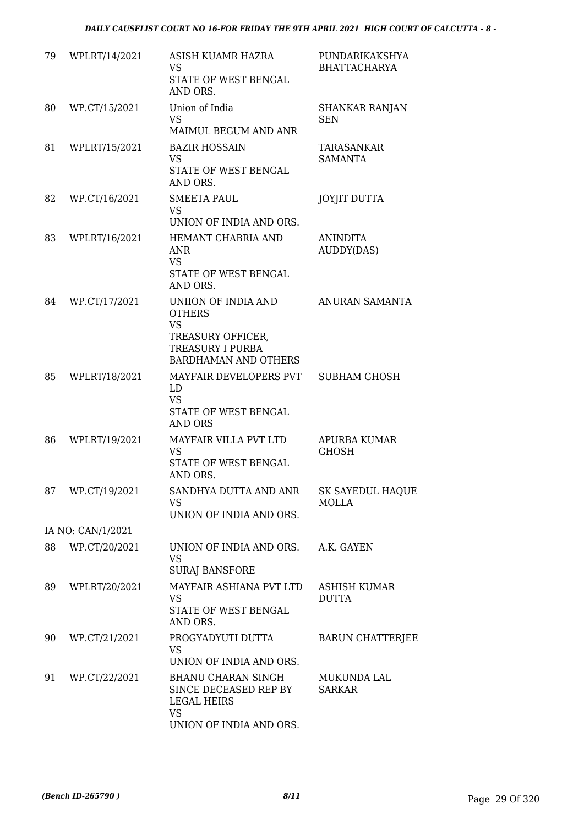| 79 | WPLRT/14/2021     | ASISH KUAMR HAZRA<br><b>VS</b><br>STATE OF WEST BENGAL<br>AND ORS.                                                               | PUNDARIKAKSHYA<br><b>BHATTACHARYA</b> |
|----|-------------------|----------------------------------------------------------------------------------------------------------------------------------|---------------------------------------|
| 80 | WP.CT/15/2021     | Union of India<br><b>VS</b><br>MAIMUL BEGUM AND ANR                                                                              | <b>SHANKAR RANJAN</b><br><b>SEN</b>   |
| 81 | WPLRT/15/2021     | <b>BAZIR HOSSAIN</b><br><b>VS</b><br>STATE OF WEST BENGAL<br>AND ORS.                                                            | TARASANKAR<br><b>SAMANTA</b>          |
| 82 | WP.CT/16/2021     | <b>SMEETA PAUL</b><br><b>VS</b><br>UNION OF INDIA AND ORS.                                                                       | <b>JOYJIT DUTTA</b>                   |
| 83 | WPLRT/16/2021     | HEMANT CHABRIA AND<br><b>ANR</b><br><b>VS</b><br>STATE OF WEST BENGAL<br>AND ORS.                                                | <b>ANINDITA</b><br>AUDDY(DAS)         |
| 84 | WP.CT/17/2021     | UNIION OF INDIA AND<br><b>OTHERS</b><br><b>VS</b><br>TREASURY OFFICER,<br><b>TREASURY I PURBA</b><br><b>BARDHAMAN AND OTHERS</b> | ANURAN SAMANTA                        |
| 85 | WPLRT/18/2021     | MAYFAIR DEVELOPERS PVT<br>LD<br><b>VS</b><br>STATE OF WEST BENGAL<br><b>AND ORS</b>                                              | <b>SUBHAM GHOSH</b>                   |
| 86 | WPLRT/19/2021     | MAYFAIR VILLA PVT LTD<br><b>VS</b><br>STATE OF WEST BENGAL<br>AND ORS.                                                           | APURBA KUMAR<br><b>GHOSH</b>          |
| 87 | WP.CT/19/2021     | SANDHYA DUTTA AND ANR<br><b>VS</b><br>UNION OF INDIA AND ORS.                                                                    | SK SAYEDUL HAQUE<br><b>MOLLA</b>      |
|    | IA NO: CAN/1/2021 |                                                                                                                                  |                                       |
| 88 | WP.CT/20/2021     | UNION OF INDIA AND ORS.<br><b>VS</b><br><b>SURAJ BANSFORE</b>                                                                    | A.K. GAYEN                            |
| 89 | WPLRT/20/2021     | MAYFAIR ASHIANA PVT LTD<br><b>VS</b><br>STATE OF WEST BENGAL<br>AND ORS.                                                         | ASHISH KUMAR<br><b>DUTTA</b>          |
| 90 | WP.CT/21/2021     | PROGYADYUTI DUTTA<br><b>VS</b><br>UNION OF INDIA AND ORS.                                                                        | <b>BARUN CHATTERJEE</b>               |
| 91 | WP.CT/22/2021     | <b>BHANU CHARAN SINGH</b><br>SINCE DECEASED REP BY<br><b>LEGAL HEIRS</b><br><b>VS</b><br>UNION OF INDIA AND ORS.                 | MUKUNDA LAL<br><b>SARKAR</b>          |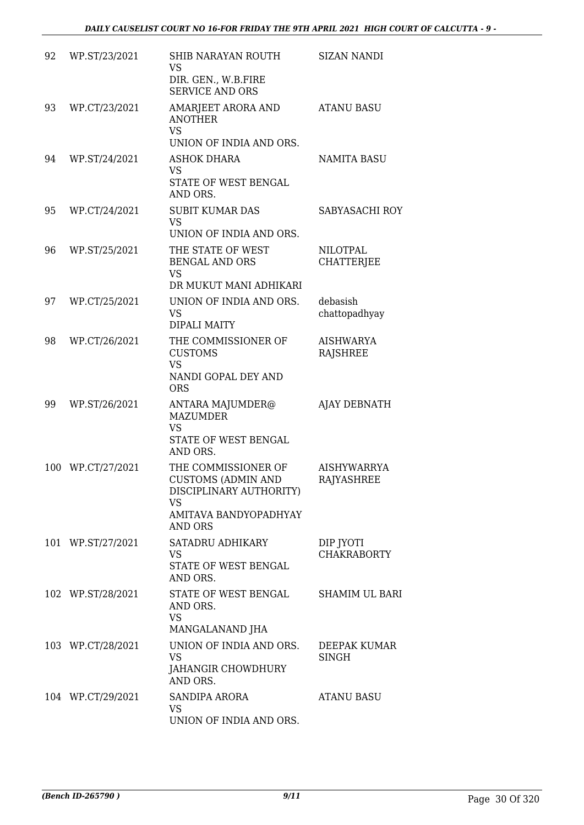| 92 | WP.ST/23/2021     | SHIB NARAYAN ROUTH<br>VS<br>DIR. GEN., W.B.FIRE                                         | <b>SIZAN NANDI</b>                      |
|----|-------------------|-----------------------------------------------------------------------------------------|-----------------------------------------|
| 93 | WP.CT/23/2021     | <b>SERVICE AND ORS</b><br>AMARJEET ARORA AND<br><b>ANOTHER</b>                          | <b>ATANU BASU</b>                       |
|    |                   | VS.<br>UNION OF INDIA AND ORS.                                                          |                                         |
| 94 | WP.ST/24/2021     | ASHOK DHARA<br><b>VS</b>                                                                | NAMITA BASU                             |
|    |                   | STATE OF WEST BENGAL<br>AND ORS.                                                        |                                         |
| 95 | WP.CT/24/2021     | <b>SUBIT KUMAR DAS</b><br><b>VS</b><br>UNION OF INDIA AND ORS.                          | SABYASACHI ROY                          |
| 96 | WP.ST/25/2021     | THE STATE OF WEST<br><b>BENGAL AND ORS</b><br><b>VS</b>                                 | <b>NILOTPAL</b><br><b>CHATTERJEE</b>    |
|    |                   | DR MUKUT MANI ADHIKARI                                                                  |                                         |
| 97 | WP.CT/25/2021     | UNION OF INDIA AND ORS.<br><b>VS</b><br>DIPALI MAITY                                    | debasish<br>chattopadhyay               |
| 98 | WP.CT/26/2021     | THE COMMISSIONER OF<br><b>CUSTOMS</b><br><b>VS</b><br>NANDI GOPAL DEY AND<br><b>ORS</b> | <b>AISHWARYA</b><br><b>RAJSHREE</b>     |
| 99 | WP.ST/26/2021     | ANTARA MAJUMDER@<br><b>MAZUMDER</b><br><b>VS</b>                                        | AJAY DEBNATH                            |
|    |                   | STATE OF WEST BENGAL<br>AND ORS.                                                        |                                         |
|    | 100 WP.CT/27/2021 | THE COMMISSIONER OF<br><b>CUSTOMS (ADMIN AND</b><br>DISCIPLINARY AUTHORITY)<br>VS.      | <b>AISHYWARRYA</b><br><b>RAJYASHREE</b> |
|    |                   | AMITAVA BANDYOPADHYAY<br>AND ORS                                                        |                                         |
|    | 101 WP.ST/27/2021 | SATADRU ADHIKARY<br><b>VS</b>                                                           | DIP JYOTI<br><b>CHAKRABORTY</b>         |
|    |                   | STATE OF WEST BENGAL<br>AND ORS.                                                        |                                         |
|    | 102 WP.ST/28/2021 | STATE OF WEST BENGAL SHAMIM UL BARI<br>AND ORS.<br><b>VS</b><br>MANGALANAND JHA         |                                         |
|    | 103 WP.CT/28/2021 | UNION OF INDIA AND ORS.<br><b>VS</b>                                                    | DEEPAK KUMAR<br><b>SINGH</b>            |
|    |                   | JAHANGIR CHOWDHURY<br>AND ORS.                                                          |                                         |
|    | 104 WP.CT/29/2021 | SANDIPA ARORA<br>VS<br>UNION OF INDIA AND ORS.                                          | <b>ATANU BASU</b>                       |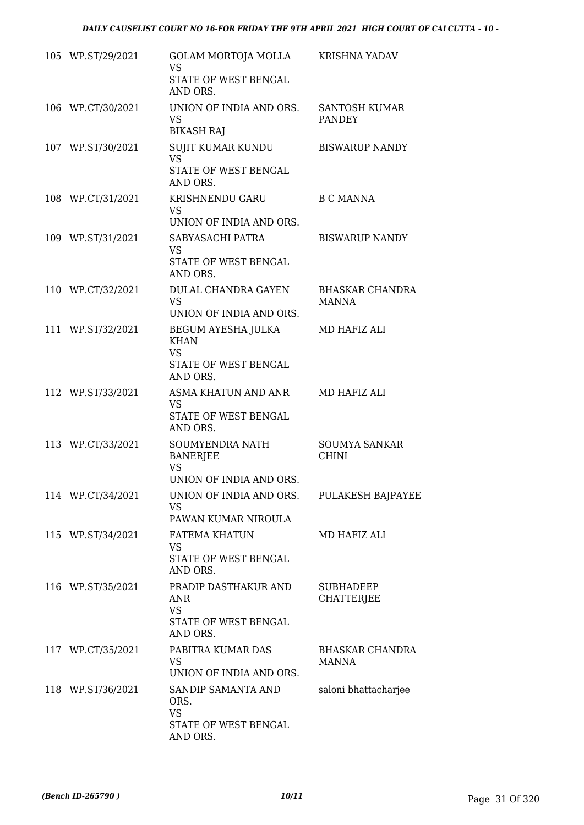| 105 WP.ST/29/2021 | GOLAM MORTOJA MOLLA<br><b>VS</b><br>STATE OF WEST BENGAL<br>AND ORS.                | <b>KRISHNA YADAV</b>                   |
|-------------------|-------------------------------------------------------------------------------------|----------------------------------------|
| 106 WP.CT/30/2021 | UNION OF INDIA AND ORS.<br><b>VS</b><br><b>BIKASH RAJ</b>                           | <b>SANTOSH KUMAR</b><br><b>PANDEY</b>  |
| 107 WP.ST/30/2021 | SUJIT KUMAR KUNDU<br><b>VS</b><br>STATE OF WEST BENGAL<br>AND ORS.                  | <b>BISWARUP NANDY</b>                  |
| 108 WP.CT/31/2021 | KRISHNENDU GARU<br><b>VS</b><br>UNION OF INDIA AND ORS.                             | <b>B C MANNA</b>                       |
| 109 WP.ST/31/2021 | SABYASACHI PATRA<br><b>VS</b><br>STATE OF WEST BENGAL<br>AND ORS.                   | <b>BISWARUP NANDY</b>                  |
| 110 WP.CT/32/2021 | DULAL CHANDRA GAYEN<br><b>VS</b><br>UNION OF INDIA AND ORS.                         | BHASKAR CHANDRA<br><b>MANNA</b>        |
| 111 WP.ST/32/2021 | BEGUM AYESHA JULKA<br><b>KHAN</b><br><b>VS</b><br>STATE OF WEST BENGAL<br>AND ORS.  | MD HAFIZ ALI                           |
| 112 WP.ST/33/2021 | ASMA KHATUN AND ANR<br><b>VS</b><br>STATE OF WEST BENGAL<br>AND ORS.                | MD HAFIZ ALI                           |
| 113 WP.CT/33/2021 | SOUMYENDRA NATH<br><b>BANERJEE</b><br><b>VS</b><br>UNION OF INDIA AND ORS.          | <b>SOUMYA SANKAR</b><br><b>CHINI</b>   |
| 114 WP.CT/34/2021 | UNION OF INDIA AND ORS.<br><b>VS</b><br>PAWAN KUMAR NIROULA                         | PULAKESH BAJPAYEE                      |
| 115 WP.ST/34/2021 | <b>FATEMA KHATUN</b><br><b>VS</b><br>STATE OF WEST BENGAL<br>AND ORS.               | MD HAFIZ ALI                           |
| 116 WP.ST/35/2021 | PRADIP DASTHAKUR AND<br><b>ANR</b><br><b>VS</b><br>STATE OF WEST BENGAL<br>AND ORS. | <b>SUBHADEEP</b><br><b>CHATTERJEE</b>  |
| 117 WP.CT/35/2021 | PABITRA KUMAR DAS<br><b>VS</b><br>UNION OF INDIA AND ORS.                           | <b>BHASKAR CHANDRA</b><br><b>MANNA</b> |
| 118 WP.ST/36/2021 | SANDIP SAMANTA AND<br>ORS.<br><b>VS</b><br>STATE OF WEST BENGAL<br>AND ORS.         | saloni bhattacharjee                   |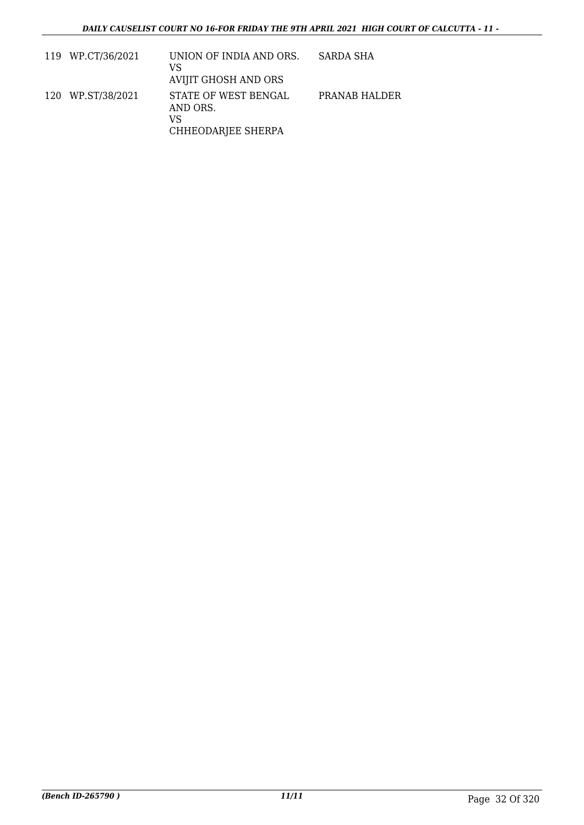| 119 WP.CT/36/2021 | UNION OF INDIA AND ORS.<br>VS<br>AVIJIT GHOSH AND ORS        | SARDA SHA     |
|-------------------|--------------------------------------------------------------|---------------|
| 120 WP.ST/38/2021 | STATE OF WEST BENGAL<br>AND ORS.<br>VS<br>CHHEODARJEE SHERPA | PRANAB HALDER |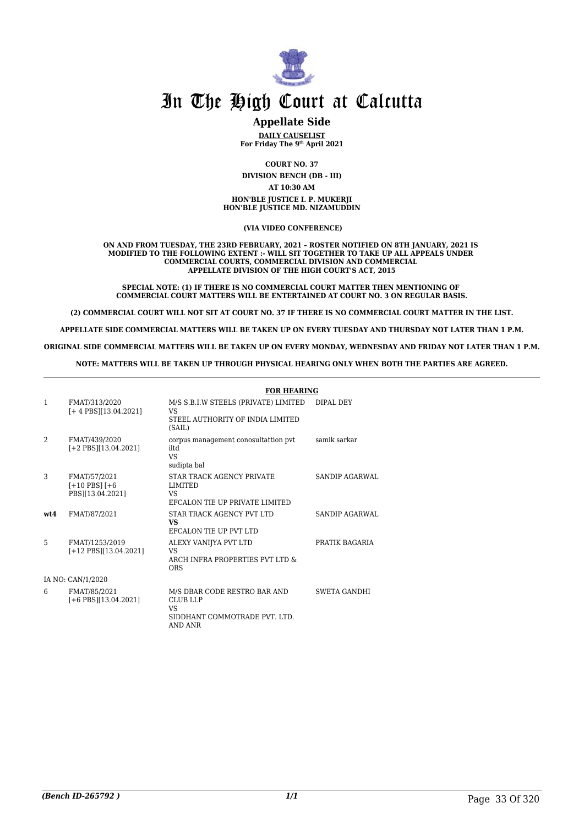

### **Appellate Side**

**DAILY CAUSELIST For Friday The 9th April 2021**

**COURT NO. 37 DIVISION BENCH (DB - III) AT 10:30 AM HON'BLE JUSTICE I. P. MUKERJI HON'BLE JUSTICE MD. NIZAMUDDIN**

 **(VIA VIDEO CONFERENCE)**

**ON AND FROM TUESDAY, THE 23RD FEBRUARY, 2021 – ROSTER NOTIFIED ON 8TH JANUARY, 2021 IS MODIFIED TO THE FOLLOWING EXTENT :- WILL SIT TOGETHER TO TAKE UP ALL APPEALS UNDER COMMERCIAL COURTS, COMMERCIAL DIVISION AND COMMERCIAL APPELLATE DIVISION OF THE HIGH COURT'S ACT, 2015**

**SPECIAL NOTE: (1) IF THERE IS NO COMMERCIAL COURT MATTER THEN MENTIONING OF COMMERCIAL COURT MATTERS WILL BE ENTERTAINED AT COURT NO. 3 ON REGULAR BASIS.**

**(2) COMMERCIAL COURT WILL NOT SIT AT COURT NO. 37 IF THERE IS NO COMMERCIAL COURT MATTER IN THE LIST.**

**APPELLATE SIDE COMMERCIAL MATTERS WILL BE TAKEN UP ON EVERY TUESDAY AND THURSDAY NOT LATER THAN 1 P.M.**

**ORIGINAL SIDE COMMERCIAL MATTERS WILL BE TAKEN UP ON EVERY MONDAY, WEDNESDAY AND FRIDAY NOT LATER THAN 1 P.M.**

**NOTE: MATTERS WILL BE TAKEN UP THROUGH PHYSICAL HEARING ONLY WHEN BOTH THE PARTIES ARE AGREED.**

|      |                                                          | <b>FOR HEARING</b>                                                                                        |                     |
|------|----------------------------------------------------------|-----------------------------------------------------------------------------------------------------------|---------------------|
| 1    | FMAT/313/2020<br>$[+4$ PBS][13.04.2021]                  | M/S S.B.I.W STEELS (PRIVATE) LIMITED<br>VS<br>STEEL AUTHORITY OF INDIA LIMITED<br>(SAIL)                  | DIPAL DEY           |
| 2    | FMAT/439/2020<br>$[-2$ PBS $[13.04.2021]$                | corpus management conosultattion pvt<br>iltd<br>VS.<br>sudipta bal                                        | samik sarkar        |
| 3    | FMAT/57/2021<br>$[+10$ PBS $]$ $[+6$<br>PBS][13.04.2021] | STAR TRACK AGENCY PRIVATE<br>LIMITED<br>VS.<br>EFCALON TIE UP PRIVATE LIMITED                             | SANDIP AGARWAL      |
| wt.4 | FMAT/87/2021                                             | STAR TRACK AGENCY PVT LTD<br>VS<br>EFCALON TIE UP PVT LTD                                                 | SANDIP AGARWAL      |
| 5    | FMAT/1253/2019<br>$[+12$ PBS][13.04.2021]                | ALEXY VANIJYA PVT LTD<br>VS<br>ARCH INFRA PROPERTIES PVT LTD &<br><b>ORS</b>                              | PRATIK BAGARIA      |
|      | IA NO: CAN/1/2020                                        |                                                                                                           |                     |
| 6    | FMAT/85/2021<br>$[-6$ PBS $[13.04.2021]$                 | M/S DBAR CODE RESTRO BAR AND<br><b>CLUB LLP</b><br>VS.<br>SIDDHANT COMMOTRADE PVT. LTD.<br><b>AND ANR</b> | <b>SWETA GANDHI</b> |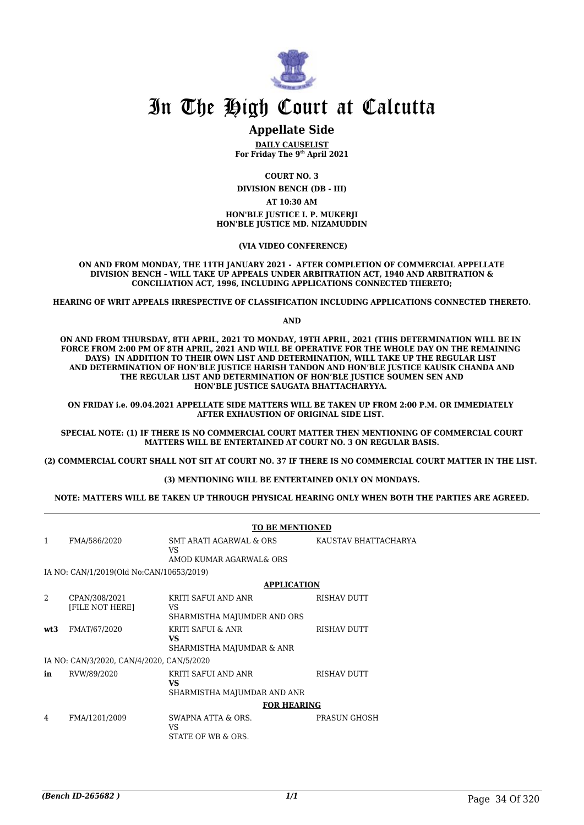

#### **Appellate Side**

**DAILY CAUSELIST For Friday The 9th April 2021**

**COURT NO. 3**

**DIVISION BENCH (DB - III) AT 10:30 AM**

**HON'BLE JUSTICE I. P. MUKERJI HON'BLE JUSTICE MD. NIZAMUDDIN**

 **(VIA VIDEO CONFERENCE)**

**ON AND FROM MONDAY, THE 11TH JANUARY 2021 - AFTER COMPLETION OF COMMERCIAL APPELLATE DIVISION BENCH – WILL TAKE UP APPEALS UNDER ARBITRATION ACT, 1940 AND ARBITRATION & CONCILIATION ACT, 1996, INCLUDING APPLICATIONS CONNECTED THERETO;**

**HEARING OF WRIT APPEALS IRRESPECTIVE OF CLASSIFICATION INCLUDING APPLICATIONS CONNECTED THERETO.**

**AND**

**ON AND FROM THURSDAY, 8TH APRIL, 2021 TO MONDAY, 19TH APRIL, 2021 (THIS DETERMINATION WILL BE IN FORCE FROM 2:00 PM OF 8TH APRIL, 2021 AND WILL BE OPERATIVE FOR THE WHOLE DAY ON THE REMAINING DAYS) IN ADDITION TO THEIR OWN LIST AND DETERMINATION, WILL TAKE UP THE REGULAR LIST AND DETERMINATION OF HON'BLE JUSTICE HARISH TANDON AND HON'BLE JUSTICE KAUSIK CHANDA AND THE REGULAR LIST AND DETERMINATION OF HON'BLE JUSTICE SOUMEN SEN AND HON'BLE JUSTICE SAUGATA BHATTACHARYYA.** 

**ON FRIDAY i.e. 09.04.2021 APPELLATE SIDE MATTERS WILL BE TAKEN UP FROM 2:00 P.M. OR IMMEDIATELY AFTER EXHAUSTION OF ORIGINAL SIDE LIST.** 

**SPECIAL NOTE: (1) IF THERE IS NO COMMERCIAL COURT MATTER THEN MENTIONING OF COMMERCIAL COURT MATTERS WILL BE ENTERTAINED AT COURT NO. 3 ON REGULAR BASIS.**

**(2) COMMERCIAL COURT SHALL NOT SIT AT COURT NO. 37 IF THERE IS NO COMMERCIAL COURT MATTER IN THE LIST.** 

**(3) MENTIONING WILL BE ENTERTAINED ONLY ON MONDAYS.**

**NOTE: MATTERS WILL BE TAKEN UP THROUGH PHYSICAL HEARING ONLY WHEN BOTH THE PARTIES ARE AGREED.**

|              |                                           | <b>TO BE MENTIONED</b>                                      |                      |  |
|--------------|-------------------------------------------|-------------------------------------------------------------|----------------------|--|
| $\mathbf{1}$ | FMA/586/2020                              | SMT ARATI AGARWAL & ORS<br>VS.<br>AMOD KUMAR AGARWAL& ORS   | KAUSTAV BHATTACHARYA |  |
|              |                                           |                                                             |                      |  |
|              | IA NO: CAN/1/2019(Old No:CAN/10653/2019)  |                                                             |                      |  |
|              |                                           | <b>APPLICATION</b>                                          |                      |  |
| 2            | CPAN/308/2021<br>[FILE NOT HERE]          | KRITI SAFUI AND ANR<br>VS.                                  | <b>RISHAV DUTT</b>   |  |
|              |                                           | SHARMISTHA MAJUMDER AND ORS                                 |                      |  |
| wt3          | FMAT/67/2020                              | KRITI SAFUI & ANR<br><b>VS</b><br>SHARMISTHA MAJUMDAR & ANR | RISHAV DUTT          |  |
|              | IA NO: CAN/3/2020, CAN/4/2020, CAN/5/2020 |                                                             |                      |  |
| in           | RVW/89/2020                               | KRITI SAFUI AND ANR<br><b>VS</b>                            | RISHAV DUTT          |  |
|              |                                           | SHARMISTHA MAJUMDAR AND ANR                                 |                      |  |
|              |                                           | <b>FOR HEARING</b>                                          |                      |  |
| 4            | FMA/1201/2009                             | SWAPNA ATTA & ORS.<br>VS.<br>STATE OF WB & ORS.             | PRASUN GHOSH         |  |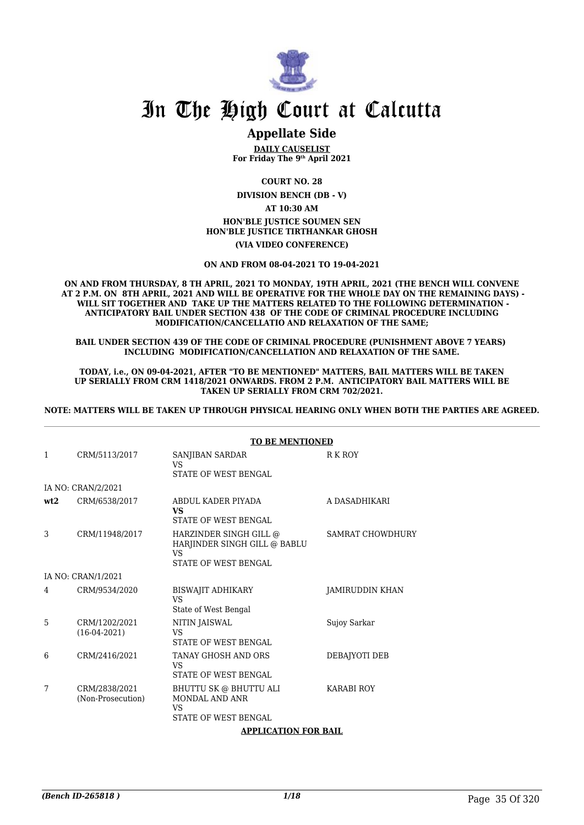

## **Appellate Side**

**DAILY CAUSELIST For Friday The 9th April 2021**

**COURT NO. 28**

**DIVISION BENCH (DB - V)**

**AT 10:30 AM**

**HON'BLE JUSTICE SOUMEN SEN HON'BLE JUSTICE TIRTHANKAR GHOSH**

**(VIA VIDEO CONFERENCE)**

#### **ON AND FROM 08-04-2021 TO 19-04-2021**

**ON AND FROM THURSDAY, 8 TH APRIL, 2021 TO MONDAY, 19TH APRIL, 2021 (THE BENCH WILL CONVENE AT 2 P.M. ON 8TH APRIL, 2021 AND WILL BE OPERATIVE FOR THE WHOLE DAY ON THE REMAINING DAYS) - WILL SIT TOGETHER AND TAKE UP THE MATTERS RELATED TO THE FOLLOWING DETERMINATION - ANTICIPATORY BAIL UNDER SECTION 438 OF THE CODE OF CRIMINAL PROCEDURE INCLUDING MODIFICATION/CANCELLATIO AND RELAXATION OF THE SAME;**

**BAIL UNDER SECTION 439 OF THE CODE OF CRIMINAL PROCEDURE (PUNISHMENT ABOVE 7 YEARS) INCLUDING MODIFICATION/CANCELLATION AND RELAXATION OF THE SAME.**

**TODAY, i.e., ON 09-04-2021, AFTER "TO BE MENTIONED" MATTERS, BAIL MATTERS WILL BE TAKEN UP SERIALLY FROM CRM 1418/2021 ONWARDS. FROM 2 P.M. ANTICIPATORY BAIL MATTERS WILL BE TAKEN UP SERIALLY FROM CRM 702/2021.**

**NOTE: MATTERS WILL BE TAKEN UP THROUGH PHYSICAL HEARING ONLY WHEN BOTH THE PARTIES ARE AGREED.**

|     |                                    | <b>TO BE MENTIONED</b>                                                                             |                         |
|-----|------------------------------------|----------------------------------------------------------------------------------------------------|-------------------------|
| 1   | CRM/5113/2017                      | SANJIBAN SARDAR<br><b>VS</b><br>STATE OF WEST BENGAL                                               | R K ROY                 |
|     | IA NO: CRAN/2/2021                 |                                                                                                    |                         |
| wt2 | CRM/6538/2017                      | ABDUL KADER PIYADA<br><b>VS</b><br>STATE OF WEST BENGAL                                            | A DASADHIKARI           |
| 3   | CRM/11948/2017                     | HARZINDER SINGH GILL @<br>HARJINDER SINGH GILL @ BABLU<br><b>VS</b><br><b>STATE OF WEST BENGAL</b> | <b>SAMRAT CHOWDHURY</b> |
|     | IA NO: CRAN/1/2021                 |                                                                                                    |                         |
| 4   | CRM/9534/2020                      | BISWAJIT ADHIKARY<br><b>VS</b><br>State of West Bengal                                             | JAMIRUDDIN KHAN         |
| 5   | CRM/1202/2021<br>$(16-04-2021)$    | NITIN JAISWAL<br><b>VS</b><br><b>STATE OF WEST BENGAL</b>                                          | Sujoy Sarkar            |
| 6   | CRM/2416/2021                      | TANAY GHOSH AND ORS<br>VS<br>STATE OF WEST BENGAL                                                  | DEBAJYOTI DEB           |
| 7   | CRM/2838/2021<br>(Non-Prosecution) | BHUTTU SK @ BHUTTU ALI<br>MONDAL AND ANR<br>VS.<br>STATE OF WEST BENGAL                            | <b>KARABI ROY</b>       |
|     |                                    | ADDI ICATION EOD DAII                                                                              |                         |

#### **APPLICATION FOR BAIL**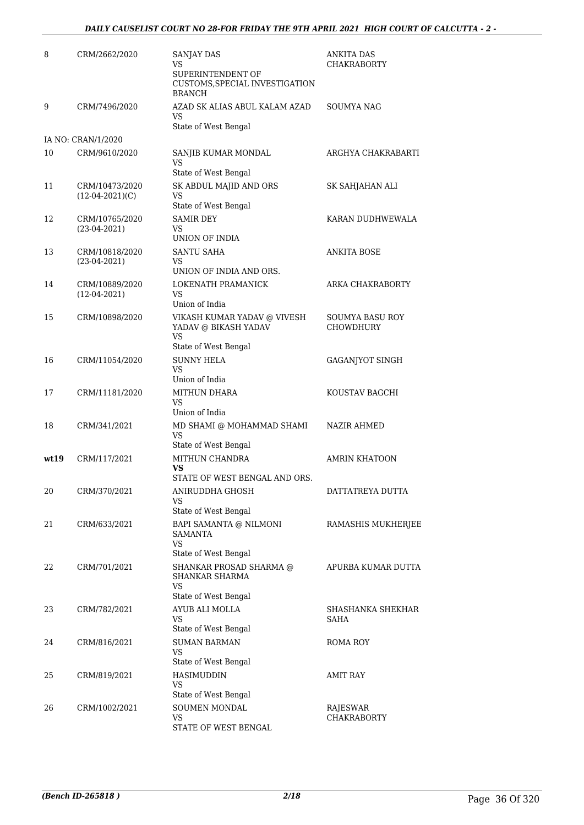| 8     | CRM/2662/2020                       | SANJAY DAS<br>VS<br>SUPERINTENDENT OF<br>CUSTOMS, SPECIAL INVESTIGATION<br><b>BRANCH</b> | ANKITA DAS<br>CHAKRABORTY      |
|-------|-------------------------------------|------------------------------------------------------------------------------------------|--------------------------------|
| 9     | CRM/7496/2020                       | AZAD SK ALIAS ABUL KALAM AZAD<br>VS<br>State of West Bengal                              | SOUMYA NAG                     |
|       | IA NO: CRAN/1/2020                  |                                                                                          |                                |
| 10    | CRM/9610/2020                       | SANJIB KUMAR MONDAL<br>VS<br>State of West Bengal                                        | ARGHYA CHAKRABARTI             |
| 11    | CRM/10473/2020<br>$(12-04-2021)(C)$ | SK ABDUL MAJID AND ORS<br>VS<br>State of West Bengal                                     | SK SAHJAHAN ALI                |
| 12    | CRM/10765/2020<br>$(23-04-2021)$    | <b>SAMIR DEY</b><br>VS                                                                   | KARAN DUDHWEWALA               |
| 13    | CRM/10818/2020<br>$(23-04-2021)$    | UNION OF INDIA<br><b>SANTU SAHA</b><br>VS<br>UNION OF INDIA AND ORS.                     | <b>ANKITA BOSE</b>             |
| 14    | CRM/10889/2020<br>$(12-04-2021)$    | LOKENATH PRAMANICK<br>VS<br>Union of India                                               | ARKA CHAKRABORTY               |
| 15    | CRM/10898/2020                      | VIKASH KUMAR YADAV @ VIVESH<br>YADAV @ BIKASH YADAV<br>VS<br>State of West Bengal        | SOUMYA BASU ROY<br>CHOWDHURY   |
| 16    | CRM/11054/2020                      | <b>SUNNY HELA</b><br><b>VS</b><br>Union of India                                         | <b>GAGANJYOT SINGH</b>         |
| 17    | CRM/11181/2020                      | <b>MITHUN DHARA</b><br>VS<br>Union of India                                              | KOUSTAV BAGCHI                 |
| 18    | CRM/341/2021                        | MD SHAMI @ MOHAMMAD SHAMI<br><b>VS</b><br>State of West Bengal                           | NAZIR AHMED                    |
| wt 19 | CRM/117/2021                        | MITHUN CHANDRA<br>VS<br>STATE OF WEST BENGAL AND ORS.                                    | <b>AMRIN KHATOON</b>           |
| 20    | CRM/370/2021                        | ANIRUDDHA GHOSH<br>VS<br>State of West Bengal                                            | DATTATREYA DUTTA               |
| 21    | CRM/633/2021                        | BAPI SAMANTA @ NILMONI<br>SAMANTA<br>VS                                                  | RAMASHIS MUKHERJEE             |
| 22    | CRM/701/2021                        | State of West Bengal<br>SHANKAR PROSAD SHARMA @<br>SHANKAR SHARMA<br>VS                  | APURBA KUMAR DUTTA             |
| 23    | CRM/782/2021                        | State of West Bengal<br>AYUB ALI MOLLA<br>VS                                             | SHASHANKA SHEKHAR<br>SAHA      |
| 24    | CRM/816/2021                        | State of West Bengal<br><b>SUMAN BARMAN</b><br><b>VS</b>                                 | ROMA ROY                       |
| 25    | CRM/819/2021                        | State of West Bengal<br><b>HASIMUDDIN</b><br>VS<br>State of West Bengal                  | AMIT RAY                       |
| 26    | CRM/1002/2021                       | SOUMEN MONDAL<br>VS<br>STATE OF WEST BENGAL                                              | RAJESWAR<br><b>CHAKRABORTY</b> |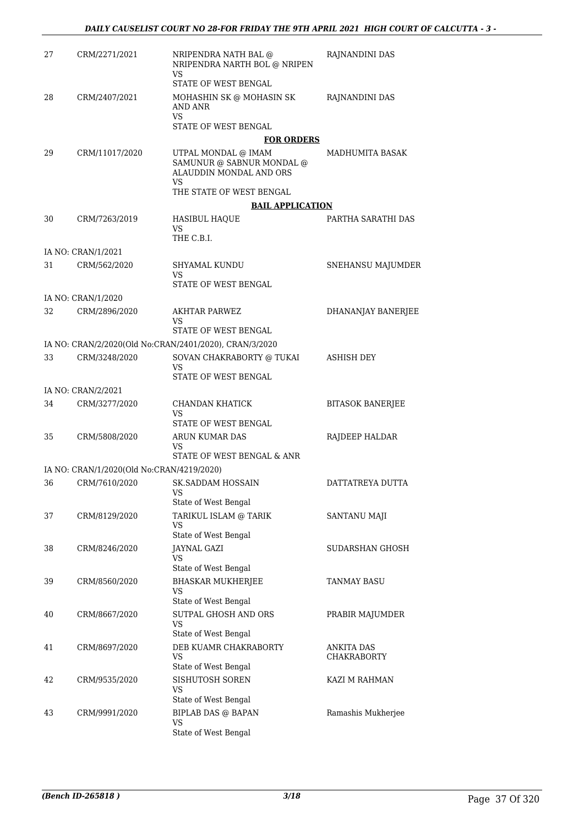| 27 | CRM/2271/2021                             | NRIPENDRA NATH BAL @<br>NRIPENDRA NARTH BOL @ NRIPEN<br>VS                        | RAJNANDINI DAS                          |
|----|-------------------------------------------|-----------------------------------------------------------------------------------|-----------------------------------------|
| 28 | CRM/2407/2021                             | STATE OF WEST BENGAL<br>MOHASHIN SK @ MOHASIN SK<br>AND ANR                       | RAJNANDINI DAS                          |
|    |                                           | VS<br>STATE OF WEST BENGAL                                                        |                                         |
|    |                                           | <b>FOR ORDERS</b>                                                                 |                                         |
| 29 | CRM/11017/2020                            | UTPAL MONDAL @ IMAM<br>SAMUNUR @ SABNUR MONDAL @<br>ALAUDDIN MONDAL AND ORS<br>VS | MADHUMITA BASAK                         |
|    |                                           | THE STATE OF WEST BENGAL                                                          |                                         |
|    |                                           | <b>BAIL APPLICATION</b>                                                           |                                         |
| 30 | CRM/7263/2019                             | <b>HASIBUL HAQUE</b><br>VS<br>THE C.B.I.                                          | PARTHA SARATHI DAS                      |
|    | IA NO: CRAN/1/2021                        |                                                                                   |                                         |
| 31 | CRM/562/2020                              | SHYAMAL KUNDU<br>VS                                                               | SNEHANSU MAJUMDER                       |
|    |                                           | STATE OF WEST BENGAL                                                              |                                         |
|    | IA NO: CRAN/1/2020                        |                                                                                   |                                         |
| 32 | CRM/2896/2020                             | <b>AKHTAR PARWEZ</b><br>VS<br>STATE OF WEST BENGAL                                | DHANANJAY BANERJEE                      |
|    |                                           | IA NO: CRAN/2/2020(Old No:CRAN/2401/2020), CRAN/3/2020                            |                                         |
| 33 | CRM/3248/2020                             | SOVAN CHAKRABORTY @ TUKAI<br>VS                                                   | ASHISH DEY                              |
|    |                                           | STATE OF WEST BENGAL                                                              |                                         |
|    | IA NO: CRAN/2/2021                        |                                                                                   |                                         |
| 34 | CRM/3277/2020                             | CHANDAN KHATICK<br>VS<br>STATE OF WEST BENGAL                                     | <b>BITASOK BANERJEE</b>                 |
| 35 | CRM/5808/2020                             | ARUN KUMAR DAS<br>VS                                                              | RAJDEEP HALDAR                          |
|    |                                           | STATE OF WEST BENGAL & ANR                                                        |                                         |
|    | IA NO: CRAN/1/2020(Old No:CRAN/4219/2020) |                                                                                   |                                         |
| 36 | CRM/7610/2020                             | SK.SADDAM HOSSAIN<br><b>VS</b><br>State of West Bengal                            | DATTATREYA DUTTA                        |
| 37 | CRM/8129/2020                             | TARIKUL ISLAM @ TARIK<br>VS<br>State of West Bengal                               | SANTANU MAJI                            |
| 38 | CRM/8246/2020                             | <b>JAYNAL GAZI</b><br>VS<br>State of West Bengal                                  | SUDARSHAN GHOSH                         |
| 39 | CRM/8560/2020                             | <b>BHASKAR MUKHERJEE</b><br>VS<br>State of West Bengal                            | TANMAY BASU                             |
| 40 | CRM/8667/2020                             | SUTPAL GHOSH AND ORS<br>VS<br>State of West Bengal                                | PRABIR MAJUMDER                         |
| 41 | CRM/8697/2020                             | DEB KUAMR CHAKRABORTY<br><b>VS</b><br>State of West Bengal                        | <b>ANKITA DAS</b><br><b>CHAKRABORTY</b> |
| 42 | CRM/9535/2020                             | SISHUTOSH SOREN<br>VS<br>State of West Bengal                                     | KAZI M RAHMAN                           |
| 43 | CRM/9991/2020                             | <b>BIPLAB DAS @ BAPAN</b><br>VS<br>State of West Bengal                           | Ramashis Mukherjee                      |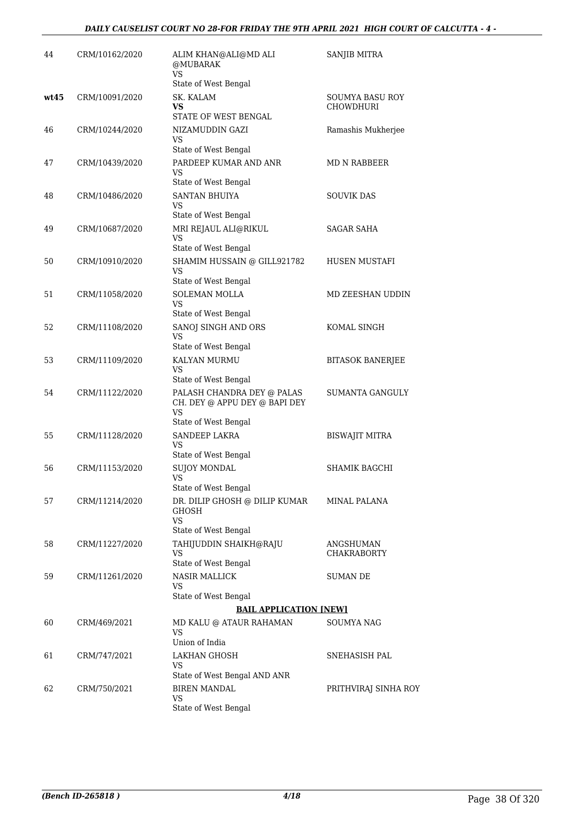| 44   | CRM/10162/2020 | ALIM KHAN@ALI@MD ALI<br>@MUBARAK<br><b>VS</b>                             | SANJIB MITRA                        |
|------|----------------|---------------------------------------------------------------------------|-------------------------------------|
|      |                | State of West Bengal                                                      |                                     |
| wt45 | CRM/10091/2020 | SK. KALAM<br>VS<br>STATE OF WEST BENGAL                                   | SOUMYA BASU ROY<br><b>CHOWDHURI</b> |
| 46   | CRM/10244/2020 | NIZAMUDDIN GAZI<br>VS                                                     | Ramashis Mukherjee                  |
|      |                | State of West Bengal                                                      |                                     |
| 47   | CRM/10439/2020 | PARDEEP KUMAR AND ANR<br>VS<br>State of West Bengal                       | MD N RABBEER                        |
| 48   | CRM/10486/2020 | <b>SANTAN BHUIYA</b><br>VS<br>State of West Bengal                        | <b>SOUVIK DAS</b>                   |
| 49   | CRM/10687/2020 | MRI REJAUL ALI@RIKUL<br><b>VS</b><br>State of West Bengal                 | SAGAR SAHA                          |
| 50   | CRM/10910/2020 | SHAMIM HUSSAIN @ GILL921782<br>VS                                         | <b>HUSEN MUSTAFI</b>                |
|      |                | State of West Bengal                                                      |                                     |
| 51   | CRM/11058/2020 | <b>SOLEMAN MOLLA</b><br>VS<br>State of West Bengal                        | MD ZEESHAN UDDIN                    |
| 52   | CRM/11108/2020 | SANOJ SINGH AND ORS                                                       | KOMAL SINGH                         |
|      |                | VS                                                                        |                                     |
| 53   | CRM/11109/2020 | State of West Bengal<br>KALYAN MURMU<br><b>VS</b><br>State of West Bengal | <b>BITASOK BANERJEE</b>             |
| 54   | CRM/11122/2020 | PALASH CHANDRA DEY @ PALAS<br>CH. DEY @ APPU DEY @ BAPI DEY<br>VS         | <b>SUMANTA GANGULY</b>              |
|      |                | State of West Bengal                                                      |                                     |
| 55   | CRM/11128/2020 | <b>SANDEEP LAKRA</b><br>VS<br>State of West Bengal                        | BISWAJIT MITRA                      |
| 56   | CRM/11153/2020 | <b>SUJOY MONDAL</b>                                                       | <b>SHAMIK BAGCHI</b>                |
|      |                | <b>VS</b><br>State of West Bengal                                         |                                     |
| 57   | CRM/11214/2020 | DR. DILIP GHOSH @ DILIP KUMAR<br>GHOSH<br><b>VS</b>                       | <b>MINAL PALANA</b>                 |
|      |                | State of West Bengal                                                      |                                     |
| 58   | CRM/11227/2020 | TAHIJUDDIN SHAIKH@RAJU<br>VS<br>State of West Bengal                      | ANGSHUMAN<br><b>CHAKRABORTY</b>     |
| 59   | CRM/11261/2020 | <b>NASIR MALLICK</b><br>VS                                                | SUMAN DE                            |
|      |                | State of West Bengal                                                      |                                     |
|      |                | <b>BAIL APPLICATION [NEW]</b>                                             |                                     |
| 60   | CRM/469/2021   | MD KALU @ ATAUR RAHAMAN<br>VS.<br>Union of India                          | <b>SOUMYA NAG</b>                   |
| 61   | CRM/747/2021   | <b>LAKHAN GHOSH</b><br>VS                                                 | SNEHASISH PAL                       |
|      |                | State of West Bengal AND ANR                                              |                                     |
| 62   | CRM/750/2021   | <b>BIREN MANDAL</b><br>VS<br>State of West Bengal                         | PRITHVIRAJ SINHA ROY                |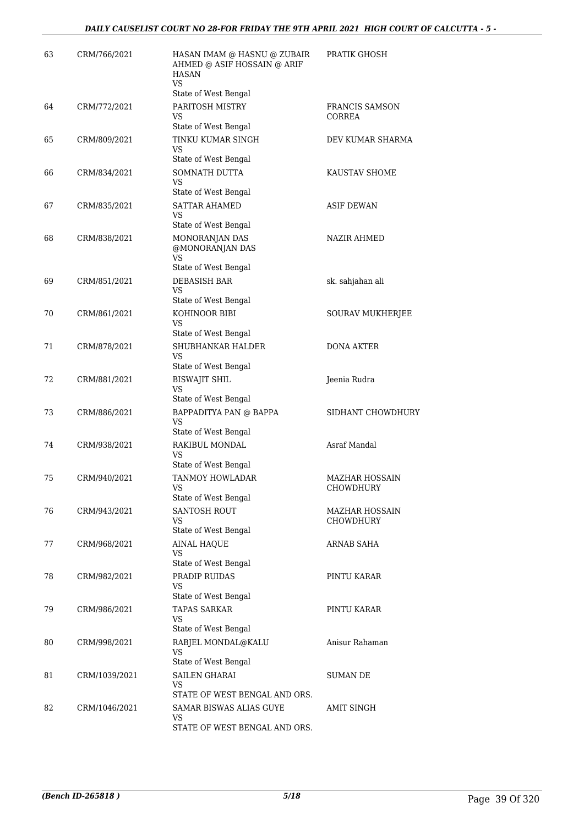| 63 | CRM/766/2021  | HASAN IMAM @ HASNU @ ZUBAIR<br>AHMED @ ASIF HOSSAIN @ ARIF<br><b>HASAN</b><br>VS<br>State of West Bengal | PRATIK GHOSH                              |
|----|---------------|----------------------------------------------------------------------------------------------------------|-------------------------------------------|
| 64 | CRM/772/2021  | PARITOSH MISTRY<br>VS<br>State of West Bengal                                                            | FRANCIS SAMSON<br>CORREA                  |
| 65 | CRM/809/2021  | TINKU KUMAR SINGH<br>VS<br>State of West Bengal                                                          | DEV KUMAR SHARMA                          |
| 66 | CRM/834/2021  | SOMNATH DUTTA<br>VS.<br>State of West Bengal                                                             | KAUSTAV SHOME                             |
| 67 | CRM/835/2021  | <b>SATTAR AHAMED</b><br><b>VS</b><br>State of West Bengal                                                | <b>ASIF DEWAN</b>                         |
| 68 | CRM/838/2021  | MONORANJAN DAS<br>@MONORANJAN DAS<br><b>VS</b><br>State of West Bengal                                   | <b>NAZIR AHMED</b>                        |
| 69 | CRM/851/2021  | <b>DEBASISH BAR</b><br>VS<br>State of West Bengal                                                        | sk. sahjahan ali                          |
| 70 | CRM/861/2021  | KOHINOOR BIBI<br>VS<br>State of West Bengal                                                              | SOURAV MUKHERJEE                          |
| 71 | CRM/878/2021  | SHUBHANKAR HALDER<br><b>VS</b><br>State of West Bengal                                                   | <b>DONA AKTER</b>                         |
| 72 | CRM/881/2021  | <b>BISWAJIT SHIL</b><br>VS<br>State of West Bengal                                                       | Jeenia Rudra                              |
| 73 | CRM/886/2021  | BAPPADITYA PAN @ BAPPA<br>VS<br>State of West Bengal                                                     | SIDHANT CHOWDHURY                         |
| 74 | CRM/938/2021  | RAKIBUL MONDAL<br>VS<br>State of West Bengal                                                             | Asraf Mandal                              |
| 75 | CRM/940/2021  | TANMOY HOWLADAR<br>VS<br>State of West Bengal                                                            | MAZHAR HOSSAIN<br>CHOWDHURY               |
| 76 | CRM/943/2021  | <b>SANTOSH ROUT</b><br>VS<br>State of West Bengal                                                        | <b>MAZHAR HOSSAIN</b><br><b>CHOWDHURY</b> |
| 77 | CRM/968/2021  | <b>AINAL HAQUE</b><br><b>VS</b><br>State of West Bengal                                                  | ARNAB SAHA                                |
| 78 | CRM/982/2021  | PRADIP RUIDAS<br>VS<br>State of West Bengal                                                              | PINTU KARAR                               |
| 79 | CRM/986/2021  | <b>TAPAS SARKAR</b><br><b>VS</b><br>State of West Bengal                                                 | PINTU KARAR                               |
| 80 | CRM/998/2021  | RABJEL MONDAL@KALU<br>VS<br>State of West Bengal                                                         | Anisur Rahaman                            |
| 81 | CRM/1039/2021 | <b>SAILEN GHARAI</b><br>VS<br>STATE OF WEST BENGAL AND ORS.                                              | SUMAN DE                                  |
| 82 | CRM/1046/2021 | SAMAR BISWAS ALIAS GUYE<br>VS<br>STATE OF WEST BENGAL AND ORS.                                           | <b>AMIT SINGH</b>                         |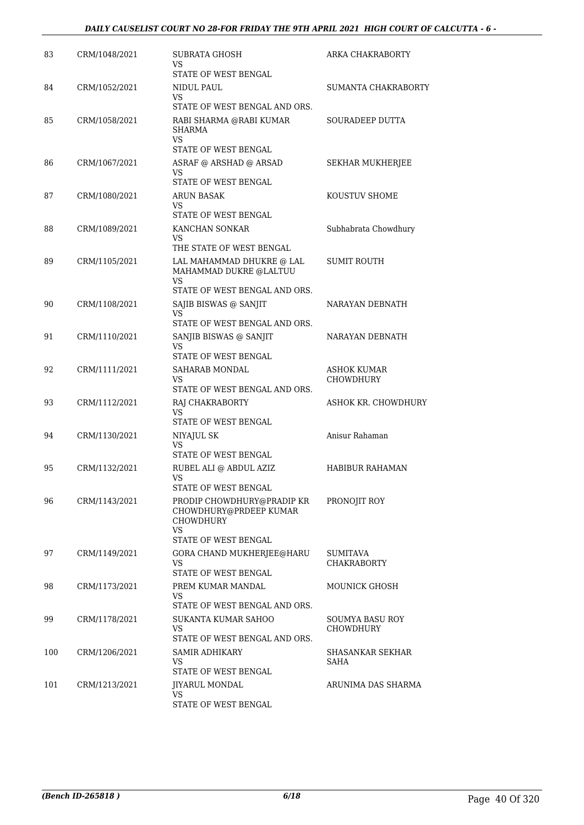| 83  | CRM/1048/2021 | SUBRATA GHOSH<br>VS<br>STATE OF WEST BENGAL                                    | ARKA CHAKRABORTY                    |
|-----|---------------|--------------------------------------------------------------------------------|-------------------------------------|
| 84  | CRM/1052/2021 | NIDUL PAUL<br>VS                                                               | SUMANTA CHAKRABORTY                 |
| 85  | CRM/1058/2021 | STATE OF WEST BENGAL AND ORS.<br>RABI SHARMA @RABI KUMAR<br><b>SHARMA</b>      | SOURADEEP DUTTA                     |
|     |               | <b>VS</b><br>STATE OF WEST BENGAL                                              |                                     |
| 86  | CRM/1067/2021 | ASRAF @ ARSHAD @ ARSAD<br>VS<br>STATE OF WEST BENGAL                           | <b>SEKHAR MUKHERJEE</b>             |
| 87  | CRM/1080/2021 | ARUN BASAK<br>VS<br>STATE OF WEST BENGAL                                       | KOUSTUV SHOME                       |
| 88  | CRM/1089/2021 | KANCHAN SONKAR<br>VS<br>THE STATE OF WEST BENGAL                               | Subhabrata Chowdhury                |
| 89  | CRM/1105/2021 | LAL MAHAMMAD DHUKRE @ LAL<br>MAHAMMAD DUKRE @LALTUU<br><b>VS</b>               | <b>SUMIT ROUTH</b>                  |
|     |               | STATE OF WEST BENGAL AND ORS.                                                  |                                     |
| 90  | CRM/1108/2021 | SAJIB BISWAS @ SANJIT<br>VS<br>STATE OF WEST BENGAL AND ORS.                   | NARAYAN DEBNATH                     |
| 91  | CRM/1110/2021 | SANJIB BISWAS @ SANJIT<br>VS<br>STATE OF WEST BENGAL                           | NARAYAN DEBNATH                     |
| 92  | CRM/1111/2021 | SAHARAB MONDAL<br>VS<br>STATE OF WEST BENGAL AND ORS.                          | ASHOK KUMAR<br>CHOWDHURY            |
| 93  | CRM/1112/2021 | RAJ CHAKRABORTY<br>VS<br>STATE OF WEST BENGAL                                  | ASHOK KR. CHOWDHURY                 |
| 94  | CRM/1130/2021 | NIYAJUL SK                                                                     | Anisur Rahaman                      |
|     |               | VS                                                                             |                                     |
| 95  | CRM/1132/2021 | STATE OF WEST BENGAL<br>RUBEL ALI @ ABDUL AZIZ<br>VS<br>STATE OF WEST BENGAL   | HABIBUR RAHAMAN                     |
| 96  | CRM/1143/2021 | PRODIP CHOWDHURY@PRADIP KR<br>CHOWDHURY@PRDEEP KUMAR<br><b>CHOWDHURY</b><br>VS | PRONOJIT ROY                        |
|     |               | STATE OF WEST BENGAL                                                           |                                     |
| 97  | CRM/1149/2021 | GORA CHAND MUKHERJEE@HARU<br>VS<br>STATE OF WEST BENGAL                        | SUMITAVA<br><b>CHAKRABORTY</b>      |
| 98  | CRM/1173/2021 | PREM KUMAR MANDAL<br>VS<br>STATE OF WEST BENGAL AND ORS.                       | MOUNICK GHOSH                       |
| 99  | CRM/1178/2021 | SUKANTA KUMAR SAHOO<br>VS<br>STATE OF WEST BENGAL AND ORS.                     | SOUMYA BASU ROY<br><b>CHOWDHURY</b> |
| 100 | CRM/1206/2021 | SAMIR ADHIKARY<br>VS<br>STATE OF WEST BENGAL                                   | SHASANKAR SEKHAR<br>SAHA            |
| 101 | CRM/1213/2021 | <b>JIYARUL MONDAL</b><br>VS<br>STATE OF WEST BENGAL                            | ARUNIMA DAS SHARMA                  |
|     |               |                                                                                |                                     |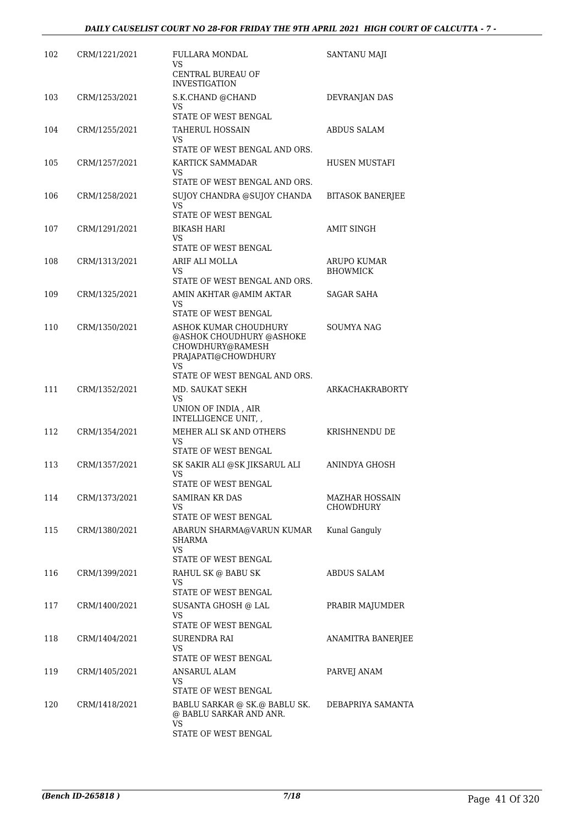| 102 | CRM/1221/2021 | FULLARA MONDAL<br>VS<br>CENTRAL BUREAU OF<br><b>INVESTIGATION</b>                                                                                           | SANTANU MAJI                   |
|-----|---------------|-------------------------------------------------------------------------------------------------------------------------------------------------------------|--------------------------------|
| 103 | CRM/1253/2021 | S.K.CHAND @CHAND<br>VS.<br>STATE OF WEST BENGAL                                                                                                             | DEVRANJAN DAS                  |
| 104 | CRM/1255/2021 | <b>TAHERUL HOSSAIN</b><br>VS<br>STATE OF WEST BENGAL AND ORS.                                                                                               | ABDUS SALAM                    |
| 105 | CRM/1257/2021 | KARTICK SAMMADAR<br>VS.                                                                                                                                     | <b>HUSEN MUSTAFI</b>           |
| 106 | CRM/1258/2021 | STATE OF WEST BENGAL AND ORS.<br>SUJOY CHANDRA @SUJOY CHANDA<br>VS<br>STATE OF WEST BENGAL                                                                  | <b>BITASOK BANERJEE</b>        |
| 107 | CRM/1291/2021 | BIKASH HARI<br>VS.<br>STATE OF WEST BENGAL                                                                                                                  | <b>AMIT SINGH</b>              |
| 108 | CRM/1313/2021 | ARIF ALI MOLLA<br>VS.<br>STATE OF WEST BENGAL AND ORS.                                                                                                      | ARUPO KUMAR<br><b>BHOWMICK</b> |
| 109 | CRM/1325/2021 | AMIN AKHTAR @AMIM AKTAR<br>VS                                                                                                                               | SAGAR SAHA                     |
| 110 | CRM/1350/2021 | STATE OF WEST BENGAL<br>ASHOK KUMAR CHOUDHURY<br>@ASHOK CHOUDHURY @ASHOKE<br>CHOWDHURY@RAMESH<br>PRAJAPATI@CHOWDHURY<br>VS<br>STATE OF WEST BENGAL AND ORS. | SOUMYA NAG                     |
| 111 | CRM/1352/2021 | MD. SAUKAT SEKH<br>VS<br>UNION OF INDIA, AIR<br>INTELLIGENCE UNIT, ,                                                                                        | ARKACHAKRABORTY                |
| 112 | CRM/1354/2021 | MEHER ALI SK AND OTHERS<br>VS.<br>STATE OF WEST BENGAL                                                                                                      | KRISHNENDU DE                  |
| 113 | CRM/1357/2021 | SK SAKIR ALI @SK JIKSARUL ALI<br>VS<br>STATE OF WEST BENGAL                                                                                                 | ANINDYA GHOSH                  |
| 114 | CRM/1373/2021 | SAMIRAN KR DAS<br>VS.<br>STATE OF WEST BENGAL                                                                                                               | MAZHAR HOSSAIN<br>CHOWDHURY    |
| 115 | CRM/1380/2021 | ABARUN SHARMA@VARUN KUMAR<br>SHARMA<br>VS                                                                                                                   | Kunal Ganguly                  |
| 116 | CRM/1399/2021 | STATE OF WEST BENGAL<br>RAHUL SK @ BABU SK<br>VS<br>STATE OF WEST BENGAL                                                                                    | ABDUS SALAM                    |
| 117 | CRM/1400/2021 | SUSANTA GHOSH @ LAL<br>VS<br>STATE OF WEST BENGAL                                                                                                           | PRABIR MAJUMDER                |
| 118 | CRM/1404/2021 | SURENDRA RAI<br>VS.<br>STATE OF WEST BENGAL                                                                                                                 | <b>ANAMITRA BANERJEE</b>       |
| 119 | CRM/1405/2021 | ANSARUL ALAM<br>VS<br>STATE OF WEST BENGAL                                                                                                                  | PARVEJ ANAM                    |
| 120 | CRM/1418/2021 | BABLU SARKAR @ SK.@ BABLU SK.<br>@ BABLU SARKAR AND ANR.<br><b>VS</b><br>STATE OF WEST BENGAL                                                               | DEBAPRIYA SAMANTA              |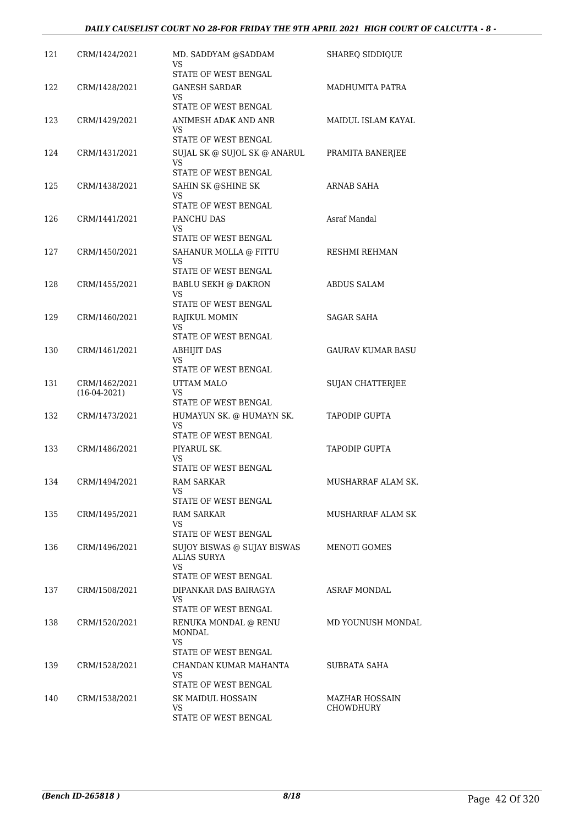| 121 | CRM/1424/2021  | MD. SADDYAM @SADDAM<br>VS<br>STATE OF WEST BENGAL                         | <b>SHAREO SIDDIOUE</b>   |
|-----|----------------|---------------------------------------------------------------------------|--------------------------|
| 122 | CRM/1428/2021  | GANESH SARDAR<br>VS                                                       | MADHUMITA PATRA          |
|     |                | STATE OF WEST BENGAL                                                      |                          |
| 123 | CRM/1429/2021  | ANIMESH ADAK AND ANR<br>VS                                                | MAIDUL ISLAM KAYAL       |
|     |                | STATE OF WEST BENGAL                                                      |                          |
| 124 | CRM/1431/2021  | SUJAL SK @ SUJOL SK @ ANARUL<br>VS.<br>STATE OF WEST BENGAL               | PRAMITA BANERJEE         |
| 125 | CRM/1438/2021  | SAHIN SK @SHINE SK                                                        | ARNAB SAHA               |
|     |                | VS<br>STATE OF WEST BENGAL                                                |                          |
| 126 | CRM/1441/2021  | PANCHU DAS                                                                | Asraf Mandal             |
|     |                | VS                                                                        |                          |
|     |                | STATE OF WEST BENGAL                                                      |                          |
| 127 | CRM/1450/2021  | SAHANUR MOLLA @ FITTU<br>VS<br>STATE OF WEST BENGAL                       | RESHMI REHMAN            |
| 128 | CRM/1455/2021  | <b>BABLU SEKH @ DAKRON</b>                                                | <b>ABDUS SALAM</b>       |
|     |                | VS                                                                        |                          |
|     |                | STATE OF WEST BENGAL                                                      |                          |
| 129 | CRM/1460/2021  | RAJIKUL MOMIN<br>VS.                                                      | <b>SAGAR SAHA</b>        |
|     |                | STATE OF WEST BENGAL                                                      |                          |
| 130 | CRM/1461/2021  | <b>ABHIJIT DAS</b><br>VS<br>STATE OF WEST BENGAL                          | <b>GAURAV KUMAR BASU</b> |
| 131 | CRM/1462/2021  | UTTAM MALO                                                                | SUJAN CHATTERJEE         |
|     | $(16-04-2021)$ | VS.                                                                       |                          |
|     |                | STATE OF WEST BENGAL                                                      |                          |
| 132 | CRM/1473/2021  | HUMAYUN SK. @ HUMAYN SK.<br>VS<br>STATE OF WEST BENGAL                    | <b>TAPODIP GUPTA</b>     |
| 133 | CRM/1486/2021  | PIYARUL SK.                                                               | <b>TAPODIP GUPTA</b>     |
|     |                | VS<br>STATE OF WEST BENGAL                                                |                          |
| 134 | CRM/1494/2021  | <b>RAM SARKAR</b>                                                         | MUSHARRAF ALAM SK.       |
|     |                | VS<br>STATE OF WEST BENGAL                                                |                          |
| 135 | CRM/1495/2021  | RAM SARKAR                                                                | MUSHARRAF ALAM SK        |
|     |                | VS.                                                                       |                          |
| 136 | CRM/1496/2021  | STATE OF WEST BENGAL<br>SUJOY BISWAS @ SUJAY BISWAS<br><b>ALIAS SURYA</b> | <b>MENOTI GOMES</b>      |
|     |                | VS                                                                        |                          |
|     |                | STATE OF WEST BENGAL                                                      |                          |
| 137 | CRM/1508/2021  | DIPANKAR DAS BAIRAGYA<br>VS<br>STATE OF WEST BENGAL                       | <b>ASRAF MONDAL</b>      |
| 138 | CRM/1520/2021  | RENUKA MONDAL @ RENU                                                      | MD YOUNUSH MONDAL        |
|     |                | <b>MONDAL</b><br>VS.<br>STATE OF WEST BENGAL                              |                          |
| 139 | CRM/1528/2021  | CHANDAN KUMAR MAHANTA                                                     | SUBRATA SAHA             |
|     |                | VS<br>STATE OF WEST BENGAL                                                |                          |
| 140 | CRM/1538/2021  | SK MAIDUL HOSSAIN                                                         | <b>MAZHAR HOSSAIN</b>    |
|     |                | VS<br>STATE OF WEST BENGAL                                                | CHOWDHURY                |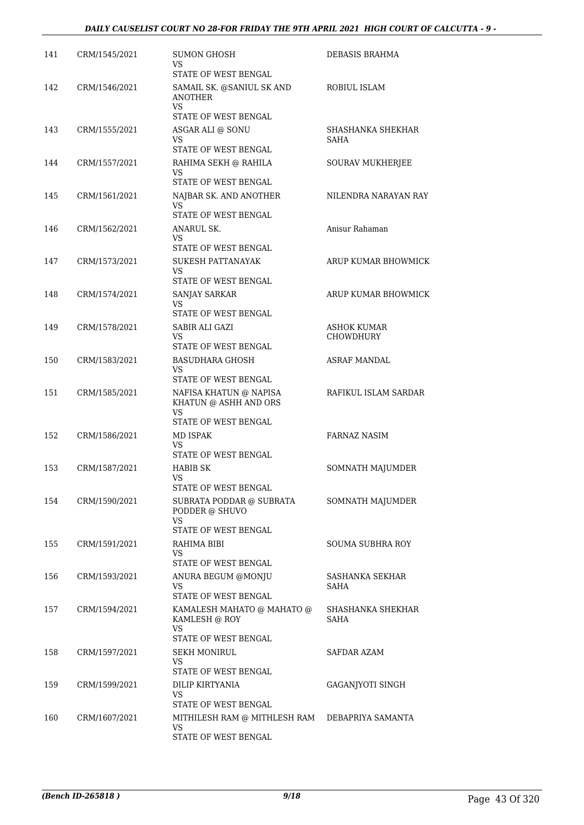### *DAILY CAUSELIST COURT NO 28-FOR FRIDAY THE 9TH APRIL 2021 HIGH COURT OF CALCUTTA - 9 -*

| 141 | CRM/1545/2021 | <b>SUMON GHOSH</b><br>VS                                     | DEBASIS BRAHMA                 |
|-----|---------------|--------------------------------------------------------------|--------------------------------|
| 142 | CRM/1546/2021 | STATE OF WEST BENGAL<br>SAMAIL SK. @SANIUL SK AND            | ROBIUL ISLAM                   |
|     |               | <b>ANOTHER</b><br><b>VS</b><br>STATE OF WEST BENGAL          |                                |
| 143 | CRM/1555/2021 | ASGAR ALI @ SONU<br>VS.                                      | SHASHANKA SHEKHAR<br>SAHA      |
|     |               | STATE OF WEST BENGAL                                         |                                |
| 144 | CRM/1557/2021 | RAHIMA SEKH @ RAHILA<br>VS.<br>STATE OF WEST BENGAL          | SOURAV MUKHERJEE               |
| 145 | CRM/1561/2021 | NAJBAR SK. AND ANOTHER                                       | NILENDRA NARAYAN RAY           |
|     |               | VS<br>STATE OF WEST BENGAL                                   |                                |
| 146 | CRM/1562/2021 | ANARUL SK.<br>VS.                                            | Anisur Rahaman                 |
|     |               | STATE OF WEST BENGAL                                         |                                |
| 147 | CRM/1573/2021 | SUKESH PATTANAYAK<br><b>VS</b>                               | ARUP KUMAR BHOWMICK            |
|     |               | <b>STATE OF WEST BENGAL</b>                                  |                                |
| 148 | CRM/1574/2021 | SANJAY SARKAR<br>VS.<br>STATE OF WEST BENGAL                 | ARUP KUMAR BHOWMICK            |
| 149 | CRM/1578/2021 | SABIR ALI GAZI                                               | ASHOK KUMAR                    |
|     |               | VS.                                                          | CHOWDHURY                      |
|     |               | STATE OF WEST BENGAL                                         |                                |
| 150 | CRM/1583/2021 | <b>BASUDHARA GHOSH</b><br>VS<br>STATE OF WEST BENGAL         | ASRAF MANDAL                   |
| 151 | CRM/1585/2021 | NAFISA KHATUN @ NAPISA<br>KHATUN @ ASHH AND ORS<br><b>VS</b> | RAFIKUL ISLAM SARDAR           |
|     |               | STATE OF WEST BENGAL                                         |                                |
| 152 | CRM/1586/2021 | MD ISPAK<br>VS                                               | <b>FARNAZ NASIM</b>            |
| 153 | CRM/1587/2021 | STATE OF WEST BENGAL                                         |                                |
|     |               | <b>HABIB SK</b><br>VS<br>STATE OF WEST BENGAL                | SOMNATH MAJUMDER               |
| 154 | CRM/1590/2021 | SUBRATA PODDAR @ SUBRATA<br>PODDER @ SHUVO                   | SOMNATH MAJUMDER               |
|     |               | <b>VS</b><br>STATE OF WEST BENGAL                            |                                |
| 155 | CRM/1591/2021 | RAHIMA BIBI                                                  | SOUMA SUBHRA ROY               |
|     |               | VS.                                                          |                                |
|     |               | STATE OF WEST BENGAL                                         |                                |
| 156 | CRM/1593/2021 | ANURA BEGUM @MONJU<br>VS<br>STATE OF WEST BENGAL             | SASHANKA SEKHAR<br><b>SAHA</b> |
| 157 | CRM/1594/2021 | KAMALESH MAHATO @ MAHATO @                                   | SHASHANKA SHEKHAR              |
|     |               | KAMLESH @ ROY<br>VS.                                         | SAHA                           |
|     |               | STATE OF WEST BENGAL                                         |                                |
| 158 | CRM/1597/2021 | <b>SEKH MONIRUL</b><br>VS<br>STATE OF WEST BENGAL            | SAFDAR AZAM                    |
| 159 | CRM/1599/2021 | DILIP KIRTYANIA                                              | GAGANJYOTI SINGH               |
|     |               | VS.<br>STATE OF WEST BENGAL                                  |                                |
| 160 | CRM/1607/2021 | MITHILESH RAM @ MITHLESH RAM                                 | DEBAPRIYA SAMANTA              |
|     |               | VS<br>STATE OF WEST BENGAL                                   |                                |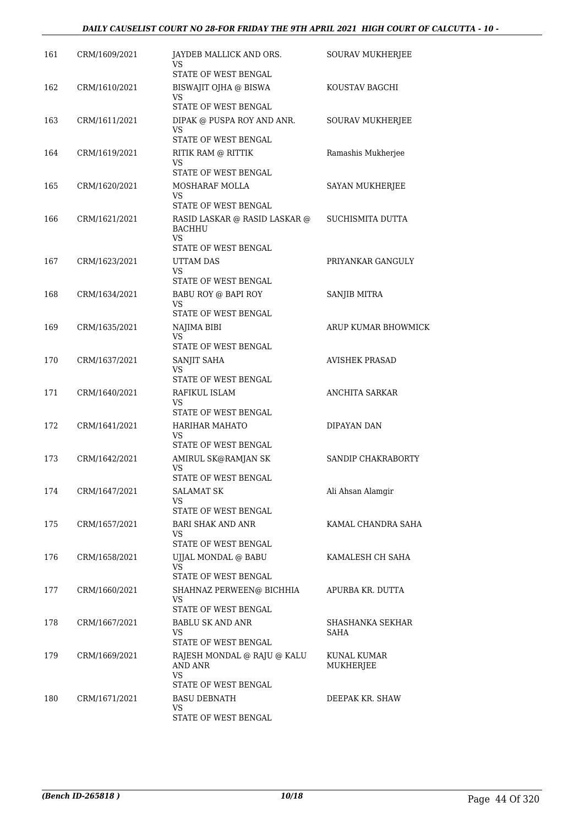| 161 | CRM/1609/2021 | JAYDEB MALLICK AND ORS.<br>VS<br>STATE OF WEST BENGAL                               | <b>SOURAV MUKHERJEE</b>  |
|-----|---------------|-------------------------------------------------------------------------------------|--------------------------|
| 162 | CRM/1610/2021 | BISWAJIT OJHA @ BISWA<br><b>VS</b>                                                  | KOUSTAV BAGCHI           |
| 163 | CRM/1611/2021 | <b>STATE OF WEST BENGAL</b><br>DIPAK @ PUSPA ROY AND ANR.<br>VS                     | SOURAV MUKHERJEE         |
| 164 | CRM/1619/2021 | STATE OF WEST BENGAL<br>RITIK RAM @ RITTIK                                          | Ramashis Mukherjee       |
|     |               | VS<br>STATE OF WEST BENGAL                                                          |                          |
| 165 | CRM/1620/2021 | MOSHARAF MOLLA<br><b>VS</b><br>STATE OF WEST BENGAL                                 | SAYAN MUKHERJEE          |
| 166 | CRM/1621/2021 | RASID LASKAR @ RASID LASKAR @<br><b>BACHHU</b><br><b>VS</b><br>STATE OF WEST BENGAL | SUCHISMITA DUTTA         |
| 167 | CRM/1623/2021 | UTTAM DAS<br>VS                                                                     | PRIYANKAR GANGULY        |
| 168 | CRM/1634/2021 | STATE OF WEST BENGAL<br>BABU ROY @ BAPI ROY<br><b>VS</b><br>STATE OF WEST BENGAL    | SANJIB MITRA             |
| 169 | CRM/1635/2021 | NAJIMA BIBI<br>VS.<br>STATE OF WEST BENGAL                                          | ARUP KUMAR BHOWMICK      |
| 170 | CRM/1637/2021 | SANJIT SAHA<br>VS<br>STATE OF WEST BENGAL                                           | <b>AVISHEK PRASAD</b>    |
| 171 | CRM/1640/2021 | RAFIKUL ISLAM<br>VS<br>STATE OF WEST BENGAL                                         | <b>ANCHITA SARKAR</b>    |
| 172 | CRM/1641/2021 | <b>HARIHAR MAHATO</b><br>VS<br>STATE OF WEST BENGAL                                 | DIPAYAN DAN              |
| 173 | CRM/1642/2021 | AMIRUL SK@RAMJAN SK<br>VS<br>STATE OF WEST BENGAL                                   | SANDIP CHAKRABORTY       |
| 174 | CRM/1647/2021 | <b>SALAMAT SK</b><br><b>VS</b><br>STATE OF WEST BENGAL                              | Ali Ahsan Alamgir        |
| 175 | CRM/1657/2021 | <b>BARI SHAK AND ANR</b><br>VS<br>STATE OF WEST BENGAL                              | KAMAL CHANDRA SAHA       |
| 176 | CRM/1658/2021 | UJJAL MONDAL @ BABU<br>VS<br>STATE OF WEST BENGAL                                   | KAMALESH CH SAHA         |
| 177 | CRM/1660/2021 | SHAHNAZ PERWEEN@ BICHHIA<br><b>VS</b><br>STATE OF WEST BENGAL                       | APURBA KR. DUTTA         |
| 178 | CRM/1667/2021 | <b>BABLU SK AND ANR</b><br>VS.<br>STATE OF WEST BENGAL                              | SHASHANKA SEKHAR<br>SAHA |
| 179 | CRM/1669/2021 | RAJESH MONDAL @ RAJU @ KALU<br>AND ANR<br>VS<br>STATE OF WEST BENGAL                | KUNAL KUMAR<br>MUKHERJEE |
| 180 | CRM/1671/2021 | <b>BASU DEBNATH</b><br>VS.<br>STATE OF WEST BENGAL                                  | DEEPAK KR. SHAW          |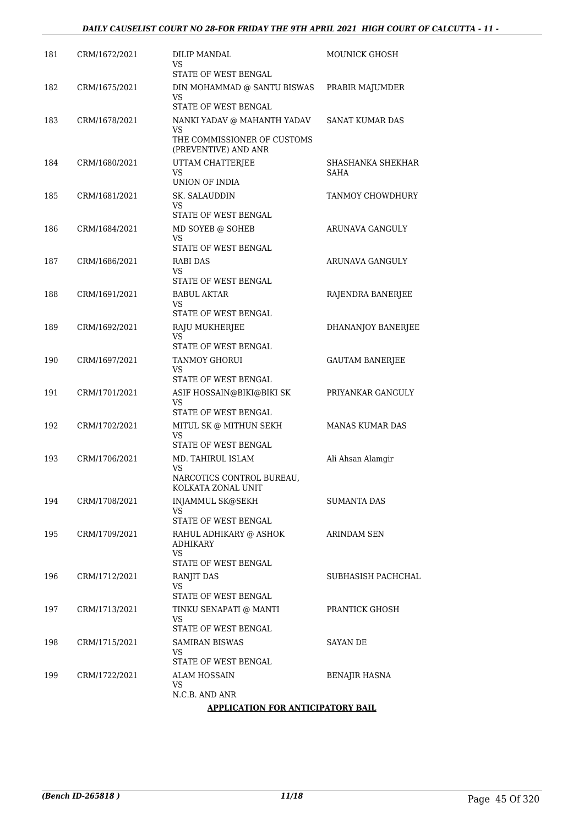| 181 | CRM/1672/2021 | DILIP MANDAL<br>VS<br>STATE OF WEST BENGAL                       | MOUNICK GHOSH             |
|-----|---------------|------------------------------------------------------------------|---------------------------|
| 182 | CRM/1675/2021 | DIN MOHAMMAD @ SANTU BISWAS<br>VS                                | PRABIR MAJUMDER           |
|     |               | STATE OF WEST BENGAL                                             |                           |
| 183 | CRM/1678/2021 | NANKI YADAV @ MAHANTH YADAV<br>VS<br>THE COMMISSIONER OF CUSTOMS | SANAT KUMAR DAS           |
|     |               | (PREVENTIVE) AND ANR                                             |                           |
| 184 | CRM/1680/2021 | UTTAM CHATTERJEE<br>VS<br>UNION OF INDIA                         | SHASHANKA SHEKHAR<br>SAHA |
| 185 | CRM/1681/2021 | SK. SALAUDDIN<br>VS<br>STATE OF WEST BENGAL                      | TANMOY CHOWDHURY          |
| 186 | CRM/1684/2021 | MD SOYEB @ SOHEB                                                 | ARUNAVA GANGULY           |
|     |               | VS                                                               |                           |
|     |               | <b>STATE OF WEST BENGAL</b>                                      |                           |
| 187 | CRM/1686/2021 | RABI DAS<br>VS<br>STATE OF WEST BENGAL                           | ARUNAVA GANGULY           |
| 188 | CRM/1691/2021 | <b>BABUL AKTAR</b><br>VS                                         | RAJENDRA BANERJEE         |
|     |               | STATE OF WEST BENGAL                                             |                           |
| 189 | CRM/1692/2021 | RAJU MUKHERJEE<br>VS                                             | <b>DHANANJOY BANERJEE</b> |
|     |               | STATE OF WEST BENGAL                                             |                           |
| 190 | CRM/1697/2021 | <b>TANMOY GHORUI</b><br>VS<br>STATE OF WEST BENGAL               | <b>GAUTAM BANERJEE</b>    |
| 191 | CRM/1701/2021 | ASIF HOSSAIN@BIKI@BIKI SK<br>VS                                  | PRIYANKAR GANGULY         |
|     |               | STATE OF WEST BENGAL                                             |                           |
| 192 | CRM/1702/2021 | MITUL SK @ MITHUN SEKH<br>VS<br>STATE OF WEST BENGAL             | <b>MANAS KUMAR DAS</b>    |
| 193 | CRM/1706/2021 | MD. TAHIRUL ISLAM<br>VS                                          | Ali Ahsan Alamgir         |
|     |               | NARCOTICS CONTROL BUREAU,<br>KOLKATA ZONAL UNIT                  |                           |
| 194 | CRM/1708/2021 | INJAMMUL SK@SEKH<br>VS                                           | SUMANTA DAS               |
|     |               | STATE OF WEST BENGAL                                             |                           |
| 195 | CRM/1709/2021 | RAHUL ADHIKARY @ ASHOK<br><b>ADHIKARY</b><br>VS                  | ARINDAM SEN               |
| 196 |               | STATE OF WEST BENGAL                                             |                           |
|     | CRM/1712/2021 | RANJIT DAS<br>VS<br>STATE OF WEST BENGAL                         | SUBHASISH PACHCHAL        |
| 197 | CRM/1713/2021 | TINKU SENAPATI @ MANTI<br>VS                                     | PRANTICK GHOSH            |
|     |               | STATE OF WEST BENGAL                                             |                           |
| 198 | CRM/1715/2021 | SAMIRAN BISWAS<br>VS<br>STATE OF WEST BENGAL                     | SAYAN DE                  |
| 199 | CRM/1722/2021 | ALAM HOSSAIN                                                     | BENAJIR HASNA             |
|     |               | VS<br>N.C.B. AND ANR                                             |                           |
|     |               | <b>APPLICATION FOR ANTICIPATORY BAIL</b>                         |                           |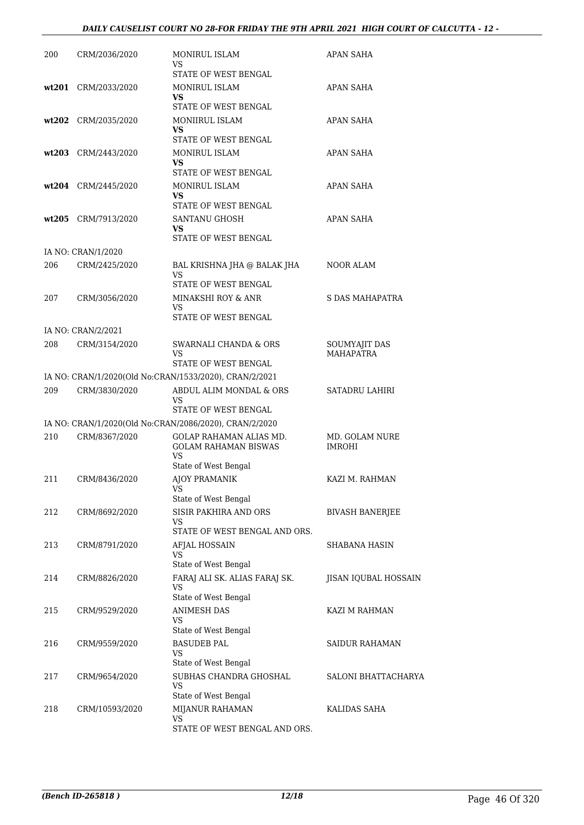### *DAILY CAUSELIST COURT NO 28-FOR FRIDAY THE 9TH APRIL 2021 HIGH COURT OF CALCUTTA - 12 -*

| 200 | CRM/2036/2020       | <b>MONIRUL ISLAM</b><br>VS<br><b>STATE OF WEST BENGAL</b>                                    | APAN SAHA                         |
|-----|---------------------|----------------------------------------------------------------------------------------------|-----------------------------------|
|     | wt201 CRM/2033/2020 | MONIRUL ISLAM<br>VS                                                                          | APAN SAHA                         |
|     | wt202 CRM/2035/2020 | STATE OF WEST BENGAL<br>MONIIRUL ISLAM<br>VS                                                 | APAN SAHA                         |
|     | wt203 CRM/2443/2020 | STATE OF WEST BENGAL<br>MONIRUL ISLAM<br>VS                                                  | APAN SAHA                         |
|     | wt204 CRM/2445/2020 | STATE OF WEST BENGAL<br><b>MONIRUL ISLAM</b><br><b>VS</b><br>STATE OF WEST BENGAL            | APAN SAHA                         |
|     | wt205 CRM/7913/2020 | SANTANU GHOSH<br><b>VS</b><br>STATE OF WEST BENGAL                                           | APAN SAHA                         |
|     | IA NO: CRAN/1/2020  |                                                                                              |                                   |
| 206 | CRM/2425/2020       | BAL KRISHNA JHA @ BALAK JHA<br>VS                                                            | NOOR ALAM                         |
| 207 | CRM/3056/2020       | STATE OF WEST BENGAL<br>MINAKSHI ROY & ANR<br>VS.<br>STATE OF WEST BENGAL                    | S DAS MAHAPATRA                   |
|     | IA NO: CRAN/2/2021  |                                                                                              |                                   |
| 208 | CRM/3154/2020       | SWARNALI CHANDA & ORS<br>VS.<br>STATE OF WEST BENGAL                                         | SOUMYAJIT DAS<br><b>MAHAPATRA</b> |
|     |                     | IA NO: CRAN/1/2020(Old No:CRAN/1533/2020), CRAN/2/2021                                       |                                   |
| 209 | CRM/3830/2020       | ABDUL ALIM MONDAL & ORS<br>VS<br>STATE OF WEST BENGAL                                        | <b>SATADRU LAHIRI</b>             |
|     |                     | IA NO: CRAN/1/2020(Old No:CRAN/2086/2020), CRAN/2/2020                                       |                                   |
| 210 | CRM/8367/2020       | <b>GOLAP RAHAMAN ALIAS MD.</b><br><b>GOLAM RAHAMAN BISWAS</b><br>VS.<br>State of West Bengal | MD. GOLAM NURE<br><b>IMROHI</b>   |
| 211 | CRM/8436/2020       | <b>AIOY PRAMANIK</b><br>VS<br>State of West Bengal                                           | KAZI M. RAHMAN                    |
| 212 | CRM/8692/2020       | SISIR PAKHIRA AND ORS<br>VS<br>STATE OF WEST BENGAL AND ORS.                                 | <b>BIVASH BANERJEE</b>            |
| 213 | CRM/8791/2020       | AFJAL HOSSAIN<br>VS<br>State of West Bengal                                                  | SHABANA HASIN                     |
| 214 | CRM/8826/2020       | FARAJ ALI SK. ALIAS FARAJ SK.<br>VS<br>State of West Bengal                                  | JISAN IQUBAL HOSSAIN              |
| 215 | CRM/9529/2020       | <b>ANIMESH DAS</b><br>VS<br>State of West Bengal                                             | KAZI M RAHMAN                     |
| 216 | CRM/9559/2020       | <b>BASUDEB PAL</b><br>VS<br>State of West Bengal                                             | SAIDUR RAHAMAN                    |
| 217 | CRM/9654/2020       | SUBHAS CHANDRA GHOSHAL<br>VS<br>State of West Bengal                                         | SALONI BHATTACHARYA               |
| 218 | CRM/10593/2020      | MIJANUR RAHAMAN<br><b>VS</b><br>STATE OF WEST BENGAL AND ORS.                                | KALIDAS SAHA                      |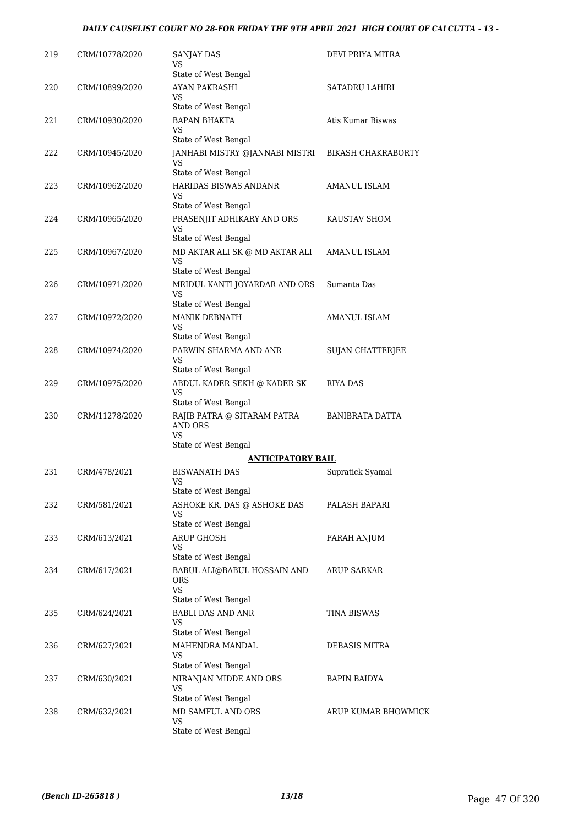| 219 | CRM/10778/2020 | SANJAY DAS<br>VS                                                                  | DEVI PRIYA MITRA          |
|-----|----------------|-----------------------------------------------------------------------------------|---------------------------|
| 220 | CRM/10899/2020 | State of West Bengal<br><b>AYAN PAKRASHI</b><br>VS                                | SATADRU LAHIRI            |
| 221 | CRM/10930/2020 | State of West Bengal<br><b>BAPAN BHAKTA</b><br>VS                                 | Atis Kumar Biswas         |
| 222 | CRM/10945/2020 | State of West Bengal<br>JANHABI MISTRY @JANNABI MISTRI<br>VS                      | <b>BIKASH CHAKRABORTY</b> |
| 223 | CRM/10962/2020 | State of West Bengal<br>HARIDAS BISWAS ANDANR<br>VS                               | AMANUL ISLAM              |
| 224 | CRM/10965/2020 | State of West Bengal<br>PRASENJIT ADHIKARY AND ORS<br>VS                          | KAUSTAV SHOM              |
| 225 | CRM/10967/2020 | State of West Bengal<br>MD AKTAR ALI SK @ MD AKTAR ALI<br>VS                      | AMANUL ISLAM              |
| 226 | CRM/10971/2020 | State of West Bengal<br>MRIDUL KANTI JOYARDAR AND ORS<br>VS                       | Sumanta Das               |
| 227 | CRM/10972/2020 | State of West Bengal<br>MANIK DEBNATH<br>VS<br>State of West Bengal               | <b>AMANUL ISLAM</b>       |
| 228 | CRM/10974/2020 | PARWIN SHARMA AND ANR<br>VS                                                       | <b>SUJAN CHATTERJEE</b>   |
| 229 | CRM/10975/2020 | State of West Bengal<br>ABDUL KADER SEKH @ KADER SK<br>VS<br>State of West Bengal | RIYA DAS                  |
| 230 | CRM/11278/2020 | RAJIB PATRA @ SITARAM PATRA<br><b>AND ORS</b><br>VS                               | BANIBRATA DATTA           |
|     |                | State of West Bengal                                                              |                           |
| 231 | CRM/478/2021   | ANTICIPATORY BAIL<br><b>BISWANATH DAS</b><br>VS<br>State of West Bengal           | Supratick Syamal          |
| 232 | CRM/581/2021   | ASHOKE KR. DAS @ ASHOKE DAS<br>VS<br>State of West Bengal                         | PALASH BAPARI             |
| 233 | CRM/613/2021   | <b>ARUP GHOSH</b><br>VS<br>State of West Bengal                                   | FARAH ANJUM               |
| 234 | CRM/617/2021   | BABUL ALI@BABUL HOSSAIN AND<br>ORS<br><b>VS</b><br>State of West Bengal           | <b>ARUP SARKAR</b>        |
| 235 | CRM/624/2021   | <b>BABLI DAS AND ANR</b><br>VS<br>State of West Bengal                            | TINA BISWAS               |
| 236 | CRM/627/2021   | MAHENDRA MANDAL<br>VS<br>State of West Bengal                                     | DEBASIS MITRA             |
| 237 | CRM/630/2021   | NIRANJAN MIDDE AND ORS<br>VS<br>State of West Bengal                              | <b>BAPIN BAIDYA</b>       |
| 238 | CRM/632/2021   | MD SAMFUL AND ORS<br><b>VS</b><br>State of West Bengal                            | ARUP KUMAR BHOWMICK       |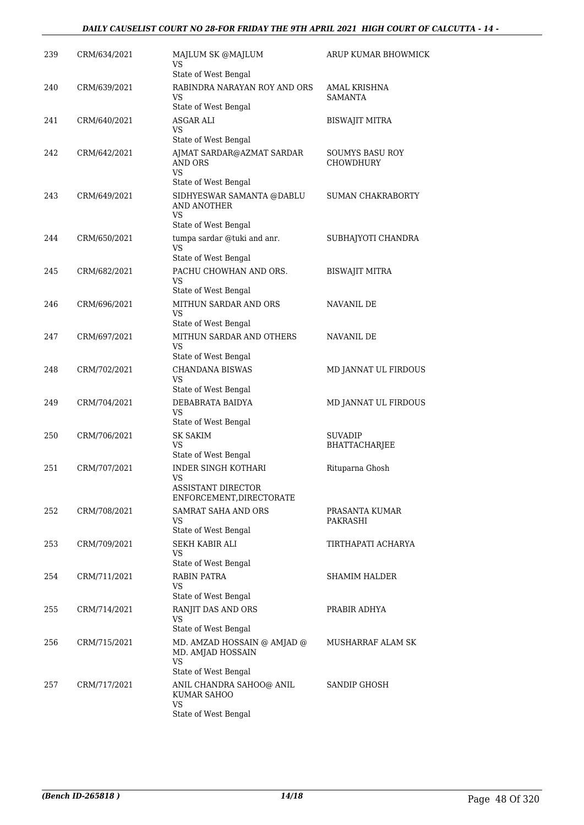| 239 | CRM/634/2021 | MAJLUM SK @MAJLUM<br>VS                                | ARUP KUMAR BHOWMICK        |
|-----|--------------|--------------------------------------------------------|----------------------------|
|     |              | State of West Bengal                                   |                            |
| 240 | CRM/639/2021 | RABINDRA NARAYAN ROY AND ORS<br>VS                     | AMAL KRISHNA<br>SAMANTA    |
|     |              | State of West Bengal                                   |                            |
| 241 | CRM/640/2021 | ASGAR ALI<br>VS<br>State of West Bengal                | <b>BISWAJIT MITRA</b>      |
| 242 | CRM/642/2021 | AJMAT SARDAR@AZMAT SARDAR                              | <b>SOUMYS BASU ROY</b>     |
|     |              | AND ORS<br>VS                                          | <b>CHOWDHURY</b>           |
|     |              | State of West Bengal                                   |                            |
| 243 | CRM/649/2021 | SIDHYESWAR SAMANTA @DABLU<br>AND ANOTHER<br><b>VS</b>  | SUMAN CHAKRABORTY          |
|     |              | State of West Bengal                                   |                            |
| 244 | CRM/650/2021 | tumpa sardar @tuki and anr.<br><b>VS</b>               | SUBHAJYOTI CHANDRA         |
|     |              | State of West Bengal                                   |                            |
| 245 | CRM/682/2021 | PACHU CHOWHAN AND ORS.<br>VS                           | <b>BISWAJIT MITRA</b>      |
|     |              | State of West Bengal                                   |                            |
| 246 | CRM/696/2021 | MITHUN SARDAR AND ORS<br>VS                            | <b>NAVANIL DE</b>          |
|     |              | State of West Bengal                                   |                            |
| 247 | CRM/697/2021 | MITHUN SARDAR AND OTHERS<br>VS<br>State of West Bengal | NAVANIL DE                 |
| 248 | CRM/702/2021 | CHANDANA BISWAS                                        | MD JANNAT UL FIRDOUS       |
|     |              | VS                                                     |                            |
|     |              | State of West Bengal                                   |                            |
| 249 | CRM/704/2021 | DEBABRATA BAIDYA<br><b>VS</b><br>State of West Bengal  | MD JANNAT UL FIRDOUS       |
| 250 | CRM/706/2021 | <b>SK SAKIM</b>                                        | SUVADIP                    |
|     |              | VS                                                     | BHATTACHARJEE              |
|     |              | State of West Bengal                                   |                            |
| 251 | CRM/707/2021 | <b>INDER SINGH KOTHARI</b><br><b>VS</b>                | Rituparna Ghosh            |
|     |              | <b>ASSISTANT DIRECTOR</b><br>ENFORCEMENT, DIRECTORATE  |                            |
| 252 | CRM/708/2021 | SAMRAT SAHA AND ORS<br>VS                              | PRASANTA KUMAR<br>PAKRASHI |
|     |              | State of West Bengal                                   |                            |
| 253 | CRM/709/2021 | SEKH KABIR ALI<br>VS                                   | TIRTHAPATI ACHARYA         |
|     |              | State of West Bengal                                   |                            |
| 254 | CRM/711/2021 | RABIN PATRA<br>VS<br>State of West Bengal              | SHAMIM HALDER              |
| 255 | CRM/714/2021 | RANJIT DAS AND ORS                                     | PRABIR ADHYA               |
|     |              | VS<br>State of West Bengal                             |                            |
| 256 | CRM/715/2021 | MD. AMZAD HOSSAIN @ AMJAD @                            | MUSHARRAF ALAM SK          |
|     |              | MD. AMJAD HOSSAIN<br>VS                                |                            |
|     |              | State of West Bengal                                   |                            |
| 257 | CRM/717/2021 | ANIL CHANDRA SAHOO@ ANIL<br>KUMAR SAHOO<br><b>VS</b>   | SANDIP GHOSH               |
|     |              | State of West Bengal                                   |                            |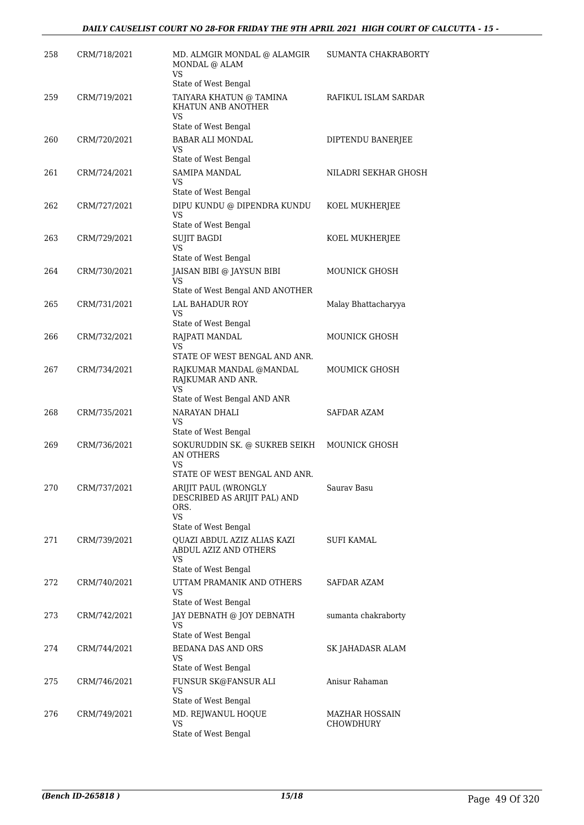| 258 | CRM/718/2021 | MD. ALMGIR MONDAL @ ALAMGIR<br>MONDAL @ ALAM<br>VS                                                         | SUMANTA CHAKRABORTY                |
|-----|--------------|------------------------------------------------------------------------------------------------------------|------------------------------------|
| 259 | CRM/719/2021 | State of West Bengal<br>TAIYARA KHATUN @ TAMINA<br>KHATUN ANB ANOTHER                                      | RAFIKUL ISLAM SARDAR               |
| 260 | CRM/720/2021 | VS<br>State of West Bengal<br><b>BABAR ALI MONDAL</b><br>VS                                                | DIPTENDU BANERJEE                  |
| 261 | CRM/724/2021 | State of West Bengal<br>SAMIPA MANDAL<br>VS                                                                | NILADRI SEKHAR GHOSH               |
| 262 | CRM/727/2021 | State of West Bengal<br>DIPU KUNDU @ DIPENDRA KUNDU<br>VS                                                  | KOEL MUKHERJEE                     |
| 263 | CRM/729/2021 | State of West Bengal<br>SUJIT BAGDI<br>VS<br>State of West Bengal                                          | KOEL MUKHERJEE                     |
| 264 | CRM/730/2021 | JAISAN BIBI @ JAYSUN BIBI<br>VS<br>State of West Bengal AND ANOTHER                                        | <b>MOUNICK GHOSH</b>               |
| 265 | CRM/731/2021 | <b>LAL BAHADUR ROY</b><br>VS<br>State of West Bengal                                                       | Malay Bhattacharyya                |
| 266 | CRM/732/2021 | RAJPATI MANDAL<br>VS<br>STATE OF WEST BENGAL AND ANR.                                                      | MOUNICK GHOSH                      |
| 267 | CRM/734/2021 | RAJKUMAR MANDAL @MANDAL<br>RAJKUMAR AND ANR.<br><b>VS</b><br>State of West Bengal AND ANR                  | MOUMICK GHOSH                      |
| 268 | CRM/735/2021 | NARAYAN DHALI<br>VS                                                                                        | <b>SAFDAR AZAM</b>                 |
| 269 | CRM/736/2021 | State of West Bengal<br>SOKURUDDIN SK. @ SUKREB SEIKH<br>AN OTHERS<br>VS                                   | <b>MOUNICK GHOSH</b>               |
| 270 | CRM/737/2021 | STATE OF WEST BENGAL AND ANR.<br>ARIJIT PAUL (WRONGLY<br>DESCRIBED AS ARIJIT PAL) AND<br>ORS.<br><b>VS</b> | Saurav Basu                        |
| 271 | CRM/739/2021 | State of West Bengal<br>QUAZI ABDUL AZIZ ALIAS KAZI<br>ABDUL AZIZ AND OTHERS<br>VS<br>State of West Bengal | SUFI KAMAL                         |
| 272 | CRM/740/2021 | UTTAM PRAMANIK AND OTHERS<br>VS<br>State of West Bengal                                                    | SAFDAR AZAM                        |
| 273 | CRM/742/2021 | JAY DEBNATH @ JOY DEBNATH<br>VS<br>State of West Bengal                                                    | sumanta chakraborty                |
| 274 | CRM/744/2021 | <b>BEDANA DAS AND ORS</b><br>VS<br>State of West Bengal                                                    | SK JAHADASR ALAM                   |
| 275 | CRM/746/2021 | FUNSUR SK@FANSUR ALI<br>VS<br>State of West Bengal                                                         | Anisur Rahaman                     |
| 276 | CRM/749/2021 | MD. REJWANUL HOQUE<br>VS<br>State of West Bengal                                                           | MAZHAR HOSSAIN<br><b>CHOWDHURY</b> |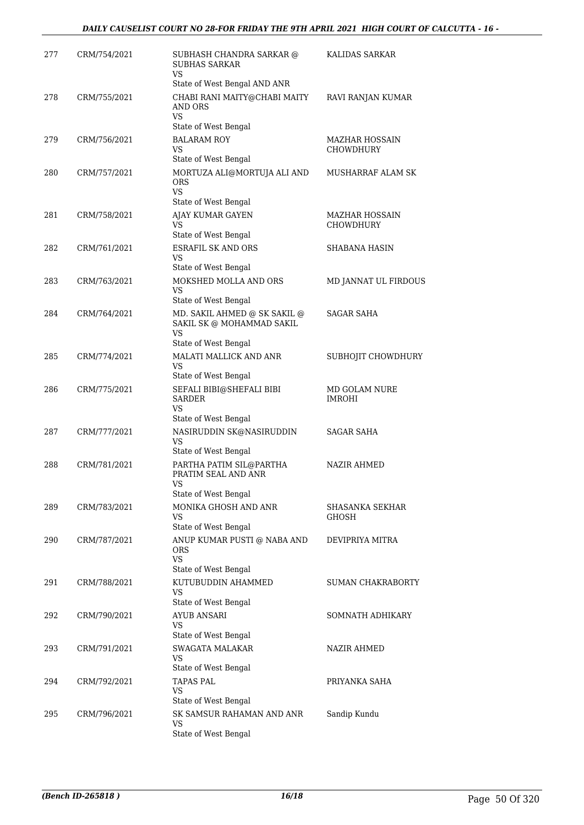| 277 | CRM/754/2021 | SUBHASH CHANDRA SARKAR @<br><b>SUBHAS SARKAR</b><br>VS                         | KALIDAS SARKAR                 |
|-----|--------------|--------------------------------------------------------------------------------|--------------------------------|
|     |              | State of West Bengal AND ANR                                                   |                                |
| 278 | CRM/755/2021 | CHABI RANI MAITY@CHABI MAITY<br><b>AND ORS</b><br><b>VS</b>                    | RAVI RANJAN KUMAR              |
|     |              | State of West Bengal                                                           |                                |
| 279 | CRM/756/2021 | <b>BALARAM ROY</b><br>VS<br>State of West Bengal                               | MAZHAR HOSSAIN<br>CHOWDHURY    |
| 280 | CRM/757/2021 | MORTUZA ALI@MORTUJA ALI AND<br><b>ORS</b><br>VS                                | MUSHARRAF ALAM SK              |
| 281 | CRM/758/2021 | State of West Bengal<br>AJAY KUMAR GAYEN<br><b>VS</b><br>State of West Bengal  | MAZHAR HOSSAIN<br>CHOWDHURY    |
| 282 | CRM/761/2021 | <b>ESRAFIL SK AND ORS</b><br>VS                                                | SHABANA HASIN                  |
|     |              | State of West Bengal                                                           |                                |
| 283 | CRM/763/2021 | MOKSHED MOLLA AND ORS<br>VS<br>State of West Bengal                            | MD JANNAT UL FIRDOUS           |
| 284 | CRM/764/2021 | MD. SAKIL AHMED @ SK SAKIL @<br>SAKIL SK @ MOHAMMAD SAKIL<br>VS                | SAGAR SAHA                     |
| 285 | CRM/774/2021 | State of West Bengal<br>MALATI MALLICK AND ANR<br><b>VS</b>                    | SUBHOJIT CHOWDHURY             |
| 286 | CRM/775/2021 | State of West Bengal<br>SEFALI BIBI@SHEFALI BIBI<br><b>SARDER</b><br><b>VS</b> | MD GOLAM NURE<br><b>IMROHI</b> |
|     |              | State of West Bengal                                                           |                                |
| 287 | CRM/777/2021 | NASIRUDDIN SK@NASIRUDDIN<br>VS<br>State of West Bengal                         | <b>SAGAR SAHA</b>              |
| 288 | CRM/781/2021 | PARTHA PATIM SIL@PARTHA<br>PRATIM SEAL AND ANR<br>VS<br>State of West Bengal   | NAZIR AHMED                    |
| 289 | CRM/783/2021 | MONIKA GHOSH AND ANR<br>VS<br>State of West Bengal                             | SHASANKA SEKHAR<br>GHOSH       |
| 290 | CRM/787/2021 | ANUP KUMAR PUSTI @ NABA AND<br>ORS<br><b>VS</b><br>State of West Bengal        | DEVIPRIYA MITRA                |
| 291 | CRM/788/2021 | KUTUBUDDIN AHAMMED<br><b>VS</b>                                                | <b>SUMAN CHAKRABORTY</b>       |
| 292 | CRM/790/2021 | State of West Bengal<br><b>AYUB ANSARI</b><br>VS                               | SOMNATH ADHIKARY               |
| 293 | CRM/791/2021 | State of West Bengal<br><b>SWAGATA MALAKAR</b><br>VS                           | <b>NAZIR AHMED</b>             |
| 294 | CRM/792/2021 | State of West Bengal<br><b>TAPAS PAL</b><br>VS<br>State of West Bengal         | PRIYANKA SAHA                  |
| 295 | CRM/796/2021 | SK SAMSUR RAHAMAN AND ANR<br>VS<br>State of West Bengal                        | Sandip Kundu                   |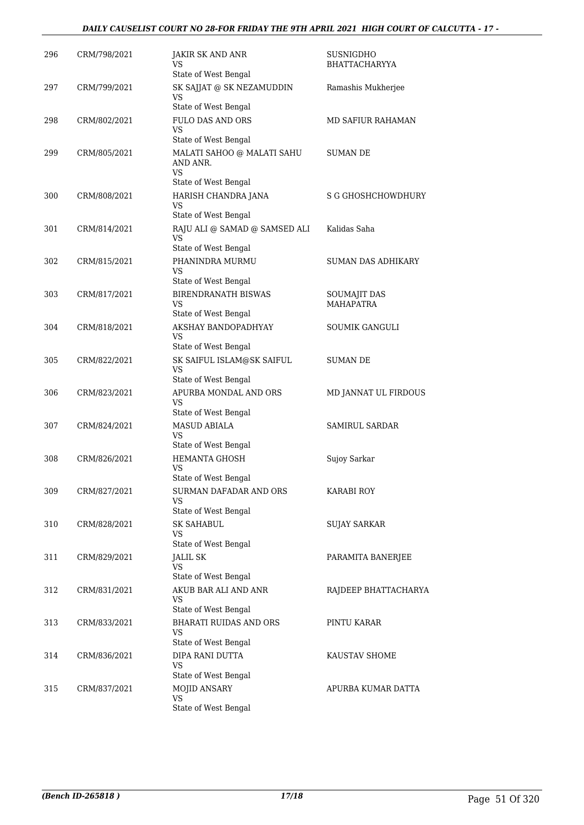### *DAILY CAUSELIST COURT NO 28-FOR FRIDAY THE 9TH APRIL 2021 HIGH COURT OF CALCUTTA - 17 -*

| 296 | CRM/798/2021 | <b>JAKIR SK AND ANR</b><br>VS<br>State of West Bengal                | SUSNIGDHO<br><b>BHATTACHARYYA</b> |
|-----|--------------|----------------------------------------------------------------------|-----------------------------------|
| 297 | CRM/799/2021 | SK SAJJAT @ SK NEZAMUDDIN<br><b>VS</b><br>State of West Bengal       | Ramashis Mukherjee                |
| 298 | CRM/802/2021 | <b>FULO DAS AND ORS</b><br>VS<br>State of West Bengal                | MD SAFIUR RAHAMAN                 |
| 299 | CRM/805/2021 | MALATI SAHOO @ MALATI SAHU<br>AND ANR.<br>VS<br>State of West Bengal | <b>SUMAN DE</b>                   |
| 300 | CRM/808/2021 | HARISH CHANDRA JANA<br><b>VS</b><br>State of West Bengal             | <b>S G GHOSHCHOWDHURY</b>         |
| 301 | CRM/814/2021 | RAJU ALI @ SAMAD @ SAMSED ALI<br><b>VS</b><br>State of West Bengal   | Kalidas Saha                      |
| 302 | CRM/815/2021 | PHANINDRA MURMU<br>VS<br>State of West Bengal                        | <b>SUMAN DAS ADHIKARY</b>         |
| 303 | CRM/817/2021 | <b>BIRENDRANATH BISWAS</b><br>VS<br>State of West Bengal             | SOUMAJIT DAS<br><b>MAHAPATRA</b>  |
| 304 | CRM/818/2021 | AKSHAY BANDOPADHYAY<br>VS<br>State of West Bengal                    | <b>SOUMIK GANGULI</b>             |
| 305 | CRM/822/2021 | SK SAIFUL ISLAM@SK SAIFUL<br><b>VS</b><br>State of West Bengal       | SUMAN DE                          |
| 306 | CRM/823/2021 | APURBA MONDAL AND ORS<br>VS.<br>State of West Bengal                 | MD JANNAT UL FIRDOUS              |
| 307 | CRM/824/2021 | <b>MASUD ABIALA</b><br><b>VS</b><br>State of West Bengal             | <b>SAMIRUL SARDAR</b>             |
| 308 | CRM/826/2021 | <b>HEMANTA GHOSH</b><br>VS<br>State of West Bengal                   | Sujoy Sarkar                      |
| 309 | CRM/827/2021 | SURMAN DAFADAR AND ORS<br>VS<br>State of West Bengal                 | <b>KARABI ROY</b>                 |
| 310 | CRM/828/2021 | <b>SK SAHABUL</b><br>VS<br>State of West Bengal                      | SUJAY SARKAR                      |
| 311 | CRM/829/2021 | JALIL SK<br>VS<br>State of West Bengal                               | PARAMITA BANERJEE                 |
| 312 | CRM/831/2021 | AKUB BAR ALI AND ANR<br><b>VS</b><br>State of West Bengal            | RAJDEEP BHATTACHARYA              |
| 313 | CRM/833/2021 | <b>BHARATI RUIDAS AND ORS</b><br><b>VS</b><br>State of West Bengal   | PINTU KARAR                       |
| 314 | CRM/836/2021 | DIPA RANI DUTTA<br><b>VS</b><br>State of West Bengal                 | KAUSTAV SHOME                     |
| 315 | CRM/837/2021 | MOJID ANSARY<br><b>VS</b><br>State of West Bengal                    | APURBA KUMAR DATTA                |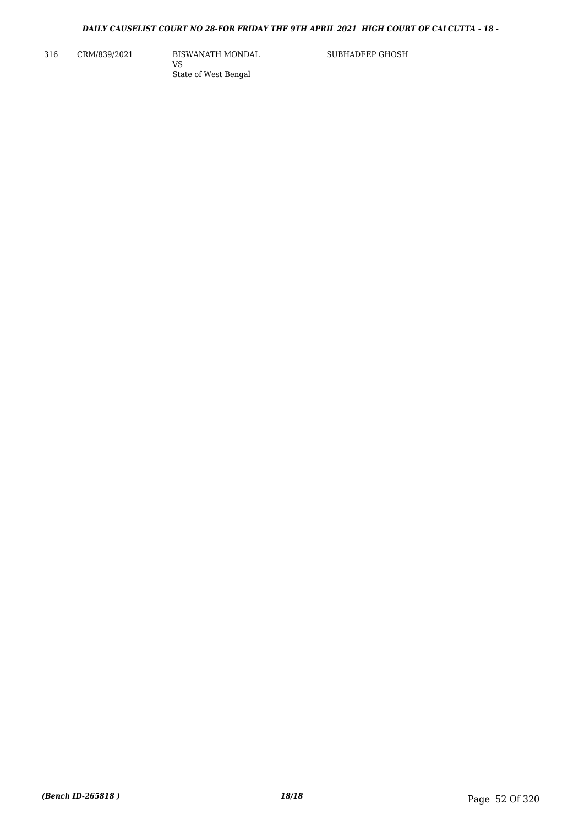316 CRM/839/2021 BISWANATH MONDAL

VS State of West Bengal SUBHADEEP GHOSH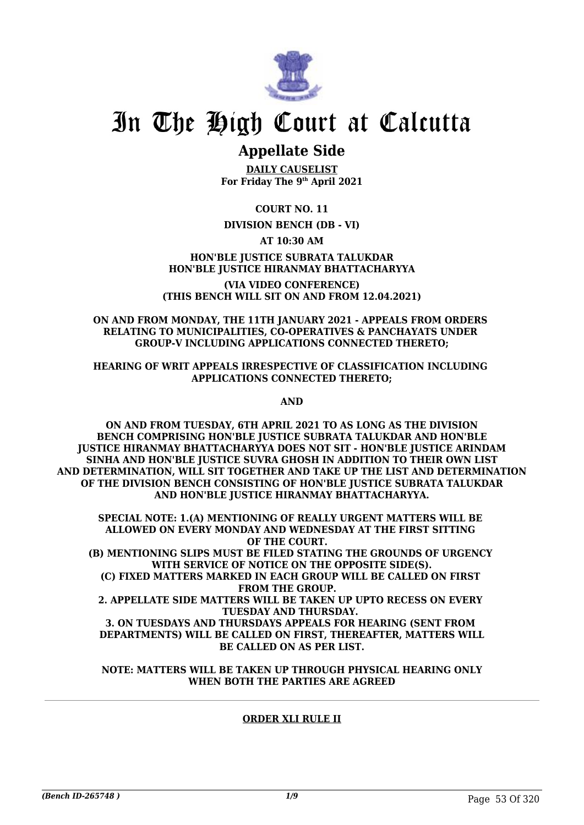

## **Appellate Side**

**DAILY CAUSELIST For Friday The 9th April 2021**

**COURT NO. 11**

## **DIVISION BENCH (DB - VI)**

**AT 10:30 AM**

**HON'BLE JUSTICE SUBRATA TALUKDAR HON'BLE JUSTICE HIRANMAY BHATTACHARYYA**

**(VIA VIDEO CONFERENCE) (THIS BENCH WILL SIT ON AND FROM 12.04.2021)**

#### **ON AND FROM MONDAY, THE 11TH JANUARY 2021 - APPEALS FROM ORDERS RELATING TO MUNICIPALITIES, CO-OPERATIVES & PANCHAYATS UNDER GROUP-V INCLUDING APPLICATIONS CONNECTED THERETO;**

**HEARING OF WRIT APPEALS IRRESPECTIVE OF CLASSIFICATION INCLUDING APPLICATIONS CONNECTED THERETO;**

**AND**

**ON AND FROM TUESDAY, 6TH APRIL 2021 TO AS LONG AS THE DIVISION BENCH COMPRISING HON'BLE JUSTICE SUBRATA TALUKDAR AND HON'BLE JUSTICE HIRANMAY BHATTACHARYYA DOES NOT SIT - HON'BLE JUSTICE ARINDAM SINHA AND HON'BLE JUSTICE SUVRA GHOSH IN ADDITION TO THEIR OWN LIST AND DETERMINATION, WILL SIT TOGETHER AND TAKE UP THE LIST AND DETERMINATION OF THE DIVISION BENCH CONSISTING OF HON'BLE JUSTICE SUBRATA TALUKDAR AND HON'BLE JUSTICE HIRANMAY BHATTACHARYYA.**

**SPECIAL NOTE: 1.(A) MENTIONING OF REALLY URGENT MATTERS WILL BE ALLOWED ON EVERY MONDAY AND WEDNESDAY AT THE FIRST SITTING OF THE COURT. (B) MENTIONING SLIPS MUST BE FILED STATING THE GROUNDS OF URGENCY WITH SERVICE OF NOTICE ON THE OPPOSITE SIDE(S). (C) FIXED MATTERS MARKED IN EACH GROUP WILL BE CALLED ON FIRST FROM THE GROUP. 2. APPELLATE SIDE MATTERS WILL BE TAKEN UP UPTO RECESS ON EVERY TUESDAY AND THURSDAY. 3. ON TUESDAYS AND THURSDAYS APPEALS FOR HEARING (SENT FROM DEPARTMENTS) WILL BE CALLED ON FIRST, THEREAFTER, MATTERS WILL BE CALLED ON AS PER LIST.**

**NOTE: MATTERS WILL BE TAKEN UP THROUGH PHYSICAL HEARING ONLY WHEN BOTH THE PARTIES ARE AGREED**

## **ORDER XLI RULE II**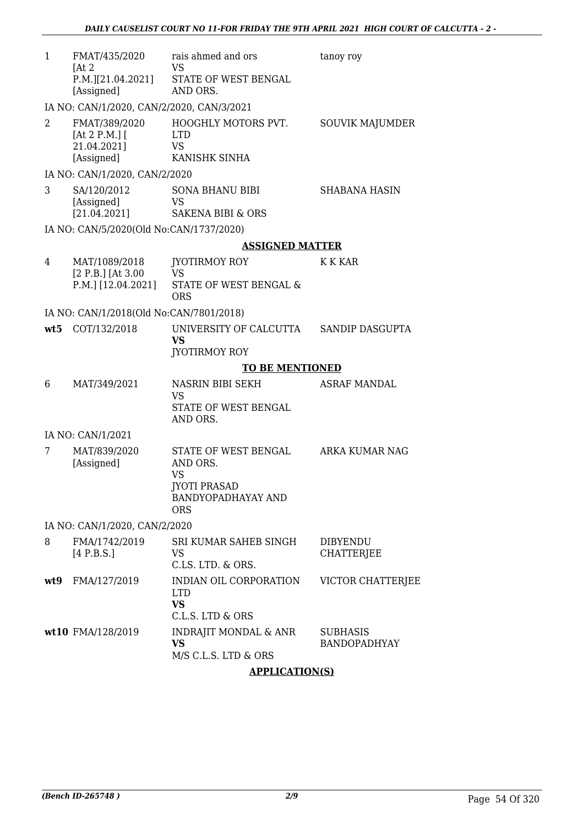| $\mathbf{1}$ | FMAT/435/2020<br>[At 2]<br>P.M.][21.04.2021]               | rais ahmed and ors<br>VS<br>STATE OF WEST BENGAL                                                         | tanoy roy                            |
|--------------|------------------------------------------------------------|----------------------------------------------------------------------------------------------------------|--------------------------------------|
|              | [Assigned]<br>IA NO: CAN/1/2020, CAN/2/2020, CAN/3/2021    | AND ORS.                                                                                                 |                                      |
| 2            | FMAT/389/2020<br>[At 2 P.M.] $[$<br>21.04.2021]            | HOOGHLY MOTORS PVT.<br><b>LTD</b><br>VS                                                                  | SOUVIK MAJUMDER                      |
|              | [Assigned]<br>IA NO: CAN/1/2020, CAN/2/2020                | KANISHK SINHA                                                                                            |                                      |
| 3            | SA/120/2012<br>[Assigned]<br>[21.04.2021]                  | <b>SONA BHANU BIBI</b><br><b>VS</b><br><b>SAKENA BIBI &amp; ORS</b>                                      | <b>SHABANA HASIN</b>                 |
|              | IA NO: CAN/5/2020(Old No:CAN/1737/2020)                    |                                                                                                          |                                      |
|              |                                                            | <b>ASSIGNED MATTER</b>                                                                                   |                                      |
| 4            | MAT/1089/2018<br>$[2 P.B.]$ [At 3.00<br>P.M.] [12.04.2021] | JYOTIRMOY ROY<br><b>VS</b><br>STATE OF WEST BENGAL &<br><b>ORS</b>                                       | K K KAR                              |
|              | IA NO: CAN/1/2018(Old No:CAN/7801/2018)                    |                                                                                                          |                                      |
| wt5          | COT/132/2018                                               | UNIVERSITY OF CALCUTTA<br><b>VS</b><br><b>JYOTIRMOY ROY</b>                                              | SANDIP DASGUPTA                      |
|              |                                                            | <b>TO BE MENTIONED</b>                                                                                   |                                      |
| 6            |                                                            |                                                                                                          |                                      |
|              | MAT/349/2021                                               | NASRIN BIBI SEKH<br><b>VS</b><br>STATE OF WEST BENGAL<br>AND ORS.                                        | <b>ASRAF MANDAL</b>                  |
|              | IA NO: CAN/1/2021                                          |                                                                                                          |                                      |
| 7            | MAT/839/2020<br>[Assigned]                                 | STATE OF WEST BENGAL<br>AND ORS.<br>VS<br><b>JYOTI PRASAD</b><br><b>BANDYOPADHAYAY AND</b><br><b>ORS</b> | ARKA KUMAR NAG                       |
|              | IA NO: CAN/1/2020, CAN/2/2020                              |                                                                                                          |                                      |
| 8            | FMA/1742/2019<br>[4 P.B.S.]                                | SRI KUMAR SAHEB SINGH<br>VS<br>C.LS. LTD. & ORS.                                                         | <b>DIBYENDU</b><br><b>CHATTERJEE</b> |
| wt9          | FMA/127/2019                                               | INDIAN OIL CORPORATION<br><b>LTD</b><br><b>VS</b><br>C.L.S. LTD & ORS                                    | VICTOR CHATTERJEE                    |

## **APPLICATION(S)**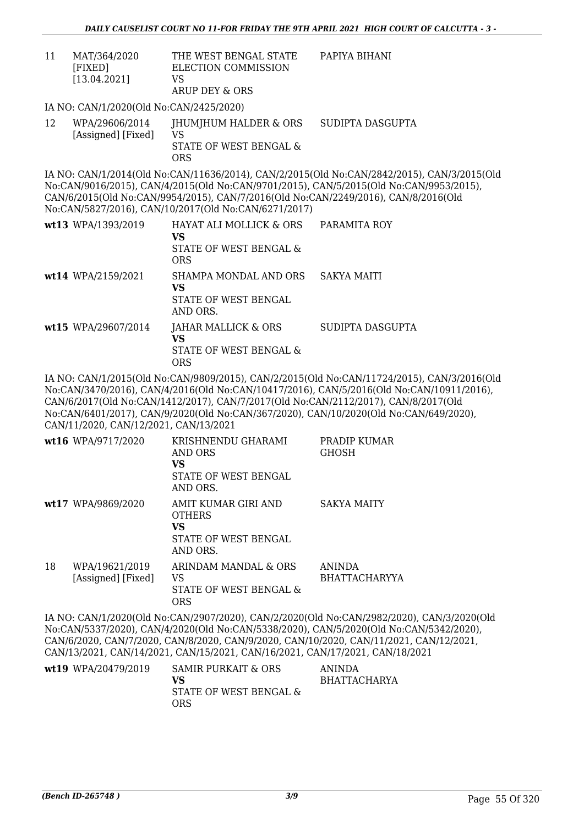11 MAT/364/2020 [FIXED] [13.04.2021] THE WEST BENGAL STATE ELECTION COMMISSION VS ARUP DEY & ORS PAPIYA BIHANI

IA NO: CAN/1/2020(Old No:CAN/2425/2020)

12 WPA/29606/2014 [Assigned] [Fixed] JHUMJHUM HALDER & ORS VS STATE OF WEST BENGAL & ORS SUDIPTA DASGUPTA

IA NO: CAN/1/2014(Old No:CAN/11636/2014), CAN/2/2015(Old No:CAN/2842/2015), CAN/3/2015(Old No:CAN/9016/2015), CAN/4/2015(Old No:CAN/9701/2015), CAN/5/2015(Old No:CAN/9953/2015), CAN/6/2015(Old No:CAN/9954/2015), CAN/7/2016(Old No:CAN/2249/2016), CAN/8/2016(Old No:CAN/5827/2016), CAN/10/2017(Old No:CAN/6271/2017)

| wt13 WPA/1393/2019  | HAYAT ALI MOLLICK & ORS<br>VS<br>STATE OF WEST BENGAL &<br><b>ORS</b> | PARAMITA ROY     |
|---------------------|-----------------------------------------------------------------------|------------------|
| wt14 WPA/2159/2021  | SHAMPA MONDAL AND ORS<br>VS<br>STATE OF WEST BENGAL<br>AND ORS.       | SAKYA MAITI      |
| wt15 WPA/29607/2014 | JAHAR MALLICK & ORS<br>VS<br>STATE OF WEST BENGAL &<br>ORS            | SUDIPTA DASGUPTA |

IA NO: CAN/1/2015(Old No:CAN/9809/2015), CAN/2/2015(Old No:CAN/11724/2015), CAN/3/2016(Old No:CAN/3470/2016), CAN/4/2016(Old No:CAN/10417/2016), CAN/5/2016(Old No:CAN/10911/2016), CAN/6/2017(Old No:CAN/1412/2017), CAN/7/2017(Old No:CAN/2112/2017), CAN/8/2017(Old No:CAN/6401/2017), CAN/9/2020(Old No:CAN/367/2020), CAN/10/2020(Old No:CAN/649/2020), CAN/11/2020, CAN/12/2021, CAN/13/2021

|    | wt16 WPA/9717/2020                   | KRISHNENDU GHARAMI<br>AND ORS<br>VS<br>STATE OF WEST BENGAL<br>AND ORS.        | PRADIP KUMAR<br><b>GHOSH</b>          |
|----|--------------------------------------|--------------------------------------------------------------------------------|---------------------------------------|
|    | wt17 WPA/9869/2020                   | AMIT KUMAR GIRI AND<br><b>OTHERS</b><br>VS<br>STATE OF WEST BENGAL<br>AND ORS. | <b>SAKYA MAITY</b>                    |
| 18 | WPA/19621/2019<br>[Assigned] [Fixed] | ARINDAM MANDAL & ORS<br>VS<br>STATE OF WEST BENGAL &<br>ORS                    | <b>ANINDA</b><br><b>BHATTACHARYYA</b> |

IA NO: CAN/1/2020(Old No:CAN/2907/2020), CAN/2/2020(Old No:CAN/2982/2020), CAN/3/2020(Old No:CAN/5337/2020), CAN/4/2020(Old No:CAN/5338/2020), CAN/5/2020(Old No:CAN/5342/2020), CAN/6/2020, CAN/7/2020, CAN/8/2020, CAN/9/2020, CAN/10/2020, CAN/11/2021, CAN/12/2021, CAN/13/2021, CAN/14/2021, CAN/15/2021, CAN/16/2021, CAN/17/2021, CAN/18/2021

| wt19 WPA/20479/2019 | SAMIR PURKAIT & ORS    | ANINDA              |
|---------------------|------------------------|---------------------|
|                     | VS                     | <b>BHATTACHARYA</b> |
|                     | STATE OF WEST BENGAL & |                     |
|                     | ORS                    |                     |
|                     |                        |                     |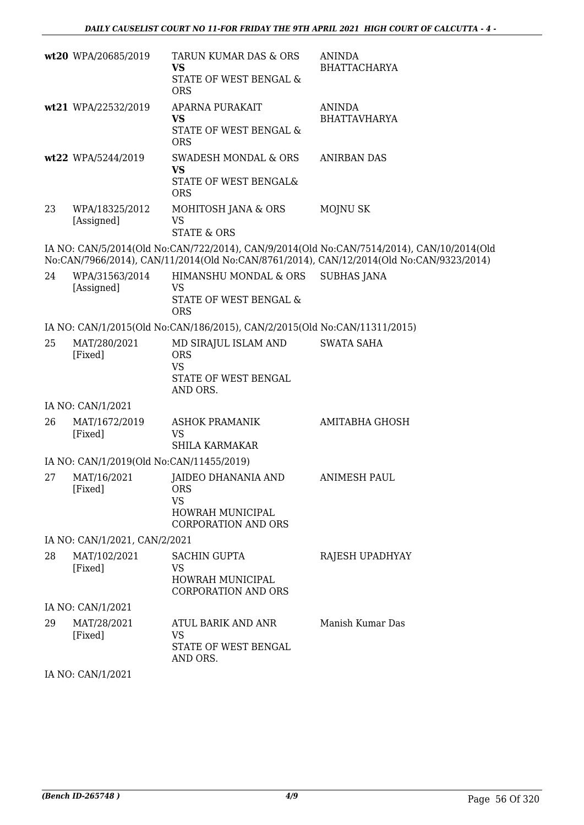|    | wt20 WPA/20685/2019                      | TARUN KUMAR DAS & ORS<br><b>VS</b>                                                  | <b>ANINDA</b><br><b>BHATTACHARYA</b>                                                      |
|----|------------------------------------------|-------------------------------------------------------------------------------------|-------------------------------------------------------------------------------------------|
|    |                                          | STATE OF WEST BENGAL &<br><b>ORS</b>                                                |                                                                                           |
|    | wt21 WPA/22532/2019                      | APARNA PURAKAIT<br><b>VS</b>                                                        | <b>ANINDA</b><br><b>BHATTAVHARYA</b>                                                      |
|    |                                          | STATE OF WEST BENGAL &<br><b>ORS</b>                                                |                                                                                           |
|    | wt22 WPA/5244/2019                       | <b>SWADESH MONDAL &amp; ORS</b><br><b>VS</b>                                        | ANIRBAN DAS                                                                               |
|    |                                          | STATE OF WEST BENGAL&<br><b>ORS</b>                                                 |                                                                                           |
| 23 | WPA/18325/2012<br>[Assigned]             | MOHITOSH JANA & ORS<br><b>VS</b><br><b>STATE &amp; ORS</b>                          | <b>MOJNU SK</b>                                                                           |
|    |                                          |                                                                                     | IA NO: CAN/5/2014(Old No:CAN/722/2014), CAN/9/2014(Old No:CAN/7514/2014), CAN/10/2014(Old |
|    |                                          |                                                                                     | No:CAN/7966/2014), CAN/11/2014(Old No:CAN/8761/2014), CAN/12/2014(Old No:CAN/9323/2014)   |
| 24 | WPA/31563/2014<br>[Assigned]             | HIMANSHU MONDAL & ORS<br><b>VS</b>                                                  | <b>SUBHAS JANA</b>                                                                        |
|    |                                          | <b>STATE OF WEST BENGAL &amp;</b>                                                   |                                                                                           |
|    |                                          | <b>ORS</b>                                                                          |                                                                                           |
|    |                                          | IA NO: CAN/1/2015(Old No:CAN/186/2015), CAN/2/2015(Old No:CAN/11311/2015)           |                                                                                           |
| 25 | MAT/280/2021<br>[Fixed]                  | MD SIRAJUL ISLAM AND<br><b>ORS</b><br><b>VS</b><br>STATE OF WEST BENGAL<br>AND ORS. | <b>SWATA SAHA</b>                                                                         |
|    | IA NO: CAN/1/2021                        |                                                                                     |                                                                                           |
| 26 | MAT/1672/2019<br>[Fixed]                 | <b>ASHOK PRAMANIK</b><br><b>VS</b><br><b>SHILA KARMAKAR</b>                         | <b>AMITABHA GHOSH</b>                                                                     |
|    | IA NO: CAN/1/2019(Old No:CAN/11455/2019) |                                                                                     |                                                                                           |
| 27 | MAT/16/2021                              | <b>JAIDEO DHANANIA AND</b>                                                          | <b>ANIMESH PAUL</b>                                                                       |
|    | [Fixed]                                  | <b>ORS</b>                                                                          |                                                                                           |
|    |                                          | <b>VS</b><br><b>HOWRAH MUNICIPAL</b>                                                |                                                                                           |
|    |                                          | <b>CORPORATION AND ORS</b>                                                          |                                                                                           |
|    | IA NO: CAN/1/2021, CAN/2/2021            |                                                                                     |                                                                                           |
| 28 | MAT/102/2021                             | <b>SACHIN GUPTA</b>                                                                 | RAJESH UPADHYAY                                                                           |
|    | [Fixed]                                  | VS<br>HOWRAH MUNICIPAL                                                              |                                                                                           |
|    |                                          | <b>CORPORATION AND ORS</b>                                                          |                                                                                           |
|    | IA NO: CAN/1/2021                        |                                                                                     |                                                                                           |
| 29 | MAT/28/2021                              | ATUL BARIK AND ANR                                                                  | Manish Kumar Das                                                                          |
|    | [Fixed]                                  | VS                                                                                  |                                                                                           |
|    |                                          | STATE OF WEST BENGAL<br>AND ORS.                                                    |                                                                                           |
|    | IA NO: CAN/1/2021                        |                                                                                     |                                                                                           |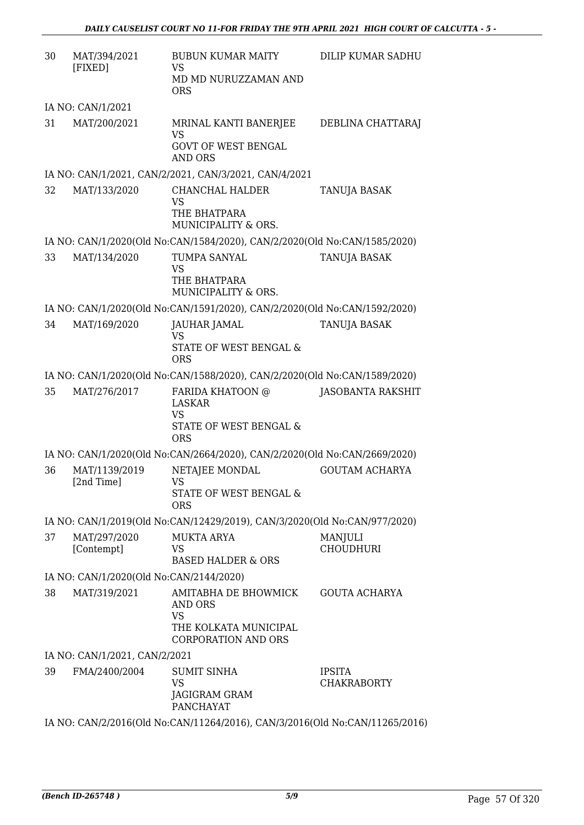| 30 | MAT/394/2021<br>[FIXED]                 | <b>BUBUN KUMAR MAITY</b><br>VS<br>MD MD NURUZZAMAN AND<br><b>ORS</b>                                       | DILIP KUMAR SADHU                   |
|----|-----------------------------------------|------------------------------------------------------------------------------------------------------------|-------------------------------------|
|    | IA NO: CAN/1/2021                       |                                                                                                            |                                     |
| 31 | MAT/200/2021                            | MRINAL KANTI BANERJEE<br><b>VS</b><br><b>GOVT OF WEST BENGAL</b>                                           | DEBLINA CHATTARAJ                   |
|    |                                         | <b>AND ORS</b><br>IA NO: CAN/1/2021, CAN/2/2021, CAN/3/2021, CAN/4/2021                                    |                                     |
| 32 | MAT/133/2020                            | CHANCHAL HALDER<br><b>VS</b><br>THE BHATPARA<br>MUNICIPALITY & ORS.                                        | TANUJA BASAK                        |
|    |                                         | IA NO: CAN/1/2020(Old No:CAN/1584/2020), CAN/2/2020(Old No:CAN/1585/2020)                                  |                                     |
| 33 | MAT/134/2020                            | TUMPA SANYAL<br><b>VS</b><br>THE BHATPARA<br>MUNICIPALITY & ORS.                                           | TANUJA BASAK                        |
|    |                                         | IA NO: CAN/1/2020(Old No:CAN/1591/2020), CAN/2/2020(Old No:CAN/1592/2020)                                  |                                     |
| 34 | MAT/169/2020                            | JAUHAR JAMAL<br><b>VS</b><br>STATE OF WEST BENGAL &<br><b>ORS</b>                                          | TANUJA BASAK                        |
|    |                                         | IA NO: CAN/1/2020(Old No:CAN/1588/2020), CAN/2/2020(Old No:CAN/1589/2020)                                  |                                     |
| 35 | MAT/276/2017                            | FARIDA KHATOON @<br><b>LASKAR</b><br><b>VS</b><br><b>STATE OF WEST BENGAL &amp;</b><br><b>ORS</b>          | <b>JASOBANTA RAKSHIT</b>            |
|    |                                         | IA NO: CAN/1/2020(Old No:CAN/2664/2020), CAN/2/2020(Old No:CAN/2669/2020)                                  |                                     |
| 36 | MAT/1139/2019<br>[2nd Time]             | NETAJEE MONDAL<br>VS —<br>STATE OF WEST BENGAL &<br><b>ORS</b>                                             | <b>GOUTAM ACHARYA</b>               |
|    |                                         | IA NO: CAN/1/2019(Old No:CAN/12429/2019), CAN/3/2020(Old No:CAN/977/2020)                                  |                                     |
| 37 | MAT/297/2020<br>[Contempt]              | <b>MUKTA ARYA</b><br><b>VS</b><br><b>BASED HALDER &amp; ORS</b>                                            | MANJULI<br><b>CHOUDHURI</b>         |
|    | IA NO: CAN/1/2020(Old No:CAN/2144/2020) |                                                                                                            |                                     |
| 38 | MAT/319/2021                            | <b>AMITABHA DE BHOWMICK</b><br>AND ORS<br><b>VS</b><br>THE KOLKATA MUNICIPAL<br><b>CORPORATION AND ORS</b> | <b>GOUTA ACHARYA</b>                |
|    | IA NO: CAN/1/2021, CAN/2/2021           |                                                                                                            |                                     |
| 39 | FMA/2400/2004                           | <b>SUMIT SINHA</b><br><b>VS</b><br>JAGIGRAM GRAM<br><b>PANCHAYAT</b>                                       | <b>IPSITA</b><br><b>CHAKRABORTY</b> |
|    |                                         | IA NO: CAN/2/2016(Old No:CAN/11264/2016), CAN/3/2016(Old No:CAN/11265/2016)                                |                                     |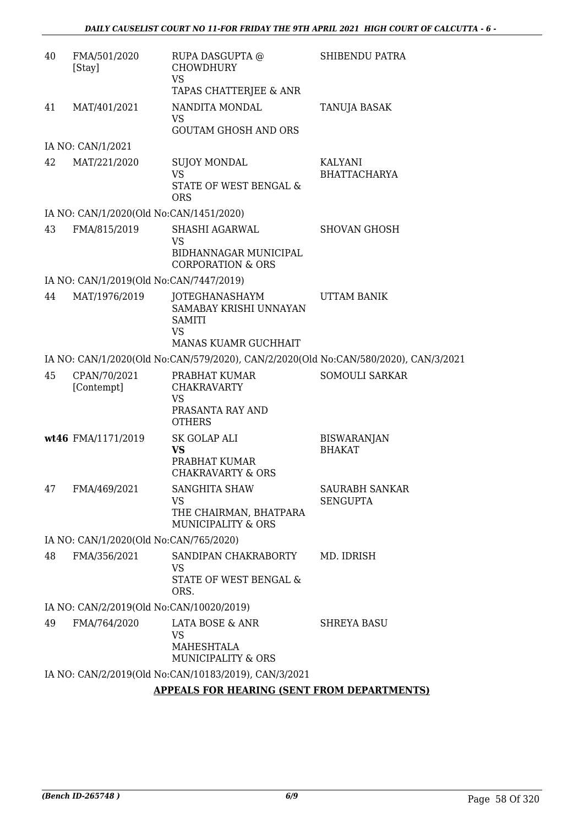| 40 | FMA/501/2020<br>[Stay]                   | RUPA DASGUPTA @<br><b>CHOWDHURY</b><br><b>VS</b><br>TAPAS CHATTERJEE & ANR            | SHIBENDU PATRA                           |
|----|------------------------------------------|---------------------------------------------------------------------------------------|------------------------------------------|
| 41 | MAT/401/2021                             | NANDITA MONDAL<br><b>VS</b><br><b>GOUTAM GHOSH AND ORS</b>                            | TANUJA BASAK                             |
|    | IA NO: CAN/1/2021                        |                                                                                       |                                          |
| 42 | MAT/221/2020                             | <b>SUJOY MONDAL</b><br><b>VS</b><br>STATE OF WEST BENGAL &<br><b>ORS</b>              | KALYANI<br><b>BHATTACHARYA</b>           |
|    | IA NO: CAN/1/2020(Old No:CAN/1451/2020)  |                                                                                       |                                          |
| 43 | FMA/815/2019                             | SHASHI AGARWAL<br><b>VS</b><br>BIDHANNAGAR MUNICIPAL<br><b>CORPORATION &amp; ORS</b>  | <b>SHOVAN GHOSH</b>                      |
|    | IA NO: CAN/1/2019(Old No:CAN/7447/2019)  |                                                                                       |                                          |
| 44 | MAT/1976/2019                            | JOTEGHANASHAYM<br>SAMABAY KRISHI UNNAYAN<br><b>SAMITI</b><br><b>VS</b>                | <b>UTTAM BANIK</b>                       |
|    |                                          | MANAS KUAMR GUCHHAIT                                                                  |                                          |
|    |                                          | IA NO: CAN/1/2020(Old No:CAN/579/2020), CAN/2/2020(Old No:CAN/580/2020), CAN/3/2021   |                                          |
| 45 | CPAN/70/2021<br>[Contempt]               | PRABHAT KUMAR<br><b>CHAKRAVARTY</b><br><b>VS</b>                                      | SOMOULI SARKAR                           |
|    |                                          | PRASANTA RAY AND<br><b>OTHERS</b>                                                     |                                          |
|    | wt46 FMA/1171/2019                       | <b>SK GOLAP ALI</b><br>VS<br>PRABHAT KUMAR<br><b>CHAKRAVARTY &amp; ORS</b>            | <b>BISWARANJAN</b><br><b>BHAKAT</b>      |
| 47 | FMA/469/2021                             | SANGHITA SHAW<br><b>VS</b><br>THE CHAIRMAN, BHATPARA<br><b>MUNICIPALITY &amp; ORS</b> | <b>SAURABH SANKAR</b><br><b>SENGUPTA</b> |
|    | IA NO: CAN/1/2020(Old No:CAN/765/2020)   |                                                                                       |                                          |
| 48 | FMA/356/2021                             | SANDIPAN CHAKRABORTY<br>VS<br>STATE OF WEST BENGAL &<br>ORS.                          | MD. IDRISH                               |
|    | IA NO: CAN/2/2019(Old No:CAN/10020/2019) |                                                                                       |                                          |
| 49 | FMA/764/2020                             | LATA BOSE & ANR                                                                       | <b>SHREYA BASU</b>                       |
|    |                                          | <b>VS</b><br>MAHESHTALA<br>MUNICIPALITY & ORS                                         |                                          |
|    |                                          | IA NO: CAN/2/2019(Old No:CAN/10183/2019), CAN/3/2021                                  |                                          |
|    |                                          | <b>APPEALS FOR HEARING (SENT FROM DEPARTMENTS)</b>                                    |                                          |
|    |                                          |                                                                                       |                                          |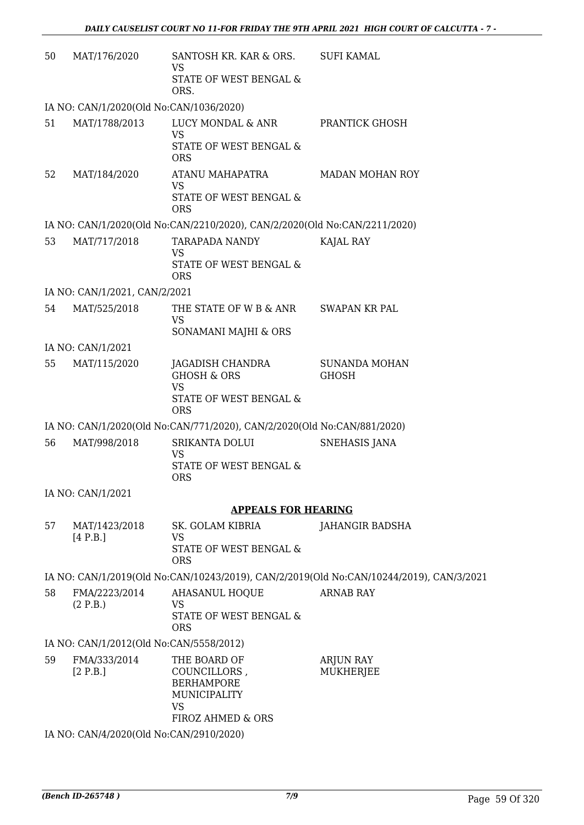| 50 | MAT/176/2020                            | SANTOSH KR. KAR & ORS.<br>VS                                                                        | <b>SUFI KAMAL</b>                                                                       |
|----|-----------------------------------------|-----------------------------------------------------------------------------------------------------|-----------------------------------------------------------------------------------------|
|    |                                         | <b>STATE OF WEST BENGAL &amp;</b><br>ORS.                                                           |                                                                                         |
|    | IA NO: CAN/1/2020(Old No:CAN/1036/2020) |                                                                                                     |                                                                                         |
| 51 | MAT/1788/2013                           | LUCY MONDAL & ANR<br><b>VS</b>                                                                      | PRANTICK GHOSH                                                                          |
|    |                                         | STATE OF WEST BENGAL &<br><b>ORS</b>                                                                |                                                                                         |
| 52 | MAT/184/2020                            | ATANU MAHAPATRA<br>VS                                                                               | <b>MADAN MOHAN ROY</b>                                                                  |
|    |                                         | STATE OF WEST BENGAL &<br><b>ORS</b>                                                                |                                                                                         |
|    |                                         | IA NO: CAN/1/2020(Old No:CAN/2210/2020), CAN/2/2020(Old No:CAN/2211/2020)                           |                                                                                         |
| 53 | MAT/717/2018                            | <b>TARAPADA NANDY</b><br><b>VS</b>                                                                  | KAJAL RAY                                                                               |
|    |                                         | <b>STATE OF WEST BENGAL &amp;</b><br><b>ORS</b>                                                     |                                                                                         |
|    | IA NO: CAN/1/2021, CAN/2/2021           |                                                                                                     |                                                                                         |
| 54 | MAT/525/2018                            | THE STATE OF W B & ANR<br><b>VS</b>                                                                 | SWAPAN KR PAL                                                                           |
|    |                                         | SONAMANI MAJHI & ORS                                                                                |                                                                                         |
|    | IA NO: CAN/1/2021                       |                                                                                                     |                                                                                         |
| 55 | MAT/115/2020                            | JAGADISH CHANDRA<br><b>GHOSH &amp; ORS</b><br><b>VS</b><br>STATE OF WEST BENGAL &<br><b>ORS</b>     | <b>SUNANDA MOHAN</b><br><b>GHOSH</b>                                                    |
|    |                                         | IA NO: CAN/1/2020(Old No:CAN/771/2020), CAN/2/2020(Old No:CAN/881/2020)                             |                                                                                         |
| 56 | MAT/998/2018                            | SRIKANTA DOLUI                                                                                      | <b>SNEHASIS JANA</b>                                                                    |
|    |                                         | <b>VS</b><br>STATE OF WEST BENGAL &<br><b>ORS</b>                                                   |                                                                                         |
|    | IA NO: CAN/1/2021                       |                                                                                                     |                                                                                         |
|    |                                         | <b>APPEALS FOR HEARING</b>                                                                          |                                                                                         |
| 57 | MAT/1423/2018                           | SK. GOLAM KIBRIA                                                                                    | JAHANGIR BADSHA                                                                         |
|    | [4 P.B.]                                | <b>VS</b>                                                                                           |                                                                                         |
|    |                                         | STATE OF WEST BENGAL &<br><b>ORS</b>                                                                |                                                                                         |
|    |                                         |                                                                                                     | IA NO: CAN/1/2019(Old No:CAN/10243/2019), CAN/2/2019(Old No:CAN/10244/2019), CAN/3/2021 |
| 58 | FMA/2223/2014<br>(2 P.B.)               | AHASANUL HOQUE<br><b>VS</b>                                                                         | <b>ARNAB RAY</b>                                                                        |
|    |                                         | STATE OF WEST BENGAL &<br><b>ORS</b>                                                                |                                                                                         |
|    | IA NO: CAN/1/2012(Old No:CAN/5558/2012) |                                                                                                     |                                                                                         |
| 59 | FMA/333/2014<br>[2 P.B.]                | THE BOARD OF<br>COUNCILLORS,<br><b>BERHAMPORE</b><br>MUNICIPALITY<br><b>VS</b><br>FIROZ AHMED & ORS | <b>ARJUN RAY</b><br><b>MUKHERJEE</b>                                                    |

IA NO: CAN/4/2020(Old No:CAN/2910/2020)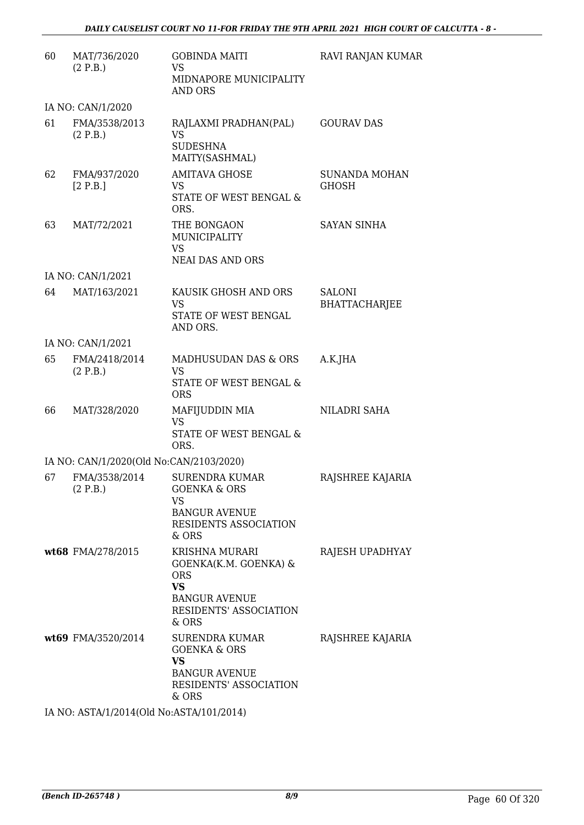| 60 | MAT/736/2020<br>(2 P.B.)                                       | <b>GOBINDA MAITI</b><br><b>VS</b><br>MIDNAPORE MUNICIPALITY<br><b>AND ORS</b>                                                        | RAVI RANJAN KUMAR                     |
|----|----------------------------------------------------------------|--------------------------------------------------------------------------------------------------------------------------------------|---------------------------------------|
|    | IA NO: CAN/1/2020                                              |                                                                                                                                      |                                       |
| 61 | FMA/3538/2013<br>(2 P.B.)                                      | RAJLAXMI PRADHAN(PAL)<br><b>VS</b><br><b>SUDESHNA</b><br>MAITY(SASHMAL)                                                              | <b>GOURAV DAS</b>                     |
| 62 | FMA/937/2020<br>[2 P.B.]                                       | <b>AMITAVA GHOSE</b><br>VS<br>STATE OF WEST BENGAL &<br>ORS.                                                                         | <b>SUNANDA MOHAN</b><br>GHOSH         |
| 63 | MAT/72/2021                                                    | THE BONGAON<br>MUNICIPALITY<br><b>VS</b><br><b>NEAI DAS AND ORS</b>                                                                  | <b>SAYAN SINHA</b>                    |
|    | IA NO: CAN/1/2021                                              |                                                                                                                                      |                                       |
| 64 | MAT/163/2021                                                   | KAUSIK GHOSH AND ORS<br><b>VS</b><br>STATE OF WEST BENGAL<br>AND ORS.                                                                | <b>SALONI</b><br><b>BHATTACHARJEE</b> |
|    | IA NO: CAN/1/2021                                              |                                                                                                                                      |                                       |
| 65 | FMA/2418/2014<br>(2 P.B.)                                      | <b>MADHUSUDAN DAS &amp; ORS</b><br>VS<br>STATE OF WEST BENGAL &<br><b>ORS</b>                                                        | A.K.JHA                               |
| 66 | MAT/328/2020                                                   | MAFIJUDDIN MIA<br><b>VS</b><br>STATE OF WEST BENGAL &<br>ORS.                                                                        | NILADRI SAHA                          |
|    | IA NO: CAN/1/2020(Old No:CAN/2103/2020)                        |                                                                                                                                      |                                       |
| 67 | FMA/3538/2014<br>(2 P.B.)                                      | <b>SURENDRA KUMAR</b><br><b>GOENKA &amp; ORS</b><br>VS<br><b>BANGUR AVENUE</b><br>RESIDENTS ASSOCIATION<br>& ORS                     | RAJSHREE KAJARIA                      |
|    | wt68 FMA/278/2015                                              | <b>KRISHNA MURARI</b><br>GOENKA(K.M. GOENKA) &<br><b>ORS</b><br><b>VS</b><br><b>BANGUR AVENUE</b><br>RESIDENTS' ASSOCIATION<br>& ORS | RAJESH UPADHYAY                       |
|    | wt69 FMA/3520/2014<br>IA NO: ASTA/1/2014(Old No:ASTA/101/2014) | <b>SURENDRA KUMAR</b><br><b>GOENKA &amp; ORS</b><br><b>VS</b><br><b>BANGUR AVENUE</b><br><b>RESIDENTS' ASSOCIATION</b><br>& ORS      | RAJSHREE KAJARIA                      |
|    |                                                                |                                                                                                                                      |                                       |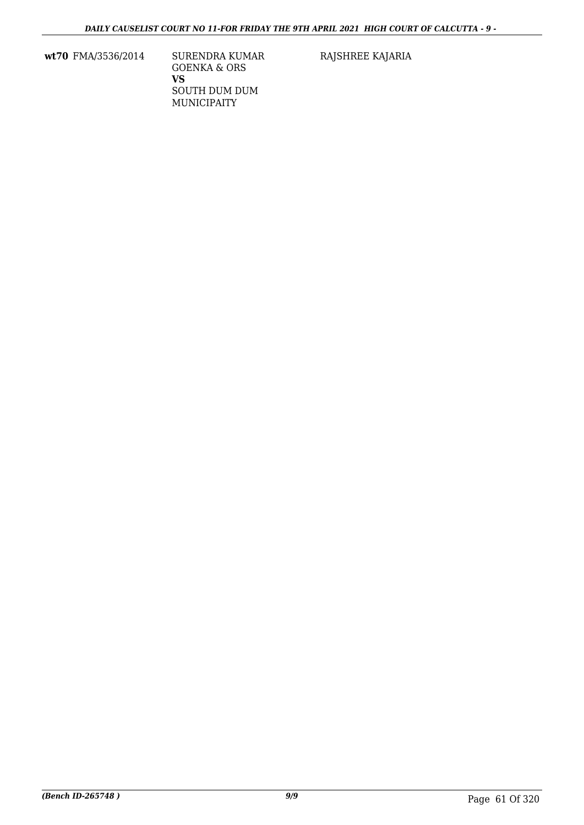**wt70** FMA/3536/2014 SURENDRA KUMAR

GOENKA & ORS **VS** SOUTH DUM DUM MUNICIPAITY

RAJSHREE KAJARIA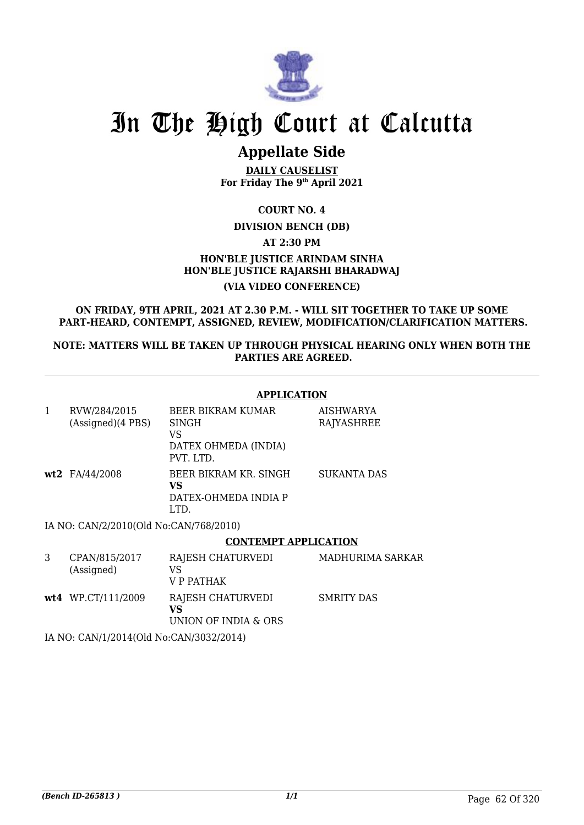

## **Appellate Side**

**DAILY CAUSELIST For Friday The 9th April 2021**

**COURT NO. 4**

## **DIVISION BENCH (DB)**

**AT 2:30 PM**

## **HON'BLE JUSTICE ARINDAM SINHA HON'BLE JUSTICE RAJARSHI BHARADWAJ (VIA VIDEO CONFERENCE)**

**ON FRIDAY, 9TH APRIL, 2021 AT 2.30 P.M. - WILL SIT TOGETHER TO TAKE UP SOME PART-HEARD, CONTEMPT, ASSIGNED, REVIEW, MODIFICATION/CLARIFICATION MATTERS.**

**NOTE: MATTERS WILL BE TAKEN UP THROUGH PHYSICAL HEARING ONLY WHEN BOTH THE PARTIES ARE AGREED.**

## **APPLICATION**

| 1 | RVW/284/2015<br>(Assigned)(4 PBS) | BEER BIKRAM KUMAR<br><b>SINGH</b><br>VS<br>DATEX OHMEDA (INDIA)<br>PVT. LTD. | AISHWARYA<br>RAJYASHREE |
|---|-----------------------------------|------------------------------------------------------------------------------|-------------------------|
|   | wt2 FA/44/2008                    | BEER BIKRAM KR. SINGH<br>VS<br>DATEX-OHMEDA INDIA P<br>LTD.                  | <b>SUKANTA DAS</b>      |

IA NO: CAN/2/2010(Old No:CAN/768/2010)

## **CONTEMPT APPLICATION**

| CPAN/815/2017<br>(Assigned) | RAJESH CHATURVEDI<br>VS<br>V P PATHAK           | MADHURIMA SARKAR |
|-----------------------------|-------------------------------------------------|------------------|
| $wt4$ WP.CT/111/2009        | RAJESH CHATURVEDI<br>VS<br>UNION OF INDIA & ORS | SMRITY DAS       |

IA NO: CAN/1/2014(Old No:CAN/3032/2014)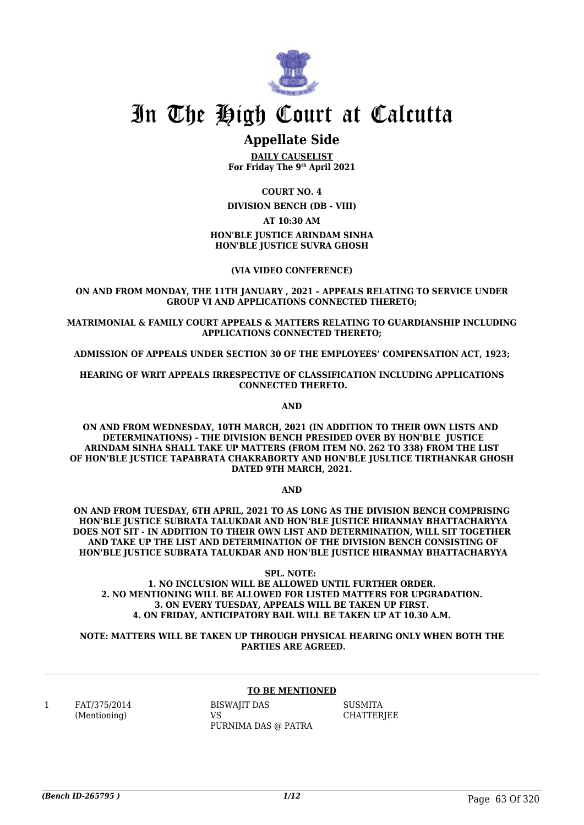

## **Appellate Side**

**DAILY CAUSELIST For Friday The 9th April 2021**

**COURT NO. 4 DIVISION BENCH (DB - VIII) AT 10:30 AM HON'BLE JUSTICE ARINDAM SINHA HON'BLE JUSTICE SUVRA GHOSH**

**(VIA VIDEO CONFERENCE)**

**ON AND FROM MONDAY, THE 11TH JANUARY , 2021 – APPEALS RELATING TO SERVICE UNDER GROUP VI AND APPLICATIONS CONNECTED THERETO;**

**MATRIMONIAL & FAMILY COURT APPEALS & MATTERS RELATING TO GUARDIANSHIP INCLUDING APPLICATIONS CONNECTED THERETO;**

**ADMISSION OF APPEALS UNDER SECTION 30 OF THE EMPLOYEES' COMPENSATION ACT, 1923;**

**HEARING OF WRIT APPEALS IRRESPECTIVE OF CLASSIFICATION INCLUDING APPLICATIONS CONNECTED THERETO.**

**AND**

**ON AND FROM WEDNESDAY, 10TH MARCH, 2021 (IN ADDITION TO THEIR OWN LISTS AND DETERMINATIONS) - THE DIVISION BENCH PRESIDED OVER BY HON'BLE JUSTICE ARINDAM SINHA SHALL TAKE UP MATTERS (FROM ITEM NO. 262 TO 338) FROM THE LIST OF HON'BLE JUSTICE TAPABRATA CHAKRABORTY AND HON'BLE JUSLTICE TIRTHANKAR GHOSH DATED 9TH MARCH, 2021.** 

**AND**

**ON AND FROM TUESDAY, 6TH APRIL, 2021 TO AS LONG AS THE DIVISION BENCH COMPRISING HON'BLE JUSTICE SUBRATA TALUKDAR AND HON'BLE JUSTICE HIRANMAY BHATTACHARYYA DOES NOT SIT - IN ADDITION TO THEIR OWN LIST AND DETERMINATION, WILL SIT TOGETHER AND TAKE UP THE LIST AND DETERMINATION OF THE DIVISION BENCH CONSISTING OF HON'BLE JUSTICE SUBRATA TALUKDAR AND HON'BLE JUSTICE HIRANMAY BHATTACHARYYA**

**SPL. NOTE: 1. NO INCLUSION WILL BE ALLOWED UNTIL FURTHER ORDER. 2. NO MENTIONING WILL BE ALLOWED FOR LISTED MATTERS FOR UPGRADATION. 3. ON EVERY TUESDAY, APPEALS WILL BE TAKEN UP FIRST. 4. ON FRIDAY, ANTICIPATORY BAIL WILL BE TAKEN UP AT 10.30 A.M.**

**NOTE: MATTERS WILL BE TAKEN UP THROUGH PHYSICAL HEARING ONLY WHEN BOTH THE PARTIES ARE AGREED.**

#### **TO BE MENTIONED**

1 FAT/375/2014 (Mentioning)

BISWAJIT DAS VS PURNIMA DAS @ PATRA

**SUSMITA CHATTERIEE**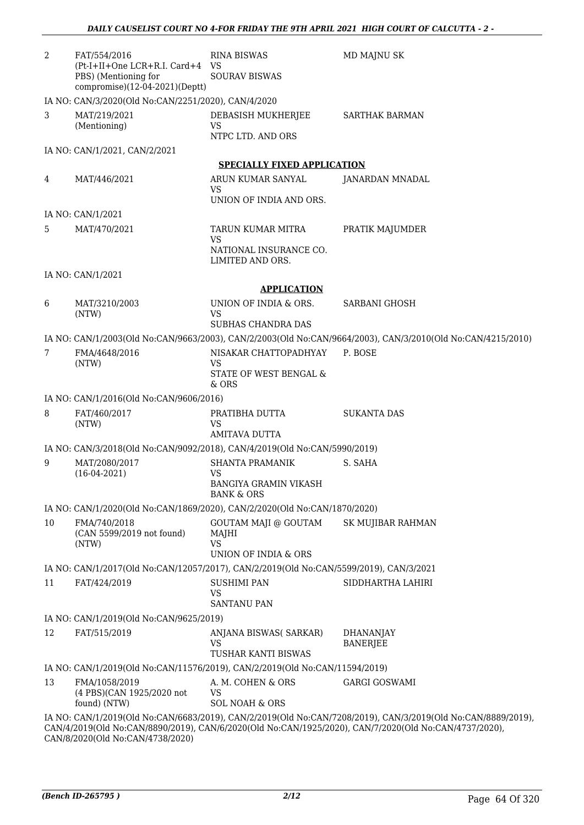| $\overline{2}$ | FAT/554/2016<br>(Pt-I+II+One LCR+R.I. Card+4 VS                                        | <b>RINA BISWAS</b>                                         | MD MAJNU SK                                                                                                 |
|----------------|----------------------------------------------------------------------------------------|------------------------------------------------------------|-------------------------------------------------------------------------------------------------------------|
|                | PBS) (Mentioning for                                                                   | <b>SOURAV BISWAS</b>                                       |                                                                                                             |
|                | compromise)(12-04-2021)(Deptt)                                                         |                                                            |                                                                                                             |
|                | IA NO: CAN/3/2020(Old No:CAN/2251/2020), CAN/4/2020                                    |                                                            |                                                                                                             |
| 3              | MAT/219/2021<br>(Mentioning)                                                           | DEBASISH MUKHERJEE<br>VS<br>NTPC LTD. AND ORS              | <b>SARTHAK BARMAN</b>                                                                                       |
|                | IA NO: CAN/1/2021, CAN/2/2021                                                          |                                                            |                                                                                                             |
|                |                                                                                        | <b>SPECIALLY FIXED APPLICATION</b>                         |                                                                                                             |
| 4              | MAT/446/2021                                                                           | ARUN KUMAR SANYAL<br>VS                                    | <b>JANARDAN MNADAL</b>                                                                                      |
|                |                                                                                        | UNION OF INDIA AND ORS.                                    |                                                                                                             |
|                | IA NO: CAN/1/2021                                                                      |                                                            |                                                                                                             |
| 5              | MAT/470/2021                                                                           | TARUN KUMAR MITRA<br>VS                                    | PRATIK MAJUMDER                                                                                             |
|                |                                                                                        | NATIONAL INSURANCE CO.<br>LIMITED AND ORS.                 |                                                                                                             |
|                | IA NO: CAN/1/2021                                                                      |                                                            |                                                                                                             |
|                |                                                                                        | <b>APPLICATION</b>                                         |                                                                                                             |
| 6              | MAT/3210/2003<br>(NTW)                                                                 | UNION OF INDIA & ORS.<br>VS                                | <b>SARBANI GHOSH</b>                                                                                        |
|                |                                                                                        | <b>SUBHAS CHANDRA DAS</b>                                  |                                                                                                             |
|                |                                                                                        |                                                            | IA NO: CAN/1/2003(Old No:CAN/9663/2003), CAN/2/2003(Old No:CAN/9664/2003), CAN/3/2010(Old No:CAN/4215/2010) |
| 7              | FMA/4648/2016<br>(NTW)                                                                 | NISAKAR CHATTOPADHYAY<br>VS                                | P. BOSE                                                                                                     |
|                |                                                                                        | STATE OF WEST BENGAL &<br>& ORS                            |                                                                                                             |
|                | IA NO: CAN/1/2016(Old No:CAN/9606/2016)                                                |                                                            |                                                                                                             |
| 8              | FAT/460/2017<br>(NTW)                                                                  | PRATIBHA DUTTA<br><b>VS</b>                                | <b>SUKANTA DAS</b>                                                                                          |
|                |                                                                                        | <b>AMITAVA DUTTA</b>                                       |                                                                                                             |
|                | IA NO: CAN/3/2018(Old No:CAN/9092/2018), CAN/4/2019(Old No:CAN/5990/2019)              |                                                            |                                                                                                             |
| 9              | MAT/2080/2017<br>$(16-04-2021)$                                                        | <b>SHANTA PRAMANIK</b><br>VS                               | S. SAHA                                                                                                     |
|                |                                                                                        | BANGIYA GRAMIN VIKASH<br><b>BANK &amp; ORS</b>             |                                                                                                             |
|                | IA NO: CAN/1/2020(Old No:CAN/1869/2020), CAN/2/2020(Old No:CAN/1870/2020)              |                                                            |                                                                                                             |
| 10             | FMA/740/2018<br>(CAN 5599/2019 not found)<br>(NTW)                                     | GOUTAM MAJI @ GOUTAM<br>MAJHI<br><b>VS</b>                 | <b>SK MUJIBAR RAHMAN</b>                                                                                    |
|                |                                                                                        | UNION OF INDIA & ORS                                       |                                                                                                             |
|                | IA NO: CAN/1/2017(Old No:CAN/12057/2017), CAN/2/2019(Old No:CAN/5599/2019), CAN/3/2021 |                                                            |                                                                                                             |
| 11             | FAT/424/2019                                                                           | <b>SUSHIMI PAN</b><br>VS                                   | SIDDHARTHA LAHIRI                                                                                           |
|                |                                                                                        | <b>SANTANU PAN</b>                                         |                                                                                                             |
|                | IA NO: CAN/1/2019(Old No:CAN/9625/2019)                                                |                                                            |                                                                                                             |
| 12             | FAT/515/2019                                                                           | ANJANA BISWAS( SARKAR)<br><b>VS</b><br>TUSHAR KANTI BISWAS | <b>DHANANJAY</b><br><b>BANERJEE</b>                                                                         |
|                | IA NO: CAN/1/2019(Old No:CAN/11576/2019), CAN/2/2019(Old No:CAN/11594/2019)            |                                                            |                                                                                                             |
| 13             | FMA/1058/2019                                                                          | A. M. COHEN & ORS                                          | <b>GARGI GOSWAMI</b>                                                                                        |
|                | (4 PBS)(CAN 1925/2020 not<br>found) (NTW)                                              | <b>VS</b><br><b>SOL NOAH &amp; ORS</b>                     |                                                                                                             |
|                |                                                                                        |                                                            | IA NO: CAN/1/2019(Old No:CAN/6683/2019), CAN/2/2019(Old No:CAN/7208/2019), CAN/3/2019(Old No:CAN/8889/2019) |
|                | CAN/8/2020(Old No:CAN/4738/2020)                                                       |                                                            | CAN/4/2019(Old No:CAN/8890/2019), CAN/6/2020(Old No:CAN/1925/2020), CAN/7/2020(Old No:CAN/4737/2020),       |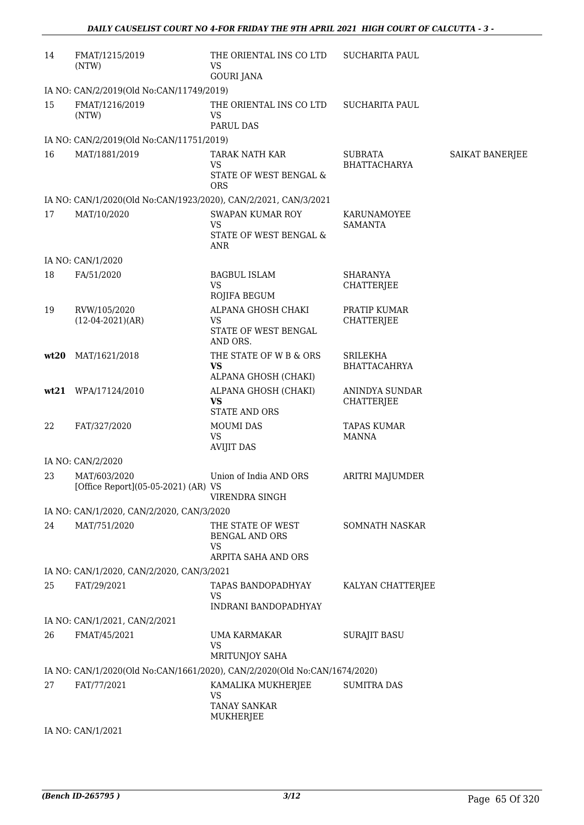| 14   | FMAT/1215/2019<br>(NTW)                                                   | THE ORIENTAL INS CO LTD<br>VS<br><b>GOURI JANA</b>                             | SUCHARITA PAUL                         |                 |
|------|---------------------------------------------------------------------------|--------------------------------------------------------------------------------|----------------------------------------|-----------------|
|      | IA NO: CAN/2/2019(Old No:CAN/11749/2019)                                  |                                                                                |                                        |                 |
| 15   | FMAT/1216/2019<br>(NTW)                                                   | THE ORIENTAL INS CO LTD<br>VS<br>PARUL DAS                                     | <b>SUCHARITA PAUL</b>                  |                 |
|      | IA NO: CAN/2/2019(Old No:CAN/11751/2019)                                  |                                                                                |                                        |                 |
| 16   | MAT/1881/2019                                                             | TARAK NATH KAR<br><b>VS</b><br>STATE OF WEST BENGAL &<br><b>ORS</b>            | <b>SUBRATA</b><br><b>BHATTACHARYA</b>  | SAIKAT BANERJEE |
|      | IA NO: CAN/1/2020(Old No:CAN/1923/2020), CAN/2/2021, CAN/3/2021           |                                                                                |                                        |                 |
| 17   | MAT/10/2020                                                               | <b>SWAPAN KUMAR ROY</b><br><b>VS</b><br>STATE OF WEST BENGAL &<br><b>ANR</b>   | KARUNAMOYEE<br><b>SAMANTA</b>          |                 |
|      | IA NO: CAN/1/2020                                                         |                                                                                |                                        |                 |
| 18   | FA/51/2020                                                                | <b>BAGBUL ISLAM</b><br><b>VS</b><br>ROJIFA BEGUM                               | <b>SHARANYA</b><br><b>CHATTERJEE</b>   |                 |
| 19   | RVW/105/2020<br>$(12-04-2021)(AR)$                                        | ALPANA GHOSH CHAKI<br><b>VS</b><br>STATE OF WEST BENGAL<br>AND ORS.            | PRATIP KUMAR<br><b>CHATTERJEE</b>      |                 |
| wt20 | MAT/1621/2018                                                             | THE STATE OF W B & ORS<br><b>VS</b><br>ALPANA GHOSH (CHAKI)                    | <b>SRILEKHA</b><br><b>BHATTACAHRYA</b> |                 |
|      | wt21 WPA/17124/2010                                                       | ALPANA GHOSH (CHAKI)<br><b>VS</b><br><b>STATE AND ORS</b>                      | ANINDYA SUNDAR<br><b>CHATTERJEE</b>    |                 |
| 22   | FAT/327/2020                                                              | <b>MOUMI DAS</b><br><b>VS</b><br><b>AVIJIT DAS</b>                             | <b>TAPAS KUMAR</b><br><b>MANNA</b>     |                 |
|      | IA NO: CAN/2/2020                                                         |                                                                                |                                        |                 |
| 23   | MAT/603/2020<br>[Office Report](05-05-2021) (AR) VS                       | Union of India AND ORS<br>VIRENDRA SINGH                                       | ARITRI MAJUMDER                        |                 |
|      | IA NO: CAN/1/2020, CAN/2/2020, CAN/3/2020                                 |                                                                                |                                        |                 |
| 24   | MAT/751/2020                                                              | THE STATE OF WEST<br><b>BENGAL AND ORS</b><br><b>VS</b><br>ARPITA SAHA AND ORS | <b>SOMNATH NASKAR</b>                  |                 |
|      | IA NO: CAN/1/2020, CAN/2/2020, CAN/3/2021                                 |                                                                                |                                        |                 |
| 25   | FAT/29/2021                                                               | TAPAS BANDOPADHYAY<br><b>VS</b><br>INDRANI BANDOPADHYAY                        | KALYAN CHATTERJEE                      |                 |
|      | IA NO: CAN/1/2021, CAN/2/2021                                             |                                                                                |                                        |                 |
| 26   | FMAT/45/2021                                                              | UMA KARMAKAR<br><b>VS</b><br><b>MRITUNJOY SAHA</b>                             | <b>SURAJIT BASU</b>                    |                 |
|      | IA NO: CAN/1/2020(Old No:CAN/1661/2020), CAN/2/2020(Old No:CAN/1674/2020) |                                                                                |                                        |                 |
| 27   | FAT/77/2021                                                               | KAMALIKA MUKHERJEE<br>VS<br><b>TANAY SANKAR</b><br>MUKHERJEE                   | <b>SUMITRA DAS</b>                     |                 |
|      | IA NO: CAN/1/2021                                                         |                                                                                |                                        |                 |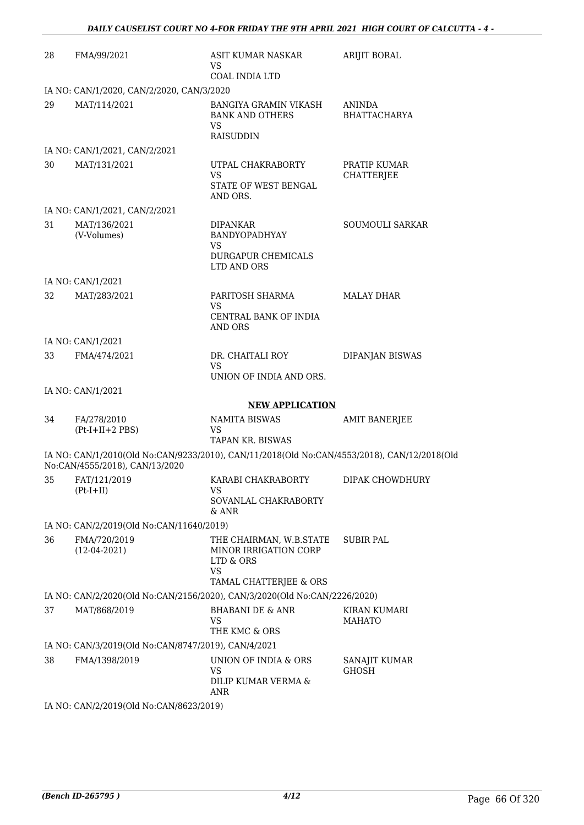| 28 | FMA/99/2021                                                                                                                   | ASIT KUMAR NASKAR<br>VS<br>COAL INDIA LTD                                                            | <b>ARIJIT BORAL</b>               |
|----|-------------------------------------------------------------------------------------------------------------------------------|------------------------------------------------------------------------------------------------------|-----------------------------------|
|    | IA NO: CAN/1/2020, CAN/2/2020, CAN/3/2020                                                                                     |                                                                                                      |                                   |
| 29 | MAT/114/2021                                                                                                                  | BANGIYA GRAMIN VIKASH<br><b>BANK AND OTHERS</b><br><b>VS</b><br><b>RAISUDDIN</b>                     | ANINDA<br><b>BHATTACHARYA</b>     |
|    | IA NO: CAN/1/2021, CAN/2/2021                                                                                                 |                                                                                                      |                                   |
| 30 | MAT/131/2021                                                                                                                  | UTPAL CHAKRABORTY<br>VS<br>STATE OF WEST BENGAL<br>AND ORS.                                          | PRATIP KUMAR<br><b>CHATTERJEE</b> |
|    | IA NO: CAN/1/2021, CAN/2/2021                                                                                                 |                                                                                                      |                                   |
| 31 | MAT/136/2021<br>(V-Volumes)                                                                                                   | <b>DIPANKAR</b><br>BANDYOPADHYAY<br>VS<br>DURGAPUR CHEMICALS<br>LTD AND ORS                          | SOUMOULI SARKAR                   |
|    | IA NO: CAN/1/2021                                                                                                             |                                                                                                      |                                   |
| 32 | MAT/283/2021                                                                                                                  | PARITOSH SHARMA<br>VS<br>CENTRAL BANK OF INDIA<br>AND ORS                                            | <b>MALAY DHAR</b>                 |
|    | IA NO: CAN/1/2021                                                                                                             |                                                                                                      |                                   |
| 33 | FMA/474/2021                                                                                                                  | DR. CHAITALI ROY<br>VS                                                                               | DIPANJAN BISWAS                   |
|    | IA NO: CAN/1/2021                                                                                                             | UNION OF INDIA AND ORS.                                                                              |                                   |
|    |                                                                                                                               | <b>NEW APPLICATION</b>                                                                               |                                   |
| 34 | FA/278/2010<br>$(Pt-I+II+2 PBS)$                                                                                              | NAMITA BISWAS<br><b>VS</b><br><b>TAPAN KR. BISWAS</b>                                                | AMIT BANERJEE                     |
|    | IA NO: CAN/1/2010(Old No:CAN/9233/2010), CAN/11/2018(Old No:CAN/4553/2018), CAN/12/2018(Old<br>No:CAN/4555/2018), CAN/13/2020 |                                                                                                      |                                   |
| 35 | FAT/121/2019<br>$(Pt-I+II)$                                                                                                   | KARABI CHAKRABORTY<br><b>VS</b><br>SOVANLAL CHAKRABORTY<br>$&$ ANR                                   | DIPAK CHOWDHURY                   |
|    | IA NO: CAN/2/2019(Old No:CAN/11640/2019)                                                                                      |                                                                                                      |                                   |
| 36 | FMA/720/2019<br>$(12-04-2021)$                                                                                                | THE CHAIRMAN, W.B.STATE<br>MINOR IRRIGATION CORP<br>LTD & ORS<br><b>VS</b><br>TAMAL CHATTERJEE & ORS | <b>SUBIR PAL</b>                  |
|    | IA NO: CAN/2/2020(Old No:CAN/2156/2020), CAN/3/2020(Old No:CAN/2226/2020)                                                     |                                                                                                      |                                   |
| 37 | MAT/868/2019                                                                                                                  | <b>BHABANI DE &amp; ANR</b><br><b>VS</b><br>THE KMC & ORS                                            | KIRAN KUMARI<br><b>MAHATO</b>     |
|    | IA NO: CAN/3/2019(Old No:CAN/8747/2019), CAN/4/2021                                                                           |                                                                                                      |                                   |
| 38 | FMA/1398/2019                                                                                                                 | UNION OF INDIA & ORS<br>VS<br>DILIP KUMAR VERMA &<br>ANR                                             | SANAJIT KUMAR<br>GHOSH            |
|    | IA NO: CAN/2/2019(Old No:CAN/8623/2019)                                                                                       |                                                                                                      |                                   |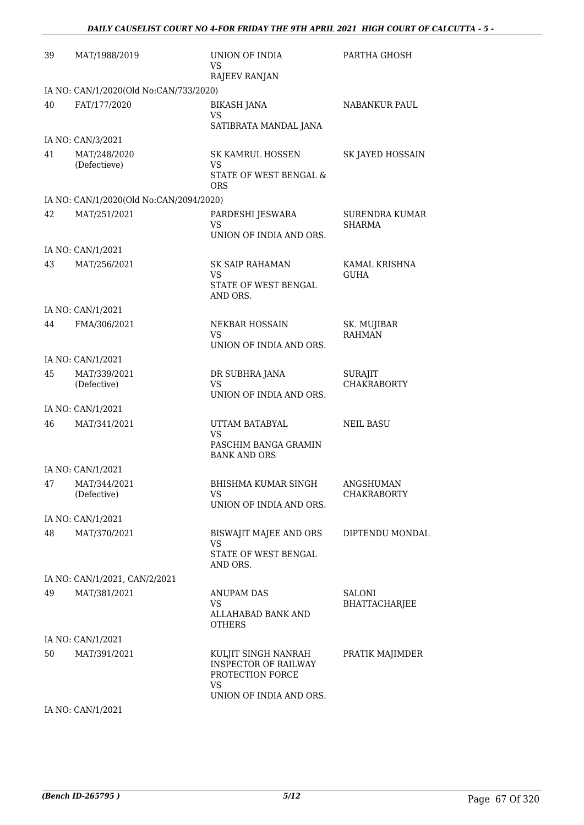| 39 | MAT/1988/2019                           | UNION OF INDIA<br>VS<br><b>RAJEEV RANJAN</b>                 | PARTHA GHOSH                           |
|----|-----------------------------------------|--------------------------------------------------------------|----------------------------------------|
|    | IA NO: CAN/1/2020(Old No:CAN/733/2020)  |                                                              |                                        |
| 40 | FAT/177/2020                            | <b>BIKASH JANA</b><br>VS                                     | NABANKUR PAUL                          |
|    |                                         | SATIBRATA MANDAL JANA                                        |                                        |
|    | IA NO: CAN/3/2021                       |                                                              |                                        |
| 41 | MAT/248/2020<br>(Defectieve)            | SK KAMRUL HOSSEN<br>VS<br><b>STATE OF WEST BENGAL &amp;</b>  | SK JAYED HOSSAIN                       |
|    |                                         | <b>ORS</b>                                                   |                                        |
|    | IA NO: CAN/1/2020(Old No:CAN/2094/2020) |                                                              |                                        |
| 42 | MAT/251/2021                            | PARDESHI JESWARA<br><b>VS</b>                                | SURENDRA KUMAR<br><b>SHARMA</b>        |
|    |                                         | UNION OF INDIA AND ORS.                                      |                                        |
|    | IA NO: CAN/1/2021                       |                                                              |                                        |
| 43 | MAT/256/2021                            | <b>SK SAIP RAHAMAN</b><br>VS                                 | KAMAL KRISHNA<br><b>GUHA</b>           |
|    |                                         | STATE OF WEST BENGAL<br>AND ORS.                             |                                        |
|    | IA NO: CAN/1/2021                       |                                                              |                                        |
| 44 | FMA/306/2021                            | <b>NEKBAR HOSSAIN</b><br><b>VS</b>                           | SK. MUJIBAR<br><b>RAHMAN</b>           |
|    |                                         | UNION OF INDIA AND ORS.                                      |                                        |
|    | IA NO: CAN/1/2021                       |                                                              |                                        |
| 45 | MAT/339/2021<br>(Defective)             | DR SUBHRA JANA<br><b>VS</b><br>UNION OF INDIA AND ORS.       | SURAJIT<br><b>CHAKRABORTY</b>          |
|    | IA NO: CAN/1/2021                       |                                                              |                                        |
| 46 | MAT/341/2021                            | UTTAM BATABYAL                                               | <b>NEIL BASU</b>                       |
|    |                                         | <b>VS</b><br>PASCHIM BANGA GRAMIN                            |                                        |
|    |                                         | <b>BANK AND ORS</b>                                          |                                        |
|    | IA NO: CAN/1/2021                       |                                                              |                                        |
|    | 47 MAT/344/2021<br>(Defective)          | BHISHMA KUMAR SINGH<br>VS                                    | <b>ANGSHUMAN</b><br><b>CHAKRABORTY</b> |
|    |                                         | UNION OF INDIA AND ORS.                                      |                                        |
|    | IA NO: CAN/1/2021                       |                                                              |                                        |
| 48 | MAT/370/2021                            | BISWAJIT MAJEE AND ORS<br><b>VS</b>                          | DIPTENDU MONDAL                        |
|    |                                         | STATE OF WEST BENGAL<br>AND ORS.                             |                                        |
|    | IA NO: CAN/1/2021, CAN/2/2021           |                                                              |                                        |
| 49 | MAT/381/2021                            | <b>ANUPAM DAS</b>                                            | <b>SALONI</b>                          |
|    |                                         | VS<br>ALLAHABAD BANK AND<br><b>OTHERS</b>                    | <b>BHATTACHARJEE</b>                   |
|    | IA NO: CAN/1/2021                       |                                                              |                                        |
| 50 | MAT/391/2021                            | KULJIT SINGH NANRAH                                          | PRATIK MAJIMDER                        |
|    |                                         | <b>INSPECTOR OF RAILWAY</b><br>PROTECTION FORCE<br><b>VS</b> |                                        |
|    |                                         | UNION OF INDIA AND ORS.                                      |                                        |

IA NO: CAN/1/2021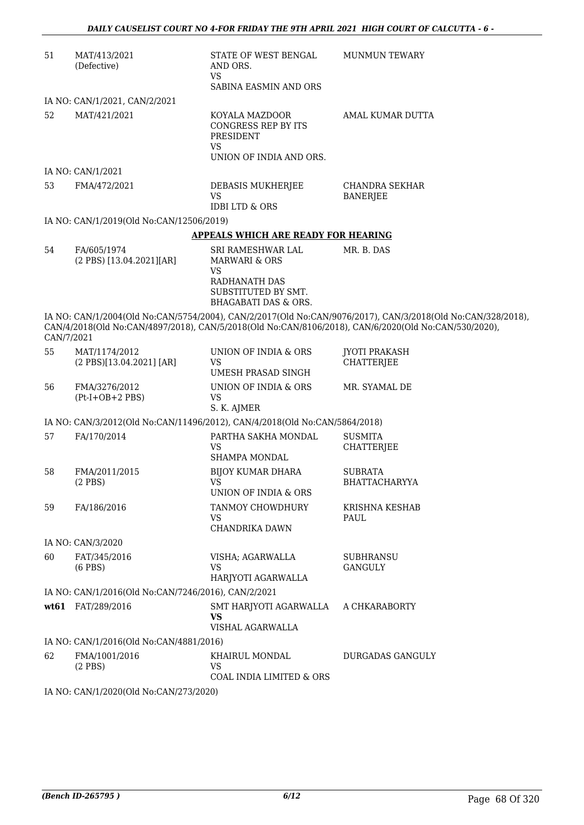| 51         | MAT/413/2021<br>(Defective)                                                | STATE OF WEST BENGAL<br>AND ORS.<br>VS.<br>SABINA EASMIN AND ORS                                                                | <b>MUNMUN TEWARY</b>                                                                                                                                                                                                |
|------------|----------------------------------------------------------------------------|---------------------------------------------------------------------------------------------------------------------------------|---------------------------------------------------------------------------------------------------------------------------------------------------------------------------------------------------------------------|
|            | IA NO: CAN/1/2021, CAN/2/2021                                              |                                                                                                                                 |                                                                                                                                                                                                                     |
| 52         | MAT/421/2021                                                               | KOYALA MAZDOOR<br><b>CONGRESS REP BY ITS</b><br>PRESIDENT<br><b>VS</b><br>UNION OF INDIA AND ORS.                               | AMAL KUMAR DUTTA                                                                                                                                                                                                    |
|            | IA NO: CAN/1/2021                                                          |                                                                                                                                 |                                                                                                                                                                                                                     |
| 53         | FMA/472/2021                                                               | DEBASIS MUKHERJEE<br><b>VS</b><br><b>IDBI LTD &amp; ORS</b>                                                                     | <b>CHANDRA SEKHAR</b><br><b>BANERJEE</b>                                                                                                                                                                            |
|            | IA NO: CAN/1/2019(Old No:CAN/12506/2019)                                   |                                                                                                                                 |                                                                                                                                                                                                                     |
|            |                                                                            | <b>APPEALS WHICH ARE READY FOR HEARING</b>                                                                                      |                                                                                                                                                                                                                     |
| 54         | FA/605/1974<br>(2 PBS) [13.04.2021][AR]                                    | SRI RAMESHWAR LAL<br><b>MARWARI &amp; ORS</b><br>VS.<br>RADHANATH DAS<br>SUBSTITUTED BY SMT.<br><b>BHAGABATI DAS &amp; ORS.</b> | MR. B. DAS                                                                                                                                                                                                          |
| CAN/7/2021 |                                                                            |                                                                                                                                 | IA NO: CAN/1/2004(Old No:CAN/5754/2004), CAN/2/2017(Old No:CAN/9076/2017), CAN/3/2018(Old No:CAN/328/2018),<br>CAN/4/2018(Old No:CAN/4897/2018), CAN/5/2018(Old No:CAN/8106/2018), CAN/6/2020(Old No:CAN/530/2020), |
| 55         | MAT/1174/2012<br>(2 PBS)[13.04.2021] [AR]                                  | UNION OF INDIA & ORS<br><b>VS</b><br>UMESH PRASAD SINGH                                                                         | <b>JYOTI PRAKASH</b><br><b>CHATTERJEE</b>                                                                                                                                                                           |
| 56         | FMA/3276/2012<br>$(Pt-I+OB+2 PBS)$                                         | UNION OF INDIA & ORS<br><b>VS</b><br>S. K. AJMER                                                                                | MR. SYAMAL DE                                                                                                                                                                                                       |
|            | IA NO: CAN/3/2012(Old No:CAN/11496/2012), CAN/4/2018(Old No:CAN/5864/2018) |                                                                                                                                 |                                                                                                                                                                                                                     |
| 57         | FA/170/2014                                                                | PARTHA SAKHA MONDAL<br>VS<br>SHAMPA MONDAL                                                                                      | <b>SUSMITA</b><br>CHATTERJEE                                                                                                                                                                                        |
| 58         | FMA/2011/2015<br>$(2$ PBS $)$                                              | <b>BIJOY KUMAR DHARA</b><br>VS<br>UNION OF INDIA & ORS                                                                          | <b>SUBRATA</b><br><b>BHATTACHARYYA</b>                                                                                                                                                                              |
| 59         | FA/186/2016                                                                | TANMOY CHOWDHURY<br>VS<br>CHANDRIKA DAWN                                                                                        | KRISHNA KESHAB<br>PAUL                                                                                                                                                                                              |
|            | IA NO: CAN/3/2020                                                          |                                                                                                                                 |                                                                                                                                                                                                                     |
| 60         | FAT/345/2016<br>$(6$ PBS $)$                                               | VISHA; AGARWALLA<br>VS<br>HARJYOTI AGARWALLA                                                                                    | SUBHRANSU<br><b>GANGULY</b>                                                                                                                                                                                         |
|            | IA NO: CAN/1/2016(Old No:CAN/7246/2016), CAN/2/2021                        |                                                                                                                                 |                                                                                                                                                                                                                     |
|            | wt61 FAT/289/2016                                                          | SMT HARJYOTI AGARWALLA<br><b>VS</b><br>VISHAL AGARWALLA                                                                         | A CHKARABORTY                                                                                                                                                                                                       |
|            | IA NO: CAN/1/2016(Old No:CAN/4881/2016)                                    |                                                                                                                                 |                                                                                                                                                                                                                     |
| 62         | FMA/1001/2016<br>$(2$ PBS)                                                 | KHAIRUL MONDAL<br><b>VS</b><br>COAL INDIA LIMITED & ORS                                                                         | DURGADAS GANGULY                                                                                                                                                                                                    |
|            | IA NO: CAN/1/2020(Old No:CAN/273/2020)                                     |                                                                                                                                 |                                                                                                                                                                                                                     |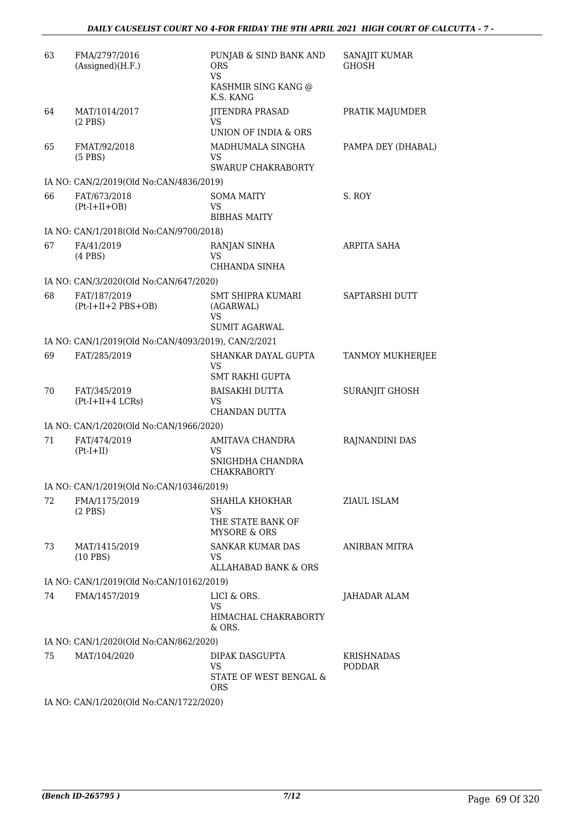| 63  | FMA/2797/2016<br>(Assigned)(H.F.)                   | PUNJAB & SIND BANK AND<br><b>ORS</b><br><b>VS</b><br>KASHMIR SING KANG @<br>K.S. KANG | SANAJIT KUMAR<br><b>GHOSH</b> |
|-----|-----------------------------------------------------|---------------------------------------------------------------------------------------|-------------------------------|
| 64  | MAT/1014/2017<br>$(2$ PBS)                          | <b>JITENDRA PRASAD</b><br><b>VS</b><br>UNION OF INDIA & ORS                           | PRATIK MAJUMDER               |
| 65  | FMAT/92/2018<br>$(5$ PBS)                           | MADHUMALA SINGHA<br>VS<br><b>SWARUP CHAKRABORTY</b>                                   | PAMPA DEY (DHABAL)            |
|     | IA NO: CAN/2/2019(Old No:CAN/4836/2019)             |                                                                                       |                               |
| 66  | FAT/673/2018<br>$(Pt-I+II+OB)$                      | SOMA MAITY<br>VS<br><b>BIBHAS MAITY</b>                                               | S. ROY                        |
|     | IA NO: CAN/1/2018(Old No:CAN/9700/2018)             |                                                                                       |                               |
| 67  | FA/41/2019<br>$(4$ PBS $)$                          | RANJAN SINHA<br>VS<br>CHHANDA SINHA                                                   | <b>ARPITA SAHA</b>            |
|     | IA NO: CAN/3/2020(Old No:CAN/647/2020)              |                                                                                       |                               |
| 68  | FAT/187/2019<br>$(Pt-I+II+2 PBS+OB)$                | <b>SMT SHIPRA KUMARI</b><br>(AGARWAL)<br>VS<br><b>SUMIT AGARWAL</b>                   | <b>SAPTARSHI DUTT</b>         |
|     | IA NO: CAN/1/2019(Old No:CAN/4093/2019), CAN/2/2021 |                                                                                       |                               |
| 69  | FAT/285/2019                                        | SHANKAR DAYAL GUPTA<br>VS<br><b>SMT RAKHI GUPTA</b>                                   | TANMOY MUKHERJEE              |
| 70  | FAT/345/2019<br>$(Pt-I+II+4 LCRs)$                  | <b>BAISAKHI DUTTA</b><br>VS<br><b>CHANDAN DUTTA</b>                                   | SURANJIT GHOSH                |
|     | IA NO: CAN/1/2020(Old No:CAN/1966/2020)             |                                                                                       |                               |
| 71  | FAT/474/2019<br>$(Pt-I+II)$                         | AMITAVA CHANDRA<br>VS<br>SNIGHDHA CHANDRA<br><b>CHAKRABORTY</b>                       | RAJNANDINI DAS                |
|     | IA NO: CAN/1/2019(Old No:CAN/10346/2019)            |                                                                                       |                               |
| 72  | FMA/1175/2019<br>$(2$ PBS $)$                       | SHAHLA KHOKHAR<br><b>VS</b><br>THE STATE BANK OF<br><b>MYSORE &amp; ORS</b>           | ZIAUL ISLAM                   |
| 73. | MAT/1415/2019<br>$(10$ PBS)                         | <b>SANKAR KUMAR DAS</b><br>VS.<br>ALLAHABAD BANK & ORS                                | ANIRBAN MITRA                 |
|     | IA NO: CAN/1/2019(Old No:CAN/10162/2019)            |                                                                                       |                               |
| 74  | FMA/1457/2019                                       | LICI & ORS.<br><b>VS</b><br>HIMACHAL CHAKRABORTY<br>& ORS.                            | JAHADAR ALAM                  |
|     | IA NO: CAN/1/2020(Old No:CAN/862/2020)              |                                                                                       |                               |
| 75  | MAT/104/2020                                        | DIPAK DASGUPTA                                                                        | <b>KRISHNADAS</b>             |
|     |                                                     | VS<br>STATE OF WEST BENGAL &<br>ORS.                                                  | <b>PODDAR</b>                 |
|     | IA NO: CAN/1/2020(Old No:CAN/1722/2020)             |                                                                                       |                               |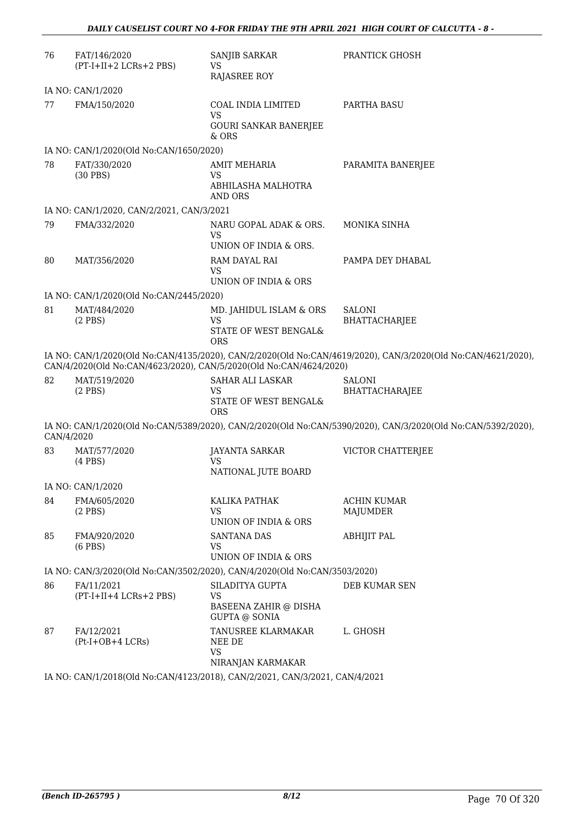| 76                                                                                                                                                                                 | FAT/146/2020<br>(PT-I+II+2 LCRs+2 PBS)                                    | SANJIB SARKAR<br>VS.<br>RAJASREE ROY                                                 | PRANTICK GHOSH                                                                                               |
|------------------------------------------------------------------------------------------------------------------------------------------------------------------------------------|---------------------------------------------------------------------------|--------------------------------------------------------------------------------------|--------------------------------------------------------------------------------------------------------------|
|                                                                                                                                                                                    | IA NO: CAN/1/2020                                                         |                                                                                      |                                                                                                              |
| 77                                                                                                                                                                                 | FMA/150/2020                                                              | COAL INDIA LIMITED<br><b>VS</b><br><b>GOURI SANKAR BANERJEE</b><br>$&$ ORS           | <b>PARTHA BASU</b>                                                                                           |
|                                                                                                                                                                                    | IA NO: CAN/1/2020(Old No:CAN/1650/2020)                                   |                                                                                      |                                                                                                              |
| 78                                                                                                                                                                                 | FAT/330/2020<br>$(30$ PBS)                                                | <b>AMIT MEHARIA</b><br><b>VS</b><br>ABHILASHA MALHOTRA<br><b>AND ORS</b>             | PARAMITA BANERJEE                                                                                            |
|                                                                                                                                                                                    | IA NO: CAN/1/2020, CAN/2/2021, CAN/3/2021                                 |                                                                                      |                                                                                                              |
| 79                                                                                                                                                                                 | FMA/332/2020                                                              | NARU GOPAL ADAK & ORS.<br><b>VS</b><br>UNION OF INDIA & ORS.                         | <b>MONIKA SINHA</b>                                                                                          |
| 80                                                                                                                                                                                 | MAT/356/2020                                                              | RAM DAYAL RAI<br><b>VS</b><br>UNION OF INDIA & ORS                                   | PAMPA DEY DHABAL                                                                                             |
|                                                                                                                                                                                    | IA NO: CAN/1/2020(Old No:CAN/2445/2020)                                   |                                                                                      |                                                                                                              |
| 81                                                                                                                                                                                 | MAT/484/2020<br>$(2$ PBS)                                                 | MD. JAHIDUL ISLAM & ORS<br><b>VS</b><br>STATE OF WEST BENGAL&<br><b>ORS</b>          | <b>SALONI</b><br>BHATTACHARJEE                                                                               |
| IA NO: CAN/1/2020(Old No:CAN/4135/2020), CAN/2/2020(Old No:CAN/4619/2020), CAN/3/2020(Old No:CAN/4621/2020),<br>CAN/4/2020(Old No:CAN/4623/2020), CAN/5/2020(Old No:CAN/4624/2020) |                                                                           |                                                                                      |                                                                                                              |
| 82                                                                                                                                                                                 | MAT/519/2020<br>$(2$ PBS)                                                 | SAHAR ALI LASKAR<br><b>VS</b><br>STATE OF WEST BENGAL&<br><b>ORS</b>                 | <b>SALONI</b><br>BHATTACHARAJEE                                                                              |
| CAN/4/2020                                                                                                                                                                         |                                                                           |                                                                                      | IA NO: CAN/1/2020(Old No:CAN/5389/2020), CAN/2/2020(Old No:CAN/5390/2020), CAN/3/2020(Old No:CAN/5392/2020), |
| 83                                                                                                                                                                                 | MAT/577/2020<br>$(4$ PBS $)$                                              | <b>JAYANTA SARKAR</b><br><b>VS</b><br>NATIONAL JUTE BOARD                            | <b>VICTOR CHATTERJEE</b>                                                                                     |
|                                                                                                                                                                                    | IA NO: CAN/1/2020                                                         |                                                                                      |                                                                                                              |
| 84                                                                                                                                                                                 | FMA/605/2020<br>$(2$ PBS $)$                                              | KALIKA PATHAK<br><b>VS</b><br>UNION OF INDIA & ORS                                   | <b>ACHIN KUMAR</b><br>MAJUMDER                                                                               |
| 85                                                                                                                                                                                 | FMA/920/2020<br>$(6$ PBS $)$                                              | <b>SANTANA DAS</b><br><b>VS</b><br>UNION OF INDIA & ORS                              | <b>ABHIJIT PAL</b>                                                                                           |
|                                                                                                                                                                                    | IA NO: CAN/3/2020(Old No:CAN/3502/2020), CAN/4/2020(Old No:CAN/3503/2020) |                                                                                      |                                                                                                              |
| 86                                                                                                                                                                                 | FA/11/2021<br>(PT-I+II+4 LCRs+2 PBS)                                      | SILADITYA GUPTA<br><b>VS</b><br><b>BASEENA ZAHIR @ DISHA</b><br><b>GUPTA @ SONIA</b> | DEB KUMAR SEN                                                                                                |
| 87                                                                                                                                                                                 | FA/12/2021<br>(Pt-I+OB+4 LCRs)                                            | TANUSREE KLARMAKAR<br>NEE DE<br><b>VS</b><br>NIRANJAN KARMAKAR                       | L. GHOSH                                                                                                     |

IA NO: CAN/1/2018(Old No:CAN/4123/2018), CAN/2/2021, CAN/3/2021, CAN/4/2021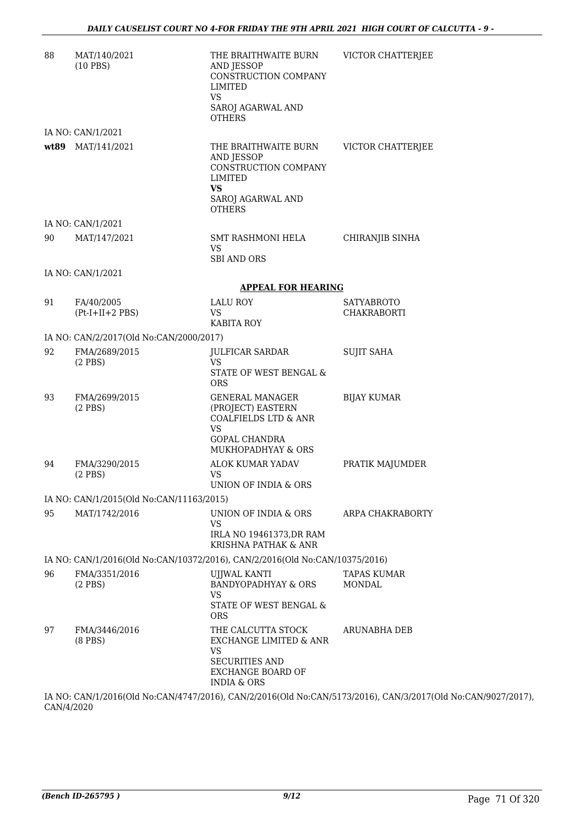| 88 | MAT/140/2021<br>$(10$ PBS)                                                  | THE BRAITHWAITE BURN<br><b>AND JESSOP</b><br>CONSTRUCTION COMPANY<br><b>LIMITED</b><br><b>VS</b><br>SAROJ AGARWAL AND<br><b>OTHERS</b>                 | VICTOR CHATTERJEE                       |
|----|-----------------------------------------------------------------------------|--------------------------------------------------------------------------------------------------------------------------------------------------------|-----------------------------------------|
|    | IA NO: CAN/1/2021                                                           |                                                                                                                                                        |                                         |
|    | wt89 MAT/141/2021                                                           | THE BRAITHWAITE BURN<br>AND JESSOP<br>CONSTRUCTION COMPANY<br><b>LIMITED</b><br><b>VS</b><br>SAROJ AGARWAL AND<br><b>OTHERS</b>                        | VICTOR CHATTERJEE                       |
|    | IA NO: CAN/1/2021                                                           |                                                                                                                                                        |                                         |
| 90 | MAT/147/2021                                                                | SMT RASHMONI HELA<br>VS.<br><b>SBI AND ORS</b>                                                                                                         | CHIRANJIB SINHA                         |
|    | IA NO: CAN/1/2021                                                           |                                                                                                                                                        |                                         |
|    |                                                                             | <b>APPEAL FOR HEARING</b>                                                                                                                              |                                         |
| 91 | FA/40/2005<br>$(Pt-I+II+2 PBS)$                                             | LALU ROY<br>VS.<br><b>KABITA ROY</b>                                                                                                                   | <b>SATYABROTO</b><br><b>CHAKRABORTI</b> |
|    | IA NO: CAN/2/2017(Old No:CAN/2000/2017)                                     |                                                                                                                                                        |                                         |
| 92 | FMA/2689/2015<br>$(2$ PBS)                                                  | JULFICAR SARDAR<br>VS.<br>STATE OF WEST BENGAL &<br><b>ORS</b>                                                                                         | <b>SUJIT SAHA</b>                       |
| 93 | FMA/2699/2015<br>$(2$ PBS)                                                  | <b>GENERAL MANAGER</b><br>(PROJECT) EASTERN<br><b>COALFIELDS LTD &amp; ANR</b><br><b>VS</b><br><b>GOPAL CHANDRA</b><br>MUKHOPADHYAY & ORS              | <b>BIJAY KUMAR</b>                      |
| 94 | FMA/3290/2015<br>$(2$ PBS)                                                  | ALOK KUMAR YADAV<br>VS<br>UNION OF INDIA & ORS                                                                                                         | PRATIK MAJUMDER                         |
|    | IA NO: CAN/1/2015(Old No:CAN/11163/2015)                                    |                                                                                                                                                        |                                         |
| 95 | MAT/1742/2016                                                               | UNION OF INDIA & ORS<br>VS<br>IRLA NO 19461373, DR RAM<br>KRISHNA PATHAK & ANR                                                                         | ARPA CHAKRABORTY                        |
|    | IA NO: CAN/1/2016(Old No:CAN/10372/2016), CAN/2/2016(Old No:CAN/10375/2016) |                                                                                                                                                        |                                         |
| 96 | FMA/3351/2016<br>$(2$ PBS)                                                  | UJJWAL KANTI<br><b>BANDYOPADHYAY &amp; ORS</b><br>VS<br>STATE OF WEST BENGAL &<br><b>ORS</b>                                                           | TAPAS KUMAR<br><b>MONDAL</b>            |
| 97 | FMA/3446/2016<br>$(8$ PBS $)$                                               | THE CALCUTTA STOCK<br>EXCHANGE LIMITED & ANR<br><b>VS</b><br><b>SECURITIES AND</b><br><b>EXCHANGE BOARD OF</b><br><b>INDIA &amp; ORS</b><br>OMNIOIBO1C | ARUNABHA DEB                            |

IA NO: CAN/1/2016(Old No:CAN/4747/2016), CAN/2/2016(Old No:CAN/5173/2016), CAN/3/2017(Old No:CAN/9027/2017), CAN/4/2020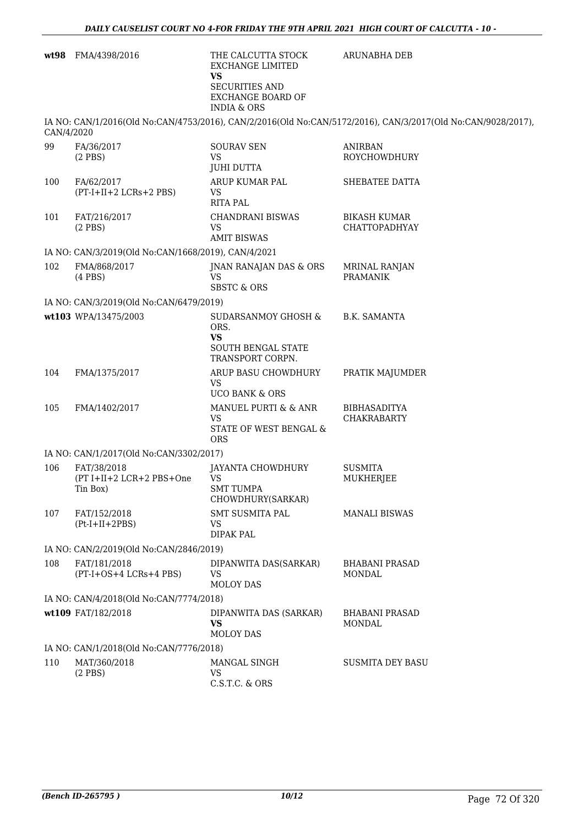| wt98       | FMA/4398/2016                                       | THE CALCUTTA STOCK<br><b>EXCHANGE LIMITED</b>                                            | ARUNABHA DEB                                                                                                 |
|------------|-----------------------------------------------------|------------------------------------------------------------------------------------------|--------------------------------------------------------------------------------------------------------------|
|            |                                                     | <b>VS</b><br><b>SECURITIES AND</b><br><b>EXCHANGE BOARD OF</b><br><b>INDIA &amp; ORS</b> |                                                                                                              |
| CAN/4/2020 |                                                     |                                                                                          | IA NO: CAN/1/2016(Old No:CAN/4753/2016), CAN/2/2016(Old No:CAN/5172/2016), CAN/3/2017(Old No:CAN/9028/2017), |
| 99         | FA/36/2017                                          | <b>SOURAV SEN</b>                                                                        | <b>ANIRBAN</b>                                                                                               |
|            | $(2$ PBS)                                           | <b>VS</b><br><b>JUHI DUTTA</b>                                                           | <b>ROYCHOWDHURY</b>                                                                                          |
| 100        | FA/62/2017<br>(PT-I+II+2 LCRs+2 PBS)                | ARUP KUMAR PAL<br><b>VS</b><br><b>RITA PAL</b>                                           | SHEBATEE DATTA                                                                                               |
| 101        | FAT/216/2017<br>$(2$ PBS)                           | <b>CHANDRANI BISWAS</b><br><b>VS</b><br><b>AMIT BISWAS</b>                               | <b>BIKASH KUMAR</b><br><b>CHATTOPADHYAY</b>                                                                  |
|            | IA NO: CAN/3/2019(Old No:CAN/1668/2019), CAN/4/2021 |                                                                                          |                                                                                                              |
| 102        | FMA/868/2017<br>$(4$ PBS $)$                        | JNAN RANAJAN DAS & ORS<br><b>VS</b><br><b>SBSTC &amp; ORS</b>                            | <b>MRINAL RANJAN</b><br><b>PRAMANIK</b>                                                                      |
|            | IA NO: CAN/3/2019(Old No:CAN/6479/2019)             |                                                                                          |                                                                                                              |
|            | wt103 WPA/13475/2003                                | SUDARSANMOY GHOSH &<br>ORS.<br>VS<br>SOUTH BENGAL STATE<br>TRANSPORT CORPN.              | <b>B.K. SAMANTA</b>                                                                                          |
| 104        | FMA/1375/2017                                       | ARUP BASU CHOWDHURY<br><b>VS</b><br><b>UCO BANK &amp; ORS</b>                            | PRATIK MAJUMDER                                                                                              |
| 105        | FMA/1402/2017                                       | MANUEL PURTI & & ANR<br>VS<br>STATE OF WEST BENGAL &<br><b>ORS</b>                       | <b>BIBHASADITYA</b><br><b>CHAKRABARTY</b>                                                                    |
|            | IA NO: CAN/1/2017(Old No:CAN/3302/2017)             |                                                                                          |                                                                                                              |
| 106        | FAT/38/2018<br>(PT I+II+2 LCR+2 PBS+One<br>Tin Box) | JAYANTA CHOWDHURY<br>VS<br><b>SMT TUMPA</b><br>CHOWDHURY(SARKAR)                         | SUSMITA<br>MUKHERJEE                                                                                         |
| 107        | FAT/152/2018<br>$(Pt-I+II+2PBS)$                    | <b>SMT SUSMITA PAL</b><br><b>VS</b><br><b>DIPAK PAL</b>                                  | MANALI BISWAS                                                                                                |
|            | IA NO: CAN/2/2019(Old No:CAN/2846/2019)             |                                                                                          |                                                                                                              |
| 108        | FAT/181/2018<br>(PT-I+OS+4 LCRs+4 PBS)              | DIPANWITA DAS(SARKAR)<br><b>VS</b><br><b>MOLOY DAS</b>                                   | <b>BHABANI PRASAD</b><br><b>MONDAL</b>                                                                       |
|            | IA NO: CAN/4/2018(Old No:CAN/7774/2018)             |                                                                                          |                                                                                                              |
|            | wt109 FAT/182/2018                                  | DIPANWITA DAS (SARKAR)<br><b>VS</b><br><b>MOLOY DAS</b>                                  | <b>BHABANI PRASAD</b><br><b>MONDAL</b>                                                                       |
|            | IA NO: CAN/1/2018(Old No:CAN/7776/2018)             |                                                                                          |                                                                                                              |
| 110        | MAT/360/2018<br>$(2$ PBS $)$                        | MANGAL SINGH<br><b>VS</b><br>C.S.T.C. & ORS                                              | <b>SUSMITA DEY BASU</b>                                                                                      |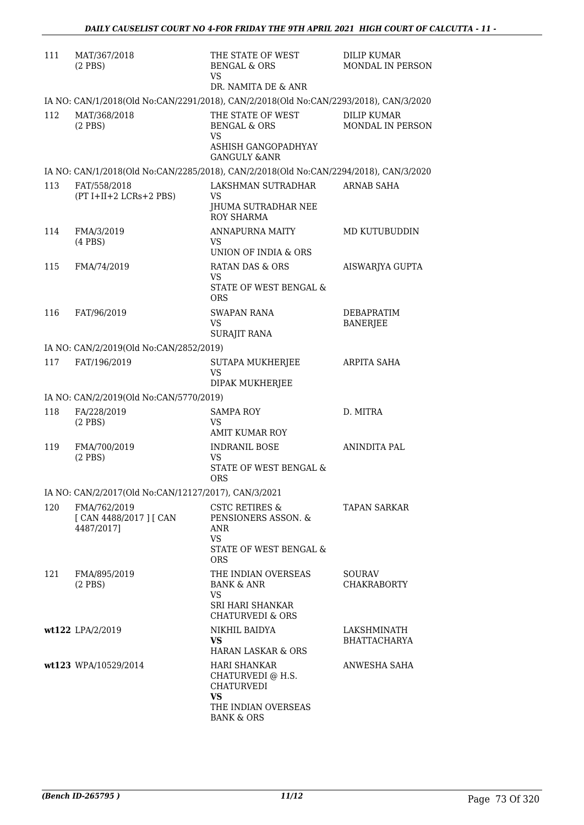| 111 | MAT/367/2018<br>$(2$ PBS $)$                          | THE STATE OF WEST<br><b>BENGAL &amp; ORS</b><br>VS                                    | <b>DILIP KUMAR</b><br>MONDAL IN PERSON |
|-----|-------------------------------------------------------|---------------------------------------------------------------------------------------|----------------------------------------|
|     |                                                       | DR. NAMITA DE & ANR                                                                   |                                        |
|     |                                                       | IA NO: CAN/1/2018(Old No:CAN/2291/2018), CAN/2/2018(Old No:CAN/2293/2018), CAN/3/2020 |                                        |
| 112 | MAT/368/2018<br>$(2$ PBS $)$                          | THE STATE OF WEST<br><b>BENGAL &amp; ORS</b><br><b>VS</b><br>ASHISH GANGOPADHYAY      | <b>DILIP KUMAR</b><br>MONDAL IN PERSON |
|     |                                                       | <b>GANGULY &amp;ANR</b>                                                               |                                        |
|     |                                                       | IA NO: CAN/1/2018(Old No:CAN/2285/2018), CAN/2/2018(Old No:CAN/2294/2018), CAN/3/2020 |                                        |
| 113 | FAT/558/2018<br>(PT I+II+2 LCRs+2 PBS)                | LAKSHMAN SUTRADHAR<br>VS.<br>JHUMA SUTRADHAR NEE<br>ROY SHARMA                        | <b>ARNAB SAHA</b>                      |
| 114 | FMA/3/2019<br>$(4$ PBS $)$                            | ANNAPURNA MAITY<br>VS.<br>UNION OF INDIA & ORS                                        | MD KUTUBUDDIN                          |
| 115 | FMA/74/2019                                           | RATAN DAS & ORS                                                                       | AISWARJYA GUPTA                        |
|     |                                                       | VS.<br>STATE OF WEST BENGAL &<br><b>ORS</b>                                           |                                        |
| 116 | FAT/96/2019                                           | SWAPAN RANA<br>VS.<br><b>SURAJIT RANA</b>                                             | <b>DEBAPRATIM</b><br><b>BANERJEE</b>   |
|     | IA NO: CAN/2/2019(Old No:CAN/2852/2019)               |                                                                                       |                                        |
| 117 | FAT/196/2019                                          | SUTAPA MUKHERJEE<br><b>VS</b>                                                         | ARPITA SAHA                            |
|     |                                                       | DIPAK MUKHERJEE                                                                       |                                        |
|     | IA NO: CAN/2/2019(Old No:CAN/5770/2019)               |                                                                                       |                                        |
| 118 | FA/228/2019<br>$(2$ PBS $)$                           | <b>SAMPA ROY</b><br>VS.<br>AMIT KUMAR ROY                                             | D. MITRA                               |
| 119 | FMA/700/2019                                          | <b>INDRANIL BOSE</b>                                                                  | ANINDITA PAL                           |
|     | $(2$ PBS $)$                                          | VS.<br>STATE OF WEST BENGAL &<br><b>ORS</b>                                           |                                        |
|     | IA NO: CAN/2/2017(Old No:CAN/12127/2017), CAN/3/2021  |                                                                                       |                                        |
| 120 | FMA/762/2019<br>[ CAN 4488/2017 ] [ CAN<br>4487/2017] | CSTC RETIRES &<br>PENSIONERS ASSON. &<br>ANR<br><b>VS</b>                             | TAPAN SARKAR                           |
|     |                                                       | STATE OF WEST BENGAL &<br><b>ORS</b>                                                  |                                        |
| 121 | FMA/895/2019<br>$(2$ PBS)                             | THE INDIAN OVERSEAS<br><b>BANK &amp; ANR</b><br><b>VS</b>                             | SOURAV<br><b>CHAKRABORTY</b>           |
|     |                                                       | SRI HARI SHANKAR<br><b>CHATURVEDI &amp; ORS</b>                                       |                                        |
|     | wt122 LPA/2/2019                                      | NIKHIL BAIDYA<br>VS.<br>HARAN LASKAR & ORS                                            | LAKSHMINATH<br><b>BHATTACHARYA</b>     |
|     | wt123 WPA/10529/2014                                  | HARI SHANKAR<br>CHATURVEDI @ H.S.<br>CHATURVEDI                                       | ANWESHA SAHA                           |
|     |                                                       | <b>VS</b><br>THE INDIAN OVERSEAS<br><b>BANK &amp; ORS</b>                             |                                        |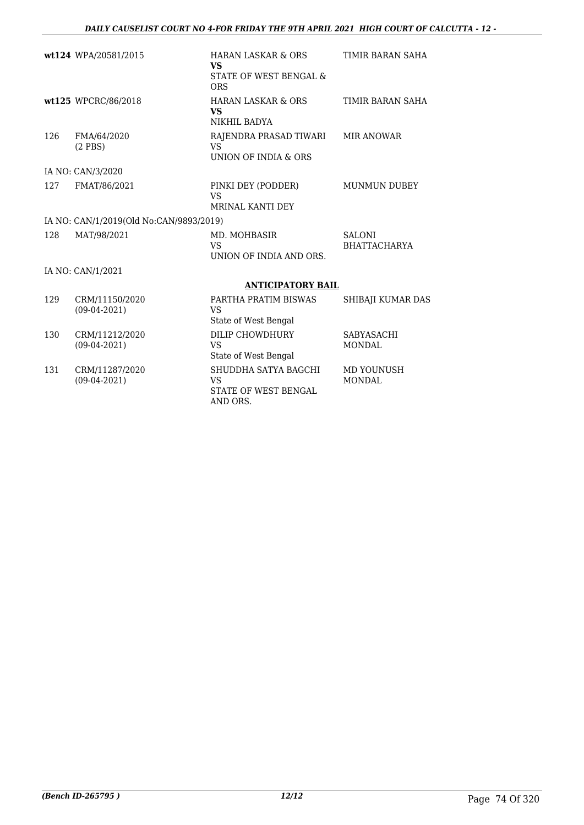|      | wt124 WPA/20581/2015                    | <b>HARAN LASKAR &amp; ORS</b><br><b>VS</b>                            | TIMIR BARAN SAHA                     |
|------|-----------------------------------------|-----------------------------------------------------------------------|--------------------------------------|
|      |                                         | STATE OF WEST BENGAL &<br><b>ORS</b>                                  |                                      |
|      | wt125 WPCRC/86/2018                     | <b>HARAN LASKAR &amp; ORS</b><br><b>VS</b><br>NIKHIL BADYA            | TIMIR BARAN SAHA                     |
| 126  | FMA/64/2020<br>$(2$ PBS $)$             | RAJENDRA PRASAD TIWARI<br><b>VS</b><br>UNION OF INDIA & ORS           | <b>MIR ANOWAR</b>                    |
|      | IA NO: CAN/3/2020                       |                                                                       |                                      |
| 12.7 | FMAT/86/2021                            | PINKI DEY (PODDER)<br><b>VS</b><br>MRINAL KANTI DEY                   | <b>MUNMUN DUBEY</b>                  |
|      | IA NO: CAN/1/2019(Old No:CAN/9893/2019) |                                                                       |                                      |
| 128  | MAT/98/2021                             | MD. MOHBASIR<br><b>VS</b><br>UNION OF INDIA AND ORS.                  | <b>SALONI</b><br><b>BHATTACHARYA</b> |
|      | IA NO: CAN/1/2021                       |                                                                       |                                      |
|      |                                         | <b>ANTICIPATORY BAIL</b>                                              |                                      |
| 129  | CRM/11150/2020<br>$(09-04-2021)$        | PARTHA PRATIM BISWAS<br><b>VS</b><br>State of West Bengal             | SHIBAJI KUMAR DAS                    |
| 130  | CRM/11212/2020<br>$(09-04-2021)$        | DILIP CHOWDHURY<br><b>VS</b><br>State of West Bengal                  | SABYASACHI<br><b>MONDAL</b>          |
| 131  | CRM/11287/2020<br>$(09-04-2021)$        | SHUDDHA SATYA BAGCHI<br><b>VS</b><br>STATE OF WEST BENGAL<br>AND ORS. | MD YOUNUSH<br><b>MONDAL</b>          |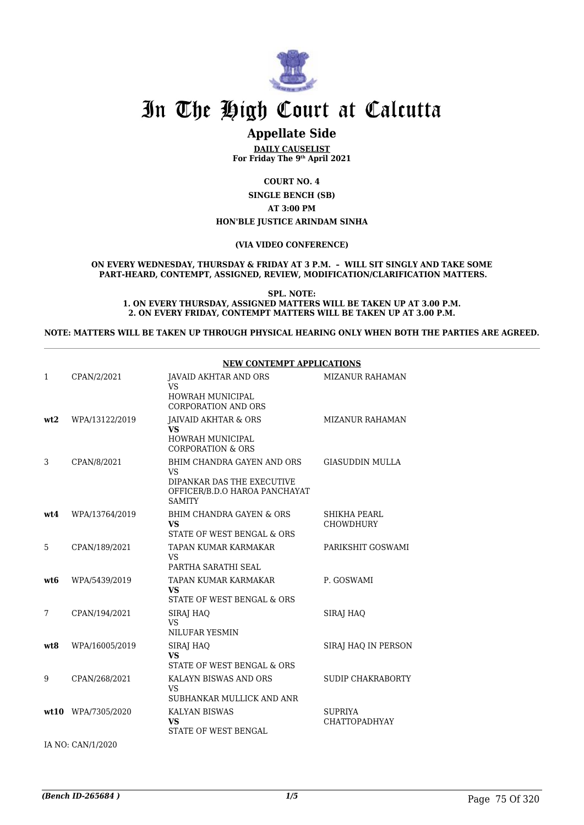

## **Appellate Side**

**DAILY CAUSELIST For Friday The 9th April 2021**

**COURT NO. 4**

**SINGLE BENCH (SB) AT 3:00 PM HON'BLE JUSTICE ARINDAM SINHA**

#### **(VIA VIDEO CONFERENCE)**

#### **ON EVERY WEDNESDAY, THURSDAY & FRIDAY AT 3 P.M. – WILL SIT SINGLY AND TAKE SOME PART-HEARD, CONTEMPT, ASSIGNED, REVIEW, MODIFICATION/CLARIFICATION MATTERS.**

**SPL. NOTE: 1. ON EVERY THURSDAY, ASSIGNED MATTERS WILL BE TAKEN UP AT 3.00 P.M. 2. ON EVERY FRIDAY, CONTEMPT MATTERS WILL BE TAKEN UP AT 3.00 P.M.**

**NOTE: MATTERS WILL BE TAKEN UP THROUGH PHYSICAL HEARING ONLY WHEN BOTH THE PARTIES ARE AGREED.**

|      |                | <b>NEW CONTEMPT APPLICATIONS</b>                                                                                        |                                        |  |
|------|----------------|-------------------------------------------------------------------------------------------------------------------------|----------------------------------------|--|
| 1    | CPAN/2/2021    | JAVAID AKHTAR AND ORS<br><b>VS</b>                                                                                      | <b>MIZANUR RAHAMAN</b>                 |  |
|      |                | HOWRAH MUNICIPAL<br><b>CORPORATION AND ORS</b>                                                                          |                                        |  |
| wt2  | WPA/13122/2019 | JAIVAID AKHTAR & ORS<br><b>VS</b><br><b>HOWRAH MUNICIPAL</b><br><b>CORPORATION &amp; ORS</b>                            | <b>MIZANUR RAHAMAN</b>                 |  |
| 3    | CPAN/8/2021    | BHIM CHANDRA GAYEN AND ORS<br><b>VS</b><br>DIPANKAR DAS THE EXECUTIVE<br>OFFICER/B.D.O HAROA PANCHAYAT<br><b>SAMITY</b> | <b>GIASUDDIN MULLA</b>                 |  |
| wt4  | WPA/13764/2019 | BHIM CHANDRA GAYEN & ORS<br><b>VS</b><br>STATE OF WEST BENGAL & ORS                                                     | SHIKHA PEARL<br><b>CHOWDHURY</b>       |  |
| 5    | CPAN/189/2021  | TAPAN KUMAR KARMAKAR<br><b>VS</b><br>PARTHA SARATHI SEAL                                                                | PARIKSHIT GOSWAMI                      |  |
| wt6  | WPA/5439/2019  | TAPAN KUMAR KARMAKAR<br><b>VS</b><br>STATE OF WEST BENGAL & ORS                                                         | P. GOSWAMI                             |  |
| 7    | CPAN/194/2021  | SIRAJ HAQ<br><b>VS</b><br><b>NILUFAR YESMIN</b>                                                                         | SIRAJ HAO                              |  |
| wt8  | WPA/16005/2019 | SIRAJ HAQ<br><b>VS</b><br>STATE OF WEST BENGAL & ORS                                                                    | SIRAJ HAQ IN PERSON                    |  |
| 9    | CPAN/268/2021  | KALAYN BISWAS AND ORS<br><b>VS</b><br>SUBHANKAR MULLICK AND ANR                                                         | <b>SUDIP CHAKRABORTY</b>               |  |
| wt10 | WPA/7305/2020  | <b>KALYAN BISWAS</b><br><b>VS</b><br><b>STATE OF WEST BENGAL</b>                                                        | <b>SUPRIYA</b><br><b>CHATTOPADHYAY</b> |  |

IA NO: CAN/1/2020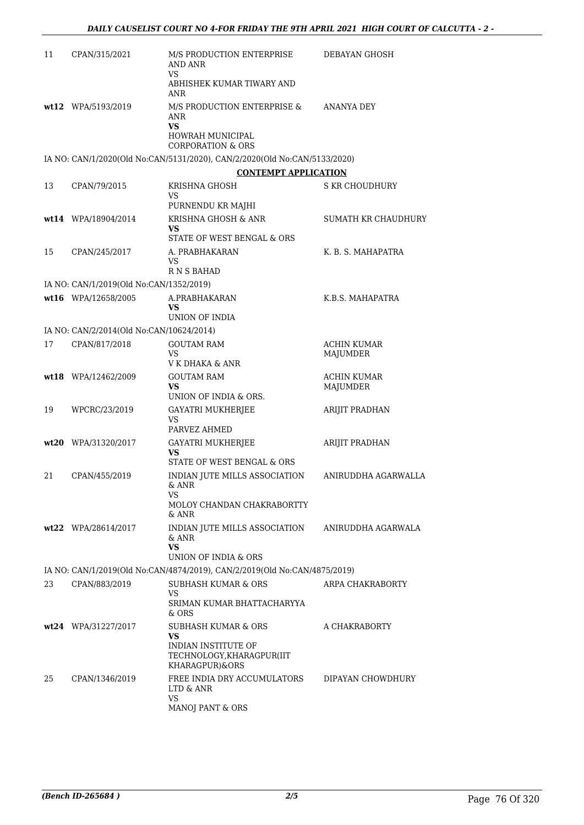| 11 | CPAN/315/2021                            | M/S PRODUCTION ENTERPRISE<br>AND ANR<br><b>VS</b>                           | DEBAYAN GHOSH                  |
|----|------------------------------------------|-----------------------------------------------------------------------------|--------------------------------|
|    |                                          | ABHISHEK KUMAR TIWARY AND<br>ANR                                            |                                |
|    | wt12 WPA/5193/2019                       | M/S PRODUCTION ENTERPRISE &<br>ANR<br><b>VS</b>                             | ANANYA DEY                     |
|    |                                          | HOWRAH MUNICIPAL<br><b>CORPORATION &amp; ORS</b>                            |                                |
|    |                                          | IA NO: CAN/1/2020(Old No:CAN/5131/2020), CAN/2/2020(Old No:CAN/5133/2020)   |                                |
|    |                                          | <b>CONTEMPT APPLICATION</b>                                                 |                                |
| 13 | CPAN/79/2015                             | KRISHNA GHOSH<br>VS                                                         | S KR CHOUDHURY                 |
|    | wt14 WPA/18904/2014                      | PURNENDU KR MAJHI<br>KRISHNA GHOSH & ANR                                    | <b>SUMATH KR CHAUDHURY</b>     |
|    |                                          | VS<br>STATE OF WEST BENGAL & ORS                                            |                                |
| 15 | CPAN/245/2017                            | A. PRABHAKARAN<br>VS<br>R N S BAHAD                                         | K. B. S. MAHAPATRA             |
|    | IA NO: CAN/1/2019(Old No:CAN/1352/2019)  |                                                                             |                                |
|    | wt16 WPA/12658/2005                      | A.PRABHAKARAN<br><b>VS</b><br>UNION OF INDIA                                | K.B.S. MAHAPATRA               |
|    | IA NO: CAN/2/2014(Old No:CAN/10624/2014) |                                                                             |                                |
| 17 | CPAN/817/2018                            | <b>GOUTAM RAM</b>                                                           | <b>ACHIN KUMAR</b>             |
|    |                                          | VS<br>V K DHAKA & ANR                                                       | MAJUMDER                       |
|    | wt18 WPA/12462/2009                      | <b>GOUTAM RAM</b><br>VS<br>UNION OF INDIA & ORS.                            | <b>ACHIN KUMAR</b><br>MAJUMDER |
| 19 | WPCRC/23/2019                            | GAYATRI MUKHERJEE<br>VS                                                     | <b>ARIJIT PRADHAN</b>          |
|    |                                          | PARVEZ AHMED                                                                |                                |
|    | wt20 WPA/31320/2017                      | <b>GAYATRI MUKHERJEE</b><br>VS<br>STATE OF WEST BENGAL & ORS                | ARIJIT PRADHAN                 |
| 21 | CPAN/455/2019                            | INDIAN JUTE MILLS ASSOCIATION<br>& ANR<br>VS                                | ANIRUDDHA AGARWALLA            |
|    |                                          | MOLOY CHANDAN CHAKRABORTTY<br>& ANR                                         |                                |
|    | wt22 WPA/28614/2017                      | INDIAN JUTE MILLS ASSOCIATION<br>& ANR<br>VS                                | ANIRUDDHA AGARWALA             |
|    |                                          | UNION OF INDIA & ORS                                                        |                                |
|    |                                          | IA NO: CAN/1/2019(Old No:CAN/4874/2019), CAN/2/2019(Old No:CAN/4875/2019)   |                                |
| 23 | CPAN/883/2019                            | <b>SUBHASH KUMAR &amp; ORS</b><br>VS<br>SRIMAN KUMAR BHATTACHARYYA<br>& ORS | ARPA CHAKRABORTY               |
|    | wt24 WPA/31227/2017                      | SUBHASH KUMAR & ORS<br>VS                                                   | A CHAKRABORTY                  |
|    |                                          | INDIAN INSTITUTE OF<br>TECHNOLOGY, KHARAGPUR(IIT<br>KHARAGPUR)&ORS          |                                |
| 25 | CPAN/1346/2019                           | FREE INDIA DRY ACCUMULATORS<br>LTD & ANR<br>VS                              | DIPAYAN CHOWDHURY              |
|    |                                          | MANOJ PANT & ORS                                                            |                                |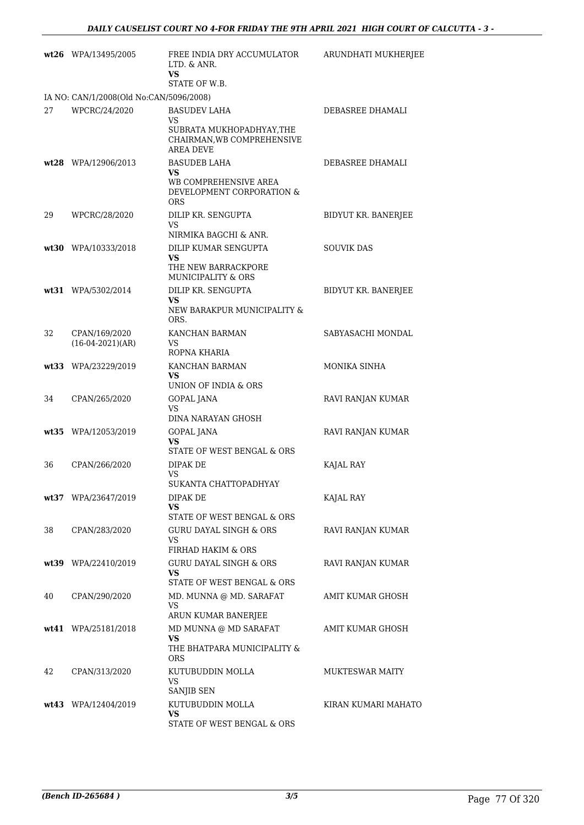|    | $wt26$ WPA/13495/2005                   | FREE INDIA DRY ACCUMULATOR<br>LTD. & ANR.<br><b>VS</b>                                             | ARUNDHATI MUKHERJEE    |
|----|-----------------------------------------|----------------------------------------------------------------------------------------------------|------------------------|
|    |                                         | STATE OF W.B.                                                                                      |                        |
|    | IA NO: CAN/1/2008(Old No:CAN/5096/2008) |                                                                                                    |                        |
| 27 | WPCRC/24/2020                           | <b>BASUDEV LAHA</b><br>VS.<br>SUBRATA MUKHOPADHYAY, THE<br>CHAIRMAN, WB COMPREHENSIVE<br>AREA DEVE | DEBASREE DHAMALI       |
|    | wt28 WPA/12906/2013                     | <b>BASUDEB LAHA</b><br>VS<br>WB COMPREHENSIVE AREA                                                 | DEBASREE DHAMALI       |
|    |                                         | DEVELOPMENT CORPORATION &<br><b>ORS</b>                                                            |                        |
| 29 | WPCRC/28/2020                           | DILIP KR. SENGUPTA<br>VS<br>NIRMIKA BAGCHI & ANR.                                                  | BIDYUT KR. BANERJEE    |
|    | wt30 WPA/10333/2018                     | DILIP KUMAR SENGUPTA<br>VS<br>THE NEW BARRACKPORE                                                  | <b>SOUVIK DAS</b>      |
|    | wt31 WPA/5302/2014                      | MUNICIPALITY & ORS<br>DILIP KR. SENGUPTA<br>VS<br>NEW BARAKPUR MUNICIPALITY &                      | BIDYUT KR. BANERJEE    |
| 32 | CPAN/169/2020<br>$(16-04-2021)(AR)$     | ORS.<br>KANCHAN BARMAN<br>VS.<br>ROPNA KHARIA                                                      | SABYASACHI MONDAL      |
|    | wt33 WPA/23229/2019                     | KANCHAN BARMAN<br>VS<br>UNION OF INDIA & ORS                                                       | MONIKA SINHA           |
| 34 | CPAN/265/2020                           | GOPAL JANA<br>VS<br>DINA NARAYAN GHOSH                                                             | RAVI RANJAN KUMAR      |
|    | wt35 WPA/12053/2019                     | GOPAL JANA<br>VS<br>STATE OF WEST BENGAL & ORS                                                     | RAVI RANJAN KUMAR      |
| 36 | CPAN/266/2020                           | DIPAK DE<br>VS<br>SUKANTA CHATTOPADHYAY                                                            | KAJAL RAY              |
|    | wt37 WPA/23647/2019                     | DIPAK DE<br>VS<br>STATE OF WEST BENGAL & ORS                                                       | KAJAL RAY              |
| 38 | CPAN/283/2020                           | <b>GURU DAYAL SINGH &amp; ORS</b><br><b>VS</b><br>FIRHAD HAKIM & ORS                               | RAVI RANJAN KUMAR      |
|    | wt39 WPA/22410/2019                     | <b>GURU DAYAL SINGH &amp; ORS</b><br>VS<br>STATE OF WEST BENGAL & ORS                              | RAVI RANJAN KUMAR      |
| 40 | CPAN/290/2020                           | MD. MUNNA @ MD. SARAFAT<br>VS<br>ARUN KUMAR BANERJEE                                               | AMIT KUMAR GHOSH       |
|    | wt41 WPA/25181/2018                     | MD MUNNA @ MD SARAFAT<br>VS<br>THE BHATPARA MUNICIPALITY &<br>ORS                                  | AMIT KUMAR GHOSH       |
| 42 | CPAN/313/2020                           | KUTUBUDDIN MOLLA<br>VS<br>SANJIB SEN                                                               | <b>MUKTESWAR MAITY</b> |
|    | wt43 WPA/12404/2019                     | KUTUBUDDIN MOLLA<br>VS<br>STATE OF WEST BENGAL & ORS                                               | KIRAN KUMARI MAHATO    |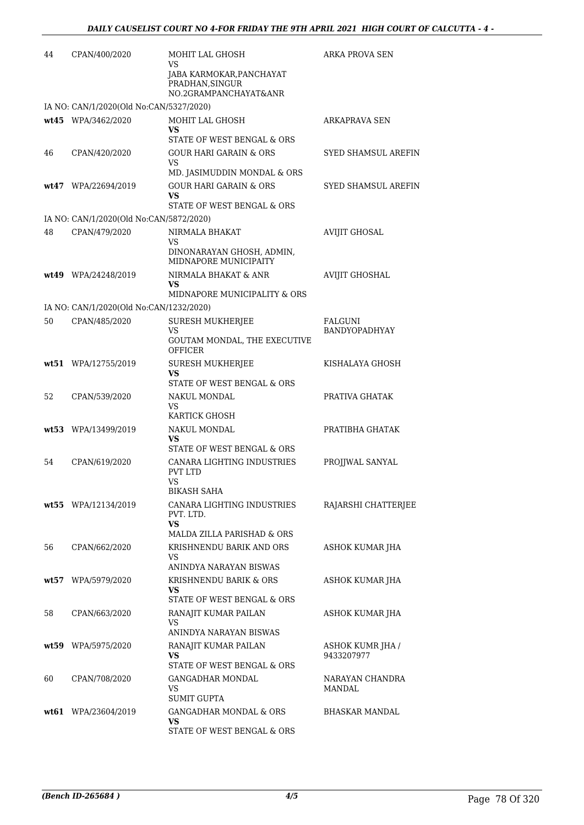| 44 | CPAN/400/2020                           | MOHIT LAL GHOSH<br>VS<br>JABA KARMOKAR, PANCHAYAT<br>PRADHAN, SINGUR<br>NO.2GRAMPANCHAYAT&ANR | ARKA PROVA SEN                  |
|----|-----------------------------------------|-----------------------------------------------------------------------------------------------|---------------------------------|
|    | IA NO: CAN/1/2020(Old No:CAN/5327/2020) |                                                                                               |                                 |
|    | wt45 WPA/3462/2020                      | MOHIT LAL GHOSH<br>VS<br>STATE OF WEST BENGAL & ORS                                           | <b>ARKAPRAVA SEN</b>            |
| 46 | CPAN/420/2020                           | <b>GOUR HARI GARAIN &amp; ORS</b><br><b>VS</b><br>MD. JASIMUDDIN MONDAL & ORS                 | SYED SHAMSUL AREFIN             |
|    | wt47 WPA/22694/2019                     | <b>GOUR HARI GARAIN &amp; ORS</b><br>VS<br>STATE OF WEST BENGAL & ORS                         | <b>SYED SHAMSUL AREFIN</b>      |
|    | IA NO: CAN/1/2020(Old No:CAN/5872/2020) |                                                                                               |                                 |
| 48 | CPAN/479/2020                           | NIRMALA BHAKAT<br>VS<br>DINONARAYAN GHOSH, ADMIN,                                             | <b>AVIJIT GHOSAL</b>            |
|    | wt49 WPA/24248/2019                     | MIDNAPORE MUNICIPAITY<br>NIRMALA BHAKAT & ANR<br>VS<br>MIDNAPORE MUNICIPALITY & ORS           | <b>AVIJIT GHOSHAL</b>           |
|    | IA NO: CAN/1/2020(Old No:CAN/1232/2020) |                                                                                               |                                 |
| 50 | CPAN/485/2020                           | <b>SURESH MUKHERJEE</b><br>VS                                                                 | FALGUNI<br><b>BANDYOPADHYAY</b> |
|    |                                         | GOUTAM MONDAL, THE EXECUTIVE<br>OFFICER                                                       |                                 |
|    | wt51 WPA/12755/2019                     | <b>SURESH MUKHERJEE</b><br>VS<br>STATE OF WEST BENGAL & ORS                                   | KISHALAYA GHOSH                 |
| 52 | CPAN/539/2020                           | NAKUL MONDAL<br>VS                                                                            | PRATIVA GHATAK                  |
|    | wt53 WPA/13499/2019                     | KARTICK GHOSH<br>NAKUL MONDAL<br>VS                                                           | PRATIBHA GHATAK                 |
| 54 | CPAN/619/2020                           | STATE OF WEST BENGAL & ORS<br>CANARA LIGHTING INDUSTRIES<br>PVT LTD<br><b>VS</b>              | PROJJWAL SANYAL                 |
|    | wt55 WPA/12134/2019                     | <b>BIKASH SAHA</b><br>CANARA LIGHTING INDUSTRIES<br>PVT. LTD.<br>VS                           | RAJARSHI CHATTERJEE             |
| 56 | CPAN/662/2020                           | MALDA ZILLA PARISHAD & ORS<br>KRISHNENDU BARIK AND ORS<br>VS<br>ANINDYA NARAYAN BISWAS        | ASHOK KUMAR JHA                 |
|    | wt57 WPA/5979/2020                      | KRISHNENDU BARIK & ORS<br>VS<br>STATE OF WEST BENGAL & ORS                                    | ASHOK KUMAR JHA                 |
| 58 | CPAN/663/2020                           | RANAJIT KUMAR PAILAN<br>VS<br>ANINDYA NARAYAN BISWAS                                          | ASHOK KUMAR JHA                 |
|    | wt59 WPA/5975/2020                      | RANAJIT KUMAR PAILAN<br>VS<br>STATE OF WEST BENGAL & ORS                                      | ASHOK KUMR JHA /<br>9433207977  |
| 60 | CPAN/708/2020                           | <b>GANGADHAR MONDAL</b><br>VS<br>SUMIT GUPTA                                                  | NARAYAN CHANDRA<br>MANDAL       |
|    | wt61 WPA/23604/2019                     | <b>GANGADHAR MONDAL &amp; ORS</b><br>VS<br>STATE OF WEST BENGAL & ORS                         | BHASKAR MANDAL                  |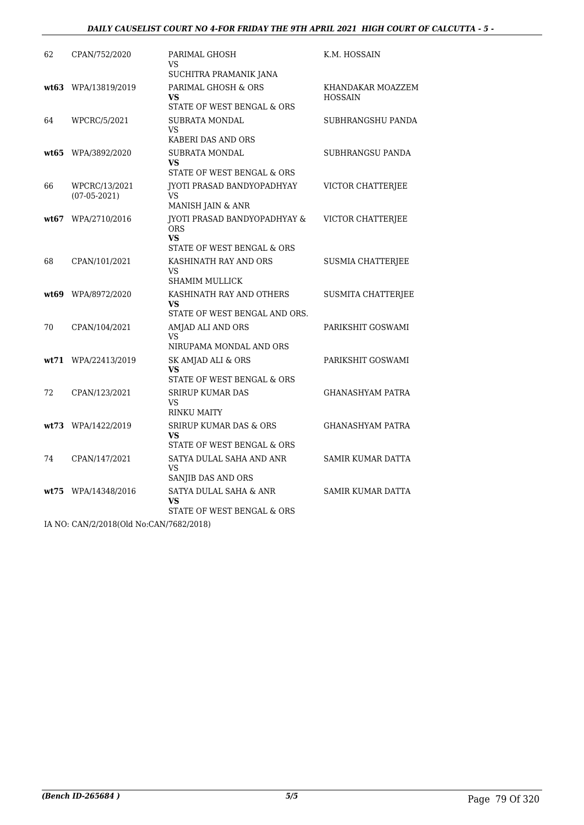#### *DAILY CAUSELIST COURT NO 4-FOR FRIDAY THE 9TH APRIL 2021 HIGH COURT OF CALCUTTA - 5 -*

| 62    | CPAN/752/2020                   | PARIMAL GHOSH<br>VS<br>SUCHITRA PRAMANIK JANA                                             | K.M. HOSSAIN                        |
|-------|---------------------------------|-------------------------------------------------------------------------------------------|-------------------------------------|
|       | wt63 WPA/13819/2019             | PARIMAL GHOSH & ORS<br>VS<br>STATE OF WEST BENGAL & ORS                                   | KHANDAKAR MOAZZEM<br><b>HOSSAIN</b> |
| 64    | WPCRC/5/2021                    | SUBRATA MONDAL<br>VS<br>KABERI DAS AND ORS                                                | SUBHRANGSHU PANDA                   |
| wt65  | WPA/3892/2020                   | <b>SUBRATA MONDAL</b><br>VS<br>STATE OF WEST BENGAL & ORS                                 | SUBHRANGSU PANDA                    |
| 66    | WPCRC/13/2021<br>$(07-05-2021)$ | <b>IYOTI PRASAD BANDYOPADHYAY</b><br><b>VS</b><br>MANISH JAIN & ANR                       | VICTOR CHATTERJEE                   |
| wt.67 | WPA/2710/2016                   | <b>JYOTI PRASAD BANDYOPADHYAY &amp;</b><br><b>ORS</b><br>VS<br>STATE OF WEST BENGAL & ORS | VICTOR CHATTERJEE                   |
| 68    | CPAN/101/2021                   | KASHINATH RAY AND ORS<br>VS.<br><b>SHAMIM MULLICK</b>                                     | <b>SUSMIA CHATTERJEE</b>            |
|       | wt69 WPA/8972/2020              | KASHINATH RAY AND OTHERS<br>VS<br>STATE OF WEST BENGAL AND ORS.                           | SUSMITA CHATTERJEE                  |
| 70    | CPAN/104/2021                   | AMJAD ALI AND ORS<br>VS<br>NIRUPAMA MONDAL AND ORS                                        | PARIKSHIT GOSWAMI                   |
|       | wt71 WPA/22413/2019             | SK AMJAD ALI & ORS<br>VS<br>STATE OF WEST BENGAL & ORS                                    | PARIKSHIT GOSWAMI                   |
| 72    | CPAN/123/2021                   | <b>SRIRUP KUMAR DAS</b><br><b>VS</b><br><b>RINKU MAITY</b>                                | <b>GHANASHYAM PATRA</b>             |
|       | wt73 WPA/1422/2019              | <b>SRIRUP KUMAR DAS &amp; ORS</b><br>VS<br>STATE OF WEST BENGAL & ORS                     | <b>GHANASHYAM PATRA</b>             |
| 74    | CPAN/147/2021                   | SATYA DULAL SAHA AND ANR<br>VS<br>SANJIB DAS AND ORS                                      | SAMIR KUMAR DATTA                   |
| wt75  | WPA/14348/2016                  | SATYA DULAL SAHA & ANR<br>VS<br>STATE OF WEST BENGAL & ORS                                | <b>SAMIR KUMAR DATTA</b>            |

IA NO: CAN/2/2018(Old No:CAN/7682/2018)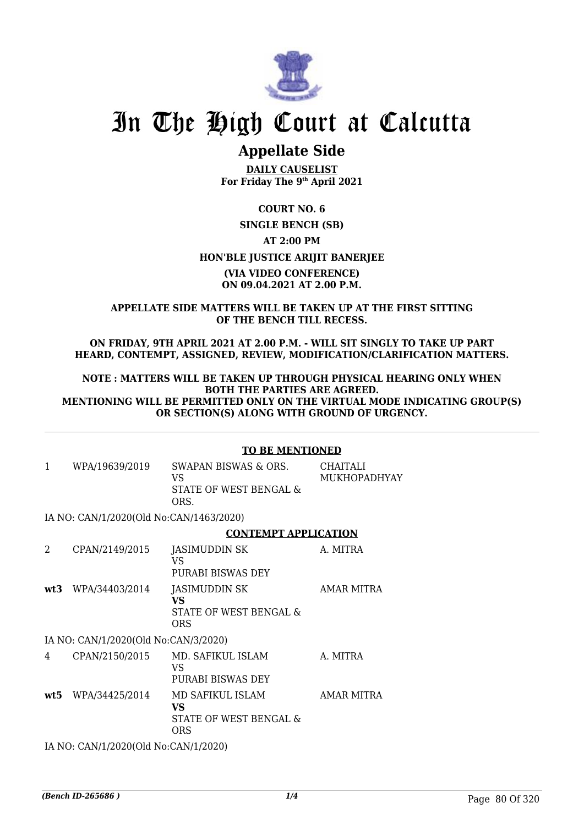

# **Appellate Side**

**DAILY CAUSELIST For Friday The 9th April 2021**

### **COURT NO. 6**

## **SINGLE BENCH (SB) AT 2:00 PM HON'BLE JUSTICE ARIJIT BANERJEE (VIA VIDEO CONFERENCE) ON 09.04.2021 AT 2.00 P.M.**

#### **APPELLATE SIDE MATTERS WILL BE TAKEN UP AT THE FIRST SITTING OF THE BENCH TILL RECESS.**

**ON FRIDAY, 9TH APRIL 2021 AT 2.00 P.M. - WILL SIT SINGLY TO TAKE UP PART HEARD, CONTEMPT, ASSIGNED, REVIEW, MODIFICATION/CLARIFICATION MATTERS.**

**NOTE : MATTERS WILL BE TAKEN UP THROUGH PHYSICAL HEARING ONLY WHEN BOTH THE PARTIES ARE AGREED. MENTIONING WILL BE PERMITTED ONLY ON THE VIRTUAL MODE INDICATING GROUP(S) OR SECTION(S) ALONG WITH GROUND OF URGENCY.**

|                             |                                         | <b>TO BE MENTIONED</b>                                                |                                 |  |
|-----------------------------|-----------------------------------------|-----------------------------------------------------------------------|---------------------------------|--|
| 1                           | WPA/19639/2019                          | SWAPAN BISWAS & ORS.<br><b>VS</b><br>STATE OF WEST BENGAL &<br>ORS.   | <b>CHAITALI</b><br>MUKHOPADHYAY |  |
|                             | IA NO: CAN/1/2020(Old No:CAN/1463/2020) |                                                                       |                                 |  |
|                             |                                         | <b>CONTEMPT APPLICATION</b>                                           |                                 |  |
| $\mathcal{D}_{\mathcal{L}}$ | CPAN/2149/2015                          | JASIMUDDIN SK<br>VS.<br>PURABI BISWAS DEY                             | A. MITRA                        |  |
| wt3                         | WPA/34403/2014                          | JASIMUDDIN SK<br><b>VS</b><br>STATE OF WEST BENGAL &<br><b>ORS</b>    | <b>AMAR MITRA</b>               |  |
|                             | IA NO: CAN/1/2020(Old No:CAN/3/2020)    |                                                                       |                                 |  |
| 4                           | CPAN/2150/2015                          | MD. SAFIKUL ISLAM<br><b>VS</b><br>PURABI BISWAS DEY                   | A. MITRA                        |  |
| wt5                         | WPA/34425/2014                          | MD SAFIKUL ISLAM<br><b>VS</b><br>STATE OF WEST BENGAL &<br><b>ORS</b> | AMAR MITRA                      |  |
|                             | IA NO: CAN/1/2020(Old No:CAN/1/2020)    |                                                                       |                                 |  |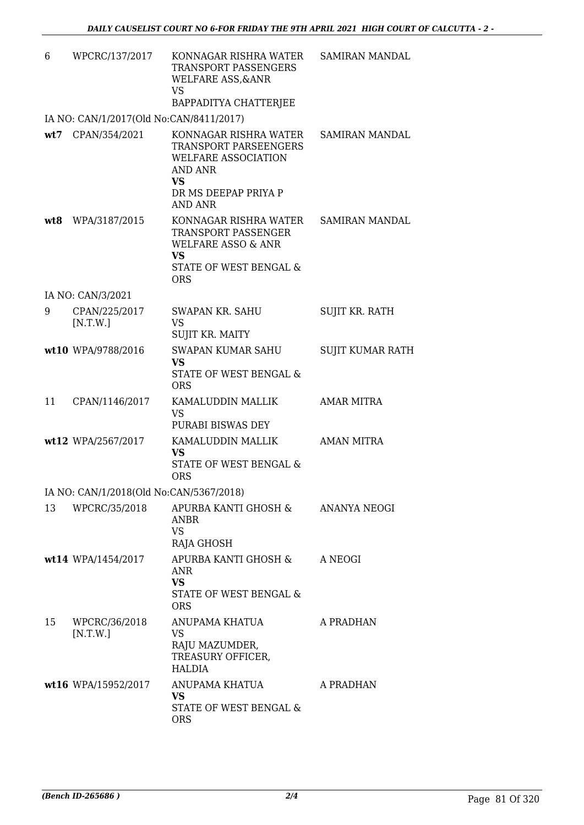| 6   | WPCRC/137/2017                          | KONNAGAR RISHRA WATER<br>TRANSPORT PASSENGERS<br><b>WELFARE ASS, &amp; ANR</b><br><b>VS</b><br>BAPPADITYA CHATTERJEE                           | SAMIRAN MANDAL        |
|-----|-----------------------------------------|------------------------------------------------------------------------------------------------------------------------------------------------|-----------------------|
|     | IA NO: CAN/1/2017(Old No:CAN/8411/2017) |                                                                                                                                                |                       |
| wt7 | CPAN/354/2021                           | KONNAGAR RISHRA WATER<br>TRANSPORT PARSEENGERS<br>WELFARE ASSOCIATION<br><b>AND ANR</b><br><b>VS</b><br>DR MS DEEPAP PRIYA P<br><b>AND ANR</b> | <b>SAMIRAN MANDAL</b> |
| wt8 | WPA/3187/2015                           | KONNAGAR RISHRA WATER<br>TRANSPORT PASSENGER<br><b>WELFARE ASSO &amp; ANR</b><br><b>VS</b><br>STATE OF WEST BENGAL &<br><b>ORS</b>             | SAMIRAN MANDAL        |
|     | IA NO: CAN/3/2021                       |                                                                                                                                                |                       |
| 9   | CPAN/225/2017<br>[N.T.W.]               | <b>SWAPAN KR. SAHU</b><br><b>VS</b><br>SUJIT KR. MAITY                                                                                         | <b>SUJIT KR. RATH</b> |
|     | wt10 WPA/9788/2016                      | <b>SWAPAN KUMAR SAHU</b><br><b>VS</b><br>STATE OF WEST BENGAL &<br><b>ORS</b>                                                                  | SUJIT KUMAR RATH      |
| 11  | CPAN/1146/2017                          | KAMALUDDIN MALLIK<br><b>VS</b><br>PURABI BISWAS DEY                                                                                            | <b>AMAR MITRA</b>     |
|     | wt12 WPA/2567/2017                      | KAMALUDDIN MALLIK<br><b>VS</b><br>STATE OF WEST BENGAL &<br><b>ORS</b>                                                                         | <b>AMAN MITRA</b>     |
|     | IA NO: CAN/1/2018(Old No:CAN/5367/2018) |                                                                                                                                                |                       |
| 13  | WPCRC/35/2018                           | APURBA KANTI GHOSH & ANANYA NEOGI<br><b>ANBR</b><br><b>VS</b><br>RAJA GHOSH                                                                    |                       |
|     | wt14 WPA/1454/2017                      | APURBA KANTI GHOSH &<br>ANR<br><b>VS</b><br>STATE OF WEST BENGAL &<br><b>ORS</b>                                                               | A NEOGI               |
| 15  | WPCRC/36/2018<br>[N.T.W.]               | ANUPAMA KHATUA<br>VS<br>RAJU MAZUMDER,<br>TREASURY OFFICER,<br><b>HALDIA</b>                                                                   | A PRADHAN             |
|     | wt16 WPA/15952/2017                     | ANUPAMA KHATUA<br><b>VS</b><br>STATE OF WEST BENGAL &<br><b>ORS</b>                                                                            | A PRADHAN             |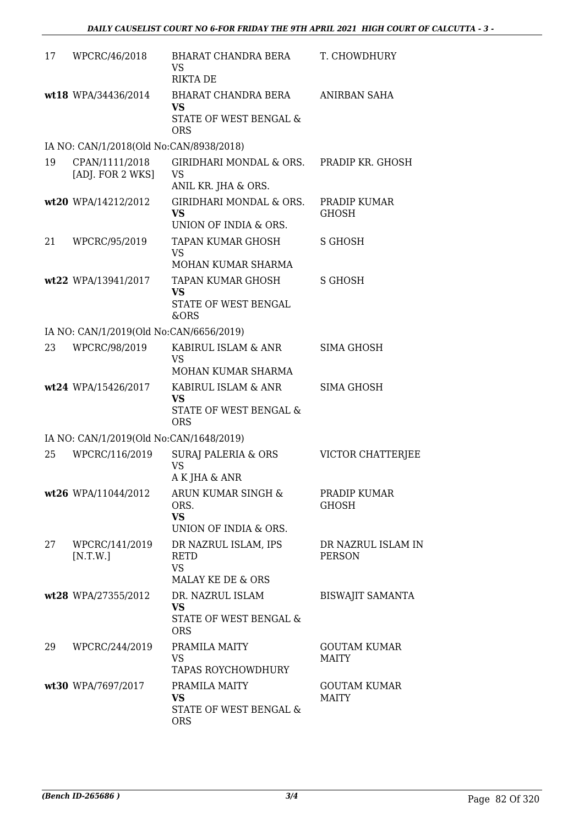| 17 | WPCRC/46/2018                           | BHARAT CHANDRA BERA<br><b>VS</b><br><b>RIKTA DE</b>                   | T. CHOWDHURY                        |
|----|-----------------------------------------|-----------------------------------------------------------------------|-------------------------------------|
|    | wt18 WPA/34436/2014                     | BHARAT CHANDRA BERA<br>VS<br>STATE OF WEST BENGAL &<br><b>ORS</b>     | ANIRBAN SAHA                        |
|    | IA NO: CAN/1/2018(Old No:CAN/8938/2018) |                                                                       |                                     |
| 19 | CPAN/1111/2018<br>[ADJ. FOR 2 WKS]      | GIRIDHARI MONDAL & ORS.<br>VS<br>ANIL KR. JHA & ORS.                  | PRADIP KR. GHOSH                    |
|    | wt20 WPA/14212/2012                     | GIRIDHARI MONDAL & ORS.<br><b>VS</b><br>UNION OF INDIA & ORS.         | PRADIP KUMAR<br>GHOSH               |
| 21 | WPCRC/95/2019                           | <b>TAPAN KUMAR GHOSH</b><br>VS<br>MOHAN KUMAR SHARMA                  | S GHOSH                             |
|    | wt22 WPA/13941/2017                     | TAPAN KUMAR GHOSH<br>VS<br>STATE OF WEST BENGAL<br>&ORS               | S GHOSH                             |
|    | IA NO: CAN/1/2019(Old No:CAN/6656/2019) |                                                                       |                                     |
| 23 | WPCRC/98/2019                           | KABIRUL ISLAM & ANR<br>VS<br>MOHAN KUMAR SHARMA                       | SIMA GHOSH                          |
|    | wt24 WPA/15426/2017                     | KABIRUL ISLAM & ANR<br>VS.<br>STATE OF WEST BENGAL &<br><b>ORS</b>    | SIMA GHOSH                          |
|    | IA NO: CAN/1/2019(Old No:CAN/1648/2019) |                                                                       |                                     |
| 25 | WPCRC/116/2019                          | <b>SURAJ PALERIA &amp; ORS</b><br><b>VS</b><br>A K JHA & ANR          | VICTOR CHATTERJEE                   |
|    | wt26 WPA/11044/2012                     | ARUN KUMAR SINGH &<br>ORS.<br><b>VS</b><br>UNION OF INDIA & ORS.      | PRADIP KUMAR<br><b>GHOSH</b>        |
| 27 | WPCRC/141/2019<br>[N.T.W.]              | DR NAZRUL ISLAM, IPS<br><b>RETD</b><br><b>VS</b><br>MALAY KE DE & ORS | DR NAZRUL ISLAM IN<br><b>PERSON</b> |
|    | wt28 WPA/27355/2012                     | DR. NAZRUL ISLAM<br><b>VS</b><br>STATE OF WEST BENGAL &<br><b>ORS</b> | <b>BISWAJIT SAMANTA</b>             |
| 29 | WPCRC/244/2019                          | PRAMILA MAITY<br>VS<br><b>TAPAS ROYCHOWDHURY</b>                      | GOUTAM KUMAR<br><b>MAITY</b>        |
|    | wt30 WPA/7697/2017                      | PRAMILA MAITY<br>VS<br>STATE OF WEST BENGAL &<br><b>ORS</b>           | <b>GOUTAM KUMAR</b><br><b>MAITY</b> |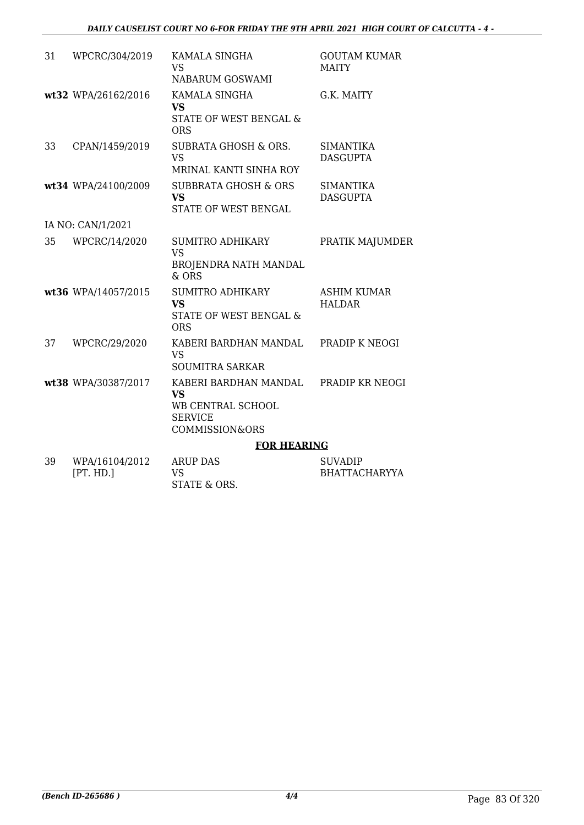### *DAILY CAUSELIST COURT NO 6-FOR FRIDAY THE 9TH APRIL 2021 HIGH COURT OF CALCUTTA - 4 -*

| 31 | WPCRC/304/2019              | KAMALA SINGHA<br><b>VS</b><br>NABARUM GOSWAMI                                                          | <b>GOUTAM KUMAR</b><br><b>MAITY</b>    |
|----|-----------------------------|--------------------------------------------------------------------------------------------------------|----------------------------------------|
|    | wt32 WPA/26162/2016         | KAMALA SINGHA<br><b>VS</b><br><b>STATE OF WEST BENGAL &amp;</b><br><b>ORS</b>                          | G.K. MAITY                             |
| 33 | CPAN/1459/2019              | <b>SUBRATA GHOSH &amp; ORS.</b><br><b>VS</b><br>MRINAL KANTI SINHA ROY                                 | <b>SIMANTIKA</b><br><b>DASGUPTA</b>    |
|    | wt34 WPA/24100/2009         | <b>SUBBRATA GHOSH &amp; ORS</b><br><b>VS</b><br>STATE OF WEST BENGAL                                   | <b>SIMANTIKA</b><br><b>DASGUPTA</b>    |
|    | IA NO: CAN/1/2021           |                                                                                                        |                                        |
| 35 | WPCRC/14/2020               | <b>SUMITRO ADHIKARY</b><br><b>VS</b><br>BROJENDRA NATH MANDAL<br>& ORS                                 | PRATIK MAJUMDER                        |
|    | wt36 WPA/14057/2015         | <b>SUMITRO ADHIKARY</b><br><b>VS</b><br><b>STATE OF WEST BENGAL &amp;</b><br><b>ORS</b>                | <b>ASHIM KUMAR</b><br><b>HALDAR</b>    |
| 37 | WPCRC/29/2020               | KABERI BARDHAN MANDAL<br><b>VS</b><br><b>SOUMITRA SARKAR</b>                                           | PRADIP K NEOGI                         |
|    | wt38 WPA/30387/2017         | KABERI BARDHAN MANDAL<br><b>VS</b><br>WB CENTRAL SCHOOL<br><b>SERVICE</b><br><b>COMMISSION&amp;ORS</b> | PRADIP KR NEOGI                        |
|    |                             | <b>FOR HEARING</b>                                                                                     |                                        |
| 39 | WPA/16104/2012<br>[PT. HD.] | <b>ARUP DAS</b><br><b>VS</b>                                                                           | <b>SUVADIP</b><br><b>BHATTACHARYYA</b> |

STATE & ORS.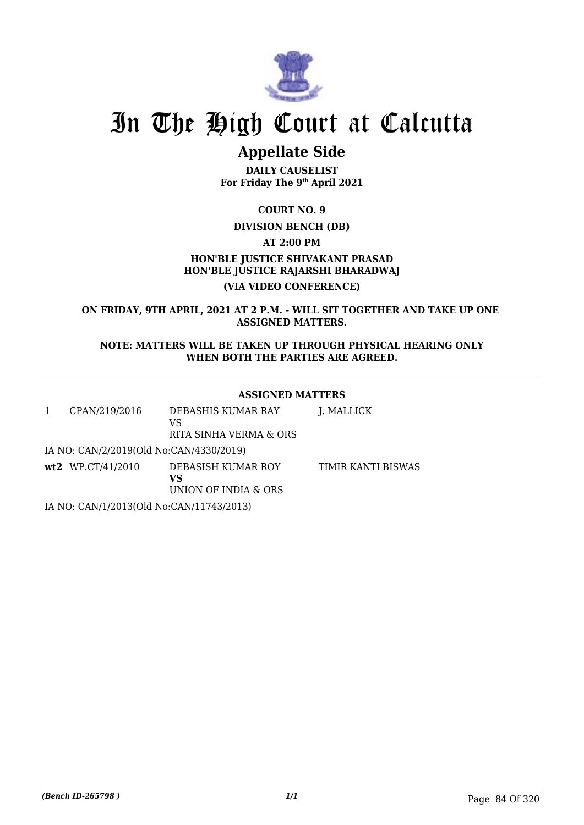

# **Appellate Side**

**DAILY CAUSELIST For Friday The 9th April 2021**

**COURT NO. 9**

## **DIVISION BENCH (DB)**

**AT 2:00 PM**

## **HON'BLE JUSTICE SHIVAKANT PRASAD HON'BLE JUSTICE RAJARSHI BHARADWAJ (VIA VIDEO CONFERENCE)**

**ON FRIDAY, 9TH APRIL, 2021 AT 2 P.M. - WILL SIT TOGETHER AND TAKE UP ONE ASSIGNED MATTERS.**

**NOTE: MATTERS WILL BE TAKEN UP THROUGH PHYSICAL HEARING ONLY WHEN BOTH THE PARTIES ARE AGREED.**

### **ASSIGNED MATTERS**

| 1 | CPAN/219/2016                            | DEBASHIS KUMAR RAY<br>VS<br>RITA SINHA VERMA & ORS | J. MALLICK         |
|---|------------------------------------------|----------------------------------------------------|--------------------|
|   | IA NO: CAN/2/2019(Old No:CAN/4330/2019)  |                                                    |                    |
|   | $wt2$ WP.CT/41/2010                      | DEBASISH KUMAR ROY<br>VS<br>UNION OF INDIA & ORS   | TIMIR KANTI BISWAS |
|   | IA NO: CAN/1/2013(Old No:CAN/11743/2013) |                                                    |                    |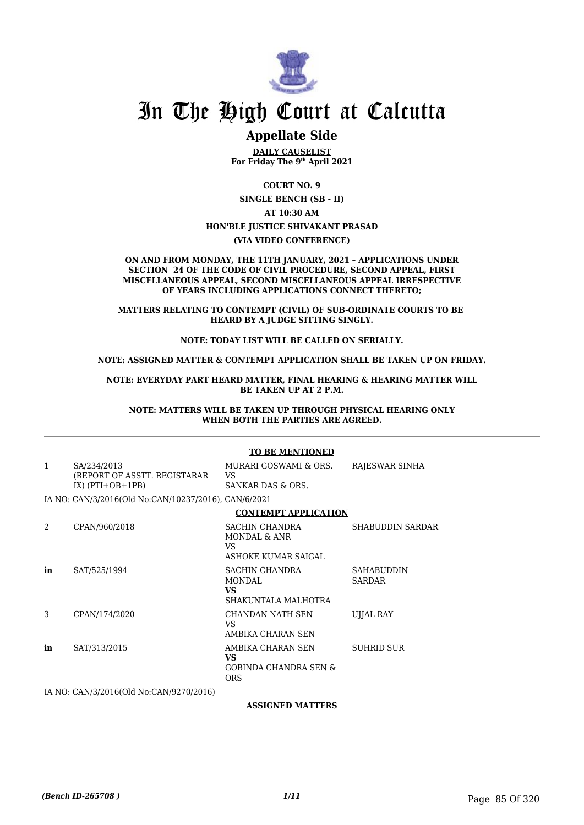

## **Appellate Side**

**DAILY CAUSELIST For Friday The 9th April 2021**

**COURT NO. 9**

**SINGLE BENCH (SB - II)**

**AT 10:30 AM**

#### **HON'BLE JUSTICE SHIVAKANT PRASAD**

**(VIA VIDEO CONFERENCE)**

#### **ON AND FROM MONDAY, THE 11TH JANUARY, 2021 – APPLICATIONS UNDER SECTION 24 OF THE CODE OF CIVIL PROCEDURE, SECOND APPEAL, FIRST MISCELLANEOUS APPEAL, SECOND MISCELLANEOUS APPEAL IRRESPECTIVE OF YEARS INCLUDING APPLICATIONS CONNECT THERETO;**

**MATTERS RELATING TO CONTEMPT (CIVIL) OF SUB-ORDINATE COURTS TO BE HEARD BY A JUDGE SITTING SINGLY.**

#### **NOTE: TODAY LIST WILL BE CALLED ON SERIALLY.**

#### **NOTE: ASSIGNED MATTER & CONTEMPT APPLICATION SHALL BE TAKEN UP ON FRIDAY.**

**NOTE: EVERYDAY PART HEARD MATTER, FINAL HEARING & HEARING MATTER WILL BE TAKEN UP AT 2 P.M.**

**NOTE: MATTERS WILL BE TAKEN UP THROUGH PHYSICAL HEARING ONLY WHEN BOTH THE PARTIES ARE AGREED.**

#### **TO BE MENTIONED** 1 SA/234/2013 (REPORT OF ASSTT. REGISTARAR IX)  $(PTI+OB+1PB)$ MURARI GOSWAMI & ORS. VS SANKAR DAS & ORS. RAJESWAR SINHA IA NO: CAN/3/2016(Old No:CAN/10237/2016), CAN/6/2021 **CONTEMPT APPLICATION** 2 CPAN/960/2018 SACHIN CHANDRA MONDAL & ANR VS ASHOKE KUMAR SAIGAL SHABUDDIN SARDAR **in** SAT/525/1994 SACHIN CHANDRA MONDAL **VS** SHAKUNTALA MALHOTRA SAHABUDDIN SARDAR 3 CPAN/174/2020 CHANDAN NATH SEN VS AMBIKA CHARAN SEN UJJAL RAY **in** SAT/313/2015 AMBIKA CHARAN SEN **VS** GOBINDA CHANDRA SEN & ORS SUHRID SUR

IA NO: CAN/3/2016(Old No:CAN/9270/2016)

#### **ASSIGNED MATTERS**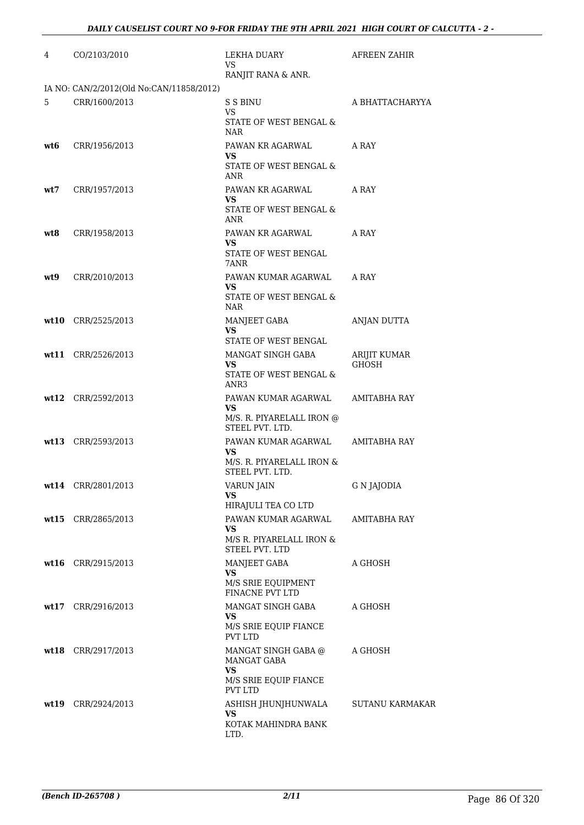| 4   | CO/2103/2010                             | LEKHA DUARY<br>VS.                                | AFREEN ZAHIR                 |
|-----|------------------------------------------|---------------------------------------------------|------------------------------|
|     |                                          | RANJIT RANA & ANR.                                |                              |
|     | IA NO: CAN/2/2012(Old No:CAN/11858/2012) |                                                   |                              |
| 5   | CRR/1600/2013                            | S S BINU<br>VS.                                   | A BHATTACHARYYA              |
|     |                                          | STATE OF WEST BENGAL &<br>NAR                     |                              |
| wt6 | CRR/1956/2013                            | PAWAN KR AGARWAL                                  | A RAY                        |
|     |                                          | <b>VS</b><br>STATE OF WEST BENGAL &<br>ANR        |                              |
| wt7 | CRR/1957/2013                            | PAWAN KR AGARWAL                                  | A RAY                        |
|     |                                          | VS.<br>STATE OF WEST BENGAL &                     |                              |
|     |                                          | ANR                                               |                              |
| wt8 | CRR/1958/2013                            | PAWAN KR AGARWAL                                  | A RAY                        |
|     |                                          | VS.<br>STATE OF WEST BENGAL                       |                              |
|     |                                          | 7ANR                                              |                              |
| wt9 | CRR/2010/2013                            | PAWAN KUMAR AGARWAL<br>VS.                        | A RAY                        |
|     |                                          | STATE OF WEST BENGAL &                            |                              |
|     |                                          | NAR                                               |                              |
|     | wt10 CRR/2525/2013                       | MANJEET GABA<br>VS.                               | ANJAN DUTTA                  |
|     |                                          | STATE OF WEST BENGAL                              |                              |
|     | wt11 CRR/2526/2013                       | MANGAT SINGH GABA<br>VS.                          | ARIJIT KUMAR<br><b>GHOSH</b> |
|     |                                          | STATE OF WEST BENGAL &<br>ANR3                    |                              |
|     | wt12 CRR/2592/2013                       | PAWAN KUMAR AGARWAL<br>VS.                        | AMITABHA RAY                 |
|     |                                          | M/S. R. PIYARELALL IRON @<br>STEEL PVT. LTD.      |                              |
|     | wt13 CRR/2593/2013                       | PAWAN KUMAR AGARWAL AMITABHA RAY                  |                              |
|     |                                          | VS.<br>M/S. R. PIYARELALL IRON &                  |                              |
|     |                                          | STEEL PVT. LTD.                                   |                              |
|     | wt14 CRR/2801/2013                       | VARUN JAIN<br>VS.                                 | G N JAJODIA                  |
|     |                                          | HIRAJULI TEA CO LTD                               |                              |
|     | wt15 CRR/2865/2013                       | PAWAN KUMAR AGARWAL<br>VS.                        | AMITABHA RAY                 |
|     |                                          | M/S R. PIYARELALL IRON &<br><b>STEEL PVT. LTD</b> |                              |
|     | wt16 CRR/2915/2013                       | MANJEET GABA                                      | A GHOSH                      |
|     |                                          | <b>VS</b><br>M/S SRIE EQUIPMENT                   |                              |
|     |                                          | <b>FINACNE PVT LTD</b>                            |                              |
|     | wt17 CRR/2916/2013                       | MANGAT SINGH GABA<br>VS.                          | A GHOSH                      |
|     |                                          | M/S SRIE EQUIP FIANCE<br>PVT LTD                  |                              |
|     | wt18 CRR/2917/2013                       | MANGAT SINGH GABA @<br>MANGAT GABA                | A GHOSH                      |
|     |                                          | <b>VS</b>                                         |                              |
|     |                                          | M/S SRIE EQUIP FIANCE<br>PVT LTD                  |                              |
|     | wt19 CRR/2924/2013                       | ASHISH JHUNJHUNWALA                               | <b>SUTANU KARMAKAR</b>       |
|     |                                          | <b>VS</b><br>KOTAK MAHINDRA BANK<br>LTD.          |                              |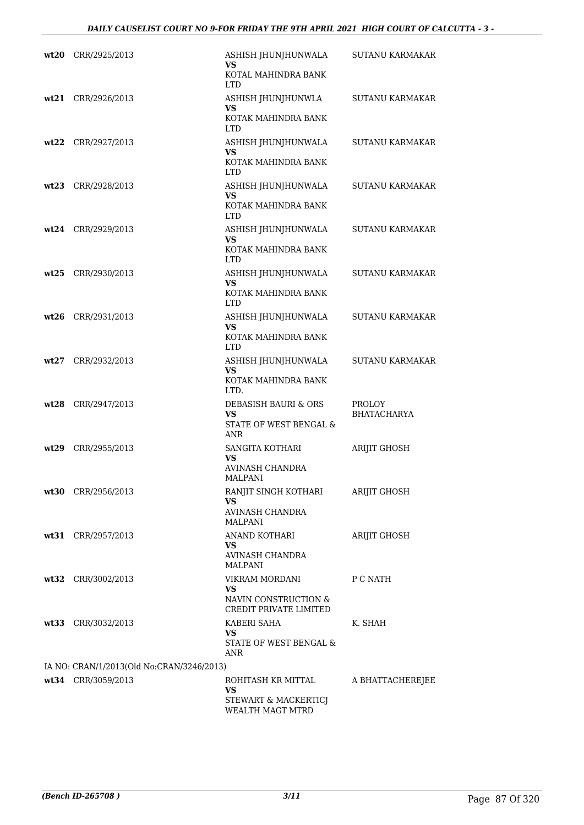|      | wt20 CRR/2925/2013                        | ASHISH JHUNJHUNWALA<br>VS<br>KOTAL MAHINDRA BANK<br>LTD.               | SUTANU KARMAKAR                     |
|------|-------------------------------------------|------------------------------------------------------------------------|-------------------------------------|
|      | $wt21$ CRR/2926/2013                      | ASHISH JHUNJHUNWLA<br>VS<br>KOTAK MAHINDRA BANK<br><b>LTD</b>          | SUTANU KARMAKAR                     |
| wt22 | CRR/2927/2013                             | ASHISH JHUNJHUNWALA<br>VS<br>KOTAK MAHINDRA BANK                       | <b>SUTANU KARMAKAR</b>              |
|      | wt23 CRR/2928/2013                        | <b>LTD</b><br>ASHISH JHUNJHUNWALA<br>VS<br>KOTAK MAHINDRA BANK         | <b>SUTANU KARMAKAR</b>              |
|      | wt24 CRR/2929/2013                        | <b>LTD</b><br>ASHISH JHUNJHUNWALA<br>VS<br>KOTAK MAHINDRA BANK         | SUTANU KARMAKAR                     |
|      | wt25 CRR/2930/2013                        | <b>LTD</b><br>ASHISH JHUNJHUNWALA<br>VS<br>KOTAK MAHINDRA BANK         | SUTANU KARMAKAR                     |
| wt26 | CRR/2931/2013                             | <b>LTD</b><br>ASHISH JHUNJHUNWALA<br><b>VS</b><br>KOTAK MAHINDRA BANK  | <b>SUTANU KARMAKAR</b>              |
| wt27 | CRR/2932/2013                             | <b>LTD</b><br>ASHISH JHUNJHUNWALA<br>VS<br>KOTAK MAHINDRA BANK         | <b>SUTANU KARMAKAR</b>              |
|      | $wt28$ CRR/2947/2013                      | LTD.<br>DEBASISH BAURI & ORS<br>VS<br>STATE OF WEST BENGAL &           | <b>PROLOY</b><br><b>BHATACHARYA</b> |
| wt29 | CRR/2955/2013                             | <b>ANR</b><br>SANGITA KOTHARI<br><b>VS</b><br>AVINASH CHANDRA          | ARIJIT GHOSH                        |
|      | wt30 CRR/2956/2013                        | <b>MALPANI</b><br>RANJIT SINGH KOTHARI<br>VS.<br>AVINASH CHANDRA       | ARIJIT GHOSH                        |
|      | wt31 CRR/2957/2013                        | MALPANI<br>ANAND KOTHARI<br>VS<br>AVINASH CHANDRA                      | ARIJIT GHOSH                        |
|      | wt32 CRR/3002/2013                        | MALPANI<br>VIKRAM MORDANI<br><b>VS</b><br>NAVIN CONSTRUCTION &         | P C NATH                            |
|      | wt33 CRR/3032/2013                        | CREDIT PRIVATE LIMITED<br>KABERI SAHA<br>VS.<br>STATE OF WEST BENGAL & | K. SHAH                             |
|      | IA NO: CRAN/1/2013(Old No:CRAN/3246/2013) | ANR                                                                    |                                     |
|      | wt34 CRR/3059/2013                        | ROHITASH KR MITTAL                                                     | A BHATTACHEREJEE                    |
|      |                                           | <b>VS</b><br>STEWART & MACKERTICJ<br>WEALTH MAGT MTRD                  |                                     |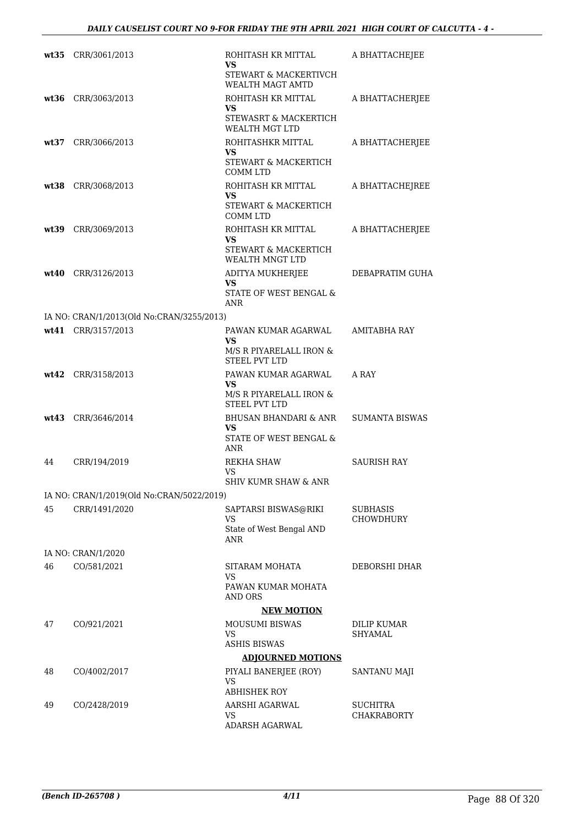|      | wt35 CRR/3061/2013                        | ROHITASH KR MITTAL<br>VS<br>STEWART & MACKERTIVCH                    | A BHATTACHEJEE                 |
|------|-------------------------------------------|----------------------------------------------------------------------|--------------------------------|
|      |                                           | WEALTH MAGT AMTD                                                     |                                |
|      | wt36 CRR/3063/2013                        | ROHITASH KR MITTAL<br>VS<br>STEWASRT & MACKERTICH<br>WEALTH MGT LTD  | A BHATTACHERJEE                |
| wt37 | CRR/3066/2013                             | ROHITASHKR MITTAL<br>VS<br>STEWART & MACKERTICH<br><b>COMM LTD</b>   | A BHATTACHERJEE                |
|      | wt38 CRR/3068/2013                        | ROHITASH KR MITTAL<br>VS.<br>STEWART & MACKERTICH<br><b>COMM LTD</b> | A BHATTACHEJREE                |
| wt39 | CRR/3069/2013                             | ROHITASH KR MITTAL<br>VS.<br>STEWART & MACKERTICH<br>WEALTH MNGT LTD | A BHATTACHERJEE                |
| wt40 | CRR/3126/2013                             | ADITYA MUKHERJEE<br><b>VS</b><br>STATE OF WEST BENGAL &<br>ANR       | DEBAPRATIM GUHA                |
|      | IA NO: CRAN/1/2013(Old No:CRAN/3255/2013) |                                                                      |                                |
|      | wt41 CRR/3157/2013                        | PAWAN KUMAR AGARWAL<br>VS<br>M/S R PIYARELALL IRON &                 | <b>AMITABHA RAY</b>            |
|      | wt42 CRR/3158/2013                        | <b>STEEL PVT LTD</b><br>PAWAN KUMAR AGARWAL<br>VS.                   | A RAY                          |
|      |                                           | M/S R PIYARELALL IRON &<br><b>STEEL PVT LTD</b>                      |                                |
|      | wt43 CRR/3646/2014                        | <b>BHUSAN BHANDARI &amp; ANR</b><br>VS.<br>STATE OF WEST BENGAL &    | <b>SUMANTA BISWAS</b>          |
|      |                                           | ANR                                                                  |                                |
| 44   | CRR/194/2019                              | REKHA SHAW<br>VS<br>SHIV KUMR SHAW & ANR                             | SAURISH RAY                    |
|      | IA NO: CRAN/1/2019(Old No:CRAN/5022/2019) |                                                                      |                                |
| 45   | CRR/1491/2020                             | SAPTARSI BISWAS@RIKI<br>VS.<br>State of West Bengal AND              | SUBHASIS<br>CHOWDHURY          |
|      |                                           | <b>ANR</b>                                                           |                                |
|      | IA NO: CRAN/1/2020                        |                                                                      |                                |
| 46   | CO/581/2021                               | SITARAM MOHATA<br>VS<br>PAWAN KUMAR MOHATA<br>AND ORS                | DEBORSHI DHAR                  |
|      |                                           | <b>NEW MOTION</b>                                                    |                                |
| 47   | CO/921/2021                               | <b>MOUSUMI BISWAS</b><br>VS.                                         | <b>DILIP KUMAR</b><br>SHYAMAL  |
|      |                                           | <b>ASHIS BISWAS</b>                                                  |                                |
| 48   | CO/4002/2017                              | <b>ADJOURNED MOTIONS</b><br>PIYALI BANERJEE (ROY)<br>VS              | SANTANU MAJI                   |
| 49   |                                           | <b>ABHISHEK ROY</b><br>AARSHI AGARWAL                                |                                |
|      | CO/2428/2019                              | VS<br>ADARSH AGARWAL                                                 | SUCHITRA<br><b>CHAKRABORTY</b> |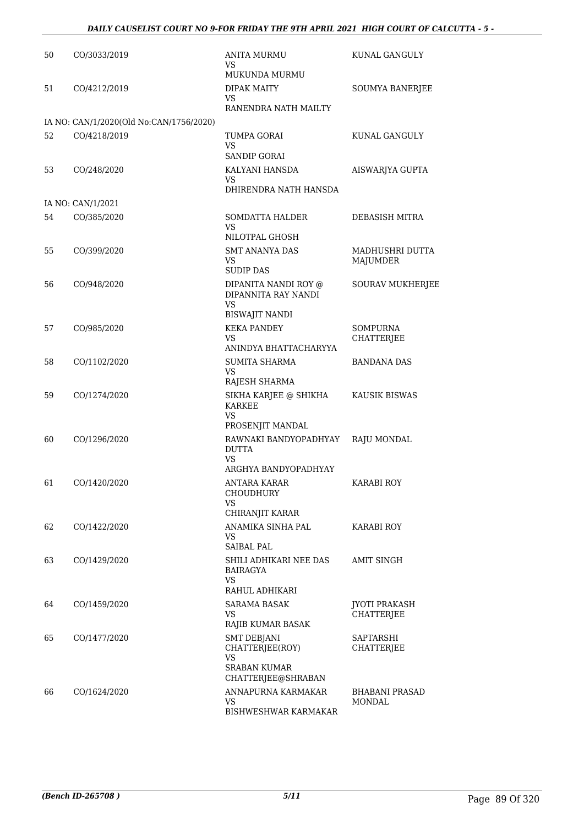| 50 | CO/3033/2019                            | <b>ANITA MURMU</b><br><b>VS</b>                                                   | KUNAL GANGULY                             |
|----|-----------------------------------------|-----------------------------------------------------------------------------------|-------------------------------------------|
| 51 | CO/4212/2019                            | MUKUNDA MURMU<br><b>DIPAK MAITY</b>                                               | SOUMYA BANERJEE                           |
|    |                                         | <b>VS</b><br>RANENDRA NATH MAILTY                                                 |                                           |
|    | IA NO: CAN/1/2020(Old No:CAN/1756/2020) |                                                                                   |                                           |
| 52 | CO/4218/2019                            | TUMPA GORAI<br>VS                                                                 | KUNAL GANGULY                             |
| 53 | CO/248/2020                             | SANDIP GORAI<br>KALYANI HANSDA<br><b>VS</b><br>DHIRENDRA NATH HANSDA              | AISWARJYA GUPTA                           |
|    | IA NO: CAN/1/2021                       |                                                                                   |                                           |
| 54 | CO/385/2020                             | <b>SOMDATTA HALDER</b>                                                            | DEBASISH MITRA                            |
|    |                                         | VS<br>NILOTPAL GHOSH                                                              |                                           |
| 55 | CO/399/2020                             | <b>SMT ANANYA DAS</b><br>VS<br><b>SUDIP DAS</b>                                   | MADHUSHRI DUTTA<br><b>MAJUMDER</b>        |
| 56 | CO/948/2020                             | DIPANITA NANDI ROY @<br>DIPANNITA RAY NANDI<br><b>VS</b><br><b>BISWAJIT NANDI</b> | <b>SOURAV MUKHERJEE</b>                   |
| 57 | CO/985/2020                             | <b>KEKA PANDEY</b>                                                                | SOMPURNA                                  |
|    |                                         | <b>VS</b>                                                                         | <b>CHATTERJEE</b>                         |
| 58 | CO/1102/2020                            | ANINDYA BHATTACHARYYA<br>SUMITA SHARMA                                            | <b>BANDANA DAS</b>                        |
|    |                                         | VS<br>RAJESH SHARMA                                                               |                                           |
| 59 | CO/1274/2020                            | SIKHA KARJEE @ SHIKHA<br><b>KARKEE</b><br>VS.                                     | KAUSIK BISWAS                             |
|    |                                         | PROSENJIT MANDAL                                                                  |                                           |
| 60 | CO/1296/2020                            | RAWNAKI BANDYOPADHYAY<br><b>DUTTA</b><br>VS                                       | RAJU MONDAL                               |
| 61 | CO/1420/2020                            | ARGHYA BANDYOPADHYAY<br>ANTARA KARAR<br><b>CHOUDHURY</b>                          | KARABI ROY                                |
|    |                                         | VS<br>CHIRANJIT KARAR                                                             |                                           |
| 62 | CO/1422/2020                            | ANAMIKA SINHA PAL<br>VS                                                           | <b>KARABI ROY</b>                         |
|    |                                         | SAIBAL PAL                                                                        |                                           |
| 63 | CO/1429/2020                            | SHILI ADHIKARI NEE DAS<br>BAIRAGYA<br>VS                                          | AMIT SINGH                                |
|    |                                         | RAHUL ADHIKARI                                                                    |                                           |
| 64 | CO/1459/2020                            | <b>SARAMA BASAK</b><br>VS.<br>RAJIB KUMAR BASAK                                   | <b>JYOTI PRAKASH</b><br><b>CHATTERJEE</b> |
| 65 | CO/1477/2020                            | <b>SMT DEBJANI</b><br>CHATTERJEE(ROY)                                             | SAPTARSHI<br><b>CHATTERJEE</b>            |
|    |                                         | <b>VS</b><br><b>SRABAN KUMAR</b><br>CHATTERJEE@SHRABAN                            |                                           |
| 66 | CO/1624/2020                            | ANNAPURNA KARMAKAR<br><b>VS</b><br><b>BISHWESHWAR KARMAKAR</b>                    | <b>BHABANI PRASAD</b><br>MONDAL           |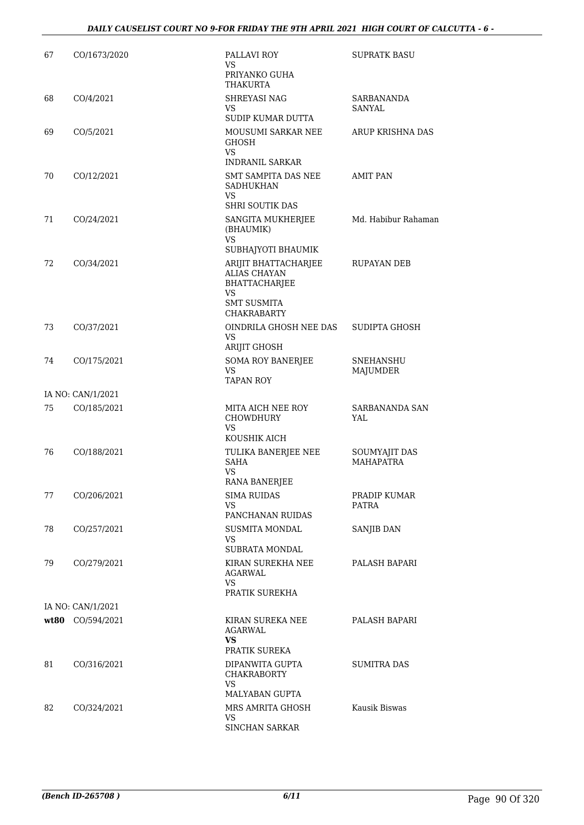| 67 | CO/1673/2020      | PALLAVI ROY<br>VS.<br>PRIYANKO GUHA<br>THAKURTA                                                                | <b>SUPRATK BASU</b>               |
|----|-------------------|----------------------------------------------------------------------------------------------------------------|-----------------------------------|
| 68 | CO/4/2021         | SHREYASI NAG<br>VS.<br>SUDIP KUMAR DUTTA                                                                       | SARBANANDA<br>SANYAL              |
| 69 | CO/5/2021         | MOUSUMI SARKAR NEE<br><b>GHOSH</b><br>VS.<br><b>INDRANIL SARKAR</b>                                            | ARUP KRISHNA DAS                  |
| 70 | CO/12/2021        | SMT SAMPITA DAS NEE<br><b>SADHUKHAN</b><br>VS<br><b>SHRI SOUTIK DAS</b>                                        | <b>AMIT PAN</b>                   |
| 71 | CO/24/2021        | SANGITA MUKHERJEE<br>(BHAUMIK)<br><b>VS</b><br>SUBHAJYOTI BHAUMIK                                              | Md. Habibur Rahaman               |
| 72 | CO/34/2021        | ARIJIT BHATTACHARJEE<br><b>ALIAS CHAYAN</b><br>BHATTACHARJEE<br>VS<br><b>SMT SUSMITA</b><br><b>CHAKRABARTY</b> | RUPAYAN DEB                       |
| 73 | CO/37/2021        | OINDRILA GHOSH NEE DAS<br>VS.<br>ARIJIT GHOSH                                                                  | SUDIPTA GHOSH                     |
| 74 | CO/175/2021       | <b>SOMA ROY BANERJEE</b><br>VS.<br><b>TAPAN ROY</b>                                                            | SNEHANSHU<br>MAJUMDER             |
|    | IA NO: CAN/1/2021 |                                                                                                                |                                   |
| 75 | CO/185/2021       | MITA AICH NEE ROY<br>CHOWDHURY<br>VS                                                                           | SARBANANDA SAN<br>YAL             |
|    |                   | KOUSHIK AICH                                                                                                   |                                   |
| 76 | CO/188/2021       | TULIKA BANERJEE NEE<br><b>SAHA</b><br><b>VS</b>                                                                | SOUMYAJIT DAS<br><b>MAHAPATRA</b> |
|    |                   | RANA BANERJEE                                                                                                  |                                   |
| 77 | CO/206/2021       | <b>SIMA RUIDAS</b><br>VS.<br>PANCHANAN RUIDAS                                                                  | PRADIP KUMAR<br>PATRA             |
| 78 | CO/257/2021       | <b>SUSMITA MONDAL</b><br><b>VS</b><br>SUBRATA MONDAL                                                           | SANJIB DAN                        |
| 79 | CO/279/2021       | KIRAN SUREKHA NEE<br>AGARWAL<br>VS<br>PRATIK SUREKHA                                                           | PALASH BAPARI                     |
|    | IA NO: CAN/1/2021 |                                                                                                                |                                   |
|    | wt80 CO/594/2021  | KIRAN SUREKA NEE<br>AGARWAL<br>VS<br>PRATIK SUREKA                                                             | PALASH BAPARI                     |
| 81 | CO/316/2021       | DIPANWITA GUPTA<br><b>CHAKRABORTY</b><br>VS.<br>MALYABAN GUPTA                                                 | <b>SUMITRA DAS</b>                |
| 82 | CO/324/2021       | MRS AMRITA GHOSH<br>VS.<br>SINCHAN SARKAR                                                                      | Kausik Biswas                     |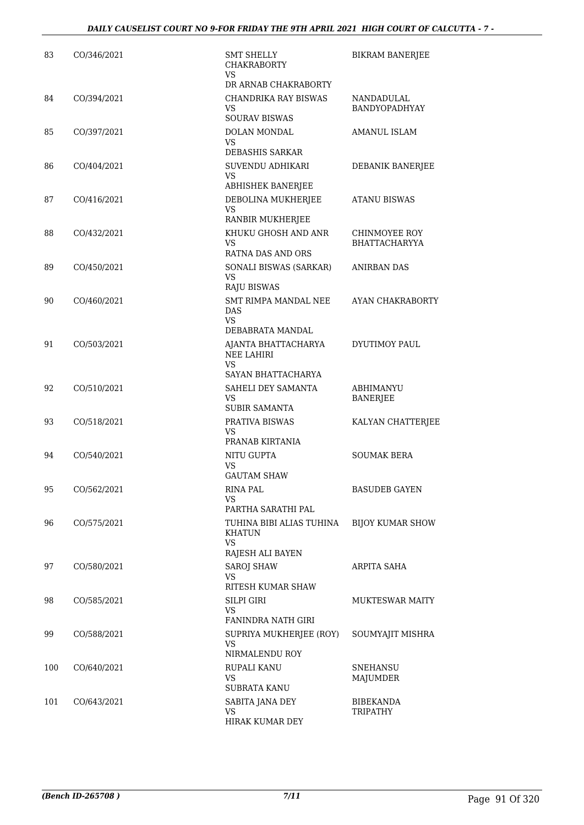| 83  | CO/346/2021 | <b>SMT SHELLY</b><br><b>CHAKRABORTY</b><br>VS.                                | <b>BIKRAM BANERJEE</b>                |
|-----|-------------|-------------------------------------------------------------------------------|---------------------------------------|
|     |             | DR ARNAB CHAKRABORTY                                                          |                                       |
| 84  | CO/394/2021 | CHANDRIKA RAY BISWAS<br>VS<br><b>SOURAV BISWAS</b>                            | NANDADULAL<br>BANDYOPADHYAY           |
| 85  | CO/397/2021 | DOLAN MONDAL<br>VS                                                            | <b>AMANUL ISLAM</b>                   |
|     |             | DEBASHIS SARKAR                                                               |                                       |
| 86  | CO/404/2021 | SUVENDU ADHIKARI<br>VS<br><b>ABHISHEK BANERJEE</b>                            | DEBANIK BANERJEE                      |
| 87  | CO/416/2021 | DEBOLINA MUKHERJEE<br><b>VS</b><br>RANBIR MUKHERJEE                           | ATANU BISWAS                          |
| 88  | CO/432/2021 | KHUKU GHOSH AND ANR<br>VS.                                                    | CHINMOYEE ROY<br><b>BHATTACHARYYA</b> |
| 89  | CO/450/2021 | RATNA DAS AND ORS<br>SONALI BISWAS (SARKAR)<br><b>VS</b>                      | ANIRBAN DAS                           |
| 90  | CO/460/2021 | <b>RAJU BISWAS</b><br>SMT RIMPA MANDAL NEE<br>DAS<br>VS.                      | AYAN CHAKRABORTY                      |
| 91  | CO/503/2021 | DEBABRATA MANDAL<br>AJANTA BHATTACHARYA<br><b>NEE LAHIRI</b><br>VS            | DYUTIMOY PAUL                         |
| 92  | CO/510/2021 | SAYAN BHATTACHARYA<br>SAHELI DEY SAMANTA<br>VS<br><b>SUBIR SAMANTA</b>        | ABHIMANYU<br>BANERJEE                 |
| 93  | CO/518/2021 | PRATIVA BISWAS<br>VS.                                                         | KALYAN CHATTERJEE                     |
| 94  | CO/540/2021 | PRANAB KIRTANIA<br>NITU GUPTA<br>VS<br><b>GAUTAM SHAW</b>                     | <b>SOUMAK BERA</b>                    |
| 95  | CO/562/2021 | <b>RINA PAL</b><br>VS.                                                        | BASUDEB GAYEN                         |
| 96  | CO/575/2021 | PARTHA SARATHI PAL<br>TUHINA BIBI ALIAS TUHINA<br>KHATUN<br><b>VS</b>         | <b>BIJOY KUMAR SHOW</b>               |
| 97  | CO/580/2021 | RAJESH ALI BAYEN<br><b>SAROJ SHAW</b><br>VS.                                  | ARPITA SAHA                           |
| 98  | CO/585/2021 | RITESH KUMAR SHAW<br>SILPI GIRI<br>VS.                                        | <b>MUKTESWAR MAITY</b>                |
| 99  | CO/588/2021 | <b>FANINDRA NATH GIRI</b><br>SUPRIYA MUKHERJEE (ROY)<br>VS.<br>NIRMALENDU ROY | SOUMYAJIT MISHRA                      |
| 100 | CO/640/2021 | RUPALI KANU<br>VS.<br><b>SUBRATA KANU</b>                                     | <b>SNEHANSU</b><br>MAJUMDER           |
| 101 | CO/643/2021 | SABITA JANA DEY<br>VS<br>HIRAK KUMAR DEY                                      | <b>BIBEKANDA</b><br>TRIPATHY          |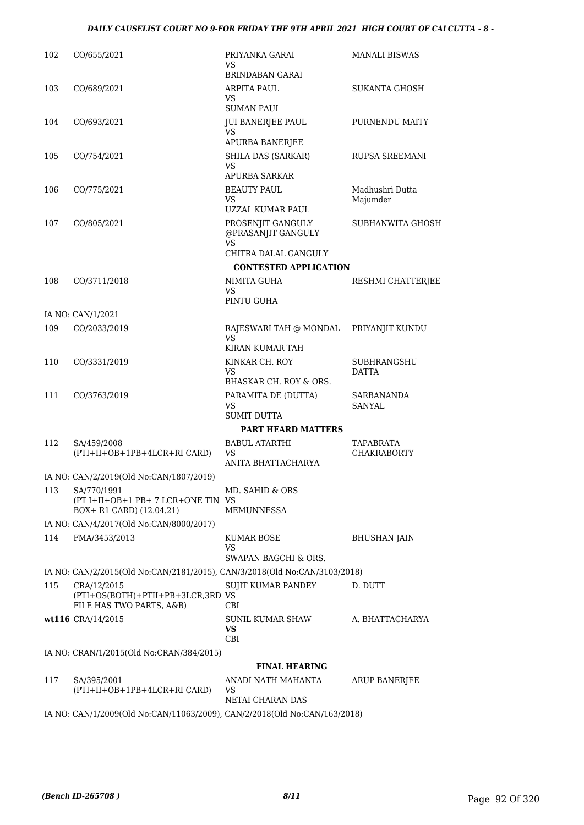| 102 | CO/655/2021                                                                  | PRIYANKA GARAI<br>VS<br><b>BRINDABAN GARAI</b>   | MANALI BISWAS               |
|-----|------------------------------------------------------------------------------|--------------------------------------------------|-----------------------------|
| 103 | CO/689/2021                                                                  | <b>ARPITA PAUL</b><br>VS                         | <b>SUKANTA GHOSH</b>        |
|     |                                                                              | <b>SUMAN PAUL</b>                                |                             |
| 104 | CO/693/2021                                                                  | <b>JUI BANERJEE PAUL</b><br>VS                   | PURNENDU MAITY              |
|     |                                                                              | APURBA BANERJEE                                  |                             |
| 105 | CO/754/2021                                                                  | SHILA DAS (SARKAR)<br>VS<br><b>APURBA SARKAR</b> | RUPSA SREEMANI              |
| 106 | CO/775/2021                                                                  | <b>BEAUTY PAUL</b>                               | Madhushri Dutta             |
|     |                                                                              | VS<br>UZZAL KUMAR PAUL                           | Majumder                    |
| 107 | CO/805/2021                                                                  | PROSENJIT GANGULY<br>@PRASANJIT GANGULY          | SUBHANWITA GHOSH            |
|     |                                                                              | VS<br>CHITRA DALAL GANGULY                       |                             |
|     |                                                                              | <b>CONTESTED APPLICATION</b>                     |                             |
| 108 | CO/3711/2018                                                                 | NIMITA GUHA<br>VS<br>PINTU GUHA                  | RESHMI CHATTERJEE           |
|     | IA NO: CAN/1/2021                                                            |                                                  |                             |
| 109 | CO/2033/2019                                                                 | RAJESWARI TAH @ MONDAL<br>VS                     | PRIYANJIT KUNDU             |
|     |                                                                              | KIRAN KUMAR TAH                                  |                             |
| 110 | CO/3331/2019                                                                 | KINKAR CH. ROY<br>VS                             | SUBHRANGSHU<br><b>DATTA</b> |
|     |                                                                              | BHASKAR CH. ROY & ORS.                           |                             |
| 111 | CO/3763/2019                                                                 | PARAMITA DE (DUTTA)<br>VS<br><b>SUMIT DUTTA</b>  | SARBANANDA<br><b>SANYAL</b> |
|     |                                                                              | <b>PART HEARD MATTERS</b>                        |                             |
| 112 | SA/459/2008                                                                  | <b>BABUL ATARTHI</b>                             | <b>TAPABRATA</b>            |
|     | (PTI+II+OB+1PB+4LCR+RI CARD)                                                 | VS<br>ANITA BHATTACHARYA                         | <b>CHAKRABORTY</b>          |
|     | IA NO: CAN/2/2019(Old No:CAN/1807/2019)                                      |                                                  |                             |
| 113 | SA/770/1991<br>(PT I+II+OB+1 PB+7 LCR+ONE TIN VS<br>BOX+ R1 CARD) (12.04.21) | MD. SAHID & ORS<br>MEMUNNESSA                    |                             |
|     |                                                                              |                                                  |                             |
| 114 | IA NO: CAN/4/2017(Old No:CAN/8000/2017)<br>FMA/3453/2013                     | KUMAR BOSE                                       |                             |
|     |                                                                              | VS                                               | BHUSHAN JAIN                |
|     |                                                                              | SWAPAN BAGCHI & ORS.                             |                             |
|     | IA NO: CAN/2/2015(Old No:CAN/2181/2015), CAN/3/2018(Old No:CAN/3103/2018)    |                                                  |                             |
| 115 | CRA/12/2015<br>(PTI+OS(BOTH)+PTII+PB+3LCR,3RD VS<br>FILE HAS TWO PARTS, A&B) | <b>SUJIT KUMAR PANDEY</b><br><b>CBI</b>          | D. DUTT                     |
|     | wt116 CRA/14/2015                                                            | SUNIL KUMAR SHAW<br><b>VS</b><br>CBI             | A. BHATTACHARYA             |
|     | IA NO: CRAN/1/2015(Old No:CRAN/384/2015)                                     |                                                  |                             |
|     |                                                                              | <b>FINAL HEARING</b>                             |                             |
| 117 | SA/395/2001                                                                  | ANADI NATH MAHANTA                               | ARUP BANERJEE               |
|     | (PTI+II+OB+1PB+4LCR+RI CARD)                                                 | VS                                               |                             |
|     |                                                                              | NETAI CHARAN DAS                                 |                             |
|     | IA NO: CAN/1/2009(Old No:CAN/11063/2009), CAN/2/2018(Old No:CAN/163/2018)    |                                                  |                             |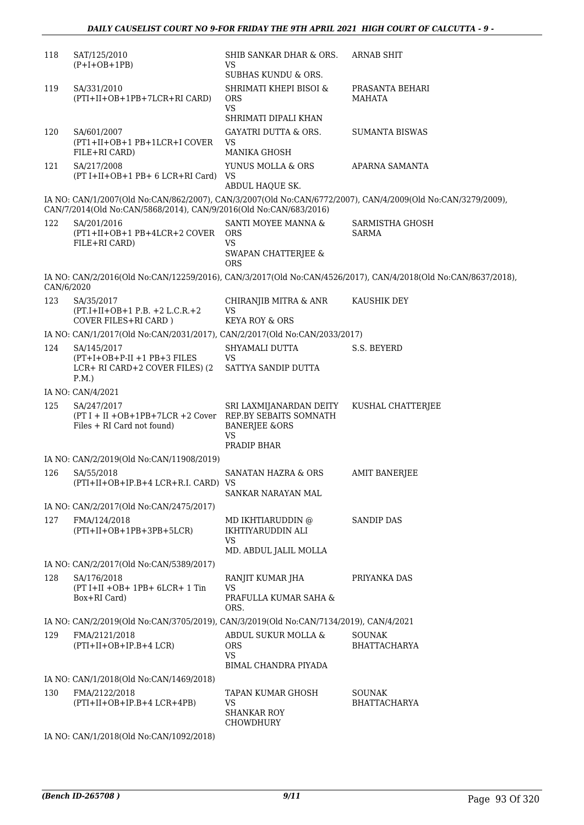| 118        | SAT/125/2010<br>$(P+I+OB+1PB)$                                                                       | SHIB SANKAR DHAR & ORS.<br>VS<br><b>SUBHAS KUNDU &amp; ORS.</b>               | <b>ARNAB SHIT</b>                                                                                             |
|------------|------------------------------------------------------------------------------------------------------|-------------------------------------------------------------------------------|---------------------------------------------------------------------------------------------------------------|
| 119        | SA/331/2010<br>(PTI+II+OB+1PB+7LCR+RI CARD)                                                          | SHRIMATI KHEPI BISOI &<br><b>ORS</b><br><b>VS</b><br>SHRIMATI DIPALI KHAN     | PRASANTA BEHARI<br>MAHATA                                                                                     |
| 120        | SA/601/2007<br>(PT1+II+OB+1 PB+1LCR+I COVER<br>FILE+RI CARD)                                         | <b>GAYATRI DUTTA &amp; ORS.</b><br>VS<br><b>MANIKA GHOSH</b>                  | <b>SUMANTA BISWAS</b>                                                                                         |
| 121        | SA/217/2008<br>(PT I+II+OB+1 PB+ 6 LCR+RI Card)                                                      | YUNUS MOLLA & ORS<br>VS<br>ABDUL HAQUE SK.                                    | APARNA SAMANTA                                                                                                |
|            | CAN/7/2014(Old No:CAN/5868/2014), CAN/9/2016(Old No:CAN/683/2016)                                    |                                                                               | IA NO: CAN/1/2007(Old No:CAN/862/2007), CAN/3/2007(Old No:CAN/6772/2007), CAN/4/2009(Old No:CAN/3279/2009),   |
| 122        | SA/201/2016<br>(PT1+II+OB+1 PB+4LCR+2 COVER<br>FILE+RI CARD)                                         | SANTI MOYEE MANNA &<br><b>ORS</b><br>VS.<br>SWAPAN CHATTERJEE &<br><b>ORS</b> | SARMISTHA GHOSH<br><b>SARMA</b>                                                                               |
| CAN/6/2020 |                                                                                                      |                                                                               | IA NO: CAN/2/2016(Old No:CAN/12259/2016), CAN/3/2017(Old No:CAN/4526/2017), CAN/4/2018(Old No:CAN/8637/2018), |
| 123        | SA/35/2017<br>$(PT.I+II+OB+1 P.B. +2 L.C.R. +2)$<br><b>COVER FILES+RI CARD</b> )                     | CHIRANJIB MITRA & ANR<br>VS<br><b>KEYA ROY &amp; ORS</b>                      | <b>KAUSHIK DEY</b>                                                                                            |
|            | IA NO: CAN/1/2017(Old No:CAN/2031/2017), CAN/2/2017(Old No:CAN/2033/2017)                            |                                                                               |                                                                                                               |
| 124        | SA/145/2017<br>$(PT+I+OB+P-II + 1 PB+3 FILES)$<br>LCR+ RI CARD+2 COVER FILES) (2<br>P.M.             | SHYAMALI DUTTA<br>VS<br>SATTYA SANDIP DUTTA                                   | S.S. BEYERD                                                                                                   |
|            | IA NO: CAN/4/2021                                                                                    |                                                                               |                                                                                                               |
| 125        | SA/247/2017<br>(PT I + II +OB+1PB+7LCR +2 Cover REP.BY SEBAITS SOMNATH<br>Files + RI Card not found) | SRI LAXMIJANARDAN DEITY<br><b>BANERJEE &amp;ORS</b><br>VS                     | KUSHAL CHATTERJEE                                                                                             |
|            |                                                                                                      | PRADIP BHAR                                                                   |                                                                                                               |
|            | IA NO: CAN/2/2019(Old No:CAN/11908/2019)                                                             |                                                                               |                                                                                                               |
| 126        | SA/55/2018<br>(PTI+II+OB+IP.B+4 LCR+R.I. CARD) VS                                                    | SANATAN HAZRA & ORS<br>SANKAR NARAYAN MAL                                     | <b>AMIT BANERJEE</b>                                                                                          |
|            | IA NO: CAN/2/2017(Old No:CAN/2475/2017)                                                              |                                                                               |                                                                                                               |
| 127        | FMA/124/2018<br>$(PTI+II+OB+1PB+3PB+5LCR)$                                                           | MD IKHTIARUDDIN @<br>IKHTIYARUDDIN ALI<br><b>VS</b>                           | <b>SANDIP DAS</b>                                                                                             |
|            |                                                                                                      | MD. ABDUL JALIL MOLLA                                                         |                                                                                                               |
|            | IA NO: CAN/2/2017(Old No:CAN/5389/2017)                                                              |                                                                               |                                                                                                               |
| 128        | SA/176/2018<br>$(PT I+II +OB+ 1PB+ 6LCR+ 1 Tin$                                                      | RANJIT KUMAR JHA<br><b>VS</b>                                                 | PRIYANKA DAS                                                                                                  |
|            | Box+RI Card)                                                                                         | PRAFULLA KUMAR SAHA &<br>ORS.                                                 |                                                                                                               |
|            | IA NO: CAN/2/2019(Old No:CAN/3705/2019), CAN/3/2019(Old No:CAN/7134/2019), CAN/4/2021                |                                                                               |                                                                                                               |
| 129        | FMA/2121/2018<br>$(PTI+II+OB+IP.B+4 LCR)$                                                            | ABDUL SUKUR MOLLA &<br><b>ORS</b><br><b>VS</b>                                | <b>SOUNAK</b><br><b>BHATTACHARYA</b>                                                                          |
|            | IA NO: CAN/1/2018(Old No:CAN/1469/2018)                                                              | BIMAL CHANDRA PIYADA                                                          |                                                                                                               |
| 130        | FMA/2122/2018<br>$(PTI+II+OB+IP.B+4 LCR+4PB)$                                                        | TAPAN KUMAR GHOSH<br>VS<br><b>SHANKAR ROY</b><br><b>CHOWDHURY</b>             | SOUNAK<br><b>BHATTACHARYA</b>                                                                                 |
|            | IA NO: CAN/1/2018(Old No:CAN/1092/2018)                                                              |                                                                               |                                                                                                               |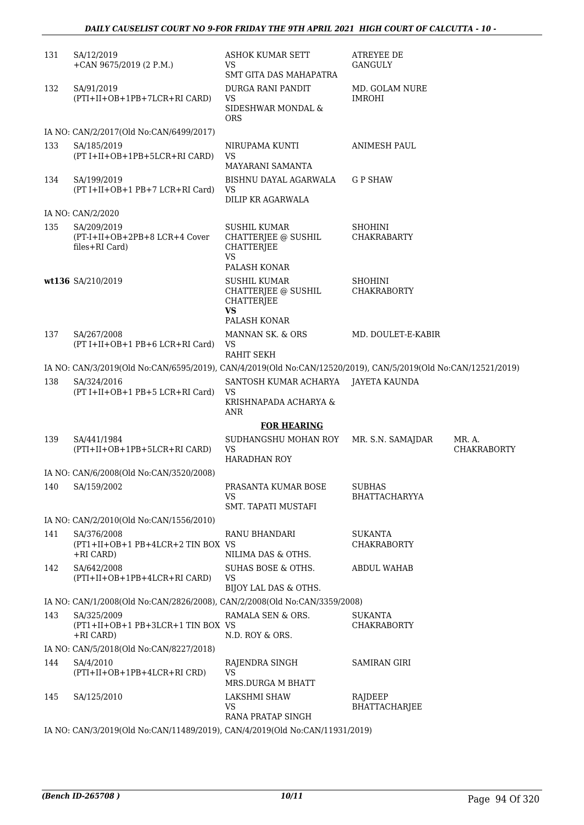| 131 | SA/12/2019<br>+CAN 9675/2019 (2 P.M.)                                                                         | <b>ASHOK KUMAR SETT</b><br>VS<br>SMT GITA DAS MAHAPATRA                                             | <b>ATREYEE DE</b><br>GANGULY          |                              |
|-----|---------------------------------------------------------------------------------------------------------------|-----------------------------------------------------------------------------------------------------|---------------------------------------|------------------------------|
| 132 | SA/91/2019<br>(PTI+II+OB+1PB+7LCR+RI CARD)                                                                    | DURGA RANI PANDIT<br><b>VS</b><br>SIDESHWAR MONDAL &<br><b>ORS</b>                                  | MD. GOLAM NURE<br><b>IMROHI</b>       |                              |
|     | IA NO: CAN/2/2017(Old No:CAN/6499/2017)                                                                       |                                                                                                     |                                       |                              |
| 133 | SA/185/2019<br>(PT I+II+OB+1PB+5LCR+RI CARD)                                                                  | NIRUPAMA KUNTI<br><b>VS</b><br>MAYARANI SAMANTA                                                     | <b>ANIMESH PAUL</b>                   |                              |
| 134 | SA/199/2019<br>$(PT I+II+OB+1 PB+7 LCR+RI Card)$                                                              | BISHNU DAYAL AGARWALA<br>VS<br>DILIP KR AGARWALA                                                    | <b>GP SHAW</b>                        |                              |
|     | IA NO: CAN/2/2020                                                                                             |                                                                                                     |                                       |                              |
| 135 | SA/209/2019<br>(PT-I+II+OB+2PB+8 LCR+4 Cover<br>files+RI Card)                                                | <b>SUSHIL KUMAR</b><br>CHATTERJEE @ SUSHIL<br><b>CHATTERJEE</b><br><b>VS</b><br>PALASH KONAR        | <b>SHOHINI</b><br><b>CHAKRABARTY</b>  |                              |
|     | wt136 SA/210/2019                                                                                             | <b>SUSHIL KUMAR</b><br><b>CHATTERJEE @ SUSHIL</b><br><b>CHATTERJEE</b><br><b>VS</b><br>PALASH KONAR | <b>SHOHINI</b><br><b>CHAKRABORTY</b>  |                              |
| 137 | SA/267/2008<br>(PT I+II+OB+1 PB+6 LCR+RI Card)                                                                | MANNAN SK. & ORS<br>VS<br><b>RAHIT SEKH</b>                                                         | MD. DOULET-E-KABIR                    |                              |
|     | IA NO: CAN/3/2019(Old No:CAN/6595/2019), CAN/4/2019(Old No:CAN/12520/2019), CAN/5/2019(Old No:CAN/12521/2019) |                                                                                                     |                                       |                              |
| 138 | SA/324/2016<br>(PT I+II+OB+1 PB+5 LCR+RI Card)                                                                | SANTOSH KUMAR ACHARYA JAYETA KAUNDA<br><b>VS</b>                                                    |                                       |                              |
|     |                                                                                                               | KRISHNAPADA ACHARYA &<br><b>ANR</b>                                                                 |                                       |                              |
|     |                                                                                                               | <b>FOR HEARING</b>                                                                                  |                                       |                              |
| 139 | SA/441/1984<br>(PTI+II+OB+1PB+5LCR+RI CARD)                                                                   | SUDHANGSHU MOHAN ROY<br><b>VS</b><br><b>HARADHAN ROY</b>                                            | MR. S.N. SAMAJDAR                     | MR. A.<br><b>CHAKRABORTY</b> |
|     | IA NO: CAN/6/2008(Old No:CAN/3520/2008)                                                                       |                                                                                                     |                                       |                              |
|     | 140 SA/159/2002                                                                                               | PRASANTA KUMAR BOSE<br>VS                                                                           | <b>SUBHAS</b><br><b>BHATTACHARYYA</b> |                              |
|     |                                                                                                               | SMT. TAPATI MUSTAFI                                                                                 |                                       |                              |
|     | IA NO: CAN/2/2010(Old No:CAN/1556/2010)                                                                       |                                                                                                     |                                       |                              |
| 141 | SA/376/2008<br>(PT1+II+OB+1 PB+4LCR+2 TIN BOX VS<br>+RI CARD)                                                 | RANU BHANDARI<br>NILIMA DAS & OTHS.                                                                 | <b>SUKANTA</b><br><b>CHAKRABORTY</b>  |                              |
| 142 | SA/642/2008<br>(PTI+II+OB+1PB+4LCR+RI CARD)                                                                   | SUHAS BOSE & OTHS.<br>VS<br>BIJOY LAL DAS & OTHS.                                                   | <b>ABDUL WAHAB</b>                    |                              |
|     | IA NO: CAN/1/2008(Old No:CAN/2826/2008), CAN/2/2008(Old No:CAN/3359/2008)                                     |                                                                                                     |                                       |                              |
| 143 | SA/325/2009                                                                                                   | RAMALA SEN & ORS.                                                                                   | SUKANTA                               |                              |
|     | (PT1+II+OB+1 PB+3LCR+1 TIN BOX VS<br>$+RI$ CARD)                                                              | N.D. ROY & ORS.                                                                                     | <b>CHAKRABORTY</b>                    |                              |
|     | IA NO: CAN/5/2018(Old No:CAN/8227/2018)                                                                       |                                                                                                     |                                       |                              |
| 144 | SA/4/2010<br>(PTI+II+OB+1PB+4LCR+RI CRD)                                                                      | RAJENDRA SINGH<br><b>VS</b><br><b>MRS.DURGA M BHATT</b>                                             | <b>SAMIRAN GIRI</b>                   |                              |
| 145 | SA/125/2010                                                                                                   | LAKSHMI SHAW<br>VS<br>RANA PRATAP SINGH                                                             | RAJDEEP<br><b>BHATTACHARJEE</b>       |                              |
|     | IA NO: CAN/3/2019(Old No:CAN/11489/2019), CAN/4/2019(Old No:CAN/11931/2019)                                   |                                                                                                     |                                       |                              |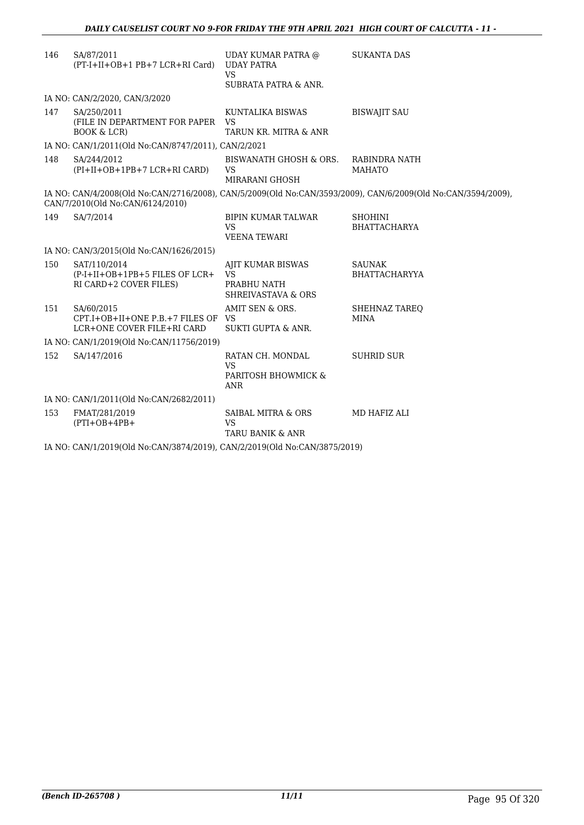| 146 | SA/87/2011<br>(PT-I+II+OB+1 PB+7 LCR+RI Card)                                  | UDAY KUMAR PATRA @<br><b>UDAY PATRA</b><br><b>VS</b><br>SUBRATA PATRA & ANR.   | <b>SUKANTA DAS</b>                                                                                           |  |
|-----|--------------------------------------------------------------------------------|--------------------------------------------------------------------------------|--------------------------------------------------------------------------------------------------------------|--|
|     | IA NO: CAN/2/2020, CAN/3/2020                                                  |                                                                                |                                                                                                              |  |
| 147 | SA/250/2011<br>(FILE IN DEPARTMENT FOR PAPER<br><b>BOOK &amp; LCR)</b>         | KUNTALIKA BISWAS<br>VS<br>TARUN KR. MITRA & ANR                                | <b>BISWAJIT SAU</b>                                                                                          |  |
|     | IA NO: CAN/1/2011(Old No:CAN/8747/2011), CAN/2/2021                            |                                                                                |                                                                                                              |  |
| 148 | SA/244/2012<br>(PI+II+OB+1PB+7 LCR+RI CARD)                                    | BISWANATH GHOSH & ORS.<br><b>VS</b><br>MIRARANI GHOSH                          | RABINDRA NATH<br><b>MAHATO</b>                                                                               |  |
|     | CAN/7/2010(Old No:CAN/6124/2010)                                               |                                                                                | IA NO: CAN/4/2008(Old No:CAN/2716/2008), CAN/5/2009(Old No:CAN/3593/2009), CAN/6/2009(Old No:CAN/3594/2009), |  |
| 149 | SA/7/2014                                                                      | <b>BIPIN KUMAR TALWAR</b><br><b>VS</b><br><b>VEENA TEWARI</b>                  | <b>SHOHINI</b><br><b>BHATTACHARYA</b>                                                                        |  |
|     | IA NO: CAN/3/2015(Old No:CAN/1626/2015)                                        |                                                                                |                                                                                                              |  |
| 150 | SAT/110/2014<br>(P-I+II+OB+1PB+5 FILES OF LCR+<br>RI CARD+2 COVER FILES)       | AJIT KUMAR BISWAS<br><b>VS</b><br>PRABHU NATH<br><b>SHREIVASTAVA &amp; ORS</b> | <b>SAUNAK</b><br><b>BHATTACHARYYA</b>                                                                        |  |
| 151 | SA/60/2015<br>CPT.I+OB+II+ONE P.B.+7 FILES OF VS<br>LCR+ONE COVER FILE+RI CARD | AMIT SEN & ORS.<br><b>SUKTI GUPTA &amp; ANR.</b>                               | SHEHNAZ TAREO<br><b>MINA</b>                                                                                 |  |
|     | IA NO: CAN/1/2019(Old No:CAN/11756/2019)                                       |                                                                                |                                                                                                              |  |
| 152 | SA/147/2016                                                                    | RATAN CH. MONDAL<br><b>VS</b><br>PARITOSH BHOWMICK &<br><b>ANR</b>             | <b>SUHRID SUR</b>                                                                                            |  |
|     | IA NO: CAN/1/2011(Old No:CAN/2682/2011)                                        |                                                                                |                                                                                                              |  |
| 153 | FMAT/281/2019<br>$(PTI+OB+4PB+$                                                | SAIBAL MITRA & ORS<br><b>VS</b><br><b>TARU BANIK &amp; ANR</b>                 | MD HAFIZ ALI                                                                                                 |  |
|     | IA NO: CAN/1/2019(Old No:CAN/3874/2019), CAN/2/2019(Old No:CAN/3875/2019)      |                                                                                |                                                                                                              |  |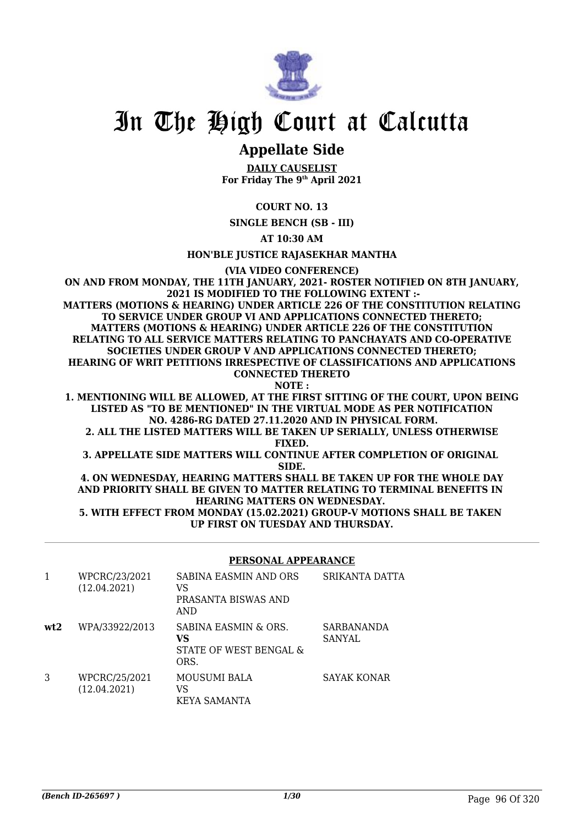

# **Appellate Side**

**DAILY CAUSELIST For Friday The 9th April 2021**

### **COURT NO. 13**

**SINGLE BENCH (SB - III)**

**AT 10:30 AM**

**HON'BLE JUSTICE RAJASEKHAR MANTHA**

**(VIA VIDEO CONFERENCE)**

**ON AND FROM MONDAY, THE 11TH JANUARY, 2021- ROSTER NOTIFIED ON 8TH JANUARY, 2021 IS MODIFIED TO THE FOLLOWING EXTENT :- MATTERS (MOTIONS & HEARING) UNDER ARTICLE 226 OF THE CONSTITUTION RELATING TO SERVICE UNDER GROUP VI AND APPLICATIONS CONNECTED THERETO; MATTERS (MOTIONS & HEARING) UNDER ARTICLE 226 OF THE CONSTITUTION RELATING TO ALL SERVICE MATTERS RELATING TO PANCHAYATS AND CO-OPERATIVE SOCIETIES UNDER GROUP V AND APPLICATIONS CONNECTED THERETO; HEARING OF WRIT PETITIONS IRRESPECTIVE OF CLASSIFICATIONS AND APPLICATIONS CONNECTED THERETO NOTE :**

**1. MENTIONING WILL BE ALLOWED, AT THE FIRST SITTING OF THE COURT, UPON BEING LISTED AS "TO BE MENTIONED" IN THE VIRTUAL MODE AS PER NOTIFICATION NO. 4286-RG DATED 27.11.2020 AND IN PHYSICAL FORM.**

**2. ALL THE LISTED MATTERS WILL BE TAKEN UP SERIALLY, UNLESS OTHERWISE FIXED.**

**3. APPELLATE SIDE MATTERS WILL CONTINUE AFTER COMPLETION OF ORIGINAL SIDE.**

**4. ON WEDNESDAY, HEARING MATTERS SHALL BE TAKEN UP FOR THE WHOLE DAY AND PRIORITY SHALL BE GIVEN TO MATTER RELATING TO TERMINAL BENEFITS IN HEARING MATTERS ON WEDNESDAY. 5. WITH EFFECT FROM MONDAY (15.02.2021) GROUP-V MOTIONS SHALL BE TAKEN** 

**UP FIRST ON TUESDAY AND THURSDAY.**

#### **PERSONAL APPEARANCE**

|     | WPCRC/23/2021<br>(12.04.2021) | <b>SABINA EASMIN AND ORS</b><br>VS<br>PRASANTA BISWAS AND<br>AND | SRIKANTA DATTA              |
|-----|-------------------------------|------------------------------------------------------------------|-----------------------------|
| wt2 | WPA/33922/2013                | SABINA EASMIN & ORS.<br>VS<br>STATE OF WEST BENGAL &<br>ORS.     | SARBANANDA<br><b>SANYAL</b> |
| 3   | WPCRC/25/2021<br>(12.04.2021) | MOUSUMI BALA<br>VS<br>KEYA SAMANTA                               | SAYAK KONAR                 |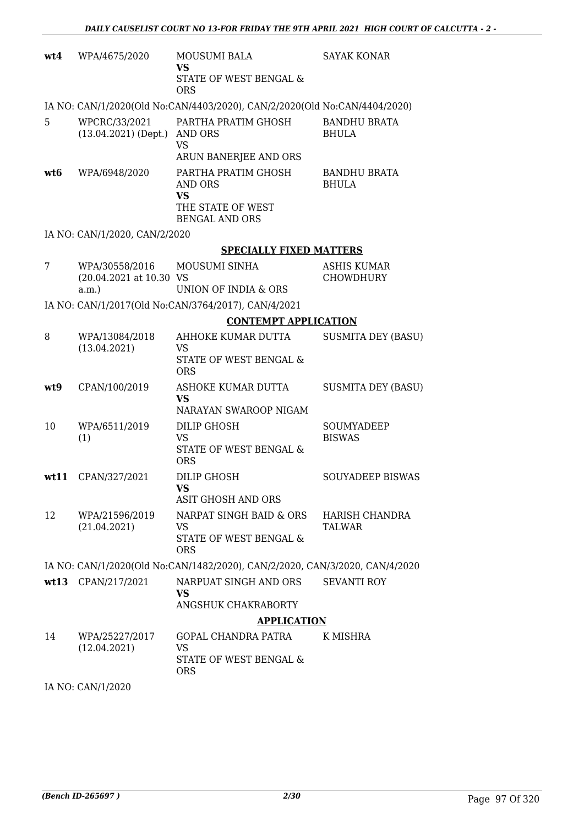| wt4  | WPA/4675/2020                                         | MOUSUMI BALA<br><b>VS</b><br>STATE OF WEST BENGAL &<br><b>ORS</b>                         | <b>SAYAK KONAR</b>                     |
|------|-------------------------------------------------------|-------------------------------------------------------------------------------------------|----------------------------------------|
|      |                                                       | IA NO: CAN/1/2020(Old No:CAN/4403/2020), CAN/2/2020(Old No:CAN/4404/2020)                 |                                        |
| 5    | WPCRC/33/2021<br>$(13.04.2021)$ (Dept.)               | PARTHA PRATIM GHOSH<br>AND ORS<br><b>VS</b><br>ARUN BANERJEE AND ORS                      | <b>BANDHU BRATA</b><br><b>BHULA</b>    |
| wt6  | WPA/6948/2020                                         | PARTHA PRATIM GHOSH<br>AND ORS<br><b>VS</b><br>THE STATE OF WEST<br><b>BENGAL AND ORS</b> | <b>BANDHU BRATA</b><br><b>BHULA</b>    |
|      | IA NO: CAN/1/2020, CAN/2/2020                         |                                                                                           |                                        |
|      |                                                       | <b>SPECIALLY FIXED MATTERS</b>                                                            |                                        |
| 7    | WPA/30558/2016<br>(20.04.2021 at 10.30 VS<br>$a.m.$ ) | MOUSUMI SINHA<br>UNION OF INDIA & ORS                                                     | <b>ASHIS KUMAR</b><br><b>CHOWDHURY</b> |
|      |                                                       | IA NO: CAN/1/2017(Old No:CAN/3764/2017), CAN/4/2021                                       |                                        |
|      |                                                       | <b>CONTEMPT APPLICATION</b>                                                               |                                        |
| 8    | WPA/13084/2018<br>(13.04.2021)                        | AHHOKE KUMAR DUTTA<br>VS<br>STATE OF WEST BENGAL &<br><b>ORS</b>                          | <b>SUSMITA DEY (BASU)</b>              |
| wt9  | CPAN/100/2019                                         | ASHOKE KUMAR DUTTA<br>VS<br>NARAYAN SWAROOP NIGAM                                         | <b>SUSMITA DEY (BASU)</b>              |
| 10   | WPA/6511/2019<br>(1)                                  | DILIP GHOSH<br><b>VS</b><br>STATE OF WEST BENGAL &<br><b>ORS</b>                          | SOUMYADEEP<br><b>BISWAS</b>            |
| wt11 | CPAN/327/2021                                         | DILIP GHOSH<br><b>VS</b><br>ASIT GHOSH AND ORS                                            | <b>SOUYADEEP BISWAS</b>                |
| 12   | WPA/21596/2019<br>(21.04.2021)                        | NARPAT SINGH BAID & ORS<br><b>VS</b><br>STATE OF WEST BENGAL &<br><b>ORS</b>              | HARISH CHANDRA<br>TALWAR               |
|      |                                                       | IA NO: CAN/1/2020(Old No:CAN/1482/2020), CAN/2/2020, CAN/3/2020, CAN/4/2020               |                                        |
|      | wt13 CPAN/217/2021                                    | NARPUAT SINGH AND ORS<br>VS<br>ANGSHUK CHAKRABORTY                                        | <b>SEVANTI ROY</b>                     |
|      |                                                       | <b>APPLICATION</b>                                                                        |                                        |
| 14   | WPA/25227/2017<br>(12.04.2021)                        | <b>GOPAL CHANDRA PATRA</b><br>VS<br>STATE OF WEST BENGAL &<br><b>ORS</b>                  | K MISHRA                               |
|      |                                                       |                                                                                           |                                        |

IA NO: CAN/1/2020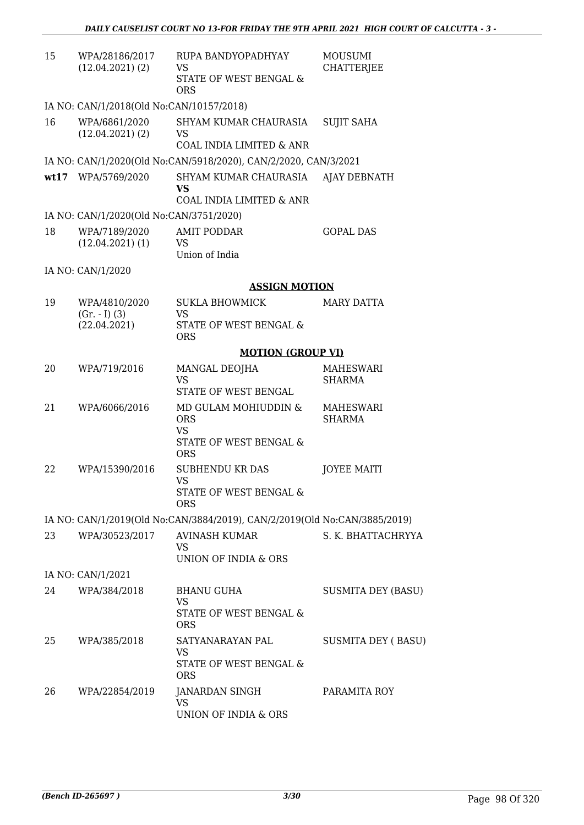| 15   | WPA/28186/2017<br>$(12.04.2021)$ $(2)$           | RUPA BANDYOPADHYAY<br>VS<br>STATE OF WEST BENGAL &<br><b>ORS</b>                                   | <b>MOUSUMI</b><br>CHATTERJEE      |
|------|--------------------------------------------------|----------------------------------------------------------------------------------------------------|-----------------------------------|
|      | IA NO: CAN/1/2018(Old No:CAN/10157/2018)         |                                                                                                    |                                   |
| 16   | WPA/6861/2020<br>$(12.04.2021)$ $(2)$            | SHYAM KUMAR CHAURASIA<br><b>VS</b><br>COAL INDIA LIMITED & ANR                                     | <b>SUJIT SAHA</b>                 |
|      |                                                  | IA NO: CAN/1/2020(Old No:CAN/5918/2020), CAN/2/2020, CAN/3/2021                                    |                                   |
| wt17 | WPA/5769/2020                                    | SHYAM KUMAR CHAURASIA<br>VS<br>COAL INDIA LIMITED & ANR                                            | <b>AJAY DEBNATH</b>               |
|      | IA NO: CAN/1/2020(Old No:CAN/3751/2020)          |                                                                                                    |                                   |
| 18   | WPA/7189/2020<br>$(12.04.2021)$ (1)              | <b>AMIT PODDAR</b><br><b>VS</b><br>Union of India                                                  | <b>GOPAL DAS</b>                  |
|      | IA NO: CAN/1/2020                                |                                                                                                    |                                   |
|      |                                                  | <b>ASSIGN MOTION</b>                                                                               |                                   |
| 19   | WPA/4810/2020<br>$(Gr. - I) (3)$<br>(22.04.2021) | SUKLA BHOWMICK<br>VS<br>STATE OF WEST BENGAL &                                                     | MARY DATTA                        |
|      |                                                  | <b>ORS</b>                                                                                         |                                   |
|      |                                                  | <b>MOTION (GROUP VI)</b>                                                                           |                                   |
| 20   | WPA/719/2016                                     | MANGAL DEOJHA<br><b>VS</b><br>STATE OF WEST BENGAL                                                 | <b>MAHESWARI</b><br><b>SHARMA</b> |
| 21   | WPA/6066/2016                                    | MD GULAM MOHIUDDIN &<br><b>ORS</b><br><b>VS</b><br><b>STATE OF WEST BENGAL &amp;</b><br><b>ORS</b> | MAHESWARI<br>SHARMA               |
| 22   | WPA/15390/2016                                   | <b>SUBHENDU KR DAS</b><br><b>VS</b><br>STATE OF WEST BENGAL &<br><b>ORS</b>                        | <b>JOYEE MAITI</b>                |
|      |                                                  | IA NO: CAN/1/2019(Old No:CAN/3884/2019), CAN/2/2019(Old No:CAN/3885/2019)                          |                                   |
| 23   | WPA/30523/2017                                   | AVINASH KUMAR<br>VS<br>UNION OF INDIA & ORS                                                        | S. K. BHATTACHRYYA                |
|      | IA NO: CAN/1/2021                                |                                                                                                    |                                   |
| 24   | WPA/384/2018                                     | BHANU GUHA<br><b>VS</b><br>STATE OF WEST BENGAL &<br><b>ORS</b>                                    | SUSMITA DEY (BASU)                |
| 25   | WPA/385/2018                                     | SATYANARAYAN PAL<br>VS<br>STATE OF WEST BENGAL &<br><b>ORS</b>                                     | SUSMITA DEY (BASU)                |
| 26   | WPA/22854/2019                                   | JANARDAN SINGH<br><b>VS</b><br>UNION OF INDIA & ORS                                                | PARAMITA ROY                      |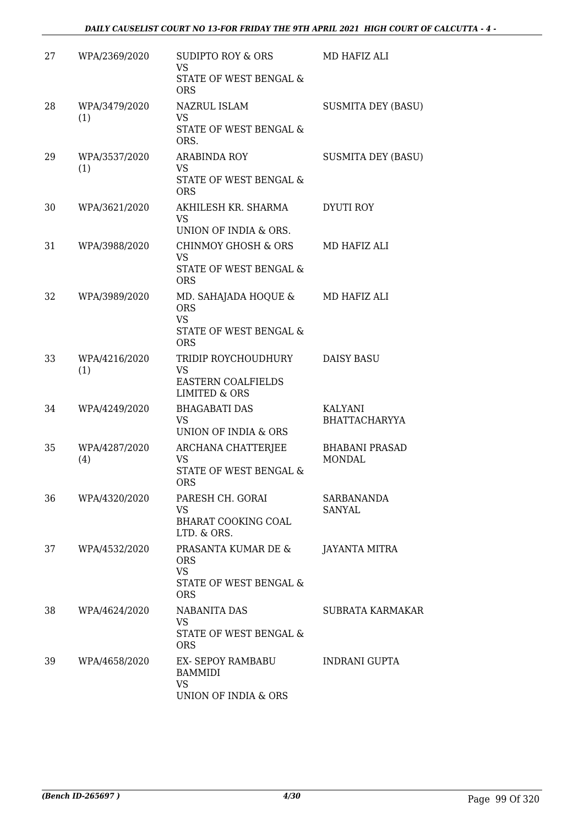| 27 | WPA/2369/2020        | SUDIPTO ROY & ORS<br><b>VS</b><br>STATE OF WEST BENGAL &<br><b>ORS</b>                    | MD HAFIZ ALI                           |
|----|----------------------|-------------------------------------------------------------------------------------------|----------------------------------------|
| 28 | WPA/3479/2020<br>(1) | NAZRUL ISLAM<br><b>VS</b><br>STATE OF WEST BENGAL &<br>ORS.                               | <b>SUSMITA DEY (BASU)</b>              |
| 29 | WPA/3537/2020<br>(1) | <b>ARABINDA ROY</b><br><b>VS</b><br>STATE OF WEST BENGAL &<br><b>ORS</b>                  | <b>SUSMITA DEY (BASU)</b>              |
| 30 | WPA/3621/2020        | AKHILESH KR. SHARMA<br><b>VS</b><br>UNION OF INDIA & ORS.                                 | DYUTI ROY                              |
| 31 | WPA/3988/2020        | CHINMOY GHOSH & ORS<br><b>VS</b><br>STATE OF WEST BENGAL &<br><b>ORS</b>                  | MD HAFIZ ALI                           |
| 32 | WPA/3989/2020        | MD. SAHAJADA HOQUE &<br><b>ORS</b><br><b>VS</b><br>STATE OF WEST BENGAL &<br><b>ORS</b>   | MD HAFIZ ALI                           |
| 33 | WPA/4216/2020<br>(1) | TRIDIP ROYCHOUDHURY<br><b>VS</b><br><b>EASTERN COALFIELDS</b><br><b>LIMITED &amp; ORS</b> | <b>DAISY BASU</b>                      |
| 34 | WPA/4249/2020        | <b>BHAGABATI DAS</b><br><b>VS</b><br>UNION OF INDIA & ORS                                 | KALYANI<br><b>BHATTACHARYYA</b>        |
| 35 | WPA/4287/2020<br>(4) | ARCHANA CHATTERJEE<br>VS.<br>STATE OF WEST BENGAL &<br><b>ORS</b>                         | <b>BHABANI PRASAD</b><br><b>MONDAL</b> |
| 36 | WPA/4320/2020        | PARESH CH. GORAI<br>VS<br>BHARAT COOKING COAL<br>LTD. & ORS.                              | SARBANANDA<br>SANYAL                   |
| 37 | WPA/4532/2020        | PRASANTA KUMAR DE &<br><b>ORS</b><br><b>VS</b><br>STATE OF WEST BENGAL &<br><b>ORS</b>    | JAYANTA MITRA                          |
| 38 | WPA/4624/2020        | NABANITA DAS<br>VS<br>STATE OF WEST BENGAL &<br><b>ORS</b>                                | SUBRATA KARMAKAR                       |
| 39 | WPA/4658/2020        | EX- SEPOY RAMBABU<br><b>BAMMIDI</b><br><b>VS</b><br>UNION OF INDIA & ORS                  | INDRANI GUPTA                          |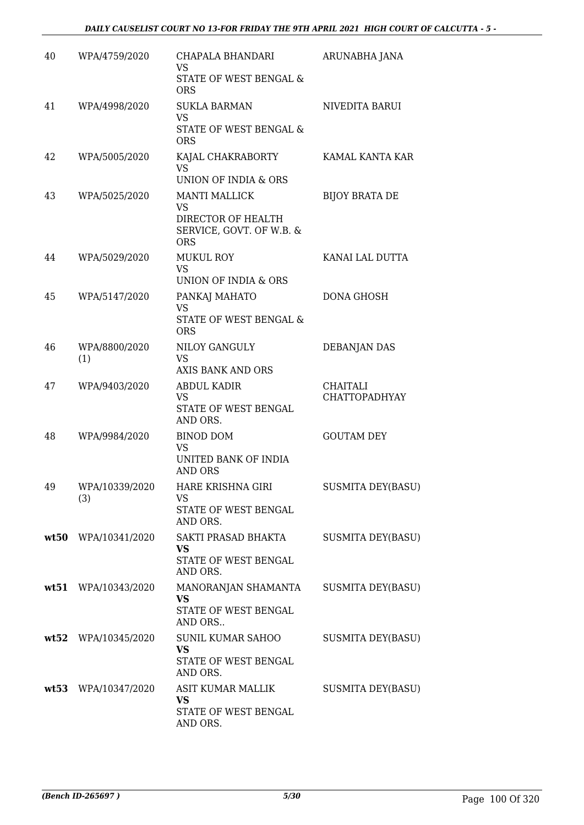| 40 | WPA/4759/2020         | CHAPALA BHANDARI<br><b>VS</b><br>STATE OF WEST BENGAL &<br><b>ORS</b>                             | ARUNABHA JANA                    |
|----|-----------------------|---------------------------------------------------------------------------------------------------|----------------------------------|
| 41 | WPA/4998/2020         | <b>SUKLA BARMAN</b><br><b>VS</b><br>STATE OF WEST BENGAL &<br><b>ORS</b>                          | NIVEDITA BARUI                   |
| 42 | WPA/5005/2020         | KAJAL CHAKRABORTY<br><b>VS</b><br>UNION OF INDIA & ORS                                            | KAMAL KANTA KAR                  |
| 43 | WPA/5025/2020         | <b>MANTI MALLICK</b><br><b>VS</b><br>DIRECTOR OF HEALTH<br>SERVICE, GOVT. OF W.B. &<br><b>ORS</b> | <b>BIJOY BRATA DE</b>            |
| 44 | WPA/5029/2020         | <b>MUKUL ROY</b><br><b>VS</b><br>UNION OF INDIA & ORS                                             | KANAI LAL DUTTA                  |
| 45 | WPA/5147/2020         | PANKAJ MAHATO<br><b>VS</b><br>STATE OF WEST BENGAL &<br><b>ORS</b>                                | <b>DONA GHOSH</b>                |
| 46 | WPA/8800/2020<br>(1)  | NILOY GANGULY<br><b>VS</b><br>AXIS BANK AND ORS                                                   | <b>DEBANJAN DAS</b>              |
| 47 | WPA/9403/2020         | <b>ABDUL KADIR</b><br><b>VS</b><br>STATE OF WEST BENGAL<br>AND ORS.                               | CHAITALI<br><b>CHATTOPADHYAY</b> |
| 48 | WPA/9984/2020         | <b>BINOD DOM</b><br><b>VS</b><br>UNITED BANK OF INDIA<br><b>AND ORS</b>                           | <b>GOUTAM DEY</b>                |
| 49 | WPA/10339/2020<br>(3) | HARE KRISHNA GIRI<br>VS<br>STATE OF WEST BENGAL<br>AND ORS.                                       | <b>SUSMITA DEY(BASU)</b>         |
|    | wt50 WPA/10341/2020   | SAKTI PRASAD BHAKTA<br><b>VS</b><br>STATE OF WEST BENGAL<br>AND ORS.                              | SUSMITA DEY(BASU)                |
|    | wt51 WPA/10343/2020   | MANORANJAN SHAMANTA<br>VS<br>STATE OF WEST BENGAL<br>AND ORS                                      | SUSMITA DEY(BASU)                |
|    | wt52 WPA/10345/2020   | SUNIL KUMAR SAHOO<br>VS<br>STATE OF WEST BENGAL<br>AND ORS.                                       | SUSMITA DEY(BASU)                |
|    | wt53 WPA/10347/2020   | ASIT KUMAR MALLIK<br><b>VS</b><br>STATE OF WEST BENGAL<br>AND ORS.                                | SUSMITA DEY(BASU)                |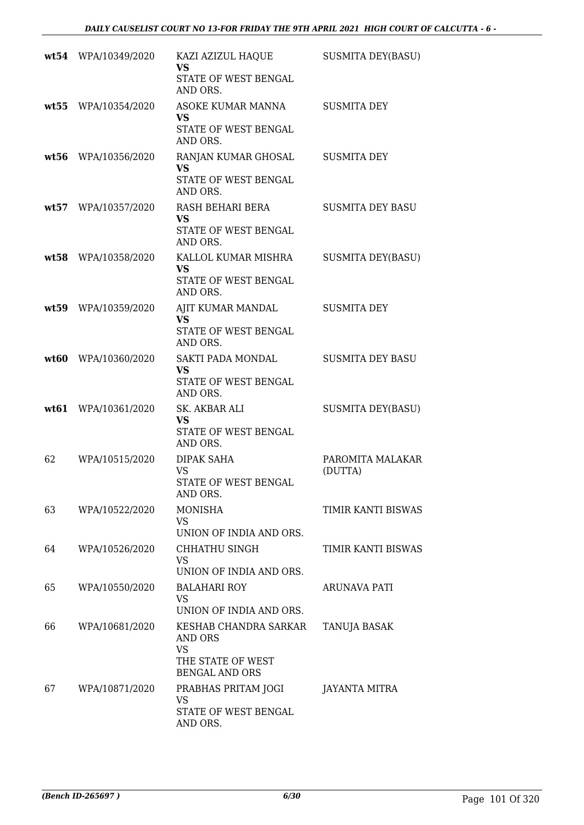|      | wt54 WPA/10349/2020 | KAZI AZIZUL HAQUE<br>VS<br>STATE OF WEST BENGAL                                             | <b>SUSMITA DEY(BASU)</b>    |
|------|---------------------|---------------------------------------------------------------------------------------------|-----------------------------|
| wt55 | WPA/10354/2020      | AND ORS.<br>ASOKE KUMAR MANNA<br><b>VS</b><br>STATE OF WEST BENGAL<br>AND ORS.              | <b>SUSMITA DEY</b>          |
| wt56 | WPA/10356/2020      | RANJAN KUMAR GHOSAL<br><b>VS</b><br>STATE OF WEST BENGAL<br>AND ORS.                        | <b>SUSMITA DEY</b>          |
|      | wt57 WPA/10357/2020 | RASH BEHARI BERA<br><b>VS</b><br>STATE OF WEST BENGAL<br>AND ORS.                           | <b>SUSMITA DEY BASU</b>     |
| wt58 | WPA/10358/2020      | KALLOL KUMAR MISHRA<br><b>VS</b><br>STATE OF WEST BENGAL<br>AND ORS.                        | <b>SUSMITA DEY(BASU)</b>    |
| wt59 | WPA/10359/2020      | AJIT KUMAR MANDAL<br><b>VS</b><br>STATE OF WEST BENGAL<br>AND ORS.                          | <b>SUSMITA DEY</b>          |
| wt60 | WPA/10360/2020      | SAKTI PADA MONDAL<br><b>VS</b><br>STATE OF WEST BENGAL<br>AND ORS.                          | <b>SUSMITA DEY BASU</b>     |
| wt61 | WPA/10361/2020      | SK. AKBAR ALI<br><b>VS</b><br>STATE OF WEST BENGAL<br>AND ORS.                              | <b>SUSMITA DEY(BASU)</b>    |
| 62   | WPA/10515/2020      | DIPAK SAHA<br><b>VS</b><br>STATE OF WEST BENGAL<br>AND ORS.                                 | PAROMITA MALAKAR<br>(DUTTA) |
| 63   | WPA/10522/2020      | <b>MONISHA</b><br>VS<br>UNION OF INDIA AND ORS.                                             | TIMIR KANTI BISWAS          |
| 64   | WPA/10526/2020      | CHHATHU SINGH<br>VS<br>UNION OF INDIA AND ORS.                                              | TIMIR KANTI BISWAS          |
| 65   | WPA/10550/2020      | <b>BALAHARI ROY</b><br>VS<br>UNION OF INDIA AND ORS.                                        | ARUNAVA PATI                |
| 66   | WPA/10681/2020      | KESHAB CHANDRA SARKAR<br><b>AND ORS</b><br>VS<br>THE STATE OF WEST<br><b>BENGAL AND ORS</b> | TANUJA BASAK                |
| 67   | WPA/10871/2020      | PRABHAS PRITAM JOGI<br>VS<br>STATE OF WEST BENGAL<br>AND ORS.                               | JAYANTA MITRA               |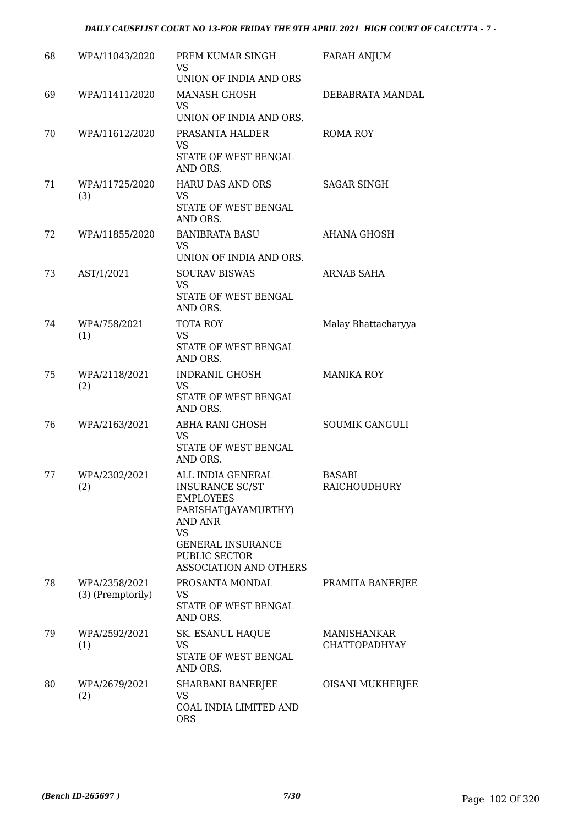### *DAILY CAUSELIST COURT NO 13-FOR FRIDAY THE 9TH APRIL 2021 HIGH COURT OF CALCUTTA - 7 -*

| 68 | WPA/11043/2020                     | PREM KUMAR SINGH<br>VS.<br>UNION OF INDIA AND ORS                                                                                                                                      | <b>FARAH ANJUM</b>                  |
|----|------------------------------------|----------------------------------------------------------------------------------------------------------------------------------------------------------------------------------------|-------------------------------------|
| 69 | WPA/11411/2020                     | <b>MANASH GHOSH</b><br>VS<br>UNION OF INDIA AND ORS.                                                                                                                                   | DEBABRATA MANDAL                    |
| 70 | WPA/11612/2020                     | PRASANTA HALDER<br>VS<br>STATE OF WEST BENGAL<br>AND ORS.                                                                                                                              | ROMA ROY                            |
| 71 | WPA/11725/2020<br>(3)              | <b>HARU DAS AND ORS</b><br><b>VS</b><br>STATE OF WEST BENGAL<br>AND ORS.                                                                                                               | <b>SAGAR SINGH</b>                  |
| 72 | WPA/11855/2020                     | <b>BANIBRATA BASU</b><br><b>VS</b><br>UNION OF INDIA AND ORS.                                                                                                                          | AHANA GHOSH                         |
| 73 | AST/1/2021                         | <b>SOURAV BISWAS</b><br><b>VS</b><br>STATE OF WEST BENGAL<br>AND ORS.                                                                                                                  | <b>ARNAB SAHA</b>                   |
| 74 | WPA/758/2021<br>(1)                | TOTA ROY<br><b>VS</b><br>STATE OF WEST BENGAL<br>AND ORS.                                                                                                                              | Malay Bhattacharyya                 |
| 75 | WPA/2118/2021<br>(2)               | INDRANIL GHOSH<br><b>VS</b><br>STATE OF WEST BENGAL<br>AND ORS.                                                                                                                        | <b>MANIKA ROY</b>                   |
| 76 | WPA/2163/2021                      | ABHA RANI GHOSH<br>VS.<br>STATE OF WEST BENGAL<br>AND ORS.                                                                                                                             | <b>SOUMIK GANGULI</b>               |
| 77 | WPA/2302/2021<br>(2)               | ALL INDIA GENERAL<br>INSURANCE SC/ST<br><b>EMPLOYEES</b><br>PARISHAT(JAYAMURTHY)<br>AND ANR<br><b>VS</b><br><b>GENERAL INSURANCE</b><br>PUBLIC SECTOR<br><b>ASSOCIATION AND OTHERS</b> | <b>BASABI</b><br>RAICHOUDHURY       |
| 78 | WPA/2358/2021<br>(3) (Premptorily) | PROSANTA MONDAL<br>VS.<br>STATE OF WEST BENGAL<br>AND ORS.                                                                                                                             | PRAMITA BANERJEE                    |
| 79 | WPA/2592/2021<br>(1)               | SK. ESANUL HAQUE<br>VS<br>STATE OF WEST BENGAL<br>AND ORS.                                                                                                                             | MANISHANKAR<br><b>CHATTOPADHYAY</b> |
| 80 | WPA/2679/2021<br>(2)               | SHARBANI BANERJEE<br>VS<br>COAL INDIA LIMITED AND<br><b>ORS</b>                                                                                                                        | OISANI MUKHERJEE                    |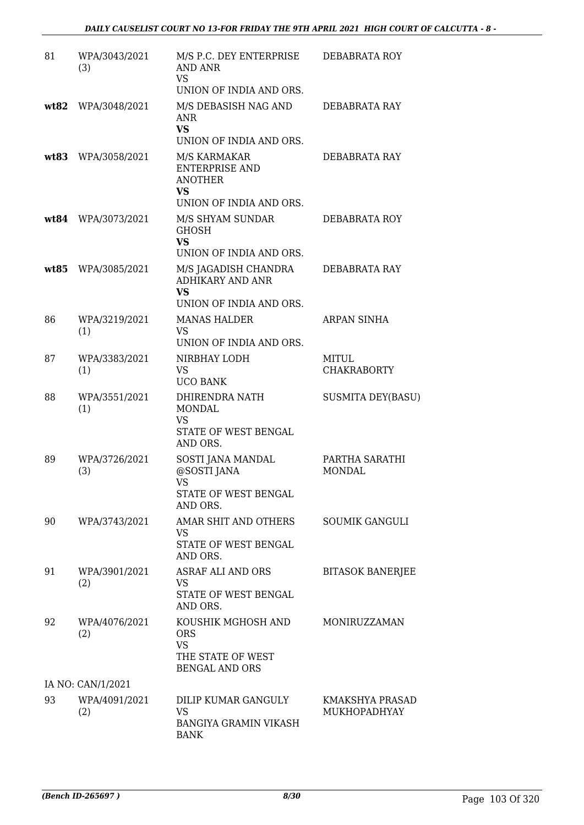| 81   | WPA/3043/2021<br>(3) | M/S P.C. DEY ENTERPRISE<br>AND ANR<br><b>VS</b><br>UNION OF INDIA AND ORS.                          | DEBABRATA ROY                   |
|------|----------------------|-----------------------------------------------------------------------------------------------------|---------------------------------|
| wt82 | WPA/3048/2021        | M/S DEBASISH NAG AND<br>ANR<br><b>VS</b>                                                            | DEBABRATA RAY                   |
| wt83 | WPA/3058/2021        | UNION OF INDIA AND ORS.<br>M/S KARMAKAR<br><b>ENTERPRISE AND</b><br><b>ANOTHER</b><br><b>VS</b>     | DEBABRATA RAY                   |
|      | wt84 WPA/3073/2021   | UNION OF INDIA AND ORS.<br>M/S SHYAM SUNDAR<br><b>GHOSH</b><br><b>VS</b><br>UNION OF INDIA AND ORS. | DEBABRATA ROY                   |
| wt85 | WPA/3085/2021        | M/S JAGADISH CHANDRA<br>ADHIKARY AND ANR<br><b>VS</b><br>UNION OF INDIA AND ORS.                    | DEBABRATA RAY                   |
| 86   | WPA/3219/2021<br>(1) | <b>MANAS HALDER</b><br><b>VS</b><br>UNION OF INDIA AND ORS.                                         | <b>ARPAN SINHA</b>              |
| 87   | WPA/3383/2021<br>(1) | NIRBHAY LODH<br>VS.<br><b>UCO BANK</b>                                                              | MITUL<br><b>CHAKRABORTY</b>     |
| 88   | WPA/3551/2021<br>(1) | DHIRENDRA NATH<br><b>MONDAL</b><br>VS<br>STATE OF WEST BENGAL                                       | <b>SUSMITA DEY(BASU)</b>        |
| 89   | WPA/3726/2021<br>(3) | AND ORS.<br>SOSTI JANA MANDAL<br>@SOSTI JANA<br><b>VS</b><br>STATE OF WEST BENGAL<br>AND ORS.       | PARTHA SARATHI<br><b>MONDAL</b> |
| 90   | WPA/3743/2021        | AMAR SHIT AND OTHERS<br><b>VS</b><br>STATE OF WEST BENGAL<br>AND ORS.                               | <b>SOUMIK GANGULI</b>           |
| 91   | WPA/3901/2021<br>(2) | ASRAF ALI AND ORS<br>VS<br>STATE OF WEST BENGAL<br>AND ORS.                                         | <b>BITASOK BANERJEE</b>         |
| 92   | WPA/4076/2021<br>(2) | KOUSHIK MGHOSH AND<br><b>ORS</b><br><b>VS</b><br>THE STATE OF WEST<br><b>BENGAL AND ORS</b>         | MONIRUZZAMAN                    |
|      | IA NO: CAN/1/2021    |                                                                                                     |                                 |
| 93   | WPA/4091/2021<br>(2) | DILIP KUMAR GANGULY<br>VS<br>BANGIYA GRAMIN VIKASH<br><b>BANK</b>                                   | KMAKSHYA PRASAD<br>MUKHOPADHYAY |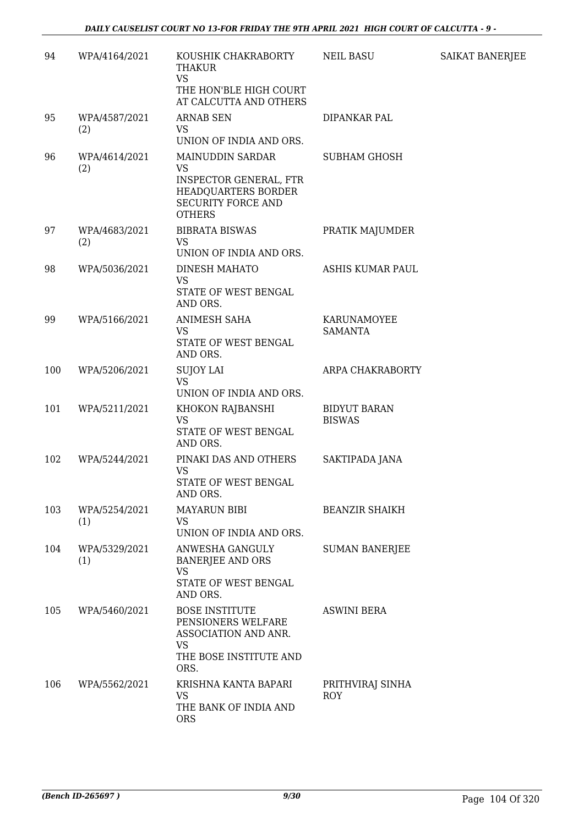| 94  | WPA/4164/2021        | KOUSHIK CHAKRABORTY<br><b>THAKUR</b><br><b>VS</b><br>THE HON'BLE HIGH COURT<br>AT CALCUTTA AND OTHERS                        | NEIL BASU                            | SAIKAT BANERJEE |
|-----|----------------------|------------------------------------------------------------------------------------------------------------------------------|--------------------------------------|-----------------|
| 95  | WPA/4587/2021<br>(2) | <b>ARNAB SEN</b><br><b>VS</b><br>UNION OF INDIA AND ORS.                                                                     | DIPANKAR PAL                         |                 |
| 96  | WPA/4614/2021<br>(2) | MAINUDDIN SARDAR<br><b>VS</b><br>INSPECTOR GENERAL, FTR<br>HEADQUARTERS BORDER<br><b>SECURITY FORCE AND</b><br><b>OTHERS</b> | <b>SUBHAM GHOSH</b>                  |                 |
| 97  | WPA/4683/2021<br>(2) | <b>BIBRATA BISWAS</b><br><b>VS</b><br>UNION OF INDIA AND ORS.                                                                | PRATIK MAJUMDER                      |                 |
| 98  | WPA/5036/2021        | DINESH MAHATO<br><b>VS</b><br>STATE OF WEST BENGAL<br>AND ORS.                                                               | ASHIS KUMAR PAUL                     |                 |
| 99  | WPA/5166/2021        | ANIMESH SAHA<br>VS<br>STATE OF WEST BENGAL<br>AND ORS.                                                                       | KARUNAMOYEE<br><b>SAMANTA</b>        |                 |
| 100 | WPA/5206/2021        | <b>SUJOY LAI</b><br><b>VS</b><br>UNION OF INDIA AND ORS.                                                                     | ARPA CHAKRABORTY                     |                 |
| 101 | WPA/5211/2021        | KHOKON RAJBANSHI<br><b>VS</b><br>STATE OF WEST BENGAL<br>AND ORS.                                                            | <b>BIDYUT BARAN</b><br><b>BISWAS</b> |                 |
| 102 | WPA/5244/2021        | PINAKI DAS AND OTHERS<br><b>VS</b><br>STATE OF WEST BENGAL<br>AND ORS.                                                       | SAKTIPADA JANA                       |                 |
| 103 | WPA/5254/2021<br>(1) | <b>MAYARUN BIBI</b><br><b>VS</b><br>UNION OF INDIA AND ORS.                                                                  | <b>BEANZIR SHAIKH</b>                |                 |
| 104 | WPA/5329/2021<br>(1) | ANWESHA GANGULY<br><b>BANERJEE AND ORS</b><br>VS<br>STATE OF WEST BENGAL<br>AND ORS.                                         | <b>SUMAN BANERJEE</b>                |                 |
| 105 | WPA/5460/2021        | <b>BOSE INSTITUTE</b><br>PENSIONERS WELFARE<br>ASSOCIATION AND ANR.<br><b>VS</b><br>THE BOSE INSTITUTE AND<br>ORS.           | <b>ASWINI BERA</b>                   |                 |
| 106 | WPA/5562/2021        | KRISHNA KANTA BAPARI<br>VS<br>THE BANK OF INDIA AND<br><b>ORS</b>                                                            | PRITHVIRAJ SINHA<br><b>ROY</b>       |                 |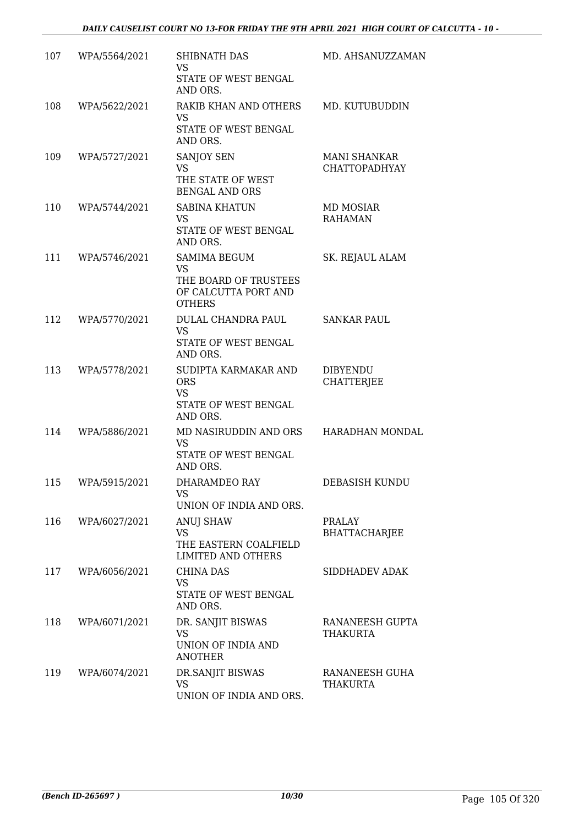| 107 | WPA/5564/2021 | <b>SHIBNATH DAS</b><br>VS<br>STATE OF WEST BENGAL<br>AND ORS.                                      | MD. AHSANUZZAMAN                            |
|-----|---------------|----------------------------------------------------------------------------------------------------|---------------------------------------------|
| 108 | WPA/5622/2021 | RAKIB KHAN AND OTHERS<br><b>VS</b><br>STATE OF WEST BENGAL<br>AND ORS.                             | MD. KUTUBUDDIN                              |
| 109 | WPA/5727/2021 | <b>SANJOY SEN</b><br><b>VS</b><br>THE STATE OF WEST<br><b>BENGAL AND ORS</b>                       | <b>MANI SHANKAR</b><br><b>CHATTOPADHYAY</b> |
| 110 | WPA/5744/2021 | <b>SABINA KHATUN</b><br><b>VS</b><br>STATE OF WEST BENGAL<br>AND ORS.                              | MD MOSIAR<br><b>RAHAMAN</b>                 |
| 111 | WPA/5746/2021 | <b>SAMIMA BEGUM</b><br><b>VS</b><br>THE BOARD OF TRUSTEES<br>OF CALCUTTA PORT AND<br><b>OTHERS</b> | SK. REJAUL ALAM                             |
| 112 | WPA/5770/2021 | DULAL CHANDRA PAUL<br><b>VS</b><br>STATE OF WEST BENGAL<br>AND ORS.                                | SANKAR PAUL                                 |
| 113 | WPA/5778/2021 | SUDIPTA KARMAKAR AND<br><b>ORS</b><br><b>VS</b><br>STATE OF WEST BENGAL<br>AND ORS.                | <b>DIBYENDU</b><br><b>CHATTERJEE</b>        |
| 114 | WPA/5886/2021 | MD NASIRUDDIN AND ORS HARADHAN MONDAL<br>VS<br>STATE OF WEST BENGAL<br>AND ORS.                    |                                             |
| 115 | WPA/5915/2021 | DHARAMDEO RAY<br>VS.<br>UNION OF INDIA AND ORS.                                                    | DEBASISH KUNDU                              |
| 116 | WPA/6027/2021 | <b>ANUJ SHAW</b><br>VS<br>THE EASTERN COALFIELD<br><b>LIMITED AND OTHERS</b>                       | <b>PRALAY</b><br><b>BHATTACHARJEE</b>       |
| 117 | WPA/6056/2021 | <b>CHINA DAS</b><br>VS<br>STATE OF WEST BENGAL<br>AND ORS.                                         | SIDDHADEV ADAK                              |
| 118 | WPA/6071/2021 | DR. SANJIT BISWAS<br><b>VS</b><br>UNION OF INDIA AND<br><b>ANOTHER</b>                             | RANANEESH GUPTA<br><b>THAKURTA</b>          |
| 119 | WPA/6074/2021 | DR.SANJIT BISWAS<br>VS<br>UNION OF INDIA AND ORS.                                                  | RANANEESH GUHA<br>THAKURTA                  |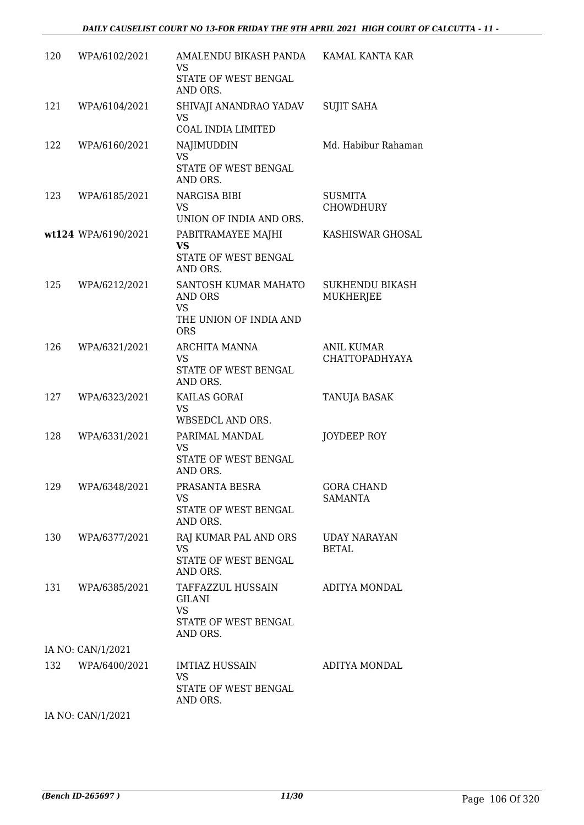| 120 | WPA/6102/2021       | AMALENDU BIKASH PANDA<br><b>VS</b><br>STATE OF WEST BENGAL<br>AND ORS.               | KAMAL KANTA KAR                     |
|-----|---------------------|--------------------------------------------------------------------------------------|-------------------------------------|
| 121 | WPA/6104/2021       | SHIVAJI ANANDRAO YADAV<br><b>VS</b><br><b>COAL INDIA LIMITED</b>                     | <b>SUJIT SAHA</b>                   |
| 122 | WPA/6160/2021       | NAJIMUDDIN<br><b>VS</b><br>STATE OF WEST BENGAL<br>AND ORS.                          | Md. Habibur Rahaman                 |
| 123 | WPA/6185/2021       | NARGISA BIBI<br><b>VS</b><br>UNION OF INDIA AND ORS.                                 | <b>SUSMITA</b><br><b>CHOWDHURY</b>  |
|     | wt124 WPA/6190/2021 | PABITRAMAYEE MAJHI<br><b>VS</b><br>STATE OF WEST BENGAL<br>AND ORS.                  | KASHISWAR GHOSAL                    |
| 125 | WPA/6212/2021       | SANTOSH KUMAR MAHATO<br>AND ORS<br><b>VS</b><br>THE UNION OF INDIA AND<br><b>ORS</b> | <b>SUKHENDU BIKASH</b><br>MUKHERJEE |
| 126 | WPA/6321/2021       | ARCHITA MANNA<br><b>VS</b><br>STATE OF WEST BENGAL<br>AND ORS.                       | <b>ANIL KUMAR</b><br>CHATTOPADHYAYA |
| 127 | WPA/6323/2021       | KAILAS GORAI<br><b>VS</b><br>WBSEDCL AND ORS.                                        | TANUJA BASAK                        |
| 128 | WPA/6331/2021       | PARIMAL MANDAL<br><b>VS</b><br>STATE OF WEST BENGAL<br>AND ORS.                      | JOYDEEP ROY                         |
|     | 129 WPA/6348/2021   | PRASANTA BESRA<br>VS<br>STATE OF WEST BENGAL<br>AND ORS.                             | <b>GORA CHAND</b><br>SAMANTA        |
| 130 | WPA/6377/2021       | RAJ KUMAR PAL AND ORS<br><b>VS</b><br>STATE OF WEST BENGAL<br>AND ORS.               | <b>UDAY NARAYAN</b><br>BETAL        |
| 131 | WPA/6385/2021       | TAFFAZZUL HUSSAIN<br><b>GILANI</b><br><b>VS</b><br>STATE OF WEST BENGAL<br>AND ORS.  | ADITYA MONDAL                       |
|     | IA NO: CAN/1/2021   |                                                                                      |                                     |
| 132 | WPA/6400/2021       | <b>IMTIAZ HUSSAIN</b><br>VS<br>STATE OF WEST BENGAL<br>AND ORS.                      | ADITYA MONDAL                       |
|     | IA NO: CAN/1/2021   |                                                                                      |                                     |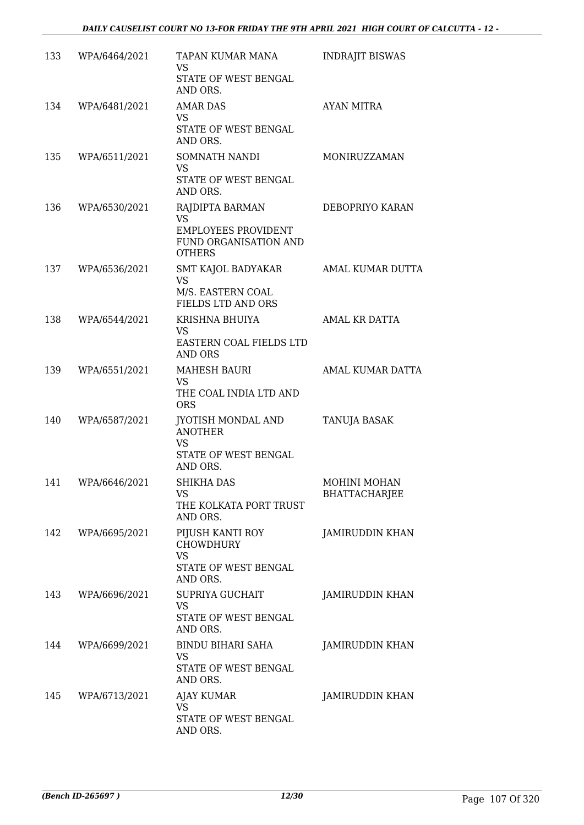| 133 | WPA/6464/2021 | TAPAN KUMAR MANA<br><b>VS</b><br>STATE OF WEST BENGAL                                                | <b>INDRAJIT BISWAS</b>               |
|-----|---------------|------------------------------------------------------------------------------------------------------|--------------------------------------|
| 134 | WPA/6481/2021 | AND ORS.<br><b>AMAR DAS</b><br>VS<br>STATE OF WEST BENGAL                                            | <b>AYAN MITRA</b>                    |
| 135 | WPA/6511/2021 | AND ORS.<br>SOMNATH NANDI<br><b>VS</b><br>STATE OF WEST BENGAL<br>AND ORS.                           | MONIRUZZAMAN                         |
| 136 | WPA/6530/2021 | RAJDIPTA BARMAN<br><b>VS</b><br><b>EMPLOYEES PROVIDENT</b><br>FUND ORGANISATION AND<br><b>OTHERS</b> | DEBOPRIYO KARAN                      |
| 137 | WPA/6536/2021 | SMT KAJOL BADYAKAR<br>VS<br>M/S. EASTERN COAL<br>FIELDS LTD AND ORS                                  | AMAL KUMAR DUTTA                     |
| 138 | WPA/6544/2021 | KRISHNA BHUIYA<br><b>VS</b><br>EASTERN COAL FIELDS LTD<br><b>AND ORS</b>                             | <b>AMAL KR DATTA</b>                 |
| 139 | WPA/6551/2021 | <b>MAHESH BAURI</b><br><b>VS</b><br>THE COAL INDIA LTD AND<br><b>ORS</b>                             | AMAL KUMAR DATTA                     |
| 140 | WPA/6587/2021 | JYOTISH MONDAL AND<br><b>ANOTHER</b><br><b>VS</b><br>STATE OF WEST BENGAL<br>AND ORS.                | TANUJA BASAK                         |
| 141 | WPA/6646/2021 | SHIKHA DAS<br>VS<br>THE KOLKATA PORT TRUST<br>AND ORS.                                               | MOHINI MOHAN<br><b>BHATTACHARJEE</b> |
| 142 | WPA/6695/2021 | PIJUSH KANTI ROY<br>CHOWDHURY<br><b>VS</b><br>STATE OF WEST BENGAL<br>AND ORS.                       | <b>JAMIRUDDIN KHAN</b>               |
| 143 | WPA/6696/2021 | <b>SUPRIYA GUCHAIT</b><br>VS<br>STATE OF WEST BENGAL<br>AND ORS.                                     | JAMIRUDDIN KHAN                      |
| 144 | WPA/6699/2021 | BINDU BIHARI SAHA<br>VS<br>STATE OF WEST BENGAL<br>AND ORS.                                          | <b>JAMIRUDDIN KHAN</b>               |
| 145 | WPA/6713/2021 | AJAY KUMAR<br>VS<br>STATE OF WEST BENGAL<br>AND ORS.                                                 | <b>JAMIRUDDIN KHAN</b>               |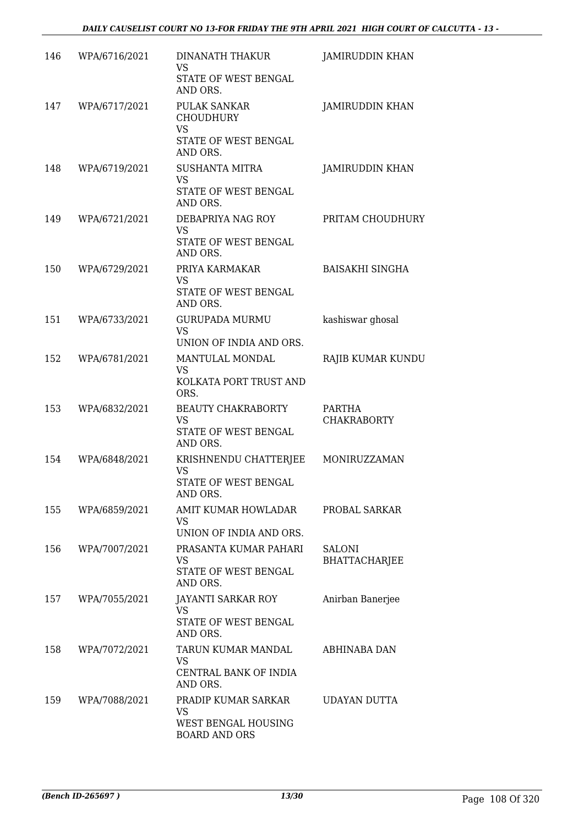| 146 | WPA/6716/2021 | <b>DINANATH THAKUR</b><br><b>VS</b><br>STATE OF WEST BENGAL              | <b>JAMIRUDDIN KHAN</b>                |
|-----|---------------|--------------------------------------------------------------------------|---------------------------------------|
|     |               | AND ORS.                                                                 |                                       |
| 147 | WPA/6717/2021 | PULAK SANKAR<br><b>CHOUDHURY</b><br><b>VS</b>                            | <b>JAMIRUDDIN KHAN</b>                |
|     |               | STATE OF WEST BENGAL<br>AND ORS.                                         |                                       |
| 148 | WPA/6719/2021 | <b>SUSHANTA MITRA</b><br><b>VS</b><br>STATE OF WEST BENGAL<br>AND ORS.   | <b>JAMIRUDDIN KHAN</b>                |
| 149 | WPA/6721/2021 | DEBAPRIYA NAG ROY<br><b>VS</b><br>STATE OF WEST BENGAL<br>AND ORS.       | PRITAM CHOUDHURY                      |
| 150 | WPA/6729/2021 | PRIYA KARMAKAR<br><b>VS</b><br>STATE OF WEST BENGAL<br>AND ORS.          | <b>BAISAKHI SINGHA</b>                |
| 151 | WPA/6733/2021 | <b>GURUPADA MURMU</b><br><b>VS</b><br>UNION OF INDIA AND ORS.            | kashiswar ghosal                      |
| 152 | WPA/6781/2021 | MANTULAL MONDAL<br><b>VS</b><br>KOLKATA PORT TRUST AND<br>ORS.           | RAJIB KUMAR KUNDU                     |
| 153 | WPA/6832/2021 | BEAUTY CHAKRABORTY<br>VS<br>STATE OF WEST BENGAL<br>AND ORS.             | PARTHA<br><b>CHAKRABORTY</b>          |
| 154 | WPA/6848/2021 | KRISHNENDU CHATTERJEE<br><b>VS</b><br>STATE OF WEST BENGAL<br>AND ORS.   | MONIRUZZAMAN                          |
| 155 | WPA/6859/2021 | AMIT KUMAR HOWLADAR<br>VS.<br>UNION OF INDIA AND ORS.                    | PROBAL SARKAR                         |
| 156 | WPA/7007/2021 | PRASANTA KUMAR PAHARI<br>VS.<br>STATE OF WEST BENGAL<br>AND ORS.         | <b>SALONI</b><br><b>BHATTACHARJEE</b> |
| 157 | WPA/7055/2021 | JAYANTI SARKAR ROY<br>VS<br>STATE OF WEST BENGAL<br>AND ORS.             | Anirban Banerjee                      |
| 158 | WPA/7072/2021 | TARUN KUMAR MANDAL<br>VS<br>CENTRAL BANK OF INDIA<br>AND ORS.            | ABHINABA DAN                          |
| 159 | WPA/7088/2021 | PRADIP KUMAR SARKAR<br>VS<br>WEST BENGAL HOUSING<br><b>BOARD AND ORS</b> | UDAYAN DUTTA                          |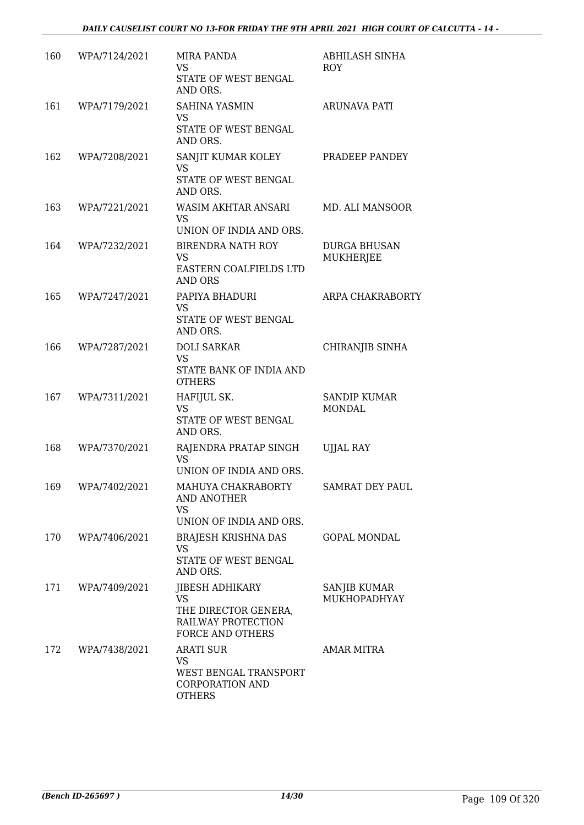| 160 | WPA/7124/2021 | <b>MIRA PANDA</b><br>VS<br>STATE OF WEST BENGAL<br>AND ORS.                                     | ABHILASH SINHA<br>ROY                |
|-----|---------------|-------------------------------------------------------------------------------------------------|--------------------------------------|
| 161 | WPA/7179/2021 | <b>SAHINA YASMIN</b><br>VS<br>STATE OF WEST BENGAL<br>AND ORS.                                  | <b>ARUNAVA PATI</b>                  |
| 162 | WPA/7208/2021 | SANJIT KUMAR KOLEY<br>VS<br>STATE OF WEST BENGAL<br>AND ORS.                                    | PRADEEP PANDEY                       |
| 163 | WPA/7221/2021 | WASIM AKHTAR ANSARI<br>VS<br>UNION OF INDIA AND ORS.                                            | MD. ALI MANSOOR                      |
| 164 | WPA/7232/2021 | <b>BIRENDRA NATH ROY</b><br>VS<br>EASTERN COALFIELDS LTD<br><b>AND ORS</b>                      | <b>DURGA BHUSAN</b><br>MUKHERJEE     |
| 165 | WPA/7247/2021 | PAPIYA BHADURI<br><b>VS</b><br>STATE OF WEST BENGAL<br>AND ORS.                                 | ARPA CHAKRABORTY                     |
| 166 | WPA/7287/2021 | <b>DOLI SARKAR</b><br>VS<br>STATE BANK OF INDIA AND<br><b>OTHERS</b>                            | CHIRANJIB SINHA                      |
| 167 | WPA/7311/2021 | HAFIJUL SK.<br><b>VS</b><br>STATE OF WEST BENGAL<br>AND ORS.                                    | <b>SANDIP KUMAR</b><br><b>MONDAL</b> |
| 168 | WPA/7370/2021 | RAJENDRA PRATAP SINGH<br><b>VS</b><br>UNION OF INDIA AND ORS.                                   | <b>UJJAL RAY</b>                     |
| 169 | WPA/7402/2021 | MAHUYA CHAKRABORTY<br>AND ANOTHER<br>VS<br>UNION OF INDIA AND ORS.                              | SAMRAT DEY PAUL                      |
| 170 | WPA/7406/2021 | BRAJESH KRISHNA DAS<br><b>VS</b><br>STATE OF WEST BENGAL<br>AND ORS.                            | <b>GOPAL MONDAL</b>                  |
| 171 | WPA/7409/2021 | <b>JIBESH ADHIKARY</b><br>VS.<br>THE DIRECTOR GENERA,<br>RAILWAY PROTECTION<br>FORCE AND OTHERS | <b>SANJIB KUMAR</b><br>MUKHOPADHYAY  |
| 172 | WPA/7438/2021 | <b>ARATI SUR</b><br>VS<br>WEST BENGAL TRANSPORT<br><b>CORPORATION AND</b><br><b>OTHERS</b>      | <b>AMAR MITRA</b>                    |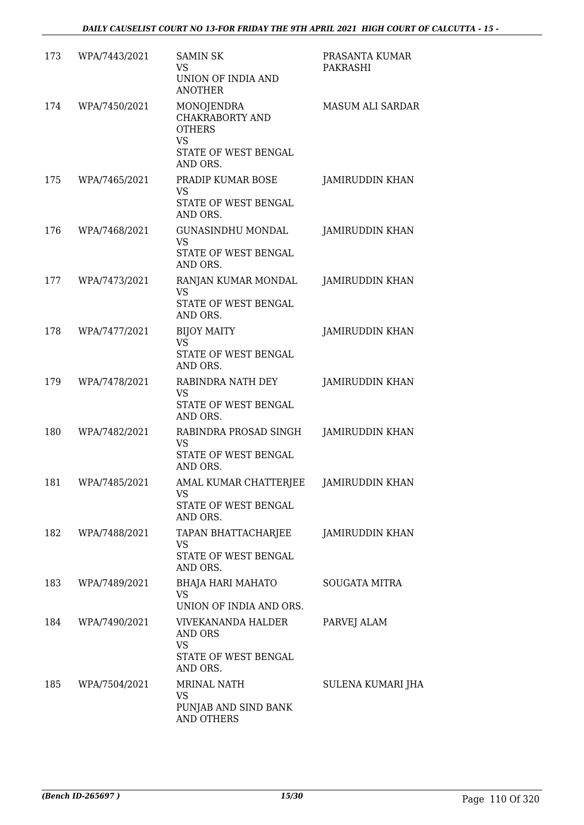| 173 | WPA/7443/2021 | <b>SAMIN SK</b><br><b>VS</b><br>UNION OF INDIA AND<br><b>ANOTHER</b>                                          | PRASANTA KUMAR<br>PAKRASHI |
|-----|---------------|---------------------------------------------------------------------------------------------------------------|----------------------------|
| 174 | WPA/7450/2021 | <b>MONOJENDRA</b><br><b>CHAKRABORTY AND</b><br><b>OTHERS</b><br><b>VS</b><br>STATE OF WEST BENGAL<br>AND ORS. | <b>MASUM ALI SARDAR</b>    |
| 175 | WPA/7465/2021 | PRADIP KUMAR BOSE<br><b>VS</b><br>STATE OF WEST BENGAL<br>AND ORS.                                            | <b>JAMIRUDDIN KHAN</b>     |
| 176 | WPA/7468/2021 | <b>GUNASINDHU MONDAL</b><br><b>VS</b><br>STATE OF WEST BENGAL<br>AND ORS.                                     | <b>JAMIRUDDIN KHAN</b>     |
| 177 | WPA/7473/2021 | RANJAN KUMAR MONDAL<br>VS<br>STATE OF WEST BENGAL<br>AND ORS.                                                 | <b>JAMIRUDDIN KHAN</b>     |
| 178 | WPA/7477/2021 | <b>BIJOY MAITY</b><br><b>VS</b><br>STATE OF WEST BENGAL<br>AND ORS.                                           | <b>JAMIRUDDIN KHAN</b>     |
| 179 | WPA/7478/2021 | RABINDRA NATH DEY<br><b>VS</b><br>STATE OF WEST BENGAL<br>AND ORS.                                            | JAMIRUDDIN KHAN            |
| 180 | WPA/7482/2021 | RABINDRA PROSAD SINGH<br><b>VS</b><br>STATE OF WEST BENGAL<br>AND ORS.                                        | <b>JAMIRUDDIN KHAN</b>     |
| 181 | WPA/7485/2021 | AMAL KUMAR CHATTERJEE<br>VS<br>STATE OF WEST BENGAL<br>AND ORS.                                               | JAMIRUDDIN KHAN            |
| 182 | WPA/7488/2021 | TAPAN BHATTACHARJEE<br>VS.<br>STATE OF WEST BENGAL<br>AND ORS.                                                | JAMIRUDDIN KHAN            |
| 183 | WPA/7489/2021 | <b>BHAJA HARI MAHATO</b><br>VS<br>UNION OF INDIA AND ORS.                                                     | <b>SOUGATA MITRA</b>       |
| 184 | WPA/7490/2021 | VIVEKANANDA HALDER<br>AND ORS<br>VS<br>STATE OF WEST BENGAL<br>AND ORS.                                       | PARVEJ ALAM                |
| 185 | WPA/7504/2021 | <b>MRINAL NATH</b><br>VS.<br>PUNJAB AND SIND BANK<br><b>AND OTHERS</b>                                        | SULENA KUMARI JHA          |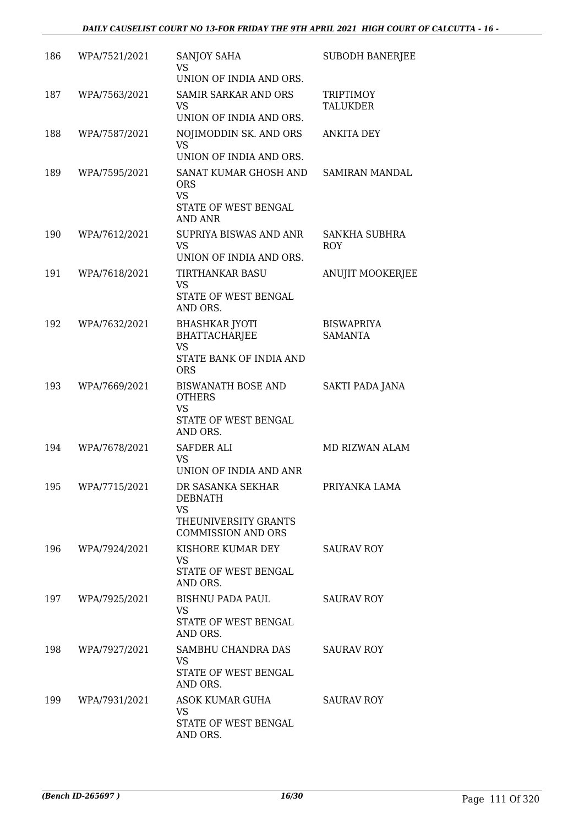| 186 | WPA/7521/2021 | SANJOY SAHA<br>VS                                                               | <b>SUBODH BANERJEE</b>              |
|-----|---------------|---------------------------------------------------------------------------------|-------------------------------------|
|     |               | UNION OF INDIA AND ORS.                                                         |                                     |
| 187 | WPA/7563/2021 | <b>SAMIR SARKAR AND ORS</b><br><b>VS</b><br>UNION OF INDIA AND ORS.             | TRIPTIMOY<br><b>TALUKDER</b>        |
|     |               |                                                                                 |                                     |
| 188 | WPA/7587/2021 | NOJIMODDIN SK. AND ORS<br><b>VS</b><br>UNION OF INDIA AND ORS.                  | <b>ANKITA DEY</b>                   |
| 189 | WPA/7595/2021 | SANAT KUMAR GHOSH AND<br><b>ORS</b><br><b>VS</b><br>STATE OF WEST BENGAL        | <b>SAMIRAN MANDAL</b>               |
|     |               | AND ANR                                                                         |                                     |
| 190 | WPA/7612/2021 | SUPRIYA BISWAS AND ANR<br><b>VS</b>                                             | SANKHA SUBHRA<br><b>ROY</b>         |
|     |               | UNION OF INDIA AND ORS.                                                         |                                     |
| 191 | WPA/7618/2021 | <b>TIRTHANKAR BASU</b><br><b>VS</b><br>STATE OF WEST BENGAL<br>AND ORS.         | <b>ANUJIT MOOKERJEE</b>             |
| 192 | WPA/7632/2021 | <b>BHASHKAR JYOTI</b><br><b>BHATTACHARJEE</b><br><b>VS</b>                      | <b>BISWAPRIYA</b><br><b>SAMANTA</b> |
|     |               | STATE BANK OF INDIA AND<br><b>ORS</b>                                           |                                     |
| 193 | WPA/7669/2021 | <b>BISWANATH BOSE AND</b><br><b>OTHERS</b><br><b>VS</b><br>STATE OF WEST BENGAL | SAKTI PADA JANA                     |
|     |               | AND ORS.                                                                        |                                     |
| 194 | WPA/7678/2021 | <b>SAFDER ALI</b><br><b>VS</b><br>UNION OF INDIA AND ANR                        | MD RIZWAN ALAM                      |
| 195 | WPA/7715/2021 | DR SASANKA SEKHAR<br><b>DEBNATH</b>                                             | PRIYANKA LAMA                       |
|     |               | VS<br>THEUNIVERSITY GRANTS<br><b>COMMISSION AND ORS</b>                         |                                     |
| 196 | WPA/7924/2021 | KISHORE KUMAR DEY<br><b>VS</b>                                                  | <b>SAURAV ROY</b>                   |
|     |               | STATE OF WEST BENGAL<br>AND ORS.                                                |                                     |
| 197 | WPA/7925/2021 | BISHNU PADA PAUL                                                                | <b>SAURAV ROY</b>                   |
|     |               | <b>VS</b><br>STATE OF WEST BENGAL<br>AND ORS.                                   |                                     |
| 198 | WPA/7927/2021 | SAMBHU CHANDRA DAS<br>VS<br>STATE OF WEST BENGAL                                | <b>SAURAV ROY</b>                   |
|     |               | AND ORS.                                                                        |                                     |
| 199 | WPA/7931/2021 | ASOK KUMAR GUHA<br><b>VS</b>                                                    | <b>SAURAV ROY</b>                   |
|     |               | STATE OF WEST BENGAL<br>AND ORS.                                                |                                     |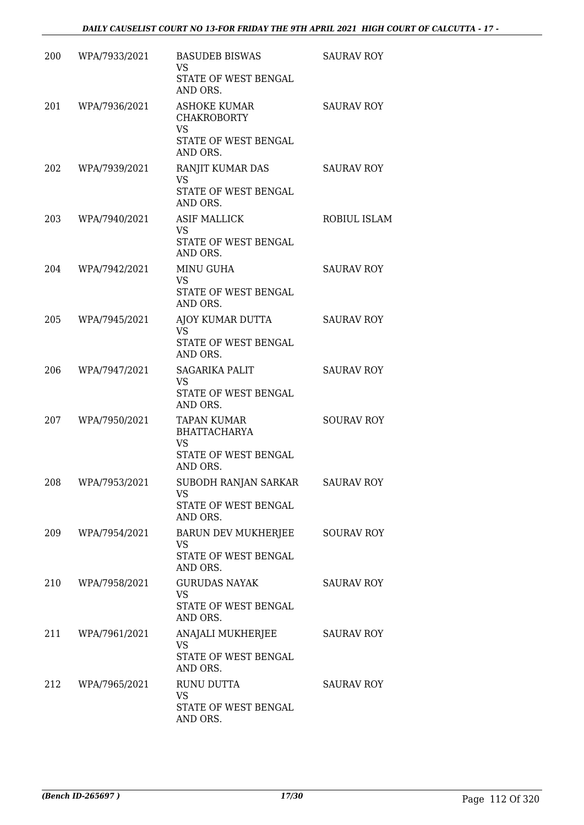| 200 | WPA/7933/2021 | <b>BASUDEB BISWAS</b><br><b>VS</b><br>STATE OF WEST BENGAL<br>AND ORS.                     | <b>SAURAV ROY</b> |
|-----|---------------|--------------------------------------------------------------------------------------------|-------------------|
| 201 | WPA/7936/2021 | <b>ASHOKE KUMAR</b><br><b>CHAKROBORTY</b><br><b>VS</b><br>STATE OF WEST BENGAL<br>AND ORS. | <b>SAURAV ROY</b> |
| 202 | WPA/7939/2021 | RANJIT KUMAR DAS<br><b>VS</b><br>STATE OF WEST BENGAL<br>AND ORS.                          | <b>SAURAV ROY</b> |
| 203 | WPA/7940/2021 | <b>ASIF MALLICK</b><br>VS<br>STATE OF WEST BENGAL<br>AND ORS.                              | ROBIUL ISLAM      |
| 204 | WPA/7942/2021 | <b>MINU GUHA</b><br><b>VS</b><br>STATE OF WEST BENGAL<br>AND ORS.                          | <b>SAURAV ROY</b> |
| 205 | WPA/7945/2021 | AJOY KUMAR DUTTA<br><b>VS</b><br>STATE OF WEST BENGAL<br>AND ORS.                          | <b>SAURAV ROY</b> |
| 206 | WPA/7947/2021 | <b>SAGARIKA PALIT</b><br>VS<br>STATE OF WEST BENGAL<br>AND ORS.                            | <b>SAURAV ROY</b> |
| 207 | WPA/7950/2021 | <b>TAPAN KUMAR</b><br><b>BHATTACHARYA</b><br><b>VS</b><br>STATE OF WEST BENGAL<br>AND ORS. | <b>SOURAV ROY</b> |
| 208 | WPA/7953/2021 | SUBODH RANJAN SARKAR<br>VS<br>STATE OF WEST BENGAL<br>AND ORS.                             | <b>SAURAV ROY</b> |
| 209 | WPA/7954/2021 | BARUN DEV MUKHERJEE<br>VS<br>STATE OF WEST BENGAL<br>AND ORS.                              | <b>SOURAV ROY</b> |
| 210 | WPA/7958/2021 | <b>GURUDAS NAYAK</b><br>VS<br>STATE OF WEST BENGAL<br>AND ORS.                             | <b>SAURAV ROY</b> |
| 211 | WPA/7961/2021 | ANAJALI MUKHERJEE<br><b>VS</b><br>STATE OF WEST BENGAL<br>AND ORS.                         | <b>SAURAV ROY</b> |
| 212 | WPA/7965/2021 | <b>RUNU DUTTA</b><br>VS<br>STATE OF WEST BENGAL<br>AND ORS.                                | <b>SAURAV ROY</b> |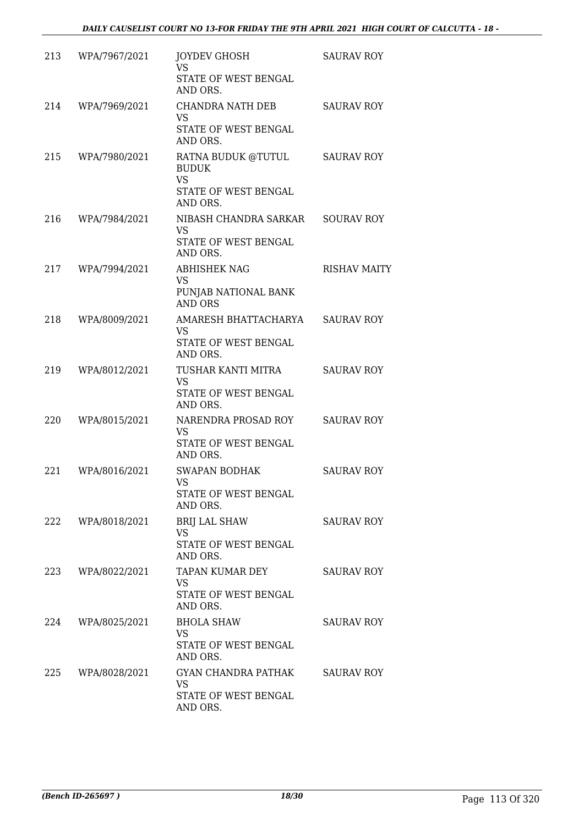| 213 | WPA/7967/2021 | <b>JOYDEV GHOSH</b><br>VS                       | <b>SAURAV ROY</b>   |
|-----|---------------|-------------------------------------------------|---------------------|
|     |               | STATE OF WEST BENGAL<br>AND ORS.                |                     |
| 214 | WPA/7969/2021 | CHANDRA NATH DEB<br><b>VS</b>                   | <b>SAURAV ROY</b>   |
|     |               | STATE OF WEST BENGAL<br>AND ORS.                |                     |
| 215 | WPA/7980/2021 | RATNA BUDUK @TUTUL<br><b>BUDUK</b><br><b>VS</b> | <b>SAURAV ROY</b>   |
|     |               | STATE OF WEST BENGAL<br>AND ORS.                |                     |
| 216 | WPA/7984/2021 | NIBASH CHANDRA SARKAR<br><b>VS</b>              | <b>SOURAV ROY</b>   |
|     |               | STATE OF WEST BENGAL<br>AND ORS.                |                     |
| 217 | WPA/7994/2021 | <b>ABHISHEK NAG</b><br><b>VS</b>                | <b>RISHAV MAITY</b> |
|     |               | PUNJAB NATIONAL BANK<br><b>AND ORS</b>          |                     |
| 218 | WPA/8009/2021 | AMARESH BHATTACHARYA<br><b>VS</b>               | <b>SAURAV ROY</b>   |
|     |               | STATE OF WEST BENGAL<br>AND ORS.                |                     |
| 219 | WPA/8012/2021 | TUSHAR KANTI MITRA<br><b>VS</b>                 | <b>SAURAV ROY</b>   |
|     |               | STATE OF WEST BENGAL<br>AND ORS.                |                     |
| 220 | WPA/8015/2021 | NARENDRA PROSAD ROY<br><b>VS</b>                | <b>SAURAV ROY</b>   |
|     |               | STATE OF WEST BENGAL<br>AND ORS.                |                     |
| 221 | WPA/8016/2021 | <b>SWAPAN BODHAK</b><br>VS.                     | <b>SAURAV ROY</b>   |
|     |               | STATE OF WEST BENGAL<br>AND ORS.                |                     |
| 222 | WPA/8018/2021 | <b>BRIJ LAL SHAW</b><br>VS.                     | <b>SAURAV ROY</b>   |
|     |               | STATE OF WEST BENGAL<br>AND ORS.                |                     |
| 223 | WPA/8022/2021 | TAPAN KUMAR DEY<br><b>VS</b>                    | <b>SAURAV ROY</b>   |
|     |               | STATE OF WEST BENGAL<br>AND ORS.                |                     |
| 224 | WPA/8025/2021 | <b>BHOLA SHAW</b><br>VS.                        | <b>SAURAV ROY</b>   |
|     |               | STATE OF WEST BENGAL<br>AND ORS.                |                     |
| 225 | WPA/8028/2021 | GYAN CHANDRA PATHAK<br>VS                       | <b>SAURAV ROY</b>   |
|     |               | STATE OF WEST BENGAL<br>AND ORS.                |                     |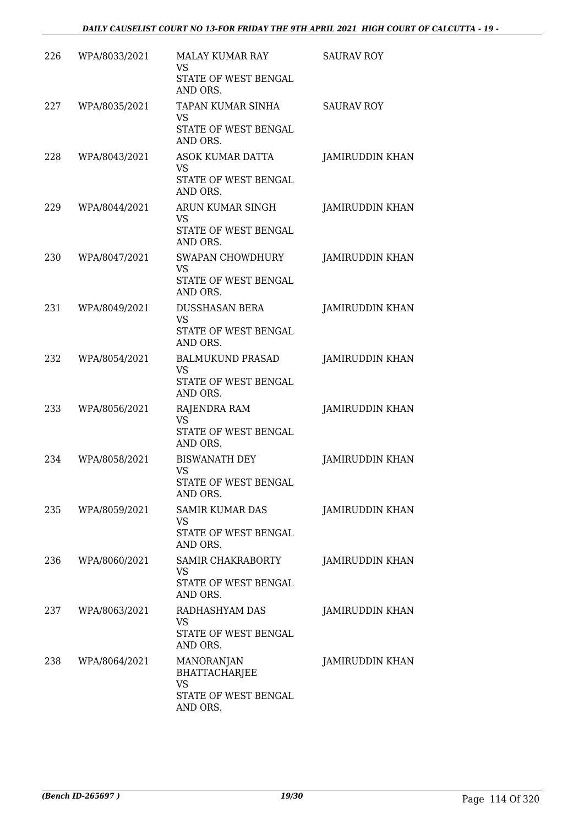| 226 | WPA/8033/2021 | <b>MALAY KUMAR RAY</b><br>VS<br>STATE OF WEST BENGAL<br>AND ORS.             | <b>SAURAV ROY</b>      |
|-----|---------------|------------------------------------------------------------------------------|------------------------|
| 227 | WPA/8035/2021 | TAPAN KUMAR SINHA<br><b>VS</b><br>STATE OF WEST BENGAL<br>AND ORS.           | <b>SAURAV ROY</b>      |
| 228 | WPA/8043/2021 | <b>ASOK KUMAR DATTA</b><br><b>VS</b><br>STATE OF WEST BENGAL<br>AND ORS.     | <b>JAMIRUDDIN KHAN</b> |
| 229 | WPA/8044/2021 | ARUN KUMAR SINGH<br>VS<br>STATE OF WEST BENGAL<br>AND ORS.                   | <b>JAMIRUDDIN KHAN</b> |
| 230 | WPA/8047/2021 | <b>SWAPAN CHOWDHURY</b><br><b>VS</b><br>STATE OF WEST BENGAL<br>AND ORS.     | <b>JAMIRUDDIN KHAN</b> |
| 231 | WPA/8049/2021 | <b>DUSSHASAN BERA</b><br><b>VS</b><br>STATE OF WEST BENGAL<br>AND ORS.       | <b>JAMIRUDDIN KHAN</b> |
| 232 | WPA/8054/2021 | <b>BALMUKUND PRASAD</b><br>VS<br>STATE OF WEST BENGAL<br>AND ORS.            | <b>JAMIRUDDIN KHAN</b> |
| 233 | WPA/8056/2021 | RAJENDRA RAM<br><b>VS</b><br>STATE OF WEST BENGAL<br>AND ORS.                | <b>JAMIRUDDIN KHAN</b> |
| 234 | WPA/8058/2021 | <b>BISWANATH DEY</b><br><b>VS</b><br><b>STATE OF WEST BENGAL</b><br>AND ORS. | <b>JAMIRUDDIN KHAN</b> |
| 235 | WPA/8059/2021 | <b>SAMIR KUMAR DAS</b><br>VS<br>STATE OF WEST BENGAL<br>AND ORS.             | <b>JAMIRUDDIN KHAN</b> |
| 236 | WPA/8060/2021 | SAMIR CHAKRABORTY<br>VS.<br>STATE OF WEST BENGAL<br>AND ORS.                 | JAMIRUDDIN KHAN        |
| 237 | WPA/8063/2021 | RADHASHYAM DAS<br>VS<br>STATE OF WEST BENGAL<br>AND ORS.                     | JAMIRUDDIN KHAN        |
| 238 | WPA/8064/2021 | MANORANJAN<br><b>BHATTACHARJEE</b><br>VS<br>STATE OF WEST BENGAL<br>AND ORS. | JAMIRUDDIN KHAN        |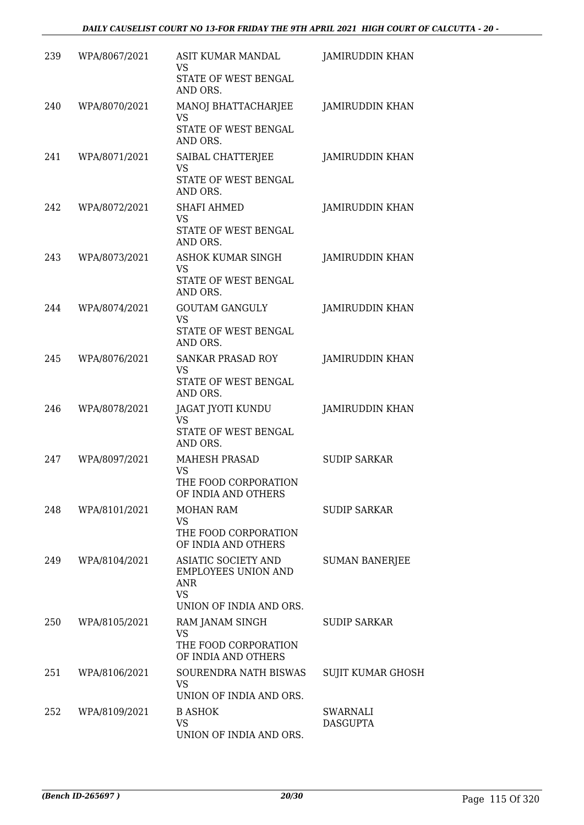| 239 | WPA/8067/2021 | ASIT KUMAR MANDAL<br>VS                                               | <b>JAMIRUDDIN KHAN</b>   |
|-----|---------------|-----------------------------------------------------------------------|--------------------------|
|     |               | STATE OF WEST BENGAL<br>AND ORS.                                      |                          |
| 240 | WPA/8070/2021 | MANOJ BHATTACHARJEE<br><b>VS</b>                                      | JAMIRUDDIN KHAN          |
|     |               | STATE OF WEST BENGAL<br>AND ORS.                                      |                          |
| 241 | WPA/8071/2021 | SAIBAL CHATTERJEE<br><b>VS</b><br>STATE OF WEST BENGAL<br>AND ORS.    | <b>JAMIRUDDIN KHAN</b>   |
| 242 | WPA/8072/2021 | <b>SHAFI AHMED</b>                                                    | <b>JAMIRUDDIN KHAN</b>   |
|     |               | <b>VS</b><br>STATE OF WEST BENGAL<br>AND ORS.                         |                          |
| 243 | WPA/8073/2021 | <b>ASHOK KUMAR SINGH</b><br><b>VS</b>                                 | <b>JAMIRUDDIN KHAN</b>   |
|     |               | STATE OF WEST BENGAL<br>AND ORS.                                      |                          |
| 244 | WPA/8074/2021 | <b>GOUTAM GANGULY</b><br><b>VS</b>                                    | <b>JAMIRUDDIN KHAN</b>   |
|     |               | STATE OF WEST BENGAL<br>AND ORS.                                      |                          |
| 245 | WPA/8076/2021 | <b>SANKAR PRASAD ROY</b><br>VS<br>STATE OF WEST BENGAL<br>AND ORS.    | <b>JAMIRUDDIN KHAN</b>   |
| 246 | WPA/8078/2021 | JAGAT JYOTI KUNDU<br><b>VS</b>                                        | <b>JAMIRUDDIN KHAN</b>   |
|     |               | STATE OF WEST BENGAL<br>AND ORS.                                      |                          |
| 247 | WPA/8097/2021 | <b>MAHESH PRASAD</b><br><b>VS</b>                                     | <b>SUDIP SARKAR</b>      |
|     |               | THE FOOD CORPORATION<br>OF INDIA AND OTHERS                           |                          |
| 248 | WPA/8101/2021 | MOHAN RAM<br>VS                                                       | <b>SUDIP SARKAR</b>      |
|     |               | THE FOOD CORPORATION<br>OF INDIA AND OTHERS                           |                          |
| 249 | WPA/8104/2021 | ASIATIC SOCIETY AND<br><b>EMPLOYEES UNION AND</b><br>ANR<br><b>VS</b> | <b>SUMAN BANERJEE</b>    |
| 250 | WPA/8105/2021 | UNION OF INDIA AND ORS.<br>RAM JANAM SINGH                            | <b>SUDIP SARKAR</b>      |
|     |               | <b>VS</b><br>THE FOOD CORPORATION<br>OF INDIA AND OTHERS              |                          |
| 251 | WPA/8106/2021 | SOURENDRA NATH BISWAS<br>VS                                           | <b>SUJIT KUMAR GHOSH</b> |
| 252 | WPA/8109/2021 | UNION OF INDIA AND ORS.<br><b>B ASHOK</b>                             | SWARNALI                 |
|     |               | VS.<br>UNION OF INDIA AND ORS.                                        | <b>DASGUPTA</b>          |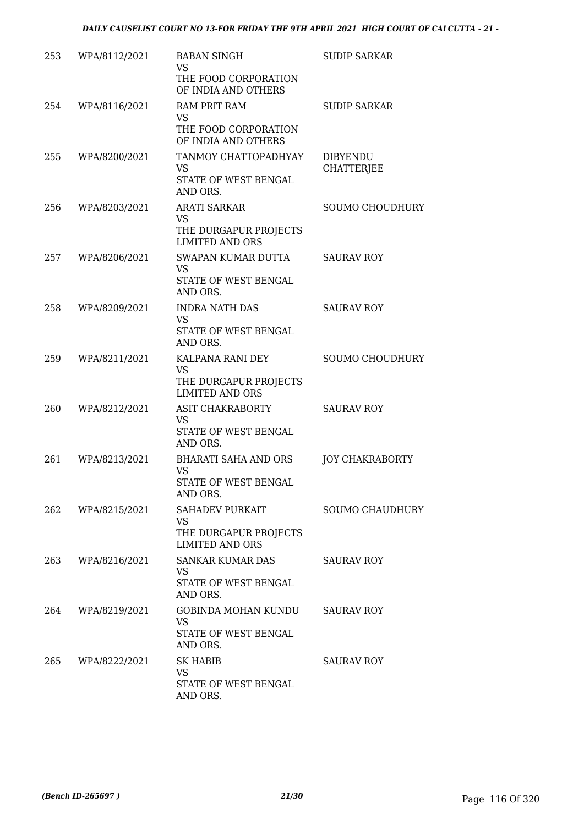| 253 | WPA/8112/2021 | <b>BABAN SINGH</b><br>VS                                                     | <b>SUDIP SARKAR</b>                  |
|-----|---------------|------------------------------------------------------------------------------|--------------------------------------|
|     |               | THE FOOD CORPORATION<br>OF INDIA AND OTHERS                                  |                                      |
| 254 | WPA/8116/2021 | <b>RAM PRIT RAM</b><br><b>VS</b>                                             | <b>SUDIP SARKAR</b>                  |
|     |               | THE FOOD CORPORATION<br>OF INDIA AND OTHERS                                  |                                      |
| 255 | WPA/8200/2021 | TANMOY CHATTOPADHYAY<br>VS<br>STATE OF WEST BENGAL<br>AND ORS.               | <b>DIBYENDU</b><br><b>CHATTERJEE</b> |
| 256 | WPA/8203/2021 | <b>ARATI SARKAR</b><br>VS                                                    | SOUMO CHOUDHURY                      |
|     |               | THE DURGAPUR PROJECTS<br><b>LIMITED AND ORS</b>                              |                                      |
| 257 | WPA/8206/2021 | SWAPAN KUMAR DUTTA<br><b>VS</b><br>STATE OF WEST BENGAL                      | <b>SAURAV ROY</b>                    |
|     |               | AND ORS.                                                                     |                                      |
| 258 | WPA/8209/2021 | <b>INDRA NATH DAS</b><br><b>VS</b><br>STATE OF WEST BENGAL<br>AND ORS.       | <b>SAURAV ROY</b>                    |
| 259 | WPA/8211/2021 | KALPANA RANI DEY<br>VS<br>THE DURGAPUR PROJECTS                              | <b>SOUMO CHOUDHURY</b>               |
| 260 | WPA/8212/2021 | <b>LIMITED AND ORS</b><br><b>ASIT CHAKRABORTY</b>                            | <b>SAURAV ROY</b>                    |
|     |               | <b>VS</b><br>STATE OF WEST BENGAL<br>AND ORS.                                |                                      |
| 261 | WPA/8213/2021 | <b>BHARATI SAHA AND ORS</b><br><b>VS</b><br>STATE OF WEST BENGAL<br>AND ORS. | <b>JOY CHAKRABORTY</b>               |
| 262 | WPA/8215/2021 | SAHADEV PURKAIT<br>VS                                                        | <b>SOUMO CHAUDHURY</b>               |
|     |               | THE DURGAPUR PROJECTS<br><b>LIMITED AND ORS</b>                              |                                      |
| 263 | WPA/8216/2021 | SANKAR KUMAR DAS<br>VS<br>STATE OF WEST BENGAL<br>AND ORS.                   | <b>SAURAV ROY</b>                    |
| 264 | WPA/8219/2021 | GOBINDA MOHAN KUNDU<br><b>VS</b><br>STATE OF WEST BENGAL<br>AND ORS.         | <b>SAURAV ROY</b>                    |
| 265 | WPA/8222/2021 | <b>SK HABIB</b><br>VS<br>STATE OF WEST BENGAL<br>AND ORS.                    | <b>SAURAV ROY</b>                    |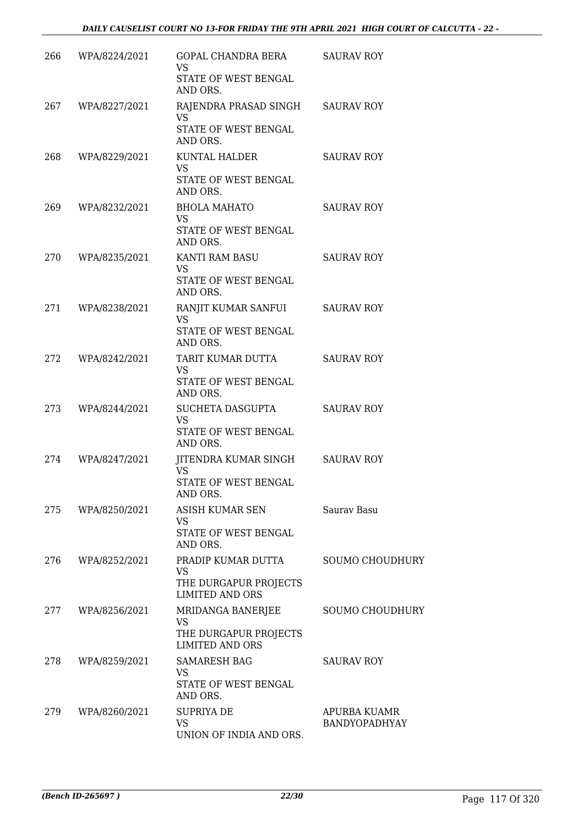| 266 | WPA/8224/2021 | GOPAL CHANDRA BERA<br><b>VS</b><br>STATE OF WEST BENGAL                           | <b>SAURAV ROY</b>             |
|-----|---------------|-----------------------------------------------------------------------------------|-------------------------------|
| 267 | WPA/8227/2021 | AND ORS.<br>RAJENDRA PRASAD SINGH SAURAV ROY<br><b>VS</b><br>STATE OF WEST BENGAL |                               |
| 268 | WPA/8229/2021 | AND ORS.<br>KUNTAL HALDER<br><b>VS</b>                                            | <b>SAURAV ROY</b>             |
|     |               | STATE OF WEST BENGAL<br>AND ORS.                                                  |                               |
| 269 | WPA/8232/2021 | <b>BHOLA MAHATO</b><br><b>VS</b><br>STATE OF WEST BENGAL<br>AND ORS.              | <b>SAURAV ROY</b>             |
| 270 | WPA/8235/2021 | KANTI RAM BASU<br><b>VS</b><br>STATE OF WEST BENGAL<br>AND ORS.                   | <b>SAURAV ROY</b>             |
| 271 | WPA/8238/2021 | RANJIT KUMAR SANFUI<br><b>VS</b><br>STATE OF WEST BENGAL                          | <b>SAURAV ROY</b>             |
| 272 | WPA/8242/2021 | AND ORS.<br>TARIT KUMAR DUTTA<br><b>VS</b><br>STATE OF WEST BENGAL                | <b>SAURAV ROY</b>             |
| 273 | WPA/8244/2021 | AND ORS.<br>SUCHETA DASGUPTA<br><b>VS</b><br>STATE OF WEST BENGAL                 | <b>SAURAV ROY</b>             |
| 274 | WPA/8247/2021 | AND ORS.<br>JITENDRA KUMAR SINGH<br><b>VS</b><br>STATE OF WEST BENGAL<br>AND ORS. | SAURAV ROY                    |
| 275 | WPA/8250/2021 | ASISH KUMAR SEN<br>VS<br>STATE OF WEST BENGAL<br>AND ORS.                         | Sauray Basu                   |
| 276 | WPA/8252/2021 | PRADIP KUMAR DUTTA<br>VS<br>THE DURGAPUR PROJECTS<br><b>LIMITED AND ORS</b>       | <b>SOUMO CHOUDHURY</b>        |
| 277 | WPA/8256/2021 | MRIDANGA BANERJEE<br><b>VS</b><br>THE DURGAPUR PROJECTS<br><b>LIMITED AND ORS</b> | <b>SOUMO CHOUDHURY</b>        |
| 278 | WPA/8259/2021 | <b>SAMARESH BAG</b><br>VS<br>STATE OF WEST BENGAL<br>AND ORS.                     | <b>SAURAV ROY</b>             |
| 279 | WPA/8260/2021 | <b>SUPRIYA DE</b><br>VS<br>UNION OF INDIA AND ORS.                                | APURBA KUAMR<br>BANDYOPADHYAY |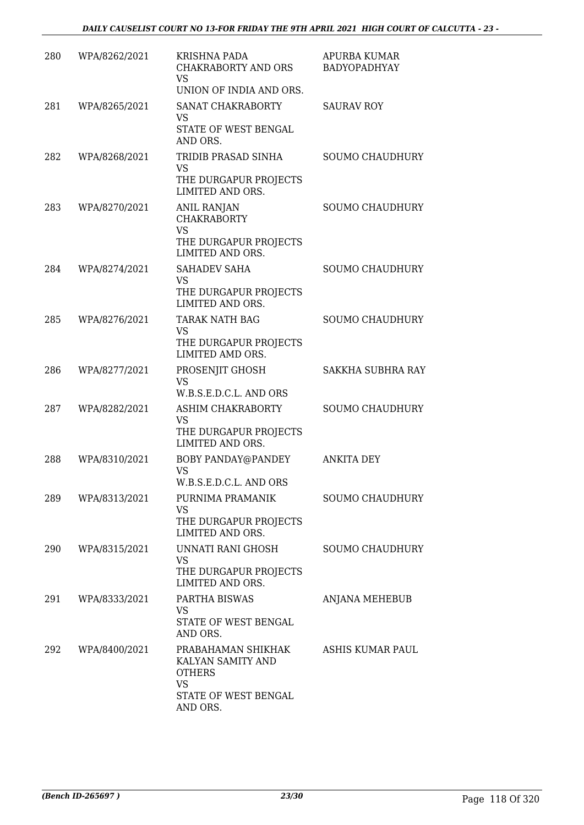| 280 | WPA/8262/2021 | <b>KRISHNA PADA</b><br>CHAKRABORTY AND ORS<br>VS<br>UNION OF INDIA AND ORS.                               | <b>APURBA KUMAR</b><br>BADYOPADHYAY |
|-----|---------------|-----------------------------------------------------------------------------------------------------------|-------------------------------------|
| 281 | WPA/8265/2021 | SANAT CHAKRABORTY<br>VS<br>STATE OF WEST BENGAL<br>AND ORS.                                               | <b>SAURAV ROY</b>                   |
| 282 | WPA/8268/2021 | TRIDIB PRASAD SINHA<br><b>VS</b><br>THE DURGAPUR PROJECTS<br>LIMITED AND ORS.                             | <b>SOUMO CHAUDHURY</b>              |
| 283 | WPA/8270/2021 | ANIL RANJAN<br><b>CHAKRABORTY</b><br><b>VS</b><br>THE DURGAPUR PROJECTS<br>LIMITED AND ORS.               | <b>SOUMO CHAUDHURY</b>              |
| 284 | WPA/8274/2021 | SAHADEV SAHA<br>VS<br>THE DURGAPUR PROJECTS<br>LIMITED AND ORS.                                           | <b>SOUMO CHAUDHURY</b>              |
| 285 | WPA/8276/2021 | <b>TARAK NATH BAG</b><br><b>VS</b><br>THE DURGAPUR PROJECTS<br>LIMITED AMD ORS.                           | <b>SOUMO CHAUDHURY</b>              |
| 286 | WPA/8277/2021 | PROSENJIT GHOSH<br>VS<br>W.B.S.E.D.C.L. AND ORS                                                           | SAKKHA SUBHRA RAY                   |
| 287 | WPA/8282/2021 | ASHIM CHAKRABORTY<br><b>VS</b><br>THE DURGAPUR PROJECTS<br>LIMITED AND ORS.                               | <b>SOUMO CHAUDHURY</b>              |
| 288 | WPA/8310/2021 | BOBY PANDAY@PANDEY<br><b>VS</b><br>W.B.S.E.D.C.L. AND ORS                                                 | <b>ANKITA DEY</b>                   |
| 289 | WPA/8313/2021 | PURNIMA PRAMANIK<br>VS<br>THE DURGAPUR PROJECTS<br>LIMITED AND ORS.                                       | <b>SOUMO CHAUDHURY</b>              |
| 290 | WPA/8315/2021 | UNNATI RANI GHOSH<br>VS<br>THE DURGAPUR PROJECTS<br>LIMITED AND ORS.                                      | <b>SOUMO CHAUDHURY</b>              |
| 291 | WPA/8333/2021 | PARTHA BISWAS<br>VS<br>STATE OF WEST BENGAL<br>AND ORS.                                                   | ANJANA MEHEBUB                      |
| 292 | WPA/8400/2021 | PRABAHAMAN SHIKHAK<br>KALYAN SAMITY AND<br><b>OTHERS</b><br><b>VS</b><br>STATE OF WEST BENGAL<br>AND ORS. | ASHIS KUMAR PAUL                    |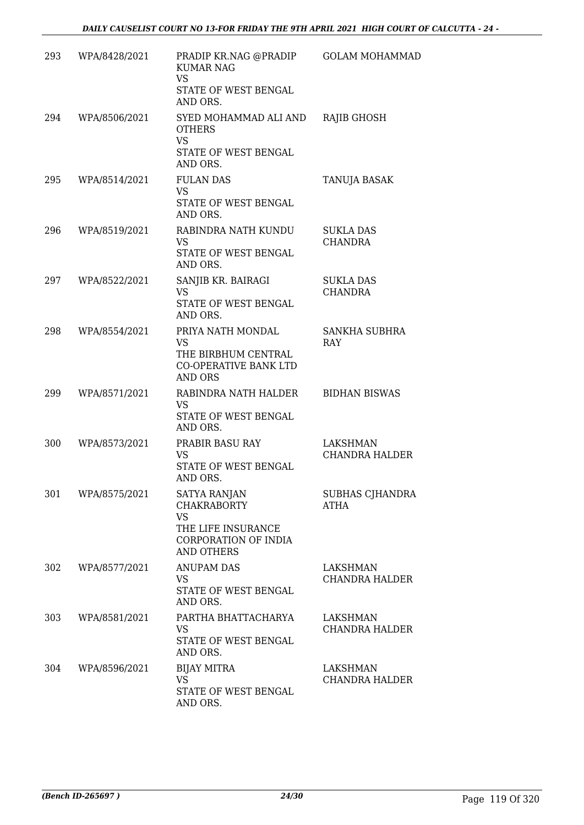| 293 | WPA/8428/2021 | PRADIP KR.NAG @PRADIP<br><b>KUMAR NAG</b><br><b>VS</b><br>STATE OF WEST BENGAL<br>AND ORS.                                | <b>GOLAM MOHAMMAD</b>                    |
|-----|---------------|---------------------------------------------------------------------------------------------------------------------------|------------------------------------------|
| 294 | WPA/8506/2021 | SYED MOHAMMAD ALI AND<br><b>OTHERS</b><br><b>VS</b><br>STATE OF WEST BENGAL<br>AND ORS.                                   | <b>RAJIB GHOSH</b>                       |
| 295 | WPA/8514/2021 | <b>FULAN DAS</b><br><b>VS</b><br>STATE OF WEST BENGAL<br>AND ORS.                                                         | <b>TANUJA BASAK</b>                      |
| 296 | WPA/8519/2021 | RABINDRA NATH KUNDU<br>VS<br>STATE OF WEST BENGAL<br>AND ORS.                                                             | SUKLA DAS<br><b>CHANDRA</b>              |
| 297 | WPA/8522/2021 | SANJIB KR. BAIRAGI<br><b>VS</b><br>STATE OF WEST BENGAL<br>AND ORS.                                                       | <b>SUKLA DAS</b><br><b>CHANDRA</b>       |
| 298 | WPA/8554/2021 | PRIYA NATH MONDAL<br>VS<br>THE BIRBHUM CENTRAL<br><b>CO-OPERATIVE BANK LTD</b><br><b>AND ORS</b>                          | SANKHA SUBHRA<br><b>RAY</b>              |
| 299 | WPA/8571/2021 | RABINDRA NATH HALDER<br><b>VS</b><br>STATE OF WEST BENGAL<br>AND ORS.                                                     | <b>BIDHAN BISWAS</b>                     |
| 300 | WPA/8573/2021 | PRABIR BASU RAY<br>VS<br>STATE OF WEST BENGAL<br>AND ORS.                                                                 | <b>LAKSHMAN</b><br>CHANDRA HALDER        |
| 301 | WPA/8575/2021 | <b>SATYA RANJAN</b><br><b>CHAKRABORTY</b><br><b>VS</b><br>THE LIFE INSURANCE<br>CORPORATION OF INDIA<br><b>AND OTHERS</b> | SUBHAS CJHANDRA<br>ATHA                  |
| 302 | WPA/8577/2021 | ANUPAM DAS<br>VS.<br>STATE OF WEST BENGAL<br>AND ORS.                                                                     | LAKSHMAN<br>CHANDRA HALDER               |
| 303 | WPA/8581/2021 | PARTHA BHATTACHARYA<br>VS<br>STATE OF WEST BENGAL<br>AND ORS.                                                             | LAKSHMAN<br>CHANDRA HALDER               |
| 304 | WPA/8596/2021 | <b>BIJAY MITRA</b><br><b>VS</b><br>STATE OF WEST BENGAL<br>AND ORS.                                                       | <b>LAKSHMAN</b><br><b>CHANDRA HALDER</b> |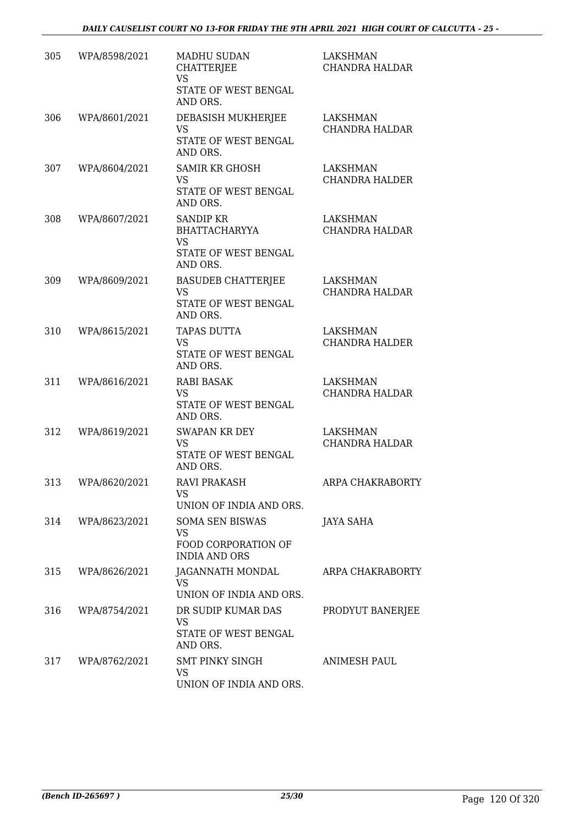| 305 | WPA/8598/2021     | <b>MADHU SUDAN</b><br><b>CHATTERJEE</b><br><b>VS</b><br>STATE OF WEST BENGAL<br>AND ORS.  | <b>LAKSHMAN</b><br><b>CHANDRA HALDAR</b> |
|-----|-------------------|-------------------------------------------------------------------------------------------|------------------------------------------|
| 306 | WPA/8601/2021     | DEBASISH MUKHERJEE<br><b>VS</b><br>STATE OF WEST BENGAL<br>AND ORS.                       | <b>LAKSHMAN</b><br>CHANDRA HALDAR        |
| 307 | WPA/8604/2021     | <b>SAMIR KR GHOSH</b><br><b>VS</b><br>STATE OF WEST BENGAL<br>AND ORS.                    | <b>LAKSHMAN</b><br>CHANDRA HALDER        |
| 308 | WPA/8607/2021     | <b>SANDIP KR</b><br><b>BHATTACHARYYA</b><br><b>VS</b><br>STATE OF WEST BENGAL<br>AND ORS. | LAKSHMAN<br><b>CHANDRA HALDAR</b>        |
| 309 | WPA/8609/2021     | <b>BASUDEB CHATTERIEE</b><br><b>VS</b><br>STATE OF WEST BENGAL<br>AND ORS.                | <b>LAKSHMAN</b><br><b>CHANDRA HALDAR</b> |
| 310 | WPA/8615/2021     | <b>TAPAS DUTTA</b><br><b>VS</b><br>STATE OF WEST BENGAL<br>AND ORS.                       | <b>LAKSHMAN</b><br><b>CHANDRA HALDER</b> |
| 311 | WPA/8616/2021     | RABI BASAK<br><b>VS</b><br>STATE OF WEST BENGAL<br>AND ORS.                               | <b>LAKSHMAN</b><br><b>CHANDRA HALDAR</b> |
| 312 | WPA/8619/2021     | <b>SWAPAN KR DEY</b><br><b>VS</b><br>STATE OF WEST BENGAL<br>AND ORS.                     | <b>LAKSHMAN</b><br>CHANDRA HALDAR        |
| 313 | WPA/8620/2021     | <b>RAVI PRAKASH</b><br>VS.<br>UNION OF INDIA AND ORS.                                     | ARPA CHAKRABORTY                         |
|     | 314 WPA/8623/2021 | <b>SOMA SEN BISWAS</b><br>VS<br>FOOD CORPORATION OF<br><b>INDIA AND ORS</b>               | JAYA SAHA                                |
| 315 | WPA/8626/2021     | JAGANNATH MONDAL<br><b>VS</b><br>UNION OF INDIA AND ORS.                                  | ARPA CHAKRABORTY                         |
| 316 | WPA/8754/2021     | DR SUDIP KUMAR DAS<br>VS<br>STATE OF WEST BENGAL<br>AND ORS.                              | PRODYUT BANERJEE                         |
| 317 | WPA/8762/2021     | SMT PINKY SINGH<br>VS<br>UNION OF INDIA AND ORS.                                          | <b>ANIMESH PAUL</b>                      |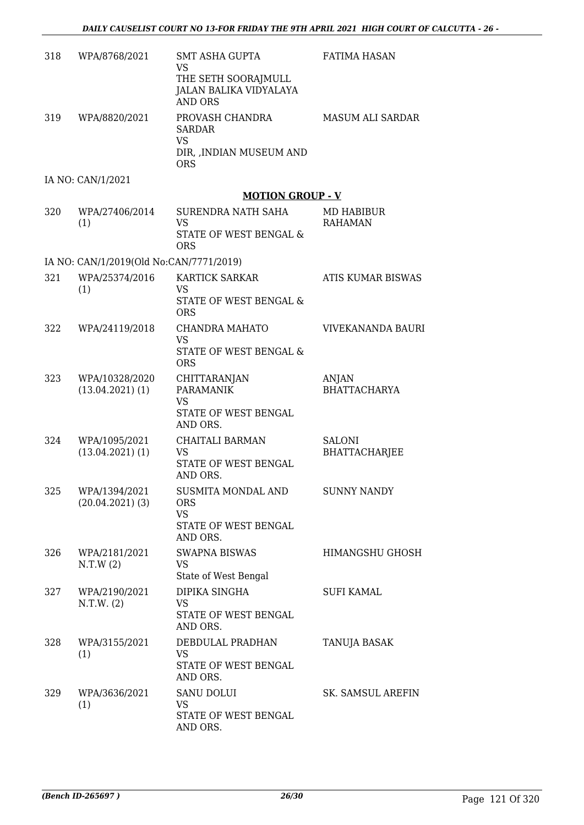| 318 | WPA/8768/2021                           | <b>SMT ASHA GUPTA</b><br><b>VS</b><br>THE SETH SOORAJMULL<br><b>JALAN BALIKA VIDYALAYA</b><br><b>AND ORS</b> | <b>FATIMA HASAN</b>                   |
|-----|-----------------------------------------|--------------------------------------------------------------------------------------------------------------|---------------------------------------|
| 319 | WPA/8820/2021                           | PROVASH CHANDRA<br><b>SARDAR</b><br><b>VS</b><br>DIR, , INDIAN MUSEUM AND<br><b>ORS</b>                      | MASUM ALI SARDAR                      |
|     | IA NO: CAN/1/2021                       |                                                                                                              |                                       |
|     |                                         | <b>MOTION GROUP - V</b>                                                                                      |                                       |
| 320 | WPA/27406/2014<br>(1)                   | SURENDRA NATH SAHA<br><b>VS</b><br>STATE OF WEST BENGAL &<br><b>ORS</b>                                      | MD HABIBUR<br><b>RAHAMAN</b>          |
|     | IA NO: CAN/1/2019(Old No:CAN/7771/2019) |                                                                                                              |                                       |
| 321 | WPA/25374/2016<br>(1)                   | <b>KARTICK SARKAR</b><br><b>VS</b><br>STATE OF WEST BENGAL &<br><b>ORS</b>                                   | ATIS KUMAR BISWAS                     |
| 322 | WPA/24119/2018                          | CHANDRA MAHATO<br><b>VS</b><br>STATE OF WEST BENGAL &<br><b>ORS</b>                                          | VIVEKANANDA BAURI                     |
| 323 | WPA/10328/2020<br>$(13.04.2021)$ $(1)$  | CHITTARANJAN<br><b>PARAMANIK</b><br><b>VS</b><br>STATE OF WEST BENGAL<br>AND ORS.                            | ANJAN<br><b>BHATTACHARYA</b>          |
| 324 | WPA/1095/2021<br>$(13.04.2021)$ $(1)$   | CHAITALI BARMAN<br><b>VS</b><br>STATE OF WEST BENGAL<br>AND ORS.                                             | <b>SALONI</b><br><b>BHATTACHARJEE</b> |
| 325 | WPA/1394/2021<br>$(20.04.2021)$ (3)     | SUSMITA MONDAL AND<br><b>ORS</b><br><b>VS</b><br>STATE OF WEST BENGAL<br>AND ORS.                            | <b>SUNNY NANDY</b>                    |
| 326 | WPA/2181/2021<br>N.T.W(2)               | <b>SWAPNA BISWAS</b><br><b>VS</b><br>State of West Bengal                                                    | HIMANGSHU GHOSH                       |
| 327 | WPA/2190/2021<br>N.T.W. (2)             | DIPIKA SINGHA<br><b>VS</b><br>STATE OF WEST BENGAL<br>AND ORS.                                               | <b>SUFI KAMAL</b>                     |
| 328 | WPA/3155/2021<br>(1)                    | DEBDULAL PRADHAN<br>VS<br>STATE OF WEST BENGAL<br>AND ORS.                                                   | TANUJA BASAK                          |
| 329 | WPA/3636/2021<br>(1)                    | <b>SANU DOLUI</b><br><b>VS</b><br>STATE OF WEST BENGAL<br>AND ORS.                                           | SK. SAMSUL AREFIN                     |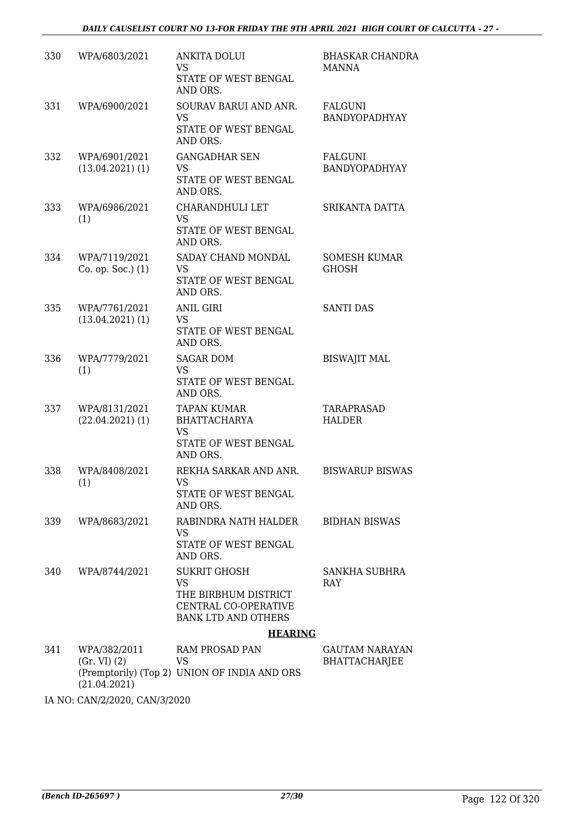| 330 | WPA/6803/2021                         | <b>ANKITA DOLUI</b><br><b>VS</b>                                           | <b>BHASKAR CHANDRA</b><br><b>MANNA</b> |
|-----|---------------------------------------|----------------------------------------------------------------------------|----------------------------------------|
|     |                                       | STATE OF WEST BENGAL<br>AND ORS.                                           |                                        |
| 331 | WPA/6900/2021                         | SOURAV BARUI AND ANR.<br><b>VS</b>                                         | <b>FALGUNI</b><br>BANDYOPADHYAY        |
|     |                                       | STATE OF WEST BENGAL<br>AND ORS.                                           |                                        |
| 332 | WPA/6901/2021<br>$(13.04.2021)$ $(1)$ | <b>GANGADHAR SEN</b><br>VS                                                 | FALGUNI<br>BANDYOPADHYAY               |
|     |                                       | STATE OF WEST BENGAL<br>AND ORS.                                           |                                        |
| 333 | WPA/6986/2021<br>(1)                  | CHARANDHULI LET<br><b>VS</b>                                               | SRIKANTA DATTA                         |
|     |                                       | STATE OF WEST BENGAL<br>AND ORS.                                           |                                        |
| 334 | WPA/7119/2021<br>Co. op. Soc.) (1)    | SADAY CHAND MONDAL<br><b>VS</b>                                            | <b>SOMESH KUMAR</b><br><b>GHOSH</b>    |
|     |                                       | STATE OF WEST BENGAL<br>AND ORS.                                           |                                        |
| 335 | WPA/7761/2021<br>$(13.04.2021)$ $(1)$ | <b>ANIL GIRI</b><br>VS                                                     | <b>SANTI DAS</b>                       |
|     |                                       | STATE OF WEST BENGAL<br>AND ORS.                                           |                                        |
| 336 | WPA/7779/2021<br>(1)                  | <b>SAGAR DOM</b><br><b>VS</b>                                              | <b>BISWAJIT MAL</b>                    |
|     |                                       | STATE OF WEST BENGAL<br>AND ORS.                                           |                                        |
| 337 | WPA/8131/2021<br>$(22.04.2021)$ (1)   | <b>TAPAN KUMAR</b><br><b>BHATTACHARYA</b>                                  | TARAPRASAD<br><b>HALDER</b>            |
|     |                                       | <b>VS</b><br>STATE OF WEST BENGAL                                          |                                        |
|     |                                       | AND ORS.                                                                   |                                        |
| 338 | WPA/8408/2021<br>(1)                  | REKHA SARKAR AND ANR.<br>VS FOR STRING                                     | <b>BISWARUP BISWAS</b>                 |
|     |                                       | STATE OF WEST BENGAL<br>AND ORS.                                           |                                        |
| 339 | WPA/8683/2021                         | RABINDRA NATH HALDER<br><b>VS</b>                                          | <b>BIDHAN BISWAS</b>                   |
|     |                                       | STATE OF WEST BENGAL<br>AND ORS.                                           |                                        |
| 340 | WPA/8744/2021                         | <b>SUKRIT GHOSH</b><br><b>VS</b>                                           | SANKHA SUBHRA<br><b>RAY</b>            |
|     |                                       | THE BIRBHUM DISTRICT<br>CENTRAL CO-OPERATIVE<br><b>BANK LTD AND OTHERS</b> |                                        |
|     |                                       | <b>HEARING</b>                                                             |                                        |
| 341 | WPA/382/2011                          | <b>RAM PROSAD PAN</b>                                                      | GAUTAM NARAYAN                         |
|     | (Gr. VI) (2)                          | VS                                                                         | <b>BHATTACHARJEE</b>                   |

(Gr. VI) (2) (Premptorily) (Top 2) (21.04.2021) VS UNION OF INDIA AND ORS BHATTACHARJEE

IA NO: CAN/2/2020, CAN/3/2020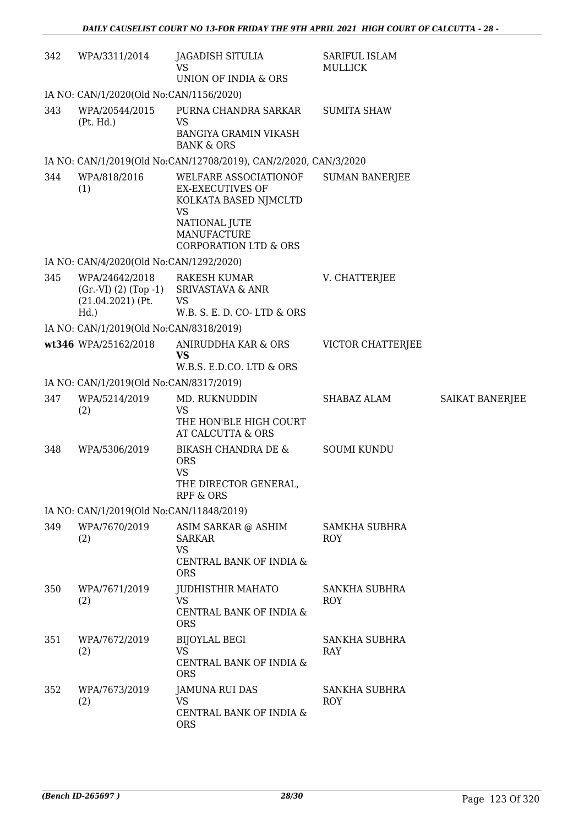| 342 | WPA/3311/2014                                    | JAGADISH SITULIA<br><b>VS</b><br>UNION OF INDIA & ORS                                                                                                      | SARIFUL ISLAM<br><b>MULLICK</b> |                 |  |  |
|-----|--------------------------------------------------|------------------------------------------------------------------------------------------------------------------------------------------------------------|---------------------------------|-----------------|--|--|
|     | IA NO: CAN/1/2020(Old No:CAN/1156/2020)          |                                                                                                                                                            |                                 |                 |  |  |
| 343 | WPA/20544/2015<br>(Pt. Hd.)                      | PURNA CHANDRA SARKAR<br><b>VS</b><br><b>BANGIYA GRAMIN VIKASH</b><br><b>BANK &amp; ORS</b>                                                                 | <b>SUMITA SHAW</b>              |                 |  |  |
|     |                                                  | IA NO: CAN/1/2019(Old No:CAN/12708/2019), CAN/2/2020, CAN/3/2020                                                                                           |                                 |                 |  |  |
| 344 | WPA/818/2016<br>(1)                              | WELFARE ASSOCIATIONOF<br><b>EX-EXECUTIVES OF</b><br>KOLKATA BASED NJMCLTD<br>VS<br>NATIONAL JUTE<br><b>MANUFACTURE</b><br><b>CORPORATION LTD &amp; ORS</b> | <b>SUMAN BANERJEE</b>           |                 |  |  |
|     | IA NO: CAN/4/2020(Old No:CAN/1292/2020)          |                                                                                                                                                            |                                 |                 |  |  |
| 345 | WPA/24642/2018<br>$(21.04.2021)$ (Pt.<br>$Hd.$ ) | <b>RAKESH KUMAR</b><br>(Gr.-VI) (2) (Top -1) SRIVASTAVA & ANR<br>VS<br>W.B. S. E. D. CO-LTD & ORS                                                          | V. CHATTERJEE                   |                 |  |  |
|     | IA NO: CAN/1/2019(Old No:CAN/8318/2019)          |                                                                                                                                                            |                                 |                 |  |  |
|     | wt346 WPA/25162/2018                             | ANIRUDDHA KAR & ORS<br><b>VS</b><br>W.B.S. E.D.CO. LTD & ORS                                                                                               | VICTOR CHATTERJEE               |                 |  |  |
|     | IA NO: CAN/1/2019(Old No:CAN/8317/2019)          |                                                                                                                                                            |                                 |                 |  |  |
| 347 | WPA/5214/2019<br>(2)                             | MD. RUKNUDDIN<br><b>VS</b><br>THE HON'BLE HIGH COURT<br>AT CALCUTTA & ORS                                                                                  | SHABAZ ALAM                     | SAIKAT BANERJEE |  |  |
| 348 | WPA/5306/2019                                    | <b>BIKASH CHANDRA DE &amp;</b><br><b>ORS</b><br><b>VS</b><br>THE DIRECTOR GENERAL<br>RPF & ORS                                                             | <b>SOUMI KUNDU</b>              |                 |  |  |
|     | IA NO: CAN/1/2019(Old No:CAN/11848/2019)         |                                                                                                                                                            |                                 |                 |  |  |
| 349 | WPA/7670/2019<br>(2)                             | ASIM SARKAR @ ASHIM<br><b>SARKAR</b><br><b>VS</b><br>CENTRAL BANK OF INDIA &<br><b>ORS</b>                                                                 | <b>SAMKHA SUBHRA</b><br>ROY     |                 |  |  |
| 350 | WPA/7671/2019<br>(2)                             | JUDHISTHIR MAHATO<br><b>VS</b><br>CENTRAL BANK OF INDIA &<br><b>ORS</b>                                                                                    | SANKHA SUBHRA<br>ROY            |                 |  |  |
| 351 | WPA/7672/2019<br>(2)                             | <b>BIJOYLAL BEGI</b><br><b>VS</b><br>CENTRAL BANK OF INDIA &<br><b>ORS</b>                                                                                 | SANKHA SUBHRA<br>RAY            |                 |  |  |
| 352 | WPA/7673/2019<br>(2)                             | JAMUNA RUI DAS<br><b>VS</b><br>CENTRAL BANK OF INDIA &<br><b>ORS</b>                                                                                       | <b>SANKHA SUBHRA</b><br>ROY     |                 |  |  |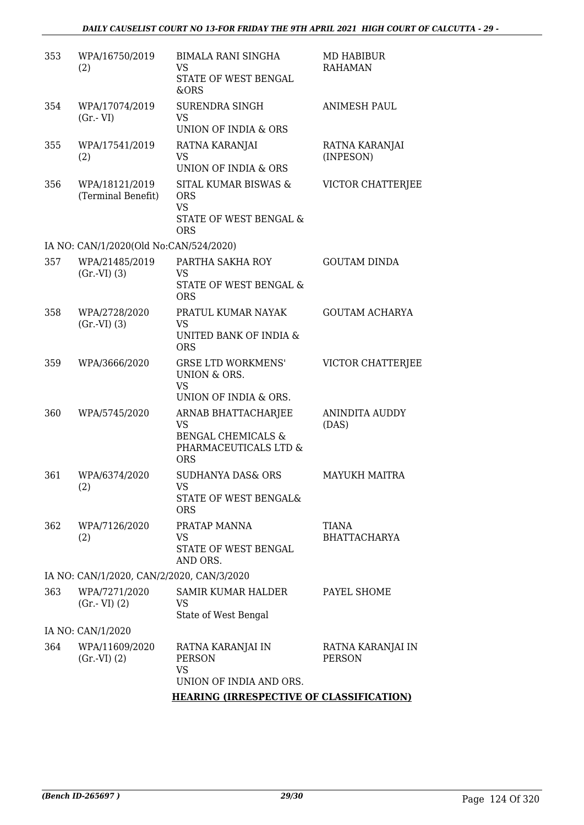| 353                                       | WPA/16750/2019<br>(2)                  | <b>BIMALA RANI SINGHA</b><br>VS<br>STATE OF WEST BENGAL<br>&ORS                                          | MD HABIBUR<br><b>RAHAMAN</b>       |  |  |
|-------------------------------------------|----------------------------------------|----------------------------------------------------------------------------------------------------------|------------------------------------|--|--|
| 354                                       | WPA/17074/2019<br>$(Gr.-VI)$           | <b>SURENDRA SINGH</b><br><b>VS</b><br>UNION OF INDIA & ORS                                               | <b>ANIMESH PAUL</b>                |  |  |
| 355                                       | WPA/17541/2019<br>(2)                  | RATNA KARANJAI<br><b>VS</b><br>UNION OF INDIA & ORS                                                      | RATNA KARANJAI<br>(INPESON)        |  |  |
| 356                                       | WPA/18121/2019<br>(Terminal Benefit)   | SITAL KUMAR BISWAS &<br><b>ORS</b><br><b>VS</b><br>STATE OF WEST BENGAL &<br><b>ORS</b>                  | VICTOR CHATTERJEE                  |  |  |
|                                           | IA NO: CAN/1/2020(Old No:CAN/524/2020) |                                                                                                          |                                    |  |  |
| 357                                       | WPA/21485/2019<br>(Gr.VI) (3)          | PARTHA SAKHA ROY<br><b>VS</b><br>STATE OF WEST BENGAL &<br><b>ORS</b>                                    | <b>GOUTAM DINDA</b>                |  |  |
| 358                                       | WPA/2728/2020<br>(Gr.VI) (3)           | PRATUL KUMAR NAYAK<br><b>VS</b><br>UNITED BANK OF INDIA &<br><b>ORS</b>                                  | <b>GOUTAM ACHARYA</b>              |  |  |
| 359                                       | WPA/3666/2020                          | <b>GRSE LTD WORKMENS'</b><br>UNION & ORS.<br><b>VS</b><br>UNION OF INDIA & ORS.                          | VICTOR CHATTERJEE                  |  |  |
| 360                                       | WPA/5745/2020                          | ARNAB BHATTACHARJEE<br><b>VS</b><br><b>BENGAL CHEMICALS &amp;</b><br>PHARMACEUTICALS LTD &<br><b>ORS</b> | <b>ANINDITA AUDDY</b><br>(DAS)     |  |  |
| 361                                       | WPA/6374/2020<br>(2)                   | <b>SUDHANYA DAS&amp; ORS</b><br>VS<br>STATE OF WEST BENGAL&<br><b>ORS</b>                                | <b>MAYUKH MAITRA</b>               |  |  |
| 362                                       | WPA/7126/2020<br>(2)                   | PRATAP MANNA<br>VS.<br>STATE OF WEST BENGAL<br>AND ORS.                                                  | TIANA<br><b>BHATTACHARYA</b>       |  |  |
| IA NO: CAN/1/2020, CAN/2/2020, CAN/3/2020 |                                        |                                                                                                          |                                    |  |  |
| 363                                       | WPA/7271/2020<br>$(Gr.-VI)$ $(2)$      | SAMIR KUMAR HALDER<br>VS<br>State of West Bengal                                                         | PAYEL SHOME                        |  |  |
|                                           | IA NO: CAN/1/2020                      |                                                                                                          |                                    |  |  |
| 364                                       | WPA/11609/2020<br>(Gr.VI) (2)          | RATNA KARANJAI IN<br><b>PERSON</b><br><b>VS</b><br>UNION OF INDIA AND ORS.                               | RATNA KARANJAI IN<br><b>PERSON</b> |  |  |
|                                           |                                        | <b>HEARING (IRRESPECTIVE OF CLASSIFICATION)</b>                                                          |                                    |  |  |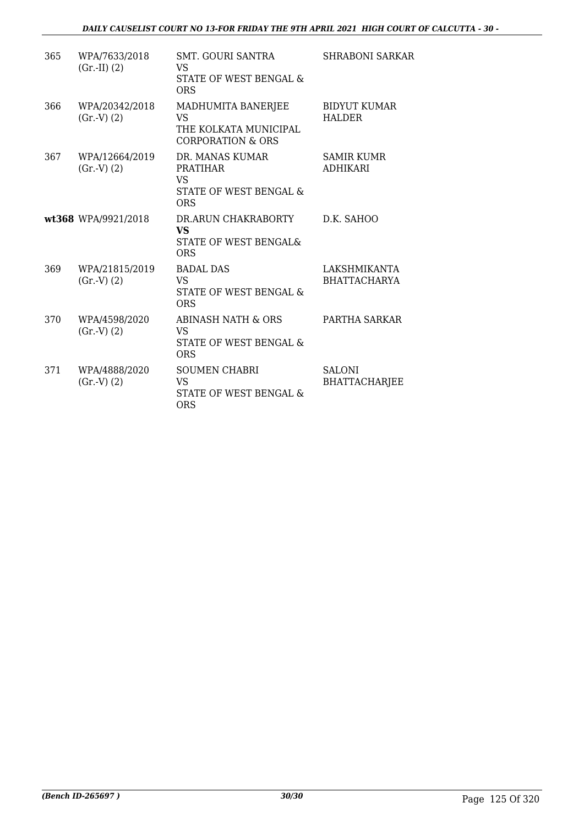| 365 | WPA/7633/2018<br>$(Gr.-II) (2)$ | <b>SMT. GOURI SANTRA</b><br>VS<br>STATE OF WEST BENGAL &<br><b>ORS</b>                        | <b>SHRABONI SARKAR</b>                |
|-----|---------------------------------|-----------------------------------------------------------------------------------------------|---------------------------------------|
| 366 | WPA/20342/2018<br>(Gr.V) (2)    | MADHUMITA BANERJEE<br>VS<br>THE KOLKATA MUNICIPAL<br><b>CORPORATION &amp; ORS</b>             | <b>BIDYUT KUMAR</b><br><b>HALDER</b>  |
| 367 | WPA/12664/2019<br>(Gr.V) (2)    | DR. MANAS KUMAR<br><b>PRATIHAR</b><br><b>VS</b><br>STATE OF WEST BENGAL &<br><b>ORS</b>       | <b>SAMIR KUMR</b><br><b>ADHIKARI</b>  |
|     | wt368 WPA/9921/2018             | DR.ARUN CHAKRABORTY<br><b>VS</b><br>STATE OF WEST BENGAL&<br><b>ORS</b>                       | D.K. SAHOO                            |
| 369 | WPA/21815/2019<br>(Gr.V) (2)    | <b>BADAL DAS</b><br>VS.<br>STATE OF WEST BENGAL &<br><b>ORS</b>                               | LAKSHMIKANTA<br><b>BHATTACHARYA</b>   |
| 370 | WPA/4598/2020<br>(Gr.V) (2)     | <b>ABINASH NATH &amp; ORS</b><br><b>VS</b><br><b>STATE OF WEST BENGAL &amp;</b><br><b>ORS</b> | PARTHA SARKAR                         |
| 371 | WPA/4888/2020<br>(Gr.V) (2)     | <b>SOUMEN CHABRI</b><br><b>VS</b><br>STATE OF WEST BENGAL &<br>ORS                            | <b>SALONI</b><br><b>BHATTACHARJEE</b> |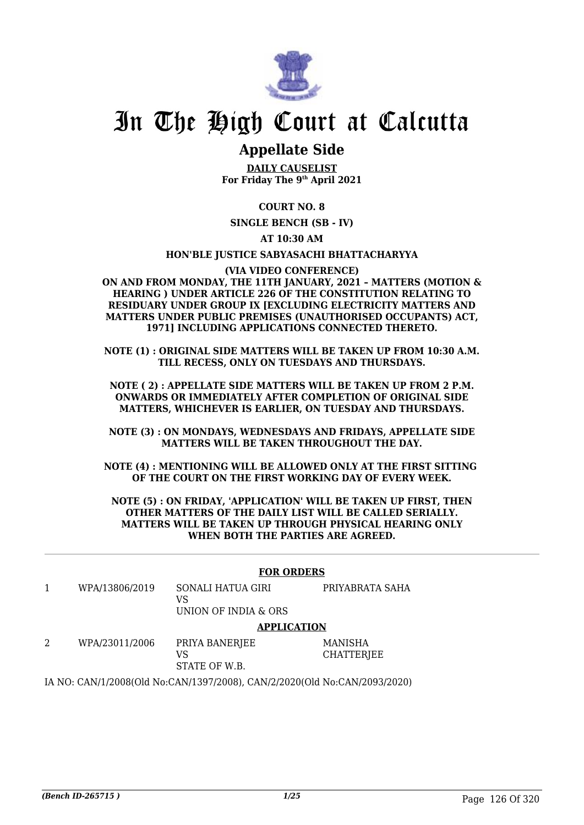

# In The High Court at Calcutta

## **Appellate Side**

**DAILY CAUSELIST For Friday The 9th April 2021**

### **COURT NO. 8**

**SINGLE BENCH (SB - IV)**

**AT 10:30 AM**

#### **HON'BLE JUSTICE SABYASACHI BHATTACHARYYA**

#### **(VIA VIDEO CONFERENCE)**

**ON AND FROM MONDAY, THE 11TH JANUARY, 2021 – MATTERS (MOTION & HEARING ) UNDER ARTICLE 226 OF THE CONSTITUTION RELATING TO RESIDUARY UNDER GROUP IX [EXCLUDING ELECTRICITY MATTERS AND MATTERS UNDER PUBLIC PREMISES (UNAUTHORISED OCCUPANTS) ACT, 1971] INCLUDING APPLICATIONS CONNECTED THERETO.**

**NOTE (1) : ORIGINAL SIDE MATTERS WILL BE TAKEN UP FROM 10:30 A.M. TILL RECESS, ONLY ON TUESDAYS AND THURSDAYS.**

**NOTE ( 2) : APPELLATE SIDE MATTERS WILL BE TAKEN UP FROM 2 P.M. ONWARDS OR IMMEDIATELY AFTER COMPLETION OF ORIGINAL SIDE MATTERS, WHICHEVER IS EARLIER, ON TUESDAY AND THURSDAYS.**

**NOTE (3) : ON MONDAYS, WEDNESDAYS AND FRIDAYS, APPELLATE SIDE MATTERS WILL BE TAKEN THROUGHOUT THE DAY.**

**NOTE (4) : MENTIONING WILL BE ALLOWED ONLY AT THE FIRST SITTING OF THE COURT ON THE FIRST WORKING DAY OF EVERY WEEK.**

**NOTE (5) : ON FRIDAY, 'APPLICATION' WILL BE TAKEN UP FIRST, THEN OTHER MATTERS OF THE DAILY LIST WILL BE CALLED SERIALLY. MATTERS WILL BE TAKEN UP THROUGH PHYSICAL HEARING ONLY WHEN BOTH THE PARTIES ARE AGREED.**

|                                                                           |                    | <b>FOR ORDERS</b>                               |                       |  |  |
|---------------------------------------------------------------------------|--------------------|-------------------------------------------------|-----------------------|--|--|
|                                                                           | WPA/13806/2019     | SONALI HATUA GIRI<br>VS<br>UNION OF INDIA & ORS | PRIYABRATA SAHA       |  |  |
|                                                                           | <b>APPLICATION</b> |                                                 |                       |  |  |
| 2                                                                         | WPA/23011/2006     | PRIYA BANERJEE<br>VS<br>STATE OF W.B.           | MANISHA<br>CHATTERJEE |  |  |
| IA NO: CAN/1/2008(Old No:CAN/1397/2008), CAN/2/2020(Old No:CAN/2093/2020) |                    |                                                 |                       |  |  |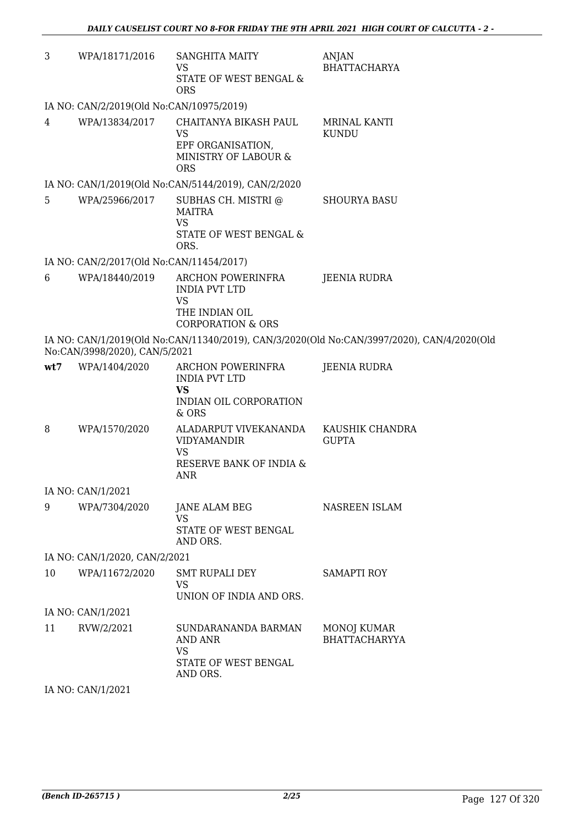| 3   | WPA/18171/2016                           | <b>SANGHITA MAITY</b><br>VS<br>STATE OF WEST BENGAL &<br><b>ORS</b>                                      | ANJAN<br><b>BHATTACHARYA</b>                                                               |
|-----|------------------------------------------|----------------------------------------------------------------------------------------------------------|--------------------------------------------------------------------------------------------|
|     | IA NO: CAN/2/2019(Old No:CAN/10975/2019) |                                                                                                          |                                                                                            |
| 4   | WPA/13834/2017                           | CHAITANYA BIKASH PAUL<br><b>VS</b><br>EPF ORGANISATION,<br>MINISTRY OF LABOUR &<br><b>ORS</b>            | <b>MRINAL KANTI</b><br><b>KUNDU</b>                                                        |
|     |                                          | IA NO: CAN/1/2019(Old No:CAN/5144/2019), CAN/2/2020                                                      |                                                                                            |
| 5   |                                          | WPA/25966/2017 SUBHAS CH. MISTRI@<br><b>MAITRA</b><br><b>VS</b><br>STATE OF WEST BENGAL &<br>ORS.        | <b>SHOURYA BASU</b>                                                                        |
|     | IA NO: CAN/2/2017(Old No:CAN/11454/2017) |                                                                                                          |                                                                                            |
| 6   | WPA/18440/2019                           | ARCHON POWERINFRA<br><b>INDIA PVT LTD</b><br><b>VS</b><br>THE INDIAN OIL<br><b>CORPORATION &amp; ORS</b> | JEENIA RUDRA                                                                               |
|     | No:CAN/3998/2020), CAN/5/2021            |                                                                                                          | IA NO: CAN/1/2019(Old No:CAN/11340/2019), CAN/3/2020(Old No:CAN/3997/2020), CAN/4/2020(Old |
| wt7 | WPA/1404/2020                            | ARCHON POWERINFRA<br><b>INDIA PVT LTD</b><br><b>VS</b><br>INDIAN OIL CORPORATION<br>& ORS                | JEENIA RUDRA                                                                               |
| 8   | WPA/1570/2020                            | ALADARPUT VIVEKANANDA<br><b>VIDYAMANDIR</b><br>VS<br>RESERVE BANK OF INDIA &<br><b>ANR</b>               | KAUSHIK CHANDRA<br><b>GUPTA</b>                                                            |
|     | IA NO: CAN/1/2021                        |                                                                                                          |                                                                                            |
| 9   | WPA/7304/2020                            | <b>JANE ALAM BEG</b><br><b>VS</b><br>STATE OF WEST BENGAL<br>AND ORS.                                    | NASREEN ISLAM                                                                              |
|     | IA NO: CAN/1/2020, CAN/2/2021            |                                                                                                          |                                                                                            |
| 10  | WPA/11672/2020                           | <b>SMT RUPALI DEY</b><br>VS<br>UNION OF INDIA AND ORS.                                                   | <b>SAMAPTI ROY</b>                                                                         |
|     | IA NO: CAN/1/2021                        |                                                                                                          |                                                                                            |
| 11  | RVW/2/2021                               | SUNDARANANDA BARMAN<br>AND ANR<br>VS<br>STATE OF WEST BENGAL<br>AND ORS.                                 | MONOJ KUMAR<br><b>BHATTACHARYYA</b>                                                        |
|     | $IA$ $N0$ , $CAN/1/2021$                 |                                                                                                          |                                                                                            |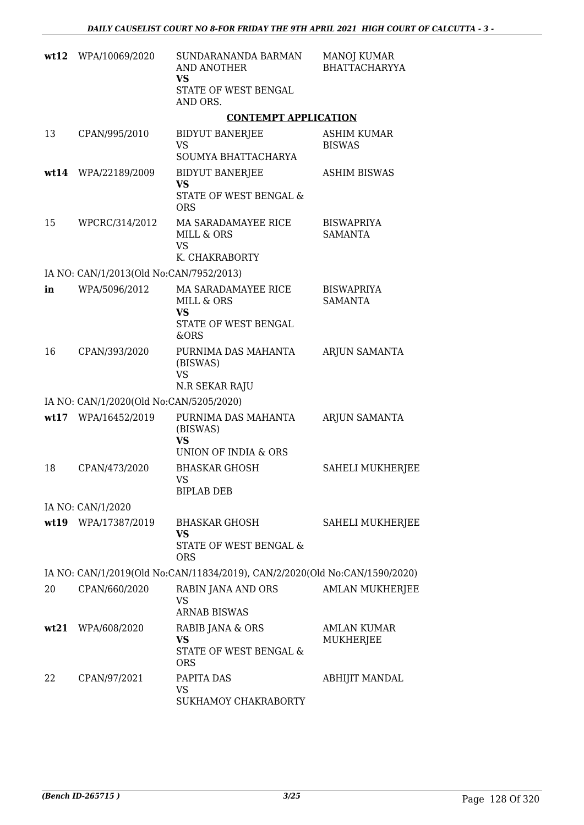|      | wt12 WPA/10069/2020                     | SUNDARANANDA BARMAN<br>AND ANOTHER<br>VS<br>STATE OF WEST BENGAL<br>AND ORS.   | <b>MANOJ KUMAR</b><br><b>BHATTACHARYYA</b> |
|------|-----------------------------------------|--------------------------------------------------------------------------------|--------------------------------------------|
|      |                                         | <b>CONTEMPT APPLICATION</b>                                                    |                                            |
| 13   | CPAN/995/2010                           | <b>BIDYUT BANERJEE</b><br><b>VS</b><br>SOUMYA BHATTACHARYA                     | <b>ASHIM KUMAR</b><br><b>BISWAS</b>        |
| wt14 | WPA/22189/2009                          | <b>BIDYUT BANERJEE</b><br>VS<br>STATE OF WEST BENGAL &<br><b>ORS</b>           | <b>ASHIM BISWAS</b>                        |
| 15   | WPCRC/314/2012                          | MA SARADAMAYEE RICE<br>MILL & ORS<br><b>VS</b><br>K. CHAKRABORTY               | <b>BISWAPRIYA</b><br><b>SAMANTA</b>        |
|      | IA NO: CAN/1/2013(Old No:CAN/7952/2013) |                                                                                |                                            |
| in   | WPA/5096/2012                           | MA SARADAMAYEE RICE<br>MILL & ORS<br><b>VS</b><br>STATE OF WEST BENGAL<br>&ORS | <b>BISWAPRIYA</b><br><b>SAMANTA</b>        |
| 16   | CPAN/393/2020                           | PURNIMA DAS MAHANTA<br>(BISWAS)<br><b>VS</b><br>N.R SEKAR RAJU                 | ARJUN SAMANTA                              |
|      | IA NO: CAN/1/2020(Old No:CAN/5205/2020) |                                                                                |                                            |
|      | wt17 WPA/16452/2019                     | PURNIMA DAS MAHANTA<br>(BISWAS)<br><b>VS</b><br>UNION OF INDIA & ORS           | ARJUN SAMANTA                              |
| 18   | CPAN/473/2020                           | <b>BHASKAR GHOSH</b><br>VS<br><b>BIPLAB DEB</b>                                | SAHELI MUKHERJEE                           |
|      | IA NO: CAN/1/2020                       |                                                                                |                                            |
|      | wt19 WPA/17387/2019                     | BHASKAR GHOSH<br><b>VS</b><br>STATE OF WEST BENGAL &<br><b>ORS</b>             | SAHELI MUKHERJEE                           |
|      |                                         | IA NO: CAN/1/2019(Old No:CAN/11834/2019), CAN/2/2020(Old No:CAN/1590/2020)     |                                            |
| 20   | CPAN/660/2020                           | RABIN JANA AND ORS<br><b>VS</b><br><b>ARNAB BISWAS</b>                         | <b>AMLAN MUKHERJEE</b>                     |
|      | wt21 WPA/608/2020                       | RABIB JANA & ORS<br><b>VS</b><br>STATE OF WEST BENGAL &<br><b>ORS</b>          | <b>AMLAN KUMAR</b><br>MUKHERJEE            |
| 22   | CPAN/97/2021                            | PAPITA DAS<br>VS<br>SUKHAMOY CHAKRABORTY                                       | ABHIJIT MANDAL                             |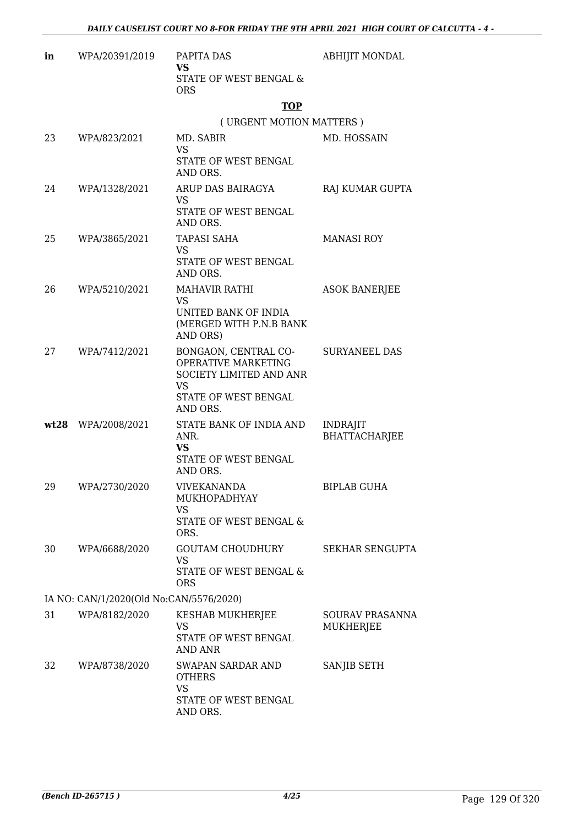| in | WPA/20391/2019                          | PAPITA DAS<br><b>VS</b>                                                                                          | <b>ABHIJIT MONDAL</b>               |
|----|-----------------------------------------|------------------------------------------------------------------------------------------------------------------|-------------------------------------|
|    |                                         | STATE OF WEST BENGAL &<br><b>ORS</b>                                                                             |                                     |
|    |                                         | <b>TOP</b>                                                                                                       |                                     |
|    |                                         | (URGENT MOTION MATTERS)                                                                                          |                                     |
| 23 | WPA/823/2021                            | MD. SABIR<br><b>VS</b><br>STATE OF WEST BENGAL                                                                   | MD. HOSSAIN                         |
|    |                                         | AND ORS.                                                                                                         |                                     |
| 24 | WPA/1328/2021                           | ARUP DAS BAIRAGYA<br>VS<br>STATE OF WEST BENGAL                                                                  | RAJ KUMAR GUPTA                     |
| 25 | WPA/3865/2021                           | AND ORS.<br>TAPASI SAHA                                                                                          | <b>MANASI ROY</b>                   |
|    |                                         | <b>VS</b><br>STATE OF WEST BENGAL<br>AND ORS.                                                                    |                                     |
| 26 | WPA/5210/2021                           | <b>MAHAVIR RATHI</b><br>VS<br>UNITED BANK OF INDIA<br>(MERGED WITH P.N.B BANK<br>AND ORS)                        | <b>ASOK BANERJEE</b>                |
| 27 | WPA/7412/2021                           | BONGAON, CENTRAL CO-<br>OPERATIVE MARKETING<br>SOCIETY LIMITED AND ANR<br>VS<br>STATE OF WEST BENGAL<br>AND ORS. | <b>SURYANEEL DAS</b>                |
|    | wt28 WPA/2008/2021                      | STATE BANK OF INDIA AND<br>ANR.<br><b>VS</b><br>STATE OF WEST BENGAL<br>AND ORS.                                 | <b>INDRAJIT</b><br>BHATTACHARJEE    |
| 29 | WPA/2730/2020                           | <b>VIVEKANANDA</b><br>MUKHOPADHYAY<br>VS<br>STATE OF WEST BENGAL &<br>ORS.                                       | <b>BIPLAB GUHA</b>                  |
| 30 | WPA/6688/2020                           | GOUTAM CHOUDHURY<br><b>VS</b><br>STATE OF WEST BENGAL &<br><b>ORS</b>                                            | <b>SEKHAR SENGUPTA</b>              |
|    | IA NO: CAN/1/2020(Old No:CAN/5576/2020) |                                                                                                                  |                                     |
| 31 | WPA/8182/2020                           | KESHAB MUKHERJEE<br>VS<br>STATE OF WEST BENGAL<br>AND ANR                                                        | SOURAV PRASANNA<br><b>MUKHERJEE</b> |
| 32 | WPA/8738/2020                           | SWAPAN SARDAR AND<br><b>OTHERS</b><br><b>VS</b><br>STATE OF WEST BENGAL<br>AND ORS.                              | SANJIB SETH                         |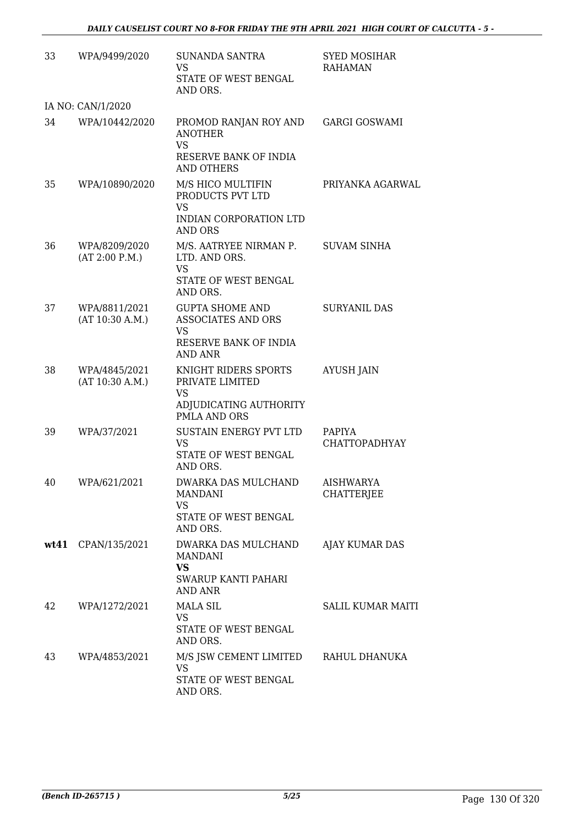| 33 | WPA/9499/2020                    | <b>SUNANDA SANTRA</b><br><b>VS</b><br>STATE OF WEST BENGAL<br>AND ORS.                             | <b>SYED MOSIHAR</b><br><b>RAHAMAN</b> |
|----|----------------------------------|----------------------------------------------------------------------------------------------------|---------------------------------------|
|    | IA NO: CAN/1/2020                |                                                                                                    |                                       |
| 34 | WPA/10442/2020                   | PROMOD RANJAN ROY AND<br><b>ANOTHER</b><br><b>VS</b><br>RESERVE BANK OF INDIA<br><b>AND OTHERS</b> | <b>GARGI GOSWAMI</b>                  |
| 35 | WPA/10890/2020                   | M/S HICO MULTIFIN<br>PRODUCTS PVT LTD<br><b>VS</b><br>INDIAN CORPORATION LTD<br><b>AND ORS</b>     | PRIYANKA AGARWAL                      |
| 36 | WPA/8209/2020<br>(AT 2:00 P.M.)  | M/S. AATRYEE NIRMAN P.<br>LTD. AND ORS.<br><b>VS</b><br>STATE OF WEST BENGAL<br>AND ORS.           | <b>SUVAM SINHA</b>                    |
| 37 | WPA/8811/2021<br>(AT 10:30 A.M.) | <b>GUPTA SHOME AND</b><br>ASSOCIATES AND ORS<br>VS<br>RESERVE BANK OF INDIA<br>AND ANR             | <b>SURYANIL DAS</b>                   |
| 38 | WPA/4845/2021<br>(AT 10:30 A.M.) | KNIGHT RIDERS SPORTS<br>PRIVATE LIMITED<br><b>VS</b><br>ADJUDICATING AUTHORITY<br>PMLA AND ORS     | <b>AYUSH JAIN</b>                     |
| 39 | WPA/37/2021                      | SUSTAIN ENERGY PVT LTD<br><b>VS</b><br>STATE OF WEST BENGAL<br>AND ORS.                            | PAPIYA<br><b>CHATTOPADHYAY</b>        |
| 40 | WPA/621/2021                     | DWARKA DAS MULCHAND<br>MANDANI<br>VS.<br>STATE OF WEST BENGAL<br>AND ORS.                          | AISHWARYA<br><b>CHATTERJEE</b>        |
|    | wt41 CPAN/135/2021               | DWARKA DAS MULCHAND<br><b>MANDANI</b><br>VS<br>SWARUP KANTI PAHARI<br><b>AND ANR</b>               | AJAY KUMAR DAS                        |
| 42 | WPA/1272/2021                    | <b>MALA SIL</b><br><b>VS</b><br>STATE OF WEST BENGAL<br>AND ORS.                                   | SALIL KUMAR MAITI                     |
| 43 | WPA/4853/2021                    | M/S JSW CEMENT LIMITED RAHUL DHANUKA<br><b>VS</b><br>STATE OF WEST BENGAL<br>AND ORS.              |                                       |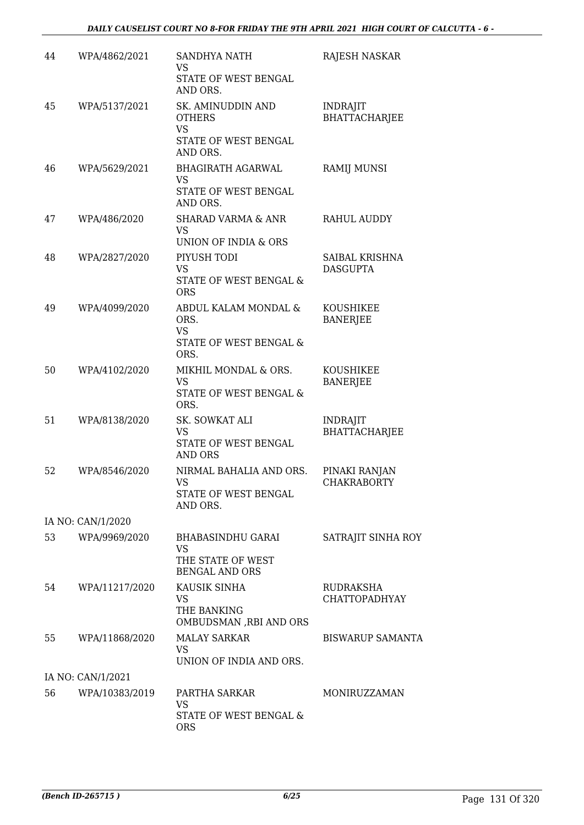| 44 | WPA/4862/2021     | <b>SANDHYA NATH</b><br>VS<br>STATE OF WEST BENGAL<br>AND ORS.                     | RAJESH NASKAR                           |
|----|-------------------|-----------------------------------------------------------------------------------|-----------------------------------------|
| 45 | WPA/5137/2021     | SK. AMINUDDIN AND<br><b>OTHERS</b><br><b>VS</b>                                   | <b>INDRAJIT</b><br><b>BHATTACHARJEE</b> |
|    |                   | STATE OF WEST BENGAL<br>AND ORS.                                                  |                                         |
| 46 | WPA/5629/2021     | <b>BHAGIRATH AGARWAL</b><br><b>VS</b><br>STATE OF WEST BENGAL<br>AND ORS.         | RAMIJ MUNSI                             |
| 47 | WPA/486/2020      | <b>SHARAD VARMA &amp; ANR</b><br>VS                                               | RAHUL AUDDY                             |
| 48 | WPA/2827/2020     | UNION OF INDIA & ORS<br>PIYUSH TODI<br>VS<br>STATE OF WEST BENGAL &<br><b>ORS</b> | SAIBAL KRISHNA<br><b>DASGUPTA</b>       |
| 49 | WPA/4099/2020     | ABDUL KALAM MONDAL &<br>ORS.<br><b>VS</b><br>STATE OF WEST BENGAL &               | KOUSHIKEE<br><b>BANERJEE</b>            |
| 50 | WPA/4102/2020     | ORS.<br>MIKHIL MONDAL & ORS.<br><b>VS</b><br>STATE OF WEST BENGAL &<br>ORS.       | KOUSHIKEE<br><b>BANERJEE</b>            |
| 51 | WPA/8138/2020     | SK. SOWKAT ALI<br><b>VS</b><br>STATE OF WEST BENGAL<br><b>AND ORS</b>             | <b>INDRAJIT</b><br><b>BHATTACHARJEE</b> |
| 52 | WPA/8546/2020     | NIRMAL BAHALIA AND ORS.<br>VS<br>STATE OF WEST BENGAL<br>AND ORS.                 | PINAKI RANJAN<br><b>CHAKRABORTY</b>     |
|    | IA NO: CAN/1/2020 |                                                                                   |                                         |
| 53 | WPA/9969/2020     | BHABASINDHU GARAI<br><b>VS</b><br>THE STATE OF WEST<br><b>BENGAL AND ORS</b>      | SATRAJIT SINHA ROY                      |
| 54 | WPA/11217/2020    | KAUSIK SINHA<br>VS<br>THE BANKING<br>OMBUDSMAN ,RBI AND ORS                       | RUDRAKSHA<br><b>CHATTOPADHYAY</b>       |
| 55 | WPA/11868/2020    | <b>MALAY SARKAR</b><br>VS<br>UNION OF INDIA AND ORS.                              | <b>BISWARUP SAMANTA</b>                 |
|    | IA NO: CAN/1/2021 |                                                                                   |                                         |
| 56 | WPA/10383/2019    | PARTHA SARKAR<br><b>VS</b><br>STATE OF WEST BENGAL &                              | MONIRUZZAMAN                            |
|    |                   | <b>ORS</b>                                                                        |                                         |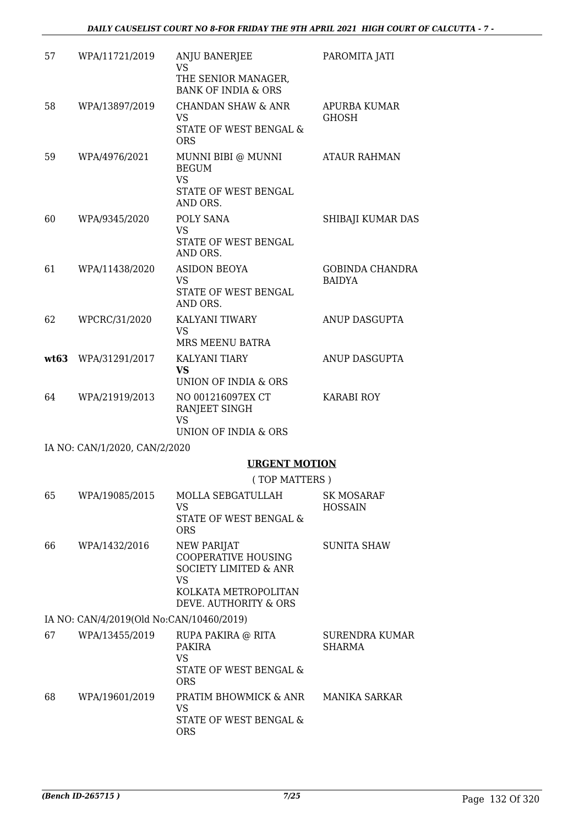| 57   | WPA/11721/2019                           | <b>ANJU BANERJEE</b><br><b>VS</b>                                                          | PAROMITA JATI                           |
|------|------------------------------------------|--------------------------------------------------------------------------------------------|-----------------------------------------|
|      |                                          | THE SENIOR MANAGER,<br><b>BANK OF INDIA &amp; ORS</b>                                      |                                         |
| 58   | WPA/13897/2019                           | CHANDAN SHAW & ANR<br><b>VS</b>                                                            | APURBA KUMAR<br><b>GHOSH</b>            |
|      |                                          | STATE OF WEST BENGAL &<br><b>ORS</b>                                                       |                                         |
| 59   | WPA/4976/2021                            | MUNNI BIBI @ MUNNI<br><b>BEGUM</b><br><b>VS</b>                                            | <b>ATAUR RAHMAN</b>                     |
|      |                                          | STATE OF WEST BENGAL<br>AND ORS.                                                           |                                         |
| 60   | WPA/9345/2020                            | POLY SANA<br><b>VS</b><br>STATE OF WEST BENGAL                                             | SHIBAJI KUMAR DAS                       |
|      |                                          | AND ORS.                                                                                   |                                         |
| 61   | WPA/11438/2020                           | <b>ASIDON BEOYA</b><br><b>VS</b><br>STATE OF WEST BENGAL<br>AND ORS.                       | <b>GOBINDA CHANDRA</b><br><b>BAIDYA</b> |
| 62   | WPCRC/31/2020                            | KALYANI TIWARY                                                                             | ANUP DASGUPTA                           |
|      |                                          | <b>VS</b><br>MRS MEENU BATRA                                                               |                                         |
| wt63 | WPA/31291/2017                           | <b>KALYANI TIARY</b><br><b>VS</b>                                                          | ANUP DASGUPTA                           |
|      |                                          | UNION OF INDIA & ORS                                                                       |                                         |
| 64   | WPA/21919/2013                           | NO 001216097EX CT<br>RANJEET SINGH<br><b>VS</b>                                            | <b>KARABI ROY</b>                       |
|      |                                          | UNION OF INDIA & ORS                                                                       |                                         |
|      | IA NO: CAN/1/2020, CAN/2/2020            | <b>URGENT MOTION</b>                                                                       |                                         |
|      |                                          | (TOP MATTERS)                                                                              |                                         |
| 65   | WPA/19085/2015                           | MOLLA SEBGATULLAH                                                                          | SK MOSARAF                              |
|      |                                          | VS.<br>STATE OF WEST BENGAL &<br><b>ORS</b>                                                | <b>HOSSAIN</b>                          |
| 66   | WPA/1432/2016                            | NEW PARIJAT<br><b>COOPERATIVE HOUSING</b><br><b>SOCIETY LIMITED &amp; ANR</b><br><b>VS</b> | SUNITA SHAW                             |
|      |                                          | KOLKATA METROPOLITAN<br>DEVE. AUTHORITY & ORS                                              |                                         |
|      | IA NO: CAN/4/2019(Old No:CAN/10460/2019) |                                                                                            |                                         |
| 67   | WPA/13455/2019                           | RUPA PAKIRA @ RITA<br>PAKIRA<br><b>VS</b>                                                  | SURENDRA KUMAR<br><b>SHARMA</b>         |
|      |                                          | STATE OF WEST BENGAL &                                                                     |                                         |

ORS 68 WPA/19601/2019 PRATIM BHOWMICK & ANR VS STATE OF WEST BENGAL & ORS MANIKA SARKAR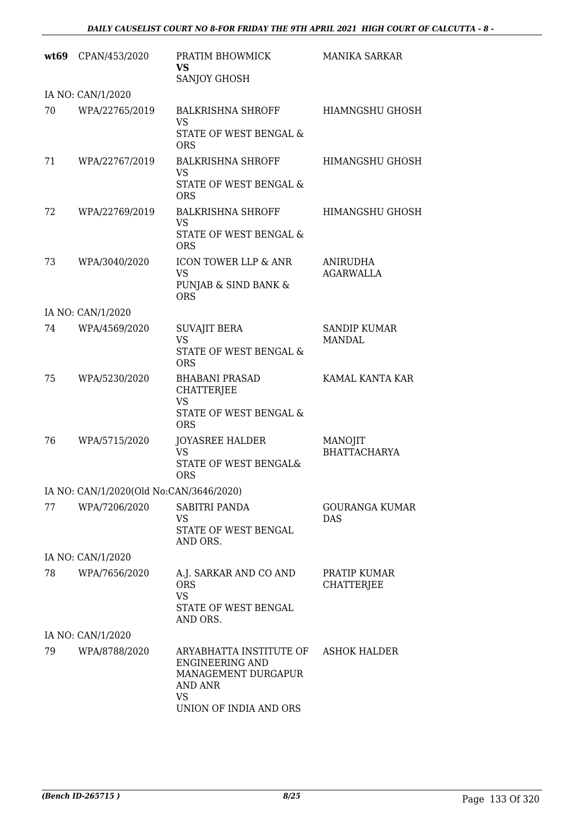|    | wt69 CPAN/453/2020                      | PRATIM BHOWMICK<br><b>VS</b><br>SANJOY GHOSH                                                                               | <b>MANIKA SARKAR</b>                 |
|----|-----------------------------------------|----------------------------------------------------------------------------------------------------------------------------|--------------------------------------|
|    | IA NO: CAN/1/2020                       |                                                                                                                            |                                      |
| 70 | WPA/22765/2019                          | BALKRISHNA SHROFF<br>VS<br>STATE OF WEST BENGAL &<br><b>ORS</b>                                                            | HIAMNGSHU GHOSH                      |
| 71 | WPA/22767/2019                          | <b>BALKRISHNA SHROFF</b><br>VS<br>STATE OF WEST BENGAL &<br><b>ORS</b>                                                     | HIMANGSHU GHOSH                      |
| 72 | WPA/22769/2019                          | <b>BALKRISHNA SHROFF</b><br><b>VS</b><br>STATE OF WEST BENGAL &<br><b>ORS</b>                                              | HIMANGSHU GHOSH                      |
| 73 | WPA/3040/2020                           | ICON TOWER LLP & ANR<br><b>VS</b><br>PUNJAB & SIND BANK &<br><b>ORS</b>                                                    | <b>ANIRUDHA</b><br><b>AGARWALLA</b>  |
|    | IA NO: CAN/1/2020                       |                                                                                                                            |                                      |
| 74 | WPA/4569/2020                           | <b>SUVAJIT BERA</b><br><b>VS</b><br>STATE OF WEST BENGAL &<br><b>ORS</b>                                                   | <b>SANDIP KUMAR</b><br><b>MANDAL</b> |
| 75 | WPA/5230/2020                           | <b>BHABANI PRASAD</b><br>CHATTERJEE<br>VS<br>STATE OF WEST BENGAL &<br><b>ORS</b>                                          | KAMAL KANTA KAR                      |
| 76 | WPA/5715/2020                           | <b>JOYASREE HALDER</b><br><b>VS</b><br><b>STATE OF WEST BENGAL&amp;</b><br><b>ORS</b>                                      | MANOJIT<br><b>BHATTACHARYA</b>       |
|    | IA NO: CAN/1/2020(Old No:CAN/3646/2020) |                                                                                                                            |                                      |
| 77 | WPA/7206/2020                           | SABITRI PANDA<br>VS<br>STATE OF WEST BENGAL<br>AND ORS.                                                                    | <b>GOURANGA KUMAR</b><br>DAS         |
|    | IA NO: CAN/1/2020                       |                                                                                                                            |                                      |
| 78 | WPA/7656/2020                           | A.J. SARKAR AND CO AND<br><b>ORS</b><br><b>VS</b><br>STATE OF WEST BENGAL<br>AND ORS.                                      | PRATIP KUMAR<br>CHATTERJEE           |
|    | IA NO: CAN/1/2020                       |                                                                                                                            |                                      |
| 79 | WPA/8788/2020                           | ARYABHATTA INSTITUTE OF<br><b>ENGINEERING AND</b><br>MANAGEMENT DURGAPUR<br><b>AND ANR</b><br>VS<br>UNION OF INDIA AND ORS | <b>ASHOK HALDER</b>                  |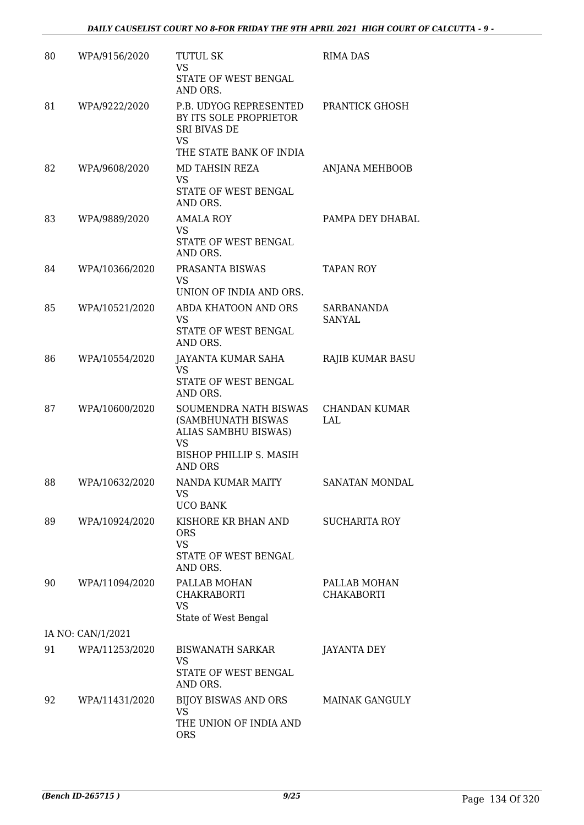| 80 | WPA/9156/2020     | <b>TUTUL SK</b><br><b>VS</b><br>STATE OF WEST BENGAL                                                                   | <b>RIMA DAS</b>                   |
|----|-------------------|------------------------------------------------------------------------------------------------------------------------|-----------------------------------|
| 81 | WPA/9222/2020     | AND ORS.<br>P.B. UDYOG REPRESENTED<br>BY ITS SOLE PROPRIETOR<br><b>SRI BIVAS DE</b><br>VS<br>THE STATE BANK OF INDIA   | PRANTICK GHOSH                    |
| 82 | WPA/9608/2020     | MD TAHSIN REZA<br>VS<br>STATE OF WEST BENGAL<br>AND ORS.                                                               | ANJANA MEHBOOB                    |
| 83 | WPA/9889/2020     | AMALA ROY<br>VS<br>STATE OF WEST BENGAL<br>AND ORS.                                                                    | PAMPA DEY DHABAL                  |
| 84 | WPA/10366/2020    | PRASANTA BISWAS<br>VS<br>UNION OF INDIA AND ORS.                                                                       | <b>TAPAN ROY</b>                  |
| 85 | WPA/10521/2020    | ABDA KHATOON AND ORS<br><b>VS</b><br>STATE OF WEST BENGAL<br>AND ORS.                                                  | SARBANANDA<br>SANYAL              |
| 86 | WPA/10554/2020    | JAYANTA KUMAR SAHA<br>VS<br>STATE OF WEST BENGAL<br>AND ORS.                                                           | RAJIB KUMAR BASU                  |
| 87 | WPA/10600/2020    | SOUMENDRA NATH BISWAS<br>(SAMBHUNATH BISWAS<br>ALIAS SAMBHU BISWAS)<br>VS<br>BISHOP PHILLIP S. MASIH<br><b>AND ORS</b> | CHANDAN KUMAR<br>LAL              |
| 88 | WPA/10632/2020    | NANDA KUMAR MAITY<br>VS<br><b>UCO BANK</b>                                                                             | SANATAN MONDAL                    |
| 89 | WPA/10924/2020    | KISHORE KR BHAN AND<br><b>ORS</b><br><b>VS</b><br>STATE OF WEST BENGAL<br>AND ORS.                                     | <b>SUCHARITA ROY</b>              |
| 90 | WPA/11094/2020    | PALLAB MOHAN<br>CHAKRABORTI<br><b>VS</b><br>State of West Bengal                                                       | PALLAB MOHAN<br><b>CHAKABORTI</b> |
|    | IA NO: CAN/1/2021 |                                                                                                                        |                                   |
| 91 | WPA/11253/2020    | BISWANATH SARKAR<br>VS<br>STATE OF WEST BENGAL                                                                         | JAYANTA DEY                       |
| 92 | WPA/11431/2020    | AND ORS.<br>BIJOY BISWAS AND ORS<br>VS<br>THE UNION OF INDIA AND<br><b>ORS</b>                                         | <b>MAINAK GANGULY</b>             |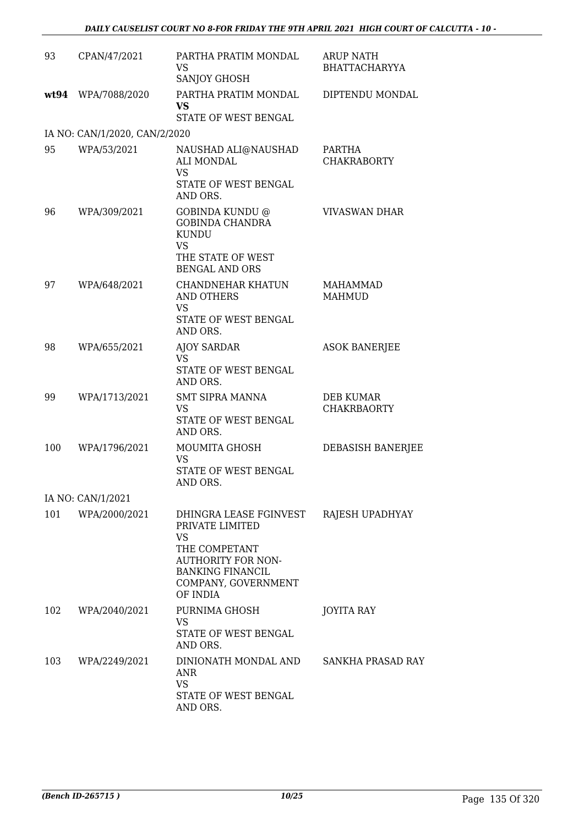| 93  | CPAN/47/2021                  | PARTHA PRATIM MONDAL<br>VS<br><b>SANJOY GHOSH</b>                                                                                                                  | ARUP NATH<br><b>BHATTACHARYYA</b> |
|-----|-------------------------------|--------------------------------------------------------------------------------------------------------------------------------------------------------------------|-----------------------------------|
|     | wt94 WPA/7088/2020            | PARTHA PRATIM MONDAL<br><b>VS</b><br>STATE OF WEST BENGAL                                                                                                          | DIPTENDU MONDAL                   |
|     | IA NO: CAN/1/2020, CAN/2/2020 |                                                                                                                                                                    |                                   |
| 95  | WPA/53/2021                   | NAUSHAD ALI@NAUSHAD<br>ALI MONDAL<br><b>VS</b><br>STATE OF WEST BENGAL<br>AND ORS.                                                                                 | PARTHA<br><b>CHAKRABORTY</b>      |
| 96  | WPA/309/2021                  | GOBINDA KUNDU @<br><b>GOBINDA CHANDRA</b><br><b>KUNDU</b><br><b>VS</b><br>THE STATE OF WEST<br><b>BENGAL AND ORS</b>                                               | <b>VIVASWAN DHAR</b>              |
| 97  | WPA/648/2021                  | <b>CHANDNEHAR KHATUN</b><br><b>AND OTHERS</b><br><b>VS</b><br>STATE OF WEST BENGAL<br>AND ORS.                                                                     | <b>MAHAMMAD</b><br><b>MAHMUD</b>  |
| 98  | WPA/655/2021                  | <b>AJOY SARDAR</b><br>VS<br>STATE OF WEST BENGAL<br>AND ORS.                                                                                                       | <b>ASOK BANERJEE</b>              |
| 99  | WPA/1713/2021                 | <b>SMT SIPRA MANNA</b><br>VS<br>STATE OF WEST BENGAL<br>AND ORS.                                                                                                   | DEB KUMAR<br><b>CHAKRBAORTY</b>   |
| 100 | WPA/1796/2021                 | MOUMITA GHOSH<br><b>VS</b><br>STATE OF WEST BENGAL<br>AND ORS.                                                                                                     | DEBASISH BANERJEE                 |
|     | IA NO: CAN/1/2021             |                                                                                                                                                                    |                                   |
| 101 | WPA/2000/2021                 | DHINGRA LEASE FGINVEST<br>PRIVATE LIMITED<br><b>VS</b><br>THE COMPETANT<br><b>AUTHORITY FOR NON-</b><br><b>BANKING FINANCIL</b><br>COMPANY, GOVERNMENT<br>OF INDIA | RAJESH UPADHYAY                   |
| 102 | WPA/2040/2021                 | PURNIMA GHOSH<br>VS<br>STATE OF WEST BENGAL<br>AND ORS.                                                                                                            | JOYITA RAY                        |
| 103 | WPA/2249/2021                 | DINIONATH MONDAL AND<br>ANR<br><b>VS</b><br>STATE OF WEST BENGAL<br>AND ORS.                                                                                       | SANKHA PRASAD RAY                 |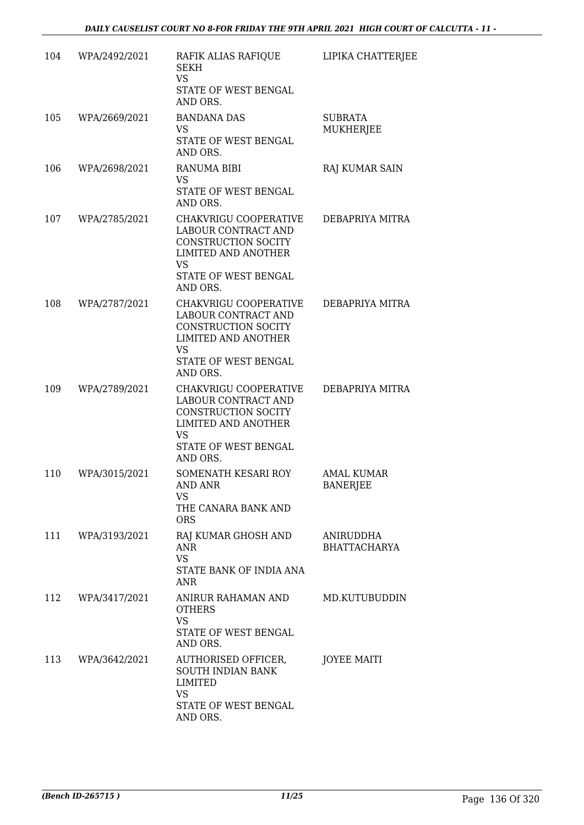| 104 | WPA/2492/2021     | RAFIK ALIAS RAFIQUE<br><b>SEKH</b><br><b>VS</b><br>STATE OF WEST BENGAL<br>AND ORS.                                                                | LIPIKA CHATTERJEE                    |
|-----|-------------------|----------------------------------------------------------------------------------------------------------------------------------------------------|--------------------------------------|
| 105 | WPA/2669/2021     | <b>BANDANA DAS</b><br>VS<br>STATE OF WEST BENGAL<br>AND ORS.                                                                                       | <b>SUBRATA</b><br><b>MUKHERJEE</b>   |
| 106 | WPA/2698/2021     | <b>RANUMA BIBI</b><br><b>VS</b><br>STATE OF WEST BENGAL<br>AND ORS.                                                                                | RAJ KUMAR SAIN                       |
| 107 | WPA/2785/2021     | CHAKVRIGU COOPERATIVE<br>LABOUR CONTRACT AND<br><b>CONSTRUCTION SOCITY</b><br>LIMITED AND ANOTHER<br><b>VS</b><br>STATE OF WEST BENGAL<br>AND ORS. | DEBAPRIYA MITRA                      |
| 108 | WPA/2787/2021     | CHAKVRIGU COOPERATIVE<br>LABOUR CONTRACT AND<br>CONSTRUCTION SOCITY<br><b>LIMITED AND ANOTHER</b><br>VS<br>STATE OF WEST BENGAL<br>AND ORS.        | DEBAPRIYA MITRA                      |
| 109 | WPA/2789/2021     | CHAKVRIGU COOPERATIVE<br>LABOUR CONTRACT AND<br>CONSTRUCTION SOCITY<br><b>LIMITED AND ANOTHER</b><br>VS<br>STATE OF WEST BENGAL<br>AND ORS.        | DEBAPRIYA MITRA                      |
| 110 | WPA/3015/2021     | SOMENATH KESARI ROY<br>AND ANR<br>VS.<br>THE CANARA BANK AND<br><b>ORS</b>                                                                         | <b>AMAL KUMAR</b><br><b>BANERJEE</b> |
|     | 111 WPA/3193/2021 | RAJ KUMAR GHOSH AND<br><b>ANR</b><br><b>VS</b><br>STATE BANK OF INDIA ANA<br><b>ANR</b>                                                            | ANIRUDDHA<br><b>BHATTACHARYA</b>     |
| 112 | WPA/3417/2021     | ANIRUR RAHAMAN AND<br><b>OTHERS</b><br><b>VS</b><br>STATE OF WEST BENGAL<br>AND ORS.                                                               | MD.KUTUBUDDIN                        |
|     | 113 WPA/3642/2021 | AUTHORISED OFFICER,<br>SOUTH INDIAN BANK<br><b>LIMITED</b><br><b>VS</b><br>STATE OF WEST BENGAL<br>AND ORS.                                        | <b>JOYEE MAITI</b>                   |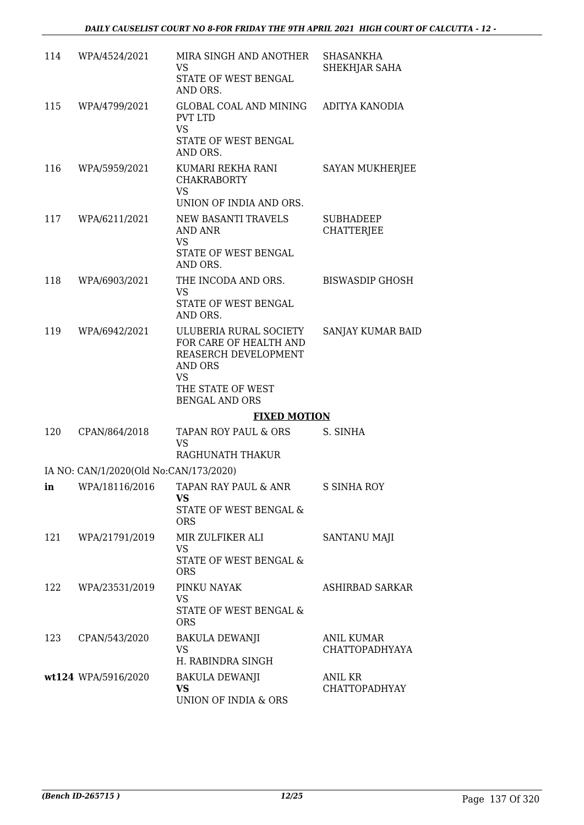| 114 | WPA/4524/2021                          | MIRA SINGH AND ANOTHER<br>VS<br>STATE OF WEST BENGAL<br>AND ORS.                                                                               | <b>SHASANKHA</b><br>SHEKHJAR SAHA     |
|-----|----------------------------------------|------------------------------------------------------------------------------------------------------------------------------------------------|---------------------------------------|
| 115 | WPA/4799/2021                          | GLOBAL COAL AND MINING<br><b>PVT LTD</b><br><b>VS</b><br>STATE OF WEST BENGAL<br>AND ORS.                                                      | ADITYA KANODIA                        |
| 116 | WPA/5959/2021                          | KUMARI REKHA RANI<br><b>CHAKRABORTY</b><br><b>VS</b><br>UNION OF INDIA AND ORS.                                                                | <b>SAYAN MUKHERJEE</b>                |
| 117 | WPA/6211/2021                          | NEW BASANTI TRAVELS<br>AND ANR<br><b>VS</b><br>STATE OF WEST BENGAL<br>AND ORS.                                                                | <b>SUBHADEEP</b><br><b>CHATTERJEE</b> |
| 118 | WPA/6903/2021                          | THE INCODA AND ORS.<br><b>VS</b><br>STATE OF WEST BENGAL<br>AND ORS.                                                                           | <b>BISWASDIP GHOSH</b>                |
| 119 | WPA/6942/2021                          | ULUBERIA RURAL SOCIETY<br>FOR CARE OF HEALTH AND<br>REASERCH DEVELOPMENT<br>AND ORS<br><b>VS</b><br>THE STATE OF WEST<br><b>BENGAL AND ORS</b> | SANJAY KUMAR BAID                     |
|     |                                        | <b>FIXED MOTION</b>                                                                                                                            |                                       |
| 120 | CPAN/864/2018                          | TAPAN ROY PAUL & ORS<br>VS<br>RAGHUNATH THAKUR                                                                                                 | S. SINHA                              |
|     | IA NO: CAN/1/2020(Old No:CAN/173/2020) |                                                                                                                                                |                                       |
| ın  | WPA/18116/2016                         | TAPAN RAY PAUL & ANR<br>VS.<br>STATE OF WEST BENGAL &<br><b>ORS</b>                                                                            | <b>S SINHA ROY</b>                    |
| 121 | WPA/21791/2019                         | MIR ZULFIKER ALI<br>VS<br>STATE OF WEST BENGAL &<br><b>ORS</b>                                                                                 | <b>SANTANU MAJI</b>                   |
| 122 | WPA/23531/2019                         | PINKU NAYAK<br>VS.<br>STATE OF WEST BENGAL &<br><b>ORS</b>                                                                                     | ASHIRBAD SARKAR                       |
| 123 | CPAN/543/2020                          | BAKULA DEWANJI<br>VS<br>H. RABINDRA SINGH                                                                                                      | ANIL KUMAR<br><b>CHATTOPADHYAYA</b>   |
|     | wt124 WPA/5916/2020                    | <b>BAKULA DEWANJI</b><br><b>VS</b><br>UNION OF INDIA & ORS                                                                                     | ANIL KR<br><b>CHATTOPADHYAY</b>       |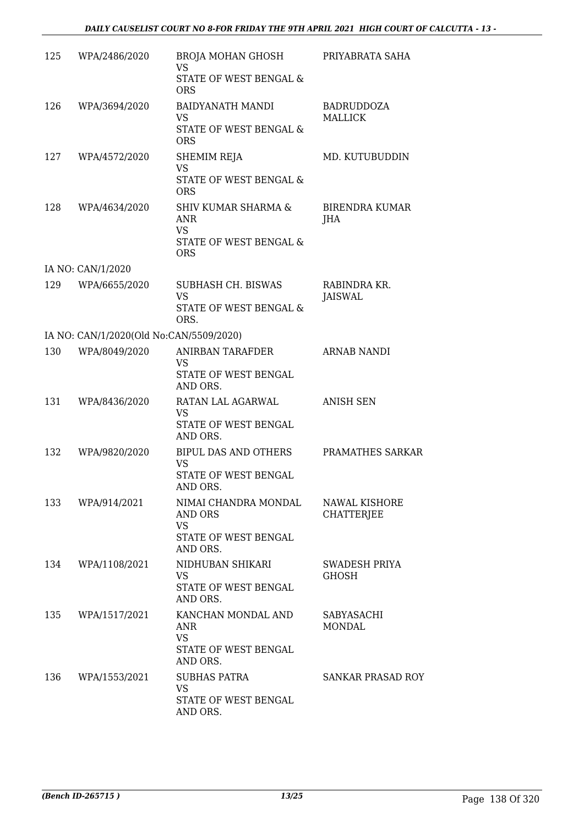| 125 | WPA/2486/2020                           | BROJA MOHAN GHOSH<br><b>VS</b><br>STATE OF WEST BENGAL &<br><b>ORS</b>                            | PRIYABRATA SAHA                     |
|-----|-----------------------------------------|---------------------------------------------------------------------------------------------------|-------------------------------------|
| 126 | WPA/3694/2020                           | <b>BAIDYANATH MANDI</b><br>VS<br>STATE OF WEST BENGAL &<br><b>ORS</b>                             | <b>BADRUDDOZA</b><br><b>MALLICK</b> |
| 127 | WPA/4572/2020                           | SHEMIM REJA<br><b>VS</b><br>STATE OF WEST BENGAL &<br><b>ORS</b>                                  | MD. KUTUBUDDIN                      |
| 128 | WPA/4634/2020                           | <b>SHIV KUMAR SHARMA &amp;</b><br><b>ANR</b><br><b>VS</b><br>STATE OF WEST BENGAL &<br><b>ORS</b> | BIRENDRA KUMAR<br>JHA               |
|     | IA NO: CAN/1/2020                       |                                                                                                   |                                     |
| 129 | WPA/6655/2020                           | SUBHASH CH. BISWAS<br><b>VS</b><br>STATE OF WEST BENGAL &                                         | RABINDRA KR.<br>JAISWAL             |
|     |                                         | ORS.                                                                                              |                                     |
|     | IA NO: CAN/1/2020(Old No:CAN/5509/2020) |                                                                                                   |                                     |
| 130 | WPA/8049/2020                           | ANIRBAN TARAFDER<br>VS<br>STATE OF WEST BENGAL<br>AND ORS.                                        | <b>ARNAB NANDI</b>                  |
| 131 | WPA/8436/2020                           | RATAN LAL AGARWAL<br><b>VS</b><br>STATE OF WEST BENGAL<br>AND ORS.                                | <b>ANISH SEN</b>                    |
| 132 | WPA/9820/2020                           | BIPUL DAS AND OTHERS<br>VS<br>STATE OF WEST BENGAL<br>AND ORS.                                    | PRAMATHES SARKAR                    |
| 133 | WPA/914/2021                            | NIMAI CHANDRA MONDAL<br>AND ORS<br><b>VS</b><br>STATE OF WEST BENGAL<br>AND ORS.                  | NAWAL KISHORE<br><b>CHATTERJEE</b>  |
| 134 | WPA/1108/2021                           | NIDHUBAN SHIKARI<br>VS<br>STATE OF WEST BENGAL<br>AND ORS.                                        | SWADESH PRIYA<br><b>GHOSH</b>       |
| 135 | WPA/1517/2021                           | KANCHAN MONDAL AND<br>ANR<br><b>VS</b><br>STATE OF WEST BENGAL<br>AND ORS.                        | SABYASACHI<br>MONDAL                |
| 136 | WPA/1553/2021                           | <b>SUBHAS PATRA</b><br><b>VS</b><br>STATE OF WEST BENGAL<br>AND ORS.                              | <b>SANKAR PRASAD ROY</b>            |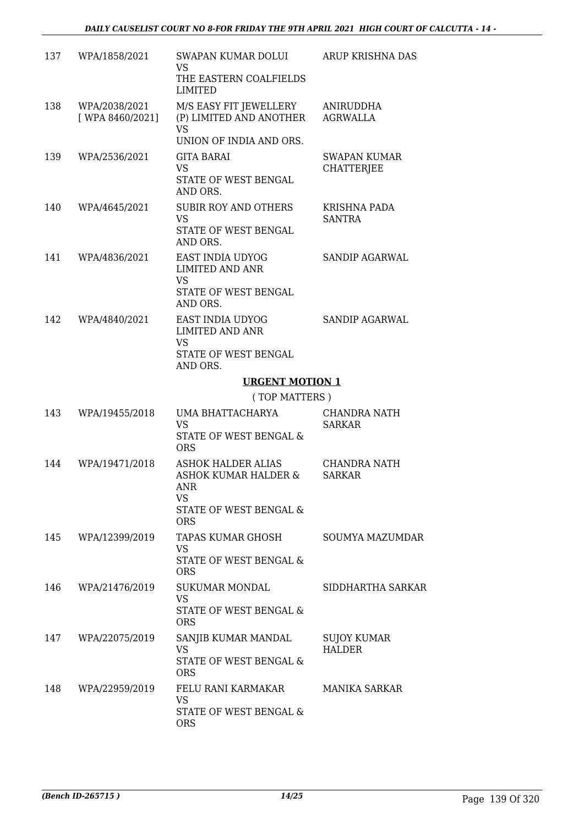| 137 | WPA/1858/2021                     | SWAPAN KUMAR DOLUI<br>VS<br>THE EASTERN COALFIELDS<br>LIMITED                                                 | ARUP KRISHNA DAS                         |
|-----|-----------------------------------|---------------------------------------------------------------------------------------------------------------|------------------------------------------|
| 138 | WPA/2038/2021<br>[ WPA 8460/2021] | M/S EASY FIT JEWELLERY<br>(P) LIMITED AND ANOTHER<br><b>VS</b><br>UNION OF INDIA AND ORS.                     | ANIRUDDHA<br><b>AGRWALLA</b>             |
| 139 | WPA/2536/2021                     | <b>GITA BARAI</b><br>VS<br>STATE OF WEST BENGAL<br>AND ORS.                                                   | <b>SWAPAN KUMAR</b><br><b>CHATTERJEE</b> |
| 140 | WPA/4645/2021                     | <b>SUBIR ROY AND OTHERS</b><br><b>VS</b><br>STATE OF WEST BENGAL<br>AND ORS.                                  | <b>KRISHNA PADA</b><br><b>SANTRA</b>     |
| 141 | WPA/4836/2021                     | <b>EAST INDIA UDYOG</b><br><b>LIMITED AND ANR</b><br><b>VS</b><br>STATE OF WEST BENGAL<br>AND ORS.            | SANDIP AGARWAL                           |
| 142 | WPA/4840/2021                     | EAST INDIA UDYOG<br><b>LIMITED AND ANR</b><br><b>VS</b><br>STATE OF WEST BENGAL<br>AND ORS.                   | <b>SANDIP AGARWAL</b>                    |
|     |                                   | <b>URGENT MOTION 1</b>                                                                                        |                                          |
|     |                                   | (TOP MATTERS)                                                                                                 |                                          |
| 143 | WPA/19455/2018                    | UMA BHATTACHARYA<br><b>VS</b><br>STATE OF WEST BENGAL &<br><b>ORS</b>                                         | CHANDRA NATH<br><b>SARKAR</b>            |
| 144 | WPA/19471/2018                    | <b>ASHOK HALDER ALIAS</b><br>ASHOK KUMAR HALDER &<br><b>ANR</b><br>VS<br>STATE OF WEST BENGAL &<br><b>ORS</b> | CHANDRA NATH<br><b>SARKAR</b>            |
| 145 | WPA/12399/2019                    | TAPAS KUMAR GHOSH<br><b>VS</b><br>STATE OF WEST BENGAL &<br><b>ORS</b>                                        | <b>SOUMYA MAZUMDAR</b>                   |
| 146 | WPA/21476/2019                    | SUKUMAR MONDAL<br><b>VS</b><br>STATE OF WEST BENGAL &<br><b>ORS</b>                                           | SIDDHARTHA SARKAR                        |
| 147 | WPA/22075/2019                    | SANJIB KUMAR MANDAL<br>VS<br>STATE OF WEST BENGAL &<br><b>ORS</b>                                             | <b>SUJOY KUMAR</b><br><b>HALDER</b>      |
| 148 | WPA/22959/2019                    | FELU RANI KARMAKAR<br>VS<br>STATE OF WEST BENGAL &<br><b>ORS</b>                                              | MANIKA SARKAR                            |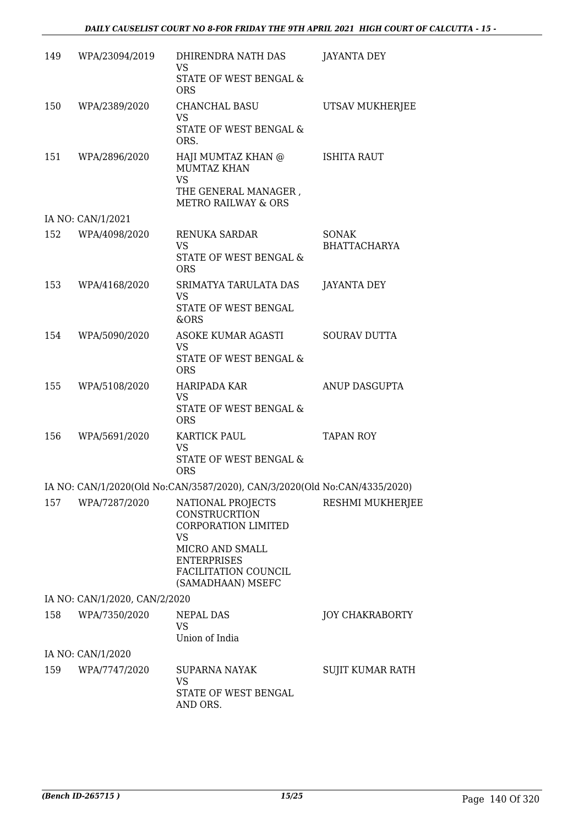| 149 | WPA/23094/2019                | DHIRENDRA NATH DAS<br><b>VS</b><br>STATE OF WEST BENGAL &<br><b>ORS</b>                                                                                             | JAYANTA DEY                         |
|-----|-------------------------------|---------------------------------------------------------------------------------------------------------------------------------------------------------------------|-------------------------------------|
| 150 | WPA/2389/2020                 | CHANCHAL BASU<br>VS.<br>STATE OF WEST BENGAL &<br>ORS.                                                                                                              | UTSAV MUKHERJEE                     |
| 151 | WPA/2896/2020                 | HAJI MUMTAZ KHAN @<br><b>MUMTAZ KHAN</b><br><b>VS</b><br>THE GENERAL MANAGER,<br><b>METRO RAILWAY &amp; ORS</b>                                                     | ISHITA RAUT                         |
|     | IA NO: CAN/1/2021             |                                                                                                                                                                     |                                     |
| 152 | WPA/4098/2020                 | RENUKA SARDAR<br>VS<br>STATE OF WEST BENGAL &<br><b>ORS</b>                                                                                                         | <b>SONAK</b><br><b>BHATTACHARYA</b> |
| 153 | WPA/4168/2020                 | SRIMATYA TARULATA DAS<br><b>VS</b><br>STATE OF WEST BENGAL<br>&ORS                                                                                                  | JAYANTA DEY                         |
| 154 | WPA/5090/2020                 | ASOKE KUMAR AGASTI<br>VS.<br>STATE OF WEST BENGAL &<br><b>ORS</b>                                                                                                   | <b>SOURAV DUTTA</b>                 |
| 155 | WPA/5108/2020                 | HARIPADA KAR<br><b>VS</b><br>STATE OF WEST BENGAL &<br><b>ORS</b>                                                                                                   | ANUP DASGUPTA                       |
| 156 | WPA/5691/2020                 | KARTICK PAUL<br><b>VS</b><br>STATE OF WEST BENGAL &<br><b>ORS</b>                                                                                                   | <b>TAPAN ROY</b>                    |
|     |                               | IA NO: CAN/1/2020(Old No:CAN/3587/2020), CAN/3/2020(Old No:CAN/4335/2020)                                                                                           |                                     |
| 157 | WPA/7287/2020                 | NATIONAL PROJECTS<br><b>CONSTRUCRTION</b><br>CORPORATION LIMITED<br><b>VS</b><br>MICRO AND SMALL<br><b>ENTERPRISES</b><br>FACILITATION COUNCIL<br>(SAMADHAAN) MSEFC | RESHMI MUKHERJEE                    |
|     | IA NO: CAN/1/2020, CAN/2/2020 |                                                                                                                                                                     |                                     |
| 158 | WPA/7350/2020                 | NEPAL DAS<br>VS<br>Union of India                                                                                                                                   | <b>JOY CHAKRABORTY</b>              |
|     | IA NO: CAN/1/2020             |                                                                                                                                                                     |                                     |
| 159 | WPA/7747/2020                 | <b>SUPARNA NAYAK</b><br>VS                                                                                                                                          | SUJIT KUMAR RATH                    |
|     |                               | STATE OF WEST BENGAL<br>AND ORS.                                                                                                                                    |                                     |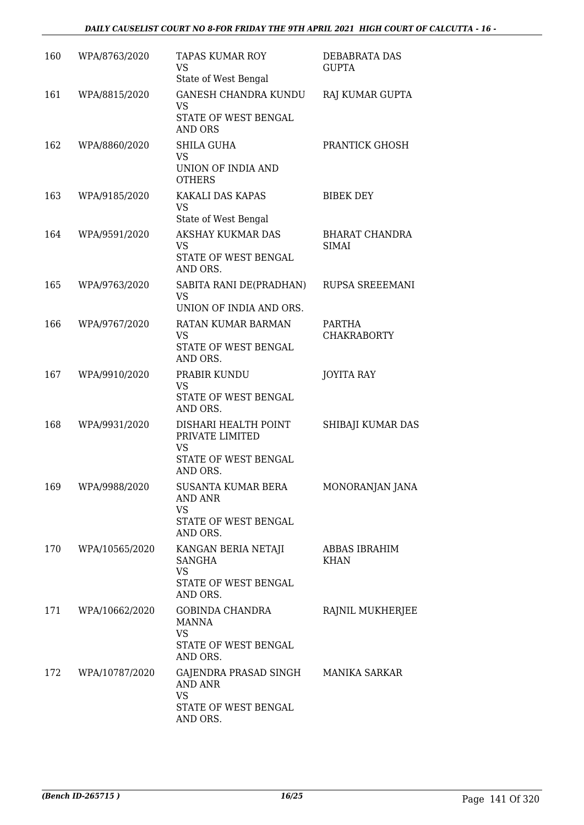| 160 | WPA/8763/2020      | <b>TAPAS KUMAR ROY</b><br>VS<br>State of West Bengal                                                   | DEBABRATA DAS<br><b>GUPTA</b>         |
|-----|--------------------|--------------------------------------------------------------------------------------------------------|---------------------------------------|
| 161 | WPA/8815/2020      | <b>GANESH CHANDRA KUNDU</b><br><b>VS</b><br>STATE OF WEST BENGAL<br><b>AND ORS</b>                     | RAJ KUMAR GUPTA                       |
| 162 | WPA/8860/2020      | <b>SHILA GUHA</b><br>VS<br>UNION OF INDIA AND<br><b>OTHERS</b>                                         | PRANTICK GHOSH                        |
| 163 | WPA/9185/2020      | KAKALI DAS KAPAS<br><b>VS</b><br>State of West Bengal                                                  | <b>BIBEK DEY</b>                      |
| 164 | WPA/9591/2020      | AKSHAY KUKMAR DAS<br>VS<br>STATE OF WEST BENGAL<br>AND ORS.                                            | <b>BHARAT CHANDRA</b><br><b>SIMAI</b> |
| 165 | WPA/9763/2020      | SABITA RANI DE(PRADHAN)<br>VS<br>UNION OF INDIA AND ORS.                                               | RUPSA SREEEMANI                       |
| 166 | WPA/9767/2020      | RATAN KUMAR BARMAN<br><b>VS</b><br>STATE OF WEST BENGAL<br>AND ORS.                                    | PARTHA<br><b>CHAKRABORTY</b>          |
| 167 | WPA/9910/2020      | PRABIR KUNDU<br><b>VS</b><br>STATE OF WEST BENGAL<br>AND ORS.                                          | <b>JOYITA RAY</b>                     |
| 168 | WPA/9931/2020      | DISHARI HEALTH POINT<br>PRIVATE LIMITED<br><b>VS</b><br>STATE OF WEST BENGAL<br>AND ORS.               | SHIBAJI KUMAR DAS                     |
| 169 | WPA/9988/2020      | SUSANTA KUMAR BERA<br>AND ANR<br>VS<br>STATE OF WEST BENGAL<br>AND ORS.                                | MONORANJAN JANA                       |
| 170 | WPA/10565/2020     | KANGAN BERIA NETAJI<br><b>SANGHA</b><br><b>VS</b><br>STATE OF WEST BENGAL<br>AND ORS.                  | ABBAS IBRAHIM<br><b>KHAN</b>          |
| 171 | WPA/10662/2020     | GOBINDA CHANDRA<br><b>MANNA</b><br><b>VS</b><br>STATE OF WEST BENGAL<br>AND ORS.                       | RAJNIL MUKHERJEE                      |
|     | 172 WPA/10787/2020 | GAJENDRA PRASAD SINGH MANIKA SARKAR<br><b>AND ANR</b><br><b>VS</b><br>STATE OF WEST BENGAL<br>AND ORS. |                                       |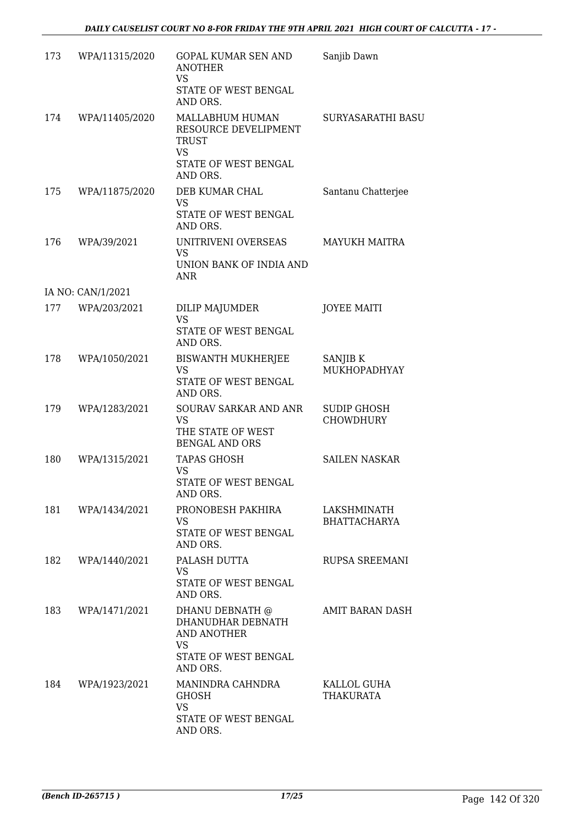| 173 | WPA/11315/2020    | GOPAL KUMAR SEN AND<br><b>ANOTHER</b><br><b>VS</b><br>STATE OF WEST BENGAL<br>AND ORS.                      | Sanjib Dawn                            |
|-----|-------------------|-------------------------------------------------------------------------------------------------------------|----------------------------------------|
| 174 | WPA/11405/2020    | MALLABHUM HUMAN<br>RESOURCE DEVELIPMENT<br>TRUST<br><b>VS</b><br>STATE OF WEST BENGAL<br>AND ORS.           | <b>SURYASARATHI BASU</b>               |
| 175 | WPA/11875/2020    | DEB KUMAR CHAL<br><b>VS</b><br>STATE OF WEST BENGAL<br>AND ORS.                                             | Santanu Chatterjee                     |
| 176 | WPA/39/2021       | UNITRIVENI OVERSEAS<br>VS<br>UNION BANK OF INDIA AND<br>ANR                                                 | <b>MAYUKH MAITRA</b>                   |
|     | IA NO: CAN/1/2021 |                                                                                                             |                                        |
| 177 | WPA/203/2021      | DILIP MAJUMDER<br><b>VS</b><br>STATE OF WEST BENGAL<br>AND ORS.                                             | <b>JOYEE MAITI</b>                     |
| 178 | WPA/1050/2021     | <b>BISWANTH MUKHERJEE</b><br>VS<br>STATE OF WEST BENGAL<br>AND ORS.                                         | SANJIB K<br>MUKHOPADHYAY               |
| 179 | WPA/1283/2021     | SOURAV SARKAR AND ANR<br><b>VS</b><br>THE STATE OF WEST<br><b>BENGAL AND ORS</b>                            | <b>SUDIP GHOSH</b><br><b>CHOWDHURY</b> |
| 180 | WPA/1315/2021     | <b>TAPAS GHOSH</b><br><b>VS</b><br>STATE OF WEST BENGAL<br>AND ORS.                                         | <b>SAILEN NASKAR</b>                   |
| 181 | WPA/1434/2021     | PRONOBESH PAKHIRA<br>VS.<br>STATE OF WEST BENGAL<br>AND ORS.                                                | LAKSHMINATH<br><b>BHATTACHARYA</b>     |
| 182 | WPA/1440/2021     | PALASH DUTTA<br><b>VS</b><br>STATE OF WEST BENGAL<br>AND ORS.                                               | <b>RUPSA SREEMANI</b>                  |
| 183 | WPA/1471/2021     | DHANU DEBNATH @<br>DHANUDHAR DEBNATH<br><b>AND ANOTHER</b><br><b>VS</b><br>STATE OF WEST BENGAL<br>AND ORS. | AMIT BARAN DASH                        |
| 184 | WPA/1923/2021     | MANINDRA CAHNDRA<br><b>GHOSH</b><br><b>VS</b><br>STATE OF WEST BENGAL<br>AND ORS.                           | KALLOL GUHA<br>THAKURATA               |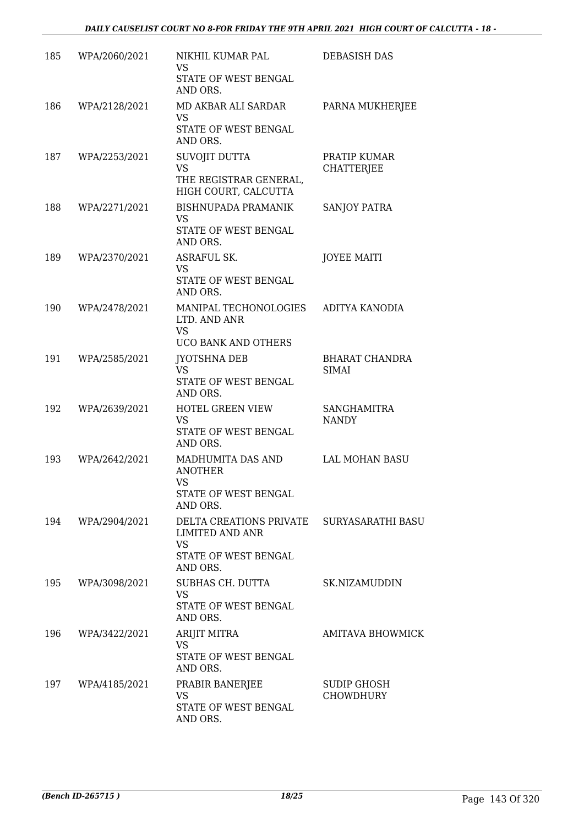| 185 | WPA/2060/2021 | NIKHIL KUMAR PAL<br>VS<br>STATE OF WEST BENGAL<br>AND ORS.                                                           | <b>DEBASISH DAS</b>                    |
|-----|---------------|----------------------------------------------------------------------------------------------------------------------|----------------------------------------|
| 186 | WPA/2128/2021 | MD AKBAR ALI SARDAR<br>VS<br>STATE OF WEST BENGAL<br>AND ORS.                                                        | PARNA MUKHERJEE                        |
| 187 | WPA/2253/2021 | SUVOJIT DUTTA<br><b>VS</b><br>THE REGISTRAR GENERAL,<br>HIGH COURT, CALCUTTA                                         | PRATIP KUMAR<br><b>CHATTERJEE</b>      |
| 188 | WPA/2271/2021 | <b>BISHNUPADA PRAMANIK</b><br><b>VS</b><br>STATE OF WEST BENGAL<br>AND ORS.                                          | SANJOY PATRA                           |
| 189 | WPA/2370/2021 | ASRAFUL SK.<br>VS<br>STATE OF WEST BENGAL<br>AND ORS.                                                                | <b>JOYEE MAITI</b>                     |
| 190 | WPA/2478/2021 | MANIPAL TECHONOLOGIES<br>LTD. AND ANR<br><b>VS</b><br>UCO BANK AND OTHERS                                            | ADITYA KANODIA                         |
| 191 | WPA/2585/2021 | JYOTSHNA DEB<br><b>VS</b><br>STATE OF WEST BENGAL<br>AND ORS.                                                        | <b>BHARAT CHANDRA</b><br><b>SIMAI</b>  |
| 192 | WPA/2639/2021 | HOTEL GREEN VIEW<br>VS<br>STATE OF WEST BENGAL<br>AND ORS.                                                           | <b>SANGHAMITRA</b><br><b>NANDY</b>     |
| 193 | WPA/2642/2021 | MADHUMITA DAS AND<br><b>ANOTHER</b><br>VS<br>STATE OF WEST BENGAL<br>AND ORS.                                        | LAL MOHAN BASU                         |
| 194 | WPA/2904/2021 | DELTA CREATIONS PRIVATE SURYASARATHI BASU<br><b>LIMITED AND ANR</b><br><b>VS</b><br>STATE OF WEST BENGAL<br>AND ORS. |                                        |
| 195 | WPA/3098/2021 | SUBHAS CH. DUTTA<br><b>VS</b><br>STATE OF WEST BENGAL<br>AND ORS.                                                    | SK.NIZAMUDDIN                          |
| 196 | WPA/3422/2021 | ARIJIT MITRA<br><b>VS</b><br>STATE OF WEST BENGAL<br>AND ORS.                                                        | <b>AMITAVA BHOWMICK</b>                |
| 197 | WPA/4185/2021 | PRABIR BANERJEE<br><b>VS</b><br>STATE OF WEST BENGAL<br>AND ORS.                                                     | <b>SUDIP GHOSH</b><br><b>CHOWDHURY</b> |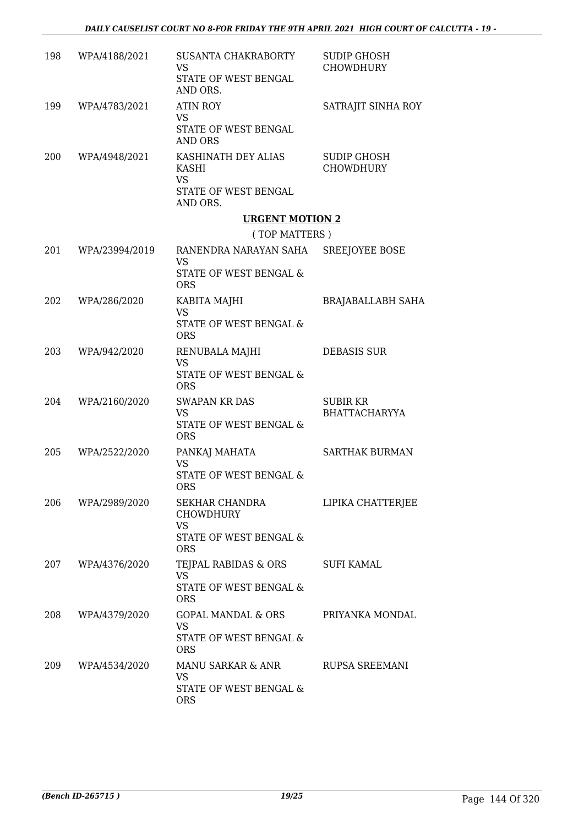| 198 | WPA/4188/2021  | SUSANTA CHAKRABORTY<br><b>VS</b><br>STATE OF WEST BENGAL<br>AND ORS.                    | <b>SUDIP GHOSH</b><br><b>CHOWDHURY</b>  |
|-----|----------------|-----------------------------------------------------------------------------------------|-----------------------------------------|
| 199 | WPA/4783/2021  | <b>ATIN ROY</b><br><b>VS</b><br>STATE OF WEST BENGAL<br>AND ORS                         | SATRAJIT SINHA ROY                      |
| 200 | WPA/4948/2021  | KASHINATH DEY ALIAS<br>KASHI<br><b>VS</b><br>STATE OF WEST BENGAL                       | <b>SUDIP GHOSH</b><br><b>CHOWDHURY</b>  |
|     |                | AND ORS.                                                                                |                                         |
|     |                | <b>URGENT MOTION 2</b>                                                                  |                                         |
| 201 | WPA/23994/2019 | (TOP MATTERS)<br>RANENDRA NARAYAN SAHA SREEJOYEE BOSE                                   |                                         |
|     |                | <b>VS</b><br>STATE OF WEST BENGAL &<br><b>ORS</b>                                       |                                         |
| 202 | WPA/286/2020   | KABITA MAJHI<br><b>VS</b>                                                               | <b>BRAJABALLABH SAHA</b>                |
|     |                | STATE OF WEST BENGAL &<br><b>ORS</b>                                                    |                                         |
| 203 | WPA/942/2020   | RENUBALA MAJHI<br><b>VS</b><br>STATE OF WEST BENGAL &<br><b>ORS</b>                     | <b>DEBASIS SUR</b>                      |
| 204 | WPA/2160/2020  | <b>SWAPAN KR DAS</b><br><b>VS</b><br>STATE OF WEST BENGAL &<br><b>ORS</b>               | <b>SUBIR KR</b><br><b>BHATTACHARYYA</b> |
| 205 | WPA/2522/2020  | PANKAJ MAHATA<br><b>VS</b><br>STATE OF WEST BENGAL &<br>ORS                             | <b>SARTHAK BURMAN</b>                   |
| 206 | WPA/2989/2020  | SEKHAR CHANDRA<br><b>CHOWDHURY</b><br><b>VS</b><br>STATE OF WEST BENGAL &<br><b>ORS</b> | LIPIKA CHATTERJEE                       |
| 207 | WPA/4376/2020  | TEJPAL RABIDAS & ORS<br><b>VS</b><br>STATE OF WEST BENGAL &<br><b>ORS</b>               | <b>SUFI KAMAL</b>                       |
| 208 | WPA/4379/2020  | <b>GOPAL MANDAL &amp; ORS</b><br>VS<br>STATE OF WEST BENGAL &<br><b>ORS</b>             | PRIYANKA MONDAL                         |
| 209 | WPA/4534/2020  | MANU SARKAR & ANR<br><b>VS</b><br>STATE OF WEST BENGAL &<br><b>ORS</b>                  | <b>RUPSA SREEMANI</b>                   |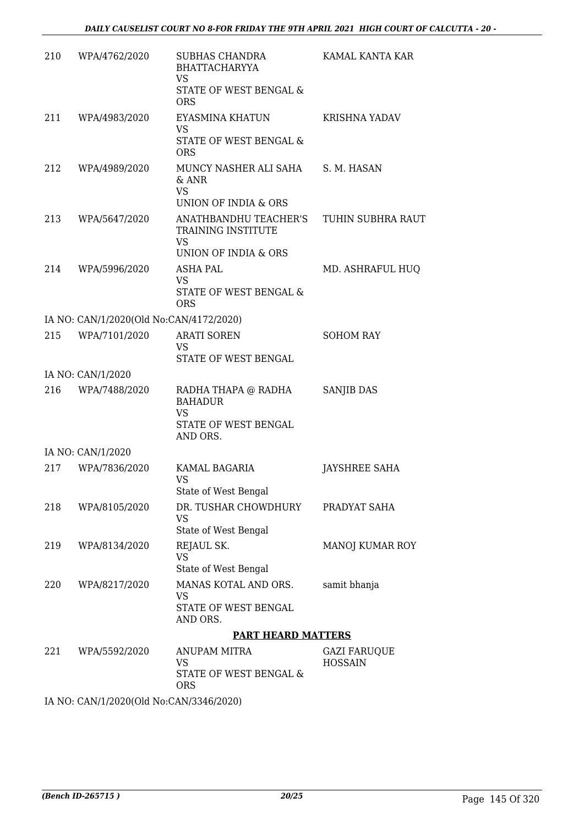| 210 | WPA/4762/2020                           | SUBHAS CHANDRA<br><b>BHATTACHARYYA</b><br>VS                               | KAMAL KANTA KAR                       |
|-----|-----------------------------------------|----------------------------------------------------------------------------|---------------------------------------|
|     |                                         | STATE OF WEST BENGAL &<br><b>ORS</b>                                       |                                       |
| 211 | WPA/4983/2020                           | EYASMINA KHATUN<br>VS<br>STATE OF WEST BENGAL &                            | KRISHNA YADAV                         |
|     |                                         | <b>ORS</b>                                                                 |                                       |
| 212 | WPA/4989/2020                           | MUNCY NASHER ALI SAHA S. M. HASAN<br>$&$ ANR<br><b>VS</b>                  |                                       |
|     |                                         | UNION OF INDIA & ORS                                                       |                                       |
| 213 | WPA/5647/2020                           | ANATHBANDHU TEACHER'S<br>TRAINING INSTITUTE<br><b>VS</b>                   | TUHIN SUBHRA RAUT                     |
|     |                                         | UNION OF INDIA & ORS                                                       |                                       |
| 214 | WPA/5996/2020                           | <b>ASHA PAL</b><br><b>VS</b>                                               | MD. ASHRAFUL HUQ                      |
|     |                                         | STATE OF WEST BENGAL &<br><b>ORS</b>                                       |                                       |
|     | IA NO: CAN/1/2020(Old No:CAN/4172/2020) |                                                                            |                                       |
| 215 | WPA/7101/2020                           | <b>ARATI SOREN</b><br>VS<br>STATE OF WEST BENGAL                           | <b>SOHOM RAY</b>                      |
|     | IA NO: CAN/1/2020                       |                                                                            |                                       |
| 216 | WPA/7488/2020                           | RADHA THAPA @ RADHA<br><b>BAHADUR</b><br><b>VS</b><br>STATE OF WEST BENGAL | SANJIB DAS                            |
|     |                                         | AND ORS.                                                                   |                                       |
|     | IA NO: CAN/1/2020                       |                                                                            |                                       |
| 217 | WPA/7836/2020                           | KAMAL BAGARIA<br><b>VS</b><br>State of West Bengal                         | JAYSHREE SAHA                         |
| 218 | WPA/8105/2020                           | DR. TUSHAR CHOWDHURY                                                       | PRADYAT SAHA                          |
|     |                                         | VS<br>State of West Bengal                                                 |                                       |
| 219 | WPA/8134/2020                           | REJAUL SK.<br><b>VS</b>                                                    | MANOJ KUMAR ROY                       |
|     |                                         | State of West Bengal                                                       |                                       |
| 220 | WPA/8217/2020                           | MANAS KOTAL AND ORS.<br>VS                                                 | samit bhanja                          |
|     |                                         | STATE OF WEST BENGAL<br>AND ORS.                                           |                                       |
|     |                                         | <b>PART HEARD MATTERS</b>                                                  |                                       |
| 221 | WPA/5592/2020                           | ANUPAM MITRA<br><b>VS</b><br>STATE OF WEST BENGAL &                        | <b>GAZI FARUQUE</b><br><b>HOSSAIN</b> |
|     |                                         | <b>ORS</b>                                                                 |                                       |

IA NO: CAN/1/2020(Old No:CAN/3346/2020)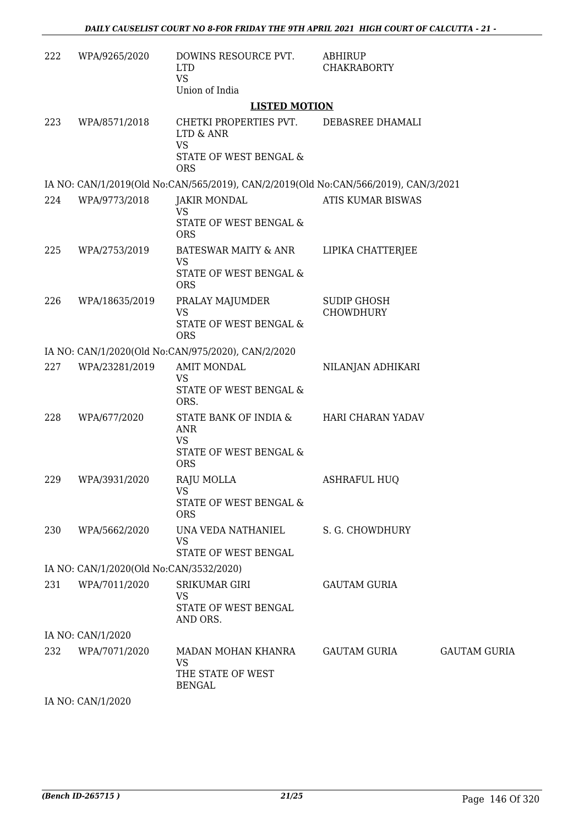| 222 | WPA/9265/2020                           | DOWINS RESOURCE PVT.<br><b>LTD</b><br><b>VS</b><br>Union of India                        | <b>ABHIRUP</b><br><b>CHAKRABORTY</b>   |                     |
|-----|-----------------------------------------|------------------------------------------------------------------------------------------|----------------------------------------|---------------------|
|     |                                         | <b>LISTED MOTION</b>                                                                     |                                        |                     |
| 223 | WPA/8571/2018                           | CHETKI PROPERTIES PVT.<br>LTD & ANR<br><b>VS</b><br>STATE OF WEST BENGAL &<br><b>ORS</b> | DEBASREE DHAMALI                       |                     |
|     |                                         | IA NO: CAN/1/2019(Old No:CAN/565/2019), CAN/2/2019(Old No:CAN/566/2019), CAN/3/2021      |                                        |                     |
| 224 | WPA/9773/2018                           | <b>JAKIR MONDAL</b><br><b>VS</b><br>STATE OF WEST BENGAL &<br><b>ORS</b>                 | ATIS KUMAR BISWAS                      |                     |
| 225 | WPA/2753/2019                           | <b>BATESWAR MAITY &amp; ANR</b><br><b>VS</b><br>STATE OF WEST BENGAL &<br><b>ORS</b>     | LIPIKA CHATTERJEE                      |                     |
| 226 | WPA/18635/2019                          | PRALAY MAJUMDER<br><b>VS</b><br><b>STATE OF WEST BENGAL &amp;</b><br><b>ORS</b>          | <b>SUDIP GHOSH</b><br><b>CHOWDHURY</b> |                     |
|     |                                         | IA NO: CAN/1/2020(Old No:CAN/975/2020), CAN/2/2020                                       |                                        |                     |
| 227 | WPA/23281/2019                          | <b>AMIT MONDAL</b><br><b>VS</b><br>STATE OF WEST BENGAL &<br>ORS.                        | NILANJAN ADHIKARI                      |                     |
| 228 | WPA/677/2020                            | STATE BANK OF INDIA &<br><b>ANR</b><br><b>VS</b><br>STATE OF WEST BENGAL &<br><b>ORS</b> | HARI CHARAN YADAV                      |                     |
| 229 | WPA/3931/2020                           | RAJU MOLLA<br><b>VS</b><br>STATE OF WEST BENGAL &<br><b>ORS</b>                          | <b>ASHRAFUL HUQ</b>                    |                     |
| 230 | WPA/5662/2020                           | UNA VEDA NATHANIEL<br><b>VS</b><br>STATE OF WEST BENGAL                                  | S. G. CHOWDHURY                        |                     |
|     | IA NO: CAN/1/2020(Old No:CAN/3532/2020) |                                                                                          |                                        |                     |
| 231 | WPA/7011/2020                           | <b>SRIKUMAR GIRI</b><br>VS<br>STATE OF WEST BENGAL<br>AND ORS.                           | <b>GAUTAM GURIA</b>                    |                     |
|     | IA NO: CAN/1/2020                       |                                                                                          |                                        |                     |
| 232 | WPA/7071/2020                           | MADAN MOHAN KHANRA<br><b>VS</b><br>THE STATE OF WEST<br><b>BENGAL</b>                    | GAUTAM GURIA                           | <b>GAUTAM GURIA</b> |

IA NO: CAN/1/2020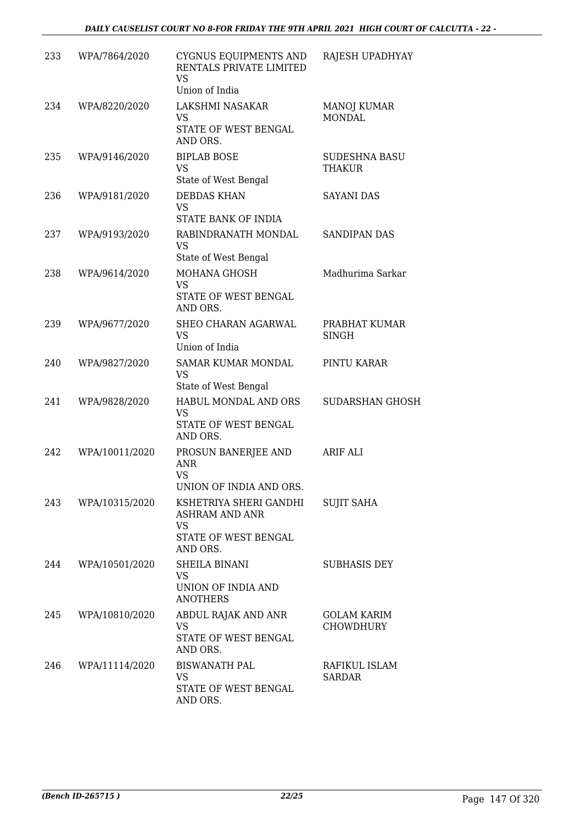| 233 | WPA/7864/2020  | CYGNUS EQUIPMENTS AND<br>RENTALS PRIVATE LIMITED<br>VS<br>Union of India                  | RAJESH UPADHYAY                        |
|-----|----------------|-------------------------------------------------------------------------------------------|----------------------------------------|
| 234 | WPA/8220/2020  | LAKSHMI NASAKAR<br>VS<br>STATE OF WEST BENGAL<br>AND ORS.                                 | <b>MANOJ KUMAR</b><br><b>MONDAL</b>    |
| 235 | WPA/9146/2020  | <b>BIPLAB BOSE</b><br><b>VS</b><br>State of West Bengal                                   | <b>SUDESHNA BASU</b><br><b>THAKUR</b>  |
| 236 | WPA/9181/2020  | <b>DEBDAS KHAN</b><br>VS.<br>STATE BANK OF INDIA                                          | <b>SAYANI DAS</b>                      |
| 237 | WPA/9193/2020  | RABINDRANATH MONDAL<br>VS<br>State of West Bengal                                         | SANDIPAN DAS                           |
| 238 | WPA/9614/2020  | MOHANA GHOSH<br><b>VS</b><br>STATE OF WEST BENGAL<br>AND ORS.                             | Madhurima Sarkar                       |
| 239 | WPA/9677/2020  | SHEO CHARAN AGARWAL<br><b>VS</b><br>Union of India                                        | PRABHAT KUMAR<br><b>SINGH</b>          |
| 240 | WPA/9827/2020  | SAMAR KUMAR MONDAL<br><b>VS</b><br>State of West Bengal                                   | PINTU KARAR                            |
| 241 | WPA/9828/2020  | HABUL MONDAL AND ORS<br><b>VS</b><br>STATE OF WEST BENGAL<br>AND ORS.                     | <b>SUDARSHAN GHOSH</b>                 |
| 242 | WPA/10011/2020 | PROSUN BANERJEE AND<br><b>ANR</b><br>VS<br>UNION OF INDIA AND ORS.                        | <b>ARIF ALI</b>                        |
| 243 | WPA/10315/2020 | KSHETRIYA SHERI GANDHI<br>ASHRAM AND ANR<br><b>VS</b><br>STATE OF WEST BENGAL<br>AND ORS. | <b>SUJIT SAHA</b>                      |
| 244 | WPA/10501/2020 | SHEILA BINANI<br>VS.<br>UNION OF INDIA AND<br><b>ANOTHERS</b>                             | <b>SUBHASIS DEY</b>                    |
| 245 | WPA/10810/2020 | ABDUL RAJAK AND ANR<br>VS<br>STATE OF WEST BENGAL<br>AND ORS.                             | <b>GOLAM KARIM</b><br><b>CHOWDHURY</b> |
| 246 | WPA/11114/2020 | <b>BISWANATH PAL</b><br><b>VS</b><br>STATE OF WEST BENGAL<br>AND ORS.                     | RAFIKUL ISLAM<br><b>SARDAR</b>         |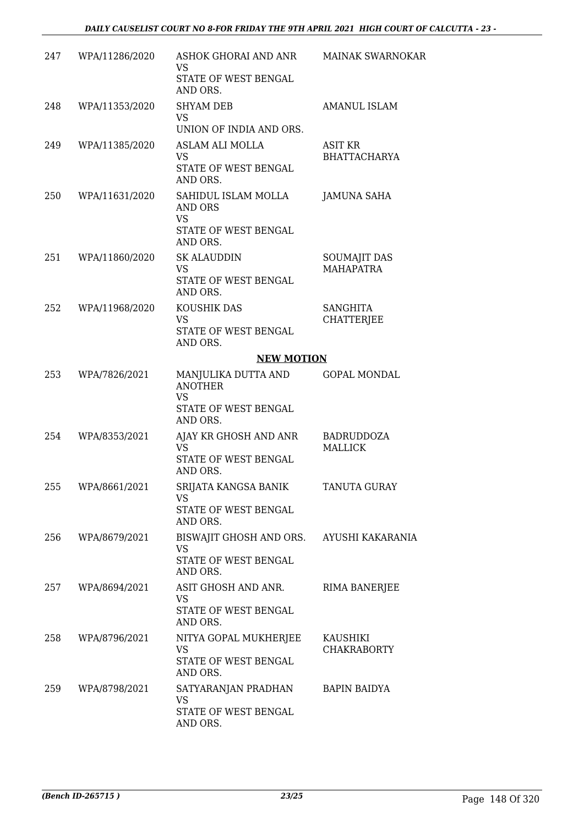| 247 | WPA/11286/2020 | ASHOK GHORAI AND ANR<br>VS<br>STATE OF WEST BENGAL<br>AND ORS.                            | <b>MAINAK SWARNOKAR</b>                 |
|-----|----------------|-------------------------------------------------------------------------------------------|-----------------------------------------|
| 248 | WPA/11353/2020 | <b>SHYAM DEB</b><br><b>VS</b><br>UNION OF INDIA AND ORS.                                  | <b>AMANUL ISLAM</b>                     |
| 249 | WPA/11385/2020 | ASLAM ALI MOLLA<br><b>VS</b><br>STATE OF WEST BENGAL<br>AND ORS.                          | ASIT KR<br><b>BHATTACHARYA</b>          |
| 250 | WPA/11631/2020 | SAHIDUL ISLAM MOLLA<br>AND ORS<br><b>VS</b><br>STATE OF WEST BENGAL<br>AND ORS.           | <b>JAMUNA SAHA</b>                      |
| 251 | WPA/11860/2020 | <b>SK ALAUDDIN</b><br>VS<br>STATE OF WEST BENGAL<br>AND ORS.                              | <b>SOUMAJIT DAS</b><br><b>MAHAPATRA</b> |
| 252 | WPA/11968/2020 | KOUSHIK DAS<br><b>VS</b><br>STATE OF WEST BENGAL<br>AND ORS.                              | <b>SANGHITA</b><br><b>CHATTERJEE</b>    |
|     |                | <b>NEW MOTION</b>                                                                         |                                         |
| 253 | WPA/7826/2021  | MANJULIKA DUTTA AND<br><b>ANOTHER</b><br><b>VS</b><br>STATE OF WEST BENGAL                | <b>GOPAL MONDAL</b>                     |
| 254 | WPA/8353/2021  | AND ORS.<br>AJAY KR GHOSH AND ANR<br><b>VS</b><br>STATE OF WEST BENGAL<br>AND ORS.        | <b>BADRUDDOZA</b><br><b>MALLICK</b>     |
| 255 | WPA/8661/2021  | SRIJATA KANGSA BANIK<br>VS<br>STATE OF WEST BENGAL<br>AND ORS.                            | TANUTA GURAY                            |
| 256 | WPA/8679/2021  | BISWAJIT GHOSH AND ORS. AYUSHI KAKARANIA<br><b>VS</b><br>STATE OF WEST BENGAL<br>AND ORS. |                                         |
| 257 | WPA/8694/2021  | ASIT GHOSH AND ANR.<br>VS.<br>STATE OF WEST BENGAL<br>AND ORS.                            | RIMA BANERJEE                           |
| 258 | WPA/8796/2021  | NITYA GOPAL MUKHERJEE<br>VS<br>STATE OF WEST BENGAL<br>AND ORS.                           | KAUSHIKI<br><b>CHAKRABORTY</b>          |
| 259 | WPA/8798/2021  | SATYARANJAN PRADHAN<br><b>VS</b><br>STATE OF WEST BENGAL<br>AND ORS.                      | <b>BAPIN BAIDYA</b>                     |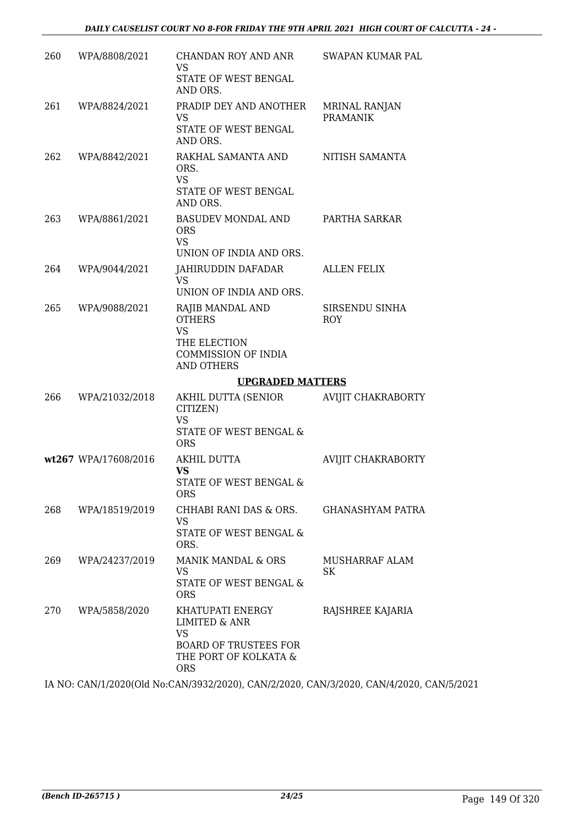| 260 | WPA/8808/2021        | CHANDAN ROY AND ANR<br>VS                                                   | SWAPAN KUMAR PAL                        |
|-----|----------------------|-----------------------------------------------------------------------------|-----------------------------------------|
|     |                      | STATE OF WEST BENGAL<br>AND ORS.                                            |                                         |
| 261 | WPA/8824/2021        | PRADIP DEY AND ANOTHER<br><b>VS</b>                                         | <b>MRINAL RANJAN</b><br><b>PRAMANIK</b> |
|     |                      | STATE OF WEST BENGAL<br>AND ORS.                                            |                                         |
| 262 | WPA/8842/2021        | RAKHAL SAMANTA AND<br>ORS.<br><b>VS</b><br>STATE OF WEST BENGAL<br>AND ORS. | NITISH SAMANTA                          |
| 263 | WPA/8861/2021        | BASUDEV MONDAL AND<br><b>ORS</b><br><b>VS</b>                               | PARTHA SARKAR                           |
|     |                      | UNION OF INDIA AND ORS.                                                     |                                         |
| 264 | WPA/9044/2021        | JAHIRUDDIN DAFADAR<br><b>VS</b>                                             | <b>ALLEN FELIX</b>                      |
|     |                      | UNION OF INDIA AND ORS.                                                     |                                         |
| 265 | WPA/9088/2021        | RAJIB MANDAL AND<br><b>OTHERS</b><br><b>VS</b>                              | SIRSENDU SINHA<br><b>ROY</b>            |
|     |                      | THE ELECTION<br><b>COMMISSION OF INDIA</b><br><b>AND OTHERS</b>             |                                         |
|     |                      | <b>UPGRADED MATTERS</b>                                                     |                                         |
|     | WPA/21032/2018       | AKHIL DUTTA (SENIOR                                                         | <b>AVIJIT CHAKRABORTY</b>               |
| 266 |                      | CITIZEN)<br><b>VS</b><br>STATE OF WEST BENGAL &<br><b>ORS</b>               |                                         |
|     | wt267 WPA/17608/2016 | AKHIL DUTTA                                                                 | <b>AVIJIT CHAKRABORTY</b>               |
|     |                      | <b>VS</b><br>STATE OF WEST BENGAL &<br><b>ORS</b>                           |                                         |
| 268 | WPA/18519/2019       | CHHABI RANI DAS & ORS.                                                      | <b>GHANASHYAM PATRA</b>                 |
|     |                      | VS<br>STATE OF WEST BENGAL &<br>ORS.                                        |                                         |
| 269 | WPA/24237/2019       | MANIK MANDAL & ORS                                                          | <b>MUSHARRAF ALAM</b>                   |
|     |                      | <b>VS</b><br>STATE OF WEST BENGAL &<br><b>ORS</b>                           | SK                                      |

IA NO: CAN/1/2020(Old No:CAN/3932/2020), CAN/2/2020, CAN/3/2020, CAN/4/2020, CAN/5/2021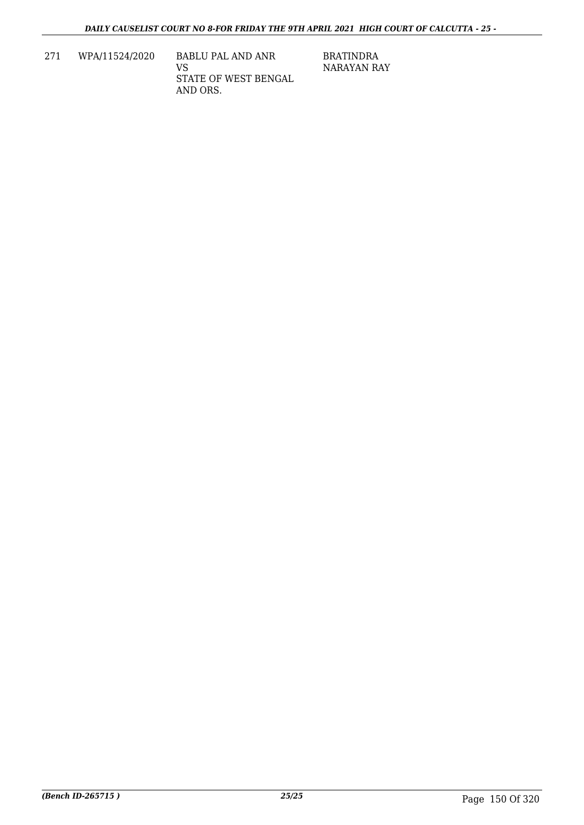271 WPA/11524/2020 BABLU PAL AND ANR VS STATE OF WEST BENGAL AND ORS.

BRATINDRA NARAYAN RAY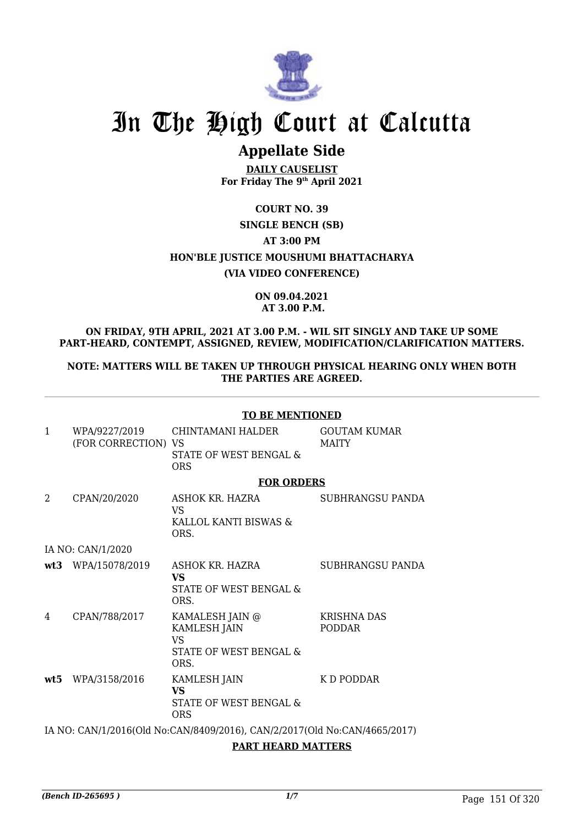

# In The High Court at Calcutta

# **Appellate Side**

**DAILY CAUSELIST For Friday The 9th April 2021**

### **COURT NO. 39 SINGLE BENCH (SB) AT 3:00 PM HON'BLE JUSTICE MOUSHUMI BHATTACHARYA (VIA VIDEO CONFERENCE)**

### **ON 09.04.2021 AT 3.00 P.M.**

### **ON FRIDAY, 9TH APRIL, 2021 AT 3.00 P.M. - WIL SIT SINGLY AND TAKE UP SOME PART-HEARD, CONTEMPT, ASSIGNED, REVIEW, MODIFICATION/CLARIFICATION MATTERS.**

**NOTE: MATTERS WILL BE TAKEN UP THROUGH PHYSICAL HEARING ONLY WHEN BOTH THE PARTIES ARE AGREED.**

|                |                                      | <b>TO BE MENTIONED</b>                                                    |                                     |
|----------------|--------------------------------------|---------------------------------------------------------------------------|-------------------------------------|
| $\mathbf{1}$   | WPA/9227/2019<br>(FOR CORRECTION) VS | CHINTAMANI HALDER<br>STATE OF WEST BENGAL &<br><b>ORS</b>                 | <b>GOUTAM KUMAR</b><br><b>MAITY</b> |
|                |                                      | <b>FOR ORDERS</b>                                                         |                                     |
| $\overline{2}$ | CPAN/20/2020                         | ASHOK KR. HAZRA<br><b>VS</b><br>KALLOL KANTI BISWAS &<br>ORS.             | <b>SUBHRANGSU PANDA</b>             |
|                | IA NO: CAN/1/2020                    |                                                                           |                                     |
|                | wt3 WPA/15078/2019                   | ASHOK KR. HAZRA<br><b>VS</b><br>STATE OF WEST BENGAL &<br>ORS.            | SUBHRANGSU PANDA                    |
| 4              | CPAN/788/2017                        | KAMALESH JAIN @<br>KAMLESH JAIN<br>VS.<br>STATE OF WEST BENGAL &<br>ORS.  | <b>KRISHNA DAS</b><br><b>PODDAR</b> |
|                | wt5 WPA/3158/2016                    | <b>KAMLESH JAIN</b><br><b>VS</b><br>STATE OF WEST BENGAL &<br><b>ORS</b>  | K D PODDAR                          |
|                |                                      | IA NO: CAN/1/2016(Old No:CAN/8409/2016), CAN/2/2017(Old No:CAN/4665/2017) |                                     |

### **PART HEARD MATTERS**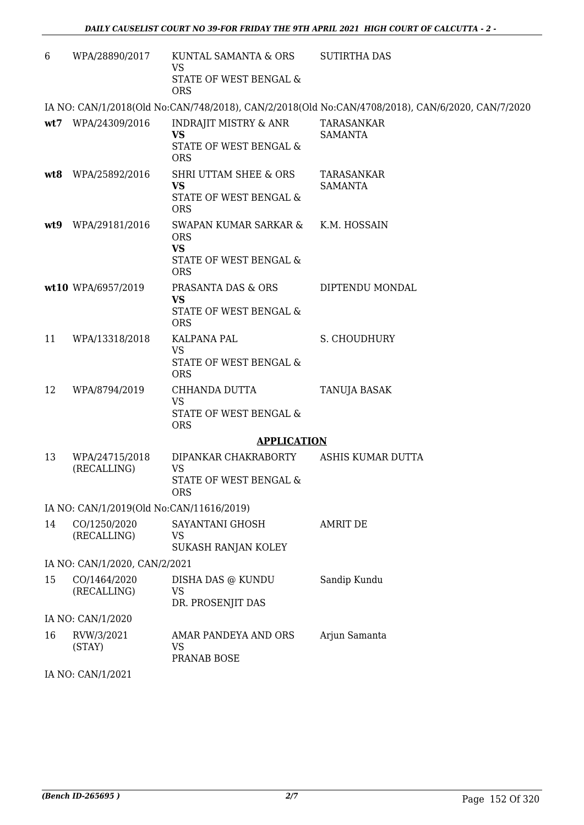| 6   | WPA/28890/2017                           | KUNTAL SAMANTA & ORS<br>VS<br>STATE OF WEST BENGAL &<br><b>ORS</b>                       | <b>SUTIRTHA DAS</b>                                                                              |
|-----|------------------------------------------|------------------------------------------------------------------------------------------|--------------------------------------------------------------------------------------------------|
|     |                                          |                                                                                          | IA NO: CAN/1/2018(Old No:CAN/748/2018), CAN/2/2018(Old No:CAN/4708/2018), CAN/6/2020, CAN/7/2020 |
|     | wt7 WPA/24309/2016                       | <b>INDRAJIT MISTRY &amp; ANR</b><br><b>VS</b><br>STATE OF WEST BENGAL &<br><b>ORS</b>    | TARASANKAR<br><b>SAMANTA</b>                                                                     |
| wt8 | WPA/25892/2016                           | <b>SHRI UTTAM SHEE &amp; ORS</b><br><b>VS</b><br>STATE OF WEST BENGAL &<br><b>ORS</b>    | TARASANKAR<br><b>SAMANTA</b>                                                                     |
| wt9 | WPA/29181/2016                           | SWAPAN KUMAR SARKAR &<br><b>ORS</b><br><b>VS</b><br>STATE OF WEST BENGAL &<br><b>ORS</b> | K.M. HOSSAIN                                                                                     |
|     | wt10 WPA/6957/2019                       | PRASANTA DAS & ORS<br><b>VS</b><br>STATE OF WEST BENGAL &<br><b>ORS</b>                  | DIPTENDU MONDAL                                                                                  |
| 11  | WPA/13318/2018                           | KALPANA PAL<br><b>VS</b><br>STATE OF WEST BENGAL &<br><b>ORS</b>                         | S. CHOUDHURY                                                                                     |
| 12  | WPA/8794/2019                            | CHHANDA DUTTA<br><b>VS</b><br>STATE OF WEST BENGAL &<br><b>ORS</b>                       | TANUJA BASAK                                                                                     |
|     |                                          | <b>APPLICATION</b>                                                                       |                                                                                                  |
| 13  | WPA/24715/2018<br>(RECALLING)            | DIPANKAR CHAKRABORTY<br>VS<br>STATE OF WEST BENGAL &<br><b>ORS</b>                       | ASHIS KUMAR DUTTA                                                                                |
|     | IA NO: CAN/1/2019(Old No:CAN/11616/2019) |                                                                                          |                                                                                                  |
| 14  | CO/1250/2020<br>(RECALLING)              | SAYANTANI GHOSH<br>VS<br>SUKASH RANJAN KOLEY                                             | <b>AMRIT DE</b>                                                                                  |
|     | IA NO: CAN/1/2020, CAN/2/2021            |                                                                                          |                                                                                                  |
| 15  | CO/1464/2020<br>(RECALLING)              | DISHA DAS @ KUNDU<br><b>VS</b><br>DR. PROSENJIT DAS                                      | Sandip Kundu                                                                                     |
|     | IA NO: CAN/1/2020                        |                                                                                          |                                                                                                  |
| 16  | RVW/3/2021<br>(STAY)                     | AMAR PANDEYA AND ORS<br><b>VS</b><br>PRANAB BOSE                                         | Arjun Samanta                                                                                    |
|     | IA NO: CAN/1/2021                        |                                                                                          |                                                                                                  |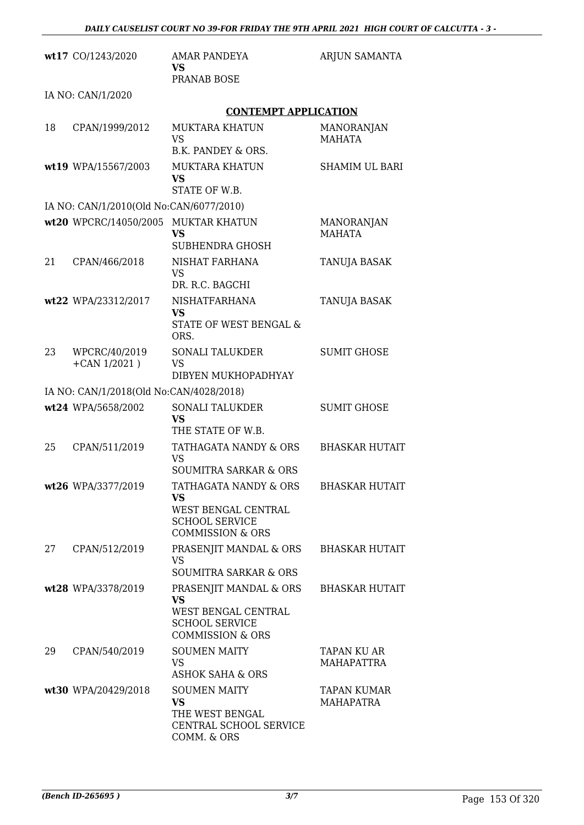|    | wt17 CO/1243/2020                       | <b>AMAR PANDEYA</b><br>VS.                                                                                         | ARJUN SAMANTA                      |
|----|-----------------------------------------|--------------------------------------------------------------------------------------------------------------------|------------------------------------|
|    |                                         | PRANAB BOSE                                                                                                        |                                    |
|    | IA NO: CAN/1/2020                       |                                                                                                                    |                                    |
|    |                                         | <b>CONTEMPT APPLICATION</b>                                                                                        |                                    |
| 18 | CPAN/1999/2012                          | <b>MUKTARA KHATUN</b><br><b>VS</b><br>B.K. PANDEY & ORS.                                                           | <b>MANORANJAN</b><br><b>MAHATA</b> |
|    | wt19 WPA/15567/2003                     | <b>MUKTARA KHATUN</b><br><b>VS</b><br>STATE OF W.B.                                                                | <b>SHAMIM UL BARI</b>              |
|    | IA NO: CAN/1/2010(Old No:CAN/6077/2010) |                                                                                                                    |                                    |
|    | wt20 WPCRC/14050/2005 MUKTAR KHATUN     | <b>VS</b><br>SUBHENDRA GHOSH                                                                                       | MANORANJAN<br><b>MAHATA</b>        |
| 21 | CPAN/466/2018                           | <b>NISHAT FARHANA</b><br><b>VS</b><br>DR. R.C. BAGCHI                                                              | TANUJA BASAK                       |
|    | wt22 WPA/23312/2017                     | <b>NISHATFARHANA</b><br><b>VS</b><br>STATE OF WEST BENGAL &<br>ORS.                                                | TANUJA BASAK                       |
| 23 | WPCRC/40/2019<br>$+$ CAN 1/2021)        | <b>SONALI TALUKDER</b><br><b>VS</b><br>DIBYEN MUKHOPADHYAY                                                         | <b>SUMIT GHOSE</b>                 |
|    | IA NO: CAN/1/2018(Old No:CAN/4028/2018) |                                                                                                                    |                                    |
|    | wt24 WPA/5658/2002                      | <b>SONALI TALUKDER</b><br>VS<br>THE STATE OF W.B.                                                                  | <b>SUMIT GHOSE</b>                 |
| 25 | CPAN/511/2019                           | TATHAGATA NANDY & ORS<br><b>VS</b><br><b>SOUMITRA SARKAR &amp; ORS</b>                                             | <b>BHASKAR HUTAIT</b>              |
|    | wt26 WPA/3377/2019                      | TATHAGATA NANDY & ORS<br><b>VS</b><br>WEST BENGAL CENTRAL<br><b>SCHOOL SERVICE</b><br><b>COMMISSION &amp; ORS</b>  | <b>BHASKAR HUTAIT</b>              |
| 27 | CPAN/512/2019                           | PRASENJIT MANDAL & ORS<br><b>VS</b><br><b>SOUMITRA SARKAR &amp; ORS</b>                                            | <b>BHASKAR HUTAIT</b>              |
|    | wt28 WPA/3378/2019                      | PRASENJIT MANDAL & ORS<br><b>VS</b><br>WEST BENGAL CENTRAL<br><b>SCHOOL SERVICE</b><br><b>COMMISSION &amp; ORS</b> | <b>BHASKAR HUTAIT</b>              |
| 29 | CPAN/540/2019                           | <b>SOUMEN MAITY</b><br><b>VS</b><br><b>ASHOK SAHA &amp; ORS</b>                                                    | TAPAN KU AR<br><b>MAHAPATTRA</b>   |
|    | wt30 WPA/20429/2018                     | <b>SOUMEN MAITY</b><br><b>VS</b><br>THE WEST BENGAL<br>CENTRAL SCHOOL SERVICE<br>COMM. & ORS                       | TAPAN KUMAR<br><b>MAHAPATRA</b>    |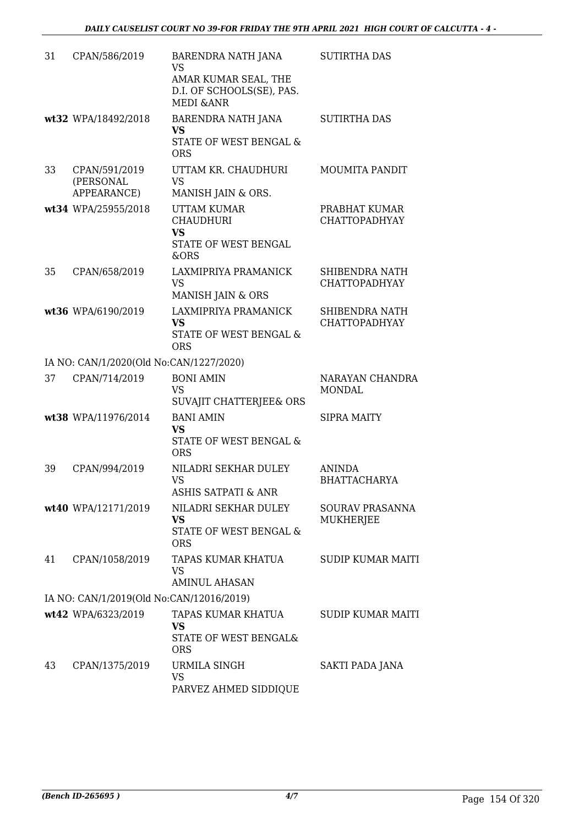| 31 | CPAN/586/2019                             | BARENDRA NATH JANA<br><b>VS</b><br>AMAR KUMAR SEAL, THE<br>D.I. OF SCHOOLS(SE), PAS.<br><b>MEDI &amp; ANR</b> | <b>SUTIRTHA DAS</b>                    |
|----|-------------------------------------------|---------------------------------------------------------------------------------------------------------------|----------------------------------------|
|    | wt32 WPA/18492/2018                       | BARENDRA NATH JANA<br><b>VS</b><br>STATE OF WEST BENGAL &<br><b>ORS</b>                                       | <b>SUTIRTHA DAS</b>                    |
| 33 | CPAN/591/2019<br>(PERSONAL<br>APPEARANCE) | UTTAM KR. CHAUDHURI<br><b>VS</b><br>MANISH JAIN & ORS.                                                        | <b>MOUMITA PANDIT</b>                  |
|    | wt34 WPA/25955/2018                       | <b>UTTAM KUMAR</b><br><b>CHAUDHURI</b><br><b>VS</b><br>STATE OF WEST BENGAL<br>&ORS                           | PRABHAT KUMAR<br><b>CHATTOPADHYAY</b>  |
| 35 | CPAN/658/2019                             | LAXMIPRIYA PRAMANICK<br><b>VS</b><br>MANISH JAIN & ORS                                                        | SHIBENDRA NATH<br><b>CHATTOPADHYAY</b> |
|    | wt36 WPA/6190/2019                        | LAXMIPRIYA PRAMANICK<br><b>VS</b><br>STATE OF WEST BENGAL &<br><b>ORS</b>                                     | SHIBENDRA NATH<br><b>CHATTOPADHYAY</b> |
|    | IA NO: CAN/1/2020(Old No:CAN/1227/2020)   |                                                                                                               |                                        |
| 37 | CPAN/714/2019                             | <b>BONI AMIN</b><br><b>VS</b><br>SUVAJIT CHATTERJEE& ORS                                                      | NARAYAN CHANDRA<br><b>MONDAL</b>       |
|    | wt38 WPA/11976/2014                       | <b>BANI AMIN</b><br><b>VS</b><br><b>STATE OF WEST BENGAL &amp;</b><br><b>ORS</b>                              | <b>SIPRA MAITY</b>                     |
| 39 | CPAN/994/2019                             | NILADRI SEKHAR DULEY<br><b>VS</b><br><b>ASHIS SATPATI &amp; ANR</b>                                           | <b>ANINDA</b><br><b>BHATTACHARYA</b>   |
|    | wt40 WPA/12171/2019                       | NILADRI SEKHAR DULEY<br>VS<br>STATE OF WEST BENGAL &<br><b>ORS</b>                                            | SOURAV PRASANNA<br><b>MUKHERJEE</b>    |
| 41 | CPAN/1058/2019                            | TAPAS KUMAR KHATUA<br><b>VS</b><br><b>AMINUL AHASAN</b>                                                       | <b>SUDIP KUMAR MAITI</b>               |
|    | IA NO: CAN/1/2019(Old No:CAN/12016/2019)  |                                                                                                               |                                        |
|    | wt42 WPA/6323/2019                        | TAPAS KUMAR KHATUA<br>VS<br>STATE OF WEST BENGAL&<br><b>ORS</b>                                               | <b>SUDIP KUMAR MAITI</b>               |
| 43 | CPAN/1375/2019                            | URMILA SINGH<br><b>VS</b><br>PARVEZ AHMED SIDDIQUE                                                            | SAKTI PADA JANA                        |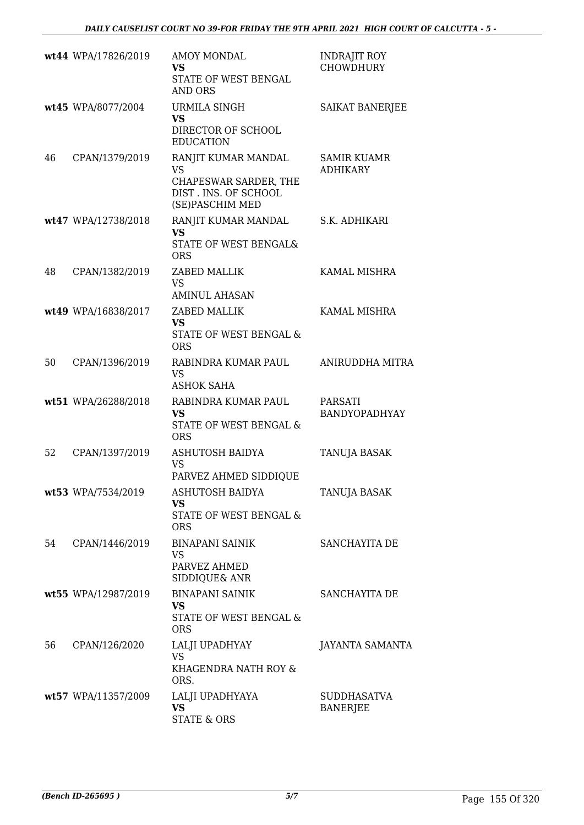|    | wt44 WPA/17826/2019 | <b>AMOY MONDAL</b><br>VS<br>STATE OF WEST BENGAL<br><b>AND ORS</b>                                   | <b>INDRAJIT ROY</b><br><b>CHOWDHURY</b> |
|----|---------------------|------------------------------------------------------------------------------------------------------|-----------------------------------------|
|    | wt45 WPA/8077/2004  | URMILA SINGH<br><b>VS</b><br>DIRECTOR OF SCHOOL<br><b>EDUCATION</b>                                  | SAIKAT BANERJEE                         |
| 46 | CPAN/1379/2019      | RANJIT KUMAR MANDAL<br><b>VS</b><br>CHAPESWAR SARDER, THE<br>DIST. INS. OF SCHOOL<br>(SE)PASCHIM MED | <b>SAMIR KUAMR</b><br><b>ADHIKARY</b>   |
|    | wt47 WPA/12738/2018 | RANJIT KUMAR MANDAL<br><b>VS</b><br>STATE OF WEST BENGAL&<br><b>ORS</b>                              | S.K. ADHIKARI                           |
| 48 | CPAN/1382/2019      | ZABED MALLIK<br><b>VS</b><br><b>AMINUL AHASAN</b>                                                    | <b>KAMAL MISHRA</b>                     |
|    | wt49 WPA/16838/2017 | ZABED MALLIK<br><b>VS</b><br>STATE OF WEST BENGAL &<br><b>ORS</b>                                    | KAMAL MISHRA                            |
| 50 | CPAN/1396/2019      | RABINDRA KUMAR PAUL<br><b>VS</b><br><b>ASHOK SAHA</b>                                                | ANIRUDDHA MITRA                         |
|    | wt51 WPA/26288/2018 | RABINDRA KUMAR PAUL<br><b>VS</b><br>STATE OF WEST BENGAL &<br><b>ORS</b>                             | PARSATI<br><b>BANDYOPADHYAY</b>         |
| 52 | CPAN/1397/2019      | ASHUTOSH BAIDYA<br>VS<br>PARVEZ AHMED SIDDIQUE                                                       | TANUJA BASAK                            |
|    | wt53 WPA/7534/2019  | <b>ASHUTOSH BAIDYA</b><br><b>VS</b><br>STATE OF WEST BENGAL &<br><b>ORS</b>                          | TANUJA BASAK                            |
| 54 | CPAN/1446/2019      | <b>BINAPANI SAINIK</b><br>VS<br>PARVEZ AHMED<br>SIDDIQUE& ANR                                        | SANCHAYITA DE                           |
|    | wt55 WPA/12987/2019 | <b>BINAPANI SAINIK</b><br><b>VS</b><br>STATE OF WEST BENGAL &<br><b>ORS</b>                          | SANCHAYITA DE                           |
| 56 | CPAN/126/2020       | LALJI UPADHYAY<br><b>VS</b><br>KHAGENDRA NATH ROY &<br>ORS.                                          | JAYANTA SAMANTA                         |
|    | wt57 WPA/11357/2009 | LALJI UPADHYAYA<br><b>VS</b><br><b>STATE &amp; ORS</b>                                               | <b>SUDDHASATVA</b><br><b>BANERJEE</b>   |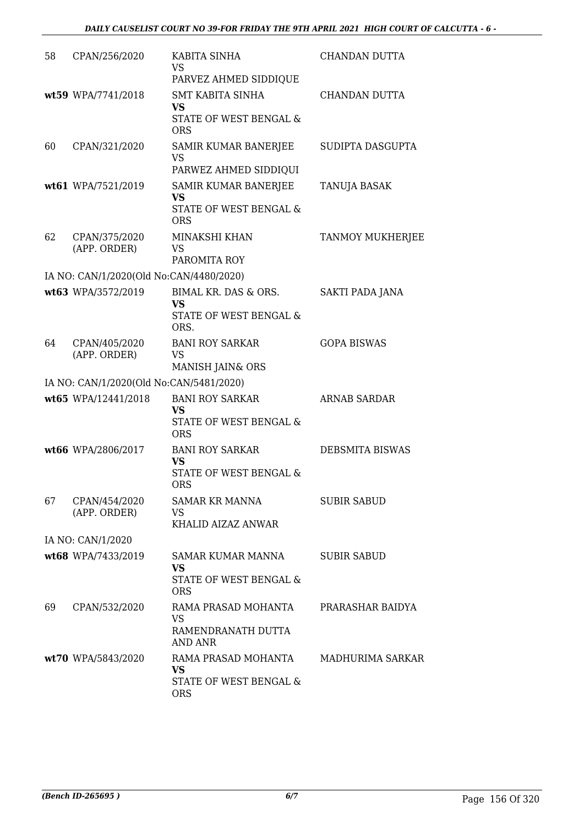| 58 | CPAN/256/2020                           | KABITA SINHA<br><b>VS</b><br>PARVEZ AHMED SIDDIQUE                           | CHANDAN DUTTA          |
|----|-----------------------------------------|------------------------------------------------------------------------------|------------------------|
|    | wt59 WPA/7741/2018                      | <b>SMT KABITA SINHA</b><br><b>VS</b><br>STATE OF WEST BENGAL &<br><b>ORS</b> | CHANDAN DUTTA          |
| 60 | CPAN/321/2020                           | SAMIR KUMAR BANERJEE<br>VS<br>PARWEZ AHMED SIDDIQUI                          | SUDIPTA DASGUPTA       |
|    | wt61 WPA/7521/2019                      | SAMIR KUMAR BANERJEE<br><b>VS</b><br>STATE OF WEST BENGAL &<br><b>ORS</b>    | TANUJA BASAK           |
| 62 | CPAN/375/2020<br>(APP. ORDER)           | MINAKSHI KHAN<br><b>VS</b><br>PAROMITA ROY                                   | TANMOY MUKHERJEE       |
|    | IA NO: CAN/1/2020(Old No:CAN/4480/2020) |                                                                              |                        |
|    | wt63 WPA/3572/2019                      | BIMAL KR. DAS & ORS.<br><b>VS</b><br>STATE OF WEST BENGAL &<br>ORS.          | SAKTI PADA JANA        |
| 64 | CPAN/405/2020<br>(APP. ORDER)           | <b>BANI ROY SARKAR</b><br><b>VS</b><br>MANISH JAIN& ORS                      | <b>GOPA BISWAS</b>     |
|    | IA NO: CAN/1/2020(Old No:CAN/5481/2020) |                                                                              |                        |
|    | wt65 WPA/12441/2018                     | <b>BANI ROY SARKAR</b><br><b>VS</b><br>STATE OF WEST BENGAL &<br><b>ORS</b>  | <b>ARNAB SARDAR</b>    |
|    | wt66 WPA/2806/2017                      | <b>BANI ROY SARKAR</b><br><b>VS</b><br>STATE OF WEST BENGAL &<br><b>ORS</b>  | <b>DEBSMITA BISWAS</b> |
| 67 | CPAN/454/2020<br>(APP. ORDER)           | <b>SAMAR KR MANNA</b><br>VS<br>KHALID AIZAZ ANWAR                            | <b>SUBIR SABUD</b>     |
|    | IA NO: CAN/1/2020                       |                                                                              |                        |
|    | wt68 WPA/7433/2019                      | SAMAR KUMAR MANNA<br><b>VS</b><br>STATE OF WEST BENGAL &<br><b>ORS</b>       | <b>SUBIR SABUD</b>     |
| 69 | CPAN/532/2020                           | RAMA PRASAD MOHANTA<br><b>VS</b><br>RAMENDRANATH DUTTA<br><b>AND ANR</b>     | PRARASHAR BAIDYA       |
|    | wt70 WPA/5843/2020                      | RAMA PRASAD MOHANTA<br><b>VS</b><br>STATE OF WEST BENGAL &<br><b>ORS</b>     | MADHURIMA SARKAR       |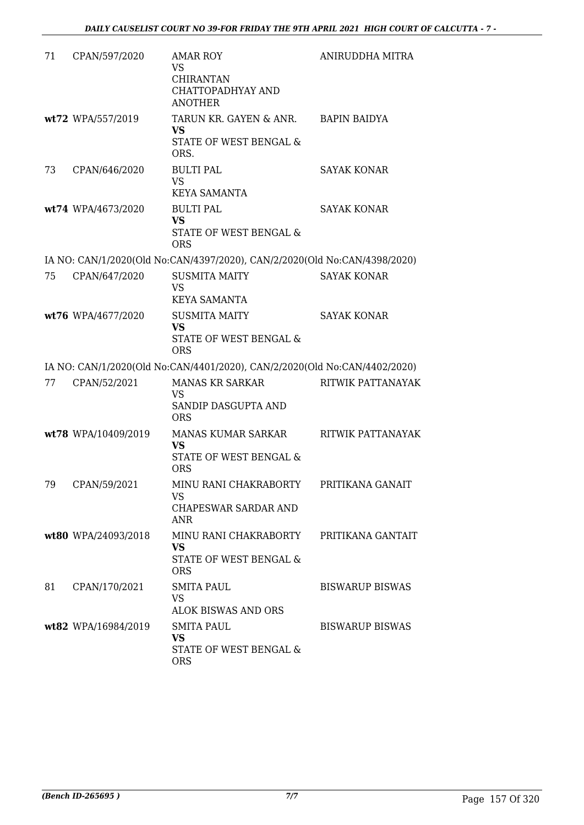| 71 | CPAN/597/2020       | <b>AMAR ROY</b><br><b>VS</b><br><b>CHIRANTAN</b><br>CHATTOPADHYAY AND<br><b>ANOTHER</b> | ANIRUDDHA MITRA          |
|----|---------------------|-----------------------------------------------------------------------------------------|--------------------------|
|    | wt72 WPA/557/2019   | TARUN KR. GAYEN & ANR. BAPIN BAIDYA<br><b>VS</b><br>STATE OF WEST BENGAL &<br>ORS.      |                          |
| 73 | CPAN/646/2020       | <b>BULTI PAL</b><br><b>VS</b><br><b>KEYA SAMANTA</b>                                    | <b>SAYAK KONAR</b>       |
|    | wt74 WPA/4673/2020  | <b>BULTI PAL</b><br><b>VS</b><br>STATE OF WEST BENGAL &<br><b>ORS</b>                   | <b>SAYAK KONAR</b>       |
|    |                     | IA NO: CAN/1/2020(Old No:CAN/4397/2020), CAN/2/2020(Old No:CAN/4398/2020)               |                          |
| 75 | CPAN/647/2020       | <b>SUSMITA MAITY</b><br><b>VS</b><br><b>KEYA SAMANTA</b>                                | <b>SAYAK KONAR</b>       |
|    | wt76 WPA/4677/2020  | <b>SUSMITA MAITY</b><br><b>VS</b><br>STATE OF WEST BENGAL &<br><b>ORS</b>               | <b>SAYAK KONAR</b>       |
|    |                     | IA NO: CAN/1/2020(Old No:CAN/4401/2020), CAN/2/2020(Old No:CAN/4402/2020)               |                          |
| 77 | CPAN/52/2021        | <b>MANAS KR SARKAR</b><br>VS<br>SANDIP DASGUPTA AND<br><b>ORS</b>                       | RITWIK PATTANAYAK        |
|    | wt78 WPA/10409/2019 | MANAS KUMAR SARKAR<br>VS<br>STATE OF WEST BENGAL &<br><b>ORS</b>                        | <b>RITWIK PATTANAYAK</b> |
| 79 | CPAN/59/2021        | MINU RANI CHAKRABORTY<br>VS<br>CHAPESWAR SARDAR AND<br><b>ANR</b>                       | PRITIKANA GANAIT         |
|    | wt80 WPA/24093/2018 | MINU RANI CHAKRABORTY<br><b>VS</b><br><b>STATE OF WEST BENGAL &amp;</b><br><b>ORS</b>   | PRITIKANA GANTAIT        |
| 81 | CPAN/170/2021       | <b>SMITA PAUL</b><br><b>VS</b><br>ALOK BISWAS AND ORS                                   | <b>BISWARUP BISWAS</b>   |
|    | wt82 WPA/16984/2019 | <b>SMITA PAUL</b><br><b>VS</b><br>STATE OF WEST BENGAL &<br><b>ORS</b>                  | <b>BISWARUP BISWAS</b>   |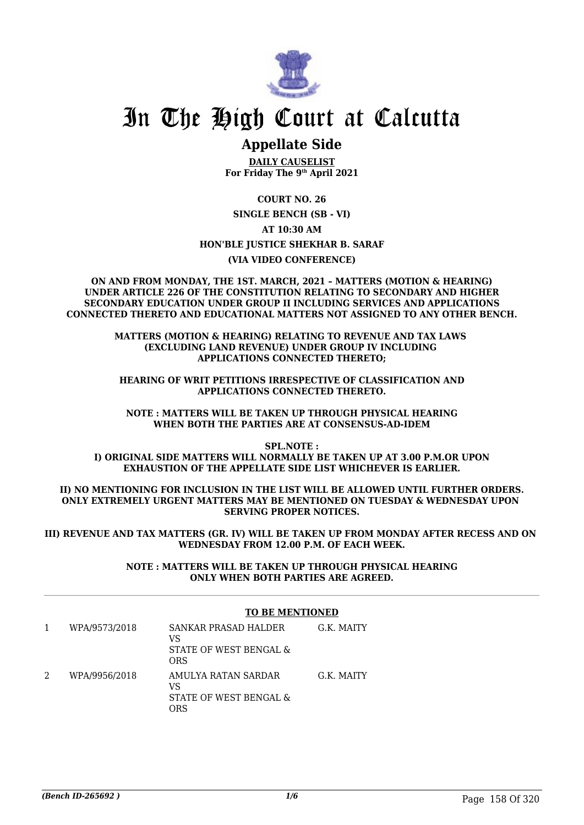

# In The High Court at Calcutta

## **Appellate Side**

**DAILY CAUSELIST For Friday The 9th April 2021**

**COURT NO. 26 SINGLE BENCH (SB - VI) AT 10:30 AM HON'BLE JUSTICE SHEKHAR B. SARAF (VIA VIDEO CONFERENCE)**

**ON AND FROM MONDAY, THE 1ST. MARCH, 2021 – MATTERS (MOTION & HEARING) UNDER ARTICLE 226 OF THE CONSTITUTION RELATING TO SECONDARY AND HIGHER SECONDARY EDUCATION UNDER GROUP II INCLUDING SERVICES AND APPLICATIONS CONNECTED THERETO AND EDUCATIONAL MATTERS NOT ASSIGNED TO ANY OTHER BENCH.**

> **MATTERS (MOTION & HEARING) RELATING TO REVENUE AND TAX LAWS (EXCLUDING LAND REVENUE) UNDER GROUP IV INCLUDING APPLICATIONS CONNECTED THERETO;**

**HEARING OF WRIT PETITIONS IRRESPECTIVE OF CLASSIFICATION AND APPLICATIONS CONNECTED THERETO.**

**NOTE : MATTERS WILL BE TAKEN UP THROUGH PHYSICAL HEARING WHEN BOTH THE PARTIES ARE AT CONSENSUS-AD-IDEM**

**SPL.NOTE : I) ORIGINAL SIDE MATTERS WILL NORMALLY BE TAKEN UP AT 3.00 P.M.OR UPON EXHAUSTION OF THE APPELLATE SIDE LIST WHICHEVER IS EARLIER.**

**II) NO MENTIONING FOR INCLUSION IN THE LIST WILL BE ALLOWED UNTIL FURTHER ORDERS. ONLY EXTREMELY URGENT MATTERS MAY BE MENTIONED ON TUESDAY & WEDNESDAY UPON SERVING PROPER NOTICES.**

**III) REVENUE AND TAX MATTERS (GR. IV) WILL BE TAKEN UP FROM MONDAY AFTER RECESS AND ON WEDNESDAY FROM 12.00 P.M. OF EACH WEEK.**

> **NOTE : MATTERS WILL BE TAKEN UP THROUGH PHYSICAL HEARING ONLY WHEN BOTH PARTIES ARE AGREED.**

#### **TO BE MENTIONED**

1 WPA/9573/2018 SANKAR PRASAD HALDER VS STATE OF WEST BENGAL & ORS G.K. MAITY 2 WPA/9956/2018 AMULYA RATAN SARDAR  $V<sup>Q</sup>$ STATE OF WEST BENGAL & ORS G.K. MAITY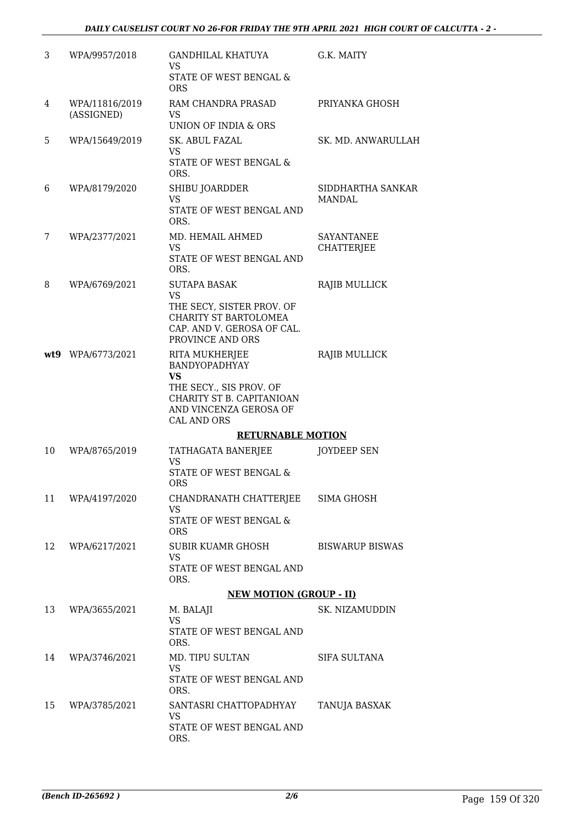| 3   | WPA/9957/2018                | <b>GANDHILAL KHATUYA</b><br>VS.<br>STATE OF WEST BENGAL &<br><b>ORS</b>                                                                              | G.K. MAITY                             |
|-----|------------------------------|------------------------------------------------------------------------------------------------------------------------------------------------------|----------------------------------------|
| 4   | WPA/11816/2019<br>(ASSIGNED) | RAM CHANDRA PRASAD<br><b>VS</b><br>UNION OF INDIA & ORS                                                                                              | PRIYANKA GHOSH                         |
| 5   | WPA/15649/2019               | SK. ABUL FAZAL<br>VS.<br>STATE OF WEST BENGAL &<br>ORS.                                                                                              | SK. MD. ANWARULLAH                     |
| 6   | WPA/8179/2020                | SHIBU JOARDDER<br>VS<br>STATE OF WEST BENGAL AND<br>ORS.                                                                                             | SIDDHARTHA SANKAR<br>MANDAL            |
| 7   | WPA/2377/2021                | MD. HEMAIL AHMED<br><b>VS</b><br>STATE OF WEST BENGAL AND<br>ORS.                                                                                    | <b>SAYANTANEE</b><br><b>CHATTERJEE</b> |
| 8   | WPA/6769/2021                | <b>SUTAPA BASAK</b><br><b>VS</b><br>THE SECY, SISTER PROV. OF<br><b>CHARITY ST BARTOLOMEA</b><br>CAP. AND V. GEROSA OF CAL.<br>PROVINCE AND ORS      | RAJIB MULLICK                          |
| wt9 | WPA/6773/2021                | RITA MUKHERJEE<br><b>BANDYOPADHYAY</b><br><b>VS</b><br>THE SECY., SIS PROV. OF<br>CHARITY ST B. CAPITANIOAN<br>AND VINCENZA GEROSA OF<br>CAL AND ORS | RAJIB MULLICK                          |
|     |                              | <b>RETURNABLE MOTION</b>                                                                                                                             |                                        |
| 10  | WPA/8765/2019                | TATHAGATA BANERJEE<br><b>VS</b><br><b>STATE OF WEST BENGAL &amp;</b><br><b>ORS</b>                                                                   | <b>JOYDEEP SEN</b>                     |
| 11  | WPA/4197/2020                | CHANDRANATH CHATTERJEE<br><b>VS</b><br>STATE OF WEST BENGAL &<br><b>ORS</b>                                                                          | SIMA GHOSH                             |
| 12  | WPA/6217/2021                | SUBIR KUAMR GHOSH<br><b>VS</b><br>STATE OF WEST BENGAL AND<br>ORS.                                                                                   | <b>BISWARUP BISWAS</b>                 |
|     |                              | <b>NEW MOTION (GROUP - II)</b>                                                                                                                       |                                        |
| 13  | WPA/3655/2021                | M. BALAJI<br><b>VS</b><br>STATE OF WEST BENGAL AND<br>ORS.                                                                                           | SK. NIZAMUDDIN                         |
| 14  | WPA/3746/2021                | MD. TIPU SULTAN<br><b>VS</b><br>STATE OF WEST BENGAL AND<br>ORS.                                                                                     | SIFA SULTANA                           |
| 15  | WPA/3785/2021                | SANTASRI CHATTOPADHYAY<br>VS<br>STATE OF WEST BENGAL AND<br>ORS.                                                                                     | TANUJA BASXAK                          |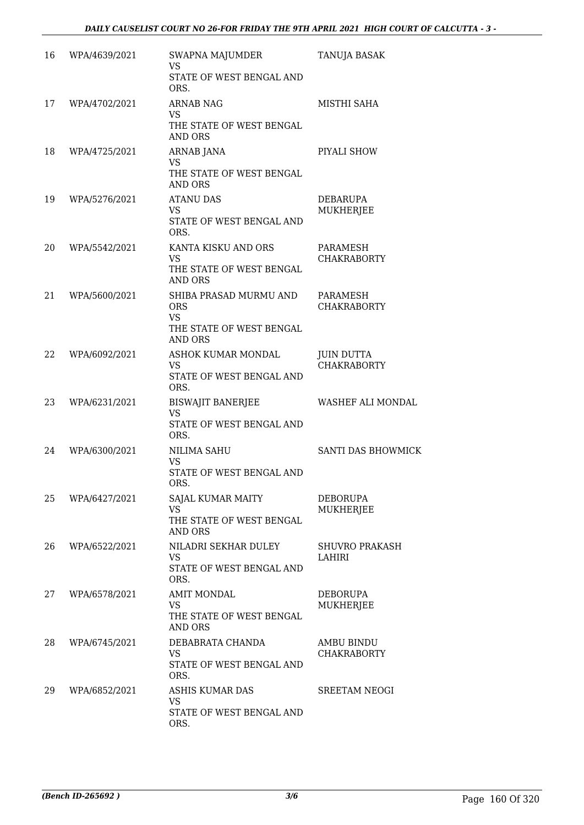| 16 | WPA/4639/2021 | SWAPNA MAJUMDER<br><b>VS</b><br>STATE OF WEST BENGAL AND<br>ORS.                         | TANUJA BASAK                            |
|----|---------------|------------------------------------------------------------------------------------------|-----------------------------------------|
| 17 | WPA/4702/2021 | <b>ARNAB NAG</b><br><b>VS</b><br>THE STATE OF WEST BENGAL<br><b>AND ORS</b>              | MISTHI SAHA                             |
| 18 | WPA/4725/2021 | ARNAB JANA<br><b>VS</b><br>THE STATE OF WEST BENGAL<br><b>AND ORS</b>                    | PIYALI SHOW                             |
| 19 | WPA/5276/2021 | <b>ATANU DAS</b><br><b>VS</b><br>STATE OF WEST BENGAL AND<br>ORS.                        | DEBARUPA<br><b>MUKHERJEE</b>            |
| 20 | WPA/5542/2021 | KANTA KISKU AND ORS<br><b>VS</b><br>THE STATE OF WEST BENGAL<br>AND ORS                  | PARAMESH<br><b>CHAKRABORTY</b>          |
| 21 | WPA/5600/2021 | SHIBA PRASAD MURMU AND<br><b>ORS</b><br><b>VS</b><br>THE STATE OF WEST BENGAL<br>AND ORS | PARAMESH<br>CHAKRABORTY                 |
| 22 | WPA/6092/2021 | ASHOK KUMAR MONDAL<br>VS.<br>STATE OF WEST BENGAL AND<br>ORS.                            | <b>JUIN DUTTA</b><br><b>CHAKRABORTY</b> |
| 23 | WPA/6231/2021 | <b>BISWAJIT BANERJEE</b><br><b>VS</b><br>STATE OF WEST BENGAL AND<br>ORS.                | WASHEF ALI MONDAL                       |
| 24 | WPA/6300/2021 | NILIMA SAHU<br><b>VS</b><br>STATE OF WEST BENGAL AND<br>ORS.                             | SANTI DAS BHOWMICK                      |
| 25 | WPA/6427/2021 | SAJAL KUMAR MAITY<br><b>VS</b><br>THE STATE OF WEST BENGAL<br><b>AND ORS</b>             | DEBORUPA<br>MUKHERJEE                   |
| 26 | WPA/6522/2021 | NILADRI SEKHAR DULEY<br><b>VS</b><br>STATE OF WEST BENGAL AND<br>ORS.                    | <b>SHUVRO PRAKASH</b><br>LAHIRI         |
| 27 | WPA/6578/2021 | <b>AMIT MONDAL</b><br>VS.<br>THE STATE OF WEST BENGAL<br>AND ORS                         | <b>DEBORUPA</b><br><b>MUKHERJEE</b>     |
| 28 | WPA/6745/2021 | DEBABRATA CHANDA<br>VS.<br>STATE OF WEST BENGAL AND<br>ORS.                              | AMBU BINDU<br>CHAKRABORTY               |
| 29 | WPA/6852/2021 | ASHIS KUMAR DAS<br><b>VS</b><br>STATE OF WEST BENGAL AND<br>ORS.                         | <b>SREETAM NEOGI</b>                    |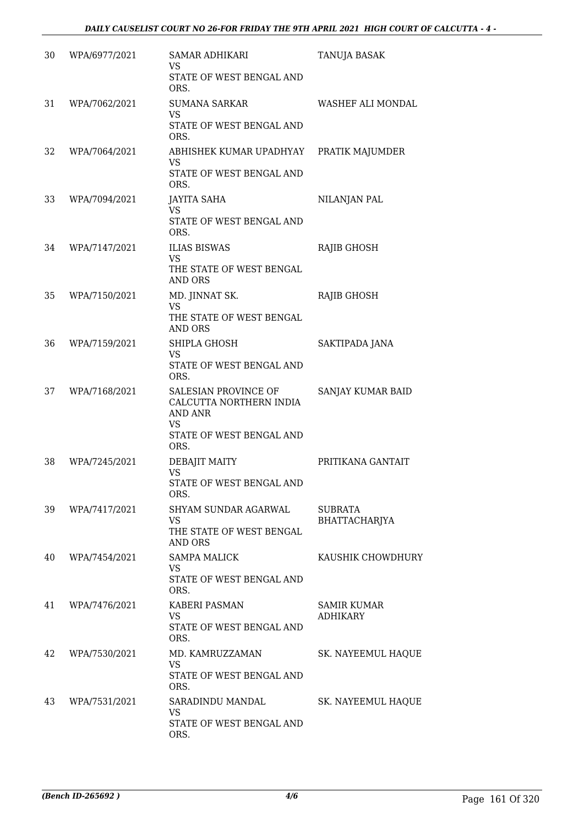| 30 | WPA/6977/2021 | SAMAR ADHIKARI<br>VS<br>STATE OF WEST BENGAL AND<br>ORS.                                                           | <b>TANUJA BASAK</b>                   |
|----|---------------|--------------------------------------------------------------------------------------------------------------------|---------------------------------------|
| 31 | WPA/7062/2021 | <b>SUMANA SARKAR</b><br>VS<br>STATE OF WEST BENGAL AND<br>ORS.                                                     | WASHEF ALI MONDAL                     |
| 32 | WPA/7064/2021 | ABHISHEK KUMAR UPADHYAY<br>VS.<br>STATE OF WEST BENGAL AND<br>ORS.                                                 | PRATIK MAJUMDER                       |
| 33 | WPA/7094/2021 | <b>JAYITA SAHA</b><br><b>VS</b><br>STATE OF WEST BENGAL AND<br>ORS.                                                | NILANJAN PAL                          |
| 34 | WPA/7147/2021 | <b>ILIAS BISWAS</b><br>VS.<br>THE STATE OF WEST BENGAL<br><b>AND ORS</b>                                           | RAJIB GHOSH                           |
| 35 | WPA/7150/2021 | MD. JINNAT SK.<br><b>VS</b><br>THE STATE OF WEST BENGAL<br>AND ORS                                                 | <b>RAJIB GHOSH</b>                    |
| 36 | WPA/7159/2021 | SHIPLA GHOSH<br><b>VS</b><br>STATE OF WEST BENGAL AND<br>ORS.                                                      | SAKTIPADA JANA                        |
| 37 | WPA/7168/2021 | SALESIAN PROVINCE OF<br>CALCUTTA NORTHERN INDIA<br><b>AND ANR</b><br><b>VS</b><br>STATE OF WEST BENGAL AND<br>ORS. | SANJAY KUMAR BAID                     |
| 38 | WPA/7245/2021 | DEBAJIT MAITY<br><b>VS</b><br>STATE OF WEST BENGAL AND<br>ORS.                                                     | PRITIKANA GANTAIT                     |
| 39 | WPA/7417/2021 | SHYAM SUNDAR AGARWAL<br><b>VS</b><br>THE STATE OF WEST BENGAL<br><b>AND ORS</b>                                    | <b>SUBRATA</b><br>BHATTACHARJYA       |
| 40 | WPA/7454/2021 | <b>SAMPA MALICK</b><br>VS.<br>STATE OF WEST BENGAL AND<br>ORS.                                                     | KAUSHIK CHOWDHURY                     |
| 41 | WPA/7476/2021 | <b>KABERI PASMAN</b><br>VS.<br>STATE OF WEST BENGAL AND<br>ORS.                                                    | <b>SAMIR KUMAR</b><br><b>ADHIKARY</b> |
| 42 | WPA/7530/2021 | MD. KAMRUZZAMAN<br>VS<br>STATE OF WEST BENGAL AND<br>ORS.                                                          | SK. NAYEEMUL HAQUE                    |
| 43 | WPA/7531/2021 | SARADINDU MANDAL<br>VS<br>STATE OF WEST BENGAL AND<br>ORS.                                                         | SK. NAYEEMUL HAQUE                    |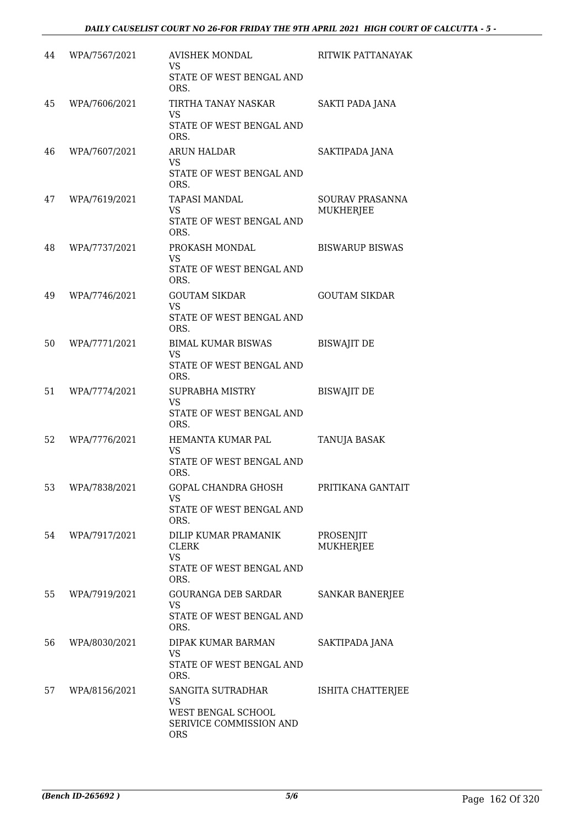| 44 | WPA/7567/2021 | <b>AVISHEK MONDAL</b><br><b>VS</b><br>STATE OF WEST BENGAL AND<br>ORS.                 | RITWIK PATTANAYAK                   |
|----|---------------|----------------------------------------------------------------------------------------|-------------------------------------|
| 45 | WPA/7606/2021 | TIRTHA TANAY NASKAR<br>VS<br>STATE OF WEST BENGAL AND<br>ORS.                          | SAKTI PADA JANA                     |
| 46 | WPA/7607/2021 | <b>ARUN HALDAR</b><br><b>VS</b><br>STATE OF WEST BENGAL AND<br>ORS.                    | SAKTIPADA JANA                      |
| 47 | WPA/7619/2021 | TAPASI MANDAL<br><b>VS</b><br>STATE OF WEST BENGAL AND<br>ORS.                         | SOURAV PRASANNA<br><b>MUKHERJEE</b> |
| 48 | WPA/7737/2021 | PROKASH MONDAL<br><b>VS</b><br>STATE OF WEST BENGAL AND<br>ORS.                        | <b>BISWARUP BISWAS</b>              |
| 49 | WPA/7746/2021 | <b>GOUTAM SIKDAR</b><br><b>VS</b><br>STATE OF WEST BENGAL AND<br>ORS.                  | <b>GOUTAM SIKDAR</b>                |
| 50 | WPA/7771/2021 | <b>BIMAL KUMAR BISWAS</b><br><b>VS</b><br>STATE OF WEST BENGAL AND<br>ORS.             | <b>BISWAJIT DE</b>                  |
| 51 | WPA/7774/2021 | SUPRABHA MISTRY<br><b>VS</b><br>STATE OF WEST BENGAL AND<br>ORS.                       | <b>BISWAJIT DE</b>                  |
| 52 | WPA/7776/2021 | HEMANTA KUMAR PAL<br><b>VS</b><br>STATE OF WEST BENGAL AND<br>ORS.                     | TANUJA BASAK                        |
| 53 | WPA/7838/2021 | GOPAL CHANDRA GHOSH<br><b>VS</b><br>STATE OF WEST BENGAL AND<br>ORS.                   | PRITIKANA GANTAIT                   |
| 54 | WPA/7917/2021 | DILIP KUMAR PRAMANIK<br><b>CLERK</b><br><b>VS</b><br>STATE OF WEST BENGAL AND<br>ORS.  | PROSENJIT<br><b>MUKHERJEE</b>       |
| 55 | WPA/7919/2021 | <b>GOURANGA DEB SARDAR</b><br><b>VS</b><br>STATE OF WEST BENGAL AND<br>ORS.            | <b>SANKAR BANERJEE</b>              |
| 56 | WPA/8030/2021 | DIPAK KUMAR BARMAN<br><b>VS</b><br>STATE OF WEST BENGAL AND<br>ORS.                    | SAKTIPADA JANA                      |
| 57 | WPA/8156/2021 | SANGITA SUTRADHAR<br>VS<br>WEST BENGAL SCHOOL<br>SERIVICE COMMISSION AND<br><b>ORS</b> | ISHITA CHATTERJEE                   |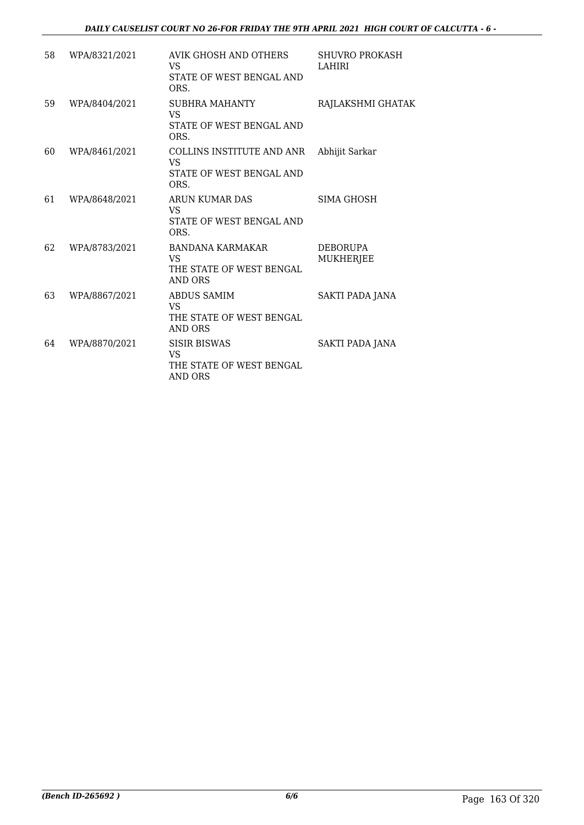### *DAILY CAUSELIST COURT NO 26-FOR FRIDAY THE 9TH APRIL 2021 HIGH COURT OF CALCUTTA - 6 -*

| 58 | WPA/8321/2021 | AVIK GHOSH AND OTHERS<br><b>VS</b><br>STATE OF WEST BENGAL AND<br>ORS.      | <b>SHUVRO PROKASH</b><br>LAHIRI     |
|----|---------------|-----------------------------------------------------------------------------|-------------------------------------|
| 59 | WPA/8404/2021 | SUBHRA MAHANTY<br><b>VS</b><br>STATE OF WEST BENGAL AND<br>ORS.             | RAJLAKSHMI GHATAK                   |
| 60 | WPA/8461/2021 | COLLINS INSTITUTE AND ANR<br>VS<br>STATE OF WEST BENGAL AND<br>ORS.         | Abhijit Sarkar                      |
| 61 | WPA/8648/2021 | ARUN KUMAR DAS<br><b>VS</b><br>STATE OF WEST BENGAL AND<br>ORS.             | SIMA GHOSH                          |
| 62 | WPA/8783/2021 | <b>BANDANA KARMAKAR</b><br><b>VS</b><br>THE STATE OF WEST BENGAL<br>AND ORS | <b>DEBORUPA</b><br><b>MUKHERJEE</b> |
| 63 | WPA/8867/2021 | ABDUS SAMIM<br><b>VS</b><br>THE STATE OF WEST BENGAL<br><b>AND ORS</b>      | SAKTI PADA JANA                     |
| 64 | WPA/8870/2021 | <b>SISIR BISWAS</b><br><b>VS</b><br>THE STATE OF WEST BENGAL<br>AND ORS     | SAKTI PADA JANA                     |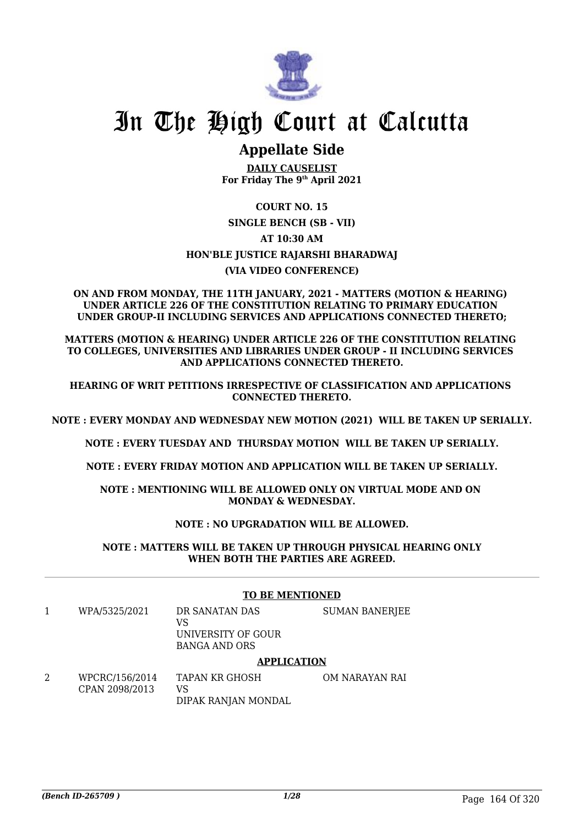

# In The High Court at Calcutta

# **Appellate Side**

**DAILY CAUSELIST For Friday The 9th April 2021**

### **COURT NO. 15**

### **SINGLE BENCH (SB - VII) AT 10:30 AM HON'BLE JUSTICE RAJARSHI BHARADWAJ**

### **(VIA VIDEO CONFERENCE)**

### **ON AND FROM MONDAY, THE 11TH JANUARY, 2021 - MATTERS (MOTION & HEARING) UNDER ARTICLE 226 OF THE CONSTITUTION RELATING TO PRIMARY EDUCATION UNDER GROUP-II INCLUDING SERVICES AND APPLICATIONS CONNECTED THERETO;**

**MATTERS (MOTION & HEARING) UNDER ARTICLE 226 OF THE CONSTITUTION RELATING TO COLLEGES, UNIVERSITIES AND LIBRARIES UNDER GROUP - II INCLUDING SERVICES AND APPLICATIONS CONNECTED THERETO.**

**HEARING OF WRIT PETITIONS IRRESPECTIVE OF CLASSIFICATION AND APPLICATIONS CONNECTED THERETO.**

**NOTE : EVERY MONDAY AND WEDNESDAY NEW MOTION (2021) WILL BE TAKEN UP SERIALLY.**

**NOTE : EVERY TUESDAY AND THURSDAY MOTION WILL BE TAKEN UP SERIALLY.**

**NOTE : EVERY FRIDAY MOTION AND APPLICATION WILL BE TAKEN UP SERIALLY.**

**NOTE : MENTIONING WILL BE ALLOWED ONLY ON VIRTUAL MODE AND ON MONDAY & WEDNESDAY.**

### **NOTE : NO UPGRADATION WILL BE ALLOWED.**

**NOTE : MATTERS WILL BE TAKEN UP THROUGH PHYSICAL HEARING ONLY WHEN BOTH THE PARTIES ARE AGREED.**

### **TO BE MENTIONED**

1 WPA/5325/2021 DR SANATAN DAS VS UNIVERSITY OF GOUR BANGA AND ORS **APPLICATION**

SUMAN BANERJEE

#### TAPAN KR GHOSH OM NARAYAN RAI

2 WPCRC/156/2014 CPAN 2098/2013 VS DIPAK RANJAN MONDAL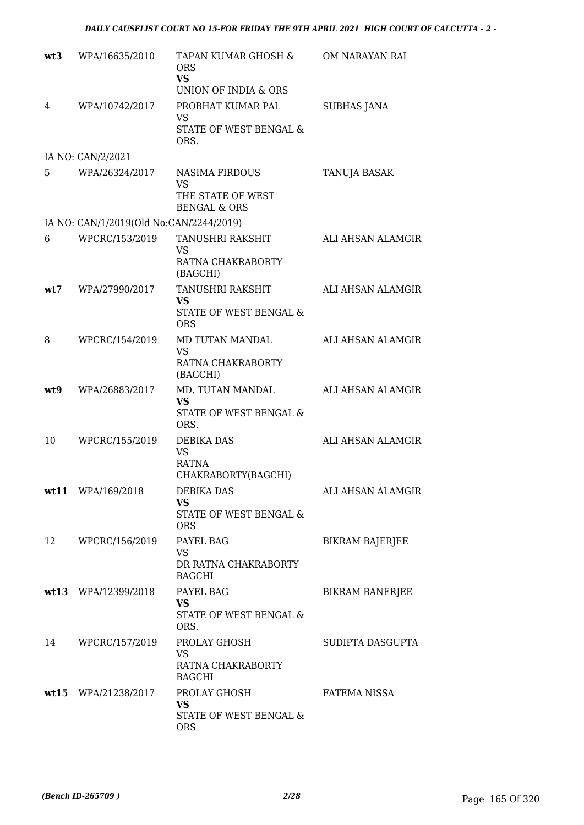| wt3 | WPA/16635/2010                          | TAPAN KUMAR GHOSH &<br><b>ORS</b><br><b>VS</b><br>UNION OF INDIA & ORS             | OM NARAYAN RAI         |
|-----|-----------------------------------------|------------------------------------------------------------------------------------|------------------------|
| 4   | WPA/10742/2017                          | PROBHAT KUMAR PAL<br><b>VS</b><br>STATE OF WEST BENGAL &<br>ORS.                   | <b>SUBHAS JANA</b>     |
|     | IA NO: CAN/2/2021                       |                                                                                    |                        |
| 5   | WPA/26324/2017                          | <b>NASIMA FIRDOUS</b><br><b>VS</b><br>THE STATE OF WEST<br><b>BENGAL &amp; ORS</b> | TANUJA BASAK           |
|     | IA NO: CAN/1/2019(Old No:CAN/2244/2019) |                                                                                    |                        |
| 6   | WPCRC/153/2019                          | TANUSHRI RAKSHIT<br><b>VS</b><br>RATNA CHAKRABORTY<br>(BAGCHI)                     | ALI AHSAN ALAMGIR      |
| wt7 | WPA/27990/2017                          | TANUSHRI RAKSHIT<br><b>VS</b><br>STATE OF WEST BENGAL &<br><b>ORS</b>              | ALI AHSAN ALAMGIR      |
| 8   | WPCRC/154/2019                          | MD TUTAN MANDAL<br>VS<br>RATNA CHAKRABORTY<br>(BAGCHI)                             | ALI AHSAN ALAMGIR      |
| wt9 | WPA/26883/2017                          | MD. TUTAN MANDAL<br><b>VS</b><br>STATE OF WEST BENGAL &<br>ORS.                    | ALI AHSAN ALAMGIR      |
| 10  | WPCRC/155/2019                          | <b>DEBIKA DAS</b><br>VS<br><b>RATNA</b><br>CHAKRABORTY(BAGCHI)                     | ALI AHSAN ALAMGIR      |
|     | wt11 WPA/169/2018                       | DEBIKA DAS<br><b>VS</b><br>STATE OF WEST BENGAL &<br><b>ORS</b>                    | ALI AHSAN ALAMGIR      |
| 12  | WPCRC/156/2019                          | PAYEL BAG<br>VS<br>DR RATNA CHAKRABORTY<br><b>BAGCHI</b>                           | BIKRAM BAJERJEE        |
|     | wt13 WPA/12399/2018                     | PAYEL BAG<br><b>VS</b><br>STATE OF WEST BENGAL &<br>ORS.                           | <b>BIKRAM BANERJEE</b> |
| 14  | WPCRC/157/2019                          | PROLAY GHOSH<br>VS.<br>RATNA CHAKRABORTY<br><b>BAGCHI</b>                          | SUDIPTA DASGUPTA       |
|     | wt15 WPA/21238/2017                     | PROLAY GHOSH<br>VS.<br>STATE OF WEST BENGAL &<br><b>ORS</b>                        | FATEMA NISSA           |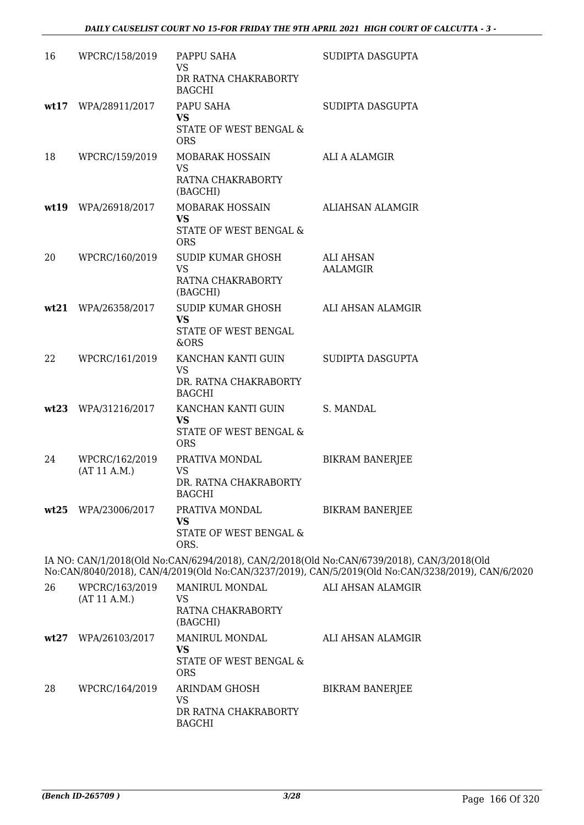| 16   | WPCRC/158/2019                 | PAPPU SAHA<br><b>VS</b><br>DR RATNA CHAKRABORTY<br><b>BAGCHI</b>        | SUDIPTA DASGUPTA                                                                                                                                                                       |
|------|--------------------------------|-------------------------------------------------------------------------|----------------------------------------------------------------------------------------------------------------------------------------------------------------------------------------|
| wt17 | WPA/28911/2017                 | PAPU SAHA<br><b>VS</b><br>STATE OF WEST BENGAL &<br><b>ORS</b>          | SUDIPTA DASGUPTA                                                                                                                                                                       |
| 18   | WPCRC/159/2019                 | MOBARAK HOSSAIN<br><b>VS</b><br>RATNA CHAKRABORTY<br>(BAGCHI)           | ALI A ALAMGIR                                                                                                                                                                          |
|      | wt19 WPA/26918/2017            | MOBARAK HOSSAIN<br><b>VS</b><br>STATE OF WEST BENGAL &<br><b>ORS</b>    | ALIAHSAN ALAMGIR                                                                                                                                                                       |
| 20   | WPCRC/160/2019                 | SUDIP KUMAR GHOSH<br><b>VS</b><br>RATNA CHAKRABORTY<br>(BAGCHI)         | <b>ALI AHSAN</b><br><b>AALAMGIR</b>                                                                                                                                                    |
| wt21 | WPA/26358/2017                 | SUDIP KUMAR GHOSH<br><b>VS</b><br>STATE OF WEST BENGAL<br>&ORS          | ALI AHSAN ALAMGIR                                                                                                                                                                      |
| 22   | WPCRC/161/2019                 | KANCHAN KANTI GUIN<br>VS<br>DR. RATNA CHAKRABORTY<br><b>BAGCHI</b>      | SUDIPTA DASGUPTA                                                                                                                                                                       |
|      | wt23 WPA/31216/2017            | KANCHAN KANTI GUIN<br><b>VS</b><br>STATE OF WEST BENGAL &<br><b>ORS</b> | S. MANDAL                                                                                                                                                                              |
| 24   | WPCRC/162/2019<br>(AT 11 A.M.) | PRATIVA MONDAL<br><b>VS</b><br>DR. RATNA CHAKRABORTY<br><b>BAGCHI</b>   | <b>BIKRAM BANERJEE</b>                                                                                                                                                                 |
|      | wt25 WPA/23006/2017            | PRATIVA MONDAL<br><b>VS</b><br>STATE OF WEST BENGAL &<br>ORS.           | <b>BIKRAM BANERJEE</b>                                                                                                                                                                 |
|      |                                |                                                                         | IA NO: CAN/1/2018(Old No:CAN/6294/2018), CAN/2/2018(Old No:CAN/6739/2018), CAN/3/2018(Old<br>No:CAN/8040/2018), CAN/4/2019(Old No:CAN/3237/2019), CAN/5/2019(Old No:CAN/3238/2019), CA |
| 26   | WPCRC/163/2019<br>(AT 11 A.M.) | MANIRUL MONDAL<br>VS<br>RATNA CHAKRABORTY<br>(BAGCHI)                   | ALI AHSAN ALAMGIR                                                                                                                                                                      |
|      | wt27 WPA/26103/2017            | MANIRUL MONDAL<br><b>VS</b><br>STATE OF WEST BENGAL &<br><b>ORS</b>     | ALI AHSAN ALAMGIR                                                                                                                                                                      |
| 28   | WPCRC/164/2019                 | ARINDAM GHOSH                                                           | <b>BIKRAM BANERJEE</b>                                                                                                                                                                 |

9), CAN/6/2020

|      |                | (DAOVIII)                                                    |                   |
|------|----------------|--------------------------------------------------------------|-------------------|
| wt27 | WPA/26103/2017 | MANIRUL MONDAL<br>VS<br>STATE OF WEST BENGAL &<br><b>ORS</b> | ALI AHSAN A       |
| 28   | WPCRC/164/2019 | ARINDAM GHOSH<br>VS<br>DR RATNA CHAKRABORTY<br><b>BAGCHI</b> | <b>BIKRAM BAN</b> |
|      |                |                                                              |                   |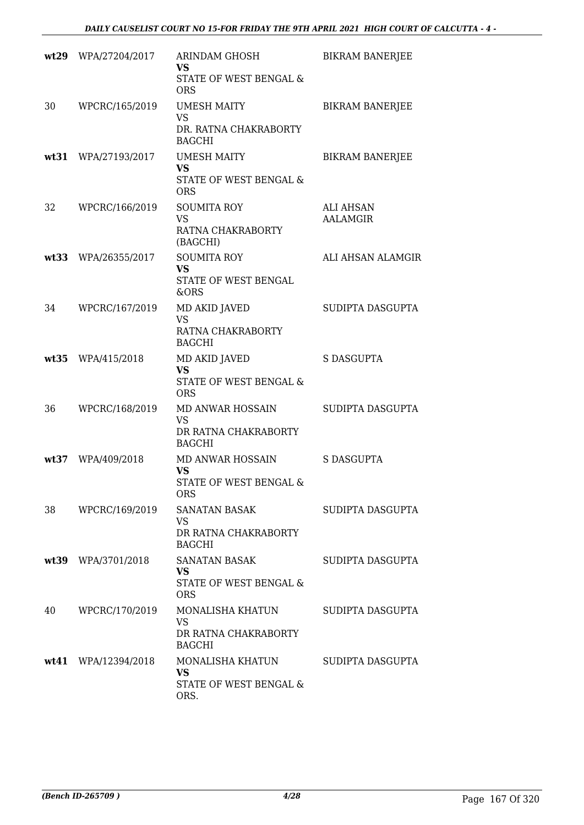|      | wt29 WPA/27204/2017   | ARINDAM GHOSH<br>VS<br>STATE OF WEST BENGAL &<br><b>ORS</b>             | <b>BIKRAM BANERJEE</b>       |
|------|-----------------------|-------------------------------------------------------------------------|------------------------------|
| 30   | WPCRC/165/2019        | UMESH MAITY<br>VS<br>DR. RATNA CHAKRABORTY<br><b>BAGCHI</b>             | <b>BIKRAM BANERJEE</b>       |
|      | wt31 WPA/27193/2017   | <b>UMESH MAITY</b><br><b>VS</b><br>STATE OF WEST BENGAL &<br><b>ORS</b> | <b>BIKRAM BANERJEE</b>       |
| 32   | WPCRC/166/2019        | <b>SOUMITA ROY</b><br><b>VS</b><br>RATNA CHAKRABORTY<br>(BAGCHI)        | <b>ALI AHSAN</b><br>AALAMGIR |
| wt33 | WPA/26355/2017        | <b>SOUMITA ROY</b><br><b>VS</b><br>STATE OF WEST BENGAL<br>&ORS         | ALI AHSAN ALAMGIR            |
| 34   | WPCRC/167/2019        | MD AKID JAVED<br><b>VS</b><br>RATNA CHAKRABORTY<br><b>BAGCHI</b>        | SUDIPTA DASGUPTA             |
|      | wt35 WPA/415/2018     | MD AKID JAVED<br><b>VS</b><br>STATE OF WEST BENGAL &<br><b>ORS</b>      | S DASGUPTA                   |
| 36   | WPCRC/168/2019        | MD ANWAR HOSSAIN<br>VS<br>DR RATNA CHAKRABORTY<br><b>BAGCHI</b>         | SUDIPTA DASGUPTA             |
|      | wt37 WPA/409/2018     | MD ANWAR HOSSAIN<br><b>VS</b><br>STATE OF WEST BENGAL &<br>ORS.         | S DASGUPTA                   |
| 38   | WPCRC/169/2019        | SANATAN BASAK<br>VS<br>DR RATNA CHAKRABORTY<br><b>BAGCHI</b>            | SUDIPTA DASGUPTA             |
|      | wt39 WPA/3701/2018    | SANATAN BASAK<br><b>VS</b><br>STATE OF WEST BENGAL &<br><b>ORS</b>      | SUDIPTA DASGUPTA             |
| 40   | WPCRC/170/2019        | MONALISHA KHATUN<br>VS<br>DR RATNA CHAKRABORTY<br><b>BAGCHI</b>         | SUDIPTA DASGUPTA             |
|      | $wt41$ WPA/12394/2018 | MONALISHA KHATUN<br><b>VS</b><br>STATE OF WEST BENGAL &<br>ORS.         | SUDIPTA DASGUPTA             |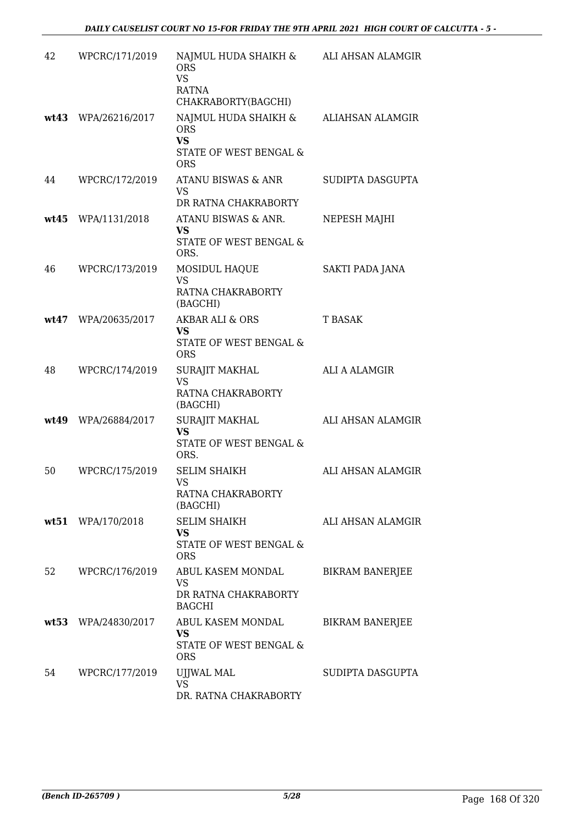| 42 | WPCRC/171/2019      | NAJMUL HUDA SHAIKH & ALI AHSAN ALAMGIR<br><b>ORS</b><br><b>VS</b><br>RATNA<br>CHAKRABORTY(BAGCHI) |                        |
|----|---------------------|---------------------------------------------------------------------------------------------------|------------------------|
|    | wt43 WPA/26216/2017 | NAJMUL HUDA SHAIKH &<br><b>ORS</b><br><b>VS</b><br>STATE OF WEST BENGAL &<br><b>ORS</b>           | ALIAHSAN ALAMGIR       |
| 44 | WPCRC/172/2019      | ATANU BISWAS & ANR<br><b>VS</b><br>DR RATNA CHAKRABORTY                                           | SUDIPTA DASGUPTA       |
|    | wt45 WPA/1131/2018  | ATANU BISWAS & ANR.<br><b>VS</b><br>STATE OF WEST BENGAL &<br>ORS.                                | NEPESH MAJHI           |
| 46 | WPCRC/173/2019      | MOSIDUL HAQUE<br><b>VS</b><br>RATNA CHAKRABORTY<br>(BAGCHI)                                       | SAKTI PADA JANA        |
|    | wt47 WPA/20635/2017 | <b>AKBAR ALI &amp; ORS</b><br><b>VS</b><br>STATE OF WEST BENGAL &<br><b>ORS</b>                   | <b>T BASAK</b>         |
| 48 | WPCRC/174/2019      | <b>SURAJIT MAKHAL</b><br><b>VS</b><br>RATNA CHAKRABORTY<br>(BAGCHI)                               | ALI A ALAMGIR          |
|    | wt49 WPA/26884/2017 | <b>SURAJIT MAKHAL</b><br><b>VS</b><br>STATE OF WEST BENGAL &<br>ORS.                              | ALI AHSAN ALAMGIR      |
| 50 | WPCRC/175/2019      | <b>SELIM SHAIKH</b><br><b>VS</b><br>RATNA CHAKRABORTY<br>(BAGCHI)                                 | ALI AHSAN ALAMGIR      |
|    | wt51 WPA/170/2018   | <b>SELIM SHAIKH</b><br><b>VS</b><br>STATE OF WEST BENGAL &<br><b>ORS</b>                          | ALI AHSAN ALAMGIR      |
| 52 | WPCRC/176/2019      | ABUL KASEM MONDAL<br>VS<br>DR RATNA CHAKRABORTY<br>BAGCHI                                         | <b>BIKRAM BANERJEE</b> |
|    | wt53 WPA/24830/2017 | ABUL KASEM MONDAL<br><b>VS</b><br>STATE OF WEST BENGAL &<br><b>ORS</b>                            | <b>BIKRAM BANERJEE</b> |
| 54 | WPCRC/177/2019      | UJJWAL MAL<br>VS<br>DR. RATNA CHAKRABORTY                                                         | SUDIPTA DASGUPTA       |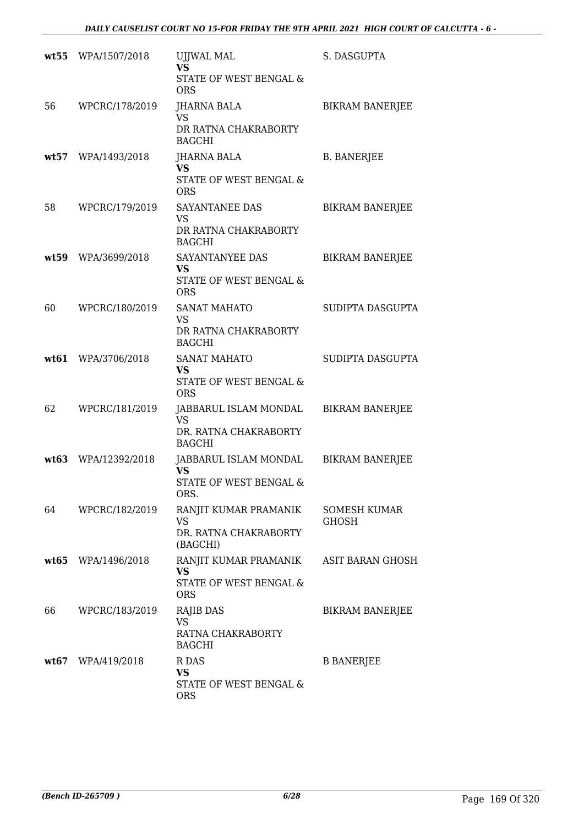|      | wt55 WPA/1507/2018  | <b>UJJWAL MAL</b><br><b>VS</b><br>STATE OF WEST BENGAL &<br><b>ORS</b>       | S. DASGUPTA                         |
|------|---------------------|------------------------------------------------------------------------------|-------------------------------------|
| 56   | WPCRC/178/2019      | JHARNA BALA<br><b>VS</b><br>DR RATNA CHAKRABORTY<br><b>BAGCHI</b>            | <b>BIKRAM BANERJEE</b>              |
|      | wt57 WPA/1493/2018  | JHARNA BALA<br><b>VS</b><br>STATE OF WEST BENGAL &<br><b>ORS</b>             | <b>B. BANERJEE</b>                  |
| 58   | WPCRC/179/2019      | SAYANTANEE DAS<br><b>VS</b><br>DR RATNA CHAKRABORTY<br><b>BAGCHI</b>         | <b>BIKRAM BANERJEE</b>              |
| wt59 | WPA/3699/2018       | SAYANTANYEE DAS<br><b>VS</b><br>STATE OF WEST BENGAL &<br><b>ORS</b>         | <b>BIKRAM BANERJEE</b>              |
| 60   | WPCRC/180/2019      | <b>SANAT MAHATO</b><br><b>VS</b><br>DR RATNA CHAKRABORTY<br><b>BAGCHI</b>    | SUDIPTA DASGUPTA                    |
| wt61 | WPA/3706/2018       | <b>SANAT MAHATO</b><br><b>VS</b><br>STATE OF WEST BENGAL &<br><b>ORS</b>     | SUDIPTA DASGUPTA                    |
| 62   | WPCRC/181/2019      | JABBARUL ISLAM MONDAL<br><b>VS</b><br>DR. RATNA CHAKRABORTY<br><b>BAGCHI</b> | <b>BIKRAM BANERJEE</b>              |
| wt63 | WPA/12392/2018      | JABBARUL ISLAM MONDAL<br><b>VS</b><br>STATE OF WEST BENGAL &<br>ORS.         | <b>BIKRAM BANERJEE</b>              |
| 64   | WPCRC/182/2019      | RANJIT KUMAR PRAMANIK<br><b>VS</b><br>DR. RATNA CHAKRABORTY<br>(BAGCHI)      | <b>SOMESH KUMAR</b><br><b>GHOSH</b> |
| wt65 | WPA/1496/2018       | RANJIT KUMAR PRAMANIK<br><b>VS</b><br>STATE OF WEST BENGAL &<br><b>ORS</b>   | ASIT BARAN GHOSH                    |
| 66   | WPCRC/183/2019      | RAJIB DAS<br><b>VS</b><br>RATNA CHAKRABORTY<br><b>BAGCHI</b>                 | <b>BIKRAM BANERJEE</b>              |
|      | $wt67$ WPA/419/2018 | R DAS<br>VS<br>STATE OF WEST BENGAL &<br><b>ORS</b>                          | <b>B BANERJEE</b>                   |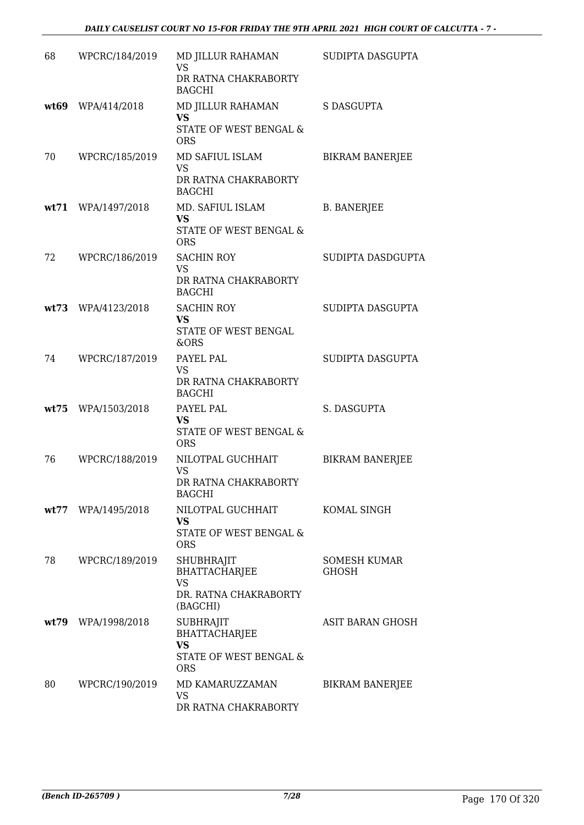| 68 | WPCRC/184/2019     | MD JILLUR RAHAMAN<br><b>VS</b><br>DR RATNA CHAKRABORTY<br><b>BAGCHI</b>                       | SUDIPTA DASGUPTA                    |
|----|--------------------|-----------------------------------------------------------------------------------------------|-------------------------------------|
|    | wt69 WPA/414/2018  | MD JILLUR RAHAMAN<br>VS<br>STATE OF WEST BENGAL &<br><b>ORS</b>                               | <b>S DASGUPTA</b>                   |
| 70 | WPCRC/185/2019     | MD SAFIUL ISLAM<br><b>VS</b><br>DR RATNA CHAKRABORTY<br><b>BAGCHI</b>                         | <b>BIKRAM BANERJEE</b>              |
|    | wt71 WPA/1497/2018 | MD. SAFIUL ISLAM<br><b>VS</b><br>STATE OF WEST BENGAL &<br><b>ORS</b>                         | <b>B. BANERJEE</b>                  |
| 72 | WPCRC/186/2019     | <b>SACHIN ROY</b><br><b>VS</b><br>DR RATNA CHAKRABORTY<br><b>BAGCHI</b>                       | SUDIPTA DASDGUPTA                   |
|    | wt73 WPA/4123/2018 | <b>SACHIN ROY</b><br><b>VS</b><br>STATE OF WEST BENGAL<br><b>&amp;ORS</b>                     | SUDIPTA DASGUPTA                    |
| 74 | WPCRC/187/2019     | PAYEL PAL<br><b>VS</b><br>DR RATNA CHAKRABORTY<br><b>BAGCHI</b>                               | SUDIPTA DASGUPTA                    |
|    | wt75 WPA/1503/2018 | PAYEL PAL<br><b>VS</b><br>STATE OF WEST BENGAL &<br><b>ORS</b>                                | S. DASGUPTA                         |
| 76 | WPCRC/188/2019     | NILOTPAL GUCHHAIT<br><b>VS</b><br>DR RATNA CHAKRABORTY<br><b>BAGCHI</b>                       | <b>BIKRAM BANERJEE</b>              |
|    | wt77 WPA/1495/2018 | NILOTPAL GUCHHAIT<br><b>VS</b><br>STATE OF WEST BENGAL &<br><b>ORS</b>                        | KOMAL SINGH                         |
| 78 | WPCRC/189/2019     | SHUBHRAJIT<br><b>BHATTACHARJEE</b><br><b>VS</b><br>DR. RATNA CHAKRABORTY<br>(BAGCHI)          | <b>SOMESH KUMAR</b><br><b>GHOSH</b> |
|    | wt79 WPA/1998/2018 | <b>SUBHRAJIT</b><br><b>BHATTACHARJEE</b><br><b>VS</b><br>STATE OF WEST BENGAL &<br><b>ORS</b> | ASIT BARAN GHOSH                    |
| 80 | WPCRC/190/2019     | MD KAMARUZZAMAN<br>VS<br>DR RATNA CHAKRABORTY                                                 | <b>BIKRAM BANERJEE</b>              |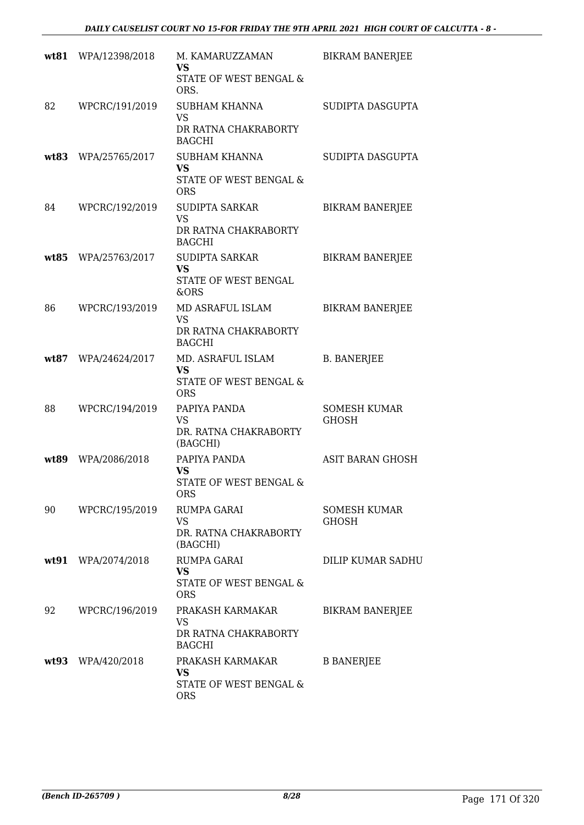|      | wt81 WPA/12398/2018 | M. KAMARUZZAMAN<br>VS<br>STATE OF WEST BENGAL &<br>ORS.                     | <b>BIKRAM BANERJEE</b>              |
|------|---------------------|-----------------------------------------------------------------------------|-------------------------------------|
| 82   | WPCRC/191/2019      | <b>SUBHAM KHANNA</b><br><b>VS</b><br>DR RATNA CHAKRABORTY<br><b>BAGCHI</b>  | SUDIPTA DASGUPTA                    |
|      | wt83 WPA/25765/2017 | SUBHAM KHANNA<br><b>VS</b><br>STATE OF WEST BENGAL &<br><b>ORS</b>          | SUDIPTA DASGUPTA                    |
| 84   | WPCRC/192/2019      | <b>SUDIPTA SARKAR</b><br><b>VS</b><br>DR RATNA CHAKRABORTY<br><b>BAGCHI</b> | <b>BIKRAM BANERJEE</b>              |
| wt85 | WPA/25763/2017      | SUDIPTA SARKAR<br><b>VS</b><br>STATE OF WEST BENGAL<br>&ORS                 | <b>BIKRAM BANERJEE</b>              |
| 86   | WPCRC/193/2019      | MD ASRAFUL ISLAM<br><b>VS</b><br>DR RATNA CHAKRABORTY<br><b>BAGCHI</b>      | <b>BIKRAM BANERJEE</b>              |
|      | wt87 WPA/24624/2017 | MD. ASRAFUL ISLAM<br><b>VS</b><br>STATE OF WEST BENGAL &<br><b>ORS</b>      | <b>B. BANERJEE</b>                  |
| 88   | WPCRC/194/2019      | PAPIYA PANDA<br>VS<br>DR. RATNA CHAKRABORTY<br>(BAGCHI)                     | <b>SOMESH KUMAR</b><br>GHOSH        |
| wt89 | WPA/2086/2018       | PAPIYA PANDA<br><b>VS</b><br>STATE OF WEST BENGAL &<br>ORS                  | <b>ASIT BARAN GHOSH</b>             |
| 90   | WPCRC/195/2019      | RUMPA GARAI<br><b>VS</b><br>DR. RATNA CHAKRABORTY<br>(BAGCHI)               | <b>SOMESH KUMAR</b><br><b>GHOSH</b> |
|      | wt91 WPA/2074/2018  | <b>RUMPA GARAI</b><br>VS<br>STATE OF WEST BENGAL &<br><b>ORS</b>            | DILIP KUMAR SADHU                   |
| 92   | WPCRC/196/2019      | PRAKASH KARMAKAR<br>VS<br>DR RATNA CHAKRABORTY<br><b>BAGCHI</b>             | <b>BIKRAM BANERJEE</b>              |
|      | wt93 WPA/420/2018   | PRAKASH KARMAKAR<br><b>VS</b><br>STATE OF WEST BENGAL &<br><b>ORS</b>       | <b>B BANERJEE</b>                   |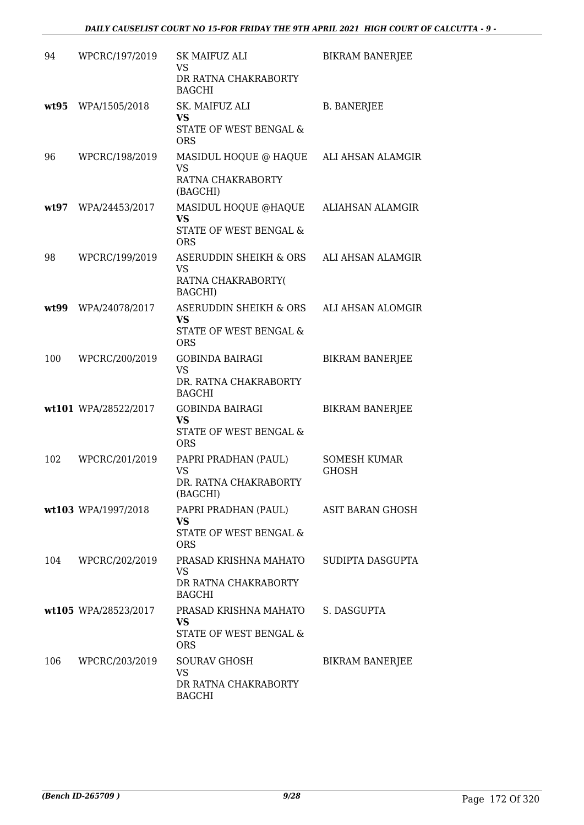| 94   | WPCRC/197/2019       | SK MAIFUZ ALI<br>VS<br>DR RATNA CHAKRABORTY<br><b>BAGCHI</b>                           | <b>BIKRAM BANERJEE</b>              |
|------|----------------------|----------------------------------------------------------------------------------------|-------------------------------------|
|      | wt95 WPA/1505/2018   | SK. MAIFUZ ALI<br><b>VS</b><br>STATE OF WEST BENGAL &<br><b>ORS</b>                    | <b>B. BANERJEE</b>                  |
| 96   | WPCRC/198/2019       | MASIDUL HOQUE @ HAQUE ALI AHSAN ALAMGIR<br><b>VS</b><br>RATNA CHAKRABORTY<br>(BAGCHI)  |                                     |
| wt97 | WPA/24453/2017       | MASIDUL HOQUE @HAQUE<br><b>VS</b><br>STATE OF WEST BENGAL &<br><b>ORS</b>              | ALIAHSAN ALAMGIR                    |
| 98   | WPCRC/199/2019       | ASERUDDIN SHEIKH & ORS<br><b>VS</b><br>RATNA CHAKRABORTY(<br>BAGCHI)                   | ALI AHSAN ALAMGIR                   |
|      | wt99 WPA/24078/2017  | ASERUDDIN SHEIKH & ORS<br><b>VS</b><br>STATE OF WEST BENGAL &<br><b>ORS</b>            | ALI AHSAN ALOMGIR                   |
| 100  | WPCRC/200/2019       | <b>GOBINDA BAIRAGI</b><br><b>VS</b><br>DR. RATNA CHAKRABORTY<br><b>BAGCHI</b>          | <b>BIKRAM BANERJEE</b>              |
|      | wt101 WPA/28522/2017 | <b>GOBINDA BAIRAGI</b><br><b>VS</b><br>STATE OF WEST BENGAL &<br><b>ORS</b>            | <b>BIKRAM BANERJEE</b>              |
| 102  | WPCRC/201/2019       | PAPRI PRADHAN (PAUL)<br><b>VS</b><br>DR. RATNA CHAKRABORTY<br>(BAGCHI)                 | <b>SOMESH KUMAR</b><br><b>GHOSH</b> |
|      | wt103 WPA/1997/2018  | PAPRI PRADHAN (PAUL)<br><b>VS</b><br><b>STATE OF WEST BENGAL &amp;</b><br><b>ORS</b>   | ASIT BARAN GHOSH                    |
| 104  | WPCRC/202/2019       | PRASAD KRISHNA MAHATO<br>VS<br>DR RATNA CHAKRABORTY<br><b>BAGCHI</b>                   | SUDIPTA DASGUPTA                    |
|      | wt105 WPA/28523/2017 | PRASAD KRISHNA MAHATO S. DASGUPTA<br><b>VS</b><br>STATE OF WEST BENGAL &<br><b>ORS</b> |                                     |
| 106  | WPCRC/203/2019       | <b>SOURAV GHOSH</b><br><b>VS</b><br>DR RATNA CHAKRABORTY<br><b>BAGCHI</b>              | <b>BIKRAM BANERJEE</b>              |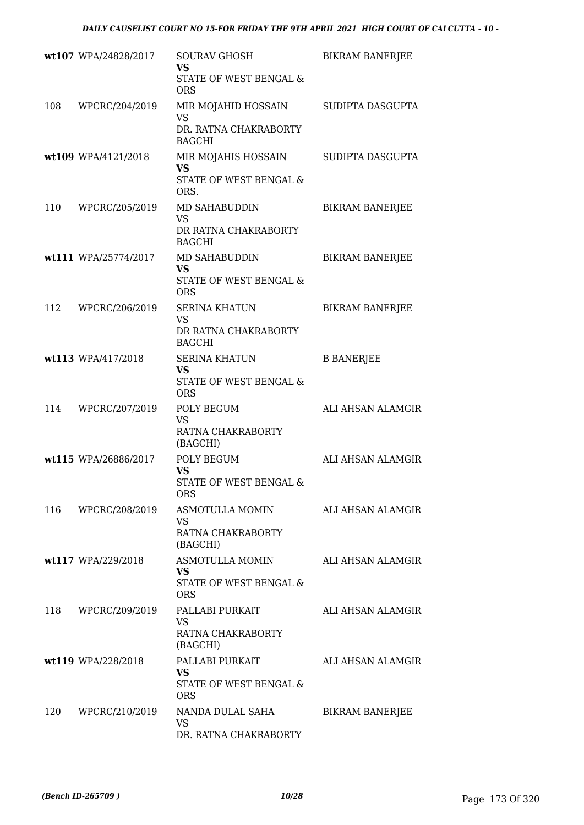|     | wt107 WPA/24828/2017 | <b>SOURAV GHOSH</b><br><b>VS</b>                                     | <b>BIKRAM BANERJEE</b> |
|-----|----------------------|----------------------------------------------------------------------|------------------------|
|     |                      | STATE OF WEST BENGAL &<br><b>ORS</b>                                 |                        |
| 108 | WPCRC/204/2019       | MIR MOJAHID HOSSAIN<br><b>VS</b>                                     | SUDIPTA DASGUPTA       |
|     |                      | DR. RATNA CHAKRABORTY<br><b>BAGCHI</b>                               |                        |
|     | wt109 WPA/4121/2018  | MIR MOJAHIS HOSSAIN<br><b>VS</b><br>STATE OF WEST BENGAL &<br>ORS.   | SUDIPTA DASGUPTA       |
| 110 | WPCRC/205/2019       | MD SAHABUDDIN<br><b>VS</b><br>DR RATNA CHAKRABORTY                   | <b>BIKRAM BANERJEE</b> |
|     |                      | <b>BAGCHI</b>                                                        |                        |
|     | wt111 WPA/25774/2017 | MD SAHABUDDIN<br><b>VS</b><br>STATE OF WEST BENGAL &<br><b>ORS</b>   | <b>BIKRAM BANERJEE</b> |
| 112 | WPCRC/206/2019       | <b>SERINA KHATUN</b>                                                 | <b>BIKRAM BANERJEE</b> |
|     |                      | <b>VS</b><br>DR RATNA CHAKRABORTY<br><b>BAGCHI</b>                   |                        |
|     | wt113 WPA/417/2018   | <b>SERINA KHATUN</b><br>VS<br>STATE OF WEST BENGAL &<br><b>ORS</b>   | <b>B BANERJEE</b>      |
| 114 | WPCRC/207/2019       | POLY BEGUM<br><b>VS</b>                                              | ALI AHSAN ALAMGIR      |
|     |                      | RATNA CHAKRABORTY<br>(BAGCHI)                                        |                        |
|     | wt115 WPA/26886/2017 | POLY BEGUM<br><b>VS</b><br>STATE OF WEST BENGAL &<br><b>ORS</b>      | ALI AHSAN ALAMGIR      |
|     | 116 WPCRC/208/2019   | ASMOTULLA MOMIN<br>VS<br>RATNA CHAKRABORTY                           | ALI AHSAN ALAMGIR      |
|     |                      | (BAGCHI)<br>ASMOTULLA MOMIN                                          |                        |
|     | wt117 WPA/229/2018   | <b>VS</b><br>STATE OF WEST BENGAL &<br><b>ORS</b>                    | ALI AHSAN ALAMGIR      |
| 118 | WPCRC/209/2019       | PALLABI PURKAIT<br><b>VS</b>                                         | ALI AHSAN ALAMGIR      |
|     |                      | RATNA CHAKRABORTY<br>(BAGCHI)                                        |                        |
|     | wt119 WPA/228/2018   | PALLABI PURKAIT<br><b>VS</b><br>STATE OF WEST BENGAL &<br><b>ORS</b> | ALI AHSAN ALAMGIR      |
| 120 | WPCRC/210/2019       | NANDA DULAL SAHA<br>VS<br>DR. RATNA CHAKRABORTY                      | <b>BIKRAM BANERJEE</b> |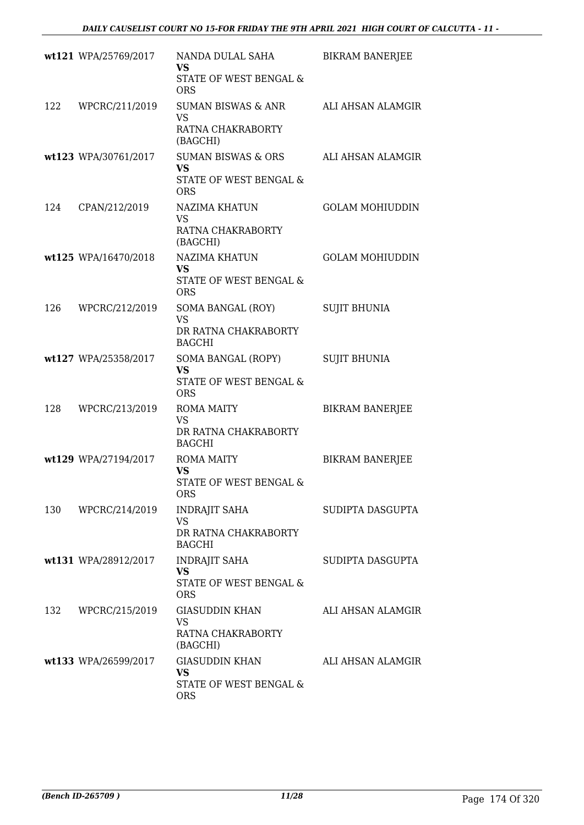|     | wt121 WPA/25769/2017 | NANDA DULAL SAHA<br>VS<br>STATE OF WEST BENGAL &<br><b>ORS</b>             | <b>BIKRAM BANERJEE</b> |
|-----|----------------------|----------------------------------------------------------------------------|------------------------|
| 122 | WPCRC/211/2019       | SUMAN BISWAS & ANR<br><b>VS</b><br>RATNA CHAKRABORTY<br>(BAGCHI)           | ALI AHSAN ALAMGIR      |
|     | wt123 WPA/30761/2017 | SUMAN BISWAS & ORS<br><b>VS</b><br>STATE OF WEST BENGAL &<br><b>ORS</b>    | ALI AHSAN ALAMGIR      |
| 124 | CPAN/212/2019        | NAZIMA KHATUN<br><b>VS</b><br>RATNA CHAKRABORTY<br>(BAGCHI)                | <b>GOLAM MOHIUDDIN</b> |
|     | wt125 WPA/16470/2018 | NAZIMA KHATUN<br><b>VS</b><br>STATE OF WEST BENGAL &<br><b>ORS</b>         | <b>GOLAM MOHIUDDIN</b> |
| 126 | WPCRC/212/2019       | SOMA BANGAL (ROY)<br><b>VS</b><br>DR RATNA CHAKRABORTY<br><b>BAGCHI</b>    | <b>SUJIT BHUNIA</b>    |
|     | wt127 WPA/25358/2017 | SOMA BANGAL (ROPY)<br><b>VS</b><br>STATE OF WEST BENGAL &<br><b>ORS</b>    | <b>SUJIT BHUNIA</b>    |
| 128 | WPCRC/213/2019       | <b>ROMA MAITY</b><br>VS<br>DR RATNA CHAKRABORTY<br><b>BAGCHI</b>           | <b>BIKRAM BANERJEE</b> |
|     | wt129 WPA/27194/2017 | <b>ROMA MAITY</b><br><b>VS</b><br>STATE OF WEST BENGAL &<br><b>ORS</b>     | <b>BIKRAM BANERJEE</b> |
|     | 130 WPCRC/214/2019   | <b>INDRAJIT SAHA</b><br><b>VS</b><br>DR RATNA CHAKRABORTY<br><b>BAGCHI</b> | SUDIPTA DASGUPTA       |
|     | wt131 WPA/28912/2017 | <b>INDRAJIT SAHA</b><br><b>VS</b><br>STATE OF WEST BENGAL &<br><b>ORS</b>  | SUDIPTA DASGUPTA       |
| 132 | WPCRC/215/2019       | GIASUDDIN KHAN<br><b>VS</b><br>RATNA CHAKRABORTY<br>(BAGCHI)               | ALI AHSAN ALAMGIR      |
|     | wt133 WPA/26599/2017 | <b>GIASUDDIN KHAN</b><br><b>VS</b><br>STATE OF WEST BENGAL &<br><b>ORS</b> | ALI AHSAN ALAMGIR      |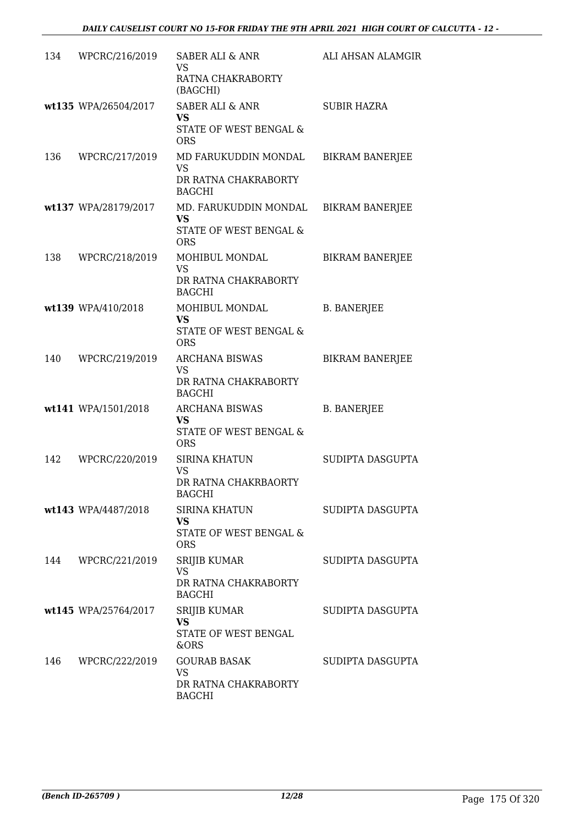|     | 134 WPCRC/216/2019   | <b>SABER ALI &amp; ANR</b><br>VS.<br>RATNA CHAKRABORTY<br>(BAGCHI)                         | ALI AHSAN ALAMGIR      |
|-----|----------------------|--------------------------------------------------------------------------------------------|------------------------|
|     | wt135 WPA/26504/2017 | <b>SABER ALI &amp; ANR</b><br><b>VS</b><br>STATE OF WEST BENGAL &<br><b>ORS</b>            | <b>SUBIR HAZRA</b>     |
| 136 | WPCRC/217/2019       | MD FARUKUDDIN MONDAL<br><b>VS</b><br>DR RATNA CHAKRABORTY<br><b>BAGCHI</b>                 | <b>BIKRAM BANERJEE</b> |
|     | wt137 WPA/28179/2017 | MD. FARUKUDDIN MONDAL BIKRAM BANERJEE<br><b>VS</b><br>STATE OF WEST BENGAL &<br><b>ORS</b> |                        |
| 138 | WPCRC/218/2019       | MOHIBUL MONDAL<br><b>VS</b><br>DR RATNA CHAKRABORTY<br><b>BAGCHI</b>                       | <b>BIKRAM BANERJEE</b> |
|     | wt139 WPA/410/2018   | MOHIBUL MONDAL<br><b>VS</b><br>STATE OF WEST BENGAL &<br><b>ORS</b>                        | <b>B. BANERJEE</b>     |
| 140 | WPCRC/219/2019       | <b>ARCHANA BISWAS</b><br>VS<br>DR RATNA CHAKRABORTY<br><b>BAGCHI</b>                       | <b>BIKRAM BANERJEE</b> |
|     | wt141 WPA/1501/2018  | ARCHANA BISWAS<br>VS.<br>STATE OF WEST BENGAL &<br><b>ORS</b>                              | <b>B. BANERJEE</b>     |
| 142 | WPCRC/220/2019       | <b>SIRINA KHATUN</b><br><b>VS</b><br>DR RATNA CHAKRBAORTY<br><b>BAGCHI</b>                 | SUDIPTA DASGUPTA       |
|     | wt143 WPA/4487/2018  | <b>SIRINA KHATUN</b><br>VS<br>STATE OF WEST BENGAL &<br><b>ORS</b>                         | SUDIPTA DASGUPTA       |
|     | 144 WPCRC/221/2019   | <b>SRIJIB KUMAR</b><br><b>VS</b><br>DR RATNA CHAKRABORTY<br><b>BAGCHI</b>                  | SUDIPTA DASGUPTA       |
|     | wt145 WPA/25764/2017 | <b>SRIJIB KUMAR</b><br><b>VS</b><br>STATE OF WEST BENGAL<br>&ORS                           | SUDIPTA DASGUPTA       |
|     | 146 WPCRC/222/2019   | <b>GOURAB BASAK</b><br>VS<br>DR RATNA CHAKRABORTY<br><b>BAGCHI</b>                         | SUDIPTA DASGUPTA       |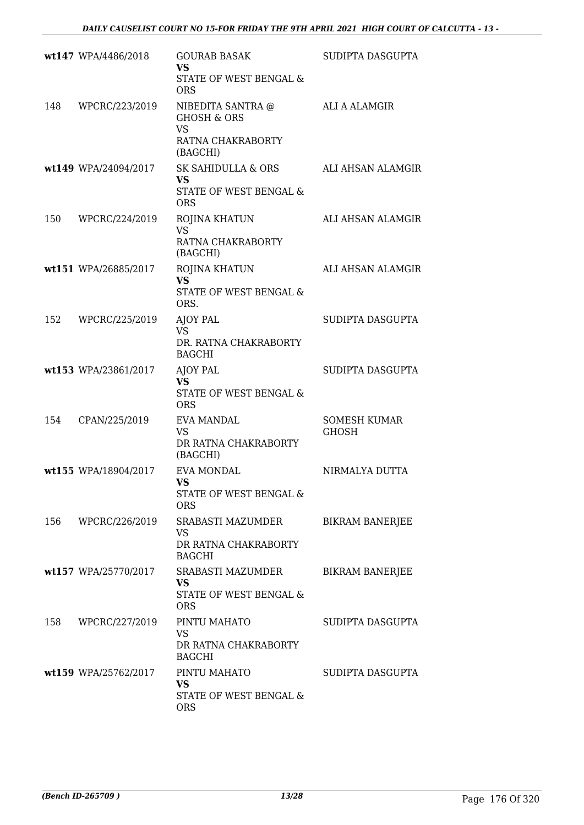|     | wt147 WPA/4486/2018  | <b>GOURAB BASAK</b><br><b>VS</b>                                        | SUDIPTA DASGUPTA                    |
|-----|----------------------|-------------------------------------------------------------------------|-------------------------------------|
|     |                      | STATE OF WEST BENGAL &<br><b>ORS</b>                                    |                                     |
| 148 | WPCRC/223/2019       | NIBEDITA SANTRA @<br><b>GHOSH &amp; ORS</b><br><b>VS</b>                | ALI A ALAMGIR                       |
|     |                      | RATNA CHAKRABORTY<br>(BAGCHI)                                           |                                     |
|     | wt149 WPA/24094/2017 | SK SAHIDULLA & ORS<br><b>VS</b><br>STATE OF WEST BENGAL &<br><b>ORS</b> | ALI AHSAN ALAMGIR                   |
| 150 | WPCRC/224/2019       | ROJINA KHATUN<br><b>VS</b><br>RATNA CHAKRABORTY<br>(BAGCHI)             | ALI AHSAN ALAMGIR                   |
|     | wt151 WPA/26885/2017 | ROJINA KHATUN<br><b>VS</b><br>STATE OF WEST BENGAL &<br>ORS.            | ALI AHSAN ALAMGIR                   |
| 152 | WPCRC/225/2019       | AJOY PAL<br><b>VS</b><br>DR. RATNA CHAKRABORTY<br><b>BAGCHI</b>         | SUDIPTA DASGUPTA                    |
|     | wt153 WPA/23861/2017 | AJOY PAL<br><b>VS</b><br>STATE OF WEST BENGAL &<br><b>ORS</b>           | SUDIPTA DASGUPTA                    |
| 154 | CPAN/225/2019        | <b>EVA MANDAL</b><br><b>VS</b><br>DR RATNA CHAKRABORTY<br>(BAGCHI)      | <b>SOMESH KUMAR</b><br><b>GHOSH</b> |
|     | wt155 WPA/18904/2017 | <b>EVA MONDAL</b><br><b>VS</b><br>STATE OF WEST BENGAL &<br><b>ORS</b>  | NIRMALYA DUTTA                      |
|     | 156 WPCRC/226/2019   | SRABASTI MAZUMDER<br>VS<br>DR RATNA CHAKRABORTY<br><b>BAGCHI</b>        | <b>BIKRAM BANERJEE</b>              |
|     | wt157 WPA/25770/2017 | SRABASTI MAZUMDER<br><b>VS</b><br>STATE OF WEST BENGAL &<br><b>ORS</b>  | <b>BIKRAM BANERJEE</b>              |
| 158 | WPCRC/227/2019       | PINTU MAHATO<br><b>VS</b><br>DR RATNA CHAKRABORTY<br><b>BAGCHI</b>      | SUDIPTA DASGUPTA                    |
|     | wt159 WPA/25762/2017 | PINTU MAHATO<br>VS<br>STATE OF WEST BENGAL &<br><b>ORS</b>              | SUDIPTA DASGUPTA                    |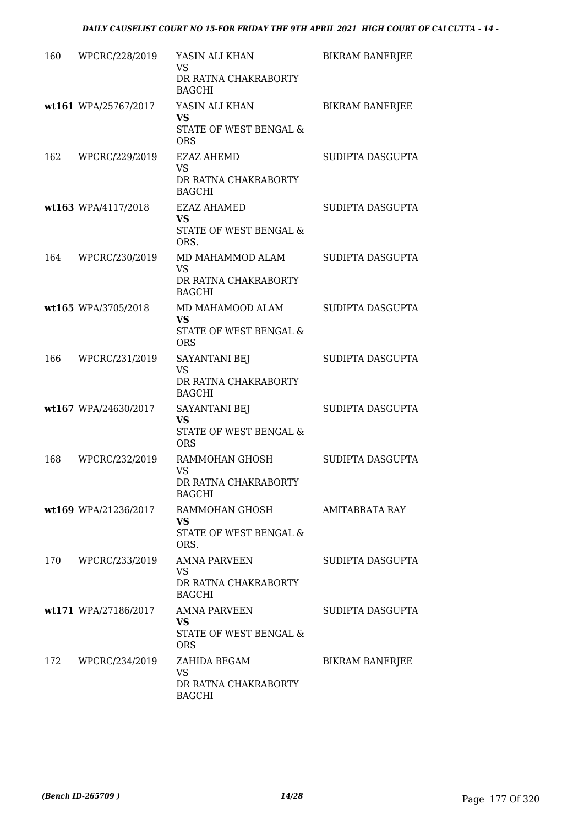| 160 | WPCRC/228/2019       | YASIN ALI KHAN<br>VS<br>DR RATNA CHAKRABORTY<br><b>BAGCHI</b>                    | <b>BIKRAM BANERJEE</b> |
|-----|----------------------|----------------------------------------------------------------------------------|------------------------|
|     | wt161 WPA/25767/2017 | YASIN ALI KHAN<br>VS<br>STATE OF WEST BENGAL &<br><b>ORS</b>                     | <b>BIKRAM BANERJEE</b> |
| 162 | WPCRC/229/2019       | <b>EZAZ AHEMD</b><br><b>VS</b><br>DR RATNA CHAKRABORTY<br><b>BAGCHI</b>          | SUDIPTA DASGUPTA       |
|     | wt163 WPA/4117/2018  | <b>EZAZ AHAMED</b><br><b>VS</b><br>STATE OF WEST BENGAL &<br>ORS.                | SUDIPTA DASGUPTA       |
| 164 | WPCRC/230/2019       | MD MAHAMMOD ALAM<br>VS<br>DR RATNA CHAKRABORTY<br><b>BAGCHI</b>                  | SUDIPTA DASGUPTA       |
|     | wt165 WPA/3705/2018  | MD MAHAMOOD ALAM<br><b>VS</b><br><b>STATE OF WEST BENGAL &amp;</b><br><b>ORS</b> | SUDIPTA DASGUPTA       |
| 166 | WPCRC/231/2019       | SAYANTANI BEJ<br>VS<br>DR RATNA CHAKRABORTY<br><b>BAGCHI</b>                     | SUDIPTA DASGUPTA       |
|     | wt167 WPA/24630/2017 | SAYANTANI BEJ<br><b>VS</b><br>STATE OF WEST BENGAL &<br><b>ORS</b>               | SUDIPTA DASGUPTA       |
| 168 | WPCRC/232/2019       | RAMMOHAN GHOSH<br><b>VS</b><br>DR RATNA CHAKRABORTY<br><b>BAGCHI</b>             | SUDIPTA DASGUPTA       |
|     | wt169 WPA/21236/2017 | RAMMOHAN GHOSH<br>VS.<br>STATE OF WEST BENGAL &<br>ORS.                          | AMITABRATA RAY         |
|     | 170 WPCRC/233/2019   | <b>AMNA PARVEEN</b><br>VS<br>DR RATNA CHAKRABORTY<br><b>BAGCHI</b>               | SUDIPTA DASGUPTA       |
|     | wt171 WPA/27186/2017 | <b>AMNA PARVEEN</b><br><b>VS</b><br>STATE OF WEST BENGAL &<br><b>ORS</b>         | SUDIPTA DASGUPTA       |
|     | 172 WPCRC/234/2019   | ZAHIDA BEGAM<br><b>VS</b><br>DR RATNA CHAKRABORTY<br><b>BAGCHI</b>               | <b>BIKRAM BANERJEE</b> |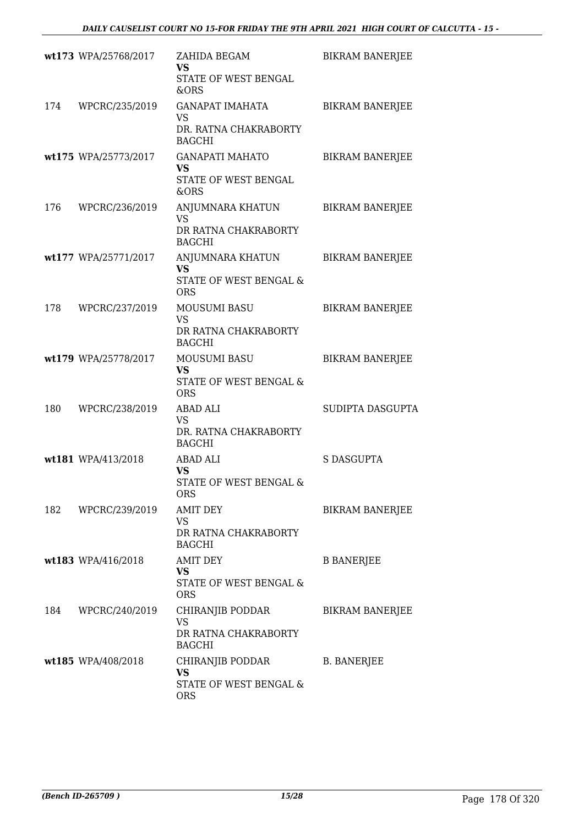|     | wt173 WPA/25768/2017 | ZAHIDA BEGAM<br><b>VS</b><br>STATE OF WEST BENGAL<br>&ORS                     | <b>BIKRAM BANERJEE</b> |
|-----|----------------------|-------------------------------------------------------------------------------|------------------------|
|     | 174 WPCRC/235/2019   | <b>GANAPAT IMAHATA</b><br><b>VS</b><br>DR. RATNA CHAKRABORTY<br><b>BAGCHI</b> | <b>BIKRAM BANERJEE</b> |
|     | wt175 WPA/25773/2017 | <b>GANAPATI MAHATO</b><br><b>VS</b><br>STATE OF WEST BENGAL<br>&ORS           | <b>BIKRAM BANERJEE</b> |
| 176 | WPCRC/236/2019       | ANJUMNARA KHATUN<br>VS<br>DR RATNA CHAKRABORTY<br><b>BAGCHI</b>               | <b>BIKRAM BANERJEE</b> |
|     | wt177 WPA/25771/2017 | ANJUMNARA KHATUN<br><b>VS</b><br>STATE OF WEST BENGAL &<br><b>ORS</b>         | <b>BIKRAM BANERJEE</b> |
| 178 | WPCRC/237/2019       | MOUSUMI BASU<br><b>VS</b><br>DR RATNA CHAKRABORTY<br><b>BAGCHI</b>            | <b>BIKRAM BANERJEE</b> |
|     | wt179 WPA/25778/2017 | MOUSUMI BASU<br><b>VS</b><br>STATE OF WEST BENGAL &<br><b>ORS</b>             | <b>BIKRAM BANERJEE</b> |
| 180 | WPCRC/238/2019       | ABAD ALI<br><b>VS</b><br>DR. RATNA CHAKRABORTY<br><b>BAGCHI</b>               | SUDIPTA DASGUPTA       |
|     | wt181 WPA/413/2018   | <b>ABAD ALI</b><br><b>VS</b><br>STATE OF WEST BENGAL &<br><b>ORS</b>          | S DASGUPTA             |
|     | 182 WPCRC/239/2019   | <b>AMIT DEY</b><br>VS<br>DR RATNA CHAKRABORTY<br><b>BAGCHI</b>                | <b>BIKRAM BANERJEE</b> |
|     | wt183 WPA/416/2018   | <b>AMIT DEY</b><br><b>VS</b><br>STATE OF WEST BENGAL &<br><b>ORS</b>          | <b>B BANERJEE</b>      |
| 184 | WPCRC/240/2019       | CHIRANJIB PODDAR<br>VS<br>DR RATNA CHAKRABORTY<br><b>BAGCHI</b>               | <b>BIKRAM BANERJEE</b> |
|     | wt185 WPA/408/2018   | CHIRANJIB PODDAR<br><b>VS</b><br>STATE OF WEST BENGAL &<br><b>ORS</b>         | <b>B. BANERJEE</b>     |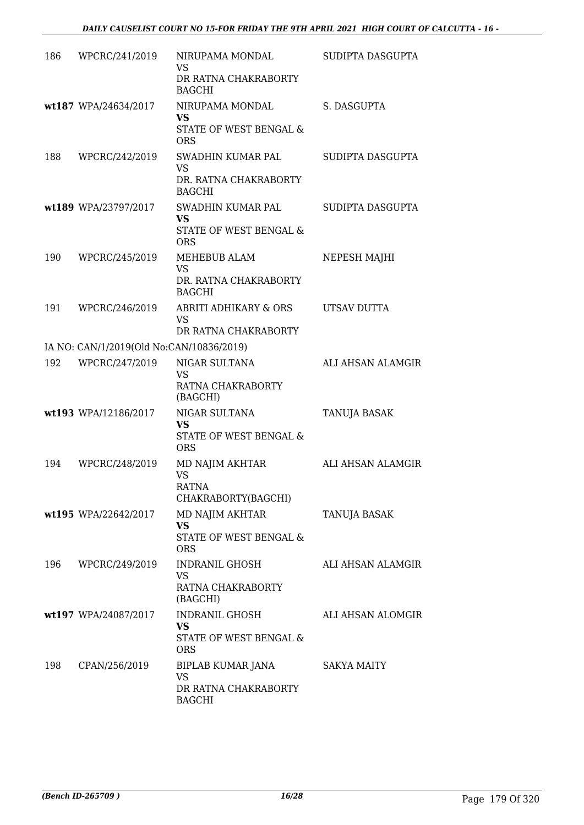| 186 | WPCRC/241/2019                           | NIRUPAMA MONDAL<br>VS<br>DR RATNA CHAKRABORTY<br><b>BAGCHI</b>           | SUDIPTA DASGUPTA  |
|-----|------------------------------------------|--------------------------------------------------------------------------|-------------------|
|     | wt187 WPA/24634/2017                     | NIRUPAMA MONDAL<br><b>VS</b><br>STATE OF WEST BENGAL &<br><b>ORS</b>     | S. DASGUPTA       |
| 188 | WPCRC/242/2019                           | SWADHIN KUMAR PAL<br><b>VS</b><br>DR. RATNA CHAKRABORTY<br><b>BAGCHI</b> | SUDIPTA DASGUPTA  |
|     | wt189 WPA/23797/2017                     | SWADHIN KUMAR PAL<br><b>VS</b><br>STATE OF WEST BENGAL &<br><b>ORS</b>   | SUDIPTA DASGUPTA  |
| 190 | WPCRC/245/2019                           | MEHEBUB ALAM<br><b>VS</b><br>DR. RATNA CHAKRABORTY<br><b>BAGCHI</b>      | NEPESH MAJHI      |
| 191 | WPCRC/246/2019                           | <b>ABRITI ADHIKARY &amp; ORS</b><br>VS<br>DR RATNA CHAKRABORTY           | UTSAV DUTTA       |
|     | IA NO: CAN/1/2019(Old No:CAN/10836/2019) |                                                                          |                   |
| 192 | WPCRC/247/2019                           | NIGAR SULTANA<br><b>VS</b><br>RATNA CHAKRABORTY<br>(BAGCHI)              | ALI AHSAN ALAMGIR |
|     | wt193 WPA/12186/2017                     | NIGAR SULTANA<br><b>VS</b><br>STATE OF WEST BENGAL &<br><b>ORS</b>       | TANUJA BASAK      |
| 194 | WPCRC/248/2019                           | <b>MD NAJIM AKHTAR</b><br>VS<br><b>RATNA</b><br>CHAKRABORTY(BAGCHI)      | ALI AHSAN ALAMGIR |
|     | wt195 WPA/22642/2017                     | MD NAJIM AKHTAR<br><b>VS</b><br>STATE OF WEST BENGAL &<br><b>ORS</b>     | TANUJA BASAK      |
| 196 | WPCRC/249/2019                           | INDRANIL GHOSH<br>VS<br>RATNA CHAKRABORTY<br>(BAGCHI)                    | ALI AHSAN ALAMGIR |
|     | wt197 WPA/24087/2017                     | INDRANIL GHOSH<br>VS<br>STATE OF WEST BENGAL &<br><b>ORS</b>             | ALI AHSAN ALOMGIR |
| 198 | CPAN/256/2019                            | BIPLAB KUMAR JANA<br>VS<br>DR RATNA CHAKRABORTY<br><b>BAGCHI</b>         | SAKYA MAITY       |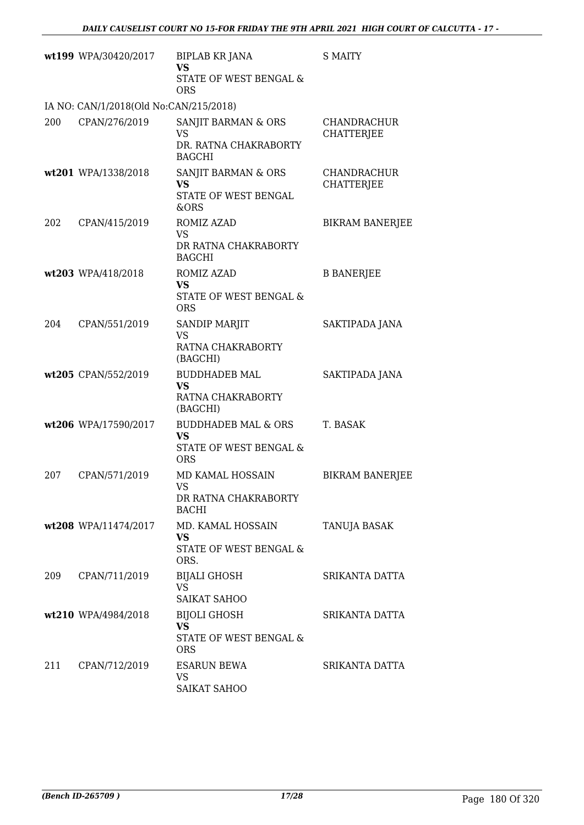|     | wt199 WPA/30420/2017                   | <b>BIPLAB KR JANA</b><br><b>VS</b><br>STATE OF WEST BENGAL &<br><b>ORS</b>          | <b>S MAITY</b>                          |
|-----|----------------------------------------|-------------------------------------------------------------------------------------|-----------------------------------------|
|     | IA NO: CAN/1/2018(Old No:CAN/215/2018) |                                                                                     |                                         |
| 200 | CPAN/276/2019                          | SANJIT BARMAN & ORS<br><b>VS</b><br>DR. RATNA CHAKRABORTY<br><b>BAGCHI</b>          | <b>CHANDRACHUR</b><br><b>CHATTERJEE</b> |
|     | wt201 WPA/1338/2018                    | SANJIT BARMAN & ORS<br><b>VS</b><br>STATE OF WEST BENGAL<br><b>&amp;ORS</b>         | CHANDRACHUR<br><b>CHATTERJEE</b>        |
| 202 | CPAN/415/2019                          | ROMIZ AZAD<br>VS<br>DR RATNA CHAKRABORTY<br><b>BAGCHI</b>                           | <b>BIKRAM BANERJEE</b>                  |
|     | wt203 WPA/418/2018                     | <b>ROMIZ AZAD</b><br><b>VS</b><br>STATE OF WEST BENGAL &<br><b>ORS</b>              | <b>B BANERJEE</b>                       |
| 204 | CPAN/551/2019                          | SANDIP MARJIT<br><b>VS</b><br>RATNA CHAKRABORTY<br>(BAGCHI)                         | SAKTIPADA JANA                          |
|     | wt205 CPAN/552/2019                    | <b>BUDDHADEB MAL</b><br>VS<br>RATNA CHAKRABORTY<br>(BAGCHI)                         | SAKTIPADA JANA                          |
|     | wt206 WPA/17590/2017                   | <b>BUDDHADEB MAL &amp; ORS</b><br><b>VS</b><br>STATE OF WEST BENGAL &<br><b>ORS</b> | T. BASAK                                |
| 207 | CPAN/571/2019                          | MD KAMAL HOSSAIN<br>VS —<br>DR RATNA CHAKRABORTY<br><b>BACHI</b>                    | <b>BIKRAM BANERJEE</b>                  |
|     | wt208 WPA/11474/2017                   | MD. KAMAL HOSSAIN<br><b>VS</b><br>STATE OF WEST BENGAL &<br>ORS.                    | TANUJA BASAK                            |
| 209 | CPAN/711/2019                          | <b>BIJALI GHOSH</b><br><b>VS</b><br><b>SAIKAT SAHOO</b>                             | SRIKANTA DATTA                          |
|     | wt210 WPA/4984/2018                    | <b>BIJOLI GHOSH</b><br><b>VS</b><br>STATE OF WEST BENGAL &<br><b>ORS</b>            | SRIKANTA DATTA                          |
| 211 | CPAN/712/2019                          | <b>ESARUN BEWA</b><br>VS<br><b>SAIKAT SAHOO</b>                                     | SRIKANTA DATTA                          |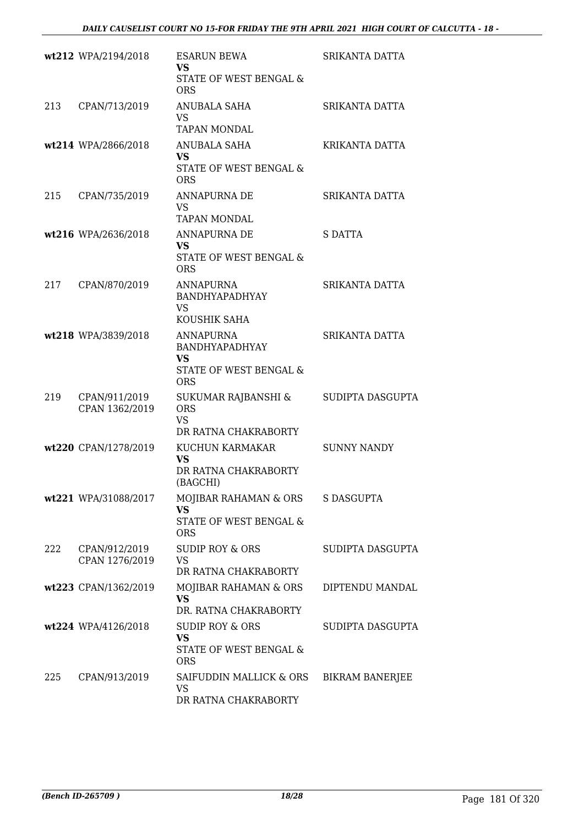|     | wt212 WPA/2194/2018             | <b>ESARUN BEWA</b><br><b>VS</b>                                                  | SRIKANTA DATTA         |
|-----|---------------------------------|----------------------------------------------------------------------------------|------------------------|
|     |                                 | STATE OF WEST BENGAL &<br><b>ORS</b>                                             |                        |
| 213 | CPAN/713/2019                   | <b>ANUBALA SAHA</b><br><b>VS</b><br><b>TAPAN MONDAL</b>                          | SRIKANTA DATTA         |
|     | wt214 WPA/2866/2018             | ANUBALA SAHA<br><b>VS</b><br>STATE OF WEST BENGAL &<br><b>ORS</b>                | KRIKANTA DATTA         |
| 215 | CPAN/735/2019                   | <b>ANNAPURNA DE</b><br><b>VS</b><br><b>TAPAN MONDAL</b>                          | SRIKANTA DATTA         |
|     | wt216 WPA/2636/2018             | <b>ANNAPURNA DE</b><br><b>VS</b><br>STATE OF WEST BENGAL &<br><b>ORS</b>         | S DATTA                |
| 217 | CPAN/870/2019                   | <b>ANNAPURNA</b><br>BANDHYAPADHYAY<br><b>VS</b><br>KOUSHIK SAHA                  | SRIKANTA DATTA         |
|     | wt218 WPA/3839/2018             | ANNAPURNA<br>BANDHYAPADHYAY<br><b>VS</b><br>STATE OF WEST BENGAL &<br><b>ORS</b> | SRIKANTA DATTA         |
| 219 | CPAN/911/2019<br>CPAN 1362/2019 | SUKUMAR RAJBANSHI &<br><b>ORS</b><br><b>VS</b><br>DR RATNA CHAKRABORTY           | SUDIPTA DASGUPTA       |
|     | wt220 CPAN/1278/2019            | KUCHUN KARMAKAR<br><b>VS</b><br>DR RATNA CHAKRABORTY<br>(BAGCHI)                 | <b>SUNNY NANDY</b>     |
|     | wt221 WPA/31088/2017            | MOJIBAR RAHAMAN & ORS<br>VS<br><b>STATE OF WEST BENGAL &amp;</b><br><b>ORS</b>   | <b>S DASGUPTA</b>      |
| 222 | CPAN/912/2019<br>CPAN 1276/2019 | <b>SUDIP ROY &amp; ORS</b><br><b>VS</b><br>DR RATNA CHAKRABORTY                  | SUDIPTA DASGUPTA       |
|     | wt223 CPAN/1362/2019            | MOJIBAR RAHAMAN & ORS<br><b>VS</b><br>DR. RATNA CHAKRABORTY                      | DIPTENDU MANDAL        |
|     | wt224 WPA/4126/2018             | <b>SUDIP ROY &amp; ORS</b><br><b>VS</b><br>STATE OF WEST BENGAL &<br><b>ORS</b>  | SUDIPTA DASGUPTA       |
| 225 | CPAN/913/2019                   | SAIFUDDIN MALLICK & ORS<br><b>VS</b><br>DR RATNA CHAKRABORTY                     | <b>BIKRAM BANERJEE</b> |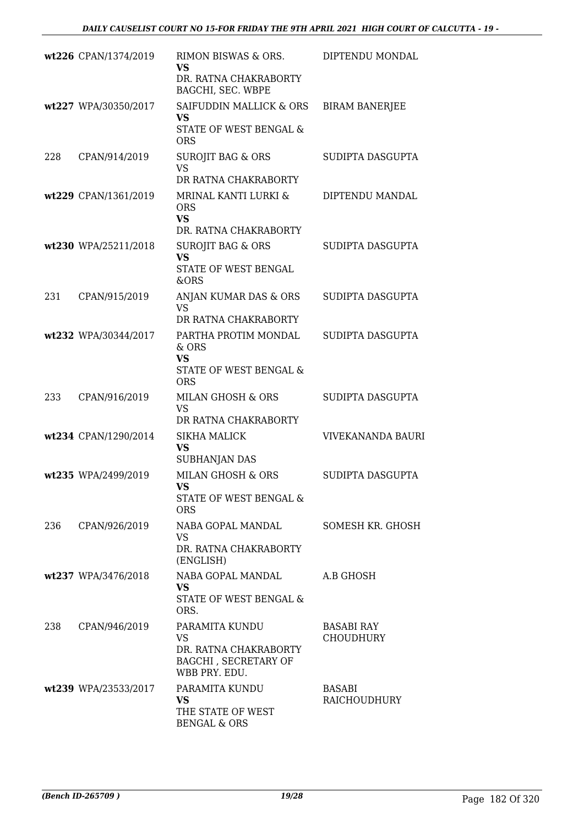|     | wt226 CPAN/1374/2019 | RIMON BISWAS & ORS.<br><b>VS</b><br>DR. RATNA CHAKRABORTY<br>BAGCHI, SEC. WBPE                | DIPTENDU MONDAL                      |
|-----|----------------------|-----------------------------------------------------------------------------------------------|--------------------------------------|
|     | wt227 WPA/30350/2017 | SAIFUDDIN MALLICK & ORS<br><b>VS</b><br>STATE OF WEST BENGAL &<br><b>ORS</b>                  | <b>BIRAM BANERJEE</b>                |
| 228 | CPAN/914/2019        | <b>SUROJIT BAG &amp; ORS</b><br><b>VS</b><br>DR RATNA CHAKRABORTY                             | SUDIPTA DASGUPTA                     |
|     | wt229 CPAN/1361/2019 | MRINAL KANTI LURKI &<br><b>ORS</b><br><b>VS</b><br>DR. RATNA CHAKRABORTY                      | DIPTENDU MANDAL                      |
|     | wt230 WPA/25211/2018 | <b>SUROJIT BAG &amp; ORS</b><br>VS<br>STATE OF WEST BENGAL<br>&ORS                            | SUDIPTA DASGUPTA                     |
| 231 | CPAN/915/2019        | ANJAN KUMAR DAS & ORS<br><b>VS</b><br>DR RATNA CHAKRABORTY                                    | SUDIPTA DASGUPTA                     |
|     | wt232 WPA/30344/2017 | PARTHA PROTIM MONDAL<br>& ORS<br><b>VS</b><br>STATE OF WEST BENGAL &<br><b>ORS</b>            | SUDIPTA DASGUPTA                     |
| 233 | CPAN/916/2019        | MILAN GHOSH & ORS<br><b>VS</b><br>DR RATNA CHAKRABORTY                                        | SUDIPTA DASGUPTA                     |
|     | wt234 CPAN/1290/2014 | <b>SIKHA MALICK</b><br><b>VS</b><br><b>SUBHANJAN DAS</b>                                      | <b>VIVEKANANDA BAURI</b>             |
|     | wt235 WPA/2499/2019  | <b>MILAN GHOSH &amp; ORS</b><br>VS<br>STATE OF WEST BENGAL &<br><b>ORS</b>                    | SUDIPTA DASGUPTA                     |
| 236 | CPAN/926/2019        | NABA GOPAL MANDAL<br>VS.<br>DR. RATNA CHAKRABORTY<br>(ENGLISH)                                | SOMESH KR. GHOSH                     |
|     | wt237 WPA/3476/2018  | NABA GOPAL MANDAL<br>VS.<br>STATE OF WEST BENGAL &<br>ORS.                                    | A.B GHOSH                            |
| 238 | CPAN/946/2019        | PARAMITA KUNDU<br>VS<br>DR. RATNA CHAKRABORTY<br><b>BAGCHI, SECRETARY OF</b><br>WBB PRY. EDU. | <b>BASABI RAY</b><br>CHOUDHURY       |
|     | wt239 WPA/23533/2017 | PARAMITA KUNDU<br>VS.<br>THE STATE OF WEST<br><b>BENGAL &amp; ORS</b>                         | <b>BASABI</b><br><b>RAICHOUDHURY</b> |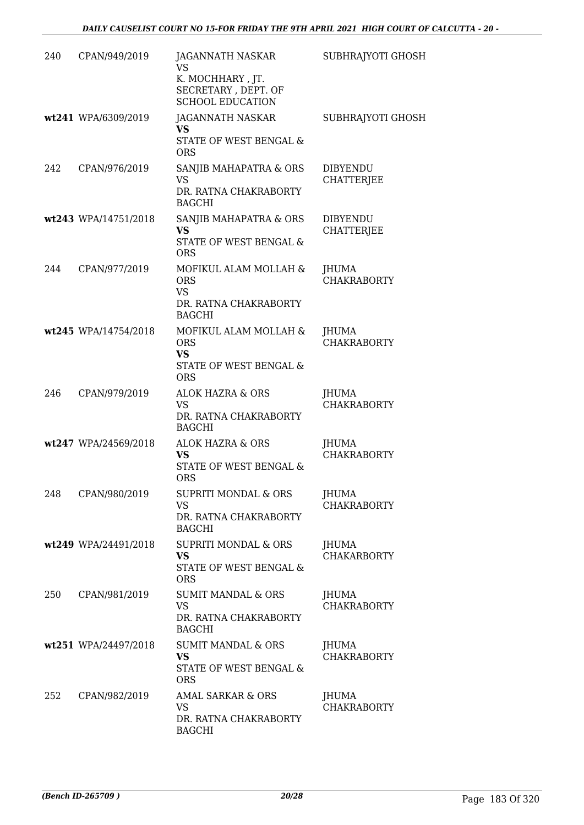| 240 | CPAN/949/2019        | JAGANNATH NASKAR<br><b>VS</b><br>K. MOCHHARY, JT.<br>SECRETARY, DEPT. OF<br><b>SCHOOL EDUCATION</b> | SUBHRAJYOTI GHOSH                    |
|-----|----------------------|-----------------------------------------------------------------------------------------------------|--------------------------------------|
|     | wt241 WPA/6309/2019  | JAGANNATH NASKAR<br>VS.<br>STATE OF WEST BENGAL &<br><b>ORS</b>                                     | SUBHRAJYOTI GHOSH                    |
| 242 | CPAN/976/2019        | SANJIB MAHAPATRA & ORS<br><b>VS</b><br>DR. RATNA CHAKRABORTY<br><b>BAGCHI</b>                       | <b>DIBYENDU</b><br><b>CHATTERJEE</b> |
|     | wt243 WPA/14751/2018 | SANJIB MAHAPATRA & ORS<br>VS<br><b>STATE OF WEST BENGAL &amp;</b><br><b>ORS</b>                     | <b>DIBYENDU</b><br><b>CHATTERJEE</b> |
| 244 | CPAN/977/2019        | MOFIKUL ALAM MOLLAH &<br><b>ORS</b><br><b>VS</b><br>DR. RATNA CHAKRABORTY<br><b>BAGCHI</b>          | <b>JHUMA</b><br><b>CHAKRABORTY</b>   |
|     | wt245 WPA/14754/2018 | MOFIKUL ALAM MOLLAH &<br><b>ORS</b><br><b>VS</b><br>STATE OF WEST BENGAL &<br><b>ORS</b>            | <b>JHUMA</b><br><b>CHAKRABORTY</b>   |
| 246 | CPAN/979/2019        | <b>ALOK HAZRA &amp; ORS</b><br>VS<br>DR. RATNA CHAKRABORTY<br><b>BAGCHI</b>                         | JHUMA<br><b>CHAKRABORTY</b>          |
|     | wt247 WPA/24569/2018 | ALOK HAZRA & ORS<br><b>VS</b><br>STATE OF WEST BENGAL &<br><b>ORS</b>                               | <b>JHUMA</b><br><b>CHAKRABORTY</b>   |
| 248 | CPAN/980/2019        | SUPRITI MONDAL & ORS<br><b>VS</b><br>DR. RATNA CHAKRABORTY<br><b>BAGCHI</b>                         | JHUMA<br><b>CHAKRABORTY</b>          |
|     | wt249 WPA/24491/2018 | <b>SUPRITI MONDAL &amp; ORS</b><br>VS<br>STATE OF WEST BENGAL &<br><b>ORS</b>                       | JHUMA<br><b>CHAKARBORTY</b>          |
| 250 | CPAN/981/2019        | <b>SUMIT MANDAL &amp; ORS</b><br>VS<br>DR. RATNA CHAKRABORTY<br><b>BAGCHI</b>                       | JHUMA<br><b>CHAKRABORTY</b>          |
|     | wt251 WPA/24497/2018 | <b>SUMIT MANDAL &amp; ORS</b><br><b>VS</b><br>STATE OF WEST BENGAL &<br><b>ORS</b>                  | JHUMA<br><b>CHAKRABORTY</b>          |
| 252 | CPAN/982/2019        | <b>AMAL SARKAR &amp; ORS</b><br>VS<br>DR. RATNA CHAKRABORTY<br><b>BAGCHI</b>                        | <b>JHUMA</b><br><b>CHAKRABORTY</b>   |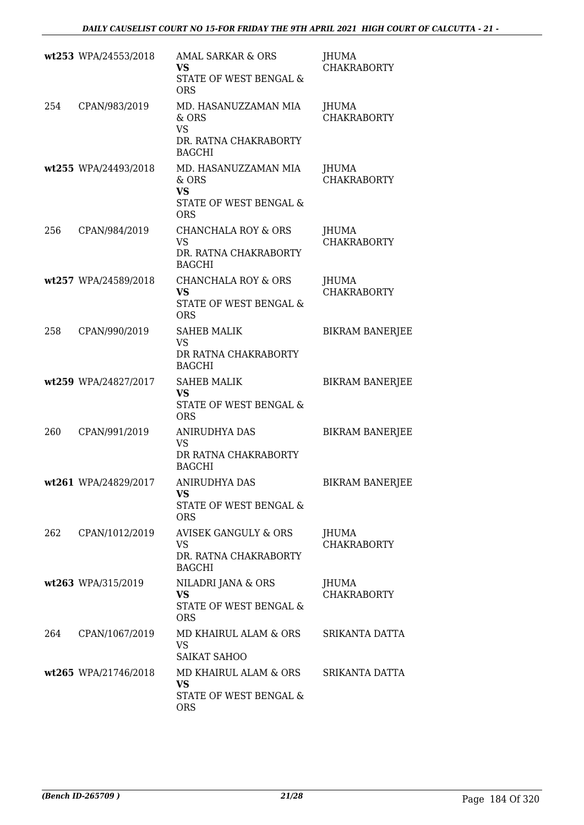|     | wt253 WPA/24553/2018 | <b>AMAL SARKAR &amp; ORS</b><br><b>VS</b><br>STATE OF WEST BENGAL &<br><b>ORS</b>     | <b>JHUMA</b><br><b>CHAKRABORTY</b> |
|-----|----------------------|---------------------------------------------------------------------------------------|------------------------------------|
| 254 | CPAN/983/2019        | MD. HASANUZZAMAN MIA<br>& ORS<br><b>VS</b><br>DR. RATNA CHAKRABORTY<br><b>BAGCHI</b>  | <b>JHUMA</b><br><b>CHAKRABORTY</b> |
|     | wt255 WPA/24493/2018 | MD. HASANUZZAMAN MIA<br>& ORS<br><b>VS</b><br>STATE OF WEST BENGAL &<br><b>ORS</b>    | <b>JHUMA</b><br><b>CHAKRABORTY</b> |
| 256 | CPAN/984/2019        | <b>CHANCHALA ROY &amp; ORS</b><br><b>VS</b><br>DR. RATNA CHAKRABORTY<br><b>BAGCHI</b> | JHUMA<br><b>CHAKRABORTY</b>        |
|     | wt257 WPA/24589/2018 | <b>CHANCHALA ROY &amp; ORS</b><br><b>VS</b><br>STATE OF WEST BENGAL &<br><b>ORS</b>   | JHUMA<br><b>CHAKRABORTY</b>        |
| 258 | CPAN/990/2019        | <b>SAHEB MALIK</b><br><b>VS</b><br>DR RATNA CHAKRABORTY<br><b>BAGCHI</b>              | <b>BIKRAM BANERJEE</b>             |
|     | wt259 WPA/24827/2017 | <b>SAHEB MALIK</b><br><b>VS</b><br>STATE OF WEST BENGAL &<br><b>ORS</b>               | <b>BIKRAM BANERJEE</b>             |
| 260 | CPAN/991/2019        | <b>ANIRUDHYA DAS</b><br><b>VS</b><br>DR RATNA CHAKRABORTY<br><b>BAGCHI</b>            | <b>BIKRAM BANERJEE</b>             |
|     | wt261 WPA/24829/2017 | ANIRUDHYA DAS<br>VS<br>STATE OF WEST BENGAL &<br><b>ORS</b>                           | <b>BIKRAM BANERJEE</b>             |
| 262 | CPAN/1012/2019       | <b>AVISEK GANGULY &amp; ORS</b><br>VS<br>DR. RATNA CHAKRABORTY<br><b>BAGCHI</b>       | JHUMA<br><b>CHAKRABORTY</b>        |
|     | wt263 WPA/315/2019   | NILADRI JANA & ORS<br><b>VS</b><br>STATE OF WEST BENGAL &<br><b>ORS</b>               | JHUMA<br><b>CHAKRABORTY</b>        |
| 264 | CPAN/1067/2019       | MD KHAIRUL ALAM & ORS<br><b>VS</b><br><b>SAIKAT SAHOO</b>                             | SRIKANTA DATTA                     |
|     | wt265 WPA/21746/2018 | MD KHAIRUL ALAM & ORS<br><b>VS</b><br>STATE OF WEST BENGAL &<br><b>ORS</b>            | SRIKANTA DATTA                     |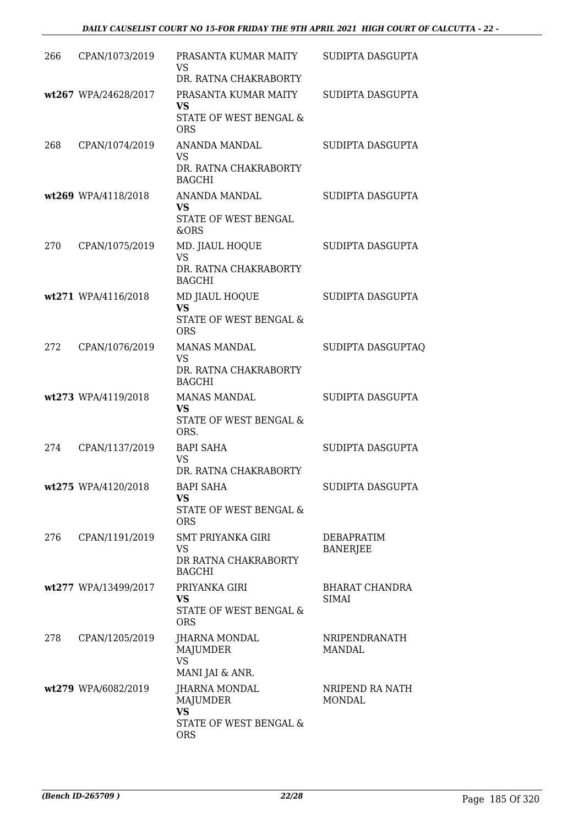| 266  | CPAN/1073/2019       | PRASANTA KUMAR MAITY<br><b>VS</b><br>DR. RATNA CHAKRABORTY                            | SUDIPTA DASGUPTA              |
|------|----------------------|---------------------------------------------------------------------------------------|-------------------------------|
|      | wt267 WPA/24628/2017 | PRASANTA KUMAR MAITY<br><b>VS</b><br>STATE OF WEST BENGAL &<br><b>ORS</b>             | SUDIPTA DASGUPTA              |
| 268  | CPAN/1074/2019       | ANANDA MANDAL<br><b>VS</b><br>DR. RATNA CHAKRABORTY<br><b>BAGCHI</b>                  | SUDIPTA DASGUPTA              |
|      | wt269 WPA/4118/2018  | ANANDA MANDAL<br>VS<br>STATE OF WEST BENGAL<br>&ORS                                   | SUDIPTA DASGUPTA              |
| 270  | CPAN/1075/2019       | MD. JIAUL HOQUE<br>VS<br>DR. RATNA CHAKRABORTY<br><b>BAGCHI</b>                       | SUDIPTA DASGUPTA              |
|      | wt271 WPA/4116/2018  | MD JIAUL HOQUE<br><b>VS</b><br>STATE OF WEST BENGAL &<br><b>ORS</b>                   | SUDIPTA DASGUPTA              |
| 272  | CPAN/1076/2019       | <b>MANAS MANDAL</b><br><b>VS</b><br>DR. RATNA CHAKRABORTY<br><b>BAGCHI</b>            | SUDIPTA DASGUPTAQ             |
|      | wt273 WPA/4119/2018  | <b>MANAS MANDAL</b><br><b>VS</b><br>STATE OF WEST BENGAL &<br>ORS.                    | SUDIPTA DASGUPTA              |
| 2.74 | CPAN/1137/2019       | <b>BAPI SAHA</b><br><b>VS</b><br>DR. RATNA CHAKRABORTY                                | SUDIPTA DASGUPTA              |
|      | wt275 WPA/4120/2018  | BAPI SAHA<br>VS<br>STATE OF WEST BENGAL &<br><b>ORS</b>                               | SUDIPTA DASGUPTA              |
| 276  | CPAN/1191/2019       | <b>SMT PRIYANKA GIRI</b><br>VS<br>DR RATNA CHAKRABORTY<br><b>BAGCHI</b>               | DEBAPRATIM<br><b>BANERJEE</b> |
|      | wt277 WPA/13499/2017 | PRIYANKA GIRI<br>VS.<br>STATE OF WEST BENGAL &<br><b>ORS</b>                          | BHARAT CHANDRA<br>SIMAI       |
| 278  | CPAN/1205/2019       | JHARNA MONDAL<br>MAJUMDER<br><b>VS</b><br>MANI JAI & ANR.                             | NRIPENDRANATH<br>MANDAL       |
|      | wt279 WPA/6082/2019  | JHARNA MONDAL<br><b>MAJUMDER</b><br><b>VS</b><br>STATE OF WEST BENGAL &<br><b>ORS</b> | NRIPEND RA NATH<br>MONDAL     |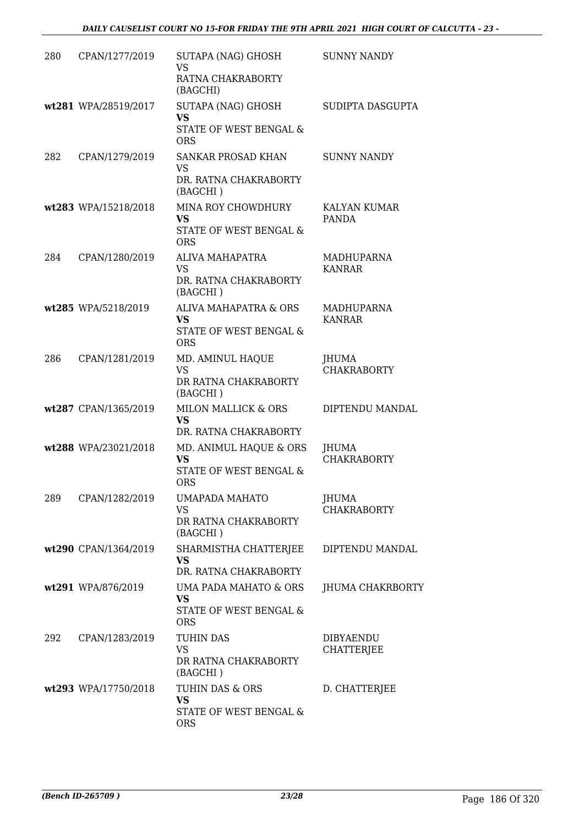| 280 | CPAN/1277/2019       | SUTAPA (NAG) GHOSH<br><b>VS</b><br>RATNA CHAKRABORTY<br>(BAGCHI)            | <b>SUNNY NANDY</b>                 |
|-----|----------------------|-----------------------------------------------------------------------------|------------------------------------|
|     | wt281 WPA/28519/2017 | SUTAPA (NAG) GHOSH<br><b>VS</b><br>STATE OF WEST BENGAL &<br><b>ORS</b>     | SUDIPTA DASGUPTA                   |
| 282 | CPAN/1279/2019       | SANKAR PROSAD KHAN<br><b>VS</b><br>DR. RATNA CHAKRABORTY<br>(BAGCHI)        | <b>SUNNY NANDY</b>                 |
|     | wt283 WPA/15218/2018 | MINA ROY CHOWDHURY<br>VS<br>STATE OF WEST BENGAL &<br><b>ORS</b>            | KALYAN KUMAR<br>PANDA              |
| 284 | CPAN/1280/2019       | ALIVA MAHAPATRA<br><b>VS</b><br>DR. RATNA CHAKRABORTY<br>(BAGCHI)           | MADHUPARNA<br><b>KANRAR</b>        |
|     | wt285 WPA/5218/2019  | ALIVA MAHAPATRA & ORS<br><b>VS</b><br>STATE OF WEST BENGAL &<br><b>ORS</b>  | <b>MADHUPARNA</b><br><b>KANRAR</b> |
| 286 | CPAN/1281/2019       | MD. AMINUL HAQUE<br><b>VS</b><br>DR RATNA CHAKRABORTY<br>(BAGCHI)           | JHUMA<br><b>CHAKRABORTY</b>        |
|     | wt287 CPAN/1365/2019 | MILON MALLICK & ORS<br>VS.<br>DR. RATNA CHAKRABORTY                         | DIPTENDU MANDAL                    |
|     | wt288 WPA/23021/2018 | MD. ANIMUL HAQUE & ORS<br><b>VS</b><br>STATE OF WEST BENGAL &<br><b>ORS</b> | <b>JHUMA</b><br><b>CHAKRABORTY</b> |
| 289 | CPAN/1282/2019       | UMAPADA MAHATO<br>VS<br>DR RATNA CHAKRABORTY<br>(BAGCHI)                    | JHUMA<br><b>CHAKRABORTY</b>        |
|     | wt290 CPAN/1364/2019 | SHARMISTHA CHATTERJEE<br><b>VS</b><br>DR. RATNA CHAKRABORTY                 | DIPTENDU MANDAL                    |
|     | wt291 WPA/876/2019   | UMA PADA MAHATO & ORS<br><b>VS</b><br>STATE OF WEST BENGAL &<br><b>ORS</b>  | JHUMA CHAKRBORTY                   |
| 292 | CPAN/1283/2019       | TUHIN DAS<br><b>VS</b><br>DR RATNA CHAKRABORTY<br>(BAGCHI)                  | DIBYAENDU<br><b>CHATTERJEE</b>     |
|     | wt293 WPA/17750/2018 | TUHIN DAS & ORS<br>VS<br>STATE OF WEST BENGAL &<br><b>ORS</b>               | D. CHATTERJEE                      |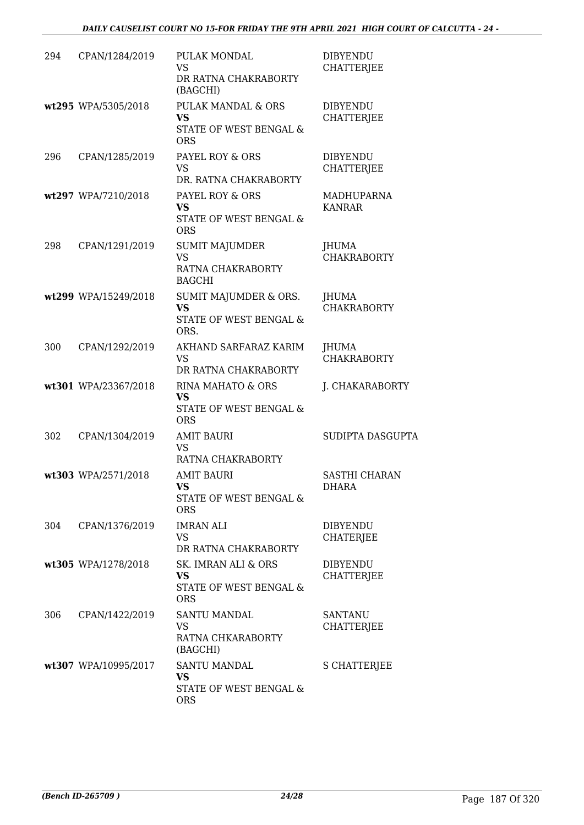| 294 | CPAN/1284/2019       | PULAK MONDAL<br><b>VS</b><br>DR RATNA CHAKRABORTY<br>(BAGCHI)            | <b>DIBYENDU</b><br><b>CHATTERJEE</b> |
|-----|----------------------|--------------------------------------------------------------------------|--------------------------------------|
|     | wt295 WPA/5305/2018  | PULAK MANDAL & ORS<br>VS<br>STATE OF WEST BENGAL &<br><b>ORS</b>         | <b>DIBYENDU</b><br><b>CHATTERJEE</b> |
| 296 | CPAN/1285/2019       | PAYEL ROY & ORS<br><b>VS</b><br>DR. RATNA CHAKRABORTY                    | <b>DIBYENDU</b><br><b>CHATTERJEE</b> |
|     | wt297 WPA/7210/2018  | PAYEL ROY & ORS<br>VS<br>STATE OF WEST BENGAL &<br><b>ORS</b>            | MADHUPARNA<br><b>KANRAR</b>          |
| 298 | CPAN/1291/2019       | <b>SUMIT MAJUMDER</b><br><b>VS</b><br>RATNA CHAKRABORTY<br><b>BAGCHI</b> | JHUMA<br><b>CHAKRABORTY</b>          |
|     | wt299 WPA/15249/2018 | SUMIT MAJUMDER & ORS.<br><b>VS</b><br>STATE OF WEST BENGAL &<br>ORS.     | JHUMA<br><b>CHAKRABORTY</b>          |
| 300 | CPAN/1292/2019       | AKHAND SARFARAZ KARIM<br>VS<br>DR RATNA CHAKRABORTY                      | JHUMA<br><b>CHAKRABORTY</b>          |
|     | wt301 WPA/23367/2018 | RINA MAHATO & ORS<br><b>VS</b><br>STATE OF WEST BENGAL &<br><b>ORS</b>   | J. CHAKARABORTY                      |
| 302 | CPAN/1304/2019       | <b>AMIT BAURI</b><br><b>VS</b><br>RATNA CHAKRABORTY                      | SUDIPTA DASGUPTA                     |
|     | wt303 WPA/2571/2018  | <b>AMIT BAURI</b><br><b>VS</b><br>STATE OF WEST BENGAL &<br><b>ORS</b>   | <b>SASTHI CHARAN</b><br>DHARA        |
| 304 | CPAN/1376/2019       | <b>IMRAN ALI</b><br>VS.<br>DR RATNA CHAKRABORTY                          | <b>DIBYENDU</b><br>CHATERJEE         |
|     | wt305 WPA/1278/2018  | SK. IMRAN ALI & ORS<br>VS<br>STATE OF WEST BENGAL &<br><b>ORS</b>        | <b>DIBYENDU</b><br><b>CHATTERJEE</b> |
| 306 | CPAN/1422/2019       | <b>SANTU MANDAL</b><br>VS.<br>RATNA CHKARABORTY<br>(BAGCHI)              | <b>SANTANU</b><br><b>CHATTERJEE</b>  |
|     | wt307 WPA/10995/2017 | <b>SANTU MANDAL</b><br>VS<br>STATE OF WEST BENGAL &<br><b>ORS</b>        | <b>S CHATTERJEE</b>                  |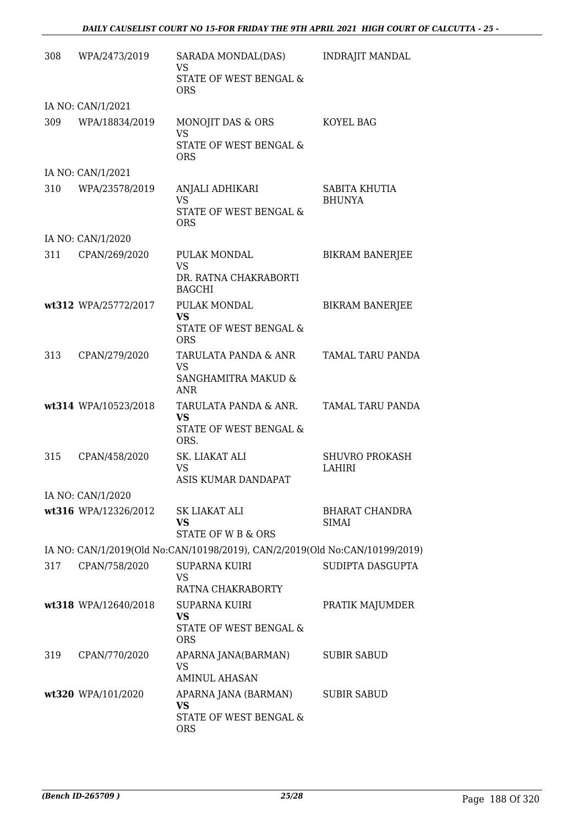| 308 | WPA/2473/2019        | SARADA MONDAL(DAS)<br><b>VS</b>                                             | <b>INDRAJIT MANDAL</b>          |
|-----|----------------------|-----------------------------------------------------------------------------|---------------------------------|
|     |                      | STATE OF WEST BENGAL &<br><b>ORS</b>                                        |                                 |
|     | IA NO: CAN/1/2021    |                                                                             |                                 |
| 309 | WPA/18834/2019       | MONOJIT DAS & ORS<br><b>VS</b>                                              | KOYEL BAG                       |
|     |                      | <b>STATE OF WEST BENGAL &amp;</b><br><b>ORS</b>                             |                                 |
|     | IA NO: CAN/1/2021    |                                                                             |                                 |
| 310 | WPA/23578/2019       | ANJALI ADHIKARI<br><b>VS</b><br>STATE OF WEST BENGAL &                      | SABITA KHUTIA<br><b>BHUNYA</b>  |
|     |                      | <b>ORS</b>                                                                  |                                 |
|     | IA NO: CAN/1/2020    |                                                                             |                                 |
| 311 | CPAN/269/2020        | PULAK MONDAL<br><b>VS</b>                                                   | <b>BIKRAM BANERJEE</b>          |
|     |                      | DR. RATNA CHAKRABORTI<br><b>BAGCHI</b>                                      |                                 |
|     | wt312 WPA/25772/2017 | PULAK MONDAL<br><b>VS</b>                                                   | <b>BIKRAM BANERJEE</b>          |
|     |                      | STATE OF WEST BENGAL &<br><b>ORS</b>                                        |                                 |
| 313 | CPAN/279/2020        | TARULATA PANDA & ANR<br><b>VS</b>                                           | TAMAL TARU PANDA                |
|     |                      | SANGHAMITRA MAKUD &<br>ANR                                                  |                                 |
|     | wt314 WPA/10523/2018 | TARULATA PANDA & ANR.<br><b>VS</b>                                          | TAMAL TARU PANDA                |
|     |                      | STATE OF WEST BENGAL &<br>ORS.                                              |                                 |
| 315 | CPAN/458/2020        | SK. LIAKAT ALI<br><b>VS</b>                                                 | <b>SHUVRO PROKASH</b><br>LAHIRI |
|     |                      | ASIS KUMAR DANDAPAT                                                         |                                 |
|     | IA NO: CAN/1/2020    |                                                                             |                                 |
|     | wt316 WPA/12326/2012 | SK LIAKAT ALI<br>VS<br>STATE OF W B & ORS                                   | BHARAT CHANDRA<br>SIMAI         |
|     |                      | IA NO: CAN/1/2019(Old No:CAN/10198/2019), CAN/2/2019(Old No:CAN/10199/2019) |                                 |
| 317 | CPAN/758/2020        | <b>SUPARNA KUIRI</b>                                                        | SUDIPTA DASGUPTA                |
|     |                      | <b>VS</b><br>RATNA CHAKRABORTY                                              |                                 |
|     | wt318 WPA/12640/2018 | <b>SUPARNA KUIRI</b>                                                        | PRATIK MAJUMDER                 |
|     |                      | <b>VS</b><br>STATE OF WEST BENGAL &<br><b>ORS</b>                           |                                 |
| 319 | CPAN/770/2020        | APARNA JANA(BARMAN)                                                         | <b>SUBIR SABUD</b>              |
|     |                      | <b>VS</b><br><b>AMINUL AHASAN</b>                                           |                                 |
|     | wt320 WPA/101/2020   | APARNA JANA (BARMAN)<br>VS                                                  | <b>SUBIR SABUD</b>              |
|     |                      | STATE OF WEST BENGAL &<br><b>ORS</b>                                        |                                 |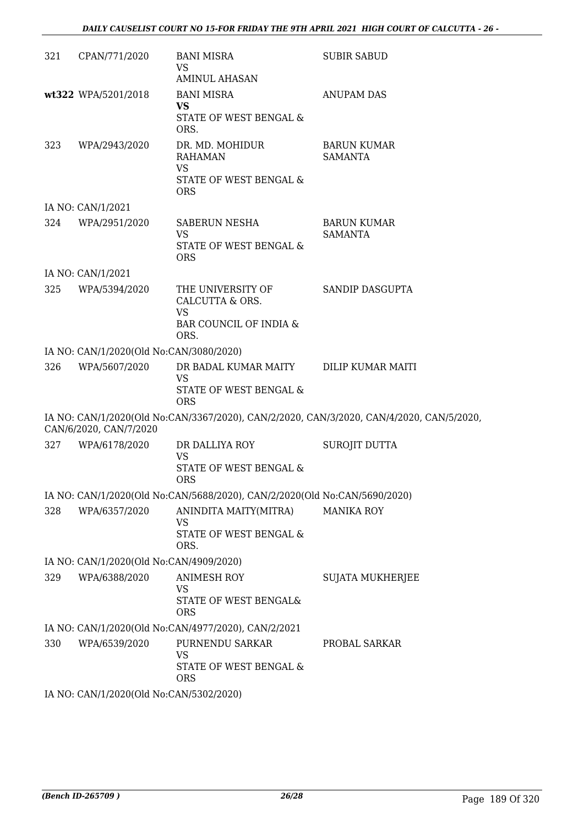#### *DAILY CAUSELIST COURT NO 15-FOR FRIDAY THE 9TH APRIL 2021 HIGH COURT OF CALCUTTA - 26 -*

| 321 | CPAN/771/2020                           | <b>BANI MISRA</b><br>VS                                                                     | <b>SUBIR SABUD</b>                                                                       |
|-----|-----------------------------------------|---------------------------------------------------------------------------------------------|------------------------------------------------------------------------------------------|
|     |                                         | AMINUL AHASAN                                                                               |                                                                                          |
|     | wt322 WPA/5201/2018                     | <b>BANI MISRA</b><br><b>VS</b><br>STATE OF WEST BENGAL &                                    | <b>ANUPAM DAS</b>                                                                        |
| 323 | WPA/2943/2020                           | ORS.<br>DR. MD. MOHIDUR<br><b>RAHAMAN</b><br><b>VS</b><br>STATE OF WEST BENGAL &            | <b>BARUN KUMAR</b><br><b>SAMANTA</b>                                                     |
|     |                                         | <b>ORS</b>                                                                                  |                                                                                          |
|     | IA NO: CAN/1/2021                       |                                                                                             |                                                                                          |
| 324 | WPA/2951/2020                           | SABERUN NESHA<br><b>VS</b><br><b>STATE OF WEST BENGAL &amp;</b><br><b>ORS</b>               | <b>BARUN KUMAR</b><br><b>SAMANTA</b>                                                     |
|     | IA NO: CAN/1/2021                       |                                                                                             |                                                                                          |
| 325 | WPA/5394/2020                           | THE UNIVERSITY OF<br>CALCUTTA & ORS.<br><b>VS</b><br>BAR COUNCIL OF INDIA &<br>ORS.         | SANDIP DASGUPTA                                                                          |
|     | IA NO: CAN/1/2020(Old No:CAN/3080/2020) |                                                                                             |                                                                                          |
| 326 | WPA/5607/2020                           | DR BADAL KUMAR MAITY DILIP KUMAR MAITI<br><b>VS</b><br>STATE OF WEST BENGAL &<br><b>ORS</b> |                                                                                          |
|     | CAN/6/2020, CAN/7/2020                  |                                                                                             | IA NO: CAN/1/2020(Old No:CAN/3367/2020), CAN/2/2020, CAN/3/2020, CAN/4/2020, CAN/5/2020, |
| 327 | WPA/6178/2020                           | DR DALLIYA ROY<br><b>VS</b><br>STATE OF WEST BENGAL &<br><b>ORS</b>                         | SUROJIT DUTTA                                                                            |
|     |                                         | IA NO: CAN/1/2020(Old No:CAN/5688/2020), CAN/2/2020(Old No:CAN/5690/2020)                   |                                                                                          |
| 328 | WPA/6357/2020                           | ANINDITA MAITY(MITRA)<br>VS<br>STATE OF WEST BENGAL &<br>ORS.                               | <b>MANIKA ROY</b>                                                                        |
|     | IA NO: CAN/1/2020(Old No:CAN/4909/2020) |                                                                                             |                                                                                          |
| 329 | WPA/6388/2020                           | <b>ANIMESH ROY</b><br><b>VS</b><br>STATE OF WEST BENGAL&<br><b>ORS</b>                      | SUJATA MUKHERJEE                                                                         |
|     |                                         | IA NO: CAN/1/2020(Old No:CAN/4977/2020), CAN/2/2021                                         |                                                                                          |
| 330 | WPA/6539/2020                           | PURNENDU SARKAR                                                                             | PROBAL SARKAR                                                                            |
|     |                                         | <b>VS</b><br>STATE OF WEST BENGAL &<br><b>ORS</b>                                           |                                                                                          |
|     | IA NO: CAN/1/2020(Old No:CAN/5302/2020) |                                                                                             |                                                                                          |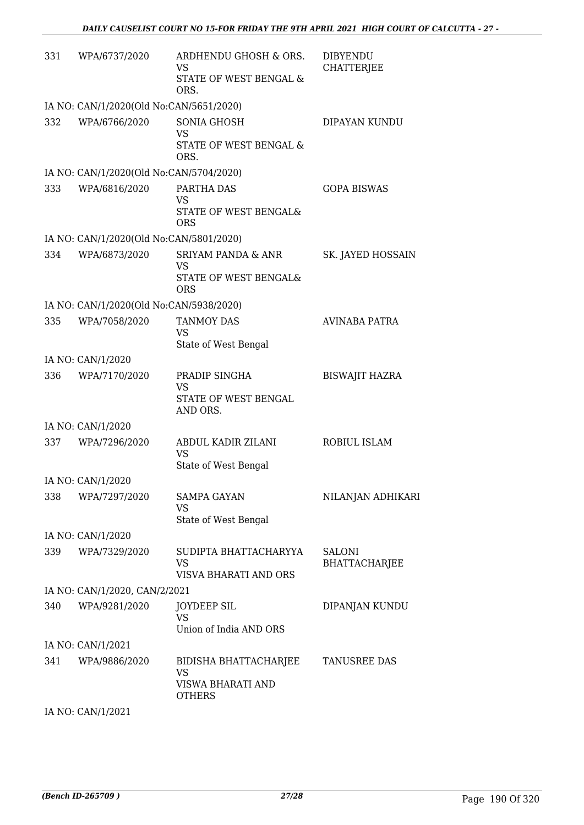| 331 | WPA/6737/2020                           | ARDHENDU GHOSH & ORS.<br><b>VS</b><br>STATE OF WEST BENGAL &      | <b>DIBYENDU</b><br><b>CHATTERJEE</b>  |
|-----|-----------------------------------------|-------------------------------------------------------------------|---------------------------------------|
|     |                                         | ORS.                                                              |                                       |
|     | IA NO: CAN/1/2020(Old No:CAN/5651/2020) |                                                                   |                                       |
| 332 | WPA/6766/2020                           | <b>SONIA GHOSH</b><br><b>VS</b><br>STATE OF WEST BENGAL &<br>ORS. | DIPAYAN KUNDU                         |
|     | IA NO: CAN/1/2020(Old No:CAN/5704/2020) |                                                                   |                                       |
| 333 | WPA/6816/2020                           | PARTHA DAS                                                        | <b>GOPA BISWAS</b>                    |
|     |                                         | VS<br>STATE OF WEST BENGAL&<br><b>ORS</b>                         |                                       |
|     | IA NO: CAN/1/2020(Old No:CAN/5801/2020) |                                                                   |                                       |
| 334 | WPA/6873/2020                           | <b>SRIYAM PANDA &amp; ANR</b><br>VS                               | SK. JAYED HOSSAIN                     |
|     |                                         | STATE OF WEST BENGAL&<br><b>ORS</b>                               |                                       |
|     | IA NO: CAN/1/2020(Old No:CAN/5938/2020) |                                                                   |                                       |
| 335 | WPA/7058/2020                           | <b>TANMOY DAS</b>                                                 | <b>AVINABA PATRA</b>                  |
|     |                                         | <b>VS</b><br>State of West Bengal                                 |                                       |
|     | IA NO: CAN/1/2020                       |                                                                   |                                       |
| 336 | WPA/7170/2020                           | PRADIP SINGHA                                                     | <b>BISWAJIT HAZRA</b>                 |
|     |                                         | VS                                                                |                                       |
|     |                                         | STATE OF WEST BENGAL<br>AND ORS.                                  |                                       |
|     | IA NO: CAN/1/2020                       |                                                                   |                                       |
| 337 | WPA/7296/2020                           | ABDUL KADIR ZILANI                                                | ROBIUL ISLAM                          |
|     |                                         | <b>VS</b><br>State of West Bengal                                 |                                       |
|     | IA NO: CAN/1/2020                       |                                                                   |                                       |
| 338 | WPA/7297/2020                           | <b>SAMPA GAYAN</b>                                                | NILANJAN ADHIKARI                     |
|     |                                         | VS                                                                |                                       |
|     |                                         | State of West Bengal                                              |                                       |
|     | IA NO: CAN/1/2020                       |                                                                   |                                       |
| 339 | WPA/7329/2020                           | SUDIPTA BHATTACHARYYA<br><b>VS</b>                                | <b>SALONI</b><br><b>BHATTACHARJEE</b> |
|     |                                         | <b>VISVA BHARATI AND ORS</b>                                      |                                       |
|     | IA NO: CAN/1/2020, CAN/2/2021           |                                                                   |                                       |
| 340 | WPA/9281/2020                           | <b>JOYDEEP SIL</b><br><b>VS</b>                                   | DIPANJAN KUNDU                        |
|     | IA NO: CAN/1/2021                       | Union of India AND ORS                                            |                                       |
| 341 | WPA/9886/2020                           | BIDISHA BHATTACHARJEE                                             | TANUSREE DAS                          |
|     |                                         | VS<br>VISWA BHARATI AND                                           |                                       |
|     |                                         | <b>OTHERS</b>                                                     |                                       |
|     | IA NO: CAN/1/2021                       |                                                                   |                                       |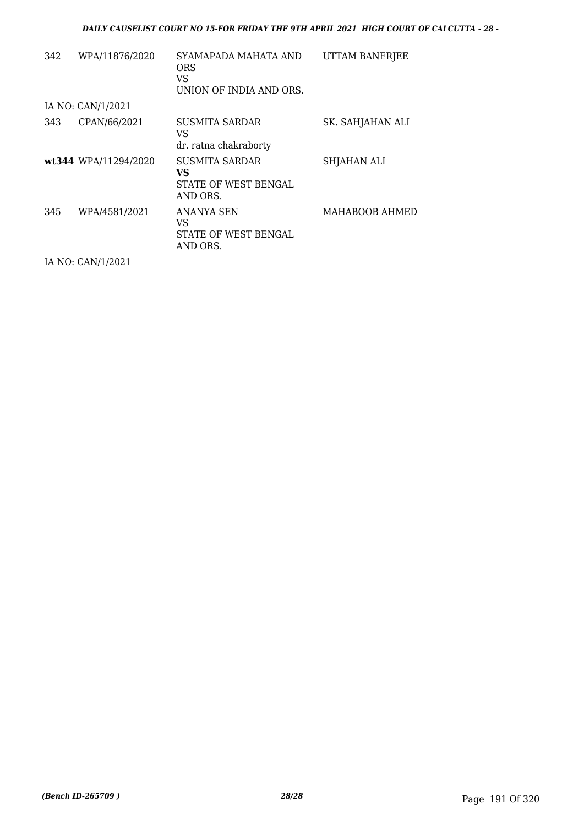| 342 | WPA/11876/2020       | SYAMAPADA MAHATA AND<br><b>ORS</b><br>VS<br>UNION OF INDIA AND ORS. | UTTAM BANERJEE   |
|-----|----------------------|---------------------------------------------------------------------|------------------|
|     | IA NO: CAN/1/2021    |                                                                     |                  |
| 343 | CPAN/66/2021         | SUSMITA SARDAR<br>VS<br>dr. ratna chakraborty                       | SK. SAHJAHAN ALI |
|     | wt344 WPA/11294/2020 | SUSMITA SARDAR<br>VS<br>STATE OF WEST BENGAL<br>AND ORS.            | SHJAHAN ALI      |
| 345 | WPA/4581/2021        | ANANYA SEN<br>VS<br>STATE OF WEST BENGAL<br>AND ORS.                | MAHABOOB AHMED   |

IA NO: CAN/1/2021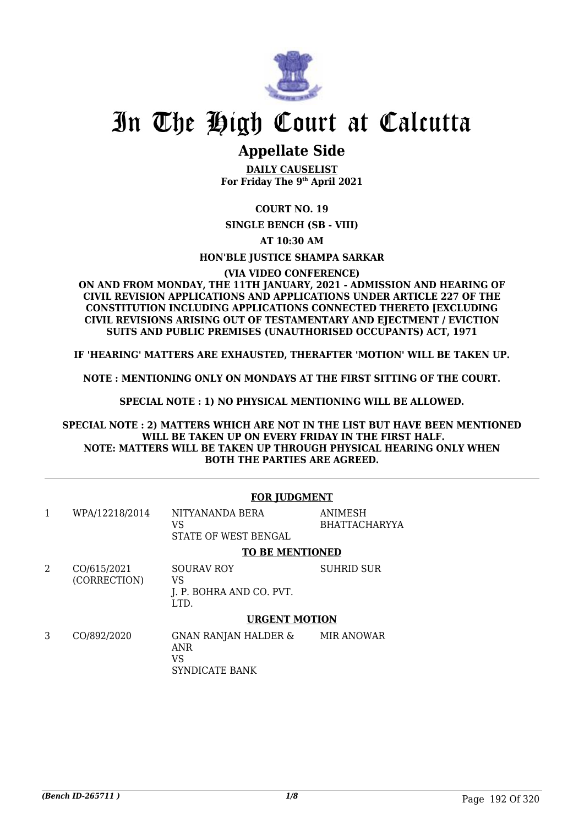

### **Appellate Side**

**DAILY CAUSELIST For Friday The 9th April 2021**

**COURT NO. 19**

**SINGLE BENCH (SB - VIII)**

**AT 10:30 AM**

**HON'BLE JUSTICE SHAMPA SARKAR**

**(VIA VIDEO CONFERENCE)**

**ON AND FROM MONDAY, THE 11TH JANUARY, 2021 - ADMISSION AND HEARING OF CIVIL REVISION APPLICATIONS AND APPLICATIONS UNDER ARTICLE 227 OF THE CONSTITUTION INCLUDING APPLICATIONS CONNECTED THERETO [EXCLUDING CIVIL REVISIONS ARISING OUT OF TESTAMENTARY AND EJECTMENT / EVICTION SUITS AND PUBLIC PREMISES (UNAUTHORISED OCCUPANTS) ACT, 1971**

**IF 'HEARING' MATTERS ARE EXHAUSTED, THERAFTER 'MOTION' WILL BE TAKEN UP.**

**NOTE : MENTIONING ONLY ON MONDAYS AT THE FIRST SITTING OF THE COURT.**

**SPECIAL NOTE : 1) NO PHYSICAL MENTIONING WILL BE ALLOWED.**

**SPECIAL NOTE : 2) MATTERS WHICH ARE NOT IN THE LIST BUT HAVE BEEN MENTIONED WILL BE TAKEN UP ON EVERY FRIDAY IN THE FIRST HALF. NOTE: MATTERS WILL BE TAKEN UP THROUGH PHYSICAL HEARING ONLY WHEN BOTH THE PARTIES ARE AGREED.**

#### **FOR JUDGMENT**

| WPA/12218/2014 | NITYANANDA BERA      | ANIMESH       |
|----------------|----------------------|---------------|
|                |                      | BHATTACHARYYA |
|                | STATE OF WEST BENGAL |               |

**TO BE MENTIONED**

2 CO/615/2021 (CORRECTION) SOURAV ROY VS J. P. BOHRA AND CO. PVT. LTD. SUHRID SUR

#### **URGENT MOTION**

3 CO/892/2020 GNAN RANJAN HALDER & ANR VS SYNDICATE BANK MIR ANOWAR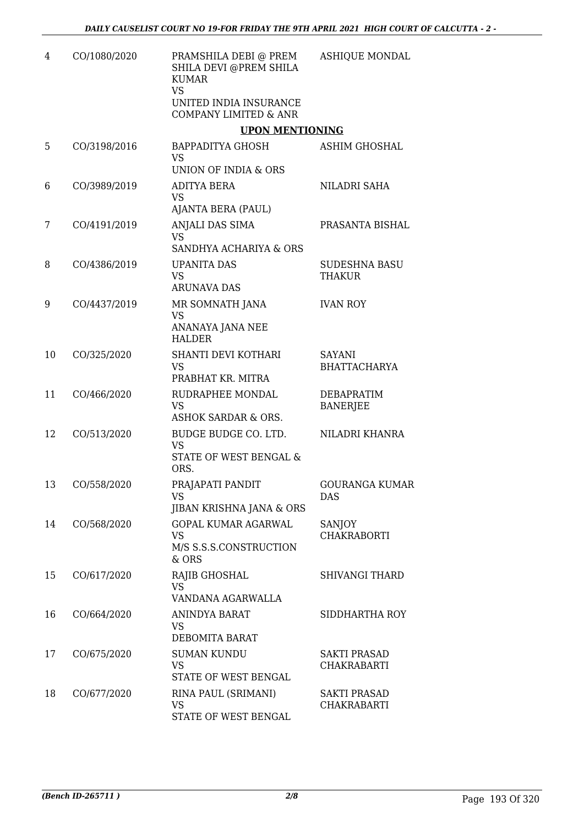| 4  | CO/1080/2020 | PRAMSHILA DEBI @ PREM<br>SHILA DEVI @PREM SHILA<br><b>KUMAR</b><br><b>VS</b>   | <b>ASHIQUE MONDAL</b>                     |
|----|--------------|--------------------------------------------------------------------------------|-------------------------------------------|
|    |              | UNITED INDIA INSURANCE<br><b>COMPANY LIMITED &amp; ANR</b>                     |                                           |
|    |              | <b>UPON MENTIONING</b>                                                         |                                           |
| 5  | CO/3198/2016 | BAPPADITYA GHOSH<br><b>VS</b>                                                  | <b>ASHIM GHOSHAL</b>                      |
|    |              | <b>UNION OF INDIA &amp; ORS</b>                                                |                                           |
| 6  | CO/3989/2019 | <b>ADITYA BERA</b><br><b>VS</b><br>AJANTA BERA (PAUL)                          | NILADRI SAHA                              |
| 7  | CO/4191/2019 | ANJALI DAS SIMA<br><b>VS</b><br>SANDHYA ACHARIYA & ORS                         | PRASANTA BISHAL                           |
| 8  | CO/4386/2019 | <b>UPANITA DAS</b><br><b>VS</b><br><b>ARUNAVA DAS</b>                          | <b>SUDESHNA BASU</b><br><b>THAKUR</b>     |
| 9  | CO/4437/2019 | MR SOMNATH JANA<br><b>VS</b><br>ANANAYA JANA NEE                               | <b>IVAN ROY</b>                           |
|    |              | <b>HALDER</b>                                                                  |                                           |
| 10 | CO/325/2020  | SHANTI DEVI KOTHARI<br><b>VS</b><br>PRABHAT KR. MITRA                          | <b>SAYANI</b><br><b>BHATTACHARYA</b>      |
| 11 | CO/466/2020  | RUDRAPHEE MONDAL<br><b>VS</b><br><b>ASHOK SARDAR &amp; ORS.</b>                | <b>DEBAPRATIM</b><br><b>BANERJEE</b>      |
| 12 | CO/513/2020  | BUDGE BUDGE CO. LTD.<br><b>VS</b><br><b>STATE OF WEST BENGAL &amp;</b><br>ORS. | NILADRI KHANRA                            |
| 13 | CO/558/2020  | PRAJAPATI PANDIT<br>VS                                                         | <b>GOURANGA KUMAR</b><br><b>DAS</b>       |
|    |              | JIBAN KRISHNA JANA & ORS                                                       |                                           |
| 14 | CO/568/2020  | <b>GOPAL KUMAR AGARWAL</b><br><b>VS</b><br>M/S S.S.S.CONSTRUCTION<br>& ORS     | SANJOY<br><b>CHAKRABORTI</b>              |
| 15 | CO/617/2020  | RAJIB GHOSHAL<br><b>VS</b><br>VANDANA AGARWALLA                                | <b>SHIVANGI THARD</b>                     |
| 16 | CO/664/2020  | ANINDYA BARAT<br><b>VS</b><br>DEBOMITA BARAT                                   | SIDDHARTHA ROY                            |
| 17 | CO/675/2020  | <b>SUMAN KUNDU</b><br><b>VS</b><br>STATE OF WEST BENGAL                        | <b>SAKTI PRASAD</b><br>CHAKRABARTI        |
| 18 | CO/677/2020  | RINA PAUL (SRIMANI)<br><b>VS</b><br>STATE OF WEST BENGAL                       | <b>SAKTI PRASAD</b><br><b>CHAKRABARTI</b> |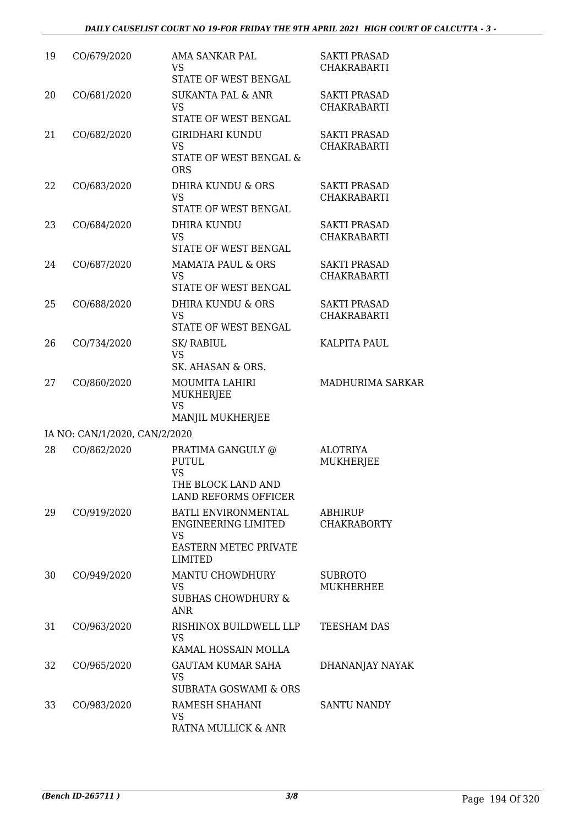| 19 | CO/679/2020                   | AMA SANKAR PAL<br>VS<br>STATE OF WEST BENGAL                                                                     | <b>SAKTI PRASAD</b><br><b>CHAKRABARTI</b> |
|----|-------------------------------|------------------------------------------------------------------------------------------------------------------|-------------------------------------------|
| 20 | CO/681/2020                   | <b>SUKANTA PAL &amp; ANR</b><br><b>VS</b><br>STATE OF WEST BENGAL                                                | <b>SAKTI PRASAD</b><br><b>CHAKRABARTI</b> |
| 21 | CO/682/2020                   | GIRIDHARI KUNDU<br><b>VS</b><br><b>STATE OF WEST BENGAL &amp;</b><br><b>ORS</b>                                  | <b>SAKTI PRASAD</b><br><b>CHAKRABARTI</b> |
| 22 | CO/683/2020                   | DHIRA KUNDU & ORS<br><b>VS</b><br>STATE OF WEST BENGAL                                                           | <b>SAKTI PRASAD</b><br><b>CHAKRABARTI</b> |
| 23 | CO/684/2020                   | <b>DHIRA KUNDU</b><br><b>VS</b><br>STATE OF WEST BENGAL                                                          | <b>SAKTI PRASAD</b><br><b>CHAKRABARTI</b> |
| 24 | CO/687/2020                   | <b>MAMATA PAUL &amp; ORS</b><br><b>VS</b><br>STATE OF WEST BENGAL                                                | <b>SAKTI PRASAD</b><br><b>CHAKRABARTI</b> |
| 25 | CO/688/2020                   | DHIRA KUNDU & ORS<br><b>VS</b><br>STATE OF WEST BENGAL                                                           | <b>SAKTI PRASAD</b><br><b>CHAKRABARTI</b> |
| 26 | CO/734/2020                   | <b>SK/RABIUL</b><br><b>VS</b><br>SK. AHASAN & ORS.                                                               | <b>KALPITA PAUL</b>                       |
| 27 | CO/860/2020                   | MOUMITA LAHIRI<br>MUKHERJEE<br><b>VS</b><br>MANJIL MUKHERJEE                                                     | MADHURIMA SARKAR                          |
|    | IA NO: CAN/1/2020, CAN/2/2020 |                                                                                                                  |                                           |
| 28 | CO/862/2020                   | PRATIMA GANGULY @<br><b>PUTUL</b><br><b>VS</b><br>THE BLOCK LAND AND<br><b>LAND REFORMS OFFICER</b>              | <b>ALOTRIYA</b><br><b>MUKHERJEE</b>       |
| 29 | CO/919/2020                   | BATLI ENVIRONMENTAL<br><b>ENGINEERING LIMITED</b><br><b>VS</b><br><b>EASTERN METEC PRIVATE</b><br><b>LIMITED</b> | ABHIRUP<br><b>CHAKRABORTY</b>             |
| 30 | CO/949/2020                   | MANTU CHOWDHURY<br><b>VS</b><br><b>SUBHAS CHOWDHURY &amp;</b><br><b>ANR</b>                                      | <b>SUBROTO</b><br><b>MUKHERHEE</b>        |
| 31 | CO/963/2020                   | RISHINOX BUILDWELL LLP<br><b>VS</b><br>KAMAL HOSSAIN MOLLA                                                       | TEESHAM DAS                               |
| 32 | CO/965/2020                   | GAUTAM KUMAR SAHA<br><b>VS</b><br><b>SUBRATA GOSWAMI &amp; ORS</b>                                               | DHANANJAY NAYAK                           |
| 33 | CO/983/2020                   | RAMESH SHAHANI<br>VS<br>RATNA MULLICK & ANR                                                                      | <b>SANTU NANDY</b>                        |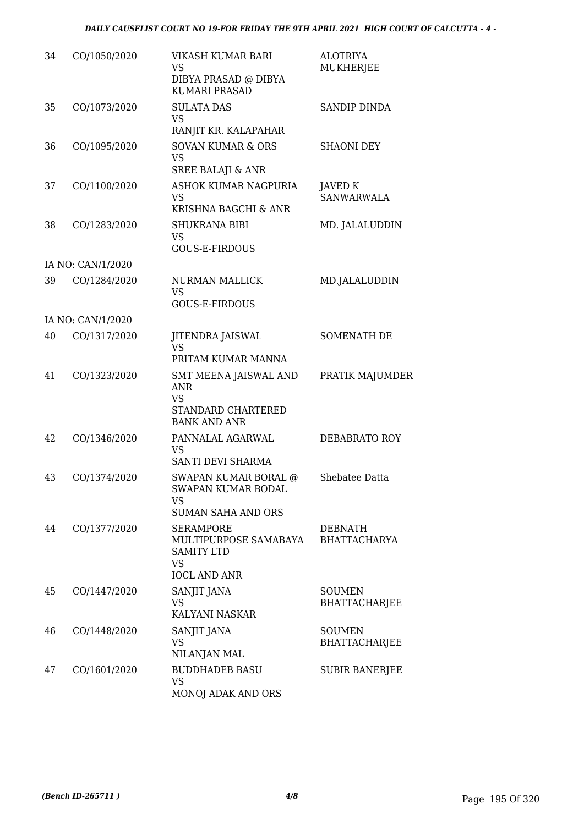| 34 | CO/1050/2020      | VIKASH KUMAR BARI<br>VS<br>DIBYA PRASAD @ DIBYA<br><b>KUMARI PRASAD</b>                            | <b>ALOTRIYA</b><br><b>MUKHERJEE</b>   |
|----|-------------------|----------------------------------------------------------------------------------------------------|---------------------------------------|
| 35 | CO/1073/2020      | <b>SULATA DAS</b><br><b>VS</b><br>RANJIT KR. KALAPAHAR                                             | <b>SANDIP DINDA</b>                   |
| 36 | CO/1095/2020      | <b>SOVAN KUMAR &amp; ORS</b><br>VS<br><b>SREE BALAJI &amp; ANR</b>                                 | <b>SHAONI DEY</b>                     |
| 37 | CO/1100/2020      | ASHOK KUMAR NAGPURIA<br><b>VS</b><br>KRISHNA BAGCHI & ANR                                          | JAVED K<br><b>SANWARWALA</b>          |
| 38 | CO/1283/2020      | <b>SHUKRANA BIBI</b><br><b>VS</b><br><b>GOUS-E-FIRDOUS</b>                                         | MD. JALALUDDIN                        |
|    | IA NO: CAN/1/2020 |                                                                                                    |                                       |
| 39 | CO/1284/2020      | <b>NURMAN MALLICK</b><br><b>VS</b><br>GOUS-E-FIRDOUS                                               | MD.JALALUDDIN                         |
|    | IA NO: CAN/1/2020 |                                                                                                    |                                       |
| 40 | CO/1317/2020      | JITENDRA JAISWAL<br><b>VS</b><br>PRITAM KUMAR MANNA                                                | SOMENATH DE                           |
| 41 | CO/1323/2020      | SMT MEENA JAISWAL AND<br><b>ANR</b><br><b>VS</b><br>STANDARD CHARTERED<br><b>BANK AND ANR</b>      | PRATIK MAJUMDER                       |
| 42 | CO/1346/2020      | PANNALAL AGARWAL<br><b>VS</b><br>SANTI DEVI SHARMA                                                 | DEBABRATO ROY                         |
| 43 | CO/1374/2020      | <b>SWAPAN KUMAR BORAL @</b><br><b>SWAPAN KUMAR BODAL</b><br>VS<br><b>SUMAN SAHA AND ORS</b>        | Shebatee Datta                        |
| 44 | CO/1377/2020      | <b>SERAMPORE</b><br>MULTIPURPOSE SAMABAYA<br><b>SAMITY LTD</b><br><b>VS</b><br><b>IOCL AND ANR</b> | <b>DEBNATH</b><br><b>BHATTACHARYA</b> |
| 45 | CO/1447/2020      | SANJIT JANA<br>VS<br>KALYANI NASKAR                                                                | <b>SOUMEN</b><br><b>BHATTACHARJEE</b> |
| 46 | CO/1448/2020      | SANJIT JANA<br><b>VS</b><br>NILANJAN MAL                                                           | <b>SOUMEN</b><br><b>BHATTACHARJEE</b> |
| 47 | CO/1601/2020      | <b>BUDDHADEB BASU</b><br><b>VS</b><br>MONOJ ADAK AND ORS                                           | <b>SUBIR BANERJEE</b>                 |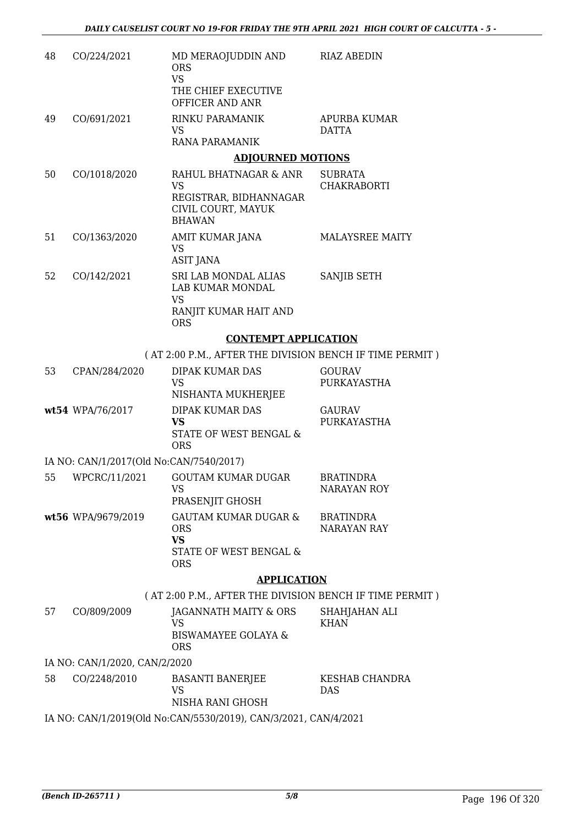| 48 | CO/224/2021                             | MD MERAOJUDDIN AND<br><b>ORS</b><br><b>VS</b>                                   | <b>RIAZ ABEDIN</b>                     |
|----|-----------------------------------------|---------------------------------------------------------------------------------|----------------------------------------|
|    |                                         | THE CHIEF EXECUTIVE<br>OFFICER AND ANR                                          |                                        |
| 49 | CO/691/2021                             | RINKU PARAMANIK<br><b>VS</b>                                                    | APURBA KUMAR<br><b>DATTA</b>           |
|    |                                         | RANA PARAMANIK                                                                  |                                        |
|    |                                         | <b>ADJOURNED MOTIONS</b>                                                        |                                        |
| 50 | CO/1018/2020                            | RAHUL BHATNAGAR & ANR<br><b>VS</b>                                              | <b>SUBRATA</b><br><b>CHAKRABORTI</b>   |
|    |                                         | REGISTRAR, BIDHANNAGAR<br>CIVIL COURT, MAYUK<br><b>BHAWAN</b>                   |                                        |
| 51 | CO/1363/2020                            | AMIT KUMAR JANA<br><b>VS</b><br><b>ASIT JANA</b>                                | <b>MALAYSREE MAITY</b>                 |
| 52 | CO/142/2021                             | SRI LAB MONDAL ALIAS<br>LAB KUMAR MONDAL<br><b>VS</b>                           | SANJIB SETH                            |
|    |                                         | RANJIT KUMAR HAIT AND<br><b>ORS</b>                                             |                                        |
|    |                                         | <b>CONTEMPT APPLICATION</b>                                                     |                                        |
|    |                                         | (AT 2:00 P.M., AFTER THE DIVISION BENCH IF TIME PERMIT)                         |                                        |
| 53 | CPAN/284/2020                           | <b>DIPAK KUMAR DAS</b><br>VS<br>NISHANTA MUKHERJEE                              | <b>GOURAV</b><br>PURKAYASTHA           |
|    | wt54 WPA/76/2017                        | DIPAK KUMAR DAS<br><b>VS</b><br><b>STATE OF WEST BENGAL &amp;</b><br><b>ORS</b> | <b>GAURAV</b><br>PURKAYASTHA           |
|    | IA NO: CAN/1/2017(Old No:CAN/7540/2017) |                                                                                 |                                        |
| 55 | WPCRC/11/2021                           | <b>GOUTAM KUMAR DUGAR</b><br>vs<br>PRASENJIT GHOSH                              | <b>BRATINDRA</b><br>NARAYAN ROY        |
|    | wt56 WPA/9679/2019                      | <b>GAUTAM KUMAR DUGAR &amp;</b><br><b>ORS</b><br><b>VS</b>                      | <b>BRATINDRA</b><br><b>NARAYAN RAY</b> |
|    |                                         | STATE OF WEST BENGAL &<br><b>ORS</b>                                            |                                        |
|    |                                         | <b>APPLICATION</b>                                                              |                                        |
|    |                                         | (AT 2:00 P.M., AFTER THE DIVISION BENCH IF TIME PERMIT)                         |                                        |
| 57 | CO/809/2009                             | JAGANNATH MAITY & ORS<br><b>VS</b>                                              | SHAHJAHAN ALI<br><b>KHAN</b>           |
|    |                                         | <b>BISWAMAYEE GOLAYA &amp;</b><br><b>ORS</b>                                    |                                        |
|    | IA NO: CAN/1/2020, CAN/2/2020           |                                                                                 |                                        |
| 58 | CO/2248/2010                            | <b>BASANTI BANERJEE</b><br>VS<br>NISHA RANI GHOSH                               | KESHAB CHANDRA<br><b>DAS</b>           |
|    |                                         | IA NO: CAN/1/2019(Old No:CAN/5530/2019), CAN/3/2021, CAN/4/2021                 |                                        |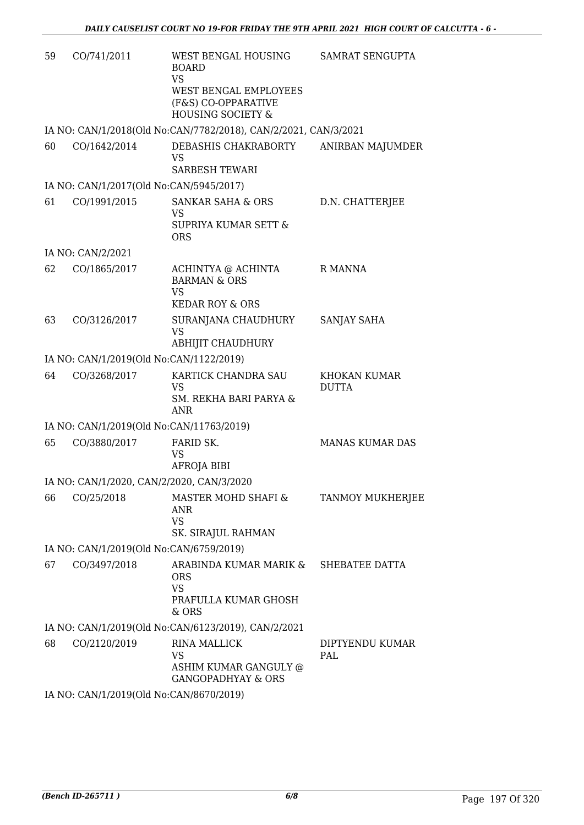| 59 | CO/741/2011                             | WEST BENGAL HOUSING<br><b>BOARD</b><br><b>VS</b><br>WEST BENGAL EMPLOYEES<br>(F&S) CO-OPPARATIVE<br><b>HOUSING SOCIETY &amp;</b> | SAMRAT SENGUPTA               |
|----|-----------------------------------------|----------------------------------------------------------------------------------------------------------------------------------|-------------------------------|
|    |                                         | IA NO: CAN/1/2018(Old No:CAN/7782/2018), CAN/2/2021, CAN/3/2021                                                                  |                               |
| 60 | CO/1642/2014                            | DEBASHIS CHAKRABORTY<br><b>VS</b><br><b>SARBESH TEWARI</b>                                                                       | ANIRBAN MAJUMDER              |
|    | IA NO: CAN/1/2017(Old No:CAN/5945/2017) |                                                                                                                                  |                               |
| 61 | CO/1991/2015                            | <b>SANKAR SAHA &amp; ORS</b><br><b>VS</b><br>SUPRIYA KUMAR SETT &<br><b>ORS</b>                                                  | D.N. CHATTERJEE               |
|    | IA NO: CAN/2/2021                       |                                                                                                                                  |                               |
| 62 | CO/1865/2017                            | ACHINTYA @ ACHINTA<br><b>BARMAN &amp; ORS</b><br><b>VS</b><br><b>KEDAR ROY &amp; ORS</b>                                         | R MANNA                       |
| 63 | CO/3126/2017                            | SURANJANA CHAUDHURY<br><b>VS</b><br><b>ABHIJIT CHAUDHURY</b>                                                                     | SANJAY SAHA                   |
|    | IA NO: CAN/1/2019(Old No:CAN/1122/2019) |                                                                                                                                  |                               |
| 64 | CO/3268/2017                            | KARTICK CHANDRA SAU<br><b>VS</b><br>SM. REKHA BARI PARYA &<br><b>ANR</b>                                                         | KHOKAN KUMAR<br><b>DUTTA</b>  |
|    |                                         | IA NO: CAN/1/2019(Old No:CAN/11763/2019)                                                                                         |                               |
| 65 | CO/3880/2017                            | FARID SK.<br><b>VS</b><br>AFROJA BIBI                                                                                            | <b>MANAS KUMAR DAS</b>        |
|    |                                         | IA NO: CAN/1/2020, CAN/2/2020, CAN/3/2020                                                                                        |                               |
| 66 | CO/25/2018                              | MASTER MOHD SHAFI &<br>ANR<br><b>VS</b><br>SK. SIRAJUL RAHMAN                                                                    | TANMOY MUKHERJEE              |
|    | IA NO: CAN/1/2019(Old No:CAN/6759/2019) |                                                                                                                                  |                               |
| 67 | CO/3497/2018                            | ARABINDA KUMAR MARIK &<br><b>ORS</b><br><b>VS</b><br>PRAFULLA KUMAR GHOSH<br>& ORS                                               | SHEBATEE DATTA                |
|    |                                         | IA NO: CAN/1/2019(Old No:CAN/6123/2019), CAN/2/2021                                                                              |                               |
| 68 | CO/2120/2019                            | <b>RINA MALLICK</b><br><b>VS</b><br>ASHIM KUMAR GANGULY @<br><b>GANGOPADHYAY &amp; ORS</b>                                       | DIPTYENDU KUMAR<br><b>PAL</b> |
|    |                                         |                                                                                                                                  |                               |

IA NO: CAN/1/2019(Old No:CAN/8670/2019)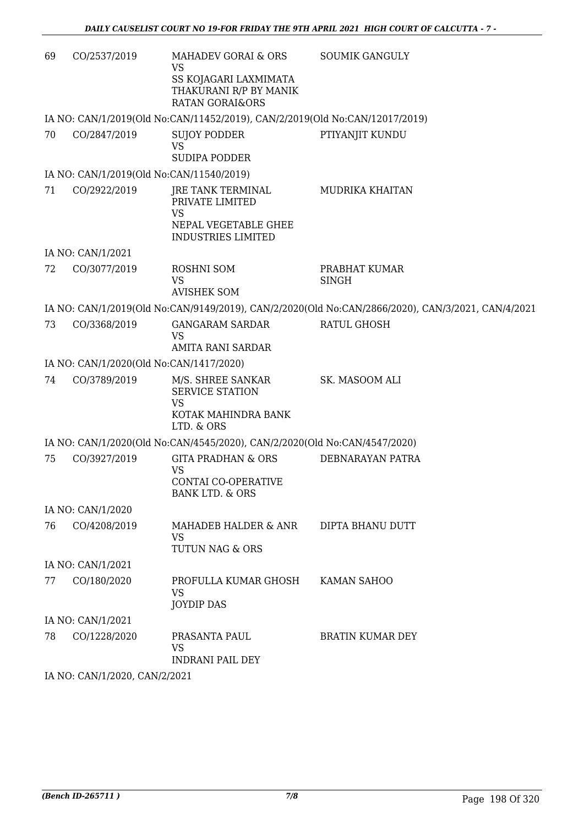| 69 | CO/2537/2019                  | MAHADEV GORAI & ORS<br><b>VS</b><br>SS KOJAGARI LAXMIMATA<br>THAKURANI R/P BY MANIK<br><b>RATAN GORAI&amp;ORS</b> | <b>SOUMIK GANGULY</b>                                                                             |
|----|-------------------------------|-------------------------------------------------------------------------------------------------------------------|---------------------------------------------------------------------------------------------------|
|    |                               | IA NO: CAN/1/2019(Old No:CAN/11452/2019), CAN/2/2019(Old No:CAN/12017/2019)                                       |                                                                                                   |
| 70 | CO/2847/2019                  | <b>SUJOY PODDER</b><br><b>VS</b><br><b>SUDIPA PODDER</b>                                                          | PTIYANJIT KUNDU                                                                                   |
|    |                               | IA NO: CAN/1/2019(Old No:CAN/11540/2019)                                                                          |                                                                                                   |
| 71 | CO/2922/2019                  | JRE TANK TERMINAL<br>PRIVATE LIMITED<br><b>VS</b><br>NEPAL VEGETABLE GHEE<br><b>INDUSTRIES LIMITED</b>            | <b>MUDRIKA KHAITAN</b>                                                                            |
|    | IA NO: CAN/1/2021             |                                                                                                                   |                                                                                                   |
| 72 | CO/3077/2019                  | ROSHNI SOM<br><b>VS</b><br><b>AVISHEK SOM</b>                                                                     | PRABHAT KUMAR<br><b>SINGH</b>                                                                     |
|    |                               |                                                                                                                   | IA NO: CAN/1/2019(Old No:CAN/9149/2019), CAN/2/2020(Old No:CAN/2866/2020), CAN/3/2021, CAN/4/2021 |
| 73 | CO/3368/2019                  | <b>GANGARAM SARDAR</b><br><b>VS</b><br>AMITA RANI SARDAR                                                          | RATUL GHOSH                                                                                       |
|    |                               | IA NO: CAN/1/2020(Old No:CAN/1417/2020)                                                                           |                                                                                                   |
| 74 | CO/3789/2019                  | M/S. SHREE SANKAR<br><b>SERVICE STATION</b><br><b>VS</b><br>KOTAK MAHINDRA BANK<br>LTD. & ORS                     | SK. MASOOM ALI                                                                                    |
|    |                               | IA NO: CAN/1/2020(Old No:CAN/4545/2020), CAN/2/2020(Old No:CAN/4547/2020)                                         |                                                                                                   |
| 75 | CO/3927/2019                  | <b>GITA PRADHAN &amp; ORS</b><br><b>VS</b><br>CONTAI CO-OPERATIVE<br><b>BANK LTD. &amp; ORS</b>                   | DEBNARAYAN PATRA                                                                                  |
|    | IA NO: CAN/1/2020             |                                                                                                                   |                                                                                                   |
| 76 | CO/4208/2019                  | MAHADEB HALDER & ANR<br>VS<br>TUTUN NAG & ORS                                                                     | DIPTA BHANU DUTT                                                                                  |
|    | IA NO: CAN/1/2021             |                                                                                                                   |                                                                                                   |
| 77 | CO/180/2020                   | PROFULLA KUMAR GHOSH<br><b>VS</b><br><b>JOYDIP DAS</b>                                                            | KAMAN SAHOO                                                                                       |
|    | IA NO: CAN/1/2021             |                                                                                                                   |                                                                                                   |
| 78 | CO/1228/2020                  | PRASANTA PAUL<br><b>VS</b><br><b>INDRANI PAIL DEY</b>                                                             | <b>BRATIN KUMAR DEY</b>                                                                           |
|    | IA NO: CAN/1/2020, CAN/2/2021 |                                                                                                                   |                                                                                                   |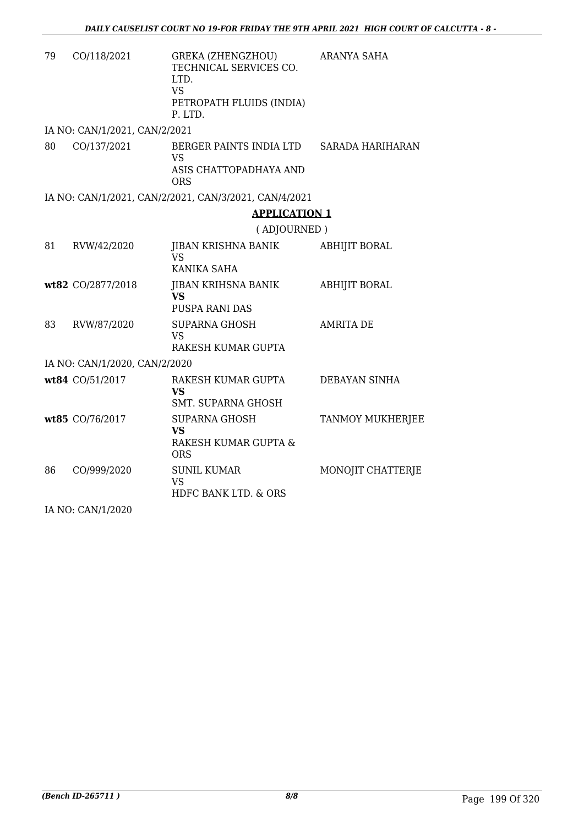| 79 | CO/118/2021                   | GREKA (ZHENGZHOU)<br>TECHNICAL SERVICES CO.<br>LTD.<br><b>VS</b><br>PETROPATH FLUIDS (INDIA)<br>P. LTD. | <b>ARANYA SAHA</b>   |  |  |
|----|-------------------------------|---------------------------------------------------------------------------------------------------------|----------------------|--|--|
|    | IA NO: CAN/1/2021, CAN/2/2021 |                                                                                                         |                      |  |  |
| 80 | CO/137/2021                   | BERGER PAINTS INDIA LTD<br>VS<br>ASIS CHATTOPADHAYA AND<br>ORS                                          | SARADA HARIHARAN     |  |  |
|    |                               | IA NO: CAN/1/2021, CAN/2/2021, CAN/3/2021, CAN/4/2021                                                   |                      |  |  |
|    |                               | <b>APPLICATION 1</b>                                                                                    |                      |  |  |
|    |                               | (ADJOURNED)                                                                                             |                      |  |  |
| 81 | RVW/42/2020                   | JIBAN KRISHNA BANIK<br><b>VS</b><br>KANIKA SAHA                                                         | ABHIJIT BORAL        |  |  |
|    | wt82 CO/2877/2018             | JIBAN KRIHSNA BANIK<br><b>VS</b><br>PUSPA RANI DAS                                                      | <b>ABHIJIT BORAL</b> |  |  |
| 83 | RVW/87/2020                   | <b>SUPARNA GHOSH</b><br><b>VS</b><br>RAKESH KUMAR GUPTA                                                 | <b>AMRITA DE</b>     |  |  |
|    | IA NO: CAN/1/2020, CAN/2/2020 |                                                                                                         |                      |  |  |
|    | wt84 CO/51/2017               | RAKESH KUMAR GUPTA<br>VS<br>SMT. SUPARNA GHOSH                                                          | DEBAYAN SINHA        |  |  |
|    | wt85 CO/76/2017               | <b>SUPARNA GHOSH</b><br><b>VS</b><br>RAKESH KUMAR GUPTA &<br><b>ORS</b>                                 | TANMOY MUKHERJEE     |  |  |
| 86 | CO/999/2020                   | <b>SUNIL KUMAR</b><br><b>VS</b><br>HDFC BANK LTD. & ORS                                                 | MONOJIT CHATTERJE    |  |  |
|    | IA NO: CAN/1/2020             |                                                                                                         |                      |  |  |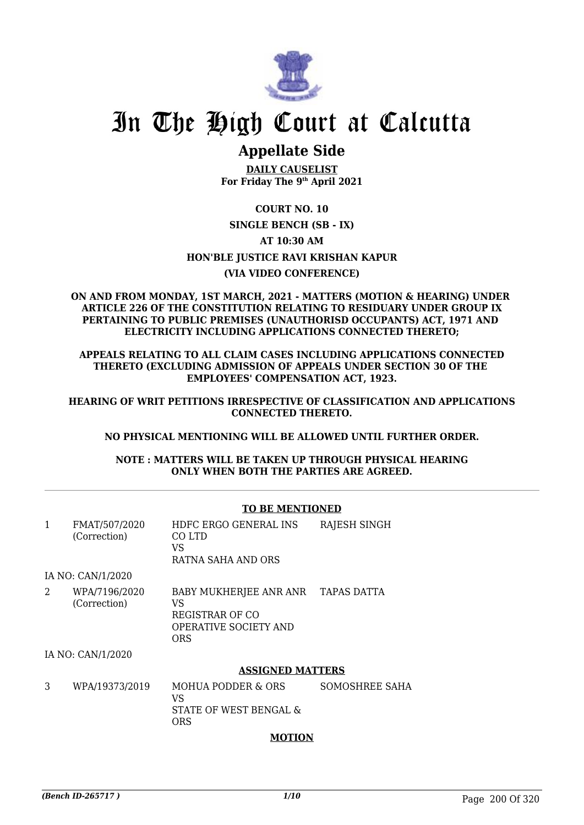

## **Appellate Side**

**DAILY CAUSELIST For Friday The 9th April 2021**

### **COURT NO. 10 SINGLE BENCH (SB - IX) AT 10:30 AM HON'BLE JUSTICE RAVI KRISHAN KAPUR (VIA VIDEO CONFERENCE)**

#### **ON AND FROM MONDAY, 1ST MARCH, 2021 - MATTERS (MOTION & HEARING) UNDER ARTICLE 226 OF THE CONSTITUTION RELATING TO RESIDUARY UNDER GROUP IX PERTAINING TO PUBLIC PREMISES (UNAUTHORISD OCCUPANTS) ACT, 1971 AND ELECTRICITY INCLUDING APPLICATIONS CONNECTED THERETO;**

**APPEALS RELATING TO ALL CLAIM CASES INCLUDING APPLICATIONS CONNECTED THERETO (EXCLUDING ADMISSION OF APPEALS UNDER SECTION 30 OF THE EMPLOYEES' COMPENSATION ACT, 1923.**

**HEARING OF WRIT PETITIONS IRRESPECTIVE OF CLASSIFICATION AND APPLICATIONS CONNECTED THERETO.**

#### **NO PHYSICAL MENTIONING WILL BE ALLOWED UNTIL FURTHER ORDER.**

**NOTE : MATTERS WILL BE TAKEN UP THROUGH PHYSICAL HEARING ONLY WHEN BOTH THE PARTIES ARE AGREED.**

#### **TO BE MENTIONED**

| 1 | FMAT/507/2020<br>(Correction) | HDFC ERGO GENERAL INS<br>CO LTD<br>VS<br>RATNA SAHA AND ORS                                        | RAJESH SINGH   |
|---|-------------------------------|----------------------------------------------------------------------------------------------------|----------------|
|   | IA NO: CAN/1/2020             |                                                                                                    |                |
| 2 | WPA/7196/2020<br>(Correction) | BABY MUKHERJEE ANR ANR TAPAS DATTA<br>VS<br>REGISTRAR OF CO<br><b>OPERATIVE SOCIETY AND</b><br>ORS |                |
|   | IA NO: CAN/1/2020             |                                                                                                    |                |
|   |                               | <b>ASSIGNED MATTERS</b>                                                                            |                |
| 3 | WPA/19373/2019                | MOHUA PODDER & ORS<br>VS<br>STATE OF WEST BENGAL &<br>ORS                                          | SOMOSHREE SAHA |

#### **MOTION**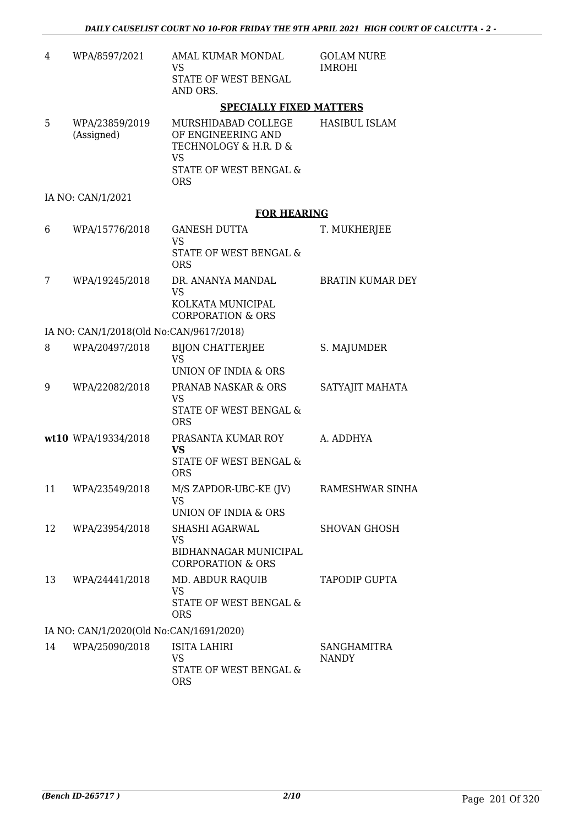| 4  | WPA/8597/2021                           | AMAL KUMAR MONDAL<br><b>VS</b>                                                                                          | <b>GOLAM NURE</b><br><b>IMROHI</b> |
|----|-----------------------------------------|-------------------------------------------------------------------------------------------------------------------------|------------------------------------|
|    |                                         | STATE OF WEST BENGAL<br>AND ORS.                                                                                        |                                    |
|    |                                         | <b>SPECIALLY FIXED MATTERS</b>                                                                                          |                                    |
| 5  | WPA/23859/2019<br>(Assigned)            | MURSHIDABAD COLLEGE<br>OF ENGINEERING AND<br>TECHNOLOGY & H.R. D &<br><b>VS</b><br>STATE OF WEST BENGAL &<br><b>ORS</b> | <b>HASIBUL ISLAM</b>               |
|    | IA NO: CAN/1/2021                       |                                                                                                                         |                                    |
|    |                                         | <b>FOR HEARING</b>                                                                                                      |                                    |
| 6  | WPA/15776/2018                          | <b>GANESH DUTTA</b><br><b>VS</b><br><b>STATE OF WEST BENGAL &amp;</b><br><b>ORS</b>                                     | T. MUKHERJEE                       |
| 7  | WPA/19245/2018                          | DR. ANANYA MANDAL<br><b>VS</b><br>KOLKATA MUNICIPAL<br><b>CORPORATION &amp; ORS</b>                                     | <b>BRATIN KUMAR DEY</b>            |
|    | IA NO: CAN/1/2018(Old No:CAN/9617/2018) |                                                                                                                         |                                    |
| 8  | WPA/20497/2018                          | <b>BIJON CHATTERJEE</b><br><b>VS</b><br>UNION OF INDIA & ORS                                                            | S. MAJUMDER                        |
| 9  | WPA/22082/2018                          | PRANAB NASKAR & ORS<br><b>VS</b><br>STATE OF WEST BENGAL &<br><b>ORS</b>                                                | SATYAJIT MAHATA                    |
|    | wt10 WPA/19334/2018                     | PRASANTA KUMAR ROY<br><b>VS</b><br>STATE OF WEST BENGAL &<br><b>ORS</b>                                                 | A. ADDHYA                          |
| 11 | WPA/23549/2018                          | M/S ZAPDOR-UBC-KE (JV)<br><b>VS</b><br><b>UNION OF INDIA &amp; ORS</b>                                                  | RAMESHWAR SINHA                    |
| 12 | WPA/23954/2018                          | SHASHI AGARWAL<br>VS<br>BIDHANNAGAR MUNICIPAL<br><b>CORPORATION &amp; ORS</b>                                           | <b>SHOVAN GHOSH</b>                |
| 13 | WPA/24441/2018                          | MD. ABDUR RAQUIB<br><b>VS</b><br>STATE OF WEST BENGAL &<br><b>ORS</b>                                                   | <b>TAPODIP GUPTA</b>               |
|    | IA NO: CAN/1/2020(Old No:CAN/1691/2020) |                                                                                                                         |                                    |
| 14 | WPA/25090/2018                          | <b>ISITA LAHIRI</b><br><b>VS</b><br>STATE OF WEST BENGAL &<br><b>ORS</b>                                                | <b>SANGHAMITRA</b><br><b>NANDY</b> |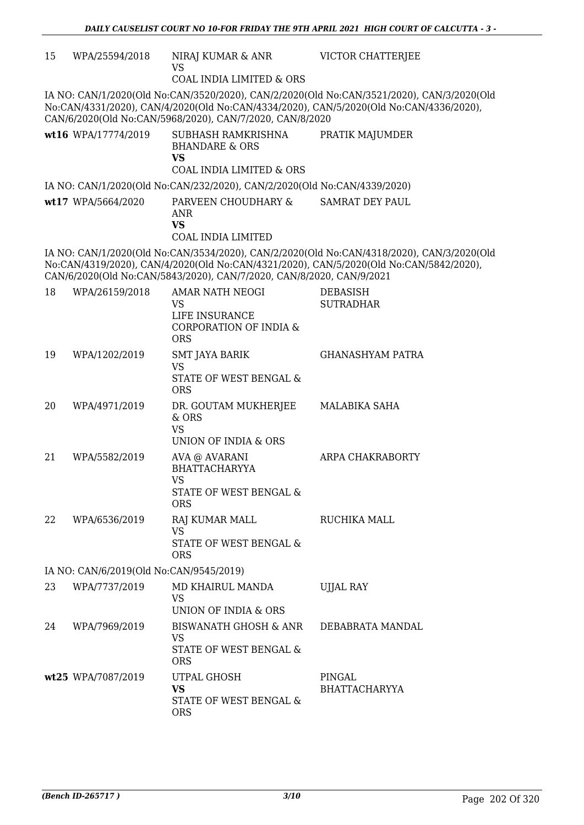| 15 | WPA/25594/2018                          | NIRAJ KUMAR & ANR<br><b>VS</b><br><b>COAL INDIA LIMITED &amp; ORS</b>                                    | <b>VICTOR CHATTERJEE</b>                                                                                                                                                            |
|----|-----------------------------------------|----------------------------------------------------------------------------------------------------------|-------------------------------------------------------------------------------------------------------------------------------------------------------------------------------------|
|    |                                         | CAN/6/2020(Old No:CAN/5968/2020), CAN/7/2020, CAN/8/2020                                                 | IA NO: CAN/1/2020(Old No:CAN/3520/2020), CAN/2/2020(Old No:CAN/3521/2020), CAN/3/2020(Old<br>No:CAN/4331/2020), CAN/4/2020(Old No:CAN/4334/2020), CAN/5/2020(Old No:CAN/4336/2020), |
|    | wt16 WPA/17774/2019                     | SUBHASH RAMKRISHNA<br><b>BHANDARE &amp; ORS</b><br><b>VS</b><br><b>COAL INDIA LIMITED &amp; ORS</b>      | PRATIK MAJUMDER                                                                                                                                                                     |
|    |                                         | IA NO: CAN/1/2020(Old No:CAN/232/2020), CAN/2/2020(Old No:CAN/4339/2020)                                 |                                                                                                                                                                                     |
|    | wt17 WPA/5664/2020                      | PARVEEN CHOUDHARY &<br>ANR<br><b>VS</b><br><b>COAL INDIA LIMITED</b>                                     | SAMRAT DEY PAUL                                                                                                                                                                     |
|    |                                         | CAN/6/2020(Old No:CAN/5843/2020), CAN/7/2020, CAN/8/2020, CAN/9/2021                                     | IA NO: CAN/1/2020(Old No:CAN/3534/2020), CAN/2/2020(Old No:CAN/4318/2020), CAN/3/2020(Old<br>No:CAN/4319/2020), CAN/4/2020(Old No:CAN/4321/2020), CAN/5/2020(Old No:CAN/5842/2020), |
| 18 | WPA/26159/2018                          | <b>AMAR NATH NEOGI</b><br><b>VS</b><br>LIFE INSURANCE<br><b>CORPORATION OF INDIA &amp;</b><br><b>ORS</b> | <b>DEBASISH</b><br><b>SUTRADHAR</b>                                                                                                                                                 |
| 19 | WPA/1202/2019                           | <b>SMT JAYA BARIK</b><br><b>VS</b><br>STATE OF WEST BENGAL &<br><b>ORS</b>                               | <b>GHANASHYAM PATRA</b>                                                                                                                                                             |
| 20 | WPA/4971/2019                           | DR. GOUTAM MUKHERJEE<br>& ORS<br><b>VS</b><br>UNION OF INDIA & ORS                                       | MALABIKA SAHA                                                                                                                                                                       |
| 21 | WPA/5582/2019                           | AVA @ AVARANI<br><b>BHATTACHARYYA</b><br><b>VS</b><br>STATE OF WEST BENGAL &<br><b>ORS</b>               | ARPA CHAKRABORTY                                                                                                                                                                    |
| 22 | WPA/6536/2019                           | RAJ KUMAR MALL<br><b>VS</b><br>STATE OF WEST BENGAL &<br><b>ORS</b>                                      | RUCHIKA MALL                                                                                                                                                                        |
|    | IA NO: CAN/6/2019(Old No:CAN/9545/2019) |                                                                                                          |                                                                                                                                                                                     |
| 23 | WPA/7737/2019                           | MD KHAIRUL MANDA<br><b>VS</b><br>UNION OF INDIA & ORS                                                    | UJJAL RAY                                                                                                                                                                           |
| 24 | WPA/7969/2019                           | <b>BISWANATH GHOSH &amp; ANR</b><br><b>VS</b><br>STATE OF WEST BENGAL &<br><b>ORS</b>                    | DEBABRATA MANDAL                                                                                                                                                                    |
|    | wt25 WPA/7087/2019                      | UTPAL GHOSH<br><b>VS</b><br>STATE OF WEST BENGAL &<br><b>ORS</b>                                         | PINGAL<br><b>BHATTACHARYYA</b>                                                                                                                                                      |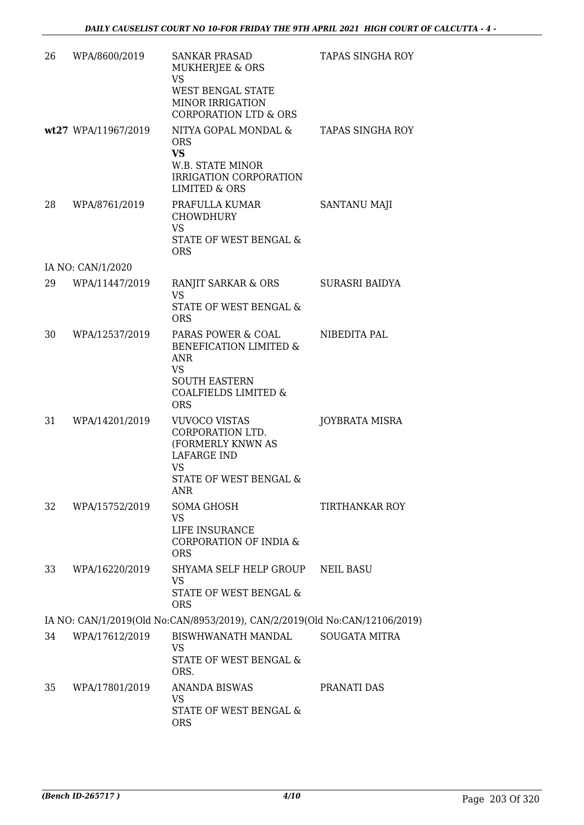| 26 | WPA/8600/2019       | <b>SANKAR PRASAD</b><br><b>MUKHERJEE &amp; ORS</b><br><b>VS</b><br>WEST BENGAL STATE<br><b>MINOR IRRIGATION</b><br><b>CORPORATION LTD &amp; ORS</b> | <b>TAPAS SINGHA ROY</b> |
|----|---------------------|-----------------------------------------------------------------------------------------------------------------------------------------------------|-------------------------|
|    | wt27 WPA/11967/2019 | NITYA GOPAL MONDAL &<br><b>ORS</b><br><b>VS</b><br>W.B. STATE MINOR<br>IRRIGATION CORPORATION<br><b>LIMITED &amp; ORS</b>                           | TAPAS SINGHA ROY        |
| 28 | WPA/8761/2019       | PRAFULLA KUMAR<br><b>CHOWDHURY</b><br><b>VS</b><br>STATE OF WEST BENGAL &<br><b>ORS</b>                                                             | SANTANU MAJI            |
|    | IA NO: CAN/1/2020   |                                                                                                                                                     |                         |
| 29 | WPA/11447/2019      | <b>RANJIT SARKAR &amp; ORS</b><br><b>VS</b><br><b>STATE OF WEST BENGAL &amp;</b><br><b>ORS</b>                                                      | SURASRI BAIDYA          |
| 30 | WPA/12537/2019      | PARAS POWER & COAL<br>BENEFICATION LIMITED &<br>ANR<br>VS<br><b>SOUTH EASTERN</b><br><b>COALFIELDS LIMITED &amp;</b><br><b>ORS</b>                  | NIBEDITA PAL            |
| 31 | WPA/14201/2019      | <b>VUVOCO VISTAS</b><br>CORPORATION LTD.<br>(FORMERLY KNWN AS<br><b>LAFARGE IND</b><br><b>VS</b><br><b>STATE OF WEST BENGAL &amp;</b><br>ANR        | JOYBRATA MISRA          |
| 32 | WPA/15752/2019      | <b>SOMA GHOSH</b><br><b>VS</b><br>LIFE INSURANCE<br>CORPORATION OF INDIA &<br><b>ORS</b>                                                            | TIRTHANKAR ROY          |
| 33 | WPA/16220/2019      | SHYAMA SELF HELP GROUP<br>VS<br>STATE OF WEST BENGAL &<br><b>ORS</b>                                                                                | <b>NEIL BASU</b>        |
|    |                     | IA NO: CAN/1/2019(Old No:CAN/8953/2019), CAN/2/2019(Old No:CAN/12106/2019)                                                                          |                         |
| 34 | WPA/17612/2019      | BISWHWANATH MANDAL<br><b>VS</b><br>STATE OF WEST BENGAL &<br>ORS.                                                                                   | <b>SOUGATA MITRA</b>    |
| 35 | WPA/17801/2019      | <b>ANANDA BISWAS</b><br><b>VS</b><br>STATE OF WEST BENGAL &<br><b>ORS</b>                                                                           | PRANATI DAS             |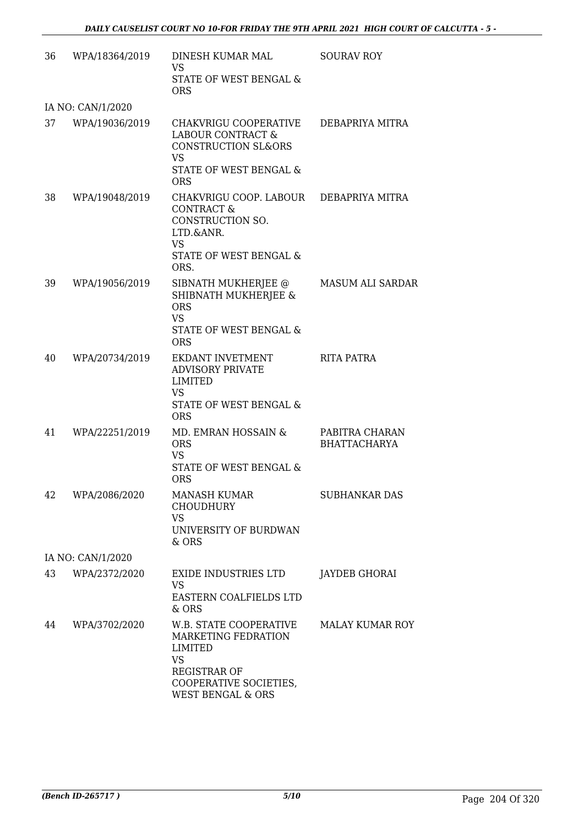| 36 | WPA/18364/2019    | DINESH KUMAR MAL<br><b>VS</b><br>STATE OF WEST BENGAL &<br><b>ORS</b>                                                                                  | <b>SOURAV ROY</b>                     |
|----|-------------------|--------------------------------------------------------------------------------------------------------------------------------------------------------|---------------------------------------|
|    | IA NO: CAN/1/2020 |                                                                                                                                                        |                                       |
| 37 | WPA/19036/2019    | CHAKVRIGU COOPERATIVE<br>LABOUR CONTRACT &<br><b>CONSTRUCTION SL&amp;ORS</b><br><b>VS</b><br>STATE OF WEST BENGAL &<br><b>ORS</b>                      | DEBAPRIYA MITRA                       |
| 38 | WPA/19048/2019    | CHAKVRIGU COOP. LABOUR DEBAPRIYA MITRA<br><b>CONTRACT &amp;</b><br>CONSTRUCTION SO.<br>LTD.&ANR.<br><b>VS</b><br>STATE OF WEST BENGAL &<br>ORS.        |                                       |
| 39 | WPA/19056/2019    | SIBNATH MUKHERJEE @<br>SHIBNATH MUKHERJEE &<br><b>ORS</b><br><b>VS</b><br>STATE OF WEST BENGAL &<br><b>ORS</b>                                         | <b>MASUM ALI SARDAR</b>               |
| 40 | WPA/20734/2019    | EKDANT INVETMENT<br><b>ADVISORY PRIVATE</b><br><b>LIMITED</b><br><b>VS</b><br>STATE OF WEST BENGAL &<br><b>ORS</b>                                     | RITA PATRA                            |
| 41 | WPA/22251/2019    | MD. EMRAN HOSSAIN &<br><b>ORS</b><br><b>VS</b><br>STATE OF WEST BENGAL &<br><b>ORS</b>                                                                 | PABITRA CHARAN<br><b>BHATTACHARYA</b> |
| 42 | WPA/2086/2020     | <b>MANASH KUMAR</b><br><b>CHOUDHURY</b><br><b>VS</b><br>UNIVERSITY OF BURDWAN<br>& ORS                                                                 | <b>SUBHANKAR DAS</b>                  |
|    | IA NO: CAN/1/2020 |                                                                                                                                                        |                                       |
| 43 | WPA/2372/2020     | EXIDE INDUSTRIES LTD<br><b>VS</b><br>EASTERN COALFIELDS LTD<br>& ORS                                                                                   | JAYDEB GHORAI                         |
| 44 | WPA/3702/2020     | W.B. STATE COOPERATIVE<br>MARKETING FEDRATION<br>LIMITED<br><b>VS</b><br><b>REGISTRAR OF</b><br>COOPERATIVE SOCIETIES,<br><b>WEST BENGAL &amp; ORS</b> | <b>MALAY KUMAR ROY</b>                |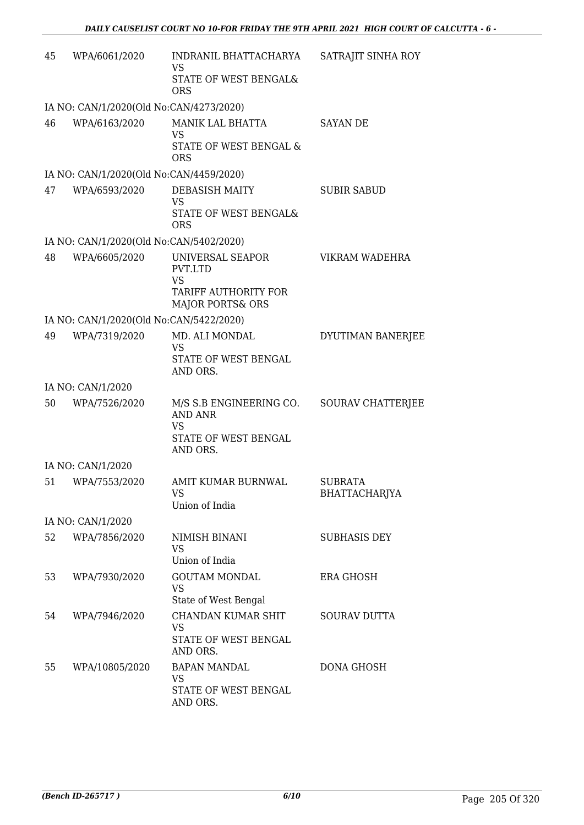| 45 | WPA/6061/2020                                            | INDRANIL BHATTACHARYA<br><b>VS</b>                                                         | SATRAJIT SINHA ROY                     |
|----|----------------------------------------------------------|--------------------------------------------------------------------------------------------|----------------------------------------|
|    |                                                          | STATE OF WEST BENGAL&<br><b>ORS</b>                                                        |                                        |
|    | IA NO: CAN/1/2020(Old No:CAN/4273/2020)                  |                                                                                            |                                        |
| 46 | WPA/6163/2020                                            | MANIK LAL BHATTA<br>VS<br>STATE OF WEST BENGAL &                                           | <b>SAYAN DE</b>                        |
|    |                                                          | <b>ORS</b>                                                                                 |                                        |
| 47 | IA NO: CAN/1/2020(Old No:CAN/4459/2020)<br>WPA/6593/2020 | DEBASISH MAITY                                                                             | <b>SUBIR SABUD</b>                     |
|    |                                                          | <b>VS</b><br>STATE OF WEST BENGAL&<br><b>ORS</b>                                           |                                        |
|    | IA NO: CAN/1/2020(Old No:CAN/5402/2020)                  |                                                                                            |                                        |
| 48 | WPA/6605/2020                                            | UNIVERSAL SEAPOR<br>PVT.LTD                                                                | VIKRAM WADEHRA                         |
|    |                                                          | <b>VS</b><br>TARIFF AUTHORITY FOR<br><b>MAJOR PORTS&amp; ORS</b>                           |                                        |
|    | IA NO: CAN/1/2020(Old No:CAN/5422/2020)                  |                                                                                            |                                        |
| 49 | WPA/7319/2020                                            | MD. ALI MONDAL<br><b>VS</b>                                                                | DYUTIMAN BANERJEE                      |
|    |                                                          | STATE OF WEST BENGAL<br>AND ORS.                                                           |                                        |
|    | IA NO: CAN/1/2020                                        |                                                                                            |                                        |
| 50 | WPA/7526/2020                                            | M/S S.B ENGINEERING CO.<br><b>AND ANR</b><br><b>VS</b><br>STATE OF WEST BENGAL<br>AND ORS. | <b>SOURAV CHATTERJEE</b>               |
|    | IA NO: CAN/1/2020                                        |                                                                                            |                                        |
| 51 | WPA/7553/2020                                            | AMIT KUMAR BURNWAL<br><b>VS</b><br>Union of India                                          | <b>SUBRATA</b><br><b>BHATTACHARJYA</b> |
|    | IA NO: CAN/1/2020                                        |                                                                                            |                                        |
| 52 | WPA/7856/2020                                            | NIMISH BINANI<br><b>VS</b><br>Union of India                                               | <b>SUBHASIS DEY</b>                    |
| 53 | WPA/7930/2020                                            | <b>GOUTAM MONDAL</b><br><b>VS</b><br>State of West Bengal                                  | <b>ERA GHOSH</b>                       |
| 54 | WPA/7946/2020                                            | CHANDAN KUMAR SHIT<br><b>VS</b><br>STATE OF WEST BENGAL<br>AND ORS.                        | <b>SOURAV DUTTA</b>                    |
| 55 | WPA/10805/2020                                           | <b>BAPAN MANDAL</b><br><b>VS</b><br>STATE OF WEST BENGAL<br>AND ORS.                       | DONA GHOSH                             |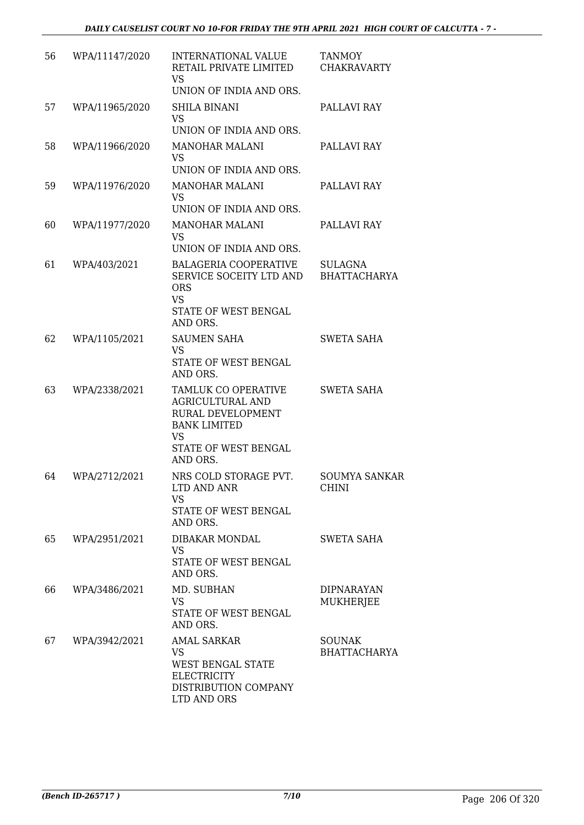| 56 | WPA/11147/2020 | INTERNATIONAL VALUE<br>RETAIL PRIVATE LIMITED<br><b>VS</b>                                                                                        | <b>TANMOY</b><br><b>CHAKRAVARTY</b>   |
|----|----------------|---------------------------------------------------------------------------------------------------------------------------------------------------|---------------------------------------|
|    |                | UNION OF INDIA AND ORS.                                                                                                                           |                                       |
| 57 | WPA/11965/2020 | SHILA BINANI<br><b>VS</b><br>UNION OF INDIA AND ORS.                                                                                              | PALLAVI RAY                           |
| 58 | WPA/11966/2020 | MANOHAR MALANI<br>VS.<br>UNION OF INDIA AND ORS.                                                                                                  | PALLAVI RAY                           |
| 59 | WPA/11976/2020 | <b>MANOHAR MALANI</b><br><b>VS</b><br>UNION OF INDIA AND ORS.                                                                                     | PALLAVI RAY                           |
| 60 | WPA/11977/2020 | <b>MANOHAR MALANI</b><br><b>VS</b>                                                                                                                | PALLAVI RAY                           |
| 61 | WPA/403/2021   | UNION OF INDIA AND ORS.<br><b>BALAGERIA COOPERATIVE</b><br>SERVICE SOCEITY LTD AND<br><b>ORS</b><br><b>VS</b><br>STATE OF WEST BENGAL<br>AND ORS. | <b>SULAGNA</b><br><b>BHATTACHARYA</b> |
| 62 | WPA/1105/2021  | <b>SAUMEN SAHA</b><br><b>VS</b><br>STATE OF WEST BENGAL<br>AND ORS.                                                                               | <b>SWETA SAHA</b>                     |
| 63 | WPA/2338/2021  | TAMLUK CO OPERATIVE<br><b>AGRICULTURAL AND</b><br>RURAL DEVELOPMENT<br><b>BANK LIMITED</b><br><b>VS</b><br>STATE OF WEST BENGAL<br>AND ORS.       | <b>SWETA SAHA</b>                     |
| 64 | WPA/2712/2021  | NRS COLD STORAGE PVT.<br>LTD AND ANR<br><b>VS</b><br>STATE OF WEST BENGAL<br>AND ORS.                                                             | <b>SOUMYA SANKAR</b><br><b>CHINI</b>  |
| 65 | WPA/2951/2021  | DIBAKAR MONDAL<br><b>VS</b><br>STATE OF WEST BENGAL<br>AND ORS.                                                                                   | <b>SWETA SAHA</b>                     |
| 66 | WPA/3486/2021  | MD. SUBHAN<br>VS<br>STATE OF WEST BENGAL<br>AND ORS.                                                                                              | <b>DIPNARAYAN</b><br>MUKHERJEE        |
| 67 | WPA/3942/2021  | <b>AMAL SARKAR</b><br><b>VS</b><br>WEST BENGAL STATE<br><b>ELECTRICITY</b><br>DISTRIBUTION COMPANY<br>LTD AND ORS                                 | <b>SOUNAK</b><br><b>BHATTACHARYA</b>  |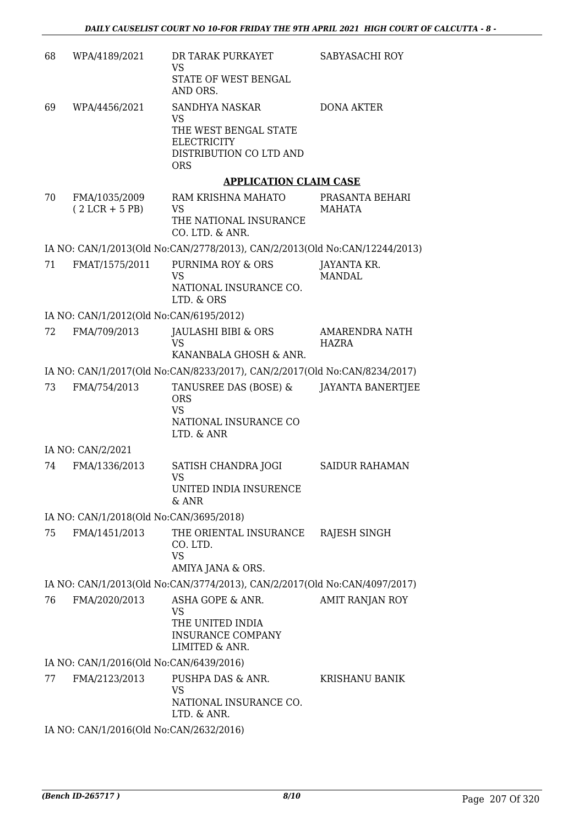| 68 | WPA/4189/2021                           | DR TARAK PURKAYET<br><b>VS</b>                                                                  | SABYASACHI ROY                        |
|----|-----------------------------------------|-------------------------------------------------------------------------------------------------|---------------------------------------|
|    |                                         | STATE OF WEST BENGAL<br>AND ORS.                                                                |                                       |
| 69 | WPA/4456/2021                           | <b>SANDHYA NASKAR</b><br>VS                                                                     | <b>DONA AKTER</b>                     |
|    |                                         | THE WEST BENGAL STATE<br><b>ELECTRICITY</b><br>DISTRIBUTION CO LTD AND                          |                                       |
|    |                                         | <b>ORS</b>                                                                                      |                                       |
|    |                                         | <b>APPLICATION CLAIM CASE</b>                                                                   |                                       |
| 70 | FMA/1035/2009<br>$(2 LCR + 5 PB)$       | RAM KRISHNA MAHATO<br>VS<br>THE NATIONAL INSURANCE                                              | PRASANTA BEHARI<br>MAHATA             |
|    |                                         | CO. LTD. & ANR.                                                                                 |                                       |
| 71 | FMAT/1575/2011                          | IA NO: CAN/1/2013(Old No:CAN/2778/2013), CAN/2/2013(Old No:CAN/12244/2013)<br>PURNIMA ROY & ORS | JAYANTA KR.                           |
|    |                                         | <b>VS</b>                                                                                       | <b>MANDAL</b>                         |
|    |                                         | NATIONAL INSURANCE CO.<br>LTD. & ORS                                                            |                                       |
|    | IA NO: CAN/1/2012(Old No:CAN/6195/2012) |                                                                                                 |                                       |
| 72 | FMA/709/2013                            | JAULASHI BIBI & ORS<br><b>VS</b>                                                                | <b>AMARENDRA NATH</b><br><b>HAZRA</b> |
|    |                                         | KANANBALA GHOSH & ANR.                                                                          |                                       |
|    |                                         | IA NO: CAN/1/2017(Old No:CAN/8233/2017), CAN/2/2017(Old No:CAN/8234/2017)                       |                                       |
| 73 | FMA/754/2013                            | TANUSREE DAS (BOSE) &<br><b>ORS</b><br><b>VS</b><br>NATIONAL INSURANCE CO<br>LTD. & ANR         | <b>JAYANTA BANERTJEE</b>              |
|    | IA NO: CAN/2/2021                       |                                                                                                 |                                       |
| 74 | FMA/1336/2013                           | SATISH CHANDRA JOGI                                                                             | <b>SAIDUR RAHAMAN</b>                 |
|    |                                         | <b>VS</b><br>UNITED INDIA INSURENCE<br>& ANR                                                    |                                       |
|    | IA NO: CAN/1/2018(Old No:CAN/3695/2018) |                                                                                                 |                                       |
| 75 | FMA/1451/2013                           | THE ORIENTAL INSURANCE<br>CO. LTD.<br><b>VS</b><br>AMIYA JANA & ORS.                            | RAJESH SINGH                          |
|    |                                         | IA NO: CAN/1/2013(Old No:CAN/3774/2013), CAN/2/2017(Old No:CAN/4097/2017)                       |                                       |
| 76 | FMA/2020/2013                           | ASHA GOPE & ANR.                                                                                | AMIT RANJAN ROY                       |
|    |                                         | VS<br>THE UNITED INDIA<br><b>INSURANCE COMPANY</b><br>LIMITED & ANR.                            |                                       |
|    | IA NO: CAN/1/2016(Old No:CAN/6439/2016) |                                                                                                 |                                       |
| 77 | FMA/2123/2013                           | PUSHPA DAS & ANR.<br><b>VS</b>                                                                  | <b>KRISHANU BANIK</b>                 |
|    |                                         | NATIONAL INSURANCE CO.<br>LTD. & ANR.                                                           |                                       |
|    | IA NO: CAN/1/2016(Old No:CAN/2632/2016) |                                                                                                 |                                       |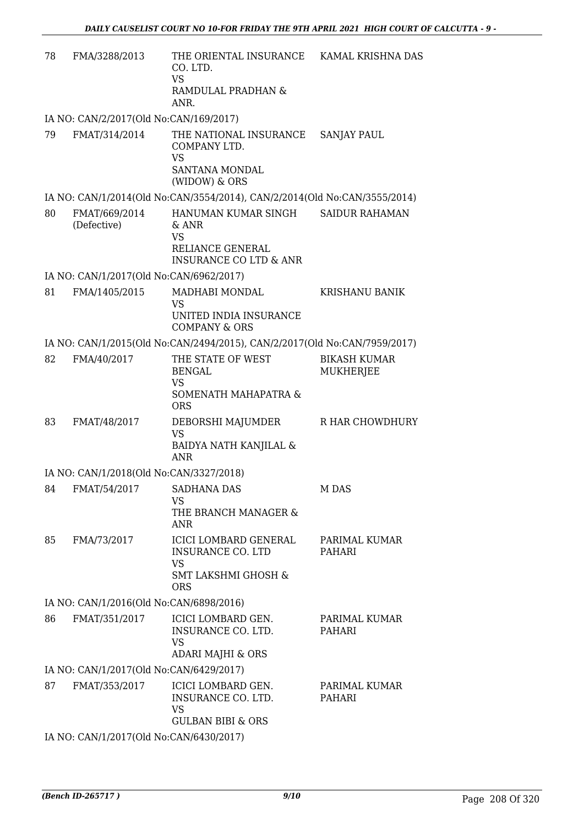| 78 | FMA/3288/2013                           | THE ORIENTAL INSURANCE<br>CO. LTD.<br><b>VS</b>                                                                | KAMAL KRISHNA DAS                       |
|----|-----------------------------------------|----------------------------------------------------------------------------------------------------------------|-----------------------------------------|
|    |                                         | RAMDULAL PRADHAN &<br>ANR.                                                                                     |                                         |
|    | IA NO: CAN/2/2017(Old No:CAN/169/2017)  |                                                                                                                |                                         |
| 79 | FMAT/314/2014                           | THE NATIONAL INSURANCE<br>COMPANY LTD.<br><b>VS</b><br><b>SANTANA MONDAL</b><br>(WIDOW) & ORS                  | <b>SANJAY PAUL</b>                      |
|    |                                         | IA NO: CAN/1/2014(Old No:CAN/3554/2014), CAN/2/2014(Old No:CAN/3555/2014)                                      |                                         |
| 80 | FMAT/669/2014                           | HANUMAN KUMAR SINGH                                                                                            | <b>SAIDUR RAHAMAN</b>                   |
|    | (Defective)                             | & ANR<br><b>VS</b>                                                                                             |                                         |
|    |                                         | RELIANCE GENERAL<br><b>INSURANCE CO LTD &amp; ANR</b>                                                          |                                         |
|    | IA NO: CAN/1/2017(Old No:CAN/6962/2017) |                                                                                                                |                                         |
| 81 | FMA/1405/2015                           | MADHABI MONDAL<br><b>VS</b>                                                                                    | <b>KRISHANU BANIK</b>                   |
|    |                                         | UNITED INDIA INSURANCE<br><b>COMPANY &amp; ORS</b>                                                             |                                         |
|    |                                         | IA NO: CAN/1/2015(Old No:CAN/2494/2015), CAN/2/2017(Old No:CAN/7959/2017)                                      |                                         |
| 82 | FMA/40/2017                             | THE STATE OF WEST<br><b>BENGAL</b><br><b>VS</b>                                                                | <b>BIKASH KUMAR</b><br><b>MUKHERJEE</b> |
|    |                                         | SOMENATH MAHAPATRA &<br><b>ORS</b>                                                                             |                                         |
| 83 | FMAT/48/2017                            | DEBORSHI MAJUMDER<br><b>VS</b><br>BAIDYA NATH KANJILAL &<br><b>ANR</b>                                         | R HAR CHOWDHURY                         |
|    | IA NO: CAN/1/2018(Old No:CAN/3327/2018) |                                                                                                                |                                         |
| 84 | FMAT/54/2017                            | <b>SADHANA DAS</b>                                                                                             | M DAS                                   |
|    |                                         | VS<br>THE BRANCH MANAGER &<br>ANR                                                                              |                                         |
| 85 | FMA/73/2017                             | ICICI LOMBARD GENERAL<br><b>INSURANCE CO. LTD</b><br><b>VS</b><br><b>SMT LAKSHMI GHOSH &amp;</b><br><b>ORS</b> | PARIMAL KUMAR<br>PAHARI                 |
|    | IA NO: CAN/1/2016(Old No:CAN/6898/2016) |                                                                                                                |                                         |
| 86 | FMAT/351/2017                           | ICICI LOMBARD GEN.<br>INSURANCE CO. LTD.<br><b>VS</b>                                                          | PARIMAL KUMAR<br>PAHARI                 |
|    |                                         | <b>ADARI MAJHI &amp; ORS</b>                                                                                   |                                         |
|    | IA NO: CAN/1/2017(Old No:CAN/6429/2017) |                                                                                                                |                                         |
| 87 | FMAT/353/2017                           | ICICI LOMBARD GEN.<br>INSURANCE CO. LTD.<br><b>VS</b><br><b>GULBAN BIBI &amp; ORS</b>                          | PARIMAL KUMAR<br>PAHARI                 |
|    | IA NO: CAN/1/2017(Old No:CAN/6430/2017) |                                                                                                                |                                         |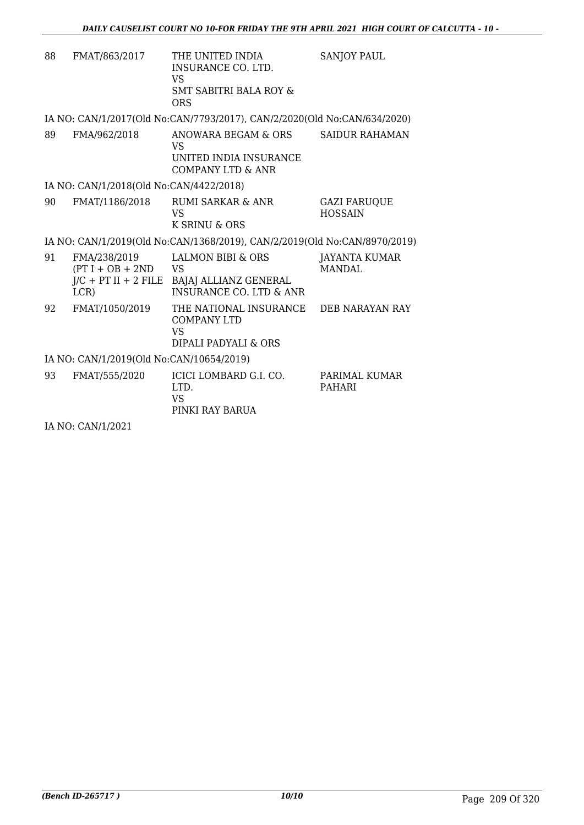| 88 | FMAT/863/2017                                                       | THE UNITED INDIA<br>INSURANCE CO. LTD.<br>VS<br><b>SMT SABITRI BALA ROY &amp;</b><br>ORS      | <b>SANJOY PAUL</b>                    |
|----|---------------------------------------------------------------------|-----------------------------------------------------------------------------------------------|---------------------------------------|
|    |                                                                     | IA NO: CAN/1/2017(Old No:CAN/7793/2017), CAN/2/2020(Old No:CAN/634/2020)                      |                                       |
| 89 | FMA/962/2018                                                        | ANOWARA BEGAM & ORS<br>VS.<br>UNITED INDIA INSURANCE<br><b>COMPANY LTD &amp; ANR</b>          | <b>SAIDUR RAHAMAN</b>                 |
|    | IA NO: CAN/1/2018(Old No:CAN/4422/2018)                             |                                                                                               |                                       |
| 90 | FMAT/1186/2018                                                      | <b>RUMI SARKAR &amp; ANR</b><br>VS.<br>K SRINU & ORS                                          | <b>GAZI FARUQUE</b><br><b>HOSSAIN</b> |
|    |                                                                     | IA NO: CAN/1/2019(Old No:CAN/1368/2019), CAN/2/2019(Old No:CAN/8970/2019)                     |                                       |
| 91 | FMA/238/2019<br>$(PT I + OB + 2ND$<br>$J/C$ + PT II + 2 FILE<br>LCR | LALMON BIBI & ORS<br><b>VS</b><br>BAJAJ ALLIANZ GENERAL<br><b>INSURANCE CO. LTD &amp; ANR</b> | <b>JAYANTA KUMAR</b><br>MANDAL.       |
| 92 | FMAT/1050/2019                                                      | THE NATIONAL INSURANCE<br><b>COMPANY LTD</b><br>VS.<br>DIPALI PADYALI & ORS                   | DEB NARAYAN RAY                       |
|    | IA NO: CAN/1/2019(Old No:CAN/10654/2019)                            |                                                                                               |                                       |
| 93 | FMAT/555/2020                                                       | ICICI LOMBARD G.I. CO.<br>LTD.<br>VS.<br>PINKI RAY BARUA                                      | PARIMAL KUMAR<br><b>PAHARI</b>        |

IA NO: CAN/1/2021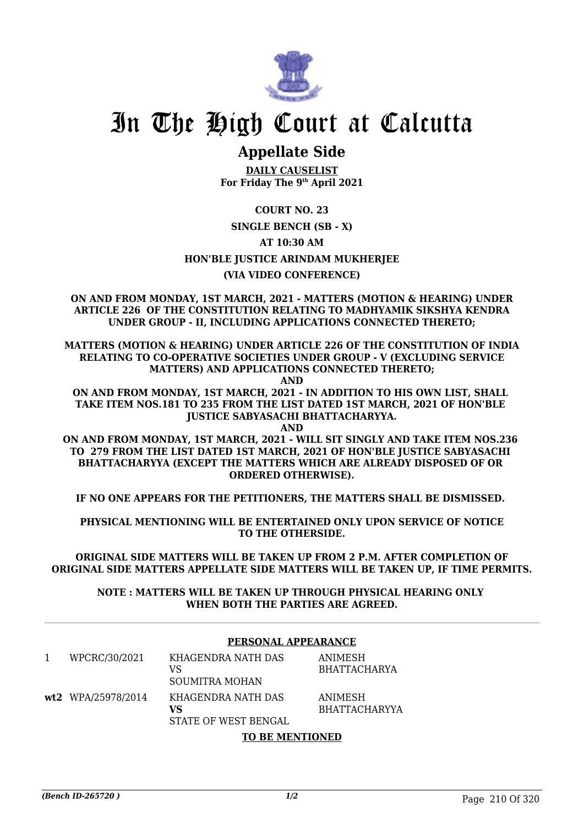

## **Appellate Side**

**DAILY CAUSELIST For Friday The 9th April 2021**

**COURT NO. 23**

#### **SINGLE BENCH (SB - X)**

**AT 10:30 AM**

**HON'BLE JUSTICE ARINDAM MUKHERJEE**

#### **(VIA VIDEO CONFERENCE)**

**ON AND FROM MONDAY, 1ST MARCH, 2021 - MATTERS (MOTION & HEARING) UNDER ARTICLE 226 OF THE CONSTITUTION RELATING TO MADHYAMIK SIKSHYA KENDRA UNDER GROUP - II, INCLUDING APPLICATIONS CONNECTED THERETO;**

**MATTERS (MOTION & HEARING) UNDER ARTICLE 226 OF THE CONSTITUTION OF INDIA RELATING TO CO-OPERATIVE SOCIETIES UNDER GROUP - V (EXCLUDING SERVICE MATTERS) AND APPLICATIONS CONNECTED THERETO;**

**AND**

**ON AND FROM MONDAY, 1ST MARCH, 2021 - IN ADDITION TO HIS OWN LIST, SHALL TAKE ITEM NOS.181 TO 235 FROM THE LIST DATED 1ST MARCH, 2021 OF HON'BLE JUSTICE SABYASACHI BHATTACHARYYA.**

**AND**

**ON AND FROM MONDAY, 1ST MARCH, 2021 - WILL SIT SINGLY AND TAKE ITEM NOS.236 TO 279 FROM THE LIST DATED 1ST MARCH, 2021 OF HON'BLE JUSTICE SABYASACHI BHATTACHARYYA (EXCEPT THE MATTERS WHICH ARE ALREADY DISPOSED OF OR ORDERED OTHERWISE).**

**IF NO ONE APPEARS FOR THE PETITIONERS, THE MATTERS SHALL BE DISMISSED.** 

**PHYSICAL MENTIONING WILL BE ENTERTAINED ONLY UPON SERVICE OF NOTICE TO THE OTHERSIDE.**

**ORIGINAL SIDE MATTERS WILL BE TAKEN UP FROM 2 P.M. AFTER COMPLETION OF ORIGINAL SIDE MATTERS APPELLATE SIDE MATTERS WILL BE TAKEN UP, IF TIME PERMITS.**

**NOTE : MATTERS WILL BE TAKEN UP THROUGH PHYSICAL HEARING ONLY WHEN BOTH THE PARTIES ARE AGREED.**

#### **PERSONAL APPEARANCE**

| WPCRC/30/2021      | KHAGENDRA NATH DAS<br>VS<br>SOUMITRA MOHAN       | ANIMESH<br>BHATTACHARYA         |
|--------------------|--------------------------------------------------|---------------------------------|
| wt2 WPA/25978/2014 | KHAGENDRA NATH DAS<br>VS<br>STATE OF WEST BENGAL | ANIMESH<br><b>BHATTACHARYYA</b> |

#### **TO BE MENTIONED**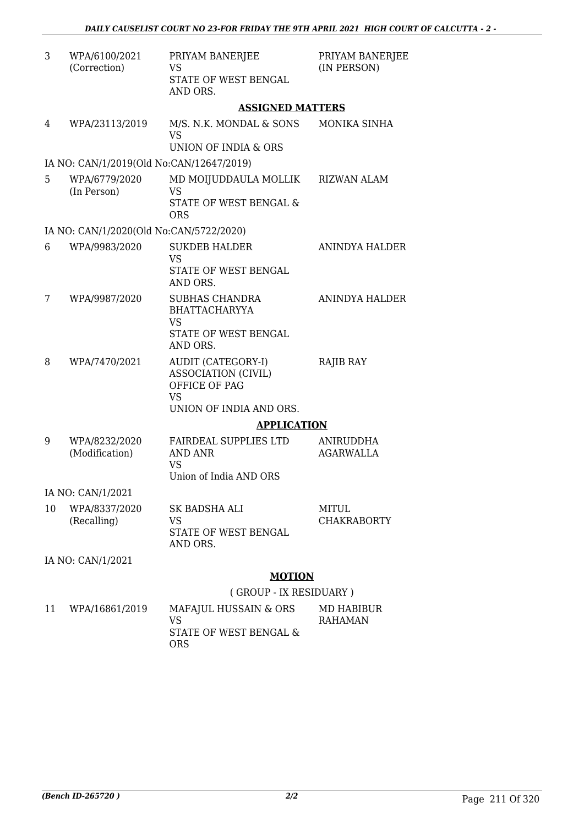| 3  | WPA/6100/2021<br>(Correction)            | PRIYAM BANERJEE<br><b>VS</b><br>STATE OF WEST BENGAL                     | PRIYAM BANERJEE<br>(IN PERSON)       |
|----|------------------------------------------|--------------------------------------------------------------------------|--------------------------------------|
|    |                                          | AND ORS.                                                                 |                                      |
|    |                                          | <b>ASSIGNED MATTERS</b>                                                  |                                      |
| 4  | WPA/23113/2019                           | M/S. N.K. MONDAL & SONS<br>VS                                            | MONIKA SINHA                         |
|    |                                          | UNION OF INDIA & ORS                                                     |                                      |
|    | IA NO: CAN/1/2019(Old No:CAN/12647/2019) |                                                                          |                                      |
| 5  | WPA/6779/2020<br>(In Person)             | MD MOIJUDDAULA MOLLIK<br><b>VS</b>                                       | <b>RIZWAN ALAM</b>                   |
|    |                                          | <b>STATE OF WEST BENGAL &amp;</b><br><b>ORS</b>                          |                                      |
|    | IA NO: CAN/1/2020(Old No:CAN/5722/2020)  |                                                                          |                                      |
| 6  | WPA/9983/2020                            | <b>SUKDEB HALDER</b><br><b>VS</b>                                        | ANINDYA HALDER                       |
|    |                                          | STATE OF WEST BENGAL<br>AND ORS.                                         |                                      |
| 7  | WPA/9987/2020                            | <b>SUBHAS CHANDRA</b><br><b>BHATTACHARYYA</b>                            | ANINDYA HALDER                       |
|    |                                          | <b>VS</b><br>STATE OF WEST BENGAL                                        |                                      |
|    |                                          | AND ORS.                                                                 |                                      |
| 8  | WPA/7470/2021                            | <b>AUDIT (CATEGORY-I)</b><br><b>ASSOCIATION (CIVIL)</b><br>OFFICE OF PAG | <b>RAJIB RAY</b>                     |
|    |                                          | <b>VS</b>                                                                |                                      |
|    |                                          | UNION OF INDIA AND ORS.                                                  |                                      |
|    |                                          | <b>APPLICATION</b>                                                       |                                      |
| 9  | WPA/8232/2020<br>(Modification)          | <b>FAIRDEAL SUPPLIES LTD</b><br>AND ANR<br><b>VS</b>                     | <b>ANIRUDDHA</b><br><b>AGARWALLA</b> |
|    |                                          | Union of India AND ORS                                                   |                                      |
|    | IA NO: CAN/1/2021                        |                                                                          |                                      |
| 10 | WPA/8337/2020                            | <b>SK BADSHA ALI</b>                                                     | <b>MITUL</b>                         |
|    | (Recalling)                              | VS<br><b>STATE OF WEST BENGAL</b><br>AND ORS.                            | <b>CHAKRABORTY</b>                   |
|    | IA NO: CAN/1/2021                        |                                                                          |                                      |
|    |                                          | <b>MOTION</b>                                                            |                                      |
|    |                                          | (GROUP - IX RESIDUARY)                                                   |                                      |
| 11 | WPA/16861/2019                           | MAFAJUL HUSSAIN & ORS<br><b>VS</b>                                       | <b>MD HABIBUR</b><br><b>RAHAMAN</b>  |

STATE OF WEST BENGAL & ORS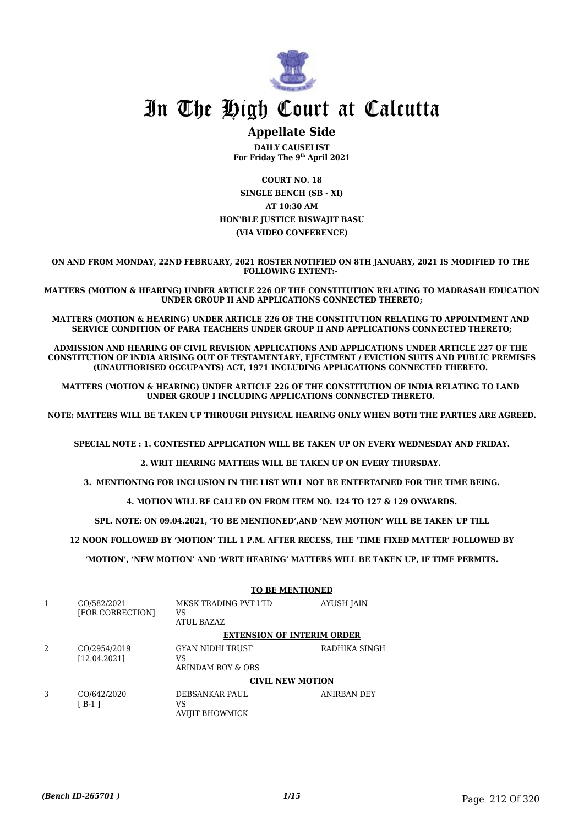

### **Appellate Side**

**DAILY CAUSELIST For Friday The 9th April 2021**

**COURT NO. 18 SINGLE BENCH (SB - XI) AT 10:30 AM HON'BLE JUSTICE BISWAJIT BASU (VIA VIDEO CONFERENCE)**

**ON AND FROM MONDAY, 22ND FEBRUARY, 2021 ROSTER NOTIFIED ON 8TH JANUARY, 2021 IS MODIFIED TO THE FOLLOWING EXTENT:-** 

**MATTERS (MOTION & HEARING) UNDER ARTICLE 226 OF THE CONSTITUTION RELATING TO MADRASAH EDUCATION UNDER GROUP II AND APPLICATIONS CONNECTED THERETO;**

**MATTERS (MOTION & HEARING) UNDER ARTICLE 226 OF THE CONSTITUTION RELATING TO APPOINTMENT AND SERVICE CONDITION OF PARA TEACHERS UNDER GROUP II AND APPLICATIONS CONNECTED THERETO;**

**ADMISSION AND HEARING OF CIVIL REVISION APPLICATIONS AND APPLICATIONS UNDER ARTICLE 227 OF THE CONSTITUTION OF INDIA ARISING OUT OF TESTAMENTARY, EJECTMENT / EVICTION SUITS AND PUBLIC PREMISES (UNAUTHORISED OCCUPANTS) ACT, 1971 INCLUDING APPLICATIONS CONNECTED THERETO.** 

**MATTERS (MOTION & HEARING) UNDER ARTICLE 226 OF THE CONSTITUTION OF INDIA RELATING TO LAND UNDER GROUP I INCLUDING APPLICATIONS CONNECTED THERETO.** 

**NOTE: MATTERS WILL BE TAKEN UP THROUGH PHYSICAL HEARING ONLY WHEN BOTH THE PARTIES ARE AGREED.**

**SPECIAL NOTE : 1. CONTESTED APPLICATION WILL BE TAKEN UP ON EVERY WEDNESDAY AND FRIDAY.**

**2. WRIT HEARING MATTERS WILL BE TAKEN UP ON EVERY THURSDAY.** 

**3. MENTIONING FOR INCLUSION IN THE LIST WILL NOT BE ENTERTAINED FOR THE TIME BEING.**

**4. MOTION WILL BE CALLED ON FROM ITEM NO. 124 TO 127 & 129 ONWARDS.**

**SPL. NOTE: ON 09.04.2021, 'TO BE MENTIONED',AND 'NEW MOTION' WILL BE TAKEN UP TILL**

 **12 NOON FOLLOWED BY 'MOTION' TILL 1 P.M. AFTER RECESS, THE 'TIME FIXED MATTER' FOLLOWED BY** 

**'MOTION', 'NEW MOTION' AND 'WRIT HEARING' MATTERS WILL BE TAKEN UP, IF TIME PERMITS.**

|   |                                 | <b>TO BE MENTIONED</b>                      |               |
|---|---------------------------------|---------------------------------------------|---------------|
|   | CO/582/2021<br>[FOR CORRECTION] | MKSK TRADING PVT LTD<br>VS<br>ATUL BAZAZ    | AYUSH JAIN    |
|   |                                 | <b>EXTENSION OF INTERIM ORDER</b>           |               |
| 2 | CO/2954/2019<br>[12.04.2021]    | GYAN NIDHI TRUST<br>VS<br>ARINDAM ROY & ORS | RADHIKA SINGH |
|   |                                 | <b>CIVIL NEW MOTION</b>                     |               |
| 3 | CO/642/2020<br>$[ B-1 ]$        | DEBSANKAR PAUL<br>VS<br>AVIJIT BHOWMICK     | ANIRBAN DEY   |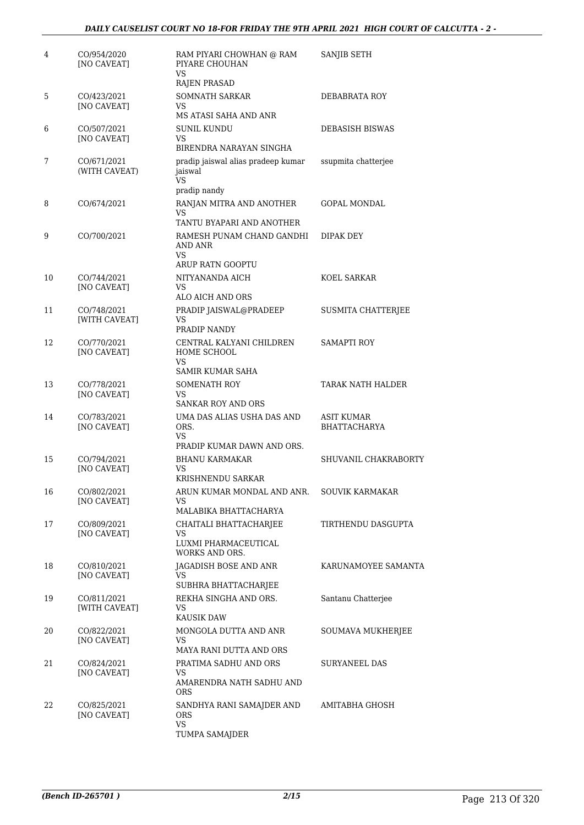| 4  | CO/954/2020<br>[NO CAVEAT]   | RAM PIYARI CHOWHAN @ RAM<br>PIYARE CHOUHAN<br>VS                               | SANJIB SETH                       |
|----|------------------------------|--------------------------------------------------------------------------------|-----------------------------------|
| 5  | CO/423/2021                  | RAJEN PRASAD<br><b>SOMNATH SARKAR</b>                                          | DEBABRATA ROY                     |
|    | <b>INO CAVEATI</b>           | VS<br>MS ATASI SAHA AND ANR                                                    |                                   |
| 6  | CO/507/2021<br>[NO CAVEAT]   | SUNIL KUNDU<br>VS<br>BIRENDRA NARAYAN SINGHA                                   | <b>DEBASISH BISWAS</b>            |
| 7  | CO/671/2021<br>(WITH CAVEAT) | pradip jaiswal alias pradeep kumar<br>jaiswal<br>VS.<br>pradip nandy           | ssupmita chatterjee               |
| 8  | CO/674/2021                  | RANJAN MITRA AND ANOTHER<br>VS<br>TANTU BYAPARI AND ANOTHER                    | GOPAL MONDAL                      |
| 9  | CO/700/2021                  | RAMESH PUNAM CHAND GANDHI<br>AND ANR<br>VS.<br>ARUP RATN GOOPTU                | DIPAK DEY                         |
| 10 | CO/744/2021<br>[NO CAVEAT]   | NITYANANDA AICH<br>VS<br>ALO AICH AND ORS                                      | KOEL SARKAR                       |
| 11 | CO/748/2021<br>[WITH CAVEAT] | PRADIP JAISWAL@PRADEEP<br>VS<br>PRADIP NANDY                                   | SUSMITA CHATTERJEE                |
| 12 | CO/770/2021<br>[NO CAVEAT]   | CENTRAL KALYANI CHILDREN<br>HOME SCHOOL<br>VS.<br>SAMIR KUMAR SAHA             | <b>SAMAPTI ROY</b>                |
| 13 | CO/778/2021<br>[NO CAVEAT]   | SOMENATH ROY<br>VS<br><b>SANKAR ROY AND ORS</b>                                | TARAK NATH HALDER                 |
| 14 | CO/783/2021<br>[NO CAVEAT]   | UMA DAS ALIAS USHA DAS AND<br>ORS.<br>VS                                       | ASIT KUMAR<br><b>BHATTACHARYA</b> |
| 15 | CO/794/2021<br>[NO CAVEAT]   | PRADIP KUMAR DAWN AND ORS.<br>BHANU KARMAKAR<br>VS<br>KRISHNENDU SARKAR        | SHUVANIL CHAKRABORTY              |
| 16 | CO/802/2021<br>[NO CAVEAT]   | ARUN KUMAR MONDAL AND ANR.<br>VS.<br>MALABIKA BHATTACHARYA                     | SOUVIK KARMAKAR                   |
| 17 | CO/809/2021<br>[NO CAVEAT]   | CHAITALI BHATTACHARJEE<br>VS.<br>LUXMI PHARMACEUTICAL<br><b>WORKS AND ORS.</b> | TIRTHENDU DASGUPTA                |
| 18 | CO/810/2021<br>[NO CAVEAT]   | JAGADISH BOSE AND ANR<br>VS.<br>SUBHRA BHATTACHARJEE                           | KARUNAMOYEE SAMANTA               |
| 19 | CO/811/2021<br>[WITH CAVEAT] | REKHA SINGHA AND ORS.<br>VS.<br><b>KAUSIK DAW</b>                              | Santanu Chatterjee                |
| 20 | CO/822/2021<br>[NO CAVEAT]   | MONGOLA DUTTA AND ANR<br>VS<br>MAYA RANI DUTTA AND ORS                         | SOUMAVA MUKHERJEE                 |
| 21 | CO/824/2021<br>[NO CAVEAT]   | PRATIMA SADHU AND ORS<br>VS.<br>AMARENDRA NATH SADHU AND<br><b>ORS</b>         | SURYANEEL DAS                     |
| 22 | CO/825/2021<br>[NO CAVEAT]   | SANDHYA RANI SAMAJDER AND<br>ORS<br>VS<br>TUMPA SAMAJDER                       | AMITABHA GHOSH                    |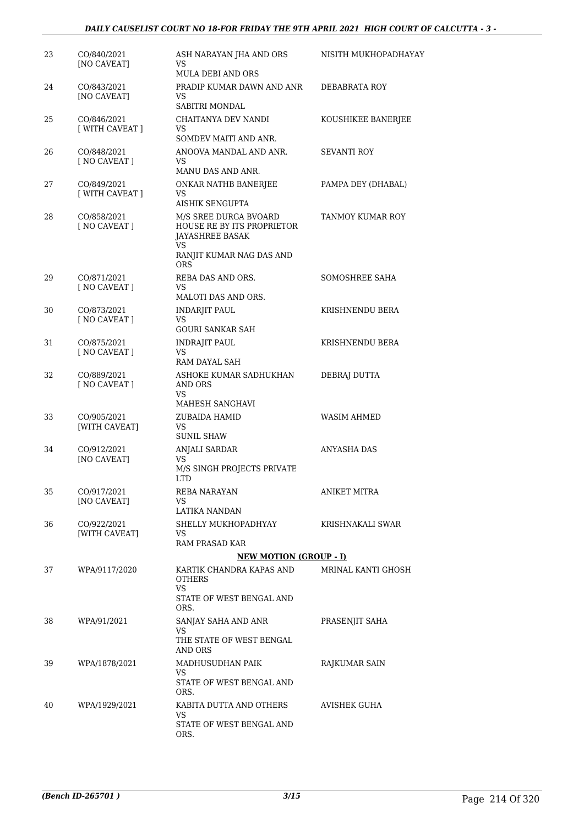| 23 | CO/840/2021<br>[NO CAVEAT]     | ASH NARAYAN JHA AND ORS<br>VS<br><b>MULA DEBI AND ORS</b>                                                               | NISITH MUKHOPADHAYAY |
|----|--------------------------------|-------------------------------------------------------------------------------------------------------------------------|----------------------|
| 24 | CO/843/2021<br>[NO CAVEAT]     | PRADIP KUMAR DAWN AND ANR<br>VS.<br>SABITRI MONDAL                                                                      | DEBABRATA ROY        |
| 25 | CO/846/2021<br>[ WITH CAVEAT ] | CHAITANYA DEV NANDI<br>VS.<br>SOMDEV MAITI AND ANR.                                                                     | KOUSHIKEE BANERJEE   |
| 26 | CO/848/2021<br>[ NO CAVEAT ]   | ANOOVA MANDAL AND ANR.<br>VS.<br>MANU DAS AND ANR.                                                                      | SEVANTI ROY          |
| 27 | CO/849/2021<br>[ WITH CAVEAT ] | ONKAR NATHB BANERJEE<br>VS<br>AISHIK SENGUPTA                                                                           | PAMPA DEY (DHABAL)   |
| 28 | CO/858/2021<br>[ NO CAVEAT ]   | M/S SREE DURGA BVOARD<br>HOUSE RE BY ITS PROPRIETOR<br>JAYASHREE BASAK<br>VS.<br>RANJIT KUMAR NAG DAS AND<br><b>ORS</b> | TANMOY KUMAR ROY     |
| 29 | CO/871/2021<br>[ NO CAVEAT ]   | REBA DAS AND ORS.<br>VS.<br>MALOTI DAS AND ORS.                                                                         | SOMOSHREE SAHA       |
| 30 | CO/873/2021<br>[ NO CAVEAT ]   | <b>INDARJIT PAUL</b><br>VS.<br><b>GOURI SANKAR SAH</b>                                                                  | KRISHNENDU BERA      |
| 31 | CO/875/2021<br>[ NO CAVEAT ]   | INDRAJIT PAUL<br>VS.<br>RAM DAYAL SAH                                                                                   | KRISHNENDU BERA      |
| 32 | CO/889/2021<br>[ NO CAVEAT ]   | ASHOKE KUMAR SADHUKHAN<br>AND ORS<br>VS<br>MAHESH SANGHAVI                                                              | DEBRAJ DUTTA         |
| 33 | CO/905/2021<br>[WITH CAVEAT]   | ZUBAIDA HAMID<br>VS.<br><b>SUNIL SHAW</b>                                                                               | <b>WASIM AHMED</b>   |
| 34 | CO/912/2021<br>[NO CAVEAT]     | ANJALI SARDAR<br>VS<br>M/S SINGH PROJECTS PRIVATE<br>LTD                                                                | ANYASHA DAS          |
| 35 | CO/917/2021<br>[NO CAVEAT]     | REBA NARAYAN<br>VS.<br>LATIKA NANDAN                                                                                    | ANIKET MITRA         |
| 36 | CO/922/2021<br>[WITH CAVEAT]   | SHELLY MUKHOPADHYAY<br>VS<br>RAM PRASAD KAR                                                                             | KRISHNAKALI SWAR     |
|    |                                | <b>NEW MOTION (GROUP - I)</b>                                                                                           |                      |
| 37 | WPA/9117/2020                  | KARTIK CHANDRA KAPAS AND<br><b>OTHERS</b><br>VS.<br>STATE OF WEST BENGAL AND<br>ORS.                                    | MRINAL KANTI GHOSH   |
| 38 | WPA/91/2021                    | SANJAY SAHA AND ANR<br>VS<br>THE STATE OF WEST BENGAL<br>AND ORS                                                        | PRASENJIT SAHA       |
| 39 | WPA/1878/2021                  | MADHUSUDHAN PAIK<br>VS.<br>STATE OF WEST BENGAL AND<br>ORS.                                                             | RAJKUMAR SAIN        |
| 40 | WPA/1929/2021                  | KABITA DUTTA AND OTHERS<br>VS.<br>STATE OF WEST BENGAL AND<br>ORS.                                                      | AVISHEK GUHA         |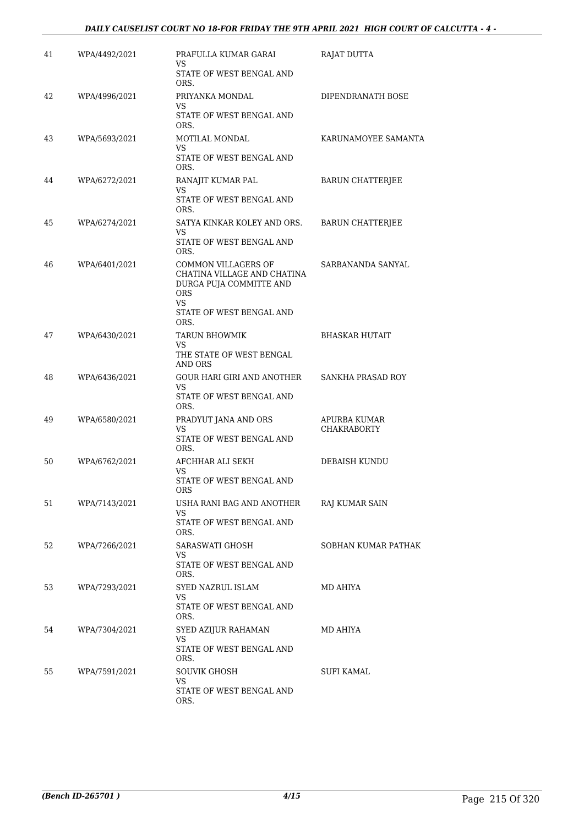#### *DAILY CAUSELIST COURT NO 18-FOR FRIDAY THE 9TH APRIL 2021 HIGH COURT OF CALCUTTA - 4 -*

| 41 | WPA/4492/2021 | PRAFULLA KUMAR GARAI<br>VS                                                                        | <b>RAJAT DUTTA</b>          |
|----|---------------|---------------------------------------------------------------------------------------------------|-----------------------------|
|    |               | STATE OF WEST BENGAL AND<br>ORS.                                                                  |                             |
| 42 | WPA/4996/2021 | PRIYANKA MONDAL<br>VS.                                                                            | DIPENDRANATH BOSE           |
|    |               | STATE OF WEST BENGAL AND<br>ORS.                                                                  |                             |
| 43 | WPA/5693/2021 | MOTILAL MONDAL<br>VS.                                                                             | KARUNAMOYEE SAMANTA         |
|    |               | STATE OF WEST BENGAL AND<br>ORS.                                                                  |                             |
| 44 | WPA/6272/2021 | RANAJIT KUMAR PAL<br>VS                                                                           | <b>BARUN CHATTERJEE</b>     |
|    |               | STATE OF WEST BENGAL AND<br>ORS.                                                                  |                             |
| 45 | WPA/6274/2021 | SATYA KINKAR KOLEY AND ORS.<br>VS                                                                 | <b>BARUN CHATTERJEE</b>     |
|    |               | STATE OF WEST BENGAL AND<br>ORS.                                                                  |                             |
| 46 | WPA/6401/2021 | COMMON VILLAGERS OF<br>CHATINA VILLAGE AND CHATINA<br>DURGA PUJA COMMITTE AND<br><b>ORS</b><br>VS | SARBANANDA SANYAL           |
|    |               | STATE OF WEST BENGAL AND<br>ORS.                                                                  |                             |
| 47 | WPA/6430/2021 | <b>TARUN BHOWMIK</b><br>VS.                                                                       | BHASKAR HUTAIT              |
|    |               | THE STATE OF WEST BENGAL<br><b>AND ORS</b>                                                        |                             |
| 48 | WPA/6436/2021 | <b>GOUR HARI GIRI AND ANOTHER</b><br>VS.                                                          | SANKHA PRASAD ROY           |
|    |               | STATE OF WEST BENGAL AND<br>ORS.                                                                  |                             |
| 49 | WPA/6580/2021 | PRADYUT JANA AND ORS<br>VS                                                                        | APURBA KUMAR<br>CHAKRABORTY |
|    |               | STATE OF WEST BENGAL AND<br>ORS.                                                                  |                             |
| 50 | WPA/6762/2021 | AFCHHAR ALI SEKH<br>VS.                                                                           | DEBAISH KUNDU               |
|    |               | STATE OF WEST BENGAL AND<br><b>ORS</b>                                                            |                             |
| 51 | WPA/7143/2021 | USHA RANI BAG AND ANOTHER<br>VS                                                                   | RAJ KUMAR SAIN              |
|    |               | STATE OF WEST BENGAL AND<br>ORS.                                                                  |                             |
| 52 | WPA/7266/2021 | SARASWATI GHOSH<br>VS                                                                             | SOBHAN KUMAR PATHAK         |
|    |               | STATE OF WEST BENGAL AND<br>ORS.                                                                  |                             |
| 53 | WPA/7293/2021 | SYED NAZRUL ISLAM<br>VS                                                                           | MD AHIYA                    |
|    |               | STATE OF WEST BENGAL AND<br>ORS.                                                                  |                             |
| 54 | WPA/7304/2021 | SYED AZIJUR RAHAMAN<br>VS                                                                         | MD AHIYA                    |
|    |               | STATE OF WEST BENGAL AND<br>ORS.                                                                  |                             |
| 55 | WPA/7591/2021 | SOUVIK GHOSH<br>VS                                                                                | SUFI KAMAL                  |
|    |               | STATE OF WEST BENGAL AND<br>ORS.                                                                  |                             |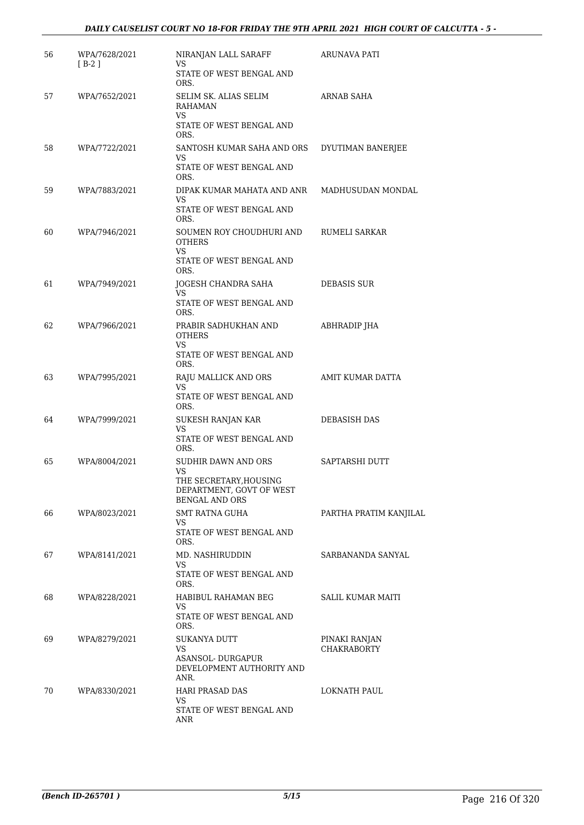| 56 | WPA/7628/2021<br>$[ B-2 ]$ | NIRANJAN LALL SARAFF<br>VS                                                              | ARUNAVA PATI           |
|----|----------------------------|-----------------------------------------------------------------------------------------|------------------------|
|    |                            | STATE OF WEST BENGAL AND<br>ORS.                                                        |                        |
| 57 | WPA/7652/2021              | SELIM SK. ALIAS SELIM<br>RAHAMAN<br>VS.                                                 | ARNAB SAHA             |
|    |                            | STATE OF WEST BENGAL AND<br>ORS.                                                        |                        |
| 58 | WPA/7722/2021              | SANTOSH KUMAR SAHA AND ORS<br>VS.                                                       | DYUTIMAN BANERJEE      |
|    |                            | STATE OF WEST BENGAL AND<br>ORS.                                                        |                        |
| 59 | WPA/7883/2021              | DIPAK KUMAR MAHATA AND ANR<br>VS.                                                       | MADHUSUDAN MONDAL      |
|    |                            | STATE OF WEST BENGAL AND<br>ORS.                                                        |                        |
| 60 | WPA/7946/2021              | SOUMEN ROY CHOUDHURI AND<br><b>OTHERS</b><br><b>VS</b>                                  | RUMELI SARKAR          |
|    |                            | STATE OF WEST BENGAL AND<br>ORS.                                                        |                        |
| 61 | WPA/7949/2021              | JOGESH CHANDRA SAHA<br>VS                                                               | <b>DEBASIS SUR</b>     |
|    |                            | STATE OF WEST BENGAL AND<br>ORS.                                                        |                        |
| 62 | WPA/7966/2021              | PRABIR SADHUKHAN AND<br><b>OTHERS</b>                                                   | ABHRADIP JHA           |
|    |                            | VS.<br>STATE OF WEST BENGAL AND<br>ORS.                                                 |                        |
| 63 | WPA/7995/2021              | RAJU MALLICK AND ORS<br>VS.<br>STATE OF WEST BENGAL AND<br>ORS.                         | AMIT KUMAR DATTA       |
| 64 | WPA/7999/2021              | SUKESH RANJAN KAR<br>VS.                                                                | DEBASISH DAS           |
|    |                            | STATE OF WEST BENGAL AND<br>ORS.                                                        |                        |
| 65 | WPA/8004/2021              | <b>SUDHIR DAWN AND ORS</b><br>VS.<br>THE SECRETARY, HOUSING<br>DEPARTMENT, GOVT OF WEST | SAPTARSHI DUTT         |
|    |                            | <b>BENGAL AND ORS</b><br><b>SMT RATNA GUHA</b>                                          |                        |
| 66 | WPA/8023/2021              | VS                                                                                      | PARTHA PRATIM KANJILAL |
|    |                            | STATE OF WEST BENGAL AND<br>ORS.                                                        |                        |
| 67 | WPA/8141/2021              | MD. NASHIRUDDIN<br>VS.                                                                  | SARBANANDA SANYAL      |
|    |                            | STATE OF WEST BENGAL AND<br>ORS.                                                        |                        |
| 68 | WPA/8228/2021              | HABIBUL RAHAMAN BEG<br>VS.<br>STATE OF WEST BENGAL AND<br>ORS.                          | SALIL KUMAR MAITI      |
| 69 | WPA/8279/2021              | SUKANYA DUTT                                                                            | PINAKI RANJAN          |
|    |                            | VS.<br>ASANSOL-DURGAPUR<br>DEVELOPMENT AUTHORITY AND<br>ANR.                            | <b>CHAKRABORTY</b>     |
| 70 | WPA/8330/2021              | HARI PRASAD DAS<br>VS                                                                   | LOKNATH PAUL           |
|    |                            | STATE OF WEST BENGAL AND<br>ANR                                                         |                        |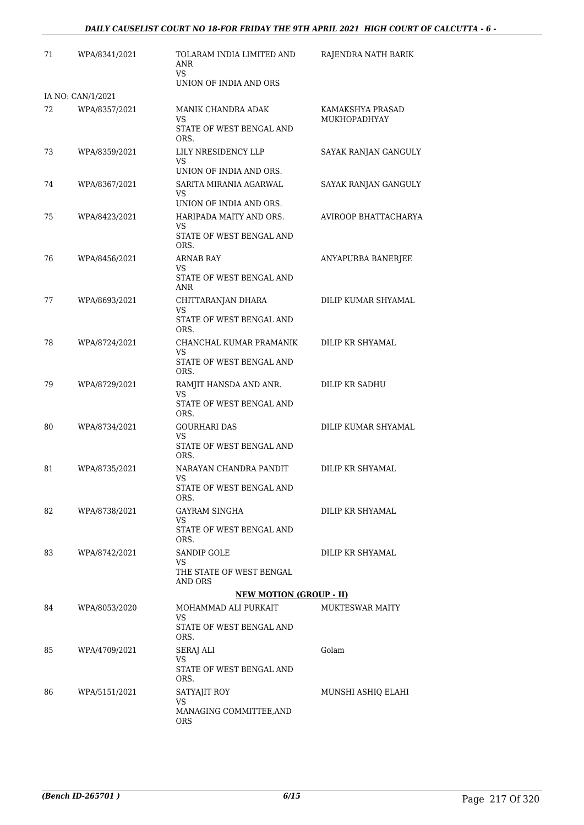| 71 | WPA/8341/2021     | TOLARAM INDIA LIMITED AND<br>ANR<br>VS.<br>UNION OF INDIA AND ORS       | RAJENDRA NATH BARIK              |
|----|-------------------|-------------------------------------------------------------------------|----------------------------------|
|    | IA NO: CAN/1/2021 |                                                                         |                                  |
| 72 | WPA/8357/2021     | MANIK CHANDRA ADAK<br>VS<br>STATE OF WEST BENGAL AND<br>ORS.            | KAMAKSHYA PRASAD<br>MUKHOPADHYAY |
| 73 | WPA/8359/2021     | LILY NRESIDENCY LLP<br>VS<br>UNION OF INDIA AND ORS.                    | SAYAK RANJAN GANGULY             |
| 74 | WPA/8367/2021     | SARITA MIRANIA AGARWAL<br>VS<br>UNION OF INDIA AND ORS.                 | SAYAK RANJAN GANGULY             |
| 75 | WPA/8423/2021     | HARIPADA MAITY AND ORS.<br>VS.<br>STATE OF WEST BENGAL AND              | AVIROOP BHATTACHARYA             |
| 76 | WPA/8456/2021     | ORS.<br><b>ARNAB RAY</b><br>VS<br>STATE OF WEST BENGAL AND              | ANYAPURBA BANERJEE               |
| 77 | WPA/8693/2021     | ANR<br>CHITTARANJAN DHARA<br>VS<br>STATE OF WEST BENGAL AND             | DILIP KUMAR SHYAMAL              |
| 78 | WPA/8724/2021     | ORS.<br>CHANCHAL KUMAR PRAMANIK<br>VS<br>STATE OF WEST BENGAL AND       | DILIP KR SHYAMAL                 |
| 79 | WPA/8729/2021     | ORS.<br>RAMJIT HANSDA AND ANR.<br>VS<br>STATE OF WEST BENGAL AND        | DILIP KR SADHU                   |
| 80 | WPA/8734/2021     | ORS.<br><b>GOURHARI DAS</b><br>VS<br>STATE OF WEST BENGAL AND           | DILIP KUMAR SHYAMAL              |
| 81 | WPA/8735/2021     | ORS.<br>NARAYAN CHANDRA PANDIT<br><b>VS</b><br>STATE OF WEST BENGAL AND | DILIP KR SHYAMAL                 |
| 82 | WPA/8738/2021     | ORS.<br>GAYRAM SINGHA<br>VS.<br>STATE OF WEST BENGAL AND                | DILIP KR SHYAMAL                 |
| 83 | WPA/8742/2021     | ORS.<br><b>SANDIP GOLE</b><br>VS<br>THE STATE OF WEST BENGAL<br>AND ORS | DILIP KR SHYAMAL                 |
|    |                   | <b>NEW MOTION (GROUP - II)</b>                                          |                                  |
| 84 | WPA/8053/2020     | MOHAMMAD ALI PURKAIT<br>VS<br>STATE OF WEST BENGAL AND<br>ORS.          | <b>MUKTESWAR MAITY</b>           |
| 85 | WPA/4709/2021     | SERAJ ALI<br>VS.<br>STATE OF WEST BENGAL AND<br>ORS.                    | Golam                            |
| 86 | WPA/5151/2021     | SATYAJIT ROY<br>VS<br>MANAGING COMMITTEE, AND<br>ORS                    | MUNSHI ASHIQ ELAHI               |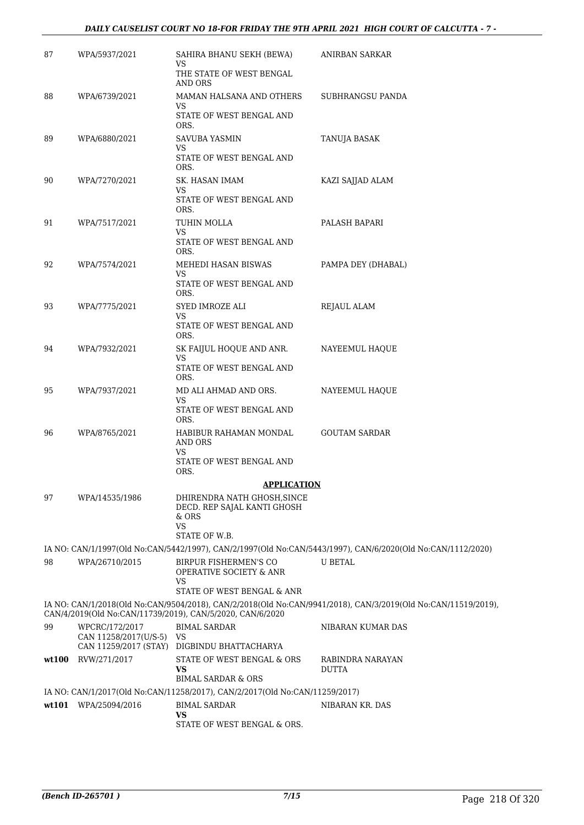#### *DAILY CAUSELIST COURT NO 18-FOR FRIDAY THE 9TH APRIL 2021 HIGH COURT OF CALCUTTA - 7 -*

| 87    | WPA/5937/2021                                                    | SAHIRA BHANU SEKH (BEWA)<br>VS                                              | ANIRBAN SARKAR                                                                                               |
|-------|------------------------------------------------------------------|-----------------------------------------------------------------------------|--------------------------------------------------------------------------------------------------------------|
|       |                                                                  | THE STATE OF WEST BENGAL<br>AND ORS                                         |                                                                                                              |
| 88    | WPA/6739/2021                                                    | MAMAN HALSANA AND OTHERS                                                    | SUBHRANGSU PANDA                                                                                             |
|       |                                                                  | VS<br>STATE OF WEST BENGAL AND<br>ORS.                                      |                                                                                                              |
| 89    | WPA/6880/2021                                                    | SAVUBA YASMIN                                                               | TANUJA BASAK                                                                                                 |
|       |                                                                  | VS<br>STATE OF WEST BENGAL AND<br>ORS.                                      |                                                                                                              |
| 90    | WPA/7270/2021                                                    | SK. HASAN IMAM                                                              | KAZI SAJJAD ALAM                                                                                             |
|       |                                                                  | VS<br>STATE OF WEST BENGAL AND<br>ORS.                                      |                                                                                                              |
| 91    | WPA/7517/2021                                                    | TUHIN MOLLA                                                                 | PALASH BAPARI                                                                                                |
|       |                                                                  | VS<br>STATE OF WEST BENGAL AND<br>ORS.                                      |                                                                                                              |
| 92    | WPA/7574/2021                                                    | MEHEDI HASAN BISWAS                                                         | PAMPA DEY (DHABAL)                                                                                           |
|       |                                                                  | VS.<br>STATE OF WEST BENGAL AND<br>ORS.                                     |                                                                                                              |
| 93    | WPA/7775/2021                                                    | SYED IMROZE ALI                                                             | REJAUL ALAM                                                                                                  |
|       |                                                                  | VS.<br>STATE OF WEST BENGAL AND<br>ORS.                                     |                                                                                                              |
| 94    | WPA/7932/2021                                                    | SK FAIJUL HOQUE AND ANR.<br>VS                                              | NAYEEMUL HAQUE                                                                                               |
|       |                                                                  | STATE OF WEST BENGAL AND<br>ORS.                                            |                                                                                                              |
| 95    | WPA/7937/2021                                                    | MD ALI AHMAD AND ORS.<br>VS                                                 | NAYEEMUL HAQUE                                                                                               |
|       |                                                                  | STATE OF WEST BENGAL AND<br>ORS.                                            |                                                                                                              |
| 96    | WPA/8765/2021                                                    | HABIBUR RAHAMAN MONDAL<br><b>AND ORS</b><br>VS                              | <b>GOUTAM SARDAR</b>                                                                                         |
|       |                                                                  | STATE OF WEST BENGAL AND<br>ORS.                                            |                                                                                                              |
|       |                                                                  | <u>APPLICATION</u>                                                          |                                                                                                              |
| 97    | WPA/14535/1986                                                   | DHIRENDRA NATH GHOSH, SINCE<br>DECD. REP SAJAL KANTI GHOSH<br>& ORS         |                                                                                                              |
|       |                                                                  | <b>VS</b><br>STATE OF W.B.                                                  |                                                                                                              |
|       |                                                                  |                                                                             | IA NO: CAN/1/1997(Old No:CAN/5442/1997), CAN/2/1997(Old No:CAN/5443/1997), CAN/6/2020(Old No:CAN/1112/2020)  |
| 98    | WPA/26710/2015                                                   | BIRPUR FISHERMEN'S CO<br><b>OPERATIVE SOCIETY &amp; ANR</b><br>VS           | <b>U BETAL</b>                                                                                               |
|       |                                                                  | STATE OF WEST BENGAL & ANR                                                  |                                                                                                              |
|       |                                                                  | CAN/4/2019(Old No:CAN/11739/2019), CAN/5/2020, CAN/6/2020                   | IA NO: CAN/1/2018(Old No:CAN/9504/2018), CAN/2/2018(Old No:CAN/9941/2018), CAN/3/2019(Old No:CAN/11519/2019) |
| 99    | WPCRC/172/2017<br>CAN 11258/2017(U/S-5)<br>CAN 11259/2017 (STAY) | <b>BIMAL SARDAR</b><br>VS<br>DIGBINDU BHATTACHARYA                          | NIBARAN KUMAR DAS                                                                                            |
| wt100 | RVW/271/2017                                                     | STATE OF WEST BENGAL & ORS                                                  | RABINDRA NARAYAN                                                                                             |
|       |                                                                  | VS<br><b>BIMAL SARDAR &amp; ORS</b>                                         | <b>DUTTA</b>                                                                                                 |
|       |                                                                  | IA NO: CAN/1/2017(Old No:CAN/11258/2017), CAN/2/2017(Old No:CAN/11259/2017) |                                                                                                              |
|       | wt101 WPA/25094/2016                                             | <b>BIMAL SARDAR</b>                                                         | NIBARAN KR. DAS                                                                                              |
|       |                                                                  | VS<br>STATE OF WEST BENGAL & ORS.                                           |                                                                                                              |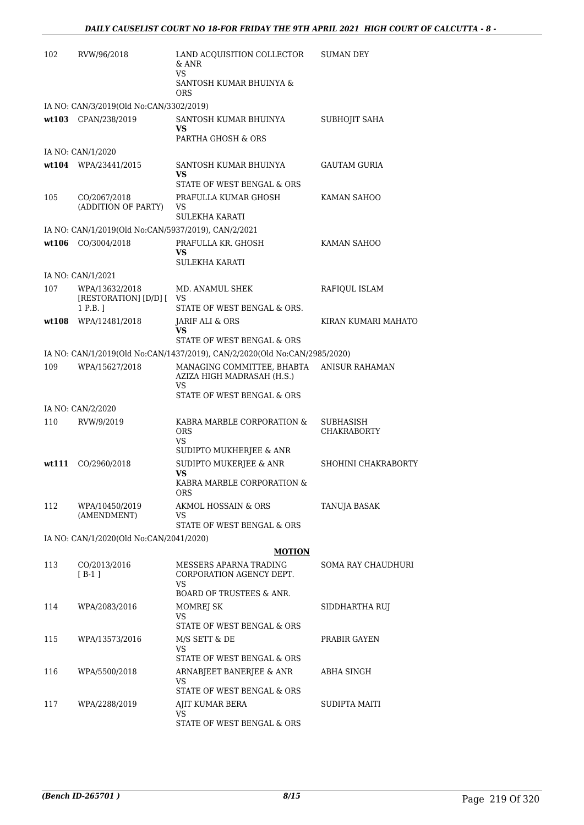| 102   | RVW/96/2018                                            | LAND ACQUISITION COLLECTOR<br>& ANR<br>VS<br>SANTOSH KUMAR BHUINYA &               | <b>SUMAN DEY</b>                |
|-------|--------------------------------------------------------|------------------------------------------------------------------------------------|---------------------------------|
|       | IA NO: CAN/3/2019(Old No:CAN/3302/2019)                | <b>ORS</b>                                                                         |                                 |
|       | wt103 CPAN/238/2019                                    | SANTOSH KUMAR BHUINYA<br>VS.<br>PARTHA GHOSH & ORS                                 | SUBHOJIT SAHA                   |
|       | IA NO: CAN/1/2020                                      |                                                                                    |                                 |
|       | wt104 WPA/23441/2015                                   | SANTOSH KUMAR BHUINYA<br>VS<br>STATE OF WEST BENGAL & ORS                          | GAUTAM GURIA                    |
| 105   | CO/2067/2018<br>(ADDITION OF PARTY)                    | PRAFULLA KUMAR GHOSH<br>VS<br><b>SULEKHA KARATI</b>                                | KAMAN SAHOO                     |
|       | IA NO: CAN/1/2019(Old No:CAN/5937/2019), CAN/2/2021    |                                                                                    |                                 |
|       | wt106 CO/3004/2018                                     | PRAFULLA KR. GHOSH<br>VS.<br><b>SULEKHA KARATI</b>                                 | KAMAN SAHOO                     |
|       | IA NO: CAN/1/2021                                      |                                                                                    |                                 |
| 107   | WPA/13632/2018<br>[RESTORATION] [D/D] [ VS<br>1 P.B. 1 | MD. ANAMUL SHEK<br>STATE OF WEST BENGAL & ORS.                                     | RAFIQUL ISLAM                   |
| wt108 | WPA/12481/2018                                         | JARIF ALI & ORS<br>VS                                                              | KIRAN KUMARI MAHATO             |
|       |                                                        | STATE OF WEST BENGAL & ORS                                                         |                                 |
|       |                                                        | IA NO: CAN/1/2019(Old No:CAN/1437/2019), CAN/2/2020(Old No:CAN/2985/2020)          |                                 |
| 109   | WPA/15627/2018                                         | MANAGING COMMITTEE, BHABTA<br>AZIZA HIGH MADRASAH (H.S.)<br>VS                     | <b>ANISUR RAHAMAN</b>           |
|       |                                                        | STATE OF WEST BENGAL & ORS                                                         |                                 |
|       | IA NO: CAN/2/2020                                      |                                                                                    |                                 |
| 110   | RVW/9/2019                                             | KABRA MARBLE CORPORATION &<br><b>ORS</b><br>VS.                                    | SUBHASISH<br><b>CHAKRABORTY</b> |
| wt111 | CO/2960/2018                                           | SUDIPTO MUKHERJEE & ANR<br>SUDIPTO MUKERJEE & ANR<br>VS                            | SHOHINI CHAKRABORTY             |
|       |                                                        | KABRA MARBLE CORPORATION &<br>ORS                                                  |                                 |
| 112   | WPA/10450/2019<br>(AMENDMENT)                          | AKMOL HOSSAIN & ORS<br>VS<br>STATE OF WEST BENGAL & ORS                            | TANUJA BASAK                    |
|       | IA NO: CAN/1/2020(Old No:CAN/2041/2020)                |                                                                                    |                                 |
|       |                                                        | <b>MOTION</b>                                                                      |                                 |
| 113   | CO/2013/2016<br>$[B-1]$                                | MESSERS APARNA TRADING<br>CORPORATION AGENCY DEPT.<br>VS                           | SOMA RAY CHAUDHURI              |
| 114   | WPA/2083/2016                                          | <b>BOARD OF TRUSTEES &amp; ANR.</b><br>MOMREJ SK<br>VS                             | SIDDHARTHA RUJ                  |
| 115   | WPA/13573/2016                                         | STATE OF WEST BENGAL & ORS<br>M/S SETT & DE<br>VS                                  | PRABIR GAYEN                    |
| 116   | WPA/5500/2018                                          | STATE OF WEST BENGAL & ORS<br>ARNABJEET BANERJEE & ANR<br>VS                       | ABHA SINGH                      |
| 117   | WPA/2288/2019                                          | STATE OF WEST BENGAL & ORS<br>AJIT KUMAR BERA<br>VS.<br>STATE OF WEST BENGAL & ORS | SUDIPTA MAITI                   |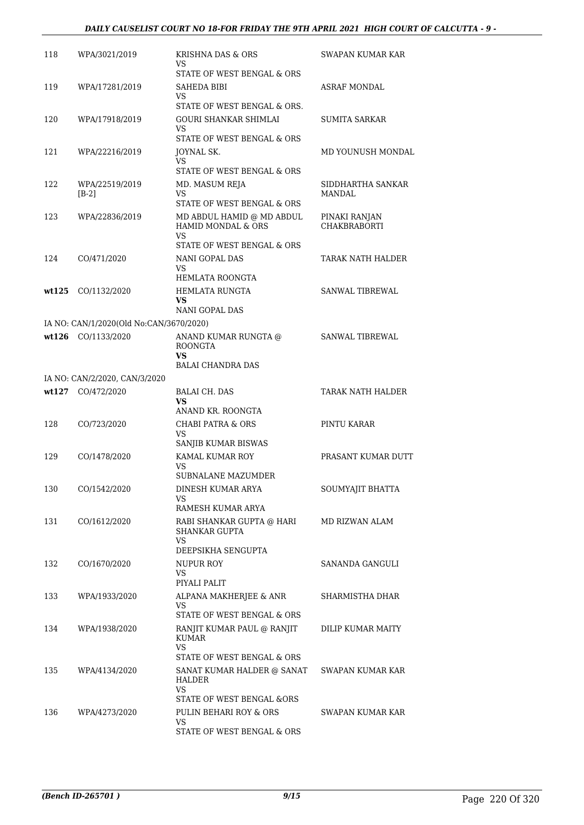#### *DAILY CAUSELIST COURT NO 18-FOR FRIDAY THE 9TH APRIL 2021 HIGH COURT OF CALCUTTA - 9 -*

| 118   | WPA/3021/2019                           | KRISHNA DAS & ORS<br>VS<br>STATE OF WEST BENGAL & ORS                                                 | SWAPAN KUMAR KAR                     |
|-------|-----------------------------------------|-------------------------------------------------------------------------------------------------------|--------------------------------------|
| 119   | WPA/17281/2019                          | SAHEDA BIBI<br>VS.                                                                                    | ASRAF MONDAL                         |
| 120   | WPA/17918/2019                          | STATE OF WEST BENGAL & ORS.<br><b>GOURI SHANKAR SHIMLAI</b><br>VS                                     | <b>SUMITA SARKAR</b>                 |
| 121   | WPA/22216/2019                          | STATE OF WEST BENGAL & ORS<br>JOYNAL SK.<br>VS.<br>STATE OF WEST BENGAL & ORS                         | MD YOUNUSH MONDAL                    |
| 122   | WPA/22519/2019<br>$[B-2]$               | MD. MASUM REJA<br>VS<br>STATE OF WEST BENGAL & ORS                                                    | SIDDHARTHA SANKAR<br>MANDAL          |
| 123   | WPA/22836/2019                          | MD ABDUL HAMID @ MD ABDUL<br>HAMID MONDAL & ORS<br>VS<br>STATE OF WEST BENGAL & ORS                   | PINAKI RANJAN<br><b>CHAKBRABORTI</b> |
| 124   | CO/471/2020                             | <b>NANI GOPAL DAS</b><br>VS<br>HEMLATA ROONGTA                                                        | TARAK NATH HALDER                    |
| wt125 | CO/1132/2020                            | <b>HEMLATA RUNGTA</b><br>VS<br><b>NANI GOPAL DAS</b>                                                  | <b>SANWAL TIBREWAL</b>               |
|       | IA NO: CAN/1/2020(Old No:CAN/3670/2020) |                                                                                                       |                                      |
|       | wt126 CO/1133/2020                      | ANAND KUMAR RUNGTA @<br><b>ROONGTA</b><br>VS<br><b>BALAI CHANDRA DAS</b>                              | <b>SANWAL TIBREWAL</b>               |
|       | IA NO: CAN/2/2020, CAN/3/2020           |                                                                                                       |                                      |
|       | wt127 CO/472/2020                       | <b>BALAI CH. DAS</b><br>VS                                                                            | TARAK NATH HALDER                    |
|       |                                         | ANAND KR. ROONGTA                                                                                     |                                      |
| 128   | CO/723/2020                             | CHABI PATRA & ORS<br>VS<br>SANJIB KUMAR BISWAS                                                        | PINTU KARAR                          |
| 129   | CO/1478/2020                            | KAMAL KUMAR ROY<br>VS<br>SUBNALANE MAZUMDER                                                           | PRASANT KUMAR DUTT                   |
| 130   | CO/1542/2020                            | DINESH KUMAR ARYA<br>VS                                                                               | SOUMYAJIT BHATTA                     |
| 131   | CO/1612/2020                            | RAMESH KUMAR ARYA<br>RABI SHANKAR GUPTA @ HARI<br><b>SHANKAR GUPTA</b><br>VS.                         | MD RIZWAN ALAM                       |
| 132   | CO/1670/2020                            | DEEPSIKHA SENGUPTA<br>NUPUR ROY<br>VS                                                                 | SANANDA GANGULI                      |
| 133   | WPA/1933/2020                           | PIYALI PALIT<br>ALPANA MAKHERJEE & ANR<br>VS.                                                         | SHARMISTHA DHAR                      |
| 134   | WPA/1938/2020                           | STATE OF WEST BENGAL & ORS<br>RANJIT KUMAR PAUL @ RANJIT<br>KUMAR<br>VS<br>STATE OF WEST BENGAL & ORS | DILIP KUMAR MAITY                    |
| 135   | WPA/4134/2020                           | SANAT KUMAR HALDER @ SANAT<br>HALDER<br>VS                                                            | SWAPAN KUMAR KAR                     |
| 136   | WPA/4273/2020                           | STATE OF WEST BENGAL &ORS<br>PULIN BEHARI ROY & ORS<br>VS.<br>STATE OF WEST BENGAL & ORS              | SWAPAN KUMAR KAR                     |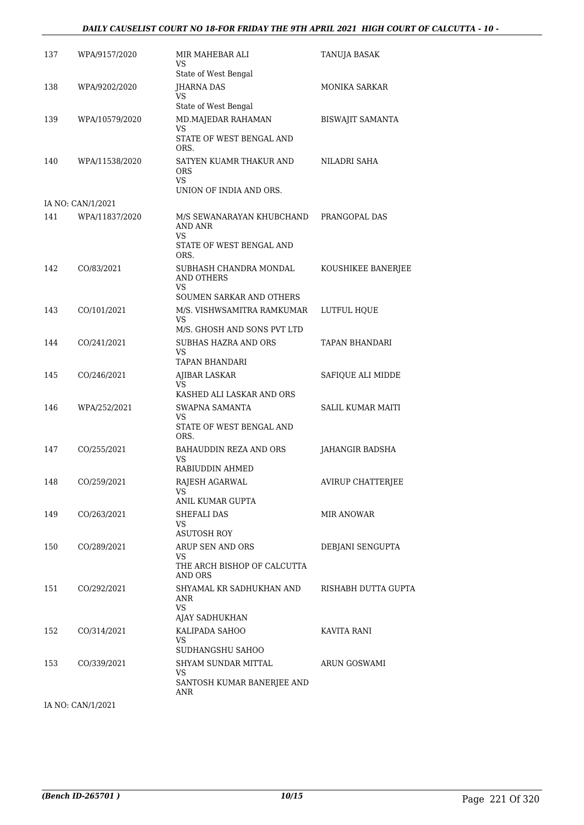#### *DAILY CAUSELIST COURT NO 18-FOR FRIDAY THE 9TH APRIL 2021 HIGH COURT OF CALCUTTA - 10 -*

| 137 | WPA/9157/2020     | MIR MAHEBAR ALI<br>VS<br>State of West Bengal                                         | TANUJA BASAK            |
|-----|-------------------|---------------------------------------------------------------------------------------|-------------------------|
| 138 | WPA/9202/2020     | JHARNA DAS<br>VS                                                                      | MONIKA SARKAR           |
| 139 | WPA/10579/2020    | State of West Bengal<br>MD.MAJEDAR RAHAMAN<br>VS<br>STATE OF WEST BENGAL AND          | <b>BISWAJIT SAMANTA</b> |
| 140 | WPA/11538/2020    | ORS.<br>SATYEN KUAMR THAKUR AND<br>ORS<br><b>VS</b>                                   | NILADRI SAHA            |
|     | IA NO: CAN/1/2021 | UNION OF INDIA AND ORS.                                                               |                         |
| 141 | WPA/11837/2020    | M/S SEWANARAYAN KHUBCHAND<br>AND ANR<br>VS.                                           | PRANGOPAL DAS           |
|     |                   | STATE OF WEST BENGAL AND<br>ORS.                                                      |                         |
| 142 | CO/83/2021        | SUBHASH CHANDRA MONDAL<br>AND OTHERS<br>VS                                            | KOUSHIKEE BANERJEE      |
|     |                   | SOUMEN SARKAR AND OTHERS                                                              |                         |
| 143 | CO/101/2021       | M/S. VISHWSAMITRA RAMKUMAR<br>VS<br>M/S. GHOSH AND SONS PVT LTD                       | LUTFUL HQUE             |
| 144 | CO/241/2021       | SUBHAS HAZRA AND ORS<br>VS<br>TAPAN BHANDARI                                          | TAPAN BHANDARI          |
| 145 | CO/246/2021       | AJIBAR LASKAR<br>VS                                                                   | SAFIQUE ALI MIDDE       |
| 146 | WPA/252/2021      | KASHED ALI LASKAR AND ORS<br>SWAPNA SAMANTA<br>VS<br>STATE OF WEST BENGAL AND<br>ORS. | SALIL KUMAR MAITI       |
| 147 | CO/255/2021       | BAHAUDDIN REZA AND ORS<br>VS.                                                         | JAHANGIR BADSHA         |
| 148 | CO/259/2021       | RABIUDDIN AHMED<br>RAJESH AGARWAL<br>VS.<br>ANIL KUMAR GUPTA                          | AVIRUP CHATTERJEE       |
| 149 | CO/263/2021       | SHEFALI DAS<br>VS<br>ASUTOSH ROY                                                      | MIR ANOWAR              |
| 150 | CO/289/2021       | ARUP SEN AND ORS<br>VS.<br>THE ARCH BISHOP OF CALCUTTA<br>AND ORS                     | DEBJANI SENGUPTA        |
| 151 | CO/292/2021       | SHYAMAL KR SADHUKHAN AND<br>ANR<br>VS.<br>AJAY SADHUKHAN                              | RISHABH DUTTA GUPTA     |
| 152 | CO/314/2021       | KALIPADA SAHOO<br>VS.<br>SUDHANGSHU SAHOO                                             | KAVITA RANI             |
| 153 | CO/339/2021       | SHYAM SUNDAR MITTAL<br>VS<br>SANTOSH KUMAR BANERJEE AND<br>ANR                        | ARUN GOSWAMI            |

IA NO: CAN/1/2021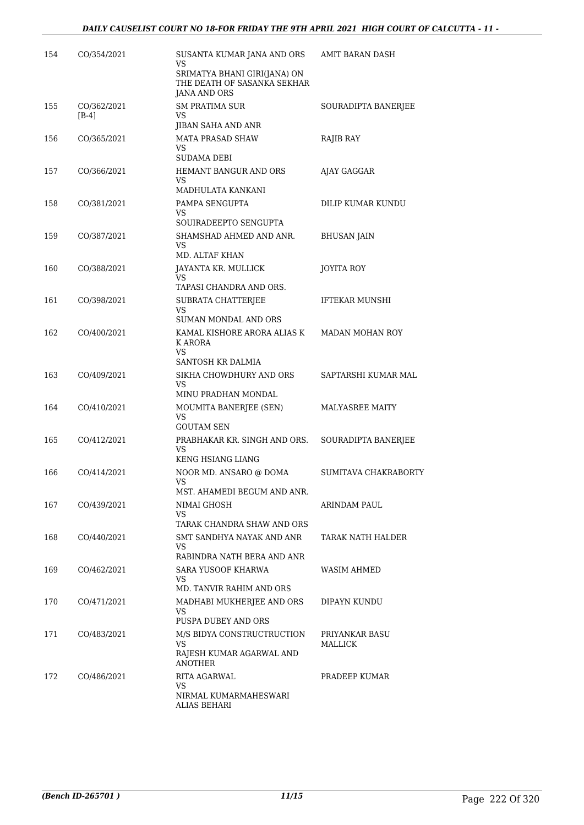| 154 | CO/354/2021            | SUSANTA KUMAR JANA AND ORS<br>VS<br>SRIMATYA BHANI GIRI(JANA) ON<br>THE DEATH OF SASANKA SEKHAR | <b>AMIT BARAN DASH</b>    |
|-----|------------------------|-------------------------------------------------------------------------------------------------|---------------------------|
|     |                        | <b>JANA AND ORS</b>                                                                             |                           |
| 155 | CO/362/2021<br>$[B-4]$ | <b>SM PRATIMA SUR</b><br>VS.<br>JIBAN SAHA AND ANR                                              | SOURADIPTA BANERJEE       |
| 156 | CO/365/2021            | <b>MATA PRASAD SHAW</b><br>VS<br>SUDAMA DEBI                                                    | RAJIB RAY                 |
| 157 | CO/366/2021            | HEMANT BANGUR AND ORS<br>VS                                                                     | AJAY GAGGAR               |
|     |                        | MADHULATA KANKANI                                                                               |                           |
| 158 | CO/381/2021            | PAMPA SENGUPTA<br>VS<br>SOUIRADEEPTO SENGUPTA                                                   | DILIP KUMAR KUNDU         |
| 159 | CO/387/2021            | SHAMSHAD AHMED AND ANR.<br>VS.                                                                  | <b>BHUSAN JAIN</b>        |
| 160 | CO/388/2021            | MD. ALTAF KHAN<br>JAYANTA KR. MULLICK<br>VS                                                     | JOYITA ROY                |
|     |                        | TAPASI CHANDRA AND ORS.                                                                         |                           |
| 161 | CO/398/2021            | SUBRATA CHATTERJEE<br>VS<br>SUMAN MONDAL AND ORS                                                | <b>IFTEKAR MUNSHI</b>     |
| 162 | CO/400/2021            | KAMAL KISHORE ARORA ALIAS K<br>K ARORA<br>VS.                                                   | MADAN MOHAN ROY           |
|     |                        | SANTOSH KR DALMIA                                                                               |                           |
| 163 | CO/409/2021            | SIKHA CHOWDHURY AND ORS<br>VS.<br>MINU PRADHAN MONDAL                                           | SAPTARSHI KUMAR MAL       |
| 164 | CO/410/2021            | MOUMITA BANERJEE (SEN)                                                                          | <b>MALYASREE MAITY</b>    |
|     |                        | VS.<br><b>GOUTAM SEN</b>                                                                        |                           |
| 165 | CO/412/2021            | PRABHAKAR KR. SINGH AND ORS.<br>VS.<br><b>KENG HSIANG LIANG</b>                                 | SOURADIPTA BANERJEE       |
| 166 | CO/414/2021            | NOOR MD. ANSARO @ DOMA<br>VS<br>MST. AHAMEDI BEGUM AND ANR.                                     | SUMITAVA CHAKRABORTY      |
| 167 | CO/439/2021            | NIMAI GHOSH<br>VS                                                                               | ARINDAM PAUL              |
|     |                        | TARAK CHANDRA SHAW AND ORS                                                                      |                           |
| 168 | CO/440/2021            | SMT SANDHYA NAYAK AND ANR<br>VS<br>RABINDRA NATH BERA AND ANR                                   | TARAK NATH HALDER         |
| 169 | CO/462/2021            | <b>SARA YUSOOF KHARWA</b><br>VS                                                                 | WASIM AHMED               |
| 170 | CO/471/2021            | MD. TANVIR RAHIM AND ORS<br>MADHABI MUKHERJEE AND ORS                                           | DIPAYN KUNDU              |
|     |                        | VS<br>PUSPA DUBEY AND ORS                                                                       |                           |
| 171 | CO/483/2021            | M/S BIDYA CONSTRUCTRUCTION<br>VS<br>RAJESH KUMAR AGARWAL AND                                    | PRIYANKAR BASU<br>MALLICK |
|     |                        | ANOTHER                                                                                         |                           |
| 172 | CO/486/2021            | RITA AGARWAL<br>VS<br>NIRMAL KUMARMAHESWARI<br><b>ALIAS BEHARI</b>                              | PRADEEP KUMAR             |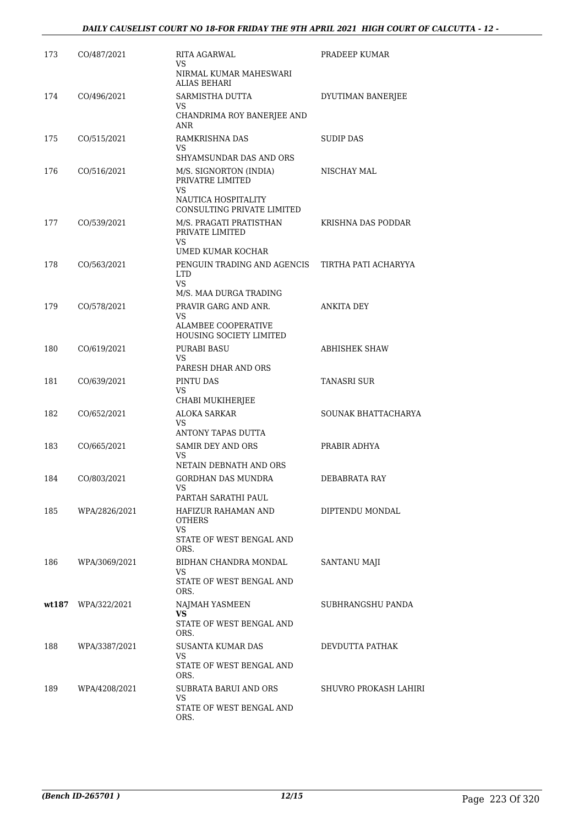| 173 | CO/487/2021        | RITA AGARWAL<br>VS.<br>NIRMAL KUMAR MAHESWARI                                       | PRADEEP KUMAR         |
|-----|--------------------|-------------------------------------------------------------------------------------|-----------------------|
| 174 | CO/496/2021        | ALIAS BEHARI<br>SARMISTHA DUTTA                                                     | DYUTIMAN BANERJEE     |
|     |                    | VS<br>CHANDRIMA ROY BANERJEE AND<br>ANR                                             |                       |
| 175 | CO/515/2021        | RAMKRISHNA DAS<br>VS<br>SHYAMSUNDAR DAS AND ORS                                     | SUDIP DAS             |
| 176 | CO/516/2021        | M/S. SIGNORTON (INDIA)<br>PRIVATRE LIMITED<br>VS<br>NAUTICA HOSPITALITY             | NISCHAY MAL           |
| 177 | CO/539/2021        | CONSULTING PRIVATE LIMITED<br>M/S. PRAGATI PRATISTHAN<br>PRIVATE LIMITED<br>VS      | KRISHNA DAS PODDAR    |
|     |                    | UMED KUMAR KOCHAR                                                                   |                       |
| 178 | CO/563/2021        | PENGUIN TRADING AND AGENCIS<br><b>LTD</b><br><b>VS</b>                              | TIRTHA PATI ACHARYYA  |
|     |                    | M/S. MAA DURGA TRADING                                                              |                       |
| 179 | CO/578/2021        | PRAVIR GARG AND ANR.<br>VS<br><b>ALAMBEE COOPERATIVE</b><br>HOUSING SOCIETY LIMITED | <b>ANKITA DEY</b>     |
| 180 | CO/619/2021        | PURABI BASU<br>VS.                                                                  | <b>ABHISHEK SHAW</b>  |
| 181 | CO/639/2021        | PARESH DHAR AND ORS<br>PINTU DAS<br>VS                                              | TANASRI SUR           |
|     |                    | CHABI MUKIHERJEE                                                                    |                       |
| 182 | CO/652/2021        | <b>ALOKA SARKAR</b><br>VS.                                                          | SOUNAK BHATTACHARYA   |
| 183 | CO/665/2021        | ANTONY TAPAS DUTTA<br><b>SAMIR DEY AND ORS</b><br>VS.                               | PRABIR ADHYA          |
| 184 | CO/803/2021        | NETAIN DEBNATH AND ORS<br>GORDHAN DAS MUNDRA                                        | DEBABRATA RAY         |
| 185 | WPA/2826/2021      | PARTAH SARATHI PAUL<br>HAFIZUR RAHAMAN AND<br><b>OTHERS</b><br>VS.                  | DIPTENDU MONDAL       |
|     |                    | STATE OF WEST BENGAL AND<br>ORS.                                                    |                       |
| 186 | WPA/3069/2021      | BIDHAN CHANDRA MONDAL<br>VS<br>STATE OF WEST BENGAL AND<br>ORS.                     | SANTANU MAJI          |
|     | wt187 WPA/322/2021 | NAJMAH YASMEEN<br>VS.<br>STATE OF WEST BENGAL AND<br>ORS.                           | SUBHRANGSHU PANDA     |
| 188 | WPA/3387/2021      | SUSANTA KUMAR DAS<br>VS<br>STATE OF WEST BENGAL AND<br>ORS.                         | DEVDUTTA PATHAK       |
| 189 | WPA/4208/2021      | SUBRATA BARUI AND ORS<br>VS<br>STATE OF WEST BENGAL AND<br>ORS.                     | SHUVRO PROKASH LAHIRI |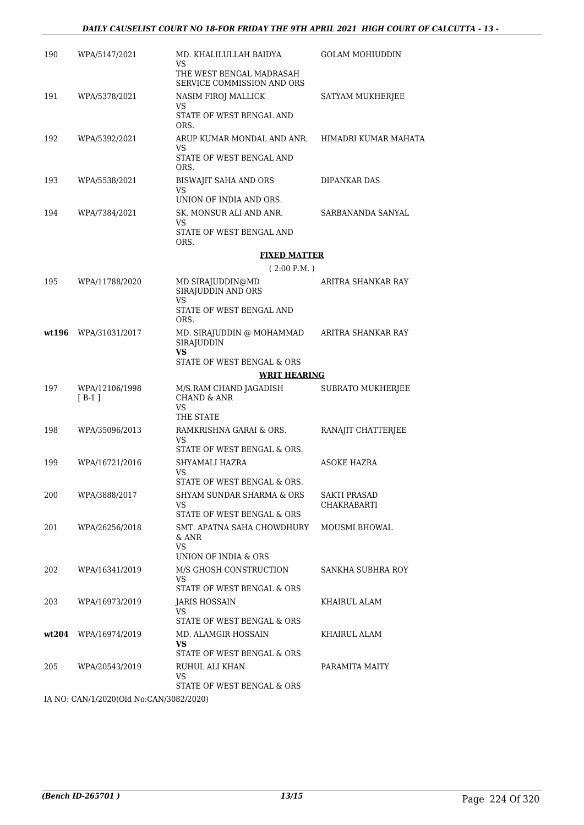#### *DAILY CAUSELIST COURT NO 18-FOR FRIDAY THE 9TH APRIL 2021 HIGH COURT OF CALCUTTA - 13 -*

| 190   | WPA/5147/2021                           | MD. KHALILULLAH BAIDYA<br>VS                                 | <b>GOLAM MOHIUDDIN</b>   |
|-------|-----------------------------------------|--------------------------------------------------------------|--------------------------|
|       |                                         | THE WEST BENGAL MADRASAH<br>SERVICE COMMISSION AND ORS       |                          |
| 191   | WPA/5378/2021                           | NASIM FIROJ MALLICK<br>VS                                    | SATYAM MUKHERJEE         |
|       |                                         | STATE OF WEST BENGAL AND<br>ORS.                             |                          |
| 192   | WPA/5392/2021                           | ARUP KUMAR MONDAL AND ANR.<br>VS                             | HIMADRI KUMAR MAHATA     |
|       |                                         | STATE OF WEST BENGAL AND<br>ORS.                             |                          |
| 193   | WPA/5538/2021                           | BISWAJIT SAHA AND ORS<br>VS                                  | DIPANKAR DAS             |
|       |                                         | UNION OF INDIA AND ORS.                                      |                          |
| 194   | WPA/7384/2021                           | SK. MONSUR ALI AND ANR.<br>VS<br>STATE OF WEST BENGAL AND    | SARBANANDA SANYAL        |
|       |                                         | ORS.                                                         |                          |
|       |                                         | <b>FIXED MATTER</b>                                          |                          |
|       |                                         | (2:00 P.M. )                                                 |                          |
| 195   | WPA/11788/2020                          | MD SIRAJUDDIN@MD<br>SIRAJUDDIN AND ORS<br>VS                 | ARITRA SHANKAR RAY       |
|       |                                         | STATE OF WEST BENGAL AND<br>ORS.                             |                          |
| wt196 | WPA/31031/2017                          | MD. SIRAJUDDIN @ MOHAMMAD<br>SIRAJUDDIN<br><b>VS</b>         | ARITRA SHANKAR RAY       |
|       |                                         | STATE OF WEST BENGAL & ORS<br><b>WRIT HEARING</b>            |                          |
| 197   | WPA/12106/1998                          | M/S.RAM CHAND JAGADISH                                       | <b>SUBRATO MUKHERJEE</b> |
|       | $[B-1]$                                 | <b>CHAND &amp; ANR</b><br>VS                                 |                          |
|       |                                         | THE STATE                                                    |                          |
| 198   | WPA/35096/2013                          | RAMKRISHNA GARAI & ORS.<br>VS<br>STATE OF WEST BENGAL & ORS. | RANAJIT CHATTERJEE       |
| 199   | WPA/16721/2016                          | SHYAMALI HAZRA                                               | <b>ASOKE HAZRA</b>       |
|       |                                         | VS<br>STATE OF WEST BENGAL & ORS.                            |                          |
| 200   | WPA/3888/2017                           | SHYAM SUNDAR SHARMA & ORS                                    | SAKTI PRASAD             |
|       |                                         | VS<br>STATE OF WEST BENGAL & ORS                             | CHAKRABARTI              |
| 201   | WPA/26256/2018                          | SMT. APATNA SAHA CHOWDHURY<br>& ANR<br>VS                    | MOUSMI BHOWAL            |
|       |                                         | UNION OF INDIA & ORS                                         |                          |
| 202   | WPA/16341/2019                          | M/S GHOSH CONSTRUCTION<br>VS                                 | SANKHA SUBHRA ROY        |
|       |                                         | STATE OF WEST BENGAL & ORS                                   |                          |
| 203   | WPA/16973/2019                          | JARIS HOSSAIN<br>VS<br>STATE OF WEST BENGAL & ORS            | KHAIRUL ALAM             |
| wt204 | WPA/16974/2019                          | MD. ALAMGIR HOSSAIN                                          | KHAIRUL ALAM             |
|       |                                         | VS<br>STATE OF WEST BENGAL & ORS                             |                          |
| 205   | WPA/20543/2019                          | RUHUL ALI KHAN<br>VS                                         | PARAMITA MAITY           |
|       |                                         | STATE OF WEST BENGAL & ORS                                   |                          |
|       | IA NO: CAN/1/2020(Old No:CAN/3082/2020) |                                                              |                          |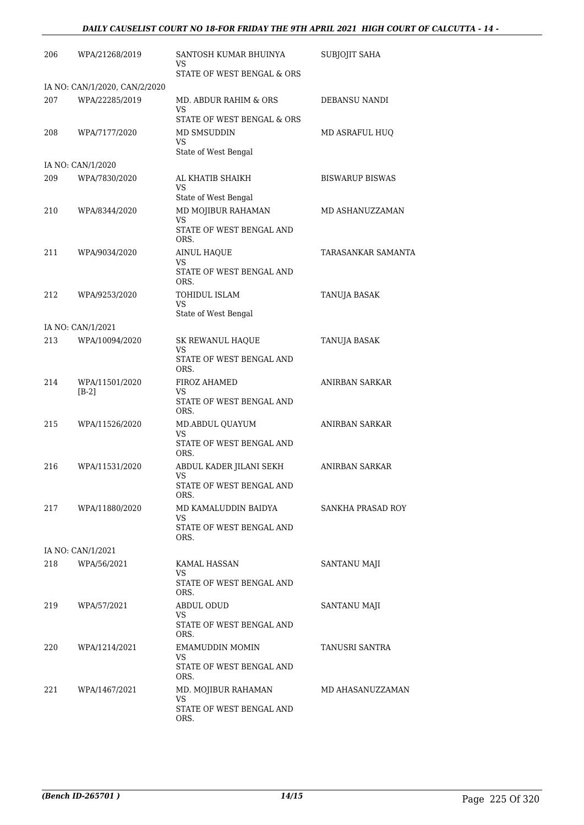#### *DAILY CAUSELIST COURT NO 18-FOR FRIDAY THE 9TH APRIL 2021 HIGH COURT OF CALCUTTA - 14 -*

| 206 | WPA/21268/2019                | SANTOSH KUMAR BHUINYA<br>VS<br>STATE OF WEST BENGAL & ORS | SUBJOJIT SAHA          |
|-----|-------------------------------|-----------------------------------------------------------|------------------------|
|     | IA NO: CAN/1/2020, CAN/2/2020 |                                                           |                        |
| 207 | WPA/22285/2019                | MD. ABDUR RAHIM & ORS<br>VS                               | DEBANSU NANDI          |
| 208 | WPA/7177/2020                 | STATE OF WEST BENGAL & ORS<br>MD SMSUDDIN<br>VS           | MD ASRAFUL HUQ         |
|     |                               | State of West Bengal                                      |                        |
|     | IA NO: CAN/1/2020             |                                                           |                        |
| 209 | WPA/7830/2020                 | AL KHATIB SHAIKH<br>VS                                    | <b>BISWARUP BISWAS</b> |
| 210 | WPA/8344/2020                 | State of West Bengal<br>MD MOJIBUR RAHAMAN<br>VS          | MD ASHANUZZAMAN        |
|     |                               | STATE OF WEST BENGAL AND<br>ORS.                          |                        |
| 211 | WPA/9034/2020                 | <b>AINUL HAQUE</b><br>VS                                  | TARASANKAR SAMANTA     |
|     |                               | STATE OF WEST BENGAL AND<br>ORS.                          |                        |
| 212 | WPA/9253/2020                 | TOHIDUL ISLAM<br>VS.                                      | <b>TANUJA BASAK</b>    |
|     |                               | State of West Bengal                                      |                        |
|     | IA NO: CAN/1/2021             |                                                           |                        |
| 213 | WPA/10094/2020                | <b>SK REWANUL HAQUE</b><br>VS                             | TANUJA BASAK           |
|     |                               | STATE OF WEST BENGAL AND<br>ORS.                          |                        |
| 214 | WPA/11501/2020<br>$[B-2]$     | <b>FIROZ AHAMED</b><br>VS                                 | ANIRBAN SARKAR         |
|     |                               | STATE OF WEST BENGAL AND<br>ORS.                          |                        |
| 215 | WPA/11526/2020                | MD.ABDUL QUAYUM<br>VS                                     | ANIRBAN SARKAR         |
|     |                               | STATE OF WEST BENGAL AND<br>ORS.                          |                        |
| 216 | WPA/11531/2020                | ABDUL KADER JILANI SEKH<br>VS<br>STATE OF WEST BENGAL AND | ANIRBAN SARKAR         |
|     |                               | ORS.                                                      |                        |
| 217 | WPA/11880/2020                | MD KAMALUDDIN BAIDYA<br>VS                                | SANKHA PRASAD ROY      |
|     |                               | STATE OF WEST BENGAL AND<br>ORS.                          |                        |
|     | IA NO: CAN/1/2021             |                                                           |                        |
| 218 | WPA/56/2021                   | KAMAL HASSAN<br>VS.                                       | SANTANU MAJI           |
|     |                               | STATE OF WEST BENGAL AND<br>ORS.                          |                        |
| 219 | WPA/57/2021                   | <b>ABDUL ODUD</b>                                         | SANTANU MAJI           |
|     |                               | VS<br>STATE OF WEST BENGAL AND<br>ORS.                    |                        |
| 220 | WPA/1214/2021                 | EMAMUDDIN MOMIN<br>VS.                                    | TANUSRI SANTRA         |
|     |                               | STATE OF WEST BENGAL AND<br>ORS.                          |                        |
| 221 | WPA/1467/2021                 | MD. MOJIBUR RAHAMAN<br>VS.                                | MD AHASANUZZAMAN       |
|     |                               | STATE OF WEST BENGAL AND<br>ORS.                          |                        |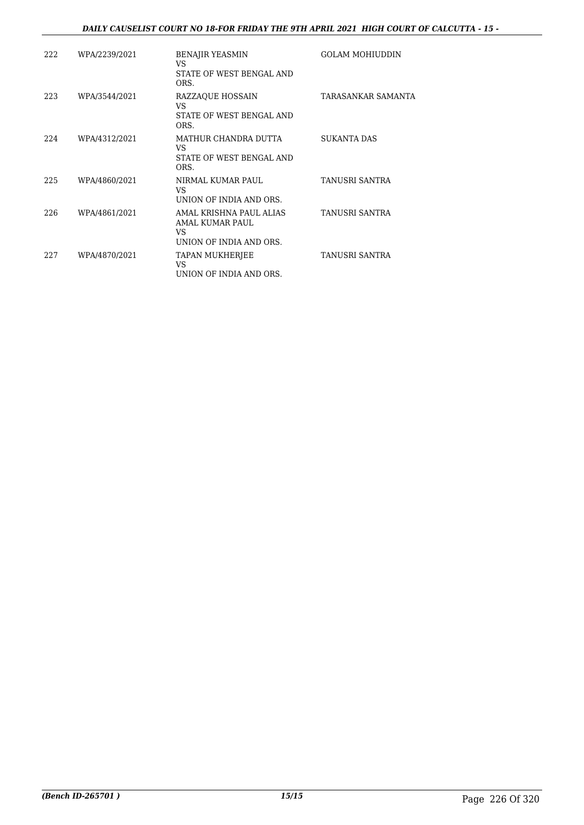#### *DAILY CAUSELIST COURT NO 18-FOR FRIDAY THE 9TH APRIL 2021 HIGH COURT OF CALCUTTA - 15 -*

| 222 | WPA/2239/2021 | <b>BENAJIR YEASMIN</b><br>VS.<br>STATE OF WEST BENGAL AND<br>ORS.           | <b>GOLAM MOHIUDDIN</b> |
|-----|---------------|-----------------------------------------------------------------------------|------------------------|
| 223 | WPA/3544/2021 | <b>RAZZAQUE HOSSAIN</b><br>VS<br>STATE OF WEST BENGAL AND<br>ORS.           | TARASANKAR SAMANTA     |
| 224 | WPA/4312/2021 | MATHUR CHANDRA DUTTA<br>VS.<br>STATE OF WEST BENGAL AND<br>ORS.             | <b>SUKANTA DAS</b>     |
| 225 | WPA/4860/2021 | NIRMAL KUMAR PAUL<br>VS<br>UNION OF INDIA AND ORS.                          | TANUSRI SANTRA         |
| 226 | WPA/4861/2021 | AMAL KRISHNA PAUL ALIAS<br>AMAL KUMAR PAUL<br>VS<br>UNION OF INDIA AND ORS. | TANUSRI SANTRA         |
| 227 | WPA/4870/2021 | TAPAN MUKHERJEE<br>VS<br>UNION OF INDIA AND ORS.                            | TANUSRI SANTRA         |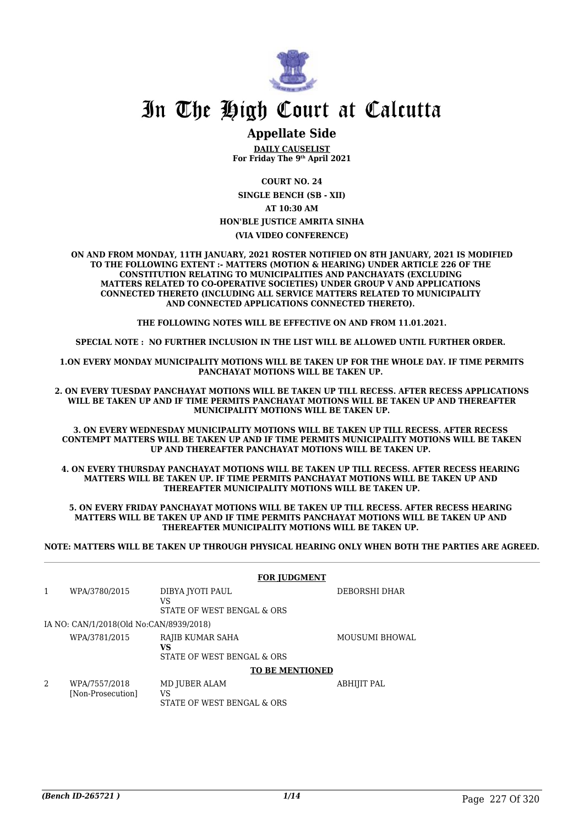

## In The High Court at Calcutta

#### **Appellate Side**

**DAILY CAUSELIST For Friday The 9th April 2021**

**COURT NO. 24**

**SINGLE BENCH (SB - XII) AT 10:30 AM HON'BLE JUSTICE AMRITA SINHA (VIA VIDEO CONFERENCE)**

**ON AND FROM MONDAY, 11TH JANUARY, 2021 ROSTER NOTIFIED ON 8TH JANUARY, 2021 IS MODIFIED TO THE FOLLOWING EXTENT :- MATTERS (MOTION & HEARING) UNDER ARTICLE 226 OF THE CONSTITUTION RELATING TO MUNICIPALITIES AND PANCHAYATS (EXCLUDING MATTERS RELATED TO CO-OPERATIVE SOCIETIES) UNDER GROUP V AND APPLICATIONS CONNECTED THERETO (INCLUDING ALL SERVICE MATTERS RELATED TO MUNICIPALITY AND CONNECTED APPLICATIONS CONNECTED THERETO).** 

**THE FOLLOWING NOTES WILL BE EFFECTIVE ON AND FROM 11.01.2021.**

**SPECIAL NOTE : NO FURTHER INCLUSION IN THE LIST WILL BE ALLOWED UNTIL FURTHER ORDER.** 

**1.ON EVERY MONDAY MUNICIPALITY MOTIONS WILL BE TAKEN UP FOR THE WHOLE DAY. IF TIME PERMITS PANCHAYAT MOTIONS WILL BE TAKEN UP.** 

**2. ON EVERY TUESDAY PANCHAYAT MOTIONS WILL BE TAKEN UP TILL RECESS. AFTER RECESS APPLICATIONS WILL BE TAKEN UP AND IF TIME PERMITS PANCHAYAT MOTIONS WILL BE TAKEN UP AND THEREAFTER MUNICIPALITY MOTIONS WILL BE TAKEN UP.**

**3. ON EVERY WEDNESDAY MUNICIPALITY MOTIONS WILL BE TAKEN UP TILL RECESS. AFTER RECESS CONTEMPT MATTERS WILL BE TAKEN UP AND IF TIME PERMITS MUNICIPALITY MOTIONS WILL BE TAKEN UP AND THEREAFTER PANCHAYAT MOTIONS WILL BE TAKEN UP.** 

**4. ON EVERY THURSDAY PANCHAYAT MOTIONS WILL BE TAKEN UP TILL RECESS. AFTER RECESS HEARING MATTERS WILL BE TAKEN UP. IF TIME PERMITS PANCHAYAT MOTIONS WILL BE TAKEN UP AND THEREAFTER MUNICIPALITY MOTIONS WILL BE TAKEN UP.**

**5. ON EVERY FRIDAY PANCHAYAT MOTIONS WILL BE TAKEN UP TILL RECESS. AFTER RECESS HEARING MATTERS WILL BE TAKEN UP AND IF TIME PERMITS PANCHAYAT MOTIONS WILL BE TAKEN UP AND THEREAFTER MUNICIPALITY MOTIONS WILL BE TAKEN UP.** 

**NOTE: MATTERS WILL BE TAKEN UP THROUGH PHYSICAL HEARING ONLY WHEN BOTH THE PARTIES ARE AGREED.**

|   | <b>FOR JUDGMENT</b>                     |                                                      |                       |  |  |
|---|-----------------------------------------|------------------------------------------------------|-----------------------|--|--|
| 1 | WPA/3780/2015                           | DIBYA JYOTI PAUL<br>VS<br>STATE OF WEST BENGAL & ORS | DEBORSHI DHAR         |  |  |
|   | IA NO: CAN/1/2018(Old No:CAN/8939/2018) |                                                      |                       |  |  |
|   | WPA/3781/2015                           | RAJIB KUMAR SAHA<br>VS<br>STATE OF WEST BENGAL & ORS | <b>MOUSUMI BHOWAL</b> |  |  |
|   | <b>TO BE MENTIONED</b>                  |                                                      |                       |  |  |
| 2 | WPA/7557/2018<br>[Non-Prosecution]      | MD JUBER ALAM<br>VS<br>STATE OF WEST BENGAL & ORS    | ABHIJIT PAL           |  |  |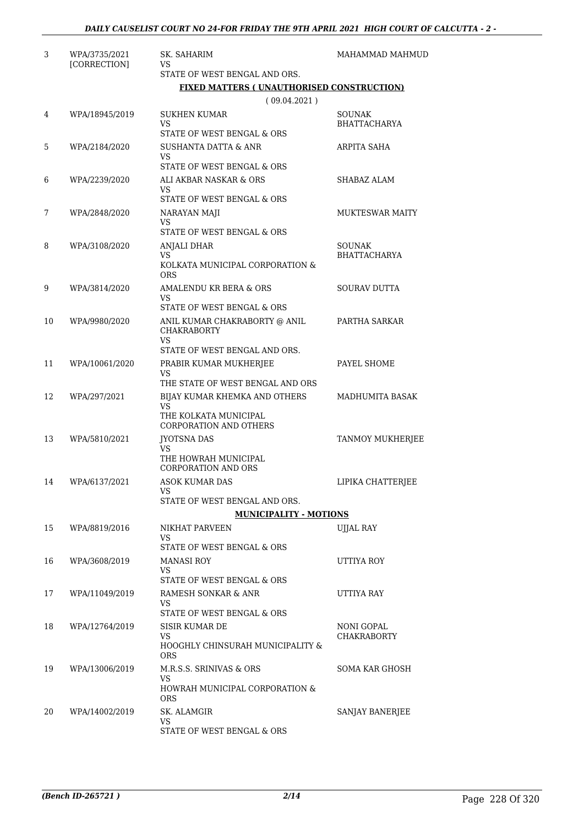| 3  | WPA/3735/2021<br>[CORRECTION] | SK. SAHARIM<br>VS.                                                  | MAHAMMAD MAHMUD                      |
|----|-------------------------------|---------------------------------------------------------------------|--------------------------------------|
|    |                               | STATE OF WEST BENGAL AND ORS.                                       |                                      |
|    |                               | <b>FIXED MATTERS (UNAUTHORISED CONSTRUCTION)</b>                    |                                      |
|    |                               | (09.04.2021)                                                        |                                      |
| 4  | WPA/18945/2019                | <b>SUKHEN KUMAR</b><br><b>VS</b>                                    | <b>SOUNAK</b><br><b>BHATTACHARYA</b> |
|    |                               | STATE OF WEST BENGAL & ORS                                          |                                      |
| 5  | WPA/2184/2020                 | <b>SUSHANTA DATTA &amp; ANR</b><br>VS<br>STATE OF WEST BENGAL & ORS | ARPITA SAHA                          |
| 6  | WPA/2239/2020                 | ALI AKBAR NASKAR & ORS                                              | SHABAZ ALAM                          |
|    |                               | VS                                                                  |                                      |
|    |                               | STATE OF WEST BENGAL & ORS                                          |                                      |
| 7  | WPA/2848/2020                 | NARAYAN MAJI<br>VS                                                  | <b>MUKTESWAR MAITY</b>               |
|    |                               | STATE OF WEST BENGAL & ORS                                          |                                      |
| 8  | WPA/3108/2020                 | ANJALI DHAR<br>VS                                                   | <b>SOUNAK</b><br><b>BHATTACHARYA</b> |
|    |                               | KOLKATA MUNICIPAL CORPORATION &<br><b>ORS</b>                       |                                      |
| 9  | WPA/3814/2020                 | AMALENDU KR BERA & ORS                                              | <b>SOURAV DUTTA</b>                  |
|    |                               | VS<br>STATE OF WEST BENGAL & ORS                                    |                                      |
| 10 | WPA/9980/2020                 | ANIL KUMAR CHAKRABORTY @ ANIL<br><b>CHAKRABORTY</b>                 | PARTHA SARKAR                        |
|    |                               | <b>VS</b>                                                           |                                      |
| 11 | WPA/10061/2020                | STATE OF WEST BENGAL AND ORS.                                       | PAYEL SHOME                          |
|    |                               | PRABIR KUMAR MUKHERJEE<br>VS                                        |                                      |
|    |                               | THE STATE OF WEST BENGAL AND ORS                                    |                                      |
| 12 | WPA/297/2021                  | BIJAY KUMAR KHEMKA AND OTHERS<br><b>VS</b>                          | MADHUMITA BASAK                      |
|    |                               | THE KOLKATA MUNICIPAL<br>CORPORATION AND OTHERS                     |                                      |
| 13 | WPA/5810/2021                 | JYOTSNA DAS                                                         | TANMOY MUKHERJEE                     |
|    |                               | VS<br>THE HOWRAH MUNICIPAL<br><b>CORPORATION AND ORS</b>            |                                      |
| 14 | WPA/6137/2021                 | <b>ASOK KUMAR DAS</b>                                               | LIPIKA CHATTERJEE                    |
|    |                               | <b>VS</b><br>STATE OF WEST BENGAL AND ORS.                          |                                      |
|    |                               | <b>MUNICIPALITY - MOTIONS</b>                                       |                                      |
| 15 | WPA/8819/2016                 | NIKHAT PARVEEN                                                      | UJJAL RAY                            |
|    |                               | VS<br>STATE OF WEST BENGAL & ORS                                    |                                      |
| 16 | WPA/3608/2019                 | <b>MANASI ROY</b>                                                   | UTTIYA ROY                           |
|    |                               | VS.                                                                 |                                      |
|    |                               | STATE OF WEST BENGAL & ORS                                          |                                      |
| 17 | WPA/11049/2019                | RAMESH SONKAR & ANR<br>VS                                           | UTTIYA RAY                           |
|    |                               | STATE OF WEST BENGAL & ORS                                          |                                      |
| 18 | WPA/12764/2019                | SISIR KUMAR DE<br>VS                                                | NONI GOPAL<br><b>CHAKRABORTY</b>     |
|    |                               | HOOGHLY CHINSURAH MUNICIPALITY &<br><b>ORS</b>                      |                                      |
| 19 | WPA/13006/2019                | M.R.S.S. SRINIVAS & ORS<br>VS                                       | SOMA KAR GHOSH                       |
|    |                               | HOWRAH MUNICIPAL CORPORATION &<br><b>ORS</b>                        |                                      |
| 20 | WPA/14002/2019                | SK. ALAMGIR                                                         | SANJAY BANERJEE                      |
|    |                               | VS<br>STATE OF WEST BENGAL & ORS                                    |                                      |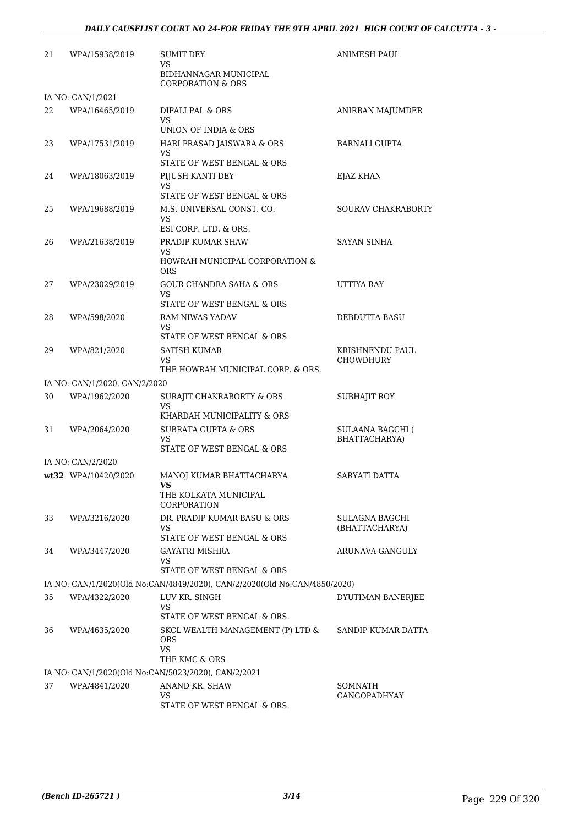| 21 | WPA/15938/2019                | <b>SUMIT DEY</b><br>VS                                                             | <b>ANIMESH PAUL</b>                      |
|----|-------------------------------|------------------------------------------------------------------------------------|------------------------------------------|
|    |                               | BIDHANNAGAR MUNICIPAL<br><b>CORPORATION &amp; ORS</b>                              |                                          |
|    | IA NO: CAN/1/2021             |                                                                                    |                                          |
| 22 | WPA/16465/2019                | DIPALI PAL & ORS<br><b>VS</b><br>UNION OF INDIA & ORS                              | ANIRBAN MAJUMDER                         |
| 23 | WPA/17531/2019                | HARI PRASAD JAISWARA & ORS<br>VS                                                   | <b>BARNALI GUPTA</b>                     |
| 24 | WPA/18063/2019                | STATE OF WEST BENGAL & ORS<br>PIJUSH KANTI DEY<br>VS<br>STATE OF WEST BENGAL & ORS | EJAZ KHAN                                |
| 25 | WPA/19688/2019                | M.S. UNIVERSAL CONST. CO.<br>VS<br>ESI CORP. LTD. & ORS.                           | SOURAV CHAKRABORTY                       |
| 26 | WPA/21638/2019                | PRADIP KUMAR SHAW<br>VS                                                            | <b>SAYAN SINHA</b>                       |
|    |                               | HOWRAH MUNICIPAL CORPORATION &<br><b>ORS</b>                                       |                                          |
| 27 | WPA/23029/2019                | <b>GOUR CHANDRA SAHA &amp; ORS</b><br>VS                                           | UTTIYA RAY                               |
|    |                               | STATE OF WEST BENGAL & ORS                                                         |                                          |
| 28 | WPA/598/2020                  | RAM NIWAS YADAV<br>VS<br>STATE OF WEST BENGAL & ORS                                | <b>DEBDUTTA BASU</b>                     |
| 29 | WPA/821/2020                  | SATISH KUMAR<br>VS<br>THE HOWRAH MUNICIPAL CORP. & ORS.                            | KRISHNENDU PAUL<br>CHOWDHURY             |
|    | IA NO: CAN/1/2020, CAN/2/2020 |                                                                                    |                                          |
| 30 | WPA/1962/2020                 | SURAJIT CHAKRABORTY & ORS<br>VS                                                    | SUBHAJIT ROY                             |
|    |                               | KHARDAH MUNICIPALITY & ORS                                                         |                                          |
| 31 | WPA/2064/2020                 | <b>SUBRATA GUPTA &amp; ORS</b><br>VS<br>STATE OF WEST BENGAL & ORS                 | <b>SULAANA BAGCHI (</b><br>BHATTACHARYA) |
|    | IA NO: CAN/2/2020             |                                                                                    |                                          |
|    | wt32 WPA/10420/2020           | MANOJ KUMAR BHATTACHARYA<br>THE KOLKATA MUNICIPAL<br>CORPORATION                   | SARYATI DATTA                            |
| 33 | WPA/3216/2020                 | DR. PRADIP KUMAR BASU & ORS<br>VS                                                  | SULAGNA BAGCHI<br>(BHATTACHARYA)         |
|    |                               | STATE OF WEST BENGAL & ORS                                                         |                                          |
| 34 | WPA/3447/2020                 | GAYATRI MISHRA<br>VS.<br>STATE OF WEST BENGAL & ORS                                | ARUNAVA GANGULY                          |
|    |                               | IA NO: CAN/1/2020(Old No:CAN/4849/2020), CAN/2/2020(Old No:CAN/4850/2020)          |                                          |
| 35 | WPA/4322/2020                 | LUV KR. SINGH<br>VS<br>STATE OF WEST BENGAL & ORS.                                 | DYUTIMAN BANERJEE                        |
| 36 | WPA/4635/2020                 | SKCL WEALTH MANAGEMENT (P) LTD &<br>ORS<br>VS.<br>THE KMC & ORS                    | SANDIP KUMAR DATTA                       |
|    |                               | IA NO: CAN/1/2020(Old No:CAN/5023/2020), CAN/2/2021                                |                                          |
| 37 | WPA/4841/2020                 | ANAND KR. SHAW                                                                     | SOMNATH                                  |
|    |                               | VS<br>STATE OF WEST BENGAL & ORS.                                                  | GANGOPADHYAY                             |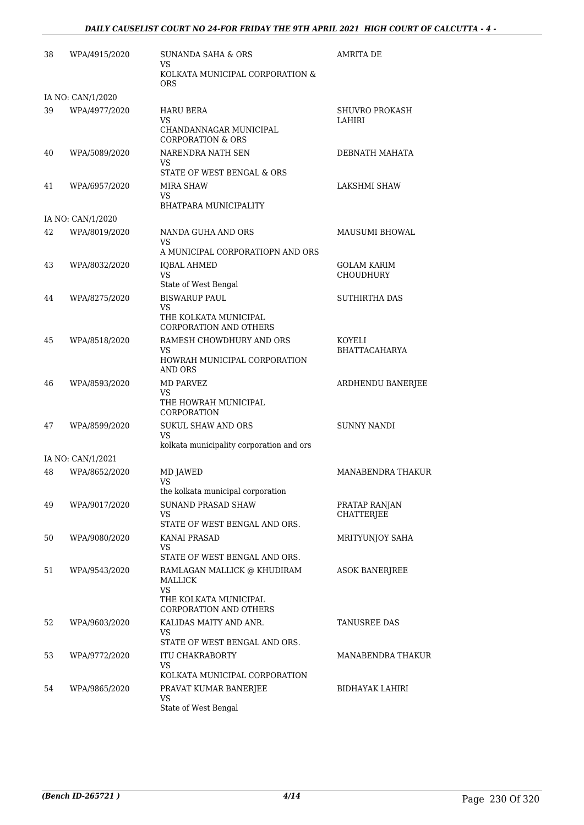| 38 | WPA/4915/2020     | SUNANDA SAHA & ORS<br>VS.                                    | <b>AMRITA DE</b>                |
|----|-------------------|--------------------------------------------------------------|---------------------------------|
|    |                   | KOLKATA MUNICIPAL CORPORATION &<br><b>ORS</b>                |                                 |
|    | IA NO: CAN/1/2020 |                                                              |                                 |
| 39 | WPA/4977/2020     | HARU BERA<br><b>VS</b>                                       | SHUVRO PROKASH<br>LAHIRI        |
|    |                   | CHANDANNAGAR MUNICIPAL<br><b>CORPORATION &amp; ORS</b>       |                                 |
| 40 | WPA/5089/2020     | NARENDRA NATH SEN<br>VS                                      | DEBNATH MAHATA                  |
| 41 | WPA/6957/2020     | STATE OF WEST BENGAL & ORS<br>MIRA SHAW                      | LAKSHMI SHAW                    |
|    |                   | VS                                                           |                                 |
|    |                   | BHATPARA MUNICIPALITY                                        |                                 |
|    | IA NO: CAN/1/2020 |                                                              |                                 |
| 42 | WPA/8019/2020     | NANDA GUHA AND ORS<br>VS                                     | MAUSUMI BHOWAL                  |
|    |                   | A MUNICIPAL CORPORATIOPN AND ORS                             |                                 |
| 43 | WPA/8032/2020     | <b>IQBAL AHMED</b><br><b>VS</b>                              | GOLAM KARIM<br><b>CHOUDHURY</b> |
|    |                   | State of West Bengal                                         |                                 |
| 44 | WPA/8275/2020     | <b>BISWARUP PAUL</b>                                         | <b>SUTHIRTHA DAS</b>            |
|    |                   | VS<br>THE KOLKATA MUNICIPAL<br><b>CORPORATION AND OTHERS</b> |                                 |
| 45 | WPA/8518/2020     | RAMESH CHOWDHURY AND ORS                                     | KOYELI                          |
|    |                   | VS.<br>HOWRAH MUNICIPAL CORPORATION<br><b>AND ORS</b>        | <b>BHATTACAHARYA</b>            |
| 46 | WPA/8593/2020     | <b>MD PARVEZ</b>                                             | ARDHENDU BANERJEE               |
|    |                   | VS<br>THE HOWRAH MUNICIPAL<br>CORPORATION                    |                                 |
| 47 | WPA/8599/2020     | <b>SUKUL SHAW AND ORS</b><br><b>VS</b>                       | <b>SUNNY NANDI</b>              |
|    |                   | kolkata municipality corporation and ors                     |                                 |
|    | IA NO: CAN/1/2021 |                                                              |                                 |
| 48 | WPA/8652/2020     | MD JAWED<br>VS<br>the kolkata municipal corporation          | MANABENDRA THAKUR               |
| 49 | WPA/9017/2020     | <b>SUNAND PRASAD SHAW</b>                                    | PRATAP RANJAN                   |
|    |                   | VS                                                           | <b>CHATTERJEE</b>               |
|    |                   | STATE OF WEST BENGAL AND ORS.                                |                                 |
| 50 | WPA/9080/2020     | KANAI PRASAD<br>VS<br>STATE OF WEST BENGAL AND ORS.          | <b>MRITYUNIOY SAHA</b>          |
| 51 | WPA/9543/2020     | RAMLAGAN MALLICK @ KHUDIRAM                                  | <b>ASOK BANERJREE</b>           |
|    |                   | MALLICK<br><b>VS</b>                                         |                                 |
|    |                   | THE KOLKATA MUNICIPAL<br><b>CORPORATION AND OTHERS</b>       |                                 |
| 52 | WPA/9603/2020     | KALIDAS MAITY AND ANR.<br>VS                                 | TANUSREE DAS                    |
|    |                   | STATE OF WEST BENGAL AND ORS.                                |                                 |
| 53 | WPA/9772/2020     | ITU CHAKRABORTY<br>VS<br>KOLKATA MUNICIPAL CORPORATION       | MANABENDRA THAKUR               |
|    |                   |                                                              | <b>BIDHAYAK LAHIRI</b>          |
| 54 | WPA/9865/2020     | PRAVAT KUMAR BANERJEE<br>VS                                  |                                 |
|    |                   | State of West Bengal                                         |                                 |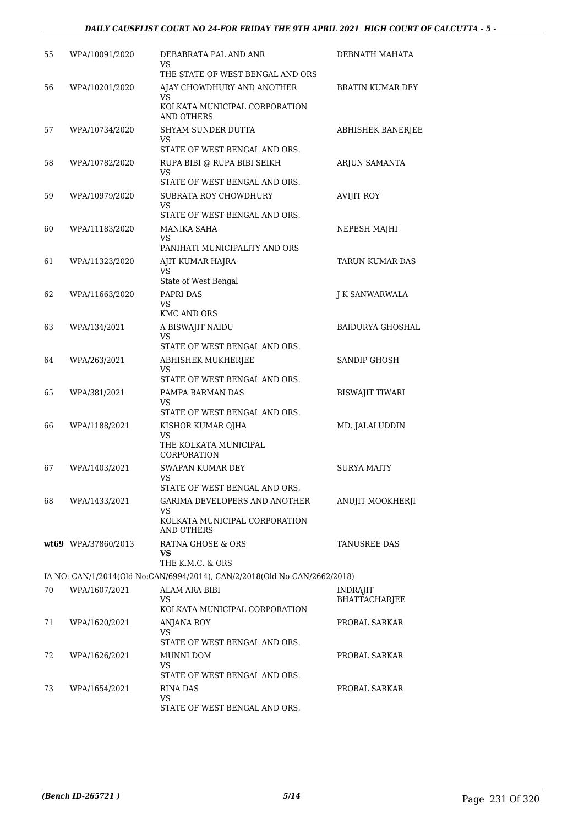| 55 | WPA/10091/2020      | DEBABRATA PAL AND ANR<br>VS                                               | DEBNATH MAHATA          |
|----|---------------------|---------------------------------------------------------------------------|-------------------------|
|    |                     | THE STATE OF WEST BENGAL AND ORS                                          |                         |
| 56 | WPA/10201/2020      | AJAY CHOWDHURY AND ANOTHER<br>VS                                          | BRATIN KUMAR DEY        |
|    |                     | KOLKATA MUNICIPAL CORPORATION<br><b>AND OTHERS</b>                        |                         |
| 57 | WPA/10734/2020      | SHYAM SUNDER DUTTA<br>VS                                                  | ABHISHEK BANERJEE       |
|    |                     | STATE OF WEST BENGAL AND ORS.                                             |                         |
| 58 | WPA/10782/2020      | RUPA BIBI @ RUPA BIBI SEIKH                                               | ARJUN SAMANTA           |
|    |                     | VS<br>STATE OF WEST BENGAL AND ORS.                                       |                         |
| 59 | WPA/10979/2020      | SUBRATA ROY CHOWDHURY                                                     | <b>AVIJIT ROY</b>       |
|    |                     | VS<br>STATE OF WEST BENGAL AND ORS.                                       |                         |
| 60 | WPA/11183/2020      | MANIKA SAHA                                                               | NEPESH MAJHI            |
|    |                     | VS<br>PANIHATI MUNICIPALITY AND ORS                                       |                         |
| 61 | WPA/11323/2020      | AJIT KUMAR HAJRA                                                          | TARUN KUMAR DAS         |
|    |                     | <b>VS</b><br>State of West Bengal                                         |                         |
| 62 | WPA/11663/2020      | <b>PAPRI DAS</b>                                                          | J K SANWARWALA          |
|    |                     | VS                                                                        |                         |
|    |                     | <b>KMC AND ORS</b>                                                        |                         |
| 63 | WPA/134/2021        | A BISWAJIT NAIDU<br>VS                                                    | <b>BAIDURYA GHOSHAL</b> |
|    |                     | STATE OF WEST BENGAL AND ORS.                                             |                         |
| 64 | WPA/263/2021        | ABHISHEK MUKHERJEE<br>VS                                                  | SANDIP GHOSH            |
|    |                     | STATE OF WEST BENGAL AND ORS.                                             |                         |
| 65 | WPA/381/2021        | PAMPA BARMAN DAS                                                          | <b>BISWAJIT TIWARI</b>  |
|    |                     | VS<br>STATE OF WEST BENGAL AND ORS.                                       |                         |
| 66 | WPA/1188/2021       | KISHOR KUMAR OJHA                                                         | MD. JALALUDDIN          |
|    |                     | <b>VS</b><br>THE KOLKATA MUNICIPAL<br>CORPORATION                         |                         |
| 67 | WPA/1403/2021       | SWAPAN KUMAR DEY                                                          | <b>SURYA MAITY</b>      |
|    |                     | <b>VS</b><br>STATE OF WEST BENGAL AND ORS.                                |                         |
| 68 | WPA/1433/2021       | GARIMA DEVELOPERS AND ANOTHER                                             | ANUJIT MOOKHERJI        |
|    |                     | VS                                                                        |                         |
|    |                     | KOLKATA MUNICIPAL CORPORATION<br><b>AND OTHERS</b>                        |                         |
|    | wt69 WPA/37860/2013 | RATNA GHOSE & ORS                                                         | TANUSREE DAS            |
|    |                     | VS<br>THE K.M.C. & ORS                                                    |                         |
|    |                     | IA NO: CAN/1/2014(Old No:CAN/6994/2014), CAN/2/2018(Old No:CAN/2662/2018) |                         |
| 70 | WPA/1607/2021       | ALAM ARA BIBI                                                             | <b>INDRAJIT</b>         |
|    |                     | VS                                                                        | <b>BHATTACHARJEE</b>    |
| 71 | WPA/1620/2021       | KOLKATA MUNICIPAL CORPORATION<br>ANJANA ROY                               | PROBAL SARKAR           |
|    |                     | VS                                                                        |                         |
|    |                     | STATE OF WEST BENGAL AND ORS.                                             |                         |
| 72 | WPA/1626/2021       | MUNNI DOM<br>VS                                                           | PROBAL SARKAR           |
|    |                     | STATE OF WEST BENGAL AND ORS.                                             |                         |
| 73 | WPA/1654/2021       | RINA DAS                                                                  | PROBAL SARKAR           |
|    |                     | VS<br>STATE OF WEST BENGAL AND ORS.                                       |                         |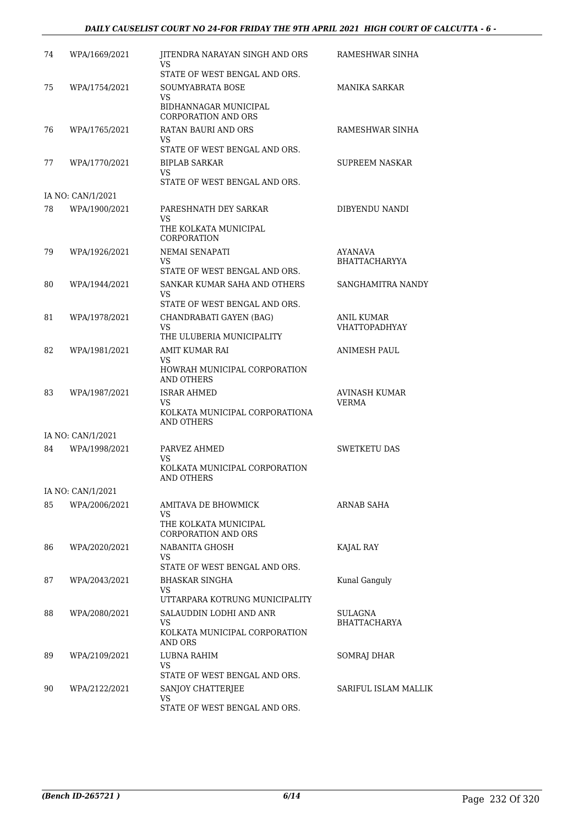#### *DAILY CAUSELIST COURT NO 24-FOR FRIDAY THE 9TH APRIL 2021 HIGH COURT OF CALCUTTA - 6 -*

| 74 | WPA/1669/2021     | JITENDRA NARAYAN SINGH AND ORS<br>VS                  | RAMESHWAR SINHA       |
|----|-------------------|-------------------------------------------------------|-----------------------|
|    |                   | STATE OF WEST BENGAL AND ORS.                         |                       |
| 75 | WPA/1754/2021     | SOUMYABRATA BOSE<br>VS                                | MANIKA SARKAR         |
|    |                   | BIDHANNAGAR MUNICIPAL<br><b>CORPORATION AND ORS</b>   |                       |
| 76 | WPA/1765/2021     | RATAN BAURI AND ORS                                   | RAMESHWAR SINHA       |
|    |                   | VS<br>STATE OF WEST BENGAL AND ORS.                   |                       |
| 77 | WPA/1770/2021     | <b>BIPLAB SARKAR</b>                                  | <b>SUPREEM NASKAR</b> |
|    |                   | VS<br>STATE OF WEST BENGAL AND ORS.                   |                       |
|    | IA NO: CAN/1/2021 |                                                       |                       |
| 78 | WPA/1900/2021     | PARESHNATH DEY SARKAR<br>VS.<br>THE KOLKATA MUNICIPAL | DIBYENDU NANDI        |
|    |                   | <b>CORPORATION</b>                                    |                       |
| 79 | WPA/1926/2021     | NEMAI SENAPATI                                        | AYANAVA               |
|    |                   | VS<br>STATE OF WEST BENGAL AND ORS.                   | <b>BHATTACHARYYA</b>  |
| 80 | WPA/1944/2021     | SANKAR KUMAR SAHA AND OTHERS                          | SANGHAMITRA NANDY     |
|    |                   | VS<br>STATE OF WEST BENGAL AND ORS.                   |                       |
| 81 | WPA/1978/2021     | CHANDRABATI GAYEN (BAG)                               | ANIL KUMAR            |
|    |                   | VS                                                    | <b>VHATTOPADHYAY</b>  |
|    |                   | THE ULUBERIA MUNICIPALITY                             |                       |
| 82 | WPA/1981/2021     | AMIT KUMAR RAI<br>VS.                                 | ANIMESH PAUL          |
|    |                   | HOWRAH MUNICIPAL CORPORATION<br><b>AND OTHERS</b>     |                       |
| 83 | WPA/1987/2021     | ISRAR AHMED                                           | AVINASH KUMAR         |
|    |                   | VS<br>KOLKATA MUNICIPAL CORPORATIONA<br>AND OTHERS    | VERMA                 |
|    | IA NO: CAN/1/2021 |                                                       |                       |
| 84 | WPA/1998/2021     | PARVEZ AHMED<br>VS                                    | <b>SWETKETU DAS</b>   |
|    |                   | KOLKATA MUNICIPAL CORPORATION<br>AND OTHERS           |                       |
|    | IA NO: CAN/1/2021 |                                                       |                       |
| 85 | WPA/2006/2021     | AMITAVA DE BHOWMICK<br>VS                             | ARNAB SAHA            |
|    |                   | THE KOLKATA MUNICIPAL<br><b>CORPORATION AND ORS</b>   |                       |
| 86 | WPA/2020/2021     | NABANITA GHOSH                                        | KAJAL RAY             |
|    |                   | VS<br>STATE OF WEST BENGAL AND ORS.                   |                       |
| 87 | WPA/2043/2021     | BHASKAR SINGHA                                        | Kunal Ganguly         |
|    |                   | VS<br>UTTARPARA KOTRUNG MUNICIPALITY                  |                       |
| 88 | WPA/2080/2021     | SALAUDDIN LODHI AND ANR                               | SULAGNA               |
|    |                   | VS<br>KOLKATA MUNICIPAL CORPORATION<br>AND ORS        | BHATTACHARYA          |
| 89 | WPA/2109/2021     | LUBNA RAHIM                                           | SOMRAJ DHAR           |
|    |                   | VS.                                                   |                       |
| 90 | WPA/2122/2021     | STATE OF WEST BENGAL AND ORS.                         | SARIFUL ISLAM MALLIK  |
|    |                   | SANJOY CHATTERJEE<br>VS.                              |                       |
|    |                   | STATE OF WEST BENGAL AND ORS.                         |                       |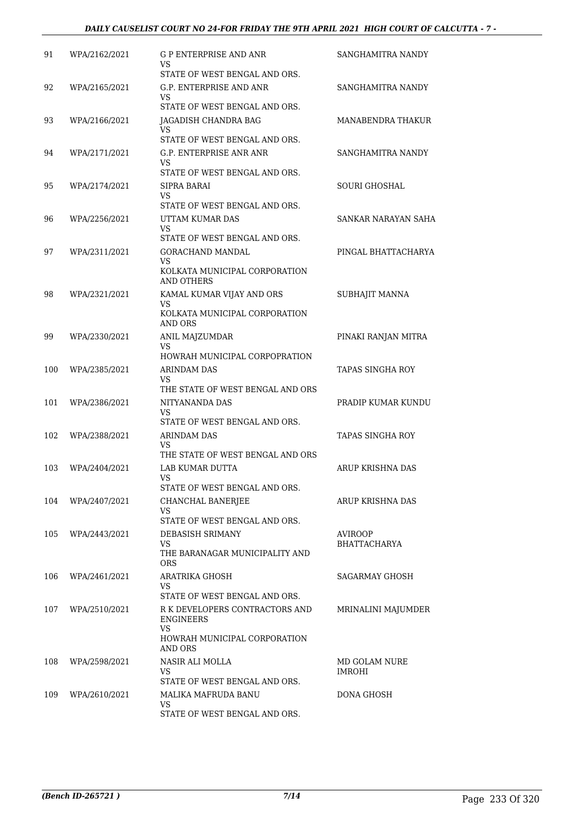| 91  | WPA/2162/2021 | G P ENTERPRISE AND ANR<br>VS                                 | SANGHAMITRA NANDY       |
|-----|---------------|--------------------------------------------------------------|-------------------------|
| 92  | WPA/2165/2021 | STATE OF WEST BENGAL AND ORS.<br>G.P. ENTERPRISE AND ANR     | SANGHAMITRA NANDY       |
|     |               | VS.                                                          |                         |
| 93  |               | STATE OF WEST BENGAL AND ORS.                                | MANABENDRA THAKUR       |
|     | WPA/2166/2021 | JAGADISH CHANDRA BAG<br>VS                                   |                         |
|     |               | STATE OF WEST BENGAL AND ORS.                                |                         |
| 94  | WPA/2171/2021 | G.P. ENTERPRISE ANR ANR<br>VS.                               | SANGHAMITRA NANDY       |
|     |               | STATE OF WEST BENGAL AND ORS.                                |                         |
| 95  | WPA/2174/2021 | SIPRA BARAI<br>VS.                                           | <b>SOURI GHOSHAL</b>    |
|     |               | STATE OF WEST BENGAL AND ORS.                                |                         |
| 96  | WPA/2256/2021 | UTTAM KUMAR DAS<br>VS                                        | SANKAR NARAYAN SAHA     |
|     |               | STATE OF WEST BENGAL AND ORS.                                |                         |
| 97  | WPA/2311/2021 | <b>GORACHAND MANDAL</b><br>VS.                               | PINGAL BHATTACHARYA     |
|     |               | KOLKATA MUNICIPAL CORPORATION<br>AND OTHERS                  |                         |
| 98  | WPA/2321/2021 | KAMAL KUMAR VIJAY AND ORS                                    | SUBHAJIT MANNA          |
|     |               | VS.<br>KOLKATA MUNICIPAL CORPORATION                         |                         |
| 99  | WPA/2330/2021 | AND ORS<br>ANIL MAJZUMDAR                                    | PINAKI RANJAN MITRA     |
|     |               | VS<br>HOWRAH MUNICIPAL CORPOPRATION                          |                         |
| 100 | WPA/2385/2021 | ARINDAM DAS                                                  | TAPAS SINGHA ROY        |
|     |               | VS.                                                          |                         |
|     |               | THE STATE OF WEST BENGAL AND ORS                             |                         |
| 101 | WPA/2386/2021 | NITYANANDA DAS<br><b>VS</b><br>STATE OF WEST BENGAL AND ORS. | PRADIP KUMAR KUNDU      |
| 102 | WPA/2388/2021 | <b>ARINDAM DAS</b>                                           | <b>TAPAS SINGHA ROY</b> |
|     |               | VS<br>THE STATE OF WEST BENGAL AND ORS                       |                         |
| 103 | WPA/2404/2021 | LAB KUMAR DUTTA                                              | ARUP KRISHNA DAS        |
|     |               | VS                                                           |                         |
|     |               | STATE OF WEST BENGAL AND ORS.                                |                         |
| 104 | WPA/2407/2021 | CHANCHAL BANERJEE<br>VS.                                     | ARUP KRISHNA DAS        |
|     |               | STATE OF WEST BENGAL AND ORS.                                |                         |
| 105 | WPA/2443/2021 | DEBASISH SRIMANY<br>VS.                                      | AVIROOP<br>BHATTACHARYA |
|     |               | THE BARANAGAR MUNICIPALITY AND<br><b>ORS</b>                 |                         |
| 106 | WPA/2461/2021 | ARATRIKA GHOSH                                               | SAGARMAY GHOSH          |
|     |               | VS.<br>STATE OF WEST BENGAL AND ORS.                         |                         |
| 107 | WPA/2510/2021 | R K DEVELOPERS CONTRACTORS AND                               | MRINALINI MAJUMDER      |
|     |               | <b>ENGINEERS</b><br>VS.                                      |                         |
|     |               | HOWRAH MUNICIPAL CORPORATION<br>AND ORS                      |                         |
| 108 | WPA/2598/2021 | NASIR ALI MOLLA                                              | MD GOLAM NURE           |
|     |               | VS.<br>STATE OF WEST BENGAL AND ORS.                         | IMROHI                  |
| 109 | WPA/2610/2021 | MALIKA MAFRUDA BANU                                          | DONA GHOSH              |
|     |               | VS.                                                          |                         |
|     |               | STATE OF WEST BENGAL AND ORS.                                |                         |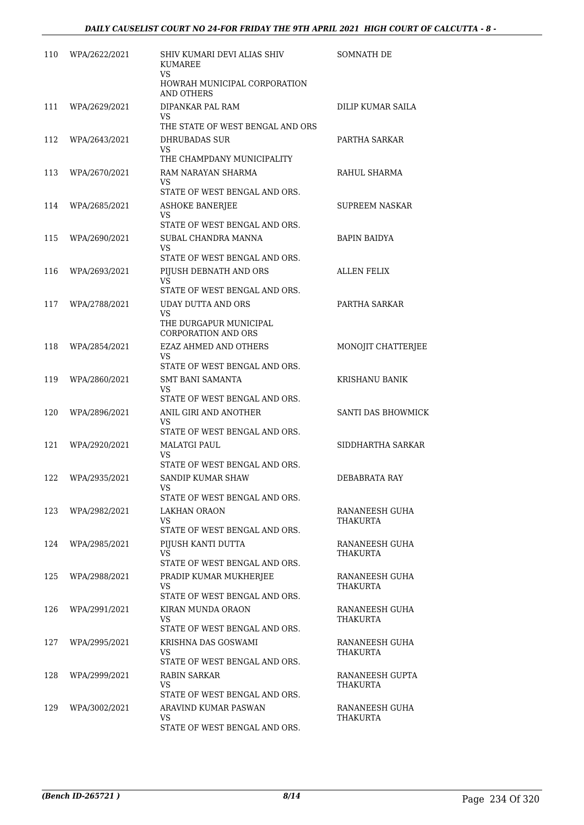| 110 | WPA/2622/2021 | SHIV KUMARI DEVI ALIAS SHIV<br><b>KUMAREE</b><br>VS. | SOMNATH DE                 |
|-----|---------------|------------------------------------------------------|----------------------------|
|     |               | HOWRAH MUNICIPAL CORPORATION<br>AND OTHERS           |                            |
| 111 | WPA/2629/2021 | DIPANKAR PAL RAM                                     | DILIP KUMAR SAILA          |
|     |               | VS<br>THE STATE OF WEST BENGAL AND ORS               |                            |
| 112 | WPA/2643/2021 | DHRUBADAS SUR                                        | PARTHA SARKAR              |
|     |               | VS<br>THE CHAMPDANY MUNICIPALITY                     |                            |
| 113 | WPA/2670/2021 | RAM NARAYAN SHARMA                                   | RAHUL SHARMA               |
|     |               | VS<br>STATE OF WEST BENGAL AND ORS.                  |                            |
| 114 | WPA/2685/2021 | <b>ASHOKE BANERJEE</b>                               | SUPREEM NASKAR             |
|     |               | VS<br>STATE OF WEST BENGAL AND ORS.                  |                            |
| 115 | WPA/2690/2021 | SUBAL CHANDRA MANNA                                  | <b>BAPIN BAIDYA</b>        |
|     |               | <b>VS</b><br>STATE OF WEST BENGAL AND ORS.           |                            |
| 116 | WPA/2693/2021 | PIJUSH DEBNATH AND ORS                               | <b>ALLEN FELIX</b>         |
|     |               | VS<br>STATE OF WEST BENGAL AND ORS.                  |                            |
| 117 | WPA/2788/2021 | UDAY DUTTA AND ORS                                   | PARTHA SARKAR              |
|     |               | VS.                                                  |                            |
|     |               | THE DURGAPUR MUNICIPAL<br><b>CORPORATION AND ORS</b> |                            |
| 118 | WPA/2854/2021 | EZAZ AHMED AND OTHERS                                | MONOJIT CHATTERJEE         |
|     |               | VS.<br>STATE OF WEST BENGAL AND ORS.                 |                            |
| 119 | WPA/2860/2021 | <b>SMT BANI SAMANTA</b>                              | KRISHANU BANIK             |
|     |               | VS<br>STATE OF WEST BENGAL AND ORS.                  |                            |
| 120 | WPA/2896/2021 | ANIL GIRI AND ANOTHER                                | <b>SANTI DAS BHOWMICK</b>  |
|     |               | VS                                                   |                            |
| 121 | WPA/2920/2021 | STATE OF WEST BENGAL AND ORS.<br>MALATGI PAUL        | SIDDHARTHA SARKAR          |
|     |               | <b>VS</b>                                            |                            |
|     |               | STATE OF WEST BENGAL AND ORS.                        |                            |
| 122 | WPA/2935/2021 | SANDIP KUMAR SHAW<br>VS                              | DEBABRATA RAY              |
|     |               | STATE OF WEST BENGAL AND ORS.                        |                            |
| 123 | WPA/2982/2021 | LAKHAN ORAON<br>VS.                                  | RANANEESH GUHA<br>THAKURTA |
|     |               | STATE OF WEST BENGAL AND ORS.                        |                            |
| 124 | WPA/2985/2021 | PIJUSH KANTI DUTTA<br>VS                             | RANANEESH GUHA<br>THAKURTA |
|     |               | STATE OF WEST BENGAL AND ORS.                        |                            |
| 125 | WPA/2988/2021 | PRADIP KUMAR MUKHERJEE                               | RANANEESH GUHA             |
|     |               | VS<br>STATE OF WEST BENGAL AND ORS.                  | THAKURTA                   |
| 126 | WPA/2991/2021 | KIRAN MUNDA ORAON                                    | RANANEESH GUHA             |
|     |               | VS<br>STATE OF WEST BENGAL AND ORS.                  | THAKURTA                   |
| 127 | WPA/2995/2021 | KRISHNA DAS GOSWAMI                                  | RANANEESH GUHA             |
|     |               | VS<br>STATE OF WEST BENGAL AND ORS.                  | THAKURTA                   |
| 128 | WPA/2999/2021 | RABIN SARKAR                                         | RANANEESH GUPTA            |
|     |               | VS.                                                  | THAKURTA                   |
|     |               | STATE OF WEST BENGAL AND ORS.                        |                            |
| 129 | WPA/3002/2021 | ARAVIND KUMAR PASWAN<br>VS                           | RANANEESH GUHA<br>THAKURTA |
|     |               | STATE OF WEST BENGAL AND ORS.                        |                            |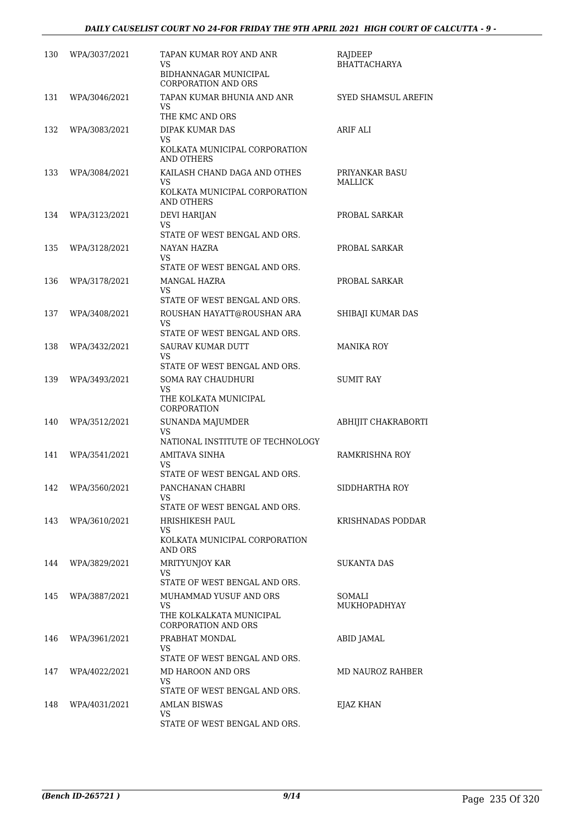| 130 | WPA/3037/2021 | TAPAN KUMAR ROY AND ANR<br>VS<br>BIDHANNAGAR MUNICIPAL<br><b>CORPORATION AND ORS</b>                                     | RAJDEEP<br><b>BHATTACHARYA</b>   |
|-----|---------------|--------------------------------------------------------------------------------------------------------------------------|----------------------------------|
| 131 | WPA/3046/2021 | TAPAN KUMAR BHUNIA AND ANR<br>VS                                                                                         | SYED SHAMSUL AREFIN              |
| 132 | WPA/3083/2021 | THE KMC AND ORS<br>DIPAK KUMAR DAS<br>VS<br>KOLKATA MUNICIPAL CORPORATION<br><b>AND OTHERS</b>                           | <b>ARIF ALI</b>                  |
| 133 | WPA/3084/2021 | KAILASH CHAND DAGA AND OTHES<br>VS<br>KOLKATA MUNICIPAL CORPORATION<br>AND OTHERS                                        | PRIYANKAR BASU<br><b>MALLICK</b> |
| 134 | WPA/3123/2021 | DEVI HARIJAN<br>VS<br>STATE OF WEST BENGAL AND ORS.                                                                      | PROBAL SARKAR                    |
| 135 | WPA/3128/2021 | NAYAN HAZRA<br>VS                                                                                                        | PROBAL SARKAR                    |
| 136 | WPA/3178/2021 | STATE OF WEST BENGAL AND ORS.<br>MANGAL HAZRA<br>VS                                                                      | PROBAL SARKAR                    |
| 137 | WPA/3408/2021 | STATE OF WEST BENGAL AND ORS.<br>ROUSHAN HAYATT@ROUSHAN ARA<br>VS<br>STATE OF WEST BENGAL AND ORS.                       | SHIBAJI KUMAR DAS                |
| 138 | WPA/3432/2021 | SAURAV KUMAR DUTT<br>VS<br>STATE OF WEST BENGAL AND ORS.                                                                 | MANIKA ROY                       |
| 139 | WPA/3493/2021 | <b>SOMA RAY CHAUDHURI</b><br>VS<br>THE KOLKATA MUNICIPAL                                                                 | <b>SUMIT RAY</b>                 |
| 140 | WPA/3512/2021 | CORPORATION<br>SUNANDA MAJUMDER<br>VS<br>NATIONAL INSTITUTE OF TECHNOLOGY                                                | ABHIJIT CHAKRABORTI              |
| 141 | WPA/3541/2021 | <b>AMITAVA SINHA</b><br>VS<br>STATE OF WEST BENGAL AND ORS.                                                              | <b>RAMKRISHNA ROY</b>            |
| 142 | WPA/3560/2021 | PANCHANAN CHABRI<br>VS<br>STATE OF WEST BENGAL AND ORS.                                                                  | SIDDHARTHA ROY                   |
| 143 | WPA/3610/2021 | HRISHIKESH PAUL<br>VS<br>KOLKATA MUNICIPAL CORPORATION                                                                   | KRISHNADAS PODDAR                |
| 144 | WPA/3829/2021 | AND ORS<br><b>MRITYUNJOY KAR</b><br>VS                                                                                   | SUKANTA DAS                      |
| 145 | WPA/3887/2021 | STATE OF WEST BENGAL AND ORS.<br>MUHAMMAD YUSUF AND ORS<br>VS.<br>THE KOLKALKATA MUNICIPAL<br><b>CORPORATION AND ORS</b> | SOMALI<br>MUKHOPADHYAY           |
| 146 | WPA/3961/2021 | PRABHAT MONDAL<br>VS<br>STATE OF WEST BENGAL AND ORS.                                                                    | <b>ABID JAMAL</b>                |
| 147 | WPA/4022/2021 | MD HAROON AND ORS<br>VS.<br>STATE OF WEST BENGAL AND ORS.                                                                | MD NAUROZ RAHBER                 |
| 148 | WPA/4031/2021 | AMLAN BISWAS<br>VS.<br>STATE OF WEST BENGAL AND ORS.                                                                     | EJAZ KHAN                        |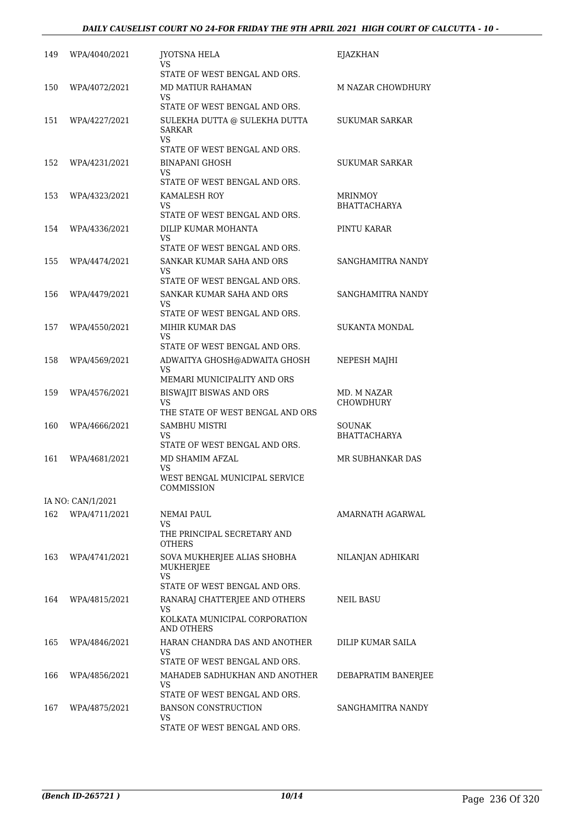| 149 | WPA/4040/2021     | <b>JYOTSNA HELA</b><br>VS                             | EJAZKHAN                              |
|-----|-------------------|-------------------------------------------------------|---------------------------------------|
|     |                   | STATE OF WEST BENGAL AND ORS.                         |                                       |
| 150 | WPA/4072/2021     | MD MATIUR RAHAMAN<br>VS.                              | M NAZAR CHOWDHURY                     |
|     |                   | STATE OF WEST BENGAL AND ORS.                         |                                       |
| 151 | WPA/4227/2021     | SULEKHA DUTTA @ SULEKHA DUTTA<br><b>SARKAR</b><br>VS. | SUKUMAR SARKAR                        |
|     |                   | STATE OF WEST BENGAL AND ORS.                         |                                       |
| 152 | WPA/4231/2021     | <b>BINAPANI GHOSH</b><br>VS.                          | SUKUMAR SARKAR                        |
|     |                   | STATE OF WEST BENGAL AND ORS.                         |                                       |
| 153 | WPA/4323/2021     | KAMALESH ROY<br>VS                                    | <b>MRINMOY</b><br><b>BHATTACHARYA</b> |
|     |                   | STATE OF WEST BENGAL AND ORS.                         |                                       |
| 154 | WPA/4336/2021     | DILIP KUMAR MOHANTA<br>VS.                            | PINTU KARAR                           |
|     |                   | STATE OF WEST BENGAL AND ORS.                         |                                       |
| 155 | WPA/4474/2021     | SANKAR KUMAR SAHA AND ORS<br>VS                       | SANGHAMITRA NANDY                     |
|     |                   | STATE OF WEST BENGAL AND ORS.                         |                                       |
| 156 | WPA/4479/2021     | SANKAR KUMAR SAHA AND ORS<br>VS.                      | SANGHAMITRA NANDY                     |
|     |                   | STATE OF WEST BENGAL AND ORS.                         |                                       |
| 157 | WPA/4550/2021     | MIHIR KUMAR DAS                                       | SUKANTA MONDAL                        |
|     |                   | VS<br>STATE OF WEST BENGAL AND ORS.                   |                                       |
| 158 | WPA/4569/2021     | ADWAITYA GHOSH@ADWAITA GHOSH                          | NEPESH MAJHI                          |
|     |                   | VS                                                    |                                       |
|     |                   | MEMARI MUNICIPALITY AND ORS                           |                                       |
| 159 | WPA/4576/2021     | BISWAJIT BISWAS AND ORS<br>VS                         | MD. M NAZAR<br><b>CHOWDHURY</b>       |
|     |                   | THE STATE OF WEST BENGAL AND ORS                      |                                       |
| 160 | WPA/4666/2021     | SAMBHU MISTRI<br>VS                                   | <b>SOUNAK</b><br><b>BHATTACHARYA</b>  |
|     |                   | STATE OF WEST BENGAL AND ORS.                         |                                       |
| 161 | WPA/4681/2021     | MD SHAMIM AFZAL<br>VS.                                | MR SUBHANKAR DAS                      |
|     |                   | WEST BENGAL MUNICIPAL SERVICE<br>COMMISSION           |                                       |
|     | IA NO: CAN/1/2021 |                                                       |                                       |
| 162 | WPA/4711/2021     | NEMAI PAUL<br>VS                                      | AMARNATH AGARWAL                      |
|     |                   | THE PRINCIPAL SECRETARY AND<br><b>OTHERS</b>          |                                       |
| 163 | WPA/4741/2021     | SOVA MUKHERJEE ALIAS SHOBHA<br>MUKHERJEE              | NILANJAN ADHIKARI                     |
|     |                   | VS<br>STATE OF WEST BENGAL AND ORS.                   |                                       |
| 164 | WPA/4815/2021     | RANARAJ CHATTERJEE AND OTHERS                         | NEIL BASU                             |
|     |                   | VS.<br>KOLKATA MUNICIPAL CORPORATION<br>AND OTHERS    |                                       |
| 165 | WPA/4846/2021     | HARAN CHANDRA DAS AND ANOTHER                         | DILIP KUMAR SAILA                     |
|     |                   | VS                                                    |                                       |
|     |                   | STATE OF WEST BENGAL AND ORS.                         |                                       |
| 166 | WPA/4856/2021     | MAHADEB SADHUKHAN AND ANOTHER<br>VS.                  | DEBAPRATIM BANERJEE                   |
|     |                   | STATE OF WEST BENGAL AND ORS.                         |                                       |
| 167 | WPA/4875/2021     | <b>BANSON CONSTRUCTION</b>                            | SANGHAMITRA NANDY                     |
|     |                   | VS<br>STATE OF WEST BENGAL AND ORS.                   |                                       |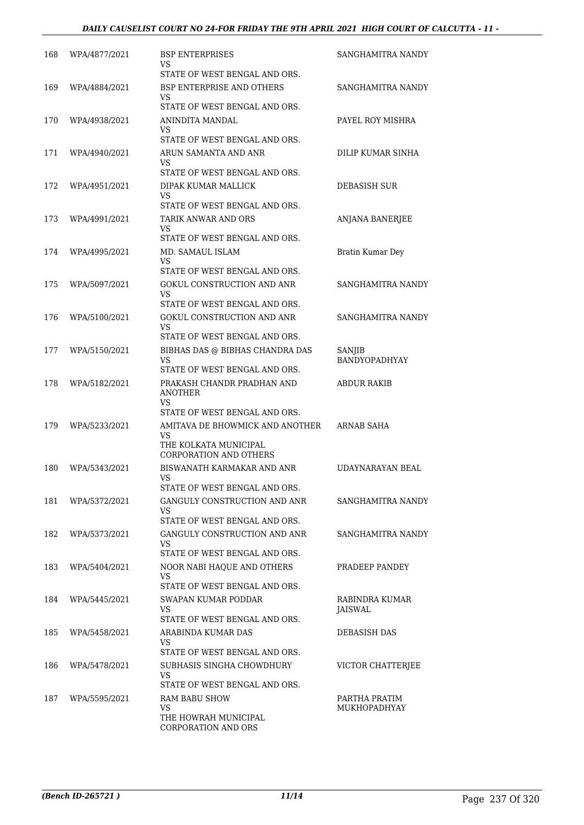| 168 | WPA/4877/2021 | <b>BSP ENTERPRISES</b><br>VS                           | SANGHAMITRA NANDY                    |
|-----|---------------|--------------------------------------------------------|--------------------------------------|
|     |               | STATE OF WEST BENGAL AND ORS.                          |                                      |
| 169 | WPA/4884/2021 | BSP ENTERPRISE AND OTHERS<br>VS.                       | SANGHAMITRA NANDY                    |
|     |               | STATE OF WEST BENGAL AND ORS.                          |                                      |
| 170 | WPA/4938/2021 | ANINDITA MANDAL<br>VS                                  | PAYEL ROY MISHRA                     |
|     |               | STATE OF WEST BENGAL AND ORS.                          |                                      |
| 171 | WPA/4940/2021 | ARUN SAMANTA AND ANR<br>VS.                            | DILIP KUMAR SINHA                    |
|     |               | STATE OF WEST BENGAL AND ORS.                          |                                      |
| 172 | WPA/4951/2021 | DIPAK KUMAR MALLICK<br>VS.                             | DEBASISH SUR                         |
|     |               | STATE OF WEST BENGAL AND ORS.                          |                                      |
| 173 | WPA/4991/2021 | TARIK ANWAR AND ORS<br>VS                              | ANJANA BANERJEE                      |
|     |               | STATE OF WEST BENGAL AND ORS.                          |                                      |
| 174 | WPA/4995/2021 | MD. SAMAUL ISLAM<br>VS.                                | Bratin Kumar Dey                     |
|     |               | STATE OF WEST BENGAL AND ORS.                          |                                      |
| 175 | WPA/5097/2021 | GOKUL CONSTRUCTION AND ANR<br>VS                       | SANGHAMITRA NANDY                    |
|     |               | STATE OF WEST BENGAL AND ORS.                          |                                      |
| 176 | WPA/5100/2021 | GOKUL CONSTRUCTION AND ANR<br>VS.                      | SANGHAMITRA NANDY                    |
|     |               | STATE OF WEST BENGAL AND ORS.                          |                                      |
| 177 | WPA/5150/2021 | BIBHAS DAS @ BIBHAS CHANDRA DAS<br>VS                  | SANJIB<br><b>BANDYOPADHYAY</b>       |
|     |               | STATE OF WEST BENGAL AND ORS.                          |                                      |
| 178 | WPA/5182/2021 | PRAKASH CHANDR PRADHAN AND<br>ANOTHER<br>VS.           | ABDUR RAKIB                          |
|     |               | STATE OF WEST BENGAL AND ORS.                          |                                      |
| 179 | WPA/5233/2021 | AMITAVA DE BHOWMICK AND ANOTHER<br><b>VS</b>           | ARNAB SAHA                           |
|     |               | THE KOLKATA MUNICIPAL<br><b>CORPORATION AND OTHERS</b> |                                      |
| 180 | WPA/5343/2021 | BISWANATH KARMAKAR AND ANR                             | UDAYNARAYAN BEAL                     |
|     |               | <b>VS</b><br>STATE OF WEST BENGAL AND ORS.             |                                      |
| 181 | WPA/5372/2021 | GANGULY CONSTRUCTION AND ANR                           | SANGHAMITRA NANDY                    |
|     |               | VS<br>STATE OF WEST BENGAL AND ORS.                    |                                      |
| 182 | WPA/5373/2021 | GANGULY CONSTRUCTION AND ANR                           | SANGHAMITRA NANDY                    |
|     |               | VS                                                     |                                      |
|     |               | STATE OF WEST BENGAL AND ORS.                          |                                      |
| 183 | WPA/5404/2021 | NOOR NABI HAQUE AND OTHERS<br>VS                       | PRADEEP PANDEY                       |
|     |               | STATE OF WEST BENGAL AND ORS.                          |                                      |
| 184 | WPA/5445/2021 | SWAPAN KUMAR PODDAR<br>VS                              | RABINDRA KUMAR<br><b>JAISWAL</b>     |
|     |               | STATE OF WEST BENGAL AND ORS.                          |                                      |
| 185 | WPA/5458/2021 | ARABINDA KUMAR DAS<br>VS.                              | DEBASISH DAS                         |
|     |               | STATE OF WEST BENGAL AND ORS.                          |                                      |
| 186 | WPA/5478/2021 | SUBHASIS SINGHA CHOWDHURY<br>VS                        | VICTOR CHATTERJEE                    |
|     |               | STATE OF WEST BENGAL AND ORS.                          |                                      |
| 187 | WPA/5595/2021 | RAM BABU SHOW<br>VS                                    | PARTHA PRATIM<br><b>MUKHOPADHYAY</b> |
|     |               | THE HOWRAH MUNICIPAL<br>CORPORATION AND ORS            |                                      |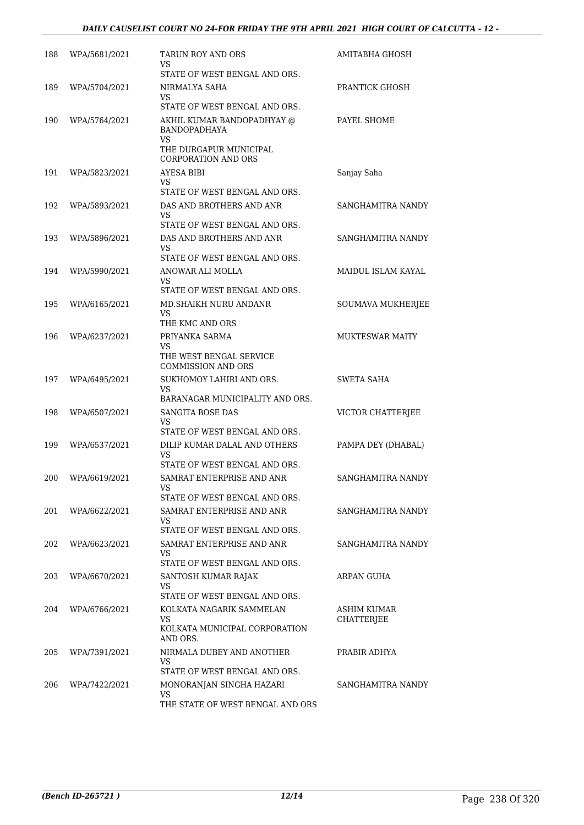#### *DAILY CAUSELIST COURT NO 24-FOR FRIDAY THE 9TH APRIL 2021 HIGH COURT OF CALCUTTA - 12 -*

| 188 | WPA/5681/2021 | TARUN ROY AND ORS<br>VS                                    | AMITABHA GHOSH           |
|-----|---------------|------------------------------------------------------------|--------------------------|
|     |               | STATE OF WEST BENGAL AND ORS.                              |                          |
| 189 | WPA/5704/2021 | NIRMALYA SAHA<br>VS.                                       | PRANTICK GHOSH           |
|     |               | STATE OF WEST BENGAL AND ORS.                              |                          |
| 190 | WPA/5764/2021 | AKHIL KUMAR BANDOPADHYAY @<br><b>BANDOPADHAYA</b>          | PAYEL SHOME              |
|     |               | VS<br>THE DURGAPUR MUNICIPAL<br><b>CORPORATION AND ORS</b> |                          |
| 191 | WPA/5823/2021 | AYESA BIBI                                                 | Sanjay Saha              |
|     |               | VS<br>STATE OF WEST BENGAL AND ORS.                        |                          |
| 192 | WPA/5893/2021 | DAS AND BROTHERS AND ANR                                   | SANGHAMITRA NANDY        |
|     |               | VS                                                         |                          |
|     |               | STATE OF WEST BENGAL AND ORS.                              |                          |
| 193 | WPA/5896/2021 | DAS AND BROTHERS AND ANR<br>VS.                            | SANGHAMITRA NANDY        |
|     |               | STATE OF WEST BENGAL AND ORS.                              |                          |
| 194 | WPA/5990/2021 | ANOWAR ALI MOLLA                                           | MAIDUL ISLAM KAYAL       |
|     |               | VS<br>STATE OF WEST BENGAL AND ORS.                        |                          |
| 195 | WPA/6165/2021 | MD.SHAIKH NURU ANDANR                                      | <b>SOUMAVA MUKHERJEE</b> |
|     |               | VS.                                                        |                          |
|     |               | THE KMC AND ORS                                            |                          |
| 196 | WPA/6237/2021 | PRIYANKA SARMA<br>VS                                       | <b>MUKTESWAR MAITY</b>   |
|     |               | THE WEST BENGAL SERVICE<br><b>COMMISSION AND ORS</b>       |                          |
| 197 | WPA/6495/2021 | SUKHOMOY LAHIRI AND ORS.                                   | <b>SWETA SAHA</b>        |
|     |               | VS.<br>BARANAGAR MUNICIPALITY AND ORS.                     |                          |
| 198 | WPA/6507/2021 | SANGITA BOSE DAS                                           | VICTOR CHATTERJEE        |
|     |               | VS                                                         |                          |
|     |               | STATE OF WEST BENGAL AND ORS.                              |                          |
| 199 | WPA/6537/2021 | DILIP KUMAR DALAL AND OTHERS<br>VS                         | PAMPA DEY (DHABAL)       |
|     |               | STATE OF WEST BENGAL AND ORS.                              |                          |
| 200 | WPA/6619/2021 | SAMRAT ENTERPRISE AND ANR                                  | SANGHAMITRA NANDY        |
|     |               | VS<br>STATE OF WEST BENGAL AND ORS.                        |                          |
| 201 | WPA/6622/2021 | SAMRAT ENTERPRISE AND ANR                                  | SANGHAMITRA NANDY        |
|     |               | VS.                                                        |                          |
|     |               | STATE OF WEST BENGAL AND ORS.                              |                          |
| 202 | WPA/6623/2021 | SAMRAT ENTERPRISE AND ANR<br>VS.                           | SANGHAMITRA NANDY        |
|     |               | STATE OF WEST BENGAL AND ORS.                              |                          |
| 203 | WPA/6670/2021 | SANTOSH KUMAR RAJAK                                        | ARPAN GUHA               |
|     |               | VS<br>STATE OF WEST BENGAL AND ORS.                        |                          |
| 204 | WPA/6766/2021 | KOLKATA NAGARIK SAMMELAN                                   | ASHIM KUMAR              |
|     |               | VS<br>KOLKATA MUNICIPAL CORPORATION<br>AND ORS.            | CHATTERJEE               |
| 205 | WPA/7391/2021 | NIRMALA DUBEY AND ANOTHER                                  | PRABIR ADHYA             |
|     |               | VS                                                         |                          |
|     |               | STATE OF WEST BENGAL AND ORS.                              |                          |
| 206 | WPA/7422/2021 | MONORANJAN SINGHA HAZARI<br><b>VS</b>                      | SANGHAMITRA NANDY        |
|     |               | THE STATE OF WEST BENGAL AND ORS                           |                          |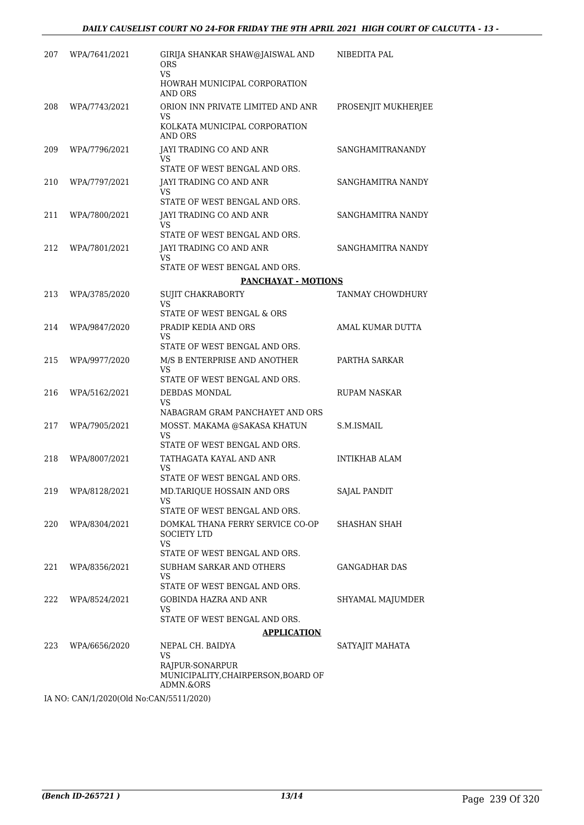| 207 | WPA/7641/2021                                      | GIRIJA SHANKAR SHAW@JAISWAL AND<br><b>ORS</b>                       | NIBEDITA PAL            |
|-----|----------------------------------------------------|---------------------------------------------------------------------|-------------------------|
|     |                                                    | VS.<br>HOWRAH MUNICIPAL CORPORATION<br>AND ORS                      |                         |
| 208 | WPA/7743/2021                                      | ORION INN PRIVATE LIMITED AND ANR                                   | PROSENJIT MUKHERJEE     |
|     |                                                    | VS<br>KOLKATA MUNICIPAL CORPORATION<br>AND ORS                      |                         |
| 209 | WPA/7796/2021                                      | JAYI TRADING CO AND ANR<br>VS<br>STATE OF WEST BENGAL AND ORS.      | <b>SANGHAMITRANANDY</b> |
| 210 | WPA/7797/2021                                      | JAYI TRADING CO AND ANR                                             | SANGHAMITRA NANDY       |
|     |                                                    | VS                                                                  |                         |
| 211 |                                                    | STATE OF WEST BENGAL AND ORS.                                       | SANGHAMITRA NANDY       |
|     | WPA/7800/2021                                      | JAYI TRADING CO AND ANR<br>VS<br>STATE OF WEST BENGAL AND ORS.      |                         |
| 212 | WPA/7801/2021                                      | JAYI TRADING CO AND ANR<br>VS                                       | SANGHAMITRA NANDY       |
|     |                                                    | STATE OF WEST BENGAL AND ORS.                                       |                         |
|     |                                                    | <b>PANCHAYAT - MOTIONS</b>                                          |                         |
| 213 | WPA/3785/2020                                      | <b>SUJIT CHAKRABORTY</b><br>VS                                      | TANMAY CHOWDHURY        |
|     |                                                    | STATE OF WEST BENGAL & ORS                                          |                         |
| 214 | WPA/9847/2020                                      | PRADIP KEDIA AND ORS<br>VS                                          | AMAL KUMAR DUTTA        |
|     |                                                    | STATE OF WEST BENGAL AND ORS.                                       |                         |
| 215 | WPA/9977/2020                                      | M/S B ENTERPRISE AND ANOTHER                                        | PARTHA SARKAR           |
|     |                                                    | VS<br>STATE OF WEST BENGAL AND ORS.                                 |                         |
| 216 | WPA/5162/2021                                      | DEBDAS MONDAL                                                       | <b>RUPAM NASKAR</b>     |
|     |                                                    | VS<br>NABAGRAM GRAM PANCHAYET AND ORS                               |                         |
| 217 | WPA/7905/2021                                      | MOSST. MAKAMA @SAKASA KHATUN                                        | S.M.ISMAIL              |
|     |                                                    | VS<br>STATE OF WEST BENGAL AND ORS.                                 |                         |
| 218 | WPA/8007/2021                                      | TATHAGATA KAYAL AND ANR                                             | <b>INTIKHAB ALAM</b>    |
|     |                                                    | VS                                                                  |                         |
|     |                                                    | STATE OF WEST BENGAL AND ORS.                                       |                         |
| 219 | WPA/8128/2021                                      | MD.TARIQUE HOSSAIN AND ORS<br>VS                                    | SAJAL PANDIT            |
|     |                                                    | STATE OF WEST BENGAL AND ORS.                                       |                         |
| 220 | WPA/8304/2021                                      | DOMKAL THANA FERRY SERVICE CO-OP<br><b>SOCIETY LTD</b><br>VS        | SHASHAN SHAH            |
|     |                                                    | STATE OF WEST BENGAL AND ORS.                                       |                         |
| 221 | WPA/8356/2021                                      | SUBHAM SARKAR AND OTHERS<br>VS                                      | GANGADHAR DAS           |
| 222 | WPA/8524/2021                                      | STATE OF WEST BENGAL AND ORS.<br>GOBINDA HAZRA AND ANR              |                         |
|     |                                                    | VS.                                                                 | SHYAMAL MAJUMDER        |
|     |                                                    | STATE OF WEST BENGAL AND ORS.                                       |                         |
|     |                                                    | <b>APPLICATION</b>                                                  |                         |
| 223 | WPA/6656/2020                                      | NEPAL CH. BAIDYA<br>VS                                              | SATYAJIT MAHATA         |
|     |                                                    | RAJPUR-SONARPUR<br>MUNICIPALITY, CHAIRPERSON, BOARD OF<br>ADMN.&ORS |                         |
|     | $[1.500, 0.000]$ $(0.000, 0.000]$ $(0.000, 0.000)$ |                                                                     |                         |

IA NO: CAN/1/2020(Old No:CAN/5511/2020)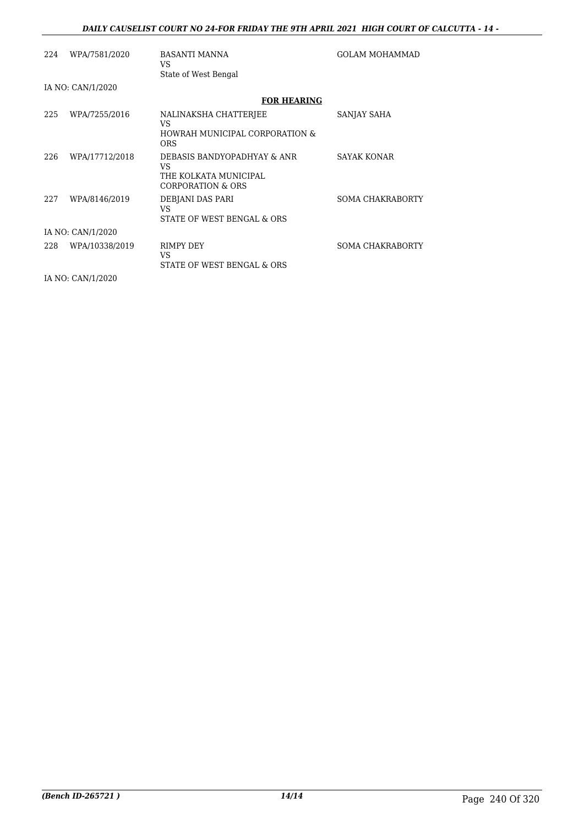#### *DAILY CAUSELIST COURT NO 24-FOR FRIDAY THE 9TH APRIL 2021 HIGH COURT OF CALCUTTA - 14 -*

| 224 | WPA/7581/2020     | <b>BASANTI MANNA</b><br>VS.<br>State of West Bengal                              | <b>GOLAM MOHAMMAD</b>   |  |  |
|-----|-------------------|----------------------------------------------------------------------------------|-------------------------|--|--|
|     | IA NO: CAN/1/2020 |                                                                                  |                         |  |  |
|     |                   | <b>FOR HEARING</b>                                                               |                         |  |  |
| 225 | WPA/7255/2016     | NALINAKSHA CHATTERJEE<br>VS<br>HOWRAH MUNICIPAL CORPORATION &<br><b>ORS</b>      | SANJAY SAHA             |  |  |
| 226 | WPA/17712/2018    | DEBASIS BANDYOPADHYAY & ANR<br>VS.<br>THE KOLKATA MUNICIPAL<br>CORPORATION & ORS | <b>SAYAK KONAR</b>      |  |  |
| 227 | WPA/8146/2019     | DEBJANI DAS PARI<br>VS<br>STATE OF WEST BENGAL & ORS                             | <b>SOMA CHAKRABORTY</b> |  |  |
|     | IA NO: CAN/1/2020 |                                                                                  |                         |  |  |
| 228 | WPA/10338/2019    | RIMPY DEY<br>VS<br>STATE OF WEST BENGAL & ORS                                    | <b>SOMA CHAKRABORTY</b> |  |  |
|     | IA NO: CAN/1/2020 |                                                                                  |                         |  |  |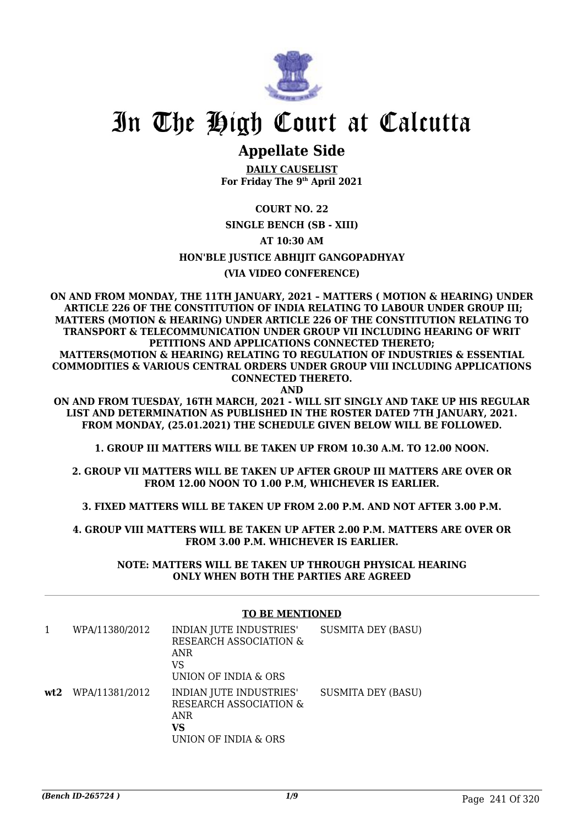

# In The High Court at Calcutta

### **Appellate Side**

**DAILY CAUSELIST For Friday The 9th April 2021**

#### **COURT NO. 22**

#### **SINGLE BENCH (SB - XIII)**

#### **AT 10:30 AM**

#### **HON'BLE JUSTICE ABHIJIT GANGOPADHYAY**

#### **(VIA VIDEO CONFERENCE)**

**ON AND FROM MONDAY, THE 11TH JANUARY, 2021 – MATTERS ( MOTION & HEARING) UNDER ARTICLE 226 OF THE CONSTITUTION OF INDIA RELATING TO LABOUR UNDER GROUP III; MATTERS (MOTION & HEARING) UNDER ARTICLE 226 OF THE CONSTITUTION RELATING TO TRANSPORT & TELECOMMUNICATION UNDER GROUP VII INCLUDING HEARING OF WRIT PETITIONS AND APPLICATIONS CONNECTED THERETO; MATTERS(MOTION & HEARING) RELATING TO REGULATION OF INDUSTRIES & ESSENTIAL COMMODITIES & VARIOUS CENTRAL ORDERS UNDER GROUP VIII INCLUDING APPLICATIONS CONNECTED THERETO.**

**AND**

**ON AND FROM TUESDAY, 16TH MARCH, 2021 - WILL SIT SINGLY AND TAKE UP HIS REGULAR LIST AND DETERMINATION AS PUBLISHED IN THE ROSTER DATED 7TH JANUARY, 2021. FROM MONDAY, (25.01.2021) THE SCHEDULE GIVEN BELOW WILL BE FOLLOWED.**

**1. GROUP III MATTERS WILL BE TAKEN UP FROM 10.30 A.M. TO 12.00 NOON.**

**2. GROUP VII MATTERS WILL BE TAKEN UP AFTER GROUP III MATTERS ARE OVER OR FROM 12.00 NOON TO 1.00 P.M, WHICHEVER IS EARLIER.**

**3. FIXED MATTERS WILL BE TAKEN UP FROM 2.00 P.M. AND NOT AFTER 3.00 P.M.**

**4. GROUP VIII MATTERS WILL BE TAKEN UP AFTER 2.00 P.M. MATTERS ARE OVER OR FROM 3.00 P.M. WHICHEVER IS EARLIER.**

> **NOTE: MATTERS WILL BE TAKEN UP THROUGH PHYSICAL HEARING ONLY WHEN BOTH THE PARTIES ARE AGREED**

#### **TO BE MENTIONED**

| WPA/11380/2012       | INDIAN JUTE INDUSTRIES'<br><b>RESEARCH ASSOCIATION &amp;</b><br>ANR<br>VS<br>UNION OF INDIA & ORS | <b>SUSMITA DEY (BASU)</b> |
|----------------------|---------------------------------------------------------------------------------------------------|---------------------------|
| $wt2$ WPA/11381/2012 | INDIAN JUTE INDUSTRIES'<br><b>RESEARCH ASSOCIATION &amp;</b><br>ANR<br>VS<br>UNION OF INDIA & ORS | <b>SUSMITA DEY (BASU)</b> |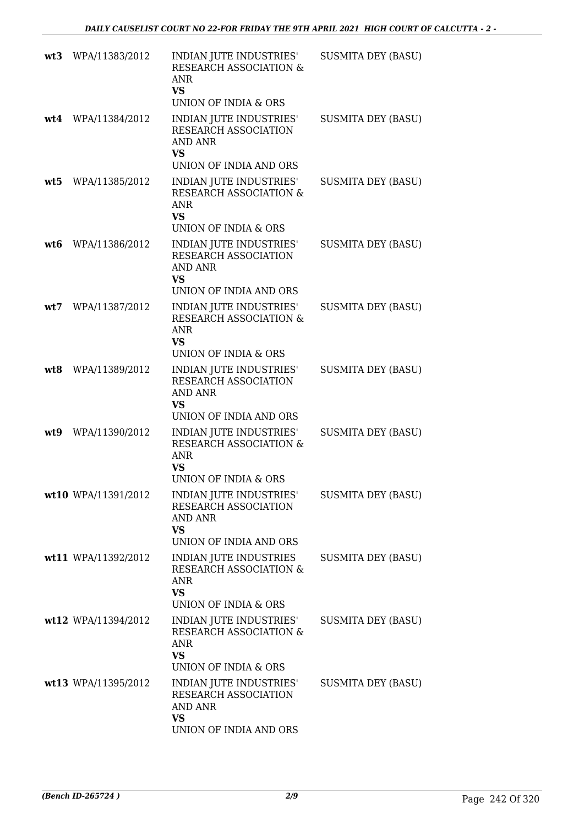| wt3 | WPA/11383/2012      | INDIAN JUTE INDUSTRIES'<br><b>RESEARCH ASSOCIATION &amp;</b><br><b>ANR</b><br><b>VS</b><br>UNION OF INDIA & ORS | <b>SUSMITA DEY (BASU)</b> |
|-----|---------------------|-----------------------------------------------------------------------------------------------------------------|---------------------------|
| wt4 | WPA/11384/2012      | INDIAN JUTE INDUSTRIES'<br>RESEARCH ASSOCIATION<br><b>AND ANR</b><br>VS<br>UNION OF INDIA AND ORS               | <b>SUSMITA DEY (BASU)</b> |
| wt5 | WPA/11385/2012      | INDIAN JUTE INDUSTRIES'<br>RESEARCH ASSOCIATION &<br><b>ANR</b><br><b>VS</b><br>UNION OF INDIA & ORS            | <b>SUSMITA DEY (BASU)</b> |
| wt6 | WPA/11386/2012      | INDIAN JUTE INDUSTRIES'<br>RESEARCH ASSOCIATION<br><b>AND ANR</b><br><b>VS</b><br>UNION OF INDIA AND ORS        | <b>SUSMITA DEY (BASU)</b> |
| wt7 | WPA/11387/2012      | INDIAN JUTE INDUSTRIES'<br>RESEARCH ASSOCIATION &<br><b>ANR</b><br><b>VS</b><br>UNION OF INDIA & ORS            | <b>SUSMITA DEY (BASU)</b> |
| wt8 | WPA/11389/2012      | INDIAN JUTE INDUSTRIES'<br>RESEARCH ASSOCIATION<br><b>AND ANR</b><br><b>VS</b><br>UNION OF INDIA AND ORS        | <b>SUSMITA DEY (BASU)</b> |
| wt9 | WPA/11390/2012      | INDIAN JUTE INDUSTRIES'<br>RESEARCH ASSOCIATION &<br>ANR<br><b>VS</b><br>UNION OF INDIA & ORS                   | <b>SUSMITA DEY (BASU)</b> |
|     | wt10 WPA/11391/2012 | INDIAN JUTE INDUSTRIES'<br><b>RESEARCH ASSOCIATION</b><br><b>AND ANR</b><br><b>VS</b><br>UNION OF INDIA AND ORS | <b>SUSMITA DEY (BASU)</b> |
|     | wt11 WPA/11392/2012 | INDIAN JUTE INDUSTRIES<br><b>RESEARCH ASSOCIATION &amp;</b><br>ANR<br><b>VS</b><br>UNION OF INDIA & ORS         | <b>SUSMITA DEY (BASU)</b> |
|     | wt12 WPA/11394/2012 | INDIAN JUTE INDUSTRIES'<br>RESEARCH ASSOCIATION &<br>ANR<br><b>VS</b><br>UNION OF INDIA & ORS                   | <b>SUSMITA DEY (BASU)</b> |
|     | wt13 WPA/11395/2012 | INDIAN JUTE INDUSTRIES'<br>RESEARCH ASSOCIATION<br><b>AND ANR</b><br><b>VS</b><br>UNION OF INDIA AND ORS        | <b>SUSMITA DEY (BASU)</b> |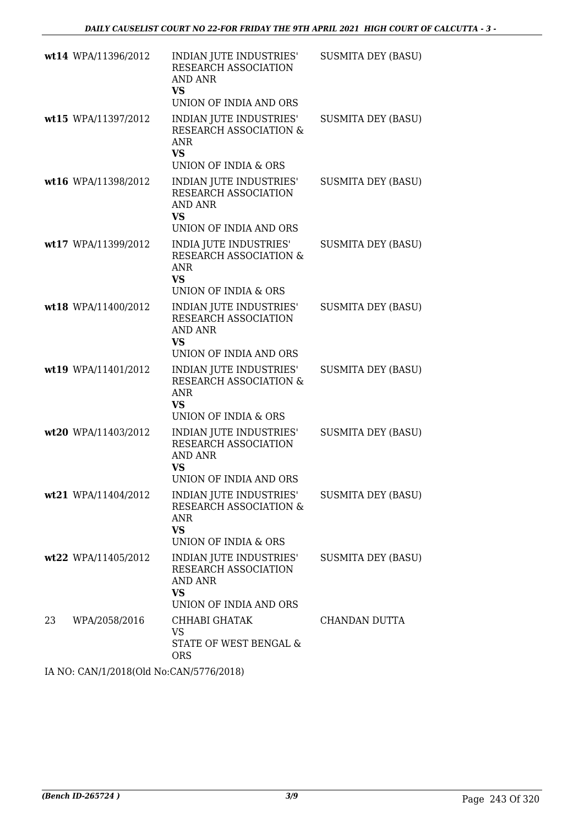|    | wt14 WPA/11396/2012 | INDIAN JUTE INDUSTRIES'<br>RESEARCH ASSOCIATION<br><b>AND ANR</b><br><b>VS</b><br>UNION OF INDIA AND ORS | <b>SUSMITA DEY (BASU)</b> |
|----|---------------------|----------------------------------------------------------------------------------------------------------|---------------------------|
|    | wt15 WPA/11397/2012 | INDIAN JUTE INDUSTRIES'<br>RESEARCH ASSOCIATION &<br><b>ANR</b><br><b>VS</b><br>UNION OF INDIA & ORS     | <b>SUSMITA DEY (BASU)</b> |
|    | wt16 WPA/11398/2012 | INDIAN JUTE INDUSTRIES'<br>RESEARCH ASSOCIATION<br><b>AND ANR</b><br><b>VS</b><br>UNION OF INDIA AND ORS | <b>SUSMITA DEY (BASU)</b> |
|    | wt17 WPA/11399/2012 | INDIA JUTE INDUSTRIES'<br>RESEARCH ASSOCIATION &<br><b>ANR</b><br><b>VS</b><br>UNION OF INDIA & ORS      | <b>SUSMITA DEY (BASU)</b> |
|    | wt18 WPA/11400/2012 | INDIAN JUTE INDUSTRIES'<br>RESEARCH ASSOCIATION<br><b>AND ANR</b><br>VS<br>UNION OF INDIA AND ORS        | <b>SUSMITA DEY (BASU)</b> |
|    | wt19 WPA/11401/2012 | INDIAN JUTE INDUSTRIES'<br>RESEARCH ASSOCIATION &<br>ANR<br><b>VS</b><br>UNION OF INDIA & ORS            | <b>SUSMITA DEY (BASU)</b> |
|    | wt20 WPA/11403/2012 | INDIAN JUTE INDUSTRIES'<br>RESEARCH ASSOCIATION<br><b>AND ANR</b><br>VS<br>UNION OF INDIA AND ORS        | <b>SUSMITA DEY (BASU)</b> |
|    | wt21 WPA/11404/2012 | INDIAN JUTE INDUSTRIES'<br>RESEARCH ASSOCIATION &<br><b>ANR</b><br><b>VS</b><br>UNION OF INDIA & ORS     | <b>SUSMITA DEY (BASU)</b> |
|    | wt22 WPA/11405/2012 | INDIAN JUTE INDUSTRIES'<br>RESEARCH ASSOCIATION<br>AND ANR<br><b>VS</b><br>UNION OF INDIA AND ORS        | <b>SUSMITA DEY (BASU)</b> |
| 23 | WPA/2058/2016       | CHHABI GHATAK<br><b>VS</b><br>STATE OF WEST BENGAL &<br><b>ORS</b>                                       | CHANDAN DUTTA             |

IA NO: CAN/1/2018(Old No:CAN/5776/2018)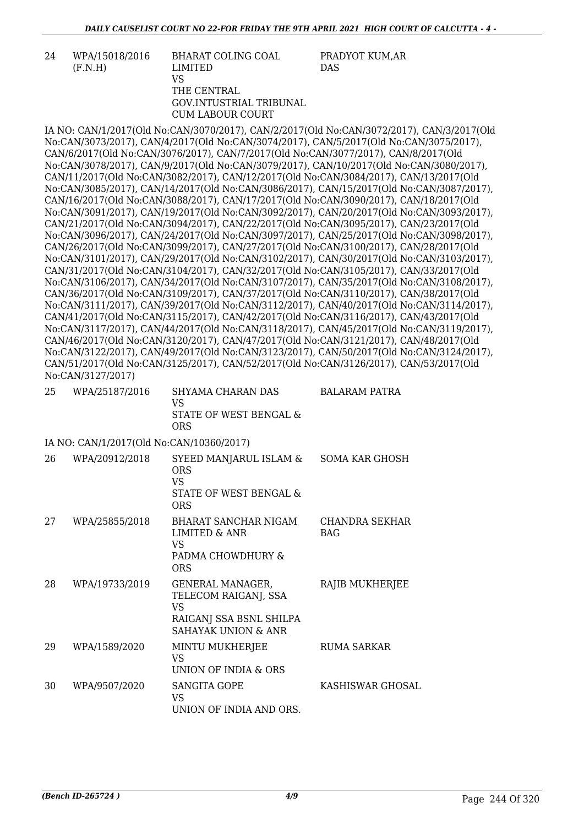| 24 | WPA/15018/2016 | BHARAT COLING COAL      | PRADYOT KUM.AR |
|----|----------------|-------------------------|----------------|
|    | (F.N.H)        | LIMITED                 | <b>DAS</b>     |
|    |                | VS                      |                |
|    |                | THE CENTRAL             |                |
|    |                | GOV.INTUSTRIAL TRIBUNAL |                |
|    |                | CUM LABOUR COURT        |                |

IA NO: CAN/1/2017(Old No:CAN/3070/2017), CAN/2/2017(Old No:CAN/3072/2017), CAN/3/2017(Old No:CAN/3073/2017), CAN/4/2017(Old No:CAN/3074/2017), CAN/5/2017(Old No:CAN/3075/2017), CAN/6/2017(Old No:CAN/3076/2017), CAN/7/2017(Old No:CAN/3077/2017), CAN/8/2017(Old No:CAN/3078/2017), CAN/9/2017(Old No:CAN/3079/2017), CAN/10/2017(Old No:CAN/3080/2017), CAN/11/2017(Old No:CAN/3082/2017), CAN/12/2017(Old No:CAN/3084/2017), CAN/13/2017(Old No:CAN/3085/2017), CAN/14/2017(Old No:CAN/3086/2017), CAN/15/2017(Old No:CAN/3087/2017), CAN/16/2017(Old No:CAN/3088/2017), CAN/17/2017(Old No:CAN/3090/2017), CAN/18/2017(Old No:CAN/3091/2017), CAN/19/2017(Old No:CAN/3092/2017), CAN/20/2017(Old No:CAN/3093/2017), CAN/21/2017(Old No:CAN/3094/2017), CAN/22/2017(Old No:CAN/3095/2017), CAN/23/2017(Old No:CAN/3096/2017), CAN/24/2017(Old No:CAN/3097/2017), CAN/25/2017(Old No:CAN/3098/2017), CAN/26/2017(Old No:CAN/3099/2017), CAN/27/2017(Old No:CAN/3100/2017), CAN/28/2017(Old No:CAN/3101/2017), CAN/29/2017(Old No:CAN/3102/2017), CAN/30/2017(Old No:CAN/3103/2017), CAN/31/2017(Old No:CAN/3104/2017), CAN/32/2017(Old No:CAN/3105/2017), CAN/33/2017(Old No:CAN/3106/2017), CAN/34/2017(Old No:CAN/3107/2017), CAN/35/2017(Old No:CAN/3108/2017), CAN/36/2017(Old No:CAN/3109/2017), CAN/37/2017(Old No:CAN/3110/2017), CAN/38/2017(Old No:CAN/3111/2017), CAN/39/2017(Old No:CAN/3112/2017), CAN/40/2017(Old No:CAN/3114/2017), CAN/41/2017(Old No:CAN/3115/2017), CAN/42/2017(Old No:CAN/3116/2017), CAN/43/2017(Old No:CAN/3117/2017), CAN/44/2017(Old No:CAN/3118/2017), CAN/45/2017(Old No:CAN/3119/2017), CAN/46/2017(Old No:CAN/3120/2017), CAN/47/2017(Old No:CAN/3121/2017), CAN/48/2017(Old No:CAN/3122/2017), CAN/49/2017(Old No:CAN/3123/2017), CAN/50/2017(Old No:CAN/3124/2017), CAN/51/2017(Old No:CAN/3125/2017), CAN/52/2017(Old No:CAN/3126/2017), CAN/53/2017(Old No:CAN/3127/2017)

| 25 | WPA/25187/2016 | SHYAMA CHARAN DAS      | BALARAM PATRA |
|----|----------------|------------------------|---------------|
|    |                | VS.                    |               |
|    |                | STATE OF WEST BENGAL & |               |
|    |                | <b>ORS</b>             |               |

IA NO: CAN/1/2017(Old No:CAN/10360/2017)

| 26 | WPA/20912/2018 | SYEED MANJARUL ISLAM &<br><b>ORS</b><br>VS<br>STATE OF WEST BENGAL &<br><b>ORS</b>                      | <b>SOMA KAR GHOSH</b>        |
|----|----------------|---------------------------------------------------------------------------------------------------------|------------------------------|
| 27 | WPA/25855/2018 | BHARAT SANCHAR NIGAM<br>LIMITED & ANR<br>VS<br>PADMA CHOWDHURY &<br>ORS                                 | CHANDRA SEKHAR<br><b>BAG</b> |
| 28 | WPA/19733/2019 | <b>GENERAL MANAGER,</b><br>TELECOM RAIGANJ, SSA<br>VS<br>RAIGANJ SSA BSNL SHILPA<br>SAHAYAK UNION & ANR | RAJIB MUKHERJEE              |
| 29 | WPA/1589/2020  | MINTU MUKHERJEE<br>VS<br>UNION OF INDIA & ORS                                                           | <b>RUMA SARKAR</b>           |
| 30 | WPA/9507/2020  | SANGITA GOPE<br>VS<br>UNION OF INDIA AND ORS.                                                           | KASHISWAR GHOSAL             |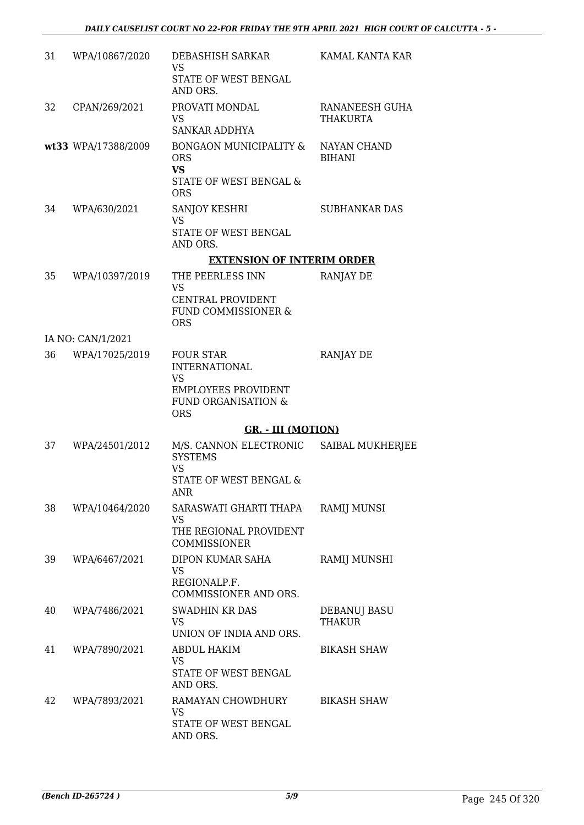| 31 | WPA/10867/2020      | DEBASHISH SARKAR<br><b>VS</b><br>STATE OF WEST BENGAL<br>AND ORS.                             | KAMAL KANTA KAR                   |
|----|---------------------|-----------------------------------------------------------------------------------------------|-----------------------------------|
| 32 | CPAN/269/2021       | PROVATI MONDAL<br>VS.<br><b>SANKAR ADDHYA</b>                                                 | RANANEESH GUHA<br><b>THAKURTA</b> |
|    | wt33 WPA/17388/2009 | BONGAON MUNICIPALITY &<br><b>ORS</b><br><b>VS</b><br>STATE OF WEST BENGAL &<br><b>ORS</b>     | NAYAN CHAND<br><b>BIHANI</b>      |
| 34 | WPA/630/2021        | <b>SANJOY KESHRI</b><br><b>VS</b><br>STATE OF WEST BENGAL<br>AND ORS.                         | <b>SUBHANKAR DAS</b>              |
|    |                     | <b>EXTENSION OF INTERIM ORDER</b>                                                             |                                   |
| 35 | WPA/10397/2019      | THE PEERLESS INN<br><b>VS</b><br>CENTRAL PROVIDENT<br><b>FUND COMMISSIONER &amp;</b>          | RANJAY DE                         |
|    |                     | <b>ORS</b>                                                                                    |                                   |
|    | IA NO: CAN/1/2021   |                                                                                               |                                   |
| 36 | WPA/17025/2019      | <b>FOUR STAR</b><br><b>INTERNATIONAL</b><br><b>VS</b>                                         | RANJAY DE                         |
|    |                     | <b>EMPLOYEES PROVIDENT</b><br><b>FUND ORGANISATION &amp;</b><br><b>ORS</b>                    |                                   |
|    |                     | <b>GR. - III (MOTION)</b>                                                                     |                                   |
| 37 | WPA/24501/2012      | M/S. CANNON ELECTRONIC<br><b>SYSTEMS</b><br><b>VS</b><br>STATE OF WEST BENGAL &<br><b>ANR</b> | <b>SAIBAL MUKHERJEE</b>           |
| 38 | WPA/10464/2020      | SARASWATI GHARTI THAPA<br>VS<br>THE REGIONAL PROVIDENT<br>COMMISSIONER                        | <b>RAMIJ MUNSI</b>                |
| 39 | WPA/6467/2021       | DIPON KUMAR SAHA<br><b>VS</b><br>REGIONALP.F.<br>COMMISSIONER AND ORS.                        | RAMIJ MUNSHI                      |
| 40 | WPA/7486/2021       | <b>SWADHIN KR DAS</b><br><b>VS</b><br>UNION OF INDIA AND ORS.                                 | DEBANUJ BASU<br><b>THAKUR</b>     |
| 41 | WPA/7890/2021       | ABDUL HAKIM<br><b>VS</b><br>STATE OF WEST BENGAL<br>AND ORS.                                  | <b>BIKASH SHAW</b>                |
| 42 | WPA/7893/2021       | RAMAYAN CHOWDHURY<br><b>VS</b><br>STATE OF WEST BENGAL<br>AND ORS.                            | <b>BIKASH SHAW</b>                |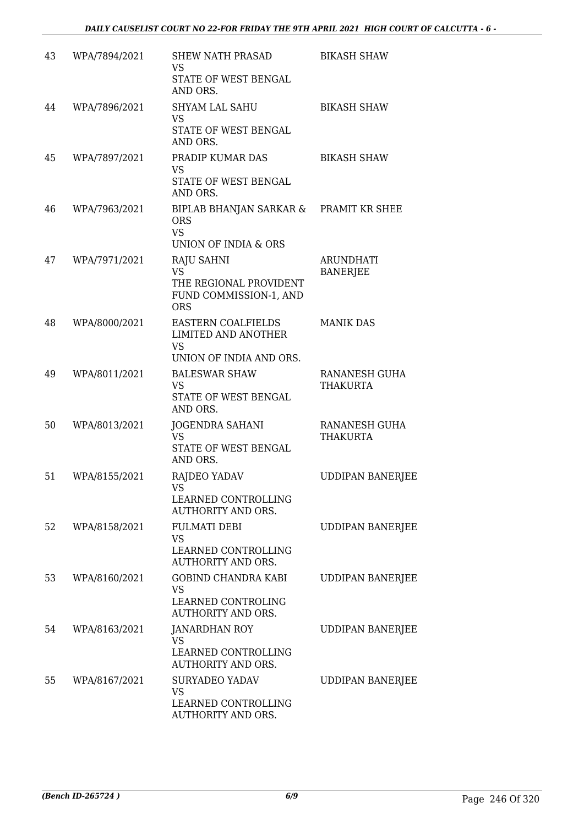| 43 | WPA/7894/2021 | <b>SHEW NATH PRASAD</b><br><b>VS</b><br>STATE OF WEST BENGAL<br>AND ORS.                         | <b>BIKASH SHAW</b>                      |
|----|---------------|--------------------------------------------------------------------------------------------------|-----------------------------------------|
| 44 | WPA/7896/2021 | SHYAM LAL SAHU<br><b>VS</b><br>STATE OF WEST BENGAL<br>AND ORS.                                  | <b>BIKASH SHAW</b>                      |
| 45 | WPA/7897/2021 | PRADIP KUMAR DAS<br><b>VS</b><br>STATE OF WEST BENGAL<br>AND ORS.                                | <b>BIKASH SHAW</b>                      |
| 46 | WPA/7963/2021 | BIPLAB BHANJAN SARKAR &<br><b>ORS</b><br><b>VS</b><br>UNION OF INDIA & ORS                       | PRAMIT KR SHEE                          |
| 47 | WPA/7971/2021 | <b>RAJU SAHNI</b><br><b>VS</b><br>THE REGIONAL PROVIDENT<br>FUND COMMISSION-1, AND<br><b>ORS</b> | <b>ARUNDHATI</b><br><b>BANERJEE</b>     |
| 48 | WPA/8000/2021 | <b>EASTERN COALFIELDS</b><br><b>LIMITED AND ANOTHER</b><br><b>VS</b><br>UNION OF INDIA AND ORS.  | <b>MANIK DAS</b>                        |
| 49 | WPA/8011/2021 | <b>BALESWAR SHAW</b><br><b>VS</b><br>STATE OF WEST BENGAL<br>AND ORS.                            | <b>RANANESH GUHA</b><br><b>THAKURTA</b> |
| 50 | WPA/8013/2021 | <b>JOGENDRA SAHANI</b><br><b>VS</b><br>STATE OF WEST BENGAL<br>AND ORS.                          | RANANESH GUHA<br><b>THAKURTA</b>        |
| 51 | WPA/8155/2021 | RAJDEO YADAV<br>VS<br>LEARNED CONTROLLING<br><b>AUTHORITY AND ORS.</b>                           | <b>UDDIPAN BANERJEE</b>                 |
| 52 | WPA/8158/2021 | <b>FULMATI DEBI</b><br><b>VS</b><br>LEARNED CONTROLLING<br><b>AUTHORITY AND ORS.</b>             | <b>UDDIPAN BANERJEE</b>                 |
| 53 | WPA/8160/2021 | <b>GOBIND CHANDRA KABI</b><br><b>VS</b><br>LEARNED CONTROLING<br><b>AUTHORITY AND ORS.</b>       | <b>UDDIPAN BANERJEE</b>                 |
| 54 | WPA/8163/2021 | <b>JANARDHAN ROY</b><br><b>VS</b><br>LEARNED CONTROLLING<br><b>AUTHORITY AND ORS.</b>            | <b>UDDIPAN BANERJEE</b>                 |
| 55 | WPA/8167/2021 | <b>SURYADEO YADAV</b><br><b>VS</b><br>LEARNED CONTROLLING<br>AUTHORITY AND ORS.                  | <b>UDDIPAN BANERJEE</b>                 |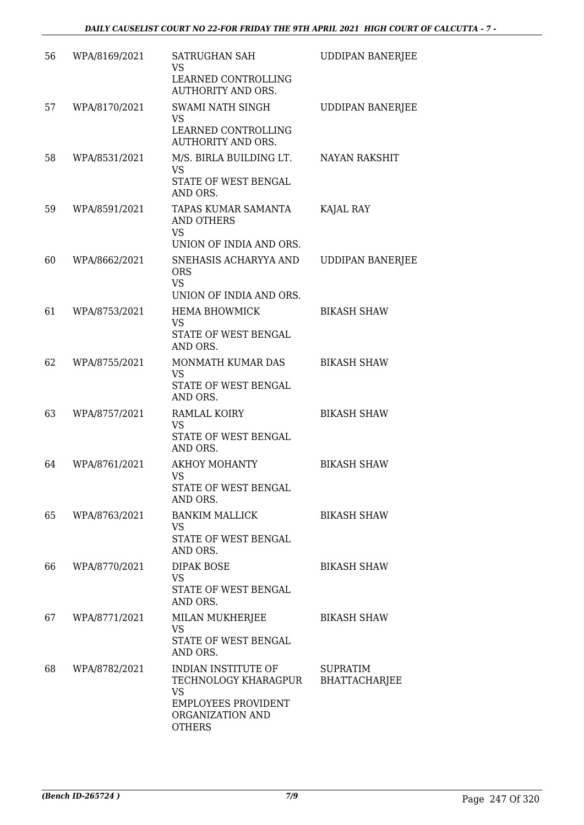| 56 | WPA/8169/2021 | SATRUGHAN SAH<br><b>VS</b><br>LEARNED CONTROLLING<br><b>AUTHORITY AND ORS.</b>                                              | <b>UDDIPAN BANERJEE</b>                 |
|----|---------------|-----------------------------------------------------------------------------------------------------------------------------|-----------------------------------------|
| 57 | WPA/8170/2021 | <b>SWAMI NATH SINGH</b><br><b>VS</b><br>LEARNED CONTROLLING<br><b>AUTHORITY AND ORS.</b>                                    | <b>UDDIPAN BANERJEE</b>                 |
| 58 | WPA/8531/2021 | M/S. BIRLA BUILDING LT.<br><b>VS</b><br>STATE OF WEST BENGAL<br>AND ORS.                                                    | NAYAN RAKSHIT                           |
| 59 | WPA/8591/2021 | TAPAS KUMAR SAMANTA<br>AND OTHERS<br><b>VS</b><br>UNION OF INDIA AND ORS.                                                   | KAJAL RAY                               |
| 60 | WPA/8662/2021 | SNEHASIS ACHARYYA AND<br><b>ORS</b><br><b>VS</b><br>UNION OF INDIA AND ORS.                                                 | <b>UDDIPAN BANERJEE</b>                 |
| 61 | WPA/8753/2021 | <b>HEMA BHOWMICK</b><br>VS<br>STATE OF WEST BENGAL<br>AND ORS.                                                              | <b>BIKASH SHAW</b>                      |
| 62 | WPA/8755/2021 | MONMATH KUMAR DAS<br><b>VS</b><br>STATE OF WEST BENGAL<br>AND ORS.                                                          | <b>BIKASH SHAW</b>                      |
| 63 | WPA/8757/2021 | <b>RAMLAL KOIRY</b><br><b>VS</b><br>STATE OF WEST BENGAL<br>AND ORS.                                                        | <b>BIKASH SHAW</b>                      |
| 64 | WPA/8761/2021 | <b>AKHOY MOHANTY</b><br>VS<br>STATE OF WEST BENGAL<br>AND ORS.                                                              | <b>BIKASH SHAW</b>                      |
| 65 | WPA/8763/2021 | <b>BANKIM MALLICK</b><br>VS<br>STATE OF WEST BENGAL<br>AND ORS.                                                             | <b>BIKASH SHAW</b>                      |
| 66 | WPA/8770/2021 | <b>DIPAK BOSE</b><br><b>VS</b><br>STATE OF WEST BENGAL<br>AND ORS.                                                          | <b>BIKASH SHAW</b>                      |
| 67 | WPA/8771/2021 | MILAN MUKHERJEE<br><b>VS</b><br>STATE OF WEST BENGAL<br>AND ORS.                                                            | <b>BIKASH SHAW</b>                      |
| 68 | WPA/8782/2021 | INDIAN INSTITUTE OF<br>TECHNOLOGY KHARAGPUR<br><b>VS</b><br><b>EMPLOYEES PROVIDENT</b><br>ORGANIZATION AND<br><b>OTHERS</b> | <b>SUPRATIM</b><br><b>BHATTACHARJEE</b> |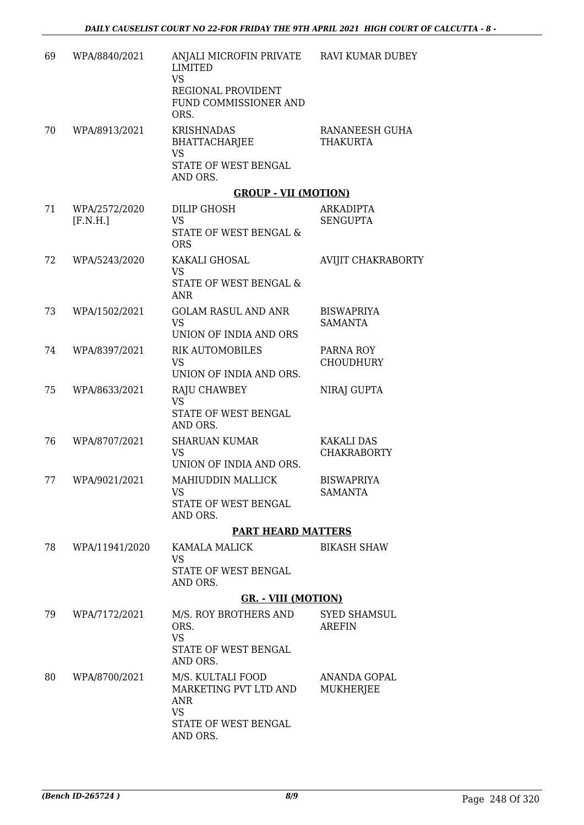| 69 | WPA/8840/2021  | ANJALI MICROFIN PRIVATE<br><b>LIMITED</b><br><b>VS</b><br>REGIONAL PROVIDENT<br>FUND COMMISSIONER AND<br>ORS. | RAVI KUMAR DUBEY                        |
|----|----------------|---------------------------------------------------------------------------------------------------------------|-----------------------------------------|
| 70 | WPA/8913/2021  | <b>KRISHNADAS</b><br><b>BHATTACHARJEE</b><br><b>VS</b><br>STATE OF WEST BENGAL                                | RANANEESH GUHA<br><b>THAKURTA</b>       |
|    |                | AND ORS.<br><b>GROUP - VII (MOTION)</b>                                                                       |                                         |
| 71 | WPA/2572/2020  | DILIP GHOSH                                                                                                   | ARKADIPTA                               |
|    | [F.N.H.]       | <b>VS</b><br>STATE OF WEST BENGAL &<br><b>ORS</b>                                                             | <b>SENGUPTA</b>                         |
| 72 | WPA/5243/2020  | KAKALI GHOSAL<br><b>VS</b><br>STATE OF WEST BENGAL &<br><b>ANR</b>                                            | AVIJIT CHAKRABORTY                      |
| 73 | WPA/1502/2021  | <b>GOLAM RASUL AND ANR</b><br><b>VS</b><br>UNION OF INDIA AND ORS                                             | <b>BISWAPRIYA</b><br><b>SAMANTA</b>     |
| 74 | WPA/8397/2021  | <b>RIK AUTOMOBILES</b>                                                                                        | PARNA ROY                               |
|    |                | <b>VS</b>                                                                                                     | <b>CHOUDHURY</b>                        |
|    |                | UNION OF INDIA AND ORS.                                                                                       |                                         |
| 75 | WPA/8633/2021  | RAJU CHAWBEY<br><b>VS</b><br>STATE OF WEST BENGAL<br>AND ORS.                                                 | NIRAJ GUPTA                             |
| 76 | WPA/8707/2021  | <b>SHARUAN KUMAR</b><br><b>VS</b><br>UNION OF INDIA AND ORS.                                                  | <b>KAKALI DAS</b><br><b>CHAKRABORTY</b> |
| 77 | WPA/9021/2021  | MAHIUDDIN MALLICK<br><b>VS</b><br>STATE OF WEST BENGAL                                                        | <b>BISWAPRIYA</b><br><b>SAMANTA</b>     |
|    |                | AND ORS.                                                                                                      |                                         |
|    |                | <b>PART HEARD MATTERS</b>                                                                                     |                                         |
| 78 | WPA/11941/2020 | KAMALA MALICK<br><b>VS</b><br>STATE OF WEST BENGAL                                                            | <b>BIKASH SHAW</b>                      |
|    |                | AND ORS.                                                                                                      |                                         |
|    |                | <b>GR. - VIII (MOTION)</b>                                                                                    |                                         |
| 79 | WPA/7172/2021  | M/S. ROY BROTHERS AND<br>ORS.<br><b>VS</b>                                                                    | <b>SYED SHAMSUL</b><br><b>AREFIN</b>    |
|    |                | STATE OF WEST BENGAL<br>AND ORS.                                                                              |                                         |
| 80 | WPA/8700/2021  | M/S. KULTALI FOOD<br>MARKETING PVT LTD AND<br><b>ANR</b><br><b>VS</b><br>STATE OF WEST BENGAL<br>AND ORS.     | ANANDA GOPAL<br><b>MUKHERJEE</b>        |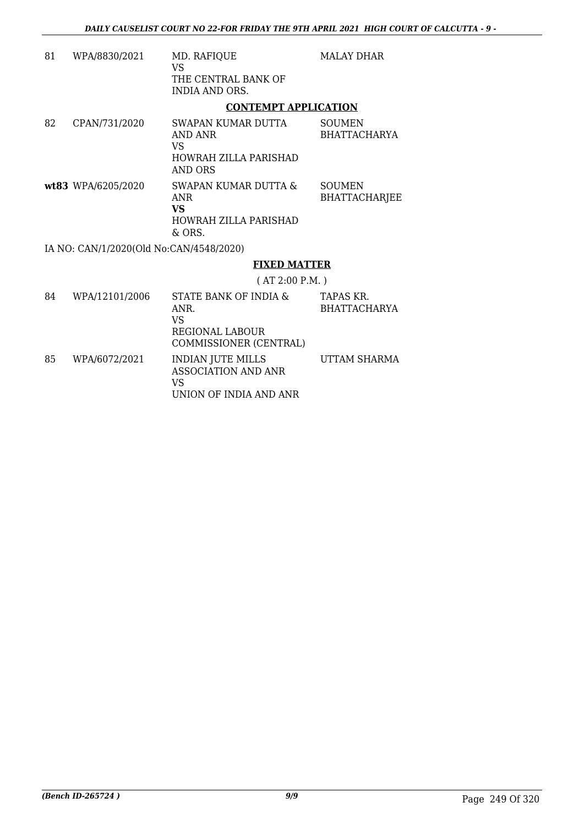| 81 | WPA/8830/2021                           | MD. RAFIQUE<br>VS                                                       | <b>MALAY DHAR</b>       |
|----|-----------------------------------------|-------------------------------------------------------------------------|-------------------------|
|    |                                         | THE CENTRAL BANK OF<br>INDIA AND ORS.                                   |                         |
|    |                                         | <b>CONTEMPT APPLICATION</b>                                             |                         |
| 82 | CPAN/731/2020                           | SWAPAN KUMAR DUTTA<br>AND ANR<br>VS<br>HOWRAH ZILLA PARISHAD<br>AND ORS | SOUMEN<br>BHATTACHARYA  |
|    | wt83 WPA/6205/2020                      | SWAPAN KUMAR DUTTA &<br>ANR<br>VS<br>HOWRAH ZILLA PARISHAD<br>& ORS.    | SOUMEN<br>BHATTACHARJEE |
|    | IA NO: CAN/1/2020(Old No:CAN/4548/2020) |                                                                         |                         |
|    |                                         |                                                                         |                         |

#### **FIXED MATTER**

( AT 2:00 P.M. )

| 84 | WPA/12101/2006 | STATE BANK OF INDIA &<br>ANR.<br>VS<br>REGIONAL LABOUR<br>COMMISSIONER (CENTRAL)       | TAPAS KR.<br><b>BHATTACHARYA</b> |
|----|----------------|----------------------------------------------------------------------------------------|----------------------------------|
| 85 | WPA/6072/2021  | <b>INDIAN JUTE MILLS</b><br><b>ASSOCIATION AND ANR</b><br>VS<br>UNION OF INDIA AND ANR | UTTAM SHARMA                     |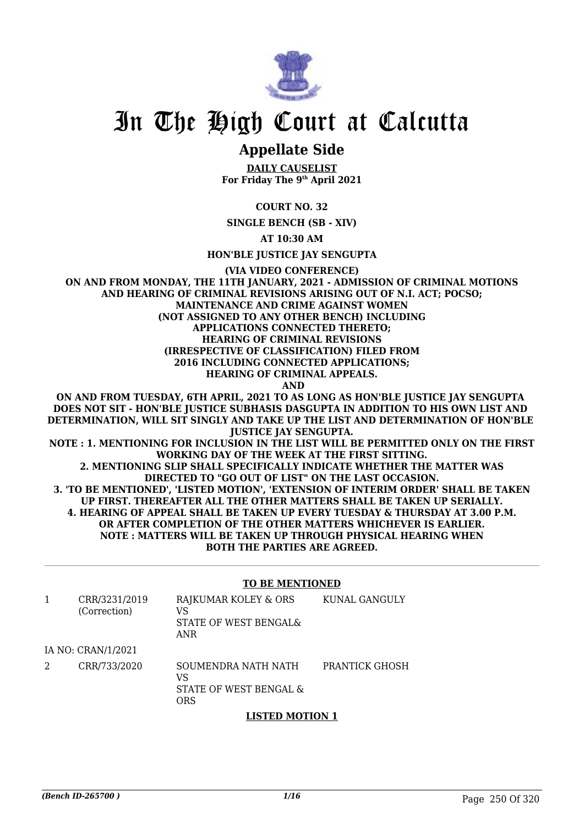

## In The High Court at Calcutta

### **Appellate Side**

**DAILY CAUSELIST For Friday The 9th April 2021**

#### **COURT NO. 32**

**SINGLE BENCH (SB - XIV)**

**AT 10:30 AM**

**HON'BLE JUSTICE JAY SENGUPTA**

**(VIA VIDEO CONFERENCE)**

**ON AND FROM MONDAY, THE 11TH JANUARY, 2021 - ADMISSION OF CRIMINAL MOTIONS AND HEARING OF CRIMINAL REVISIONS ARISING OUT OF N.I. ACT; POCSO; MAINTENANCE AND CRIME AGAINST WOMEN (NOT ASSIGNED TO ANY OTHER BENCH) INCLUDING APPLICATIONS CONNECTED THERETO; HEARING OF CRIMINAL REVISIONS (IRRESPECTIVE OF CLASSIFICATION) FILED FROM 2016 INCLUDING CONNECTED APPLICATIONS; HEARING OF CRIMINAL APPEALS. AND**

**ON AND FROM TUESDAY, 6TH APRIL, 2021 TO AS LONG AS HON'BLE JUSTICE JAY SENGUPTA DOES NOT SIT - HON'BLE JUSTICE SUBHASIS DASGUPTA IN ADDITION TO HIS OWN LIST AND DETERMINATION, WILL SIT SINGLY AND TAKE UP THE LIST AND DETERMINATION OF HON'BLE JUSTICE JAY SENGUPTA. NOTE : 1. MENTIONING FOR INCLUSION IN THE LIST WILL BE PERMITTED ONLY ON THE FIRST WORKING DAY OF THE WEEK AT THE FIRST SITTING. 2. MENTIONING SLIP SHALL SPECIFICALLY INDICATE WHETHER THE MATTER WAS DIRECTED TO "GO OUT OF LIST" ON THE LAST OCCASION. 3. 'TO BE MENTIONED', 'LISTED MOTION', 'EXTENSION OF INTERIM ORDER' SHALL BE TAKEN UP FIRST. THEREAFTER ALL THE OTHER MATTERS SHALL BE TAKEN UP SERIALLY. 4. HEARING OF APPEAL SHALL BE TAKEN UP EVERY TUESDAY & THURSDAY AT 3.00 P.M. OR AFTER COMPLETION OF THE OTHER MATTERS WHICHEVER IS EARLIER. NOTE : MATTERS WILL BE TAKEN UP THROUGH PHYSICAL HEARING WHEN BOTH THE PARTIES ARE AGREED.**

#### **TO BE MENTIONED**

|   | CRR/3231/2019<br>(Correction) | RAJKUMAR KOLEY & ORS<br>VS<br>STATE OF WEST BENGAL&<br>ANR | KUNAL GANGULY         |
|---|-------------------------------|------------------------------------------------------------|-----------------------|
|   | IA NO: CRAN/1/2021            |                                                            |                       |
| 2 | CRR/733/2020                  | SOUMENDRA NATH NATH<br>VS<br>STATE OF WEST BENGAL &<br>ORS | <b>PRANTICK GHOSH</b> |

#### **LISTED MOTION 1**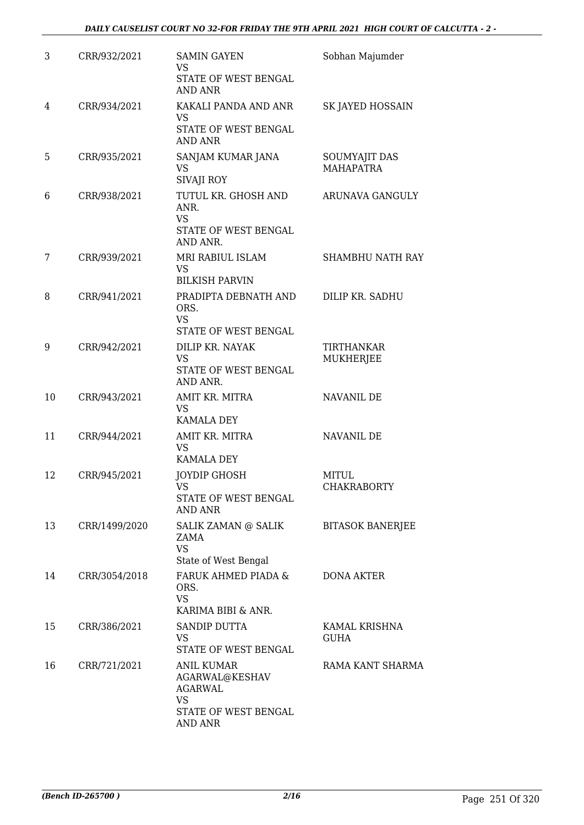| 3  | CRR/932/2021  | <b>SAMIN GAYEN</b><br>VS.<br>STATE OF WEST BENGAL<br>AND ANR                                                 | Sobhan Majumder                   |
|----|---------------|--------------------------------------------------------------------------------------------------------------|-----------------------------------|
| 4  | CRR/934/2021  | KAKALI PANDA AND ANR<br><b>VS</b><br>STATE OF WEST BENGAL<br><b>AND ANR</b>                                  | SK JAYED HOSSAIN                  |
| 5  | CRR/935/2021  | SANJAM KUMAR JANA<br><b>VS</b><br>SIVAJI ROY                                                                 | SOUMYAJIT DAS<br><b>MAHAPATRA</b> |
| 6  | CRR/938/2021  | TUTUL KR. GHOSH AND<br>ANR.<br><b>VS</b><br>STATE OF WEST BENGAL<br>AND ANR.                                 | ARUNAVA GANGULY                   |
| 7  | CRR/939/2021  | MRI RABIUL ISLAM<br><b>VS</b><br><b>BILKISH PARVIN</b>                                                       | <b>SHAMBHU NATH RAY</b>           |
| 8  | CRR/941/2021  | PRADIPTA DEBNATH AND<br>ORS.<br><b>VS</b><br>STATE OF WEST BENGAL                                            | DILIP KR. SADHU                   |
| 9  | CRR/942/2021  | DILIP KR. NAYAK<br><b>VS</b><br>STATE OF WEST BENGAL<br>AND ANR.                                             | TIRTHANKAR<br>MUKHERJEE           |
| 10 | CRR/943/2021  | AMIT KR. MITRA<br><b>VS</b><br><b>KAMALA DEY</b>                                                             | NAVANIL DE                        |
| 11 | CRR/944/2021  | AMIT KR. MITRA<br><b>VS</b><br><b>KAMALA DEY</b>                                                             | NAVANIL DE                        |
| 12 | CRR/945/2021  | <b>JOYDIP GHOSH</b><br>VS<br>STATE OF WEST BENGAL<br>AND ANR                                                 | MITUL<br>CHAKRABORTY              |
| 13 | CRR/1499/2020 | SALIK ZAMAN @ SALIK<br>ZAMA<br><b>VS</b><br>State of West Bengal                                             | <b>BITASOK BANERJEE</b>           |
| 14 | CRR/3054/2018 | FARUK AHMED PIADA &<br>ORS.<br><b>VS</b><br>KARIMA BIBI & ANR.                                               | DONA AKTER                        |
| 15 | CRR/386/2021  | <b>SANDIP DUTTA</b><br>VS<br>STATE OF WEST BENGAL                                                            | KAMAL KRISHNA<br><b>GUHA</b>      |
| 16 | CRR/721/2021  | <b>ANIL KUMAR</b><br>AGARWAL@KESHAV<br><b>AGARWAL</b><br><b>VS</b><br>STATE OF WEST BENGAL<br><b>AND ANR</b> | RAMA KANT SHARMA                  |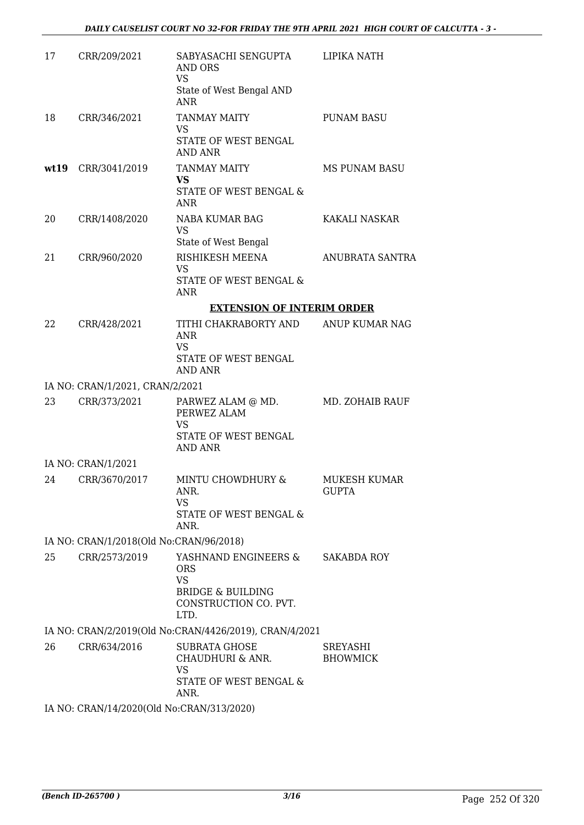| 17   | CRR/209/2021                              | SABYASACHI SENGUPTA<br>AND ORS<br><b>VS</b><br>State of West Bengal AND<br><b>ANR</b>                            | LIPIKA NATH                  |
|------|-------------------------------------------|------------------------------------------------------------------------------------------------------------------|------------------------------|
| 18   | CRR/346/2021                              | <b>TANMAY MAITY</b><br>VS<br>STATE OF WEST BENGAL<br>AND ANR                                                     | <b>PUNAM BASU</b>            |
| wt19 | CRR/3041/2019                             | <b>TANMAY MAITY</b><br><b>VS</b><br>STATE OF WEST BENGAL &<br>ANR                                                | <b>MS PUNAM BASU</b>         |
| 20   | CRR/1408/2020                             | NABA KUMAR BAG<br>VS<br>State of West Bengal                                                                     | KAKALI NASKAR                |
| 21   | CRR/960/2020                              | RISHIKESH MEENA<br>VS<br>STATE OF WEST BENGAL &<br><b>ANR</b>                                                    | ANUBRATA SANTRA              |
|      |                                           | <b>EXTENSION OF INTERIM ORDER</b>                                                                                |                              |
| 22   | CRR/428/2021                              | TITHI CHAKRABORTY AND<br><b>ANR</b><br><b>VS</b><br>STATE OF WEST BENGAL<br>AND ANR                              | ANUP KUMAR NAG               |
|      | IA NO: CRAN/1/2021, CRAN/2/2021           |                                                                                                                  |                              |
| 23   | CRR/373/2021                              | PARWEZ ALAM @ MD.<br>PERWEZ ALAM<br><b>VS</b><br>STATE OF WEST BENGAL<br>AND ANR                                 | MD. ZOHAIB RAUF              |
|      | IA NO: CRAN/1/2021                        |                                                                                                                  |                              |
| 24   | CRR/3670/2017                             | MINTU CHOWDHURY &<br>ANR.<br><b>VS</b><br>STATE OF WEST BENGAL &<br>ANR.                                         | MUKESH KUMAR<br><b>GUPTA</b> |
|      | IA NO: CRAN/1/2018(Old No:CRAN/96/2018)   |                                                                                                                  |                              |
| 25   | CRR/2573/2019                             | YASHNAND ENGINEERS &<br><b>ORS</b><br><b>VS</b><br><b>BRIDGE &amp; BUILDING</b><br>CONSTRUCTION CO. PVT.<br>LTD. | SAKABDA ROY                  |
|      |                                           | IA NO: CRAN/2/2019(Old No:CRAN/4426/2019), CRAN/4/2021                                                           |                              |
| 26   | CRR/634/2016                              | <b>SUBRATA GHOSE</b><br>CHAUDHURI & ANR.<br><b>VS</b><br>STATE OF WEST BENGAL &<br>ANR.                          | SREYASHI<br><b>BHOWMICK</b>  |
|      | IA NO: CRAN/14/2020(Old No:CRAN/313/2020) |                                                                                                                  |                              |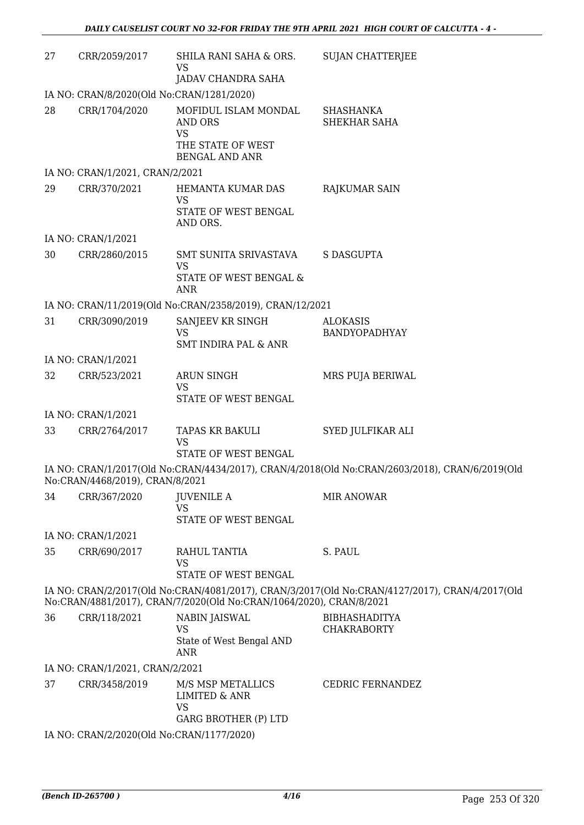| 27 | CRR/2059/2017                             | SHILA RANI SAHA & ORS.<br>VS<br><b>JADAV CHANDRA SAHA</b>                                         | <b>SUJAN CHATTERJEE</b>                                                                        |  |  |
|----|-------------------------------------------|---------------------------------------------------------------------------------------------------|------------------------------------------------------------------------------------------------|--|--|
|    | IA NO: CRAN/8/2020(Old No:CRAN/1281/2020) |                                                                                                   |                                                                                                |  |  |
| 28 | CRR/1704/2020                             | MOFIDUL ISLAM MONDAL<br><b>AND ORS</b><br><b>VS</b><br>THE STATE OF WEST<br><b>BENGAL AND ANR</b> | SHASHANKA<br>SHEKHAR SAHA                                                                      |  |  |
|    | IA NO: CRAN/1/2021, CRAN/2/2021           |                                                                                                   |                                                                                                |  |  |
| 29 | CRR/370/2021                              | HEMANTA KUMAR DAS<br>VS<br>STATE OF WEST BENGAL<br>AND ORS.                                       | RAJKUMAR SAIN                                                                                  |  |  |
|    | IA NO: CRAN/1/2021                        |                                                                                                   |                                                                                                |  |  |
| 30 | CRR/2860/2015                             | SMT SUNITA SRIVASTAVA<br><b>VS</b><br>STATE OF WEST BENGAL &<br>ANR                               | <b>S DASGUPTA</b>                                                                              |  |  |
|    |                                           | IA NO: CRAN/11/2019(Old No:CRAN/2358/2019), CRAN/12/2021                                          |                                                                                                |  |  |
| 31 | CRR/3090/2019                             | SANJEEV KR SINGH<br><b>VS</b><br><b>SMT INDIRA PAL &amp; ANR</b>                                  | <b>ALOKASIS</b><br>BANDYOPADHYAY                                                               |  |  |
|    | IA NO: CRAN/1/2021                        |                                                                                                   |                                                                                                |  |  |
| 32 | CRR/523/2021                              | <b>ARUN SINGH</b><br>VS<br>STATE OF WEST BENGAL                                                   | MRS PUJA BERIWAL                                                                               |  |  |
|    | IA NO: CRAN/1/2021                        |                                                                                                   |                                                                                                |  |  |
| 33 | CRR/2764/2017                             | TAPAS KR BAKULI<br><b>VS</b><br>STATE OF WEST BENGAL                                              | SYED JULFIKAR ALI                                                                              |  |  |
|    | No:CRAN/4468/2019), CRAN/8/2021           |                                                                                                   | IA NO: CRAN/1/2017(Old No:CRAN/4434/2017), CRAN/4/2018(Old No:CRAN/2603/2018), CRAN/6/2019(Old |  |  |
| 34 | CRR/367/2020                              | <b>JUVENILE A</b><br>VS<br>STATE OF WEST BENGAL                                                   | <b>MIR ANOWAR</b>                                                                              |  |  |
|    | IA NO: CRAN/1/2021                        |                                                                                                   |                                                                                                |  |  |
| 35 | CRR/690/2017                              | RAHUL TANTIA<br><b>VS</b><br>STATE OF WEST BENGAL                                                 | S. PAUL                                                                                        |  |  |
|    |                                           | No:CRAN/4881/2017), CRAN/7/2020(Old No:CRAN/1064/2020), CRAN/8/2021                               | IA NO: CRAN/2/2017(Old No:CRAN/4081/2017), CRAN/3/2017(Old No:CRAN/4127/2017), CRAN/4/2017(Old |  |  |
| 36 | CRR/118/2021                              | <b>NABIN JAISWAL</b><br><b>VS</b><br>State of West Bengal AND<br>ANR                              | <b>BIBHASHADITYA</b><br><b>CHAKRABORTY</b>                                                     |  |  |
|    | IA NO: CRAN/1/2021, CRAN/2/2021           |                                                                                                   |                                                                                                |  |  |
| 37 | CRR/3458/2019                             | M/S MSP METALLICS<br><b>LIMITED &amp; ANR</b><br><b>VS</b><br><b>GARG BROTHER (P) LTD</b>         | CEDRIC FERNANDEZ                                                                               |  |  |
|    | IA NO: CRAN/2/2020(Old No:CRAN/1177/2020) |                                                                                                   |                                                                                                |  |  |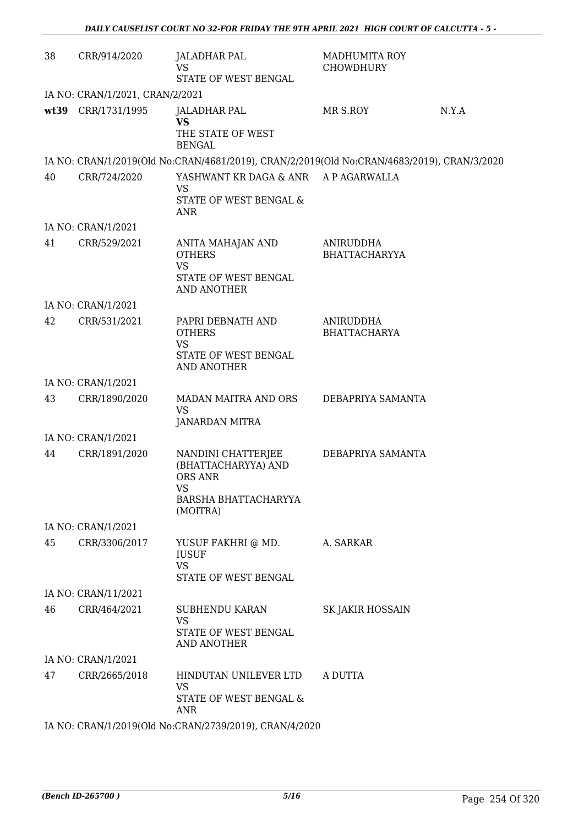| 38 | CRR/914/2020                                           | <b>JALADHAR PAL</b><br><b>VS</b><br>STATE OF WEST BENGAL                                                                           | MADHUMITA ROY<br><b>CHOWDHURY</b> |       |  |  |
|----|--------------------------------------------------------|------------------------------------------------------------------------------------------------------------------------------------|-----------------------------------|-------|--|--|
|    | IA NO: CRAN/1/2021, CRAN/2/2021                        |                                                                                                                                    |                                   |       |  |  |
|    | wt39 CRR/1731/1995                                     | <b>JALADHAR PAL</b><br><b>VS</b><br>THE STATE OF WEST                                                                              | MR S.ROY                          | N.Y.A |  |  |
|    |                                                        | <b>BENGAL</b>                                                                                                                      |                                   |       |  |  |
|    |                                                        | IA NO: CRAN/1/2019(Old No:CRAN/4681/2019), CRAN/2/2019(Old No:CRAN/4683/2019), CRAN/3/2020<br>YASHWANT KR DAGA & ANR A P AGARWALLA |                                   |       |  |  |
| 40 | CRR/724/2020                                           | VS<br>STATE OF WEST BENGAL &<br><b>ANR</b>                                                                                         |                                   |       |  |  |
|    | IA NO: CRAN/1/2021                                     |                                                                                                                                    |                                   |       |  |  |
| 41 | CRR/529/2021                                           | ANITA MAHAJAN AND<br><b>OTHERS</b><br><b>VS</b><br>STATE OF WEST BENGAL<br><b>AND ANOTHER</b>                                      | ANIRUDDHA<br><b>BHATTACHARYYA</b> |       |  |  |
|    | IA NO: CRAN/1/2021                                     |                                                                                                                                    |                                   |       |  |  |
| 42 | CRR/531/2021                                           | PAPRI DEBNATH AND<br><b>OTHERS</b><br><b>VS</b>                                                                                    | ANIRUDDHA<br><b>BHATTACHARYA</b>  |       |  |  |
|    |                                                        | STATE OF WEST BENGAL<br><b>AND ANOTHER</b>                                                                                         |                                   |       |  |  |
|    | IA NO: CRAN/1/2021                                     |                                                                                                                                    |                                   |       |  |  |
| 43 | CRR/1890/2020                                          | MADAN MAITRA AND ORS<br><b>VS</b><br>JANARDAN MITRA                                                                                | DEBAPRIYA SAMANTA                 |       |  |  |
|    | IA NO: CRAN/1/2021                                     |                                                                                                                                    |                                   |       |  |  |
| 44 | CRR/1891/2020                                          | NANDINI CHATTERJEE<br>(BHATTACHARYYA) AND<br><b>ORS ANR</b><br>VS<br>BARSHA BHATTACHARYYA                                          | DEBAPRIYA SAMANTA                 |       |  |  |
|    | IA NO: CRAN/1/2021                                     | (MOITRA)                                                                                                                           |                                   |       |  |  |
| 45 | CRR/3306/2017                                          | YUSUF FAKHRI @ MD.<br><b>IUSUF</b><br><b>VS</b><br>STATE OF WEST BENGAL                                                            | A. SARKAR                         |       |  |  |
|    | IA NO: CRAN/11/2021                                    |                                                                                                                                    |                                   |       |  |  |
| 46 | CRR/464/2021                                           | SUBHENDU KARAN<br><b>VS</b><br>STATE OF WEST BENGAL<br>AND ANOTHER                                                                 | SK JAKIR HOSSAIN                  |       |  |  |
|    | IA NO: CRAN/1/2021                                     |                                                                                                                                    |                                   |       |  |  |
| 47 | CRR/2665/2018                                          | HINDUTAN UNILEVER LTD<br>VS<br>STATE OF WEST BENGAL &<br><b>ANR</b>                                                                | A DUTTA                           |       |  |  |
|    | IA NO: CRAN/1/2019(Old No:CRAN/2739/2019), CRAN/4/2020 |                                                                                                                                    |                                   |       |  |  |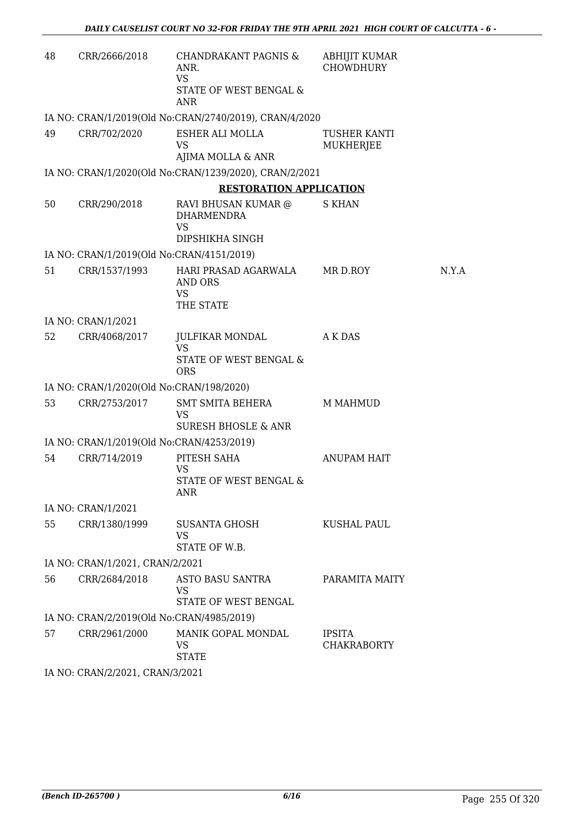| 48 | CRR/2666/2018                             | <b>CHANDRAKANT PAGNIS &amp;</b><br>ANR.<br><b>VS</b><br>STATE OF WEST BENGAL &<br><b>ANR</b> | ABHIJIT KUMAR<br><b>CHOWDHURY</b>   |       |
|----|-------------------------------------------|----------------------------------------------------------------------------------------------|-------------------------------------|-------|
|    |                                           | IA NO: CRAN/1/2019(Old No:CRAN/2740/2019), CRAN/4/2020                                       |                                     |       |
| 49 | CRR/702/2020                              | ESHER ALI MOLLA<br>VS<br>AJIMA MOLLA & ANR                                                   | <b>TUSHER KANTI</b><br>MUKHERJEE    |       |
|    |                                           | IA NO: CRAN/1/2020(Old No:CRAN/1239/2020), CRAN/2/2021                                       |                                     |       |
|    |                                           | <b>RESTORATION APPLICATION</b>                                                               |                                     |       |
| 50 | CRR/290/2018                              | RAVI BHUSAN KUMAR @<br><b>DHARMENDRA</b><br>VS<br>DIPSHIKHA SINGH                            | <b>S KHAN</b>                       |       |
|    | IA NO: CRAN/1/2019(Old No:CRAN/4151/2019) |                                                                                              |                                     |       |
| 51 | CRR/1537/1993                             | HARI PRASAD AGARWALA<br><b>AND ORS</b><br><b>VS</b><br>THE STATE                             | MR D.ROY                            | N.Y.A |
|    | IA NO: CRAN/1/2021                        |                                                                                              |                                     |       |
| 52 | CRR/4068/2017                             | JULFIKAR MONDAL<br><b>VS</b><br>STATE OF WEST BENGAL &<br><b>ORS</b>                         | A K DAS                             |       |
|    | IA NO: CRAN/1/2020(Old No:CRAN/198/2020)  |                                                                                              |                                     |       |
| 53 | CRR/2753/2017                             | <b>SMT SMITA BEHERA</b><br><b>VS</b><br><b>SURESH BHOSLE &amp; ANR</b>                       | <b>M MAHMUD</b>                     |       |
|    | IA NO: CRAN/1/2019(Old No:CRAN/4253/2019) |                                                                                              |                                     |       |
| 54 | CRR/714/2019                              | PITESH SAHA<br><b>VS</b><br>STATE OF WEST BENGAL &<br>ANR                                    | ANUPAM HAIT                         |       |
|    | IA NO: CRAN/1/2021                        |                                                                                              |                                     |       |
| 55 | CRR/1380/1999                             | SUSANTA GHOSH<br><b>VS</b><br>STATE OF W.B.                                                  | KUSHAL PAUL                         |       |
|    | IA NO: CRAN/1/2021, CRAN/2/2021           |                                                                                              |                                     |       |
| 56 | CRR/2684/2018                             | ASTO BASU SANTRA<br>VS<br>STATE OF WEST BENGAL                                               | PARAMITA MAITY                      |       |
|    | IA NO: CRAN/2/2019(Old No:CRAN/4985/2019) |                                                                                              |                                     |       |
| 57 | CRR/2961/2000                             | MANIK GOPAL MONDAL<br>VS<br><b>STATE</b>                                                     | <b>IPSITA</b><br><b>CHAKRABORTY</b> |       |
|    | IA NO: CRAN/2/2021, CRAN/3/2021           |                                                                                              |                                     |       |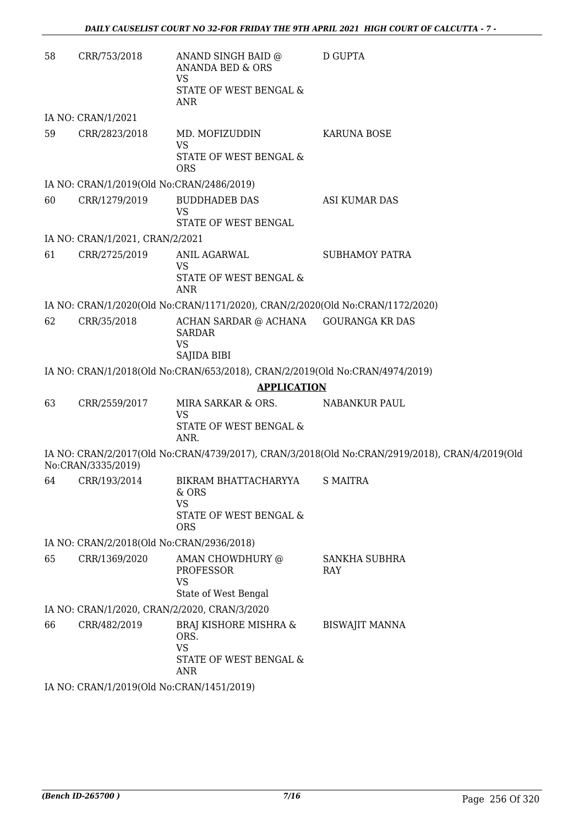| 58 | CRR/753/2018                              | ANAND SINGH BAID @<br>ANANDA BED & ORS<br><b>VS</b><br>STATE OF WEST BENGAL &      | <b>D GUPTA</b>                                                                                 |
|----|-------------------------------------------|------------------------------------------------------------------------------------|------------------------------------------------------------------------------------------------|
|    |                                           | ANR                                                                                |                                                                                                |
|    | IA NO: CRAN/1/2021                        |                                                                                    |                                                                                                |
| 59 | CRR/2823/2018                             | MD. MOFIZUDDIN<br><b>VS</b><br>STATE OF WEST BENGAL &<br><b>ORS</b>                | <b>KARUNA BOSE</b>                                                                             |
|    | IA NO: CRAN/1/2019(Old No:CRAN/2486/2019) |                                                                                    |                                                                                                |
| 60 | CRR/1279/2019                             | <b>BUDDHADEB DAS</b><br><b>VS</b><br>STATE OF WEST BENGAL                          | ASI KUMAR DAS                                                                                  |
|    | IA NO: CRAN/1/2021, CRAN/2/2021           |                                                                                    |                                                                                                |
| 61 | CRR/2725/2019                             | ANIL AGARWAL<br>VS<br>STATE OF WEST BENGAL &<br>ANR                                | <b>SUBHAMOY PATRA</b>                                                                          |
|    |                                           | IA NO: CRAN/1/2020(Old No:CRAN/1171/2020), CRAN/2/2020(Old No:CRAN/1172/2020)      |                                                                                                |
| 62 | CRR/35/2018                               | ACHAN SARDAR @ ACHANA<br><b>SARDAR</b><br><b>VS</b><br>SAJIDA BIBI                 | <b>GOURANGA KR DAS</b>                                                                         |
|    |                                           | IA NO: CRAN/1/2018(Old No:CRAN/653/2018), CRAN/2/2019(Old No:CRAN/4974/2019)       |                                                                                                |
|    |                                           | <b>APPLICATION</b>                                                                 |                                                                                                |
| 63 | CRR/2559/2017                             | MIRA SARKAR & ORS.<br><b>VS</b><br>STATE OF WEST BENGAL &<br>ANR.                  | NABANKUR PAUL                                                                                  |
|    | No:CRAN/3335/2019)                        |                                                                                    | IA NO: CRAN/2/2017(Old No:CRAN/4739/2017), CRAN/3/2018(Old No:CRAN/2919/2018), CRAN/4/2019(Old |
| 64 | CRR/193/2014                              | BIKRAM BHATTACHARYYA<br>& ORS<br><b>VS</b><br>STATE OF WEST BENGAL &<br><b>ORS</b> | <b>S MAITRA</b>                                                                                |
|    | IA NO: CRAN/2/2018(Old No:CRAN/2936/2018) |                                                                                    |                                                                                                |
| 65 | CRR/1369/2020                             | AMAN CHOWDHURY @<br><b>PROFESSOR</b><br><b>VS</b><br>State of West Bengal          | SANKHA SUBHRA<br>RAY                                                                           |
|    |                                           | IA NO: CRAN/1/2020, CRAN/2/2020, CRAN/3/2020                                       |                                                                                                |
| 66 | CRR/482/2019                              | BRAJ KISHORE MISHRA &<br>ORS.<br><b>VS</b><br>STATE OF WEST BENGAL &<br>ANR        | <b>BISWAJIT MANNA</b>                                                                          |
|    | IA NO: CRAN/1/2019(Old No:CRAN/1451/2019) |                                                                                    |                                                                                                |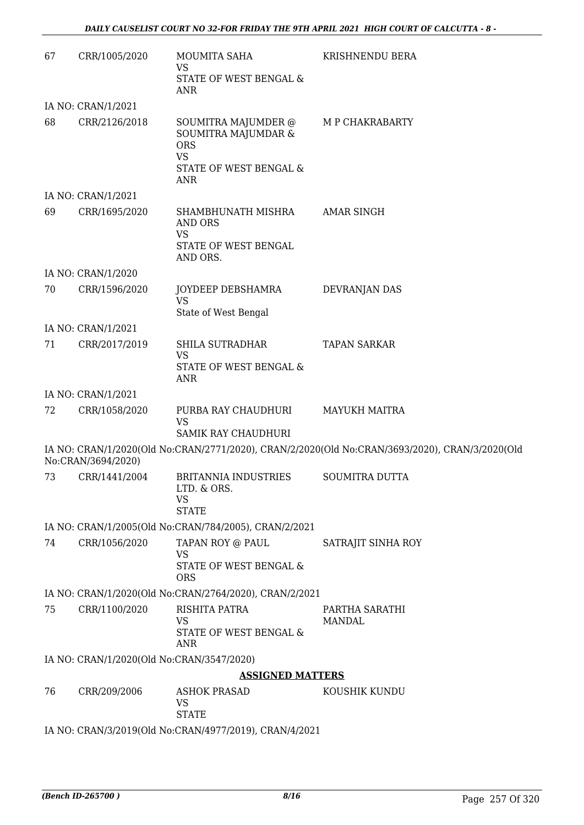| 67 | CRR/1005/2020                             | MOUMITA SAHA<br>VS                                                                                            | KRISHNENDU BERA                                                                                |
|----|-------------------------------------------|---------------------------------------------------------------------------------------------------------------|------------------------------------------------------------------------------------------------|
|    |                                           | STATE OF WEST BENGAL &<br>ANR                                                                                 |                                                                                                |
|    | IA NO: CRAN/1/2021                        |                                                                                                               |                                                                                                |
| 68 | CRR/2126/2018                             | SOUMITRA MAJUMDER @<br>SOUMITRA MAJUMDAR &<br><b>ORS</b><br><b>VS</b><br>STATE OF WEST BENGAL &<br><b>ANR</b> | M P CHAKRABARTY                                                                                |
|    | IA NO: CRAN/1/2021                        |                                                                                                               |                                                                                                |
| 69 | CRR/1695/2020                             | SHAMBHUNATH MISHRA<br><b>AND ORS</b><br><b>VS</b><br>STATE OF WEST BENGAL                                     | AMAR SINGH                                                                                     |
|    |                                           | AND ORS.                                                                                                      |                                                                                                |
|    | IA NO: CRAN/1/2020                        |                                                                                                               |                                                                                                |
| 70 | CRR/1596/2020                             | JOYDEEP DEBSHAMRA<br><b>VS</b><br>State of West Bengal                                                        | DEVRANJAN DAS                                                                                  |
|    | IA NO: CRAN/1/2021                        |                                                                                                               |                                                                                                |
| 71 | CRR/2017/2019                             | SHILA SUTRADHAR<br><b>VS</b><br>STATE OF WEST BENGAL &<br><b>ANR</b>                                          | <b>TAPAN SARKAR</b>                                                                            |
|    | IA NO: CRAN/1/2021                        |                                                                                                               |                                                                                                |
| 72 | CRR/1058/2020                             | PURBA RAY CHAUDHURI<br><b>VS</b><br><b>SAMIK RAY CHAUDHURI</b>                                                | <b>MAYUKH MAITRA</b>                                                                           |
|    | No:CRAN/3694/2020)                        |                                                                                                               | IA NO: CRAN/1/2020(Old No:CRAN/2771/2020), CRAN/2/2020(Old No:CRAN/3693/2020), CRAN/3/2020(Old |
| 73 | CRR/1441/2004                             | <b>BRITANNIA INDUSTRIES</b><br>LTD. & ORS.<br>VS<br><b>STATE</b>                                              | <b>SOUMITRA DUTTA</b>                                                                          |
|    |                                           | IA NO: CRAN/1/2005(Old No:CRAN/784/2005), CRAN/2/2021                                                         |                                                                                                |
| 74 | CRR/1056/2020                             | TAPAN ROY @ PAUL<br>VS<br>STATE OF WEST BENGAL &<br><b>ORS</b>                                                | SATRAJIT SINHA ROY                                                                             |
|    |                                           | IA NO: CRAN/1/2020(Old No:CRAN/2764/2020), CRAN/2/2021                                                        |                                                                                                |
| 75 | CRR/1100/2020                             | RISHITA PATRA<br><b>VS</b><br>STATE OF WEST BENGAL &<br><b>ANR</b>                                            | PARTHA SARATHI<br><b>MANDAL</b>                                                                |
|    | IA NO: CRAN/1/2020(Old No:CRAN/3547/2020) |                                                                                                               |                                                                                                |
|    |                                           | <b>ASSIGNED MATTERS</b>                                                                                       |                                                                                                |
| 76 | CRR/209/2006                              | <b>ASHOK PRASAD</b><br>VS<br><b>STATE</b>                                                                     | KOUSHIK KUNDU                                                                                  |
|    |                                           | IA NO: CRAN/3/2019(Old No:CRAN/4977/2019), CRAN/4/2021                                                        |                                                                                                |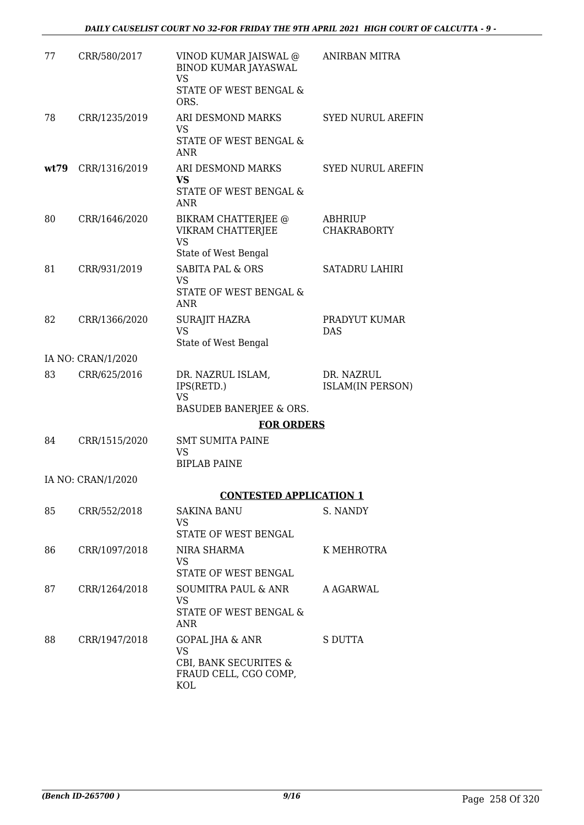| 77   | CRR/580/2017       | VINOD KUMAR JAISWAL @<br><b>BINOD KUMAR JAYASWAL</b><br><b>VS</b><br>STATE OF WEST BENGAL & | <b>ANIRBAN MITRA</b>                  |
|------|--------------------|---------------------------------------------------------------------------------------------|---------------------------------------|
|      |                    | ORS.                                                                                        |                                       |
| 78   | CRR/1235/2019      | ARI DESMOND MARKS<br>VS                                                                     | <b>SYED NURUL AREFIN</b>              |
|      |                    | STATE OF WEST BENGAL &<br>ANR                                                               |                                       |
| wt79 | CRR/1316/2019      | ARI DESMOND MARKS<br><b>VS</b>                                                              | <b>SYED NURUL AREFIN</b>              |
|      |                    | STATE OF WEST BENGAL &<br><b>ANR</b>                                                        |                                       |
| 80   | CRR/1646/2020      | BIKRAM CHATTERJEE @<br>VIKRAM CHATTERJEE<br><b>VS</b><br>State of West Bengal               | ABHRIUP<br><b>CHAKRABORTY</b>         |
| 81   | CRR/931/2019       | <b>SABITA PAL &amp; ORS</b>                                                                 | <b>SATADRU LAHIRI</b>                 |
|      |                    | <b>VS</b><br>STATE OF WEST BENGAL &<br><b>ANR</b>                                           |                                       |
| 82   | CRR/1366/2020      | <b>SURAJIT HAZRA</b>                                                                        | PRADYUT KUMAR                         |
|      |                    | <b>VS</b><br>State of West Bengal                                                           | <b>DAS</b>                            |
|      | IA NO: CRAN/1/2020 |                                                                                             |                                       |
| 83   | CRR/625/2016       | DR. NAZRUL ISLAM,<br>IPS(RETD.)<br><b>VS</b>                                                | DR. NAZRUL<br><b>ISLAM(IN PERSON)</b> |
|      |                    | BASUDEB BANERJEE & ORS.                                                                     |                                       |
|      |                    | <b>FOR ORDERS</b>                                                                           |                                       |
| 84   | CRR/1515/2020      | <b>SMT SUMITA PAINE</b>                                                                     |                                       |
|      |                    | VS<br><b>BIPLAB PAINE</b>                                                                   |                                       |
|      | IA NO: CRAN/1/2020 |                                                                                             |                                       |
|      |                    | <b>CONTESTED APPLICATION 1</b>                                                              |                                       |
| 85   | CRR/552/2018       | SAKINA BANU<br>VS                                                                           | S. NANDY                              |
|      |                    | STATE OF WEST BENGAL                                                                        |                                       |
| 86   | CRR/1097/2018      | NIRA SHARMA<br>VS.<br>STATE OF WEST BENGAL                                                  | K MEHROTRA                            |
| 87   | CRR/1264/2018      | SOUMITRA PAUL & ANR                                                                         | A AGARWAL                             |
|      |                    | VS<br>STATE OF WEST BENGAL &<br>ANR                                                         |                                       |
| 88   | CRR/1947/2018      | <b>GOPAL JHA &amp; ANR</b>                                                                  | S DUTTA                               |
|      |                    | <b>VS</b><br>CBI, BANK SECURITES &<br>FRAUD CELL, CGO COMP,<br>KOL                          |                                       |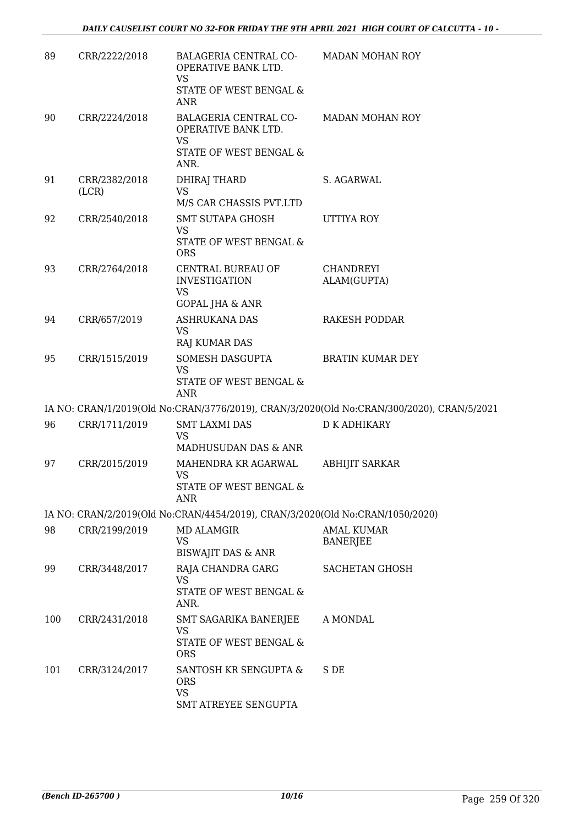| 89  | CRR/2222/2018          | BALAGERIA CENTRAL CO-<br>OPERATIVE BANK LTD.<br><b>VS</b><br>STATE OF WEST BENGAL &<br><b>ANR</b> | <b>MADAN MOHAN ROY</b>                                                                    |
|-----|------------------------|---------------------------------------------------------------------------------------------------|-------------------------------------------------------------------------------------------|
| 90  | CRR/2224/2018          | BALAGERIA CENTRAL CO-<br>OPERATIVE BANK LTD.<br><b>VS</b><br>STATE OF WEST BENGAL &<br>ANR.       | <b>MADAN MOHAN ROY</b>                                                                    |
| 91  | CRR/2382/2018<br>(LCR) | DHIRAJ THARD<br><b>VS</b><br>M/S CAR CHASSIS PVT.LTD                                              | S. AGARWAL                                                                                |
| 92  | CRR/2540/2018          | <b>SMT SUTAPA GHOSH</b><br>VS<br>STATE OF WEST BENGAL &<br><b>ORS</b>                             | UTTIYA ROY                                                                                |
| 93  | CRR/2764/2018          | CENTRAL BUREAU OF<br><b>INVESTIGATION</b><br>VS<br><b>GOPAL JHA &amp; ANR</b>                     | CHANDREYI<br>ALAM(GUPTA)                                                                  |
| 94  | CRR/657/2019           | <b>ASHRUKANA DAS</b><br><b>VS</b><br><b>RAJ KUMAR DAS</b>                                         | <b>RAKESH PODDAR</b>                                                                      |
| 95  | CRR/1515/2019          | SOMESH DASGUPTA<br><b>VS</b><br>STATE OF WEST BENGAL &<br><b>ANR</b>                              | <b>BRATIN KUMAR DEY</b>                                                                   |
|     |                        |                                                                                                   | IA NO: CRAN/1/2019(Old No:CRAN/3776/2019), CRAN/3/2020(Old No:CRAN/300/2020), CRAN/5/2021 |
| 96  | CRR/1711/2019          | <b>SMT LAXMI DAS</b><br><b>VS</b><br>MADHUSUDAN DAS & ANR                                         | <b>D K ADHIKARY</b>                                                                       |
| 97  | CRR/2015/2019          | MAHENDRA KR AGARWAL<br><b>VS</b><br>STATE OF WEST BENGAL &<br>ANR                                 | <b>ABHIJIT SARKAR</b>                                                                     |
|     |                        | IA NO: CRAN/2/2019(Old No:CRAN/4454/2019), CRAN/3/2020(Old No:CRAN/1050/2020)                     |                                                                                           |
| 98  | CRR/2199/2019          | <b>MD ALAMGIR</b><br><b>VS</b><br>BISWAJIT DAS & ANR                                              | <b>AMAL KUMAR</b><br><b>BANERJEE</b>                                                      |
| 99  | CRR/3448/2017          | RAJA CHANDRA GARG<br><b>VS</b><br>STATE OF WEST BENGAL &<br>ANR.                                  | <b>SACHETAN GHOSH</b>                                                                     |
| 100 | CRR/2431/2018          | SMT SAGARIKA BANERJEE<br>VS.<br>STATE OF WEST BENGAL &<br><b>ORS</b>                              | A MONDAL                                                                                  |
| 101 | CRR/3124/2017          | SANTOSH KR SENGUPTA &<br><b>ORS</b><br><b>VS</b><br>SMT ATREYEE SENGUPTA                          | S DE                                                                                      |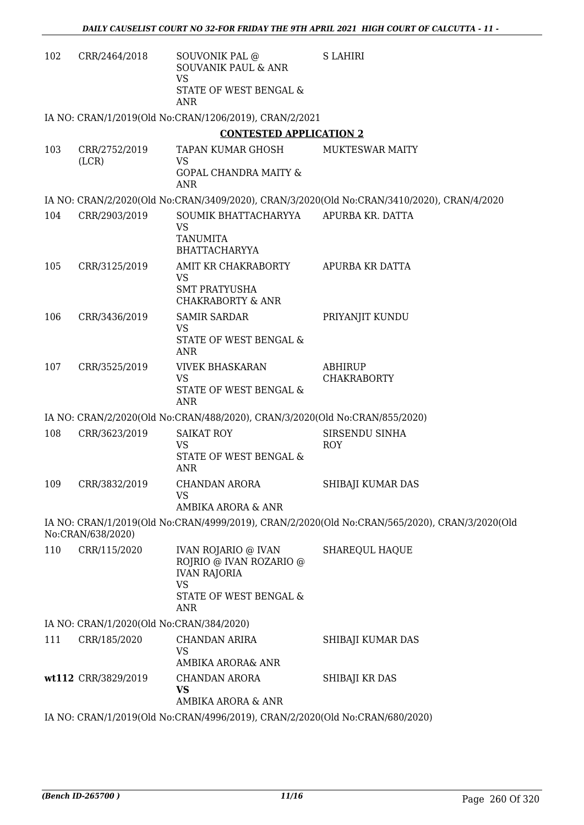| 102 | CRR/2464/2018                            | SOUVONIK PAL @<br><b>SOUVANIK PAUL &amp; ANR</b><br><b>VS</b><br>STATE OF WEST BENGAL &  | <b>S LAHIRI</b>                                                                               |
|-----|------------------------------------------|------------------------------------------------------------------------------------------|-----------------------------------------------------------------------------------------------|
|     |                                          | ANR                                                                                      |                                                                                               |
|     |                                          | IA NO: CRAN/1/2019(Old No:CRAN/1206/2019), CRAN/2/2021                                   |                                                                                               |
|     |                                          | <b>CONTESTED APPLICATION 2</b>                                                           |                                                                                               |
| 103 | CRR/2752/2019<br>(LCR)                   | TAPAN KUMAR GHOSH<br><b>VS</b>                                                           | <b>MUKTESWAR MAITY</b>                                                                        |
|     |                                          | <b>GOPAL CHANDRA MAITY &amp;</b><br><b>ANR</b>                                           |                                                                                               |
|     |                                          |                                                                                          | IA NO: CRAN/2/2020(Old No:CRAN/3409/2020), CRAN/3/2020(Old No:CRAN/3410/2020), CRAN/4/2020    |
| 104 | CRR/2903/2019                            | SOUMIK BHATTACHARYYA<br>VS<br><b>TANUMITA</b><br><b>BHATTACHARYYA</b>                    | APURBA KR. DATTA                                                                              |
| 105 | CRR/3125/2019                            | AMIT KR CHAKRABORTY<br><b>VS</b><br><b>SMT PRATYUSHA</b><br><b>CHAKRABORTY &amp; ANR</b> | APURBA KR DATTA                                                                               |
| 106 | CRR/3436/2019                            | <b>SAMIR SARDAR</b><br><b>VS</b><br>STATE OF WEST BENGAL &<br>ANR                        | PRIYANJIT KUNDU                                                                               |
| 107 | CRR/3525/2019                            | <b>VIVEK BHASKARAN</b><br><b>VS</b><br>STATE OF WEST BENGAL &<br><b>ANR</b>              | <b>ABHIRUP</b><br><b>CHAKRABORTY</b>                                                          |
|     |                                          | IA NO: CRAN/2/2020(Old No:CRAN/488/2020), CRAN/3/2020(Old No:CRAN/855/2020)              |                                                                                               |
| 108 | CRR/3623/2019                            | <b>SAIKAT ROY</b><br>VS<br>STATE OF WEST BENGAL &<br>ANR                                 | SIRSENDU SINHA<br><b>ROY</b>                                                                  |
| 109 | CRR/3832/2019                            | CHANDAN ARORA<br><b>VS</b><br>AMBIKA ARORA & ANR                                         | SHIBAJI KUMAR DAS                                                                             |
|     | No:CRAN/638/2020)                        |                                                                                          | IA NO: CRAN/1/2019(Old No:CRAN/4999/2019), CRAN/2/2020(Old No:CRAN/565/2020), CRAN/3/2020(Old |
| 110 | CRR/115/2020                             | <b>IVAN ROJARIO @ IVAN</b><br>ROJRIO @ IVAN ROZARIO @<br><b>IVAN RAJORIA</b>             | SHAREQUL HAQUE                                                                                |
|     |                                          | VS<br>STATE OF WEST BENGAL &<br>ANR                                                      |                                                                                               |
|     | IA NO: CRAN/1/2020(Old No:CRAN/384/2020) |                                                                                          |                                                                                               |
| 111 | CRR/185/2020                             | CHANDAN ARIRA<br>VS                                                                      | SHIBAJI KUMAR DAS                                                                             |
|     |                                          | AMBIKA ARORA& ANR                                                                        |                                                                                               |
|     | wt112 CRR/3829/2019                      | CHANDAN ARORA<br><b>VS</b><br>AMBIKA ARORA & ANR                                         | SHIBAJI KR DAS                                                                                |
|     |                                          | IA NO: CRAN/1/2019(Old No:CRAN/4996/2019), CRAN/2/2020(Old No:CRAN/680/2020)             |                                                                                               |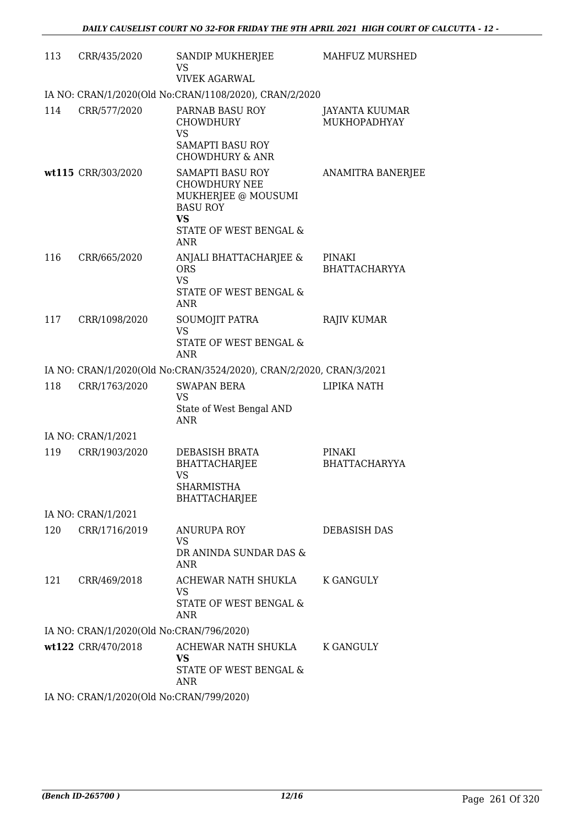| 113 | CRR/435/2020                             | SANDIP MUKHERJEE<br>VS<br><b>VIVEK AGARWAL</b>                                                                                          | MAHFUZ MURSHED                        |
|-----|------------------------------------------|-----------------------------------------------------------------------------------------------------------------------------------------|---------------------------------------|
|     |                                          | IA NO: CRAN/1/2020(Old No:CRAN/1108/2020), CRAN/2/2020                                                                                  |                                       |
| 114 | CRR/577/2020                             | PARNAB BASU ROY<br><b>CHOWDHURY</b><br><b>VS</b><br><b>SAMAPTI BASU ROY</b><br><b>CHOWDHURY &amp; ANR</b>                               | JAYANTA KUUMAR<br><b>MUKHOPADHYAY</b> |
|     | wt115 CRR/303/2020                       | SAMAPTI BASU ROY<br><b>CHOWDHURY NEE</b><br>MUKHERJEE @ MOUSUMI<br><b>BASU ROY</b><br><b>VS</b><br>STATE OF WEST BENGAL &<br><b>ANR</b> | <b>ANAMITRA BANERJEE</b>              |
| 116 | CRR/665/2020                             | ANJALI BHATTACHARJEE &<br><b>ORS</b><br><b>VS</b><br>STATE OF WEST BENGAL &<br><b>ANR</b>                                               | PINAKI<br><b>BHATTACHARYYA</b>        |
| 117 | CRR/1098/2020                            | SOUMOJIT PATRA<br><b>VS</b><br>STATE OF WEST BENGAL &<br>ANR                                                                            | <b>RAJIV KUMAR</b>                    |
|     |                                          | IA NO: CRAN/1/2020(Old No:CRAN/3524/2020), CRAN/2/2020, CRAN/3/2021                                                                     |                                       |
| 118 | CRR/1763/2020                            | <b>SWAPAN BERA</b><br>VS<br>State of West Bengal AND<br><b>ANR</b>                                                                      | LIPIKA NATH                           |
|     | IA NO: CRAN/1/2021                       |                                                                                                                                         |                                       |
| 119 | CRR/1903/2020                            | DEBASISH BRATA<br>BHATTACHARJEE<br><b>VS</b><br>SHARMISTHA<br>BHATTACHARJEE                                                             | <b>PINAKI</b><br><b>BHATTACHARYYA</b> |
|     | IA NO: CRAN/1/2021                       |                                                                                                                                         |                                       |
| 120 | CRR/1716/2019                            | <b>ANURUPA ROY</b><br>VS.<br>DR ANINDA SUNDAR DAS &<br>ANR                                                                              | DEBASISH DAS                          |
| 121 | CRR/469/2018                             | ACHEWAR NATH SHUKLA<br><b>VS</b><br>STATE OF WEST BENGAL &<br>ANR                                                                       | K GANGULY                             |
|     | IA NO: CRAN/1/2020(Old No:CRAN/796/2020) |                                                                                                                                         |                                       |
|     | wt122 CRR/470/2018                       | ACHEWAR NATH SHUKLA<br><b>VS</b><br>STATE OF WEST BENGAL &<br><b>ANR</b>                                                                | <b>K GANGULY</b>                      |
|     | IA NO: CRAN/1/2020(Old No:CRAN/799/2020) |                                                                                                                                         |                                       |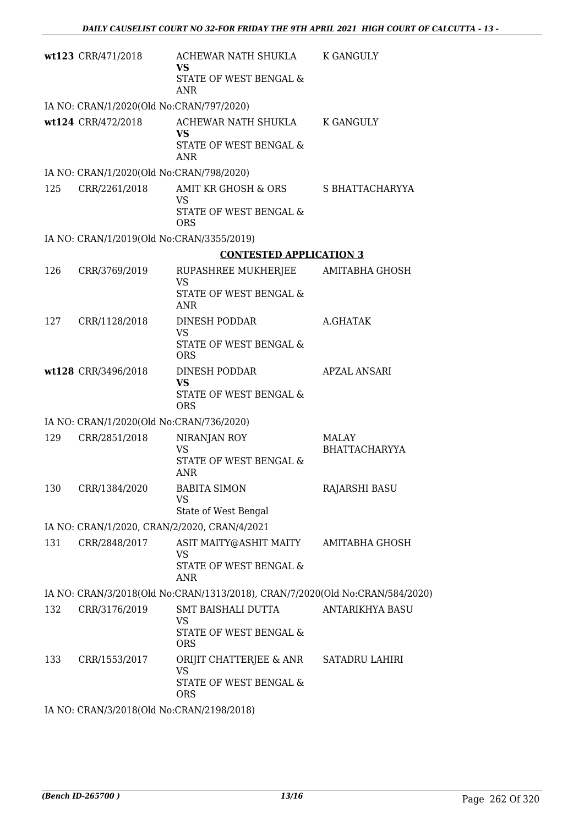|     | wt123 CRR/471/2018                           | ACHEWAR NATH SHUKLA<br><b>VS</b>                                             | K GANGULY              |
|-----|----------------------------------------------|------------------------------------------------------------------------------|------------------------|
|     |                                              | STATE OF WEST BENGAL &<br><b>ANR</b>                                         |                        |
|     | IA NO: CRAN/1/2020(Old No:CRAN/797/2020)     |                                                                              |                        |
|     | wt124 CRR/472/2018                           | ACHEWAR NATH SHUKLA<br>VS<br>STATE OF WEST BENGAL &<br><b>ANR</b>            | <b>K GANGULY</b>       |
|     | IA NO: CRAN/1/2020(Old No:CRAN/798/2020)     |                                                                              |                        |
| 125 | CRR/2261/2018                                | AMIT KR GHOSH & ORS                                                          | S BHATTACHARYYA        |
|     |                                              | <b>VS</b><br>STATE OF WEST BENGAL &<br><b>ORS</b>                            |                        |
|     | IA NO: CRAN/1/2019(Old No:CRAN/3355/2019)    |                                                                              |                        |
|     |                                              | <b>CONTESTED APPLICATION 3</b>                                               |                        |
| 126 | CRR/3769/2019                                | RUPASHREE MUKHERJEE                                                          | AMITABHA GHOSH         |
|     |                                              | <b>VS</b><br>STATE OF WEST BENGAL &<br><b>ANR</b>                            |                        |
| 127 | CRR/1128/2018                                | DINESH PODDAR                                                                | A.GHATAK               |
|     |                                              | <b>VS</b><br>STATE OF WEST BENGAL &<br><b>ORS</b>                            |                        |
|     | wt128 CRR/3496/2018                          | DINESH PODDAR<br><b>VS</b>                                                   | <b>APZAL ANSARI</b>    |
|     |                                              | STATE OF WEST BENGAL &<br><b>ORS</b>                                         |                        |
|     | IA NO: CRAN/1/2020(Old No:CRAN/736/2020)     |                                                                              |                        |
| 129 | CRR/2851/2018                                | NIRANJAN ROY                                                                 | MALAY                  |
|     |                                              | <b>VS</b><br>STATE OF WEST BENGAL &<br><b>ANR</b>                            | <b>BHATTACHARYYA</b>   |
| 130 | CRR/1384/2020                                | <b>BABITA SIMON</b><br><b>VS</b>                                             | RAJARSHI BASU          |
|     |                                              | State of West Bengal                                                         |                        |
|     | IA NO: CRAN/1/2020, CRAN/2/2020, CRAN/4/2021 |                                                                              |                        |
| 131 | CRR/2848/2017                                | ASIT MAITY@ASHIT MAITY<br>VS<br>STATE OF WEST BENGAL &                       | AMITABHA GHOSH         |
|     |                                              | ANR                                                                          |                        |
|     |                                              | IA NO: CRAN/3/2018(Old No:CRAN/1313/2018), CRAN/7/2020(Old No:CRAN/584/2020) |                        |
| 132 | CRR/3176/2019                                | SMT BAISHALI DUTTA                                                           | <b>ANTARIKHYA BASU</b> |
|     |                                              | VS<br>STATE OF WEST BENGAL &<br><b>ORS</b>                                   |                        |
| 133 | CRR/1553/2017                                | ORIJIT CHATTERJEE & ANR                                                      | SATADRU LAHIRI         |
|     |                                              | <b>VS</b><br>STATE OF WEST BENGAL &                                          |                        |
|     |                                              | <b>ORS</b>                                                                   |                        |
|     | IA NO: CRAN/3/2018(Old No:CRAN/2198/2018)    |                                                                              |                        |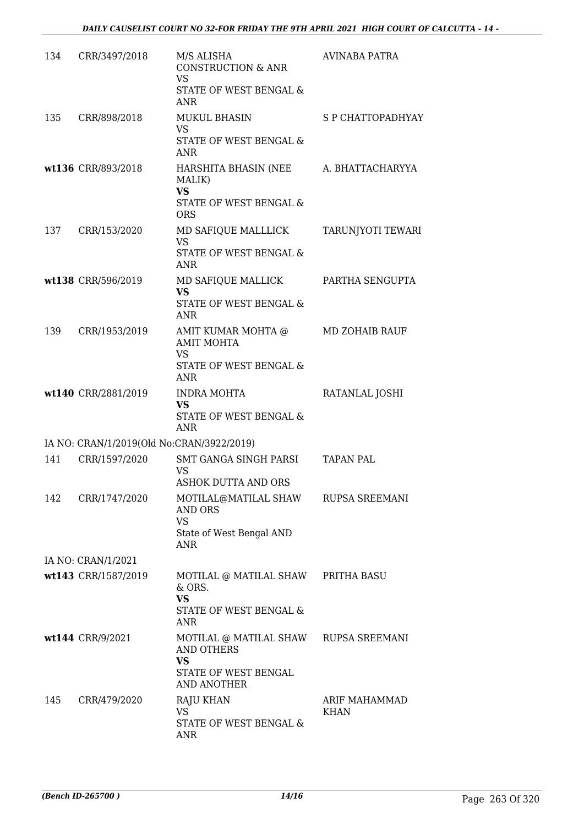| 134 | CRR/3497/2018                             | M/S ALISHA<br><b>CONSTRUCTION &amp; ANR</b><br><b>VS</b><br>STATE OF WEST BENGAL &                                    | <b>AVINABA PATRA</b>  |
|-----|-------------------------------------------|-----------------------------------------------------------------------------------------------------------------------|-----------------------|
|     |                                           | ANR                                                                                                                   |                       |
| 135 | CRR/898/2018                              | <b>MUKUL BHASIN</b><br>VS.<br>STATE OF WEST BENGAL &<br><b>ANR</b>                                                    | S P CHATTOPADHYAY     |
|     | wt136 CRR/893/2018                        | HARSHITA BHASIN (NEE<br>MALIK)<br><b>VS</b>                                                                           | A. BHATTACHARYYA      |
|     |                                           | STATE OF WEST BENGAL &<br><b>ORS</b>                                                                                  |                       |
| 137 | CRR/153/2020                              | MD SAFIQUE MALLLICK<br><b>VS</b><br>STATE OF WEST BENGAL &<br><b>ANR</b>                                              | TARUNJYOTI TEWARI     |
|     | wt138 CRR/596/2019                        | MD SAFIQUE MALLICK<br>VS<br>STATE OF WEST BENGAL &<br>ANR                                                             | PARTHA SENGUPTA       |
| 139 | CRR/1953/2019                             | AMIT KUMAR MOHTA @<br><b>AMIT MOHTA</b><br>VS<br>STATE OF WEST BENGAL &<br>ANR                                        | MD ZOHAIB RAUF        |
|     | wt140 CRR/2881/2019                       | <b>INDRA MOHTA</b><br><b>VS</b><br>STATE OF WEST BENGAL &<br>ANR                                                      | RATANLAL JOSHI        |
|     | IA NO: CRAN/1/2019(Old No:CRAN/3922/2019) |                                                                                                                       |                       |
| 141 | CRR/1597/2020                             | SMT GANGA SINGH PARSI<br>VS<br><b>ASHOK DUTTA AND ORS</b>                                                             | <b>TAPAN PAL</b>      |
| 142 | CRR/1747/2020                             | MOTILAL@MATILAL SHAW RUPSA SREEMANI<br><b>AND ORS</b><br><b>VS</b><br>State of West Bengal AND<br><b>ANR</b>          |                       |
|     | IA NO: CRAN/1/2021                        |                                                                                                                       |                       |
|     | wt143 CRR/1587/2019                       | MOTILAL @ MATILAL SHAW PRITHA BASU<br>& ORS.<br><b>VS</b><br>STATE OF WEST BENGAL &<br>ANR                            |                       |
|     | wt144 CRR/9/2021                          | MOTILAL @ MATILAL SHAW RUPSA SREEMANI<br><b>AND OTHERS</b><br><b>VS</b><br>STATE OF WEST BENGAL<br><b>AND ANOTHER</b> |                       |
| 145 | CRR/479/2020                              | <b>RAJU KHAN</b><br><b>VS</b><br>STATE OF WEST BENGAL &<br>ANR                                                        | ARIF MAHAMMAD<br>KHAN |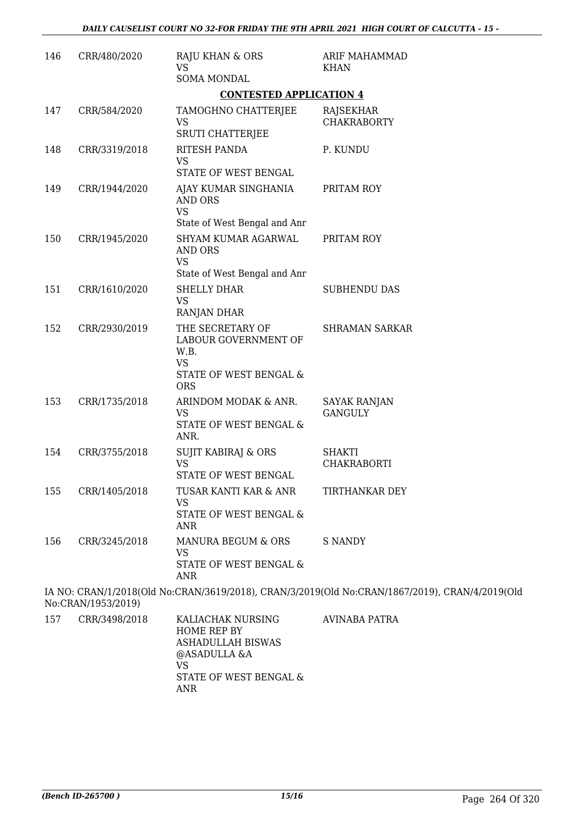| 146 | CRR/480/2020       | RAJU KHAN & ORS<br>VS                                                                                                | ARIF MAHAMMAD<br><b>KHAN</b>                                                                   |
|-----|--------------------|----------------------------------------------------------------------------------------------------------------------|------------------------------------------------------------------------------------------------|
|     |                    | <b>SOMA MONDAL</b>                                                                                                   |                                                                                                |
|     |                    | <b>CONTESTED APPLICATION 4</b>                                                                                       |                                                                                                |
| 147 | CRR/584/2020       | TAMOGHNO CHATTERJEE<br>VS                                                                                            | RAJSEKHAR<br><b>CHAKRABORTY</b>                                                                |
| 148 | CRR/3319/2018      | <b>SRUTI CHATTERJEE</b><br>RITESH PANDA<br><b>VS</b><br>STATE OF WEST BENGAL                                         | P. KUNDU                                                                                       |
| 149 | CRR/1944/2020      | AJAY KUMAR SINGHANIA<br><b>AND ORS</b><br><b>VS</b>                                                                  | PRITAM ROY                                                                                     |
| 150 | CRR/1945/2020      | State of West Bengal and Anr<br>SHYAM KUMAR AGARWAL<br><b>AND ORS</b><br><b>VS</b>                                   | PRITAM ROY                                                                                     |
| 151 | CRR/1610/2020      | State of West Bengal and Anr<br>SHELLY DHAR<br><b>VS</b>                                                             | <b>SUBHENDU DAS</b>                                                                            |
| 152 | CRR/2930/2019      | RANJAN DHAR<br>THE SECRETARY OF<br>LABOUR GOVERNMENT OF<br>W.B.<br><b>VS</b><br>STATE OF WEST BENGAL &<br><b>ORS</b> | <b>SHRAMAN SARKAR</b>                                                                          |
| 153 | CRR/1735/2018      | ARINDOM MODAK & ANR.<br><b>VS</b><br>STATE OF WEST BENGAL &<br>ANR.                                                  | <b>SAYAK RANJAN</b><br><b>GANGULY</b>                                                          |
| 154 | CRR/3755/2018      | <b>SUJIT KABIRAJ &amp; ORS</b><br><b>VS</b><br>STATE OF WEST BENGAL                                                  | <b>SHAKTI</b><br><b>CHAKRABORTI</b>                                                            |
| 155 | CRR/1405/2018      | TUSAR KANTI KAR & ANR<br><b>VS</b><br>STATE OF WEST BENGAL &<br><b>ANR</b>                                           | TIRTHANKAR DEY                                                                                 |
| 156 | CRR/3245/2018      | MANURA BEGUM & ORS<br><b>VS</b><br>STATE OF WEST BENGAL &<br><b>ANR</b>                                              | <b>S NANDY</b>                                                                                 |
|     | No:CRAN/1953/2019) |                                                                                                                      | IA NO: CRAN/1/2018(Old No:CRAN/3619/2018), CRAN/3/2019(Old No:CRAN/1867/2019), CRAN/4/2019(Old |
| 157 | CRR/3498/2018      | KALIACHAK NURSING                                                                                                    | <b>AVINABA PATRA</b>                                                                           |

| / כ | CRR/3498/2018 | KALIACHAK NURSING<br>HOME REP BY<br>ASHADULLAH BISWAS<br>@ASADULLA &A<br>VS<br>STATE OF WEST BENGAL & | AVINABA PATRA |
|-----|---------------|-------------------------------------------------------------------------------------------------------|---------------|
|     |               | ANR                                                                                                   |               |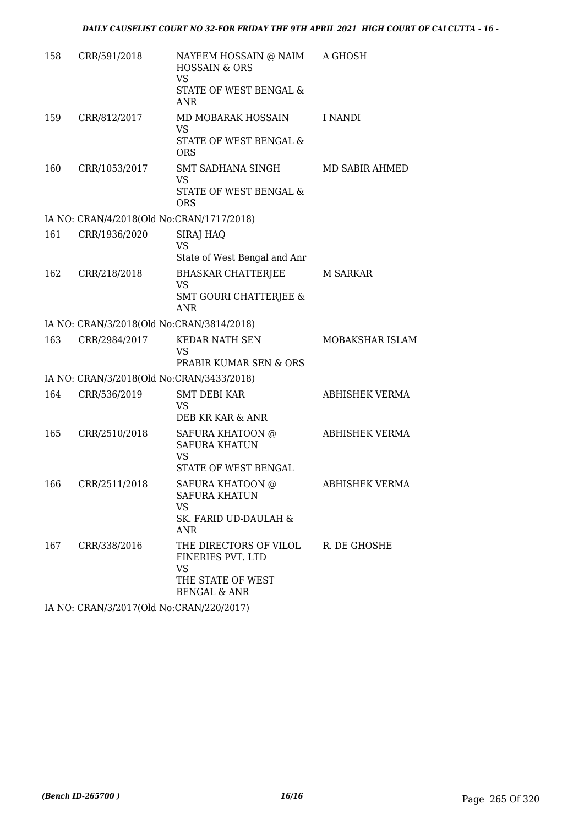| 158 | CRR/591/2018                              | NAYEEM HOSSAIN @ NAIM<br><b>HOSSAIN &amp; ORS</b><br><b>VS</b>                                    | A GHOSH         |
|-----|-------------------------------------------|---------------------------------------------------------------------------------------------------|-----------------|
|     |                                           | STATE OF WEST BENGAL &<br><b>ANR</b>                                                              |                 |
| 159 | CRR/812/2017                              | MD MOBARAK HOSSAIN<br><b>VS</b><br>STATE OF WEST BENGAL &<br><b>ORS</b>                           | I NANDI         |
| 160 | CRR/1053/2017                             | SMT SADHANA SINGH<br><b>VS</b><br>STATE OF WEST BENGAL &<br><b>ORS</b>                            | MD SABIR AHMED  |
|     | IA NO: CRAN/4/2018(Old No:CRAN/1717/2018) |                                                                                                   |                 |
| 161 | CRR/1936/2020                             | SIRAJ HAQ<br><b>VS</b><br>State of West Bengal and Anr                                            |                 |
| 162 | CRR/218/2018                              | <b>BHASKAR CHATTERJEE</b><br><b>VS</b><br><b>SMT GOURI CHATTERIEE &amp;</b><br><b>ANR</b>         | <b>M SARKAR</b> |
|     | IA NO: CRAN/3/2018(Old No:CRAN/3814/2018) |                                                                                                   |                 |
| 163 | CRR/2984/2017                             | <b>KEDAR NATH SEN</b><br><b>VS</b><br>PRABIR KUMAR SEN & ORS                                      | MOBAKSHAR ISLAM |
|     | IA NO: CRAN/3/2018(Old No:CRAN/3433/2018) |                                                                                                   |                 |
| 164 | CRR/536/2019                              | SMT DEBI KAR<br><b>VS</b><br>DEB KR KAR & ANR                                                     | ABHISHEK VERMA  |
| 165 | CRR/2510/2018                             | SAFURA KHATOON @<br><b>SAFURA KHATUN</b><br><b>VS</b><br><b>STATE OF WEST BENGAL</b>              | ABHISHEK VERMA  |
| 166 | CRR/2511/2018                             | SAFURA KHATOON @<br><b>SAFURA KHATUN</b><br><b>VS</b><br>SK. FARID UD-DAULAH &<br>ANR             | ABHISHEK VERMA  |
| 167 | CRR/338/2016                              | THE DIRECTORS OF VILOL<br>FINERIES PVT. LTD<br>VS<br>THE STATE OF WEST<br><b>BENGAL &amp; ANR</b> | R. DE GHOSHE    |
|     |                                           |                                                                                                   |                 |

IA NO: CRAN/3/2017(Old No:CRAN/220/2017)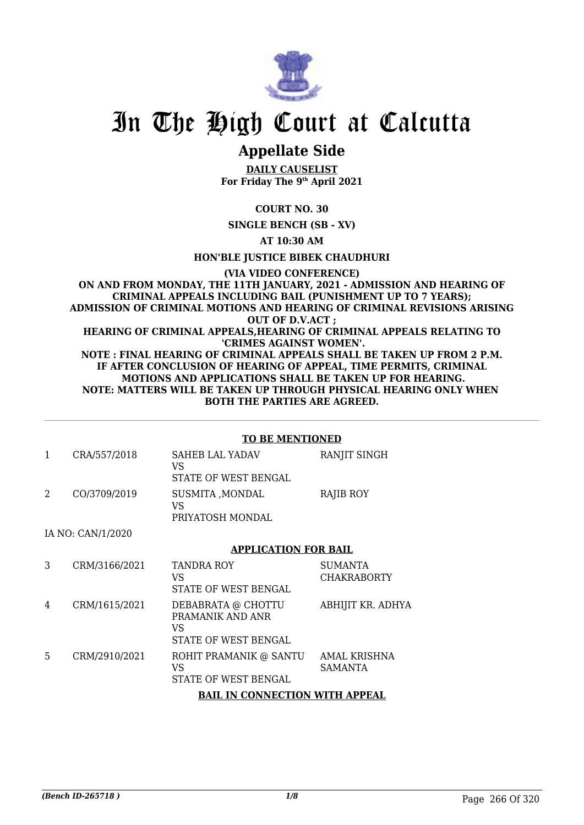

# In The High Court at Calcutta

## **Appellate Side**

**DAILY CAUSELIST For Friday The 9th April 2021**

**COURT NO. 30**

**SINGLE BENCH (SB - XV)**

**AT 10:30 AM**

**HON'BLE JUSTICE BIBEK CHAUDHURI**

**(VIA VIDEO CONFERENCE) ON AND FROM MONDAY, THE 11TH JANUARY, 2021 - ADMISSION AND HEARING OF CRIMINAL APPEALS INCLUDING BAIL (PUNISHMENT UP TO 7 YEARS); ADMISSION OF CRIMINAL MOTIONS AND HEARING OF CRIMINAL REVISIONS ARISING OUT OF D.V.ACT ; HEARING OF CRIMINAL APPEALS,HEARING OF CRIMINAL APPEALS RELATING TO 'CRIMES AGAINST WOMEN'. NOTE : FINAL HEARING OF CRIMINAL APPEALS SHALL BE TAKEN UP FROM 2 P.M. IF AFTER CONCLUSION OF HEARING OF APPEAL, TIME PERMITS, CRIMINAL MOTIONS AND APPLICATIONS SHALL BE TAKEN UP FOR HEARING. NOTE: MATTERS WILL BE TAKEN UP THROUGH PHYSICAL HEARING ONLY WHEN BOTH THE PARTIES ARE AGREED.**

#### **TO BE MENTIONED**

| CRA/557/2018 | <b>SAHEB LAL YADAV</b><br>VS<br>STATE OF WEST BENGAL | <b>RANJIT SINGH</b> |
|--------------|------------------------------------------------------|---------------------|
| CO/3709/2019 | SUSMITA , MONDAL<br>VS<br>PRIYATOSH MONDAL           | RAJIB ROY           |

IA NO: CAN/1/2020

#### **APPLICATION FOR BAIL**

| 3 | CRM/3166/2021 | <b>TANDRA ROY</b><br>VS<br>STATE OF WEST BENGAL                      | SUMANTA<br><b>CHAKRABORTY</b> |
|---|---------------|----------------------------------------------------------------------|-------------------------------|
| 4 | CRM/1615/2021 | DEBABRATA @ CHOTTU<br>PRAMANIK AND ANR<br>VS<br>STATE OF WEST BENGAL | ABHIJIT KR. ADHYA             |
| 5 | CRM/2910/2021 | ROHIT PRAMANIK @ SANTU<br>VS<br>STATE OF WEST BENGAL                 | AMAL KRISHNA<br>SAMANTA       |
|   |               | <b>BAIL IN CONNECTION WITH APPEAL</b>                                |                               |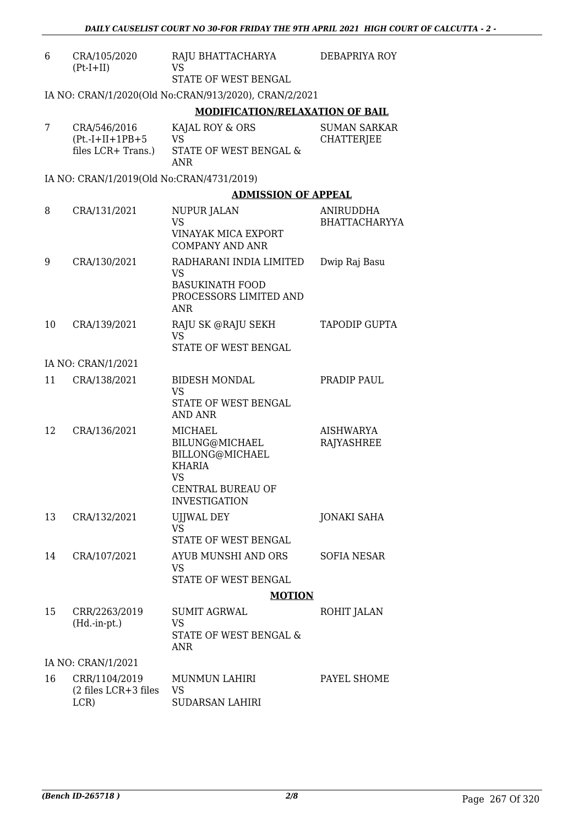| 6  | CRA/105/2020<br>$(Pt-I+II)$                   | RAJU BHATTACHARYA DEBAPRIYA ROY<br><b>VS</b>                                                                                          |                                   |
|----|-----------------------------------------------|---------------------------------------------------------------------------------------------------------------------------------------|-----------------------------------|
|    |                                               | STATE OF WEST BENGAL                                                                                                                  |                                   |
|    |                                               | IA NO: CRAN/1/2020(Old No:CRAN/913/2020), CRAN/2/2021                                                                                 |                                   |
|    |                                               | <b>MODIFICATION/RELAXATION OF BAIL</b>                                                                                                |                                   |
| 7  | CRA/546/2016<br>$(Pt.-I+II+1PB+5$             | KAJAL ROY & ORS<br><b>VS</b>                                                                                                          | <b>SUMAN SARKAR</b><br>CHATTERJEE |
|    | files LCR+ Trans.)                            | STATE OF WEST BENGAL &<br><b>ANR</b>                                                                                                  |                                   |
|    | IA NO: CRAN/1/2019(Old No:CRAN/4731/2019)     |                                                                                                                                       |                                   |
|    |                                               | <b>ADMISSION OF APPEAL</b>                                                                                                            |                                   |
| 8  | CRA/131/2021                                  | NUPUR JALAN<br><b>VS</b>                                                                                                              | ANIRUDDHA<br><b>BHATTACHARYYA</b> |
|    |                                               | <b>VINAYAK MICA EXPORT</b><br><b>COMPANY AND ANR</b>                                                                                  |                                   |
| 9  | CRA/130/2021                                  | RADHARANI INDIA LIMITED<br><b>VS</b>                                                                                                  | Dwip Raj Basu                     |
|    |                                               | <b>BASUKINATH FOOD</b><br>PROCESSORS LIMITED AND<br><b>ANR</b>                                                                        |                                   |
| 10 | CRA/139/2021                                  | RAJU SK @RAJU SEKH<br><b>VS</b>                                                                                                       | <b>TAPODIP GUPTA</b>              |
|    |                                               | STATE OF WEST BENGAL                                                                                                                  |                                   |
|    | IA NO: CRAN/1/2021                            |                                                                                                                                       |                                   |
| 11 | CRA/138/2021                                  | <b>BIDESH MONDAL</b><br>VS                                                                                                            | PRADIP PAUL                       |
|    |                                               | STATE OF WEST BENGAL<br>AND ANR                                                                                                       |                                   |
| 12 | CRA/136/2021                                  | <b>MICHAEL</b><br>BILUNG@MICHAEL<br>BILLONG@MICHAEL<br><b>KHARIA</b><br><b>VS</b><br><b>CENTRAL BUREAU OF</b><br><b>INVESTIGATION</b> | <b>AISHWARYA</b><br>RAJYASHREE    |
| 13 | CRA/132/2021                                  | <b>UJJWAL DEY</b>                                                                                                                     | <b>JONAKI SAHA</b>                |
|    |                                               | <b>VS</b><br>STATE OF WEST BENGAL                                                                                                     |                                   |
| 14 | CRA/107/2021                                  | AYUB MUNSHI AND ORS<br><b>VS</b>                                                                                                      | <b>SOFIA NESAR</b>                |
|    |                                               | STATE OF WEST BENGAL                                                                                                                  |                                   |
|    |                                               | <b>MOTION</b>                                                                                                                         |                                   |
| 15 | CRR/2263/2019<br>$(Hd.-in-pt.)$               | <b>SUMIT AGRWAL</b><br>VS                                                                                                             | ROHIT JALAN                       |
|    |                                               | STATE OF WEST BENGAL &<br>ANR                                                                                                         |                                   |
|    | IA NO: CRAN/1/2021                            |                                                                                                                                       |                                   |
| 16 | CRR/1104/2019<br>(2 files LCR+3 files<br>LCR) | MUNMUN LAHIRI<br><b>VS</b><br>SUDARSAN LAHIRI                                                                                         | PAYEL SHOME                       |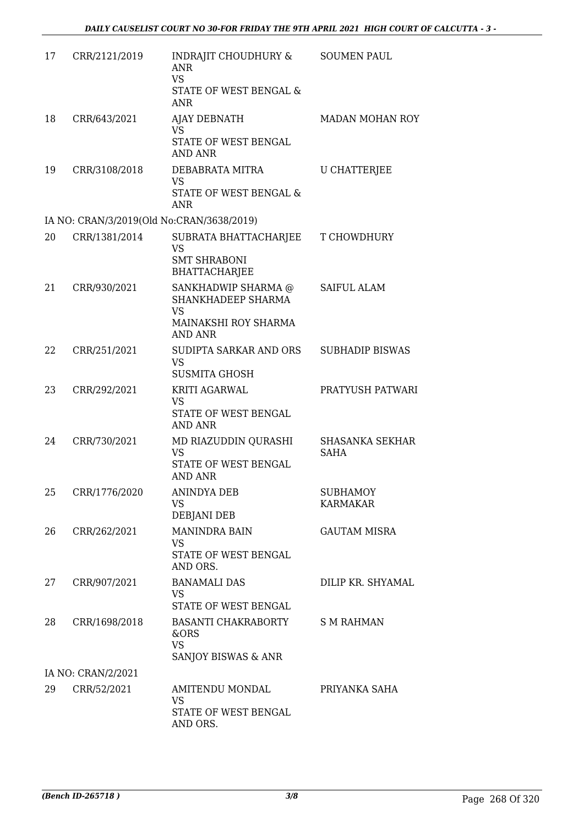| 17 | CRR/2121/2019                             | INDRAJIT CHOUDHURY &<br><b>ANR</b><br><b>VS</b><br>STATE OF WEST BENGAL &<br><b>ANR</b>          | <b>SOUMEN PAUL</b>                 |
|----|-------------------------------------------|--------------------------------------------------------------------------------------------------|------------------------------------|
| 18 | CRR/643/2021                              | <b>AJAY DEBNATH</b><br><b>VS</b><br>STATE OF WEST BENGAL<br><b>AND ANR</b>                       | MADAN MOHAN ROY                    |
| 19 | CRR/3108/2018                             | DEBABRATA MITRA<br><b>VS</b><br>STATE OF WEST BENGAL &<br><b>ANR</b>                             | <b>U CHATTERJEE</b>                |
|    | IA NO: CRAN/3/2019(Old No:CRAN/3638/2019) |                                                                                                  |                                    |
| 20 | CRR/1381/2014                             | SUBRATA BHATTACHARJEE<br><b>VS</b><br><b>SMT SHRABONI</b><br><b>BHATTACHARJEE</b>                | T CHOWDHURY                        |
| 21 | CRR/930/2021                              | SANKHADWIP SHARMA @<br>SHANKHADEEP SHARMA<br><b>VS</b><br>MAINAKSHI ROY SHARMA<br><b>AND ANR</b> | <b>SAIFUL ALAM</b>                 |
| 22 | CRR/251/2021                              | SUDIPTA SARKAR AND ORS<br><b>VS</b><br><b>SUSMITA GHOSH</b>                                      | <b>SUBHADIP BISWAS</b>             |
| 23 | CRR/292/2021                              | <b>KRITI AGARWAL</b><br><b>VS</b><br>STATE OF WEST BENGAL<br><b>AND ANR</b>                      | PRATYUSH PATWARI                   |
| 24 | CRR/730/2021                              | MD RIAZUDDIN QURASHI<br><b>VS</b><br><b>STATE OF WEST BENGAL</b><br>AND ANR                      | <b>SHASANKA SEKHAR</b><br>SAHA     |
| 25 | CRR/1776/2020                             | <b>ANINDYA DEB</b><br><b>VS</b><br>DEBJANI DEB                                                   | <b>SUBHAMOY</b><br><b>KARMAKAR</b> |
| 26 | CRR/262/2021                              | <b>MANINDRA BAIN</b><br><b>VS</b><br>STATE OF WEST BENGAL<br>AND ORS.                            | <b>GAUTAM MISRA</b>                |
| 27 | CRR/907/2021                              | <b>BANAMALI DAS</b><br>VS<br>STATE OF WEST BENGAL                                                | DILIP KR. SHYAMAL                  |
| 28 | CRR/1698/2018                             | BASANTI CHAKRABORTY<br>&ORS<br><b>VS</b><br>SANJOY BISWAS & ANR                                  | S M RAHMAN                         |
|    | IA NO: CRAN/2/2021                        |                                                                                                  |                                    |
| 29 | CRR/52/2021                               | AMITENDU MONDAL<br><b>VS</b><br>STATE OF WEST BENGAL<br>AND ORS.                                 | PRIYANKA SAHA                      |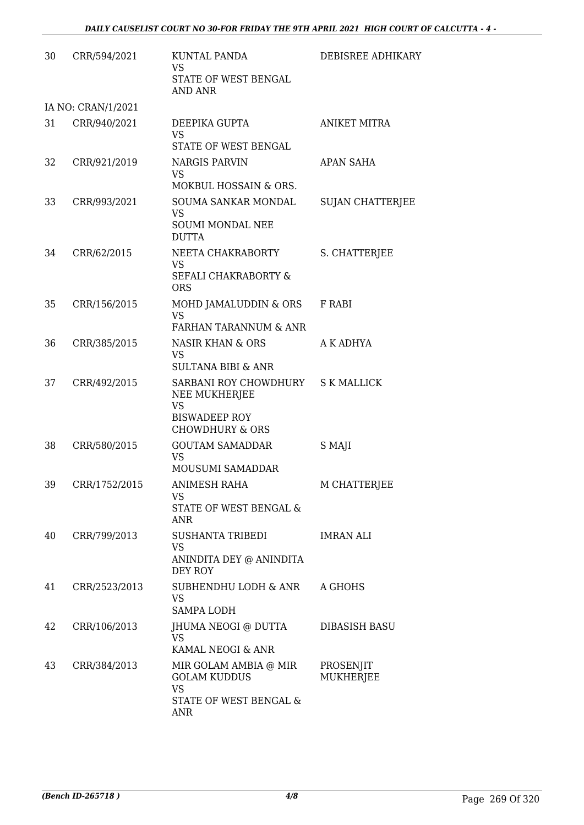| 30 | CRR/594/2021       | <b>KUNTAL PANDA</b><br><b>VS</b><br>STATE OF WEST BENGAL<br><b>AND ANR</b>                                | <b>DEBISREE ADHIKARY</b> |
|----|--------------------|-----------------------------------------------------------------------------------------------------------|--------------------------|
|    | IA NO: CRAN/1/2021 |                                                                                                           |                          |
| 31 | CRR/940/2021       | DEEPIKA GUPTA<br><b>VS</b><br>STATE OF WEST BENGAL                                                        | <b>ANIKET MITRA</b>      |
| 32 | CRR/921/2019       | <b>NARGIS PARVIN</b><br>VS<br>MOKBUL HOSSAIN & ORS.                                                       | APAN SAHA                |
| 33 | CRR/993/2021       | SOUMA SANKAR MONDAL<br><b>VS</b><br><b>SOUMI MONDAL NEE</b><br><b>DUTTA</b>                               | <b>SUJAN CHATTERJEE</b>  |
| 34 | CRR/62/2015        | NEETA CHAKRABORTY<br><b>VS</b><br><b>SEFALI CHAKRABORTY &amp;</b><br><b>ORS</b>                           | S. CHATTERJEE            |
| 35 | CRR/156/2015       | MOHD JAMALUDDIN & ORS<br><b>VS</b><br>FARHAN TARANNUM & ANR                                               | F RABI                   |
| 36 | CRR/385/2015       | <b>NASIR KHAN &amp; ORS</b><br><b>VS</b><br><b>SULTANA BIBI &amp; ANR</b>                                 | A K ADHYA                |
| 37 | CRR/492/2015       | SARBANI ROY CHOWDHURY<br>NEE MUKHERJEE<br><b>VS</b><br><b>BISWADEEP ROY</b><br><b>CHOWDHURY &amp; ORS</b> | <b>S K MALLICK</b>       |
| 38 | CRR/580/2015       | <b>GOUTAM SAMADDAR</b><br><b>VS</b><br><b>MOUSUMI SAMADDAR</b>                                            | S MAJI                   |
| 39 | CRR/1752/2015      | ANIMESH RAHA<br><b>VS</b><br>STATE OF WEST BENGAL &<br>ANR                                                | M CHATTERJEE             |
| 40 | CRR/799/2013       | <b>SUSHANTA TRIBEDI</b><br>VS<br>ANINDITA DEY @ ANINDITA<br>DEY ROY                                       | <b>IMRAN ALI</b>         |
| 41 | CRR/2523/2013      | SUBHENDHU LODH & ANR<br><b>VS</b><br><b>SAMPA LODH</b>                                                    | A GHOHS                  |
| 42 | CRR/106/2013       | JHUMA NEOGI @ DUTTA<br>VS.<br>KAMAL NEOGI & ANR                                                           | DIBASISH BASU            |
| 43 | CRR/384/2013       | MIR GOLAM AMBIA @ MIR<br><b>GOLAM KUDDUS</b><br><b>VS</b><br>STATE OF WEST BENGAL &<br>ANR                | PROSENJIT<br>MUKHERJEE   |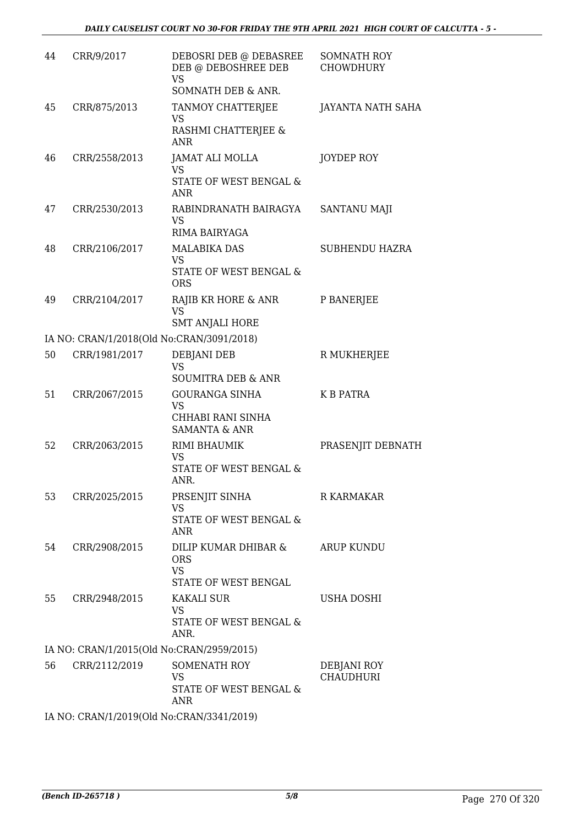| 44 | CRR/9/2017    | DEBOSRI DEB @ DEBASREE<br>DEB @ DEBOSHREE DEB<br><b>VS</b><br>SOMNATH DEB & ANR.    | SOMNATH ROY<br><b>CHOWDHURY</b> |
|----|---------------|-------------------------------------------------------------------------------------|---------------------------------|
| 45 | CRR/875/2013  | TANMOY CHATTERJEE<br><b>VS</b><br>RASHMI CHATTERJEE &<br><b>ANR</b>                 | JAYANTA NATH SAHA               |
| 46 | CRR/2558/2013 | JAMAT ALI MOLLA<br>VS<br>STATE OF WEST BENGAL &<br><b>ANR</b>                       | <b>JOYDEP ROY</b>               |
| 47 | CRR/2530/2013 | RABINDRANATH BAIRAGYA<br><b>VS</b><br>RIMA BAIRYAGA                                 | SANTANU MAJI                    |
| 48 | CRR/2106/2017 | <b>MALABIKA DAS</b><br><b>VS</b><br>STATE OF WEST BENGAL &<br><b>ORS</b>            | <b>SUBHENDU HAZRA</b>           |
| 49 | CRR/2104/2017 | RAJIB KR HORE & ANR<br><b>VS</b><br><b>SMT ANJALI HORE</b>                          | P BANERJEE                      |
|    |               | IA NO: CRAN/1/2018(Old No:CRAN/3091/2018)                                           |                                 |
| 50 | CRR/1981/2017 | DEBJANI DEB<br><b>VS</b><br><b>SOUMITRA DEB &amp; ANR</b>                           | R MUKHERJEE                     |
| 51 | CRR/2067/2015 | <b>GOURANGA SINHA</b><br><b>VS</b><br>CHHABI RANI SINHA<br><b>SAMANTA &amp; ANR</b> | <b>K B PATRA</b>                |
| 52 | CRR/2063/2015 | RIMI BHAUMIK<br><b>VS</b><br>STATE OF WEST BENGAL &<br>ANR.                         | PRASENJIT DEBNATH               |
| 53 | CRR/2025/2015 | PRSENJIT SINHA<br><b>VS</b><br>STATE OF WEST BENGAL &<br>ANR                        | R KARMAKAR                      |
| 54 | CRR/2908/2015 | DILIP KUMAR DHIBAR &<br><b>ORS</b><br><b>VS</b><br>STATE OF WEST BENGAL             | <b>ARUP KUNDU</b>               |
| 55 | CRR/2948/2015 | <b>KAKALI SUR</b><br><b>VS</b><br>STATE OF WEST BENGAL &<br>ANR.                    | <b>USHA DOSHI</b>               |
|    |               | IA NO: CRAN/1/2015(Old No:CRAN/2959/2015)                                           |                                 |
| 56 | CRR/2112/2019 | SOMENATH ROY<br><b>VS</b><br>STATE OF WEST BENGAL &<br>ANR                          | DEBJANI ROY<br><b>CHAUDHURI</b> |
|    |               | IA NO: CRAN/1/2019(Old No:CRAN/3341/2019)                                           |                                 |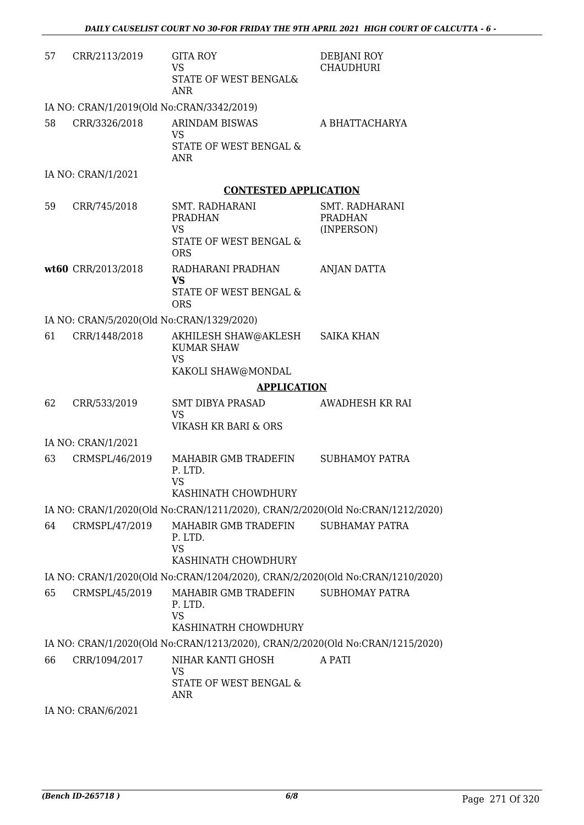| 57 | CRR/2113/2019                             | <b>GITA ROY</b><br><b>VS</b><br>STATE OF WEST BENGAL&<br><b>ANR</b>             | DEBJANI ROY<br><b>CHAUDHURI</b>                |
|----|-------------------------------------------|---------------------------------------------------------------------------------|------------------------------------------------|
|    | IA NO: CRAN/1/2019(Old No:CRAN/3342/2019) |                                                                                 |                                                |
| 58 | CRR/3326/2018                             | <b>ARINDAM BISWAS</b><br>VS<br>STATE OF WEST BENGAL &<br><b>ANR</b>             | A BHATTACHARYA                                 |
|    | IA NO: CRAN/1/2021                        |                                                                                 |                                                |
|    |                                           | <b>CONTESTED APPLICATION</b>                                                    |                                                |
| 59 | CRR/745/2018                              | SMT. RADHARANI<br><b>PRADHAN</b><br>VS.<br>STATE OF WEST BENGAL &<br><b>ORS</b> | SMT. RADHARANI<br><b>PRADHAN</b><br>(INPERSON) |
|    | wt60 CRR/2013/2018                        | RADHARANI PRADHAN<br><b>VS</b><br>STATE OF WEST BENGAL &<br><b>ORS</b>          | ANJAN DATTA                                    |
|    | IA NO: CRAN/5/2020(Old No:CRAN/1329/2020) |                                                                                 |                                                |
| 61 | CRR/1448/2018                             | AKHILESH SHAW@AKLESH<br><b>KUMAR SHAW</b><br><b>VS</b><br>KAKOLI SHAW@MONDAL    | <b>SAIKA KHAN</b>                              |
|    |                                           | <b>APPLICATION</b>                                                              |                                                |
| 62 | CRR/533/2019                              | SMT DIBYA PRASAD<br><b>VS</b><br>VIKASH KR BARI & ORS                           | AWADHESH KR RAI                                |
|    | IA NO: CRAN/1/2021                        |                                                                                 |                                                |
| 63 | CRMSPL/46/2019                            | MAHABIR GMB TRADEFIN<br>P. LTD.<br>VS<br>KASHINATH CHOWDHURY                    | <b>SUBHAMOY PATRA</b>                          |
|    |                                           | IA NO: CRAN/1/2020(Old No:CRAN/1211/2020), CRAN/2/2020(Old No:CRAN/1212/2020)   |                                                |
| 64 | CRMSPL/47/2019                            | MAHABIR GMB TRADEFIN<br>P. LTD.<br><b>VS</b><br>KASHINATH CHOWDHURY             | <b>SUBHAMAY PATRA</b>                          |
|    |                                           | IA NO: CRAN/1/2020(Old No:CRAN/1204/2020), CRAN/2/2020(Old No:CRAN/1210/2020)   |                                                |
| 65 | CRMSPL/45/2019                            | MAHABIR GMB TRADEFIN<br>P. LTD.<br><b>VS</b><br>KASHINATRH CHOWDHURY            | <b>SUBHOMAY PATRA</b>                          |
|    |                                           | IA NO: CRAN/1/2020(Old No:CRAN/1213/2020), CRAN/2/2020(Old No:CRAN/1215/2020)   |                                                |
| 66 | CRR/1094/2017                             | NIHAR KANTI GHOSH<br>VS<br>STATE OF WEST BENGAL &<br><b>ANR</b>                 | A PATI                                         |
|    | IA NO: CRAN/6/2021                        |                                                                                 |                                                |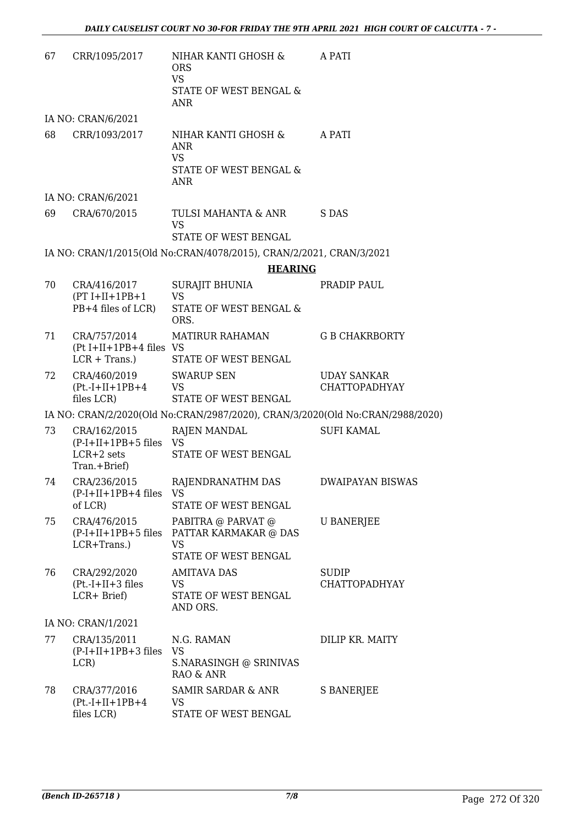| 67 | CRR/1095/2017                                                              | NIHAR KANTI GHOSH &<br><b>ORS</b><br><b>VS</b><br>STATE OF WEST BENGAL &<br><b>ANR</b> | A PATI                                     |
|----|----------------------------------------------------------------------------|----------------------------------------------------------------------------------------|--------------------------------------------|
|    | IA NO: CRAN/6/2021                                                         |                                                                                        |                                            |
| 68 | CRR/1093/2017                                                              | NIHAR KANTI GHOSH &<br><b>ANR</b><br><b>VS</b><br>STATE OF WEST BENGAL &<br>ANR        | A PATI                                     |
|    | IA NO: CRAN/6/2021                                                         |                                                                                        |                                            |
| 69 | CRA/670/2015                                                               | TULSI MAHANTA & ANR<br><b>VS</b><br>STATE OF WEST BENGAL                               | S DAS                                      |
|    |                                                                            | IA NO: CRAN/1/2015(Old No:CRAN/4078/2015), CRAN/2/2021, CRAN/3/2021                    |                                            |
|    |                                                                            | <b>HEARING</b>                                                                         |                                            |
| 70 | CRA/416/2017<br>$(PT I+II+1PB+1$<br>PB+4 files of LCR)                     | <b>SURAJIT BHUNIA</b><br><b>VS</b><br>STATE OF WEST BENGAL &<br>ORS.                   | PRADIP PAUL                                |
| 71 | CRA/757/2014<br>$(Pt I+II+1PB+4 files VS)$<br>$LCR + Trans.$ )             | MATIRUR RAHAMAN<br>STATE OF WEST BENGAL                                                | <b>G B CHAKRBORTY</b>                      |
| 72 | CRA/460/2019<br>$(Pt.-I+II+1PB+4$<br>files LCR)                            | <b>SWARUP SEN</b><br><b>VS</b><br>STATE OF WEST BENGAL                                 | <b>UDAY SANKAR</b><br><b>CHATTOPADHYAY</b> |
|    |                                                                            | IA NO: CRAN/2/2020(Old No:CRAN/2987/2020), CRAN/3/2020(Old No:CRAN/2988/2020)          |                                            |
| 73 | CRA/162/2015<br>$(P-I+II+1PB+5$ files $VS$<br>$LCR+2$ sets<br>Tran.+Brief) | <b>RAJEN MANDAL</b><br>STATE OF WEST BENGAL                                            | <b>SUFI KAMAL</b>                          |
| 74 | CRA/236/2015<br>$(P-I+II+1PB+4$ files<br>of LCR)                           | RAJENDRANATHM DAS<br>VS<br>STATE OF WEST BENGAL                                        | <b>DWAIPAYAN BISWAS</b>                    |
| 75 | CRA/476/2015<br>$(P-I+II+1PB+5$ files<br>LCR+Trans.)                       | PABITRA @ PARVAT @<br>PATTAR KARMAKAR @ DAS<br>VS<br>STATE OF WEST BENGAL              | <b>U BANERJEE</b>                          |
| 76 | CRA/292/2020<br>$(Pt.-I+II+3 files$<br>LCR+ Brief)                         | <b>AMITAVA DAS</b><br>VS<br>STATE OF WEST BENGAL<br>AND ORS.                           | <b>SUDIP</b><br><b>CHATTOPADHYAY</b>       |
|    | IA NO: CRAN/1/2021                                                         |                                                                                        |                                            |
| 77 | CRA/135/2011<br>$(P-I+II+1PB+3$ files<br>LCR)                              | N.G. RAMAN<br><b>VS</b><br>S.NARASINGH @ SRINIVAS<br>RAO & ANR                         | DILIP KR. MAITY                            |
| 78 | CRA/377/2016<br>$(Pt.-I+II+1PB+4$<br>files LCR)                            | SAMIR SARDAR & ANR<br>VS<br>STATE OF WEST BENGAL                                       | S BANERJEE                                 |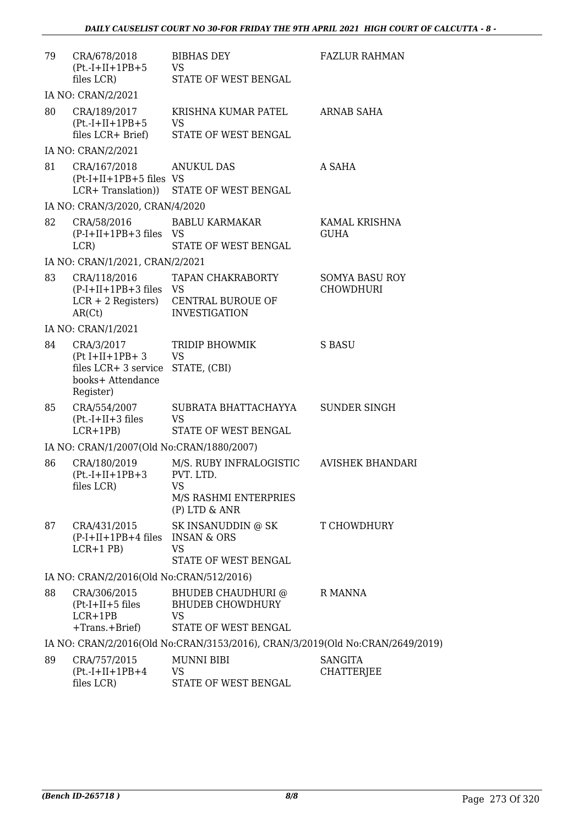| 79 | CRA/678/2018<br>$(Pt.-I+II+1PB+5$<br>files LCR)                                                       | <b>BIBHAS DEY</b><br>VS<br>STATE OF WEST BENGAL                                   | <b>FAZLUR RAHMAN</b>                      |
|----|-------------------------------------------------------------------------------------------------------|-----------------------------------------------------------------------------------|-------------------------------------------|
|    | IA NO: CRAN/2/2021                                                                                    |                                                                                   |                                           |
| 80 | CRA/189/2017<br>$(Pt.-I+II+1PB+5$<br>files LCR+ Brief)                                                | KRISHNA KUMAR PATEL<br><b>VS</b><br>STATE OF WEST BENGAL                          | ARNAB SAHA                                |
|    | IA NO: CRAN/2/2021                                                                                    |                                                                                   |                                           |
| 81 | CRA/167/2018 ANUKUL DAS<br>$(Pt-I+II+1PB+5$ files VS                                                  | LCR+ Translation)) STATE OF WEST BENGAL                                           | A SAHA                                    |
|    | IA NO: CRAN/3/2020, CRAN/4/2020                                                                       |                                                                                   |                                           |
| 82 | $(P-I+II+1PB+3$ files VS<br>LCR)                                                                      | CRA/58/2016 BABLU KARMAKAR<br>STATE OF WEST BENGAL                                | KAMAL KRISHNA<br><b>GUHA</b>              |
|    | IA NO: CRAN/1/2021, CRAN/2/2021                                                                       |                                                                                   |                                           |
| 83 | CRA/118/2016<br>(P-I+II+1PB+3 files VS<br>AR(Ct)                                                      | TAPAN CHAKRABORTY<br>LCR + 2 Registers) CENTRAL BUROUE OF<br><b>INVESTIGATION</b> | <b>SOMYA BASU ROY</b><br><b>CHOWDHURI</b> |
|    | IA NO: CRAN/1/2021                                                                                    |                                                                                   |                                           |
| 84 | CRA/3/2017<br>$(Pt I+II+1PB+3$<br>files LCR+ 3 service STATE, (CBI)<br>books+ Attendance<br>Register) | TRIDIP BHOWMIK<br><b>VS</b>                                                       | S BASU                                    |
| 85 | CRA/554/2007<br>$(Pt.-I+II+3 files$<br>$LCR+1PB$                                                      | SUBRATA BHATTACHAYYA<br><b>VS</b><br>STATE OF WEST BENGAL                         | SUNDER SINGH                              |
|    | IA NO: CRAN/1/2007(Old No:CRAN/1880/2007)                                                             |                                                                                   |                                           |
| 86 | CRA/180/2019<br>$(Pt.-I+II+1PB+3$ PVT. LTD.<br>files LCR)                                             | M/S. RUBY INFRALOGISTIC<br>VS<br>M/S RASHMI ENTERPRIES<br>$(P)$ LTD & ANR         | <b>AVISHEK BHANDARI</b>                   |
| 87 | CRA/431/2015<br>$(P-I+II+1PB+4$ files<br>$LCR+1$ PB)                                                  | SK INSANUDDIN @ SK<br><b>INSAN &amp; ORS</b><br><b>VS</b><br>STATE OF WEST BENGAL | T CHOWDHURY                               |
|    | IA NO: CRAN/2/2016(Old No:CRAN/512/2016)                                                              |                                                                                   |                                           |
| 88 | CRA/306/2015<br>$(Pt-I+II+5$ files<br>$LCR+1PB$<br>$+Trans.+Brief)$                                   | BHUDEB CHAUDHURI @<br><b>BHUDEB CHOWDHURY</b><br>VS<br>STATE OF WEST BENGAL       | R MANNA                                   |
|    |                                                                                                       | IA NO: CRAN/2/2016(Old No:CRAN/3153/2016), CRAN/3/2019(Old No:CRAN/2649/2019)     |                                           |
| 89 | CRA/757/2015<br>$(Pt.-I+II+1PB+4$<br>files LCR)                                                       | <b>MUNNI BIBI</b><br>VS<br>STATE OF WEST BENGAL                                   | <b>SANGITA</b><br>CHATTERJEE              |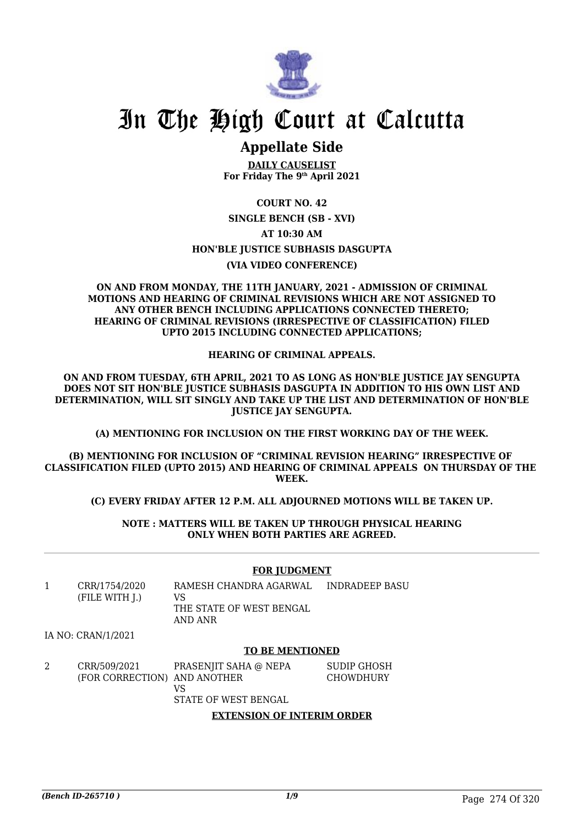

## In The High Court at Calcutta

### **Appellate Side**

**DAILY CAUSELIST For Friday The 9th April 2021**

### **COURT NO. 42 SINGLE BENCH (SB - XVI) AT 10:30 AM HON'BLE JUSTICE SUBHASIS DASGUPTA (VIA VIDEO CONFERENCE)**

#### **ON AND FROM MONDAY, THE 11TH JANUARY, 2021 - ADMISSION OF CRIMINAL MOTIONS AND HEARING OF CRIMINAL REVISIONS WHICH ARE NOT ASSIGNED TO ANY OTHER BENCH INCLUDING APPLICATIONS CONNECTED THERETO; HEARING OF CRIMINAL REVISIONS (IRRESPECTIVE OF CLASSIFICATION) FILED UPTO 2015 INCLUDING CONNECTED APPLICATIONS;**

#### **HEARING OF CRIMINAL APPEALS.**

**ON AND FROM TUESDAY, 6TH APRIL, 2021 TO AS LONG AS HON'BLE JUSTICE JAY SENGUPTA DOES NOT SIT HON'BLE JUSTICE SUBHASIS DASGUPTA IN ADDITION TO HIS OWN LIST AND DETERMINATION, WILL SIT SINGLY AND TAKE UP THE LIST AND DETERMINATION OF HON'BLE JUSTICE JAY SENGUPTA.**

**(A) MENTIONING FOR INCLUSION ON THE FIRST WORKING DAY OF THE WEEK.**

**(B) MENTIONING FOR INCLUSION OF "CRIMINAL REVISION HEARING" IRRESPECTIVE OF CLASSIFICATION FILED (UPTO 2015) AND HEARING OF CRIMINAL APPEALS ON THURSDAY OF THE WEEK.**

**(C) EVERY FRIDAY AFTER 12 P.M. ALL ADJOURNED MOTIONS WILL BE TAKEN UP.**

**NOTE : MATTERS WILL BE TAKEN UP THROUGH PHYSICAL HEARING ONLY WHEN BOTH PARTIES ARE AGREED.**

#### **FOR JUDGMENT**

1 CRR/1754/2020 (FILE WITH J.) RAMESH CHANDRA AGARWAL VS THE STATE OF WEST BENGAL AND ANR INDRADEEP BASU

#### IA NO: CRAN/1/2021

#### **TO BE MENTIONED**

2 CRR/509/2021 (FOR CORRECTION) AND ANOTHER PRASENJIT SAHA @ NEPA VS SUDIP GHOSH **CHOWDHURY** 

STATE OF WEST BENGAL

#### **EXTENSION OF INTERIM ORDER**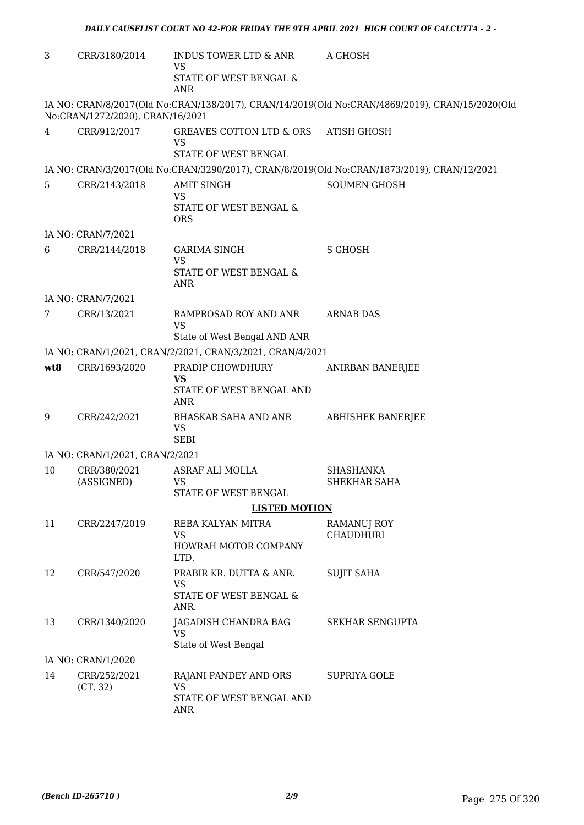| 3   | CRR/3180/2014                    | INDUS TOWER LTD & ANR<br>VS                               | A GHOSH                                                                                         |
|-----|----------------------------------|-----------------------------------------------------------|-------------------------------------------------------------------------------------------------|
|     |                                  | STATE OF WEST BENGAL &<br><b>ANR</b>                      |                                                                                                 |
|     | No:CRAN/1272/2020), CRAN/16/2021 |                                                           | IA NO: CRAN/8/2017(Old No:CRAN/138/2017), CRAN/14/2019(Old No:CRAN/4869/2019), CRAN/15/2020(Old |
| 4   | CRR/912/2017                     | GREAVES COTTON LTD & ORS<br>VS                            | <b>ATISH GHOSH</b>                                                                              |
|     |                                  | STATE OF WEST BENGAL                                      |                                                                                                 |
|     |                                  |                                                           | IA NO: CRAN/3/2017(Old No:CRAN/3290/2017), CRAN/8/2019(Old No:CRAN/1873/2019), CRAN/12/2021     |
| 5   | CRR/2143/2018                    | <b>AMIT SINGH</b><br>VS<br>STATE OF WEST BENGAL &         | <b>SOUMEN GHOSH</b>                                                                             |
|     |                                  | <b>ORS</b>                                                |                                                                                                 |
|     | IA NO: CRAN/7/2021               |                                                           |                                                                                                 |
| 6   | CRR/2144/2018                    | <b>GARIMA SINGH</b><br>VS                                 | <b>S GHOSH</b>                                                                                  |
|     |                                  | STATE OF WEST BENGAL &<br><b>ANR</b>                      |                                                                                                 |
|     | IA NO: CRAN/7/2021               |                                                           |                                                                                                 |
| 7   | CRR/13/2021                      | RAMPROSAD ROY AND ANR<br>VS                               | <b>ARNAB DAS</b>                                                                                |
|     |                                  | State of West Bengal AND ANR                              |                                                                                                 |
|     |                                  | IA NO: CRAN/1/2021, CRAN/2/2021, CRAN/3/2021, CRAN/4/2021 |                                                                                                 |
| wt8 | CRR/1693/2020                    | PRADIP CHOWDHURY<br><b>VS</b>                             | <b>ANIRBAN BANERJEE</b>                                                                         |
|     |                                  | STATE OF WEST BENGAL AND<br><b>ANR</b>                    |                                                                                                 |
| 9   | CRR/242/2021                     | BHASKAR SAHA AND ANR<br><b>VS</b><br><b>SEBI</b>          | <b>ABHISHEK BANERJEE</b>                                                                        |
|     | IA NO: CRAN/1/2021, CRAN/2/2021  |                                                           |                                                                                                 |
| 10  | CRR/380/2021                     | ASRAF ALI MOLLA                                           | <b>SHASHANKA</b>                                                                                |
|     | (ASSIGNED)                       | VS                                                        | SHEKHAR SAHA                                                                                    |
|     |                                  | STATE OF WEST BENGAL                                      |                                                                                                 |
|     |                                  | <b>LISTED MOTION</b>                                      |                                                                                                 |
| 11  | CRR/2247/2019                    | REBA KALYAN MITRA<br>VS                                   | RAMANUJ ROY<br><b>CHAUDHURI</b>                                                                 |
|     |                                  | HOWRAH MOTOR COMPANY<br>LTD.                              |                                                                                                 |
| 12  | CRR/547/2020                     | PRABIR KR. DUTTA & ANR.<br>VS                             | <b>SUJIT SAHA</b>                                                                               |
|     |                                  | STATE OF WEST BENGAL &<br>ANR.                            |                                                                                                 |
| 13  | CRR/1340/2020                    | JAGADISH CHANDRA BAG<br><b>VS</b>                         | <b>SEKHAR SENGUPTA</b>                                                                          |
|     |                                  | State of West Bengal                                      |                                                                                                 |
|     | IA NO: CRAN/1/2020               |                                                           |                                                                                                 |
| 14  | CRR/252/2021<br>(CT. 32)         | RAJANI PANDEY AND ORS<br><b>VS</b>                        | <b>SUPRIYA GOLE</b>                                                                             |
|     |                                  | STATE OF WEST BENGAL AND<br>ANR                           |                                                                                                 |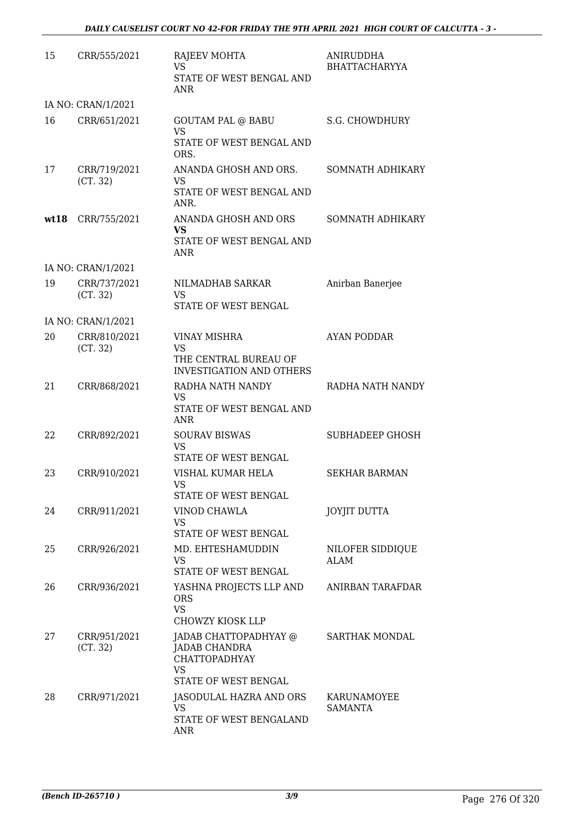| 15   | CRR/555/2021             | RAJEEV MOHTA<br><b>VS</b><br>STATE OF WEST BENGAL AND<br><b>ANR</b>                                        | <b>ANIRUDDHA</b><br><b>BHATTACHARYYA</b> |
|------|--------------------------|------------------------------------------------------------------------------------------------------------|------------------------------------------|
|      | IA NO: CRAN/1/2021       |                                                                                                            |                                          |
| 16   | CRR/651/2021             | <b>GOUTAM PAL @ BABU</b><br><b>VS</b><br>STATE OF WEST BENGAL AND<br>ORS.                                  | <b>S.G. CHOWDHURY</b>                    |
| 17   | CRR/719/2021<br>(CT. 32) | ANANDA GHOSH AND ORS.<br><b>VS</b><br>STATE OF WEST BENGAL AND<br>ANR.                                     | SOMNATH ADHIKARY                         |
| wt18 | CRR/755/2021             | ANANDA GHOSH AND ORS<br><b>VS</b><br>STATE OF WEST BENGAL AND<br><b>ANR</b>                                | SOMNATH ADHIKARY                         |
|      | IA NO: CRAN/1/2021       |                                                                                                            |                                          |
| 19   | CRR/737/2021<br>(CT. 32) | NILMADHAB SARKAR<br>VS<br><b>STATE OF WEST BENGAL</b>                                                      | Anirban Banerjee                         |
|      | IA NO: CRAN/1/2021       |                                                                                                            |                                          |
| 20   | CRR/810/2021<br>(CT. 32) | <b>VINAY MISHRA</b><br><b>VS</b><br>THE CENTRAL BUREAU OF<br><b>INVESTIGATION AND OTHERS</b>               | <b>AYAN PODDAR</b>                       |
| 21   | CRR/868/2021             | RADHA NATH NANDY<br><b>VS</b><br>STATE OF WEST BENGAL AND<br><b>ANR</b>                                    | RADHA NATH NANDY                         |
| 22   | CRR/892/2021             | <b>SOURAV BISWAS</b><br><b>VS</b><br>STATE OF WEST BENGAL                                                  | <b>SUBHADEEP GHOSH</b>                   |
| 23   | CRR/910/2021             | VISHAL KUMAR HELA<br>VS.<br>STATE OF WEST BENGAL                                                           | <b>SEKHAR BARMAN</b>                     |
| 24   | CRR/911/2021             | VINOD CHAWLA<br>VS<br>STATE OF WEST BENGAL                                                                 | <b>JOYJIT DUTTA</b>                      |
| 25   | CRR/926/2021             | MD. EHTESHAMUDDIN<br><b>VS</b><br>STATE OF WEST BENGAL                                                     | NILOFER SIDDIQUE<br>ALAM                 |
| 26   | CRR/936/2021             | YASHNA PROJECTS LLP AND<br><b>ORS</b><br><b>VS</b><br><b>CHOWZY KIOSK LLP</b>                              | ANIRBAN TARAFDAR                         |
| 27   | CRR/951/2021<br>(CT. 32) | JADAB CHATTOPADHYAY @<br><b>JADAB CHANDRA</b><br><b>CHATTOPADHYAY</b><br><b>VS</b><br>STATE OF WEST BENGAL | SARTHAK MONDAL                           |
| 28   | CRR/971/2021             | <b>JASODULAL HAZRA AND ORS</b><br><b>VS</b><br>STATE OF WEST BENGALAND<br><b>ANR</b>                       | KARUNAMOYEE<br><b>SAMANTA</b>            |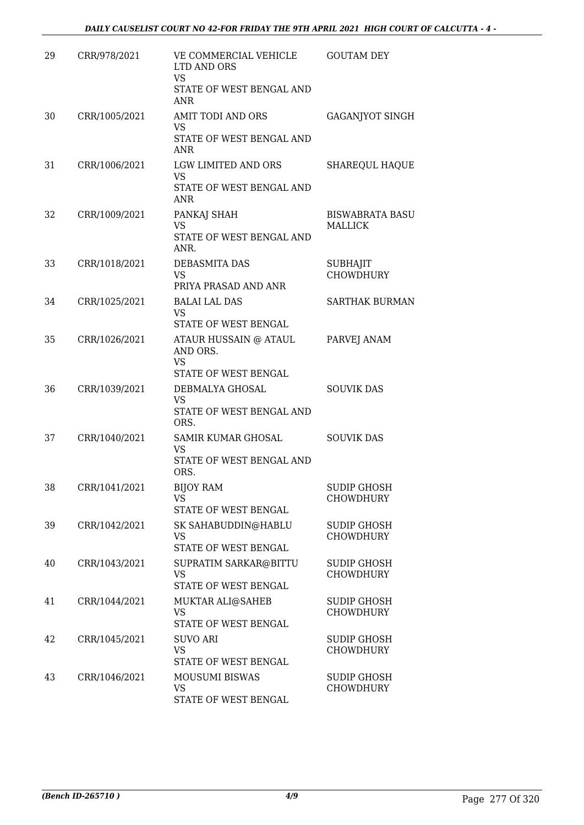| 29 | CRR/978/2021  | VE COMMERCIAL VEHICLE<br>LTD AND ORS<br><b>VS</b><br>STATE OF WEST BENGAL AND<br><b>ANR</b> | <b>GOUTAM DEY</b>                        |
|----|---------------|---------------------------------------------------------------------------------------------|------------------------------------------|
| 30 | CRR/1005/2021 | <b>AMIT TODI AND ORS</b><br>VS<br>STATE OF WEST BENGAL AND<br>ANR                           | GAGANJYOT SINGH                          |
| 31 | CRR/1006/2021 | LGW LIMITED AND ORS<br><b>VS</b><br>STATE OF WEST BENGAL AND<br><b>ANR</b>                  | <b>SHAREQUL HAQUE</b>                    |
| 32 | CRR/1009/2021 | PANKAJ SHAH<br><b>VS</b><br>STATE OF WEST BENGAL AND<br>ANR.                                | <b>BISWABRATA BASU</b><br><b>MALLICK</b> |
| 33 | CRR/1018/2021 | DEBASMITA DAS<br><b>VS</b><br>PRIYA PRASAD AND ANR                                          | <b>SUBHAJIT</b><br><b>CHOWDHURY</b>      |
| 34 | CRR/1025/2021 | <b>BALAI LAL DAS</b><br><b>VS</b><br>STATE OF WEST BENGAL                                   | <b>SARTHAK BURMAN</b>                    |
| 35 | CRR/1026/2021 | ATAUR HUSSAIN @ ATAUL<br>AND ORS.<br>VS<br>STATE OF WEST BENGAL                             | PARVEJ ANAM                              |
| 36 | CRR/1039/2021 | DEBMALYA GHOSAL<br><b>VS</b><br>STATE OF WEST BENGAL AND<br>ORS.                            | <b>SOUVIK DAS</b>                        |
| 37 | CRR/1040/2021 | SAMIR KUMAR GHOSAL<br><b>VS</b><br>STATE OF WEST BENGAL AND<br>ORS.                         | <b>SOUVIK DAS</b>                        |
| 38 | CRR/1041/2021 | <b>BIJOY RAM</b><br>VS.<br><b>STATE OF WEST BENGAL</b>                                      | <b>SUDIP GHOSH</b><br><b>CHOWDHURY</b>   |
| 39 | CRR/1042/2021 | SK SAHABUDDIN@HABLU<br><b>VS</b><br>STATE OF WEST BENGAL                                    | <b>SUDIP GHOSH</b><br><b>CHOWDHURY</b>   |
| 40 | CRR/1043/2021 | SUPRATIM SARKAR@BITTU<br><b>VS</b><br>STATE OF WEST BENGAL                                  | SUDIP GHOSH<br><b>CHOWDHURY</b>          |
| 41 | CRR/1044/2021 | MUKTAR ALI@SAHEB<br><b>VS</b><br>STATE OF WEST BENGAL                                       | <b>SUDIP GHOSH</b><br><b>CHOWDHURY</b>   |
| 42 | CRR/1045/2021 | <b>SUVO ARI</b><br>VS<br>STATE OF WEST BENGAL                                               | <b>SUDIP GHOSH</b><br><b>CHOWDHURY</b>   |
| 43 | CRR/1046/2021 | <b>MOUSUMI BISWAS</b><br>VS<br>STATE OF WEST BENGAL                                         | <b>SUDIP GHOSH</b><br><b>CHOWDHURY</b>   |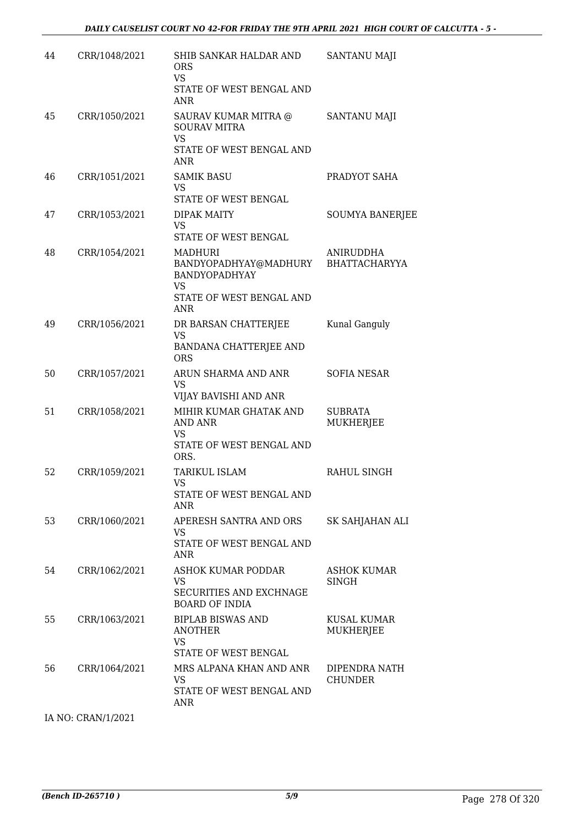| 44 | CRR/1048/2021      | SHIB SANKAR HALDAR AND<br><b>ORS</b><br><b>VS</b><br>STATE OF WEST BENGAL AND<br><b>ANR</b>                            | SANTANU MAJI                       |
|----|--------------------|------------------------------------------------------------------------------------------------------------------------|------------------------------------|
| 45 | CRR/1050/2021      | SAURAV KUMAR MITRA @<br><b>SOURAV MITRA</b><br><b>VS</b><br>STATE OF WEST BENGAL AND<br><b>ANR</b>                     | SANTANU MAJI                       |
| 46 | CRR/1051/2021      | <b>SAMIK BASU</b><br><b>VS</b><br>STATE OF WEST BENGAL                                                                 | PRADYOT SAHA                       |
| 47 | CRR/1053/2021      | <b>DIPAK MAITY</b><br><b>VS</b><br>STATE OF WEST BENGAL                                                                | <b>SOUMYA BANERJEE</b>             |
| 48 | CRR/1054/2021      | <b>MADHURI</b><br>BANDYOPADHYAY@MADHURY<br><b>BANDYOPADHYAY</b><br><b>VS</b><br>STATE OF WEST BENGAL AND<br><b>ANR</b> | ANIRUDDHA<br><b>BHATTACHARYYA</b>  |
| 49 | CRR/1056/2021      | DR BARSAN CHATTERJEE<br><b>VS</b><br>BANDANA CHATTERJEE AND<br><b>ORS</b>                                              | Kunal Ganguly                      |
| 50 | CRR/1057/2021      | ARUN SHARMA AND ANR<br><b>VS</b><br>VIJAY BAVISHI AND ANR                                                              | <b>SOFIA NESAR</b>                 |
| 51 | CRR/1058/2021      | MIHIR KUMAR GHATAK AND<br><b>AND ANR</b><br>VS<br>STATE OF WEST BENGAL AND<br>ORS.                                     | <b>SUBRATA</b><br><b>MUKHERJEE</b> |
| 52 | CRR/1059/2021      | <b>TARIKUL ISLAM</b><br>VS<br>STATE OF WEST BENGAL AND<br>ANR                                                          | RAHUL SINGH                        |
| 53 | CRR/1060/2021      | APERESH SANTRA AND ORS<br>VS.<br>STATE OF WEST BENGAL AND<br><b>ANR</b>                                                | SK SAHJAHAN ALI                    |
| 54 | CRR/1062/2021      | ASHOK KUMAR PODDAR<br>VS<br>SECURITIES AND EXCHNAGE<br><b>BOARD OF INDIA</b>                                           | <b>ASHOK KUMAR</b><br><b>SINGH</b> |
| 55 | CRR/1063/2021      | <b>BIPLAB BISWAS AND</b><br><b>ANOTHER</b><br><b>VS</b><br>STATE OF WEST BENGAL                                        | <b>KUSAL KUMAR</b><br>MUKHERJEE    |
| 56 | CRR/1064/2021      | MRS ALPANA KHAN AND ANR<br>VS.<br>STATE OF WEST BENGAL AND<br>ANR                                                      | DIPENDRA NATH<br><b>CHUNDER</b>    |
|    | IA NO: CRAN/1/2021 |                                                                                                                        |                                    |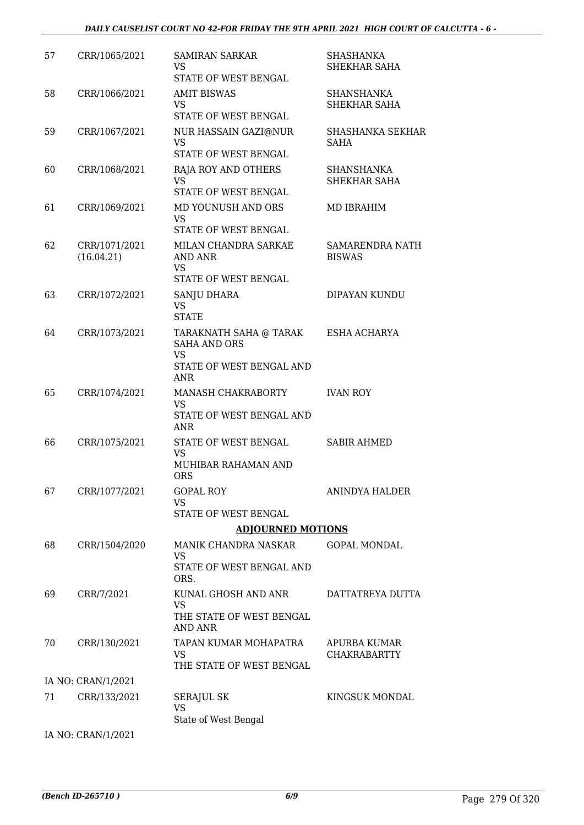| 57 | CRR/1065/2021               | <b>SAMIRAN SARKAR</b><br><b>VS</b><br>STATE OF WEST BENGAL                                           | <b>SHASHANKA</b><br>SHEKHAR SAHA        |
|----|-----------------------------|------------------------------------------------------------------------------------------------------|-----------------------------------------|
| 58 | CRR/1066/2021               | <b>AMIT BISWAS</b><br><b>VS</b><br>STATE OF WEST BENGAL                                              | SHANSHANKA<br><b>SHEKHAR SAHA</b>       |
| 59 | CRR/1067/2021               | NUR HASSAIN GAZI@NUR<br><b>VS</b><br>STATE OF WEST BENGAL                                            | <b>SHASHANKA SEKHAR</b><br><b>SAHA</b>  |
| 60 | CRR/1068/2021               | RAJA ROY AND OTHERS<br><b>VS</b><br>STATE OF WEST BENGAL                                             | SHANSHANKA<br>SHEKHAR SAHA              |
| 61 | CRR/1069/2021               | MD YOUNUSH AND ORS<br><b>VS</b><br>STATE OF WEST BENGAL                                              | MD IBRAHIM                              |
| 62 | CRR/1071/2021<br>(16.04.21) | MILAN CHANDRA SARKAE<br><b>AND ANR</b><br><b>VS</b><br>STATE OF WEST BENGAL                          | <b>SAMARENDRA NATH</b><br><b>BISWAS</b> |
| 63 | CRR/1072/2021               | SANJU DHARA<br><b>VS</b><br><b>STATE</b>                                                             | DIPAYAN KUNDU                           |
| 64 | CRR/1073/2021               | TARAKNATH SAHA @ TARAK<br><b>SAHA AND ORS</b><br><b>VS</b><br>STATE OF WEST BENGAL AND<br><b>ANR</b> | ESHA ACHARYA                            |
| 65 | CRR/1074/2021               | MANASH CHAKRABORTY<br><b>VS</b><br>STATE OF WEST BENGAL AND<br>ANR                                   | <b>IVAN ROY</b>                         |
| 66 | CRR/1075/2021               | STATE OF WEST BENGAL<br>VS<br>MUHIBAR RAHAMAN AND<br><b>ORS</b>                                      | <b>SABIR AHMED</b>                      |
| 67 | CRR/1077/2021               | <b>GOPAL ROY</b><br><b>VS</b><br>STATE OF WEST BENGAL                                                | <b>ANINDYA HALDER</b>                   |
|    |                             | <b>ADJOURNED MOTIONS</b>                                                                             |                                         |
| 68 | CRR/1504/2020               | MANIK CHANDRA NASKAR<br>VS<br>STATE OF WEST BENGAL AND<br>ORS.                                       | <b>GOPAL MONDAL</b>                     |
| 69 | CRR/7/2021                  | KUNAL GHOSH AND ANR<br>VS<br>THE STATE OF WEST BENGAL<br><b>AND ANR</b>                              | DATTATREYA DUTTA                        |
| 70 | CRR/130/2021                | TAPAN KUMAR MOHAPATRA<br><b>VS</b><br>THE STATE OF WEST BENGAL                                       | APURBA KUMAR<br><b>CHAKRABARTTY</b>     |
|    | IA NO: CRAN/1/2021          |                                                                                                      |                                         |
| 71 | CRR/133/2021                | SERAJUL SK<br><b>VS</b><br>State of West Bengal                                                      | KINGSUK MONDAL                          |
|    | IA NO: CRAN/1/2021          |                                                                                                      |                                         |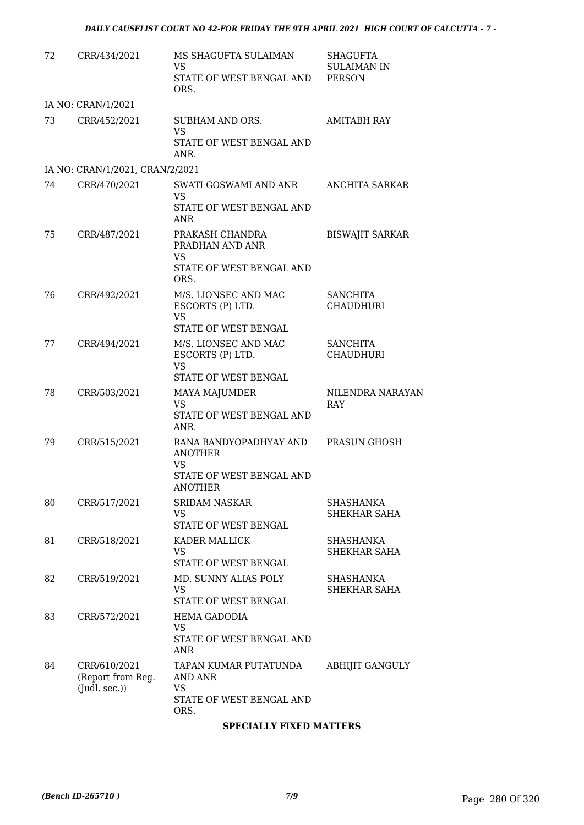| 72 | CRR/434/2021                                             | MS SHAGUFTA SULAIMAN<br><b>VS</b><br>STATE OF WEST BENGAL AND<br>ORS.               | <b>SHAGUFTA</b><br><b>SULAIMAN IN</b><br><b>PERSON</b> |
|----|----------------------------------------------------------|-------------------------------------------------------------------------------------|--------------------------------------------------------|
|    | IA NO: CRAN/1/2021                                       |                                                                                     |                                                        |
| 73 | CRR/452/2021                                             | SUBHAM AND ORS.<br><b>VS</b><br>STATE OF WEST BENGAL AND<br>ANR.                    | <b>AMITABH RAY</b>                                     |
|    | IA NO: CRAN/1/2021, CRAN/2/2021                          |                                                                                     |                                                        |
| 74 | CRR/470/2021                                             | SWATI GOSWAMI AND ANR<br>VS.<br>STATE OF WEST BENGAL AND<br><b>ANR</b>              | <b>ANCHITA SARKAR</b>                                  |
| 75 | CRR/487/2021                                             | PRAKASH CHANDRA<br>PRADHAN AND ANR<br><b>VS</b><br>STATE OF WEST BENGAL AND<br>ORS. | <b>BISWAJIT SARKAR</b>                                 |
| 76 | CRR/492/2021                                             | M/S. LIONSEC AND MAC<br>ESCORTS (P) LTD.<br><b>VS</b><br>STATE OF WEST BENGAL       | <b>SANCHITA</b><br><b>CHAUDHURI</b>                    |
| 77 | CRR/494/2021                                             | M/S. LIONSEC AND MAC<br>ESCORTS (P) LTD.<br><b>VS</b><br>STATE OF WEST BENGAL       | <b>SANCHITA</b><br><b>CHAUDHURI</b>                    |
| 78 | CRR/503/2021                                             | MAYA MAJUMDER<br><b>VS</b><br>STATE OF WEST BENGAL AND<br>ANR.                      | NILENDRA NARAYAN<br><b>RAY</b>                         |
| 79 | CRR/515/2021                                             | RANA BANDYOPADHYAY AND<br><b>ANOTHER</b><br>VS<br>STATE OF WEST BENGAL AND          | PRASUN GHOSH                                           |
| 80 | CRR/517/2021                                             | <b>ANOTHER</b><br><b>SRIDAM NASKAR</b><br><b>VS</b><br><b>STATE OF WEST BENGAL</b>  | <b>SHASHANKA</b><br>SHEKHAR SAHA                       |
| 81 | CRR/518/2021                                             | KADER MALLICK<br>VS<br>STATE OF WEST BENGAL                                         | SHASHANKA<br>SHEKHAR SAHA                              |
| 82 | CRR/519/2021                                             | MD. SUNNY ALIAS POLY<br><b>VS</b><br>STATE OF WEST BENGAL                           | SHASHANKA<br>SHEKHAR SAHA                              |
| 83 | CRR/572/2021                                             | <b>HEMA GADODIA</b><br>VS<br>STATE OF WEST BENGAL AND<br><b>ANR</b>                 |                                                        |
| 84 | CRR/610/2021<br>(Report from Reg.<br>$($ Judl. sec. $))$ | TAPAN KUMAR PUTATUNDA<br>AND ANR<br>VS<br>STATE OF WEST BENGAL AND<br>ORS.          | <b>ABHIJIT GANGULY</b>                                 |

#### **SPECIALLY FIXED MATTERS**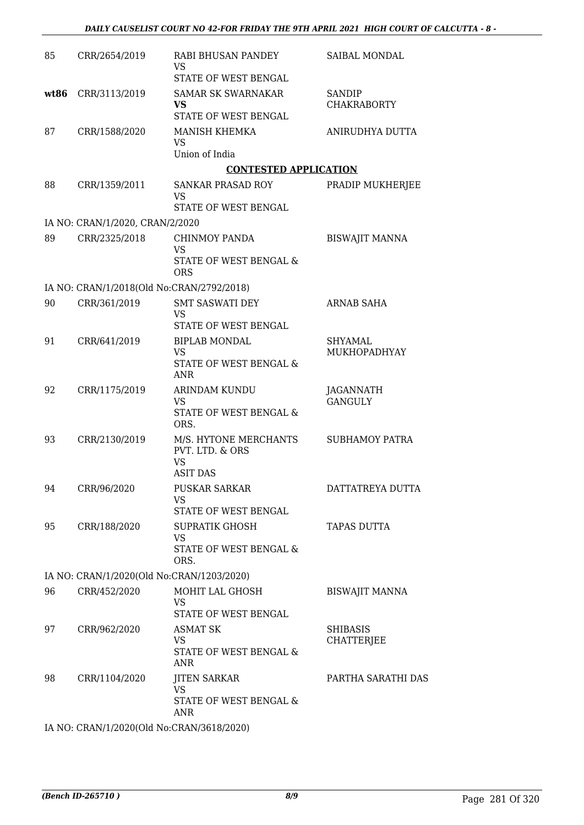| 85   | CRR/2654/2019                             | RABI BHUSAN PANDEY<br>VS                                        | <b>SAIBAL MONDAL</b>                |
|------|-------------------------------------------|-----------------------------------------------------------------|-------------------------------------|
|      |                                           | STATE OF WEST BENGAL                                            |                                     |
| wt86 | CRR/3113/2019                             | <b>SAMAR SK SWARNAKAR</b><br><b>VS</b><br>STATE OF WEST BENGAL  | <b>SANDIP</b><br><b>CHAKRABORTY</b> |
| 87   | CRR/1588/2020                             | MANISH KHEMKA<br><b>VS</b>                                      | ANIRUDHYA DUTTA                     |
|      |                                           | Union of India                                                  |                                     |
|      |                                           | <b>CONTESTED APPLICATION</b>                                    |                                     |
| 88   | CRR/1359/2011                             | <b>SANKAR PRASAD ROY</b><br>VS                                  | PRADIP MUKHERJEE                    |
|      |                                           | STATE OF WEST BENGAL                                            |                                     |
|      | IA NO: CRAN/1/2020, CRAN/2/2020           |                                                                 |                                     |
| 89   | CRR/2325/2018                             | <b>CHINMOY PANDA</b><br>VS<br><b>STATE OF WEST BENGAL &amp;</b> | <b>BISWAJIT MANNA</b>               |
|      |                                           | ORS                                                             |                                     |
|      | IA NO: CRAN/1/2018(Old No:CRAN/2792/2018) |                                                                 |                                     |
| 90   | CRR/361/2019                              | <b>SMT SASWATI DEY</b><br>VS                                    | <b>ARNAB SAHA</b>                   |
|      |                                           | STATE OF WEST BENGAL                                            |                                     |
| 91   | CRR/641/2019                              | <b>BIPLAB MONDAL</b><br><b>VS</b>                               | <b>SHYAMAL</b><br>MUKHOPADHYAY      |
|      |                                           | STATE OF WEST BENGAL &<br><b>ANR</b>                            |                                     |
| 92   | CRR/1175/2019                             | <b>ARINDAM KUNDU</b><br>VS                                      | <b>JAGANNATH</b><br><b>GANGULY</b>  |
|      |                                           | STATE OF WEST BENGAL &<br>ORS.                                  |                                     |
| 93   | CRR/2130/2019                             | M/S. HYTONE MERCHANTS<br>PVT. LTD. & ORS<br><b>VS</b>           | <b>SUBHAMOY PATRA</b>               |
|      |                                           | <b>ASIT DAS</b>                                                 |                                     |
| 94   | CRR/96/2020                               | <b>PUSKAR SARKAR</b><br>VS                                      | DATTATREYA DUTTA                    |
|      |                                           | STATE OF WEST BENGAL                                            |                                     |
| 95   | CRR/188/2020                              | <b>SUPRATIK GHOSH</b><br>VS                                     | <b>TAPAS DUTTA</b>                  |
|      |                                           | STATE OF WEST BENGAL &<br>ORS.                                  |                                     |
|      | IA NO: CRAN/1/2020(Old No:CRAN/1203/2020) |                                                                 |                                     |
| 96   | CRR/452/2020                              | MOHIT LAL GHOSH                                                 | <b>BISWAJIT MANNA</b>               |
|      |                                           | VS<br>STATE OF WEST BENGAL                                      |                                     |
| 97   | CRR/962/2020                              | <b>ASMAT SK</b>                                                 | <b>SHIBASIS</b>                     |
|      |                                           | <b>VS</b>                                                       | <b>CHATTERJEE</b>                   |
|      |                                           | STATE OF WEST BENGAL &<br><b>ANR</b>                            |                                     |
| 98   | CRR/1104/2020                             | <b>JITEN SARKAR</b><br><b>VS</b>                                | PARTHA SARATHI DAS                  |
|      |                                           | STATE OF WEST BENGAL &<br>ANR                                   |                                     |
|      | IA NO: CRAN/1/2020(Old No:CRAN/3618/2020) |                                                                 |                                     |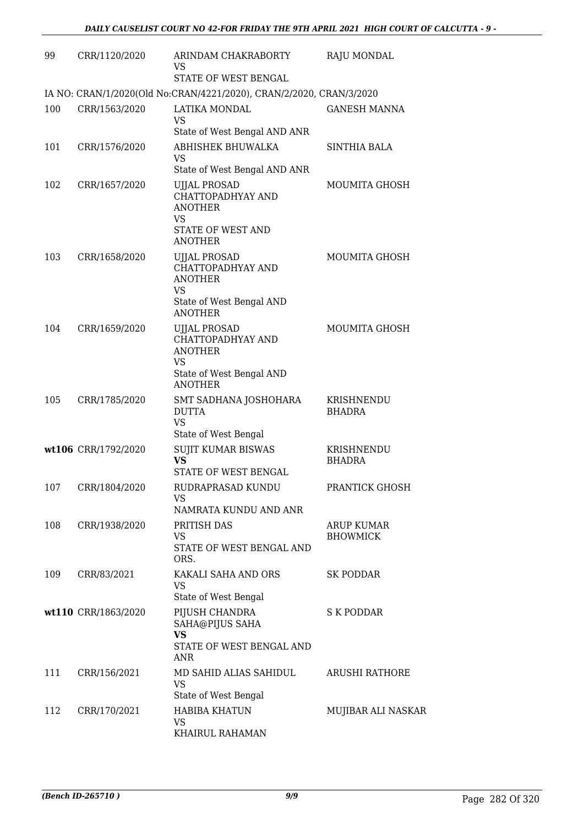| 99  | CRR/1120/2020       | ARINDAM CHAKRABORTY<br>VS.<br>STATE OF WEST BENGAL                                                                       | <b>RAJU MONDAL</b>                   |
|-----|---------------------|--------------------------------------------------------------------------------------------------------------------------|--------------------------------------|
|     |                     | IA NO: CRAN/1/2020(Old No:CRAN/4221/2020), CRAN/2/2020, CRAN/3/2020                                                      |                                      |
| 100 | CRR/1563/2020       | <b>LATIKA MONDAL</b><br>VS<br>State of West Bengal AND ANR                                                               | <b>GANESH MANNA</b>                  |
| 101 | CRR/1576/2020       | ABHISHEK BHUWALKA<br>VS<br>State of West Bengal AND ANR                                                                  | <b>SINTHIA BALA</b>                  |
| 102 | CRR/1657/2020       | <b>UJJAL PROSAD</b><br>CHATTOPADHYAY AND<br><b>ANOTHER</b><br>VS<br>STATE OF WEST AND<br><b>ANOTHER</b>                  | MOUMITA GHOSH                        |
| 103 | CRR/1658/2020       | <b>UJJAL PROSAD</b><br>CHATTOPADHYAY AND<br><b>ANOTHER</b><br>VS<br>State of West Bengal AND<br><b>ANOTHER</b>           | <b>MOUMITA GHOSH</b>                 |
| 104 | CRR/1659/2020       | <b>UJJAL PROSAD</b><br>CHATTOPADHYAY AND<br><b>ANOTHER</b><br>VS                                                         | <b>MOUMITA GHOSH</b>                 |
| 105 | CRR/1785/2020       | State of West Bengal AND<br><b>ANOTHER</b><br>SMT SADHANA JOSHOHARA<br><b>DUTTA</b><br><b>VS</b><br>State of West Bengal | KRISHNENDU<br><b>BHADRA</b>          |
|     | wt106 CRR/1792/2020 | <b>SUJIT KUMAR BISWAS</b><br><b>VS</b><br>STATE OF WEST BENGAL                                                           | KRISHNENDU<br><b>BHADRA</b>          |
| 107 | CRR/1804/2020       | RUDRAPRASAD KUNDU<br>VS<br>NAMRATA KUNDU AND ANR                                                                         | PRANTICK GHOSH                       |
| 108 | CRR/1938/2020       | PRITISH DAS<br>VS<br>STATE OF WEST BENGAL AND<br>ORS.                                                                    | <b>ARUP KUMAR</b><br><b>BHOWMICK</b> |
| 109 | CRR/83/2021         | KAKALI SAHA AND ORS<br><b>VS</b><br>State of West Bengal                                                                 | SK PODDAR                            |
|     | wt110 CRR/1863/2020 | PIJUSH CHANDRA<br>SAHA@PIJUS SAHA<br><b>VS</b><br>STATE OF WEST BENGAL AND<br>ANR                                        | S K PODDAR                           |
| 111 | CRR/156/2021        | MD SAHID ALIAS SAHIDUL<br>VS.<br>State of West Bengal                                                                    | ARUSHI RATHORE                       |
| 112 | CRR/170/2021        | <b>HABIBA KHATUN</b><br>VS<br>KHAIRUL RAHAMAN                                                                            | MUJIBAR ALI NASKAR                   |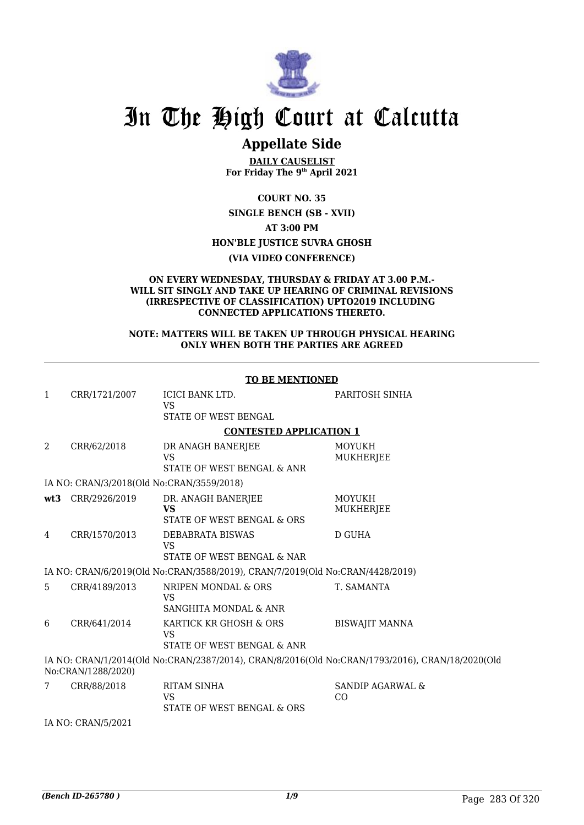

## In The High Court at Calcutta

### **Appellate Side**

**DAILY CAUSELIST For Friday The 9th April 2021**

**COURT NO. 35**

**SINGLE BENCH (SB - XVII) AT 3:00 PM HON'BLE JUSTICE SUVRA GHOSH**

**(VIA VIDEO CONFERENCE)**

#### **ON EVERY WEDNESDAY, THURSDAY & FRIDAY AT 3.00 P.M.- WILL SIT SINGLY AND TAKE UP HEARING OF CRIMINAL REVISIONS (IRRESPECTIVE OF CLASSIFICATION) UPTO2019 INCLUDING CONNECTED APPLICATIONS THERETO.**

#### **NOTE: MATTERS WILL BE TAKEN UP THROUGH PHYSICAL HEARING ONLY WHEN BOTH THE PARTIES ARE AGREED**

|                                                                                                                       | <b>TO BE MENTIONED</b>                    |                                                                               |                                   |  |
|-----------------------------------------------------------------------------------------------------------------------|-------------------------------------------|-------------------------------------------------------------------------------|-----------------------------------|--|
| 1                                                                                                                     | CRR/1721/2007                             | <b>ICICI BANK LTD.</b><br><b>VS</b>                                           | PARITOSH SINHA                    |  |
|                                                                                                                       |                                           | STATE OF WEST BENGAL                                                          |                                   |  |
|                                                                                                                       |                                           | <b>CONTESTED APPLICATION 1</b>                                                |                                   |  |
| 2                                                                                                                     | CRR/62/2018                               | DR ANAGH BANERJEE<br><b>VS</b><br>STATE OF WEST BENGAL & ANR                  | MOYUKH<br>MUKHERJEE               |  |
|                                                                                                                       | IA NO: CRAN/3/2018(Old No:CRAN/3559/2018) |                                                                               |                                   |  |
| wt3                                                                                                                   | CRR/2926/2019                             | DR. ANAGH BANERJEE<br><b>VS</b><br>STATE OF WEST BENGAL & ORS                 | <b>MOYUKH</b><br><b>MUKHERJEE</b> |  |
| 4                                                                                                                     | CRR/1570/2013                             | DEBABRATA BISWAS<br><b>VS</b><br>STATE OF WEST BENGAL & NAR                   | <b>D GUHA</b>                     |  |
|                                                                                                                       |                                           | IA NO: CRAN/6/2019(Old No:CRAN/3588/2019), CRAN/7/2019(Old No:CRAN/4428/2019) |                                   |  |
| 5                                                                                                                     | CRR/4189/2013                             | NRIPEN MONDAL & ORS<br><b>VS</b><br>SANGHITA MONDAL & ANR                     | T. SAMANTA                        |  |
| 6                                                                                                                     | CRR/641/2014                              | KARTICK KR GHOSH & ORS<br>VS<br>STATE OF WEST BENGAL & ANR                    | <b>BISWAJIT MANNA</b>             |  |
| IA NO: CRAN/1/2014(Old No:CRAN/2387/2014), CRAN/8/2016(Old No:CRAN/1793/2016), CRAN/18/2020(Old<br>No:CRAN/1288/2020) |                                           |                                                                               |                                   |  |
| 7                                                                                                                     | CRR/88/2018                               | RITAM SINHA<br><b>VS</b><br>STATE OF WEST BENGAL & ORS                        | SANDIP AGARWAL &<br>CO            |  |
|                                                                                                                       | IA NO: CRAN/5/2021                        |                                                                               |                                   |  |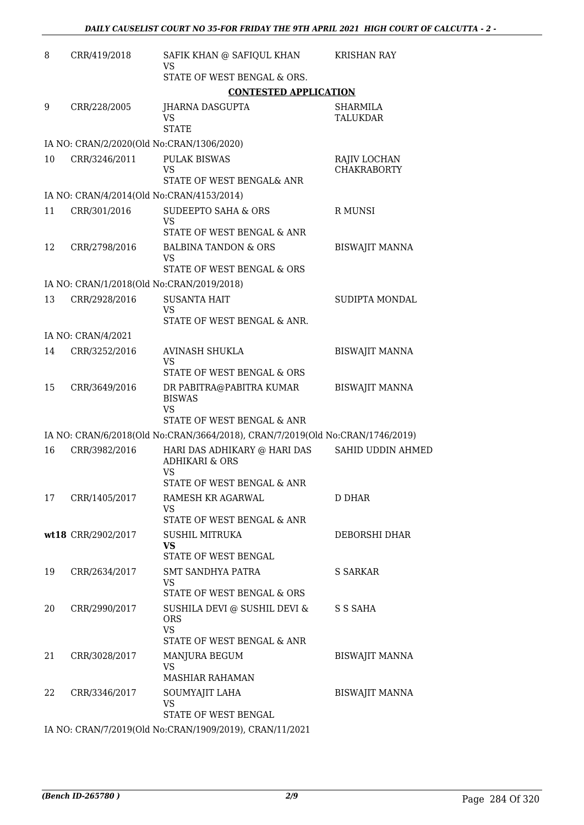| CRR/419/2018       | SAFIK KHAN @ SAFIQUL KHAN                                                             | <b>KRISHAN RAY</b>                                                                                                                                                                                                                                                                                                                                                                                                                                                                                                                                                                                                                                                                                                                                                                               |
|--------------------|---------------------------------------------------------------------------------------|--------------------------------------------------------------------------------------------------------------------------------------------------------------------------------------------------------------------------------------------------------------------------------------------------------------------------------------------------------------------------------------------------------------------------------------------------------------------------------------------------------------------------------------------------------------------------------------------------------------------------------------------------------------------------------------------------------------------------------------------------------------------------------------------------|
|                    | STATE OF WEST BENGAL & ORS.                                                           |                                                                                                                                                                                                                                                                                                                                                                                                                                                                                                                                                                                                                                                                                                                                                                                                  |
|                    | <b>CONTESTED APPLICATION</b>                                                          |                                                                                                                                                                                                                                                                                                                                                                                                                                                                                                                                                                                                                                                                                                                                                                                                  |
| CRR/228/2005       | JHARNA DASGUPTA<br><b>VS</b>                                                          | SHARMILA<br><b>TALUKDAR</b>                                                                                                                                                                                                                                                                                                                                                                                                                                                                                                                                                                                                                                                                                                                                                                      |
|                    |                                                                                       |                                                                                                                                                                                                                                                                                                                                                                                                                                                                                                                                                                                                                                                                                                                                                                                                  |
| CRR/3246/2011      | <b>PULAK BISWAS</b><br><b>VS</b>                                                      | RAJIV LOCHAN<br><b>CHAKRABORTY</b>                                                                                                                                                                                                                                                                                                                                                                                                                                                                                                                                                                                                                                                                                                                                                               |
|                    |                                                                                       |                                                                                                                                                                                                                                                                                                                                                                                                                                                                                                                                                                                                                                                                                                                                                                                                  |
|                    |                                                                                       | R MUNSI                                                                                                                                                                                                                                                                                                                                                                                                                                                                                                                                                                                                                                                                                                                                                                                          |
|                    | <b>VS</b>                                                                             |                                                                                                                                                                                                                                                                                                                                                                                                                                                                                                                                                                                                                                                                                                                                                                                                  |
|                    |                                                                                       |                                                                                                                                                                                                                                                                                                                                                                                                                                                                                                                                                                                                                                                                                                                                                                                                  |
|                    | VS                                                                                    | <b>BISWAJIT MANNA</b>                                                                                                                                                                                                                                                                                                                                                                                                                                                                                                                                                                                                                                                                                                                                                                            |
|                    |                                                                                       |                                                                                                                                                                                                                                                                                                                                                                                                                                                                                                                                                                                                                                                                                                                                                                                                  |
|                    |                                                                                       |                                                                                                                                                                                                                                                                                                                                                                                                                                                                                                                                                                                                                                                                                                                                                                                                  |
|                    |                                                                                       | SUDIPTA MONDAL                                                                                                                                                                                                                                                                                                                                                                                                                                                                                                                                                                                                                                                                                                                                                                                   |
|                    | STATE OF WEST BENGAL & ANR.                                                           |                                                                                                                                                                                                                                                                                                                                                                                                                                                                                                                                                                                                                                                                                                                                                                                                  |
| IA NO: CRAN/4/2021 |                                                                                       |                                                                                                                                                                                                                                                                                                                                                                                                                                                                                                                                                                                                                                                                                                                                                                                                  |
| CRR/3252/2016      | AVINASH SHUKLA<br><b>VS</b>                                                           | <b>BISWAJIT MANNA</b>                                                                                                                                                                                                                                                                                                                                                                                                                                                                                                                                                                                                                                                                                                                                                                            |
|                    | STATE OF WEST BENGAL & ORS                                                            |                                                                                                                                                                                                                                                                                                                                                                                                                                                                                                                                                                                                                                                                                                                                                                                                  |
| CRR/3649/2016      | DR PABITRA@PABITRA KUMAR<br><b>BISWAS</b><br><b>VS</b>                                | <b>BISWAJIT MANNA</b>                                                                                                                                                                                                                                                                                                                                                                                                                                                                                                                                                                                                                                                                                                                                                                            |
|                    |                                                                                       |                                                                                                                                                                                                                                                                                                                                                                                                                                                                                                                                                                                                                                                                                                                                                                                                  |
| CRR/3982/2016      | HARI DAS ADHIKARY @ HARI DAS<br><b>ADHIKARI &amp; ORS</b>                             | SAHID UDDIN AHMED                                                                                                                                                                                                                                                                                                                                                                                                                                                                                                                                                                                                                                                                                                                                                                                |
|                    |                                                                                       |                                                                                                                                                                                                                                                                                                                                                                                                                                                                                                                                                                                                                                                                                                                                                                                                  |
| CRR/1405/2017      | RAMESH KR AGARWAL<br>VS                                                               | D DHAR                                                                                                                                                                                                                                                                                                                                                                                                                                                                                                                                                                                                                                                                                                                                                                                           |
|                    |                                                                                       |                                                                                                                                                                                                                                                                                                                                                                                                                                                                                                                                                                                                                                                                                                                                                                                                  |
|                    | VS                                                                                    | DEBORSHI DHAR                                                                                                                                                                                                                                                                                                                                                                                                                                                                                                                                                                                                                                                                                                                                                                                    |
|                    |                                                                                       | S SARKAR                                                                                                                                                                                                                                                                                                                                                                                                                                                                                                                                                                                                                                                                                                                                                                                         |
|                    | VS<br>STATE OF WEST BENGAL & ORS                                                      |                                                                                                                                                                                                                                                                                                                                                                                                                                                                                                                                                                                                                                                                                                                                                                                                  |
| CRR/2990/2017      | SUSHILA DEVI @ SUSHIL DEVI &<br><b>ORS</b><br><b>VS</b>                               | S S SAHA                                                                                                                                                                                                                                                                                                                                                                                                                                                                                                                                                                                                                                                                                                                                                                                         |
|                    |                                                                                       |                                                                                                                                                                                                                                                                                                                                                                                                                                                                                                                                                                                                                                                                                                                                                                                                  |
| CRR/3028/2017      | MANJURA BEGUM<br><b>VS</b>                                                            | <b>BISWAJIT MANNA</b>                                                                                                                                                                                                                                                                                                                                                                                                                                                                                                                                                                                                                                                                                                                                                                            |
| CRR/3346/2017      | SOUMYAJIT LAHA<br><b>VS</b>                                                           | <b>BISWAJIT MANNA</b>                                                                                                                                                                                                                                                                                                                                                                                                                                                                                                                                                                                                                                                                                                                                                                            |
|                    | $OD$ $111410011$                                                                      |                                                                                                                                                                                                                                                                                                                                                                                                                                                                                                                                                                                                                                                                                                                                                                                                  |
|                    | CRR/301/2016<br>CRR/2798/2016<br>CRR/2928/2016<br>wt18 CRR/2902/2017<br>CRR/2634/2017 | <b>VS</b><br><b>STATE</b><br>IA NO: CRAN/2/2020(Old No:CRAN/1306/2020)<br>STATE OF WEST BENGAL& ANR<br>IA NO: CRAN/4/2014(Old No:CRAN/4153/2014)<br><b>SUDEEPTO SAHA &amp; ORS</b><br>STATE OF WEST BENGAL & ANR<br><b>BALBINA TANDON &amp; ORS</b><br>STATE OF WEST BENGAL & ORS<br>IA NO: CRAN/1/2018(Old No:CRAN/2019/2018)<br><b>SUSANTA HAIT</b><br><b>VS</b><br>STATE OF WEST BENGAL & ANR<br>IA NO: CRAN/6/2018(Old No:CRAN/3664/2018), CRAN/7/2019(Old No:CRAN/1746/2019)<br><b>VS</b><br>STATE OF WEST BENGAL & ANR<br>STATE OF WEST BENGAL & ANR<br><b>SUSHIL MITRUKA</b><br>STATE OF WEST BENGAL<br>SMT SANDHYA PATRA<br>STATE OF WEST BENGAL & ANR<br>MASHIAR RAHAMAN<br>STATE OF WEST BENGAL<br>$0.10(011 \text{ M} \cdot \Omega D_{11} M_{12} \Omega D_{21} \Omega D_{31} M_{12})$ |

IA NO: CRAN/7/2019(Old No:CRAN/1909/2019), CRAN/11/2021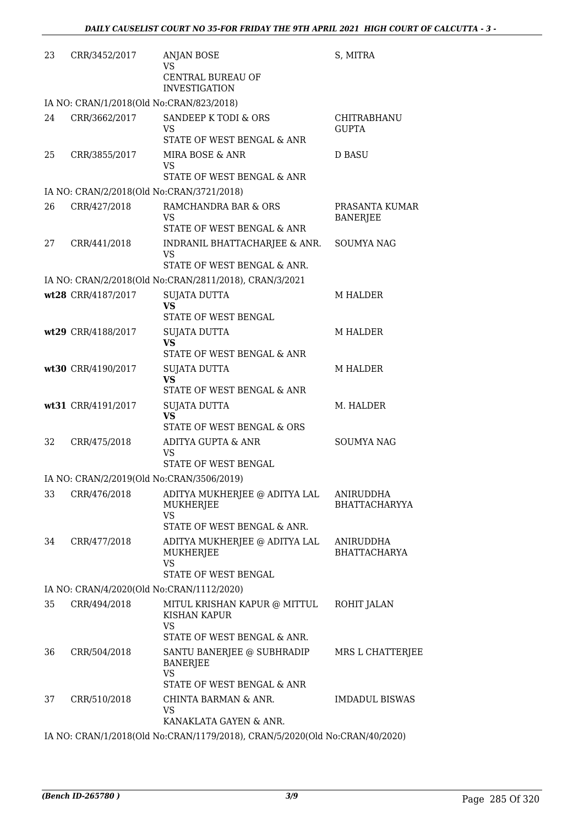| 23 | CRR/3452/2017                             | <b>ANJAN BOSE</b><br>VS<br>CENTRAL BUREAU OF                                           | S, MITRA                          |
|----|-------------------------------------------|----------------------------------------------------------------------------------------|-----------------------------------|
|    |                                           | <b>INVESTIGATION</b>                                                                   |                                   |
|    | IA NO: CRAN/1/2018(Old No:CRAN/823/2018)  |                                                                                        |                                   |
| 24 | CRR/3662/2017                             | SANDEEP K TODI & ORS<br>VS<br>STATE OF WEST BENGAL & ANR                               | CHITRABHANU<br><b>GUPTA</b>       |
| 25 | CRR/3855/2017                             | MIRA BOSE & ANR<br>VS<br>STATE OF WEST BENGAL & ANR                                    | <b>D BASU</b>                     |
|    | IA NO: CRAN/2/2018(Old No:CRAN/3721/2018) |                                                                                        |                                   |
| 26 | CRR/427/2018                              | RAMCHANDRA BAR & ORS<br>VS<br>STATE OF WEST BENGAL & ANR                               | PRASANTA KUMAR<br><b>BANERJEE</b> |
| 27 | CRR/441/2018                              | INDRANIL BHATTACHARJEE & ANR.<br><b>VS</b><br>STATE OF WEST BENGAL & ANR.              | SOUMYA NAG                        |
|    |                                           | IA NO: CRAN/2/2018(Old No:CRAN/2811/2018), CRAN/3/2021                                 |                                   |
|    | wt28 CRR/4187/2017                        | <b>SUJATA DUTTA</b>                                                                    | <b>M HALDER</b>                   |
|    |                                           | <b>VS</b><br>STATE OF WEST BENGAL                                                      |                                   |
|    | wt29 CRR/4188/2017                        | <b>SUJATA DUTTA</b><br><b>VS</b><br>STATE OF WEST BENGAL & ANR                         | <b>M HALDER</b>                   |
|    | wt30 CRR/4190/2017                        | <b>SUJATA DUTTA</b><br><b>VS</b>                                                       | <b>M HALDER</b>                   |
|    |                                           | STATE OF WEST BENGAL & ANR                                                             |                                   |
|    | wt31 CRR/4191/2017                        | <b>SUJATA DUTTA</b><br><b>VS</b><br>STATE OF WEST BENGAL & ORS                         | M. HALDER                         |
| 32 | CRR/475/2018                              | ADITYA GUPTA & ANR<br>VS                                                               | <b>SOUMYA NAG</b>                 |
|    |                                           | STATE OF WEST BENGAL                                                                   |                                   |
|    | IA NO: CRAN/2/2019(Old No:CRAN/3506/2019) |                                                                                        |                                   |
| 33 | CRR/476/2018                              | ADITYA MUKHERJEE @ ADITYA LAL<br>MUKHERJEE<br><b>VS</b><br>STATE OF WEST BENGAL & ANR. | ANIRUDDHA<br><b>BHATTACHARYYA</b> |
| 34 | CRR/477/2018                              | ADITYA MUKHERJEE @ ADITYA LAL<br>MUKHERJEE<br><b>VS</b><br>STATE OF WEST BENGAL        | ANIRUDDHA<br><b>BHATTACHARYA</b>  |
|    | IA NO: CRAN/4/2020(Old No:CRAN/1112/2020) |                                                                                        |                                   |
| 35 | CRR/494/2018                              | MITUL KRISHAN KAPUR @ MITTUL<br>KISHAN KAPUR<br><b>VS</b>                              | ROHIT JALAN                       |
|    |                                           | STATE OF WEST BENGAL & ANR.                                                            |                                   |
| 36 | CRR/504/2018                              | SANTU BANERJEE @ SUBHRADIP<br>BANERJEE<br><b>VS</b>                                    | MRS L CHATTERJEE                  |
| 37 | CRR/510/2018                              | STATE OF WEST BENGAL & ANR<br>CHINTA BARMAN & ANR.<br>VS<br>KANAKLATA GAYEN & ANR.     | <b>IMDADUL BISWAS</b>             |
|    |                                           | IA NO: CRAN/1/2018(Old No:CRAN/1179/2018), CRAN/5/2020(Old No:CRAN/40/2020)            |                                   |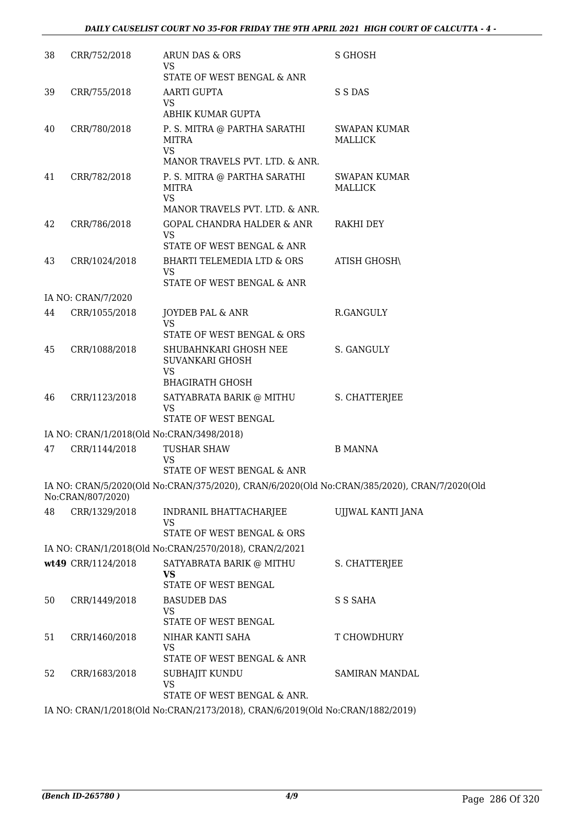| 38 | CRR/752/2018       | ARUN DAS & ORS<br><b>VS</b><br>STATE OF WEST BENGAL & ANR                                                                  | <b>S GHOSH</b>                 |
|----|--------------------|----------------------------------------------------------------------------------------------------------------------------|--------------------------------|
| 39 | CRR/755/2018       | AARTI GUPTA<br>VS                                                                                                          | S S DAS                        |
| 40 | CRR/780/2018       | ABHIK KUMAR GUPTA<br>P. S. MITRA @ PARTHA SARATHI<br>MITRA<br><b>VS</b>                                                    | <b>SWAPAN KUMAR</b><br>MALLICK |
| 41 | CRR/782/2018       | MANOR TRAVELS PVT. LTD. & ANR.<br>P. S. MITRA @ PARTHA SARATHI<br>MITRA<br><b>VS</b>                                       | <b>SWAPAN KUMAR</b><br>MALLICK |
| 42 | CRR/786/2018       | MANOR TRAVELS PVT. LTD. & ANR.<br>GOPAL CHANDRA HALDER & ANR<br>VS                                                         | RAKHI DEY                      |
| 43 | CRR/1024/2018      | STATE OF WEST BENGAL & ANR<br>BHARTI TELEMEDIA LTD & ORS<br><b>VS</b><br>STATE OF WEST BENGAL & ANR                        | <b>ATISH GHOSH\</b>            |
|    | IA NO: CRAN/7/2020 |                                                                                                                            |                                |
| 44 | CRR/1055/2018      | JOYDEB PAL & ANR<br>VS                                                                                                     | R.GANGULY                      |
|    |                    | STATE OF WEST BENGAL & ORS                                                                                                 |                                |
| 45 | CRR/1088/2018      | SHUBAHNKARI GHOSH NEE<br><b>SUVANKARI GHOSH</b><br><b>VS</b><br><b>BHAGIRATH GHOSH</b>                                     | S. GANGULY                     |
| 46 | CRR/1123/2018      | SATYABRATA BARIK @ MITHU<br><b>VS</b><br>STATE OF WEST BENGAL                                                              | S. CHATTERJEE                  |
|    |                    | IA NO: CRAN/1/2018(Old No:CRAN/3498/2018)                                                                                  |                                |
| 47 | CRR/1144/2018      | <b>TUSHAR SHAW</b><br>VS                                                                                                   | <b>B MANNA</b>                 |
|    |                    | STATE OF WEST BENGAL & ANR<br>IA NO: CRAN/5/2020(Old No:CRAN/375/2020), CRAN/6/2020(Old No:CRAN/385/2020), CRAN/7/2020(Old |                                |
|    | No:CRAN/807/2020)  |                                                                                                                            |                                |
| 48 | CRR/1329/2018      | INDRANIL BHATTACHARJEE<br><b>VS</b><br>STATE OF WEST BENGAL & ORS                                                          | UJJWAL KANTI JANA              |
|    |                    | IA NO: CRAN/1/2018(Old No:CRAN/2570/2018), CRAN/2/2021                                                                     |                                |
|    | wt49 CRR/1124/2018 | SATYABRATA BARIK @ MITHU<br><b>VS</b>                                                                                      | S. CHATTERJEE                  |
| 50 | CRR/1449/2018      | STATE OF WEST BENGAL<br><b>BASUDEB DAS</b><br>VS.<br>STATE OF WEST BENGAL                                                  | S S SAHA                       |
| 51 | CRR/1460/2018      | NIHAR KANTI SAHA<br><b>VS</b>                                                                                              | T CHOWDHURY                    |
| 52 | CRR/1683/2018      | STATE OF WEST BENGAL & ANR<br>SUBHAJIT KUNDU<br><b>VS</b>                                                                  | SAMIRAN MANDAL                 |
|    |                    | STATE OF WEST BENGAL & ANR.<br>IA NO: CRAN/1/2018(Old No:CRAN/2173/2018), CRAN/6/2019(Old No:CRAN/1882/2019)               |                                |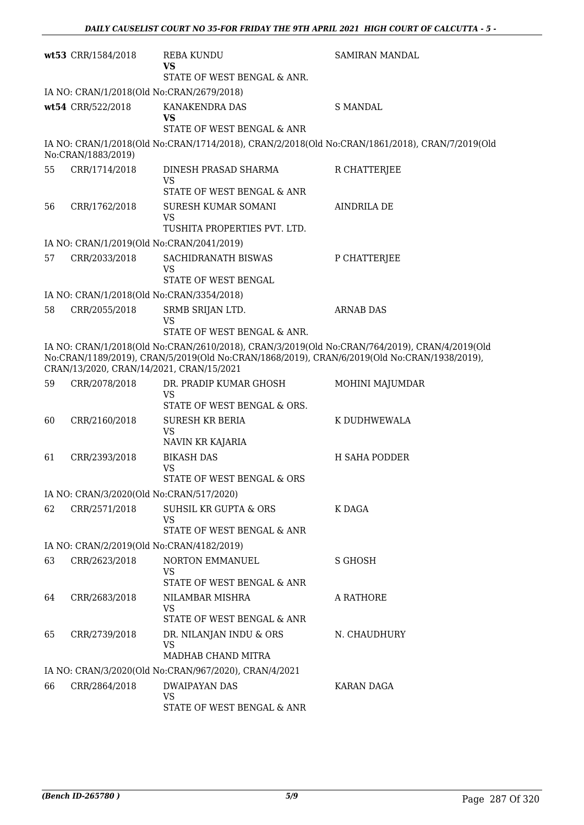|                                                                                                                                                                                                                                          | wt53 CRR/1584/2018                                         | <b>REBA KUNDU</b><br><b>VS</b><br>STATE OF WEST BENGAL & ANR.                                  | <b>SAMIRAN MANDAL</b> |  |
|------------------------------------------------------------------------------------------------------------------------------------------------------------------------------------------------------------------------------------------|------------------------------------------------------------|------------------------------------------------------------------------------------------------|-----------------------|--|
|                                                                                                                                                                                                                                          | IA NO: CRAN/1/2018(Old No:CRAN/2679/2018)                  |                                                                                                |                       |  |
|                                                                                                                                                                                                                                          | wt54 CRR/522/2018                                          | KANAKENDRA DAS<br><b>VS</b>                                                                    | <b>S MANDAL</b>       |  |
|                                                                                                                                                                                                                                          |                                                            | STATE OF WEST BENGAL & ANR                                                                     |                       |  |
|                                                                                                                                                                                                                                          | No:CRAN/1883/2019)                                         | IA NO: CRAN/1/2018(Old No:CRAN/1714/2018), CRAN/2/2018(Old No:CRAN/1861/2018), CRAN/7/2019(Old |                       |  |
| 55                                                                                                                                                                                                                                       | CRR/1714/2018                                              | DINESH PRASAD SHARMA<br>VS                                                                     | R CHATTERJEE          |  |
|                                                                                                                                                                                                                                          |                                                            | STATE OF WEST BENGAL & ANR                                                                     |                       |  |
| 56                                                                                                                                                                                                                                       | CRR/1762/2018                                              | SURESH KUMAR SOMANI<br><b>VS</b>                                                               | <b>AINDRILA DE</b>    |  |
|                                                                                                                                                                                                                                          |                                                            | TUSHITA PROPERTIES PVT. LTD.                                                                   |                       |  |
| 57                                                                                                                                                                                                                                       | IA NO: CRAN/1/2019(Old No:CRAN/2041/2019)<br>CRR/2033/2018 | SACHIDRANATH BISWAS                                                                            | P CHATTERJEE          |  |
|                                                                                                                                                                                                                                          |                                                            | VS<br>STATE OF WEST BENGAL                                                                     |                       |  |
|                                                                                                                                                                                                                                          | IA NO: CRAN/1/2018(Old No:CRAN/3354/2018)                  |                                                                                                |                       |  |
| 58                                                                                                                                                                                                                                       | CRR/2055/2018                                              | SRMB SRIJAN LTD.<br><b>VS</b>                                                                  | <b>ARNAB DAS</b>      |  |
|                                                                                                                                                                                                                                          |                                                            | STATE OF WEST BENGAL & ANR.                                                                    |                       |  |
| IA NO: CRAN/1/2018(Old No:CRAN/2610/2018), CRAN/3/2019(Old No:CRAN/764/2019), CRAN/4/2019(Old<br>No:CRAN/1189/2019), CRAN/5/2019(Old No:CRAN/1868/2019), CRAN/6/2019(Old No:CRAN/1938/2019),<br>CRAN/13/2020, CRAN/14/2021, CRAN/15/2021 |                                                            |                                                                                                |                       |  |
| 59                                                                                                                                                                                                                                       | CRR/2078/2018                                              | DR. PRADIP KUMAR GHOSH<br><b>VS</b>                                                            | MOHINI MAJUMDAR       |  |
|                                                                                                                                                                                                                                          |                                                            | STATE OF WEST BENGAL & ORS.                                                                    |                       |  |
| 60                                                                                                                                                                                                                                       | CRR/2160/2018                                              | <b>SURESH KR BERIA</b><br><b>VS</b><br>NAVIN KR KAJARIA                                        | K DUDHWEWALA          |  |
| 61                                                                                                                                                                                                                                       | CRR/2393/2018                                              | <b>BIKASH DAS</b><br><b>VS</b>                                                                 | <b>H SAHA PODDER</b>  |  |
|                                                                                                                                                                                                                                          |                                                            | STATE OF WEST BENGAL & ORS                                                                     |                       |  |
|                                                                                                                                                                                                                                          | IA NO: CRAN/3/2020(Old No:CRAN/517/2020)                   |                                                                                                |                       |  |
| 62                                                                                                                                                                                                                                       | CRR/2571/2018                                              | <b>SUHSIL KR GUPTA &amp; ORS</b><br><b>VS</b>                                                  | K DAGA                |  |
|                                                                                                                                                                                                                                          |                                                            | STATE OF WEST BENGAL & ANR                                                                     |                       |  |
|                                                                                                                                                                                                                                          | IA NO: CRAN/2/2019(Old No:CRAN/4182/2019)                  |                                                                                                |                       |  |
| 63                                                                                                                                                                                                                                       | CRR/2623/2018                                              | NORTON EMMANUEL<br><b>VS</b>                                                                   | S GHOSH               |  |
|                                                                                                                                                                                                                                          |                                                            | STATE OF WEST BENGAL & ANR                                                                     |                       |  |
| 64                                                                                                                                                                                                                                       | CRR/2683/2018                                              | NILAMBAR MISHRA<br><b>VS</b><br>STATE OF WEST BENGAL & ANR                                     | A RATHORE             |  |
| 65                                                                                                                                                                                                                                       | CRR/2739/2018                                              | DR. NILANJAN INDU & ORS                                                                        | N. CHAUDHURY          |  |
|                                                                                                                                                                                                                                          |                                                            | VS<br>MADHAB CHAND MITRA                                                                       |                       |  |
|                                                                                                                                                                                                                                          |                                                            | IA NO: CRAN/3/2020(Old No:CRAN/967/2020), CRAN/4/2021                                          |                       |  |
| 66                                                                                                                                                                                                                                       | CRR/2864/2018                                              | DWAIPAYAN DAS<br>VS                                                                            | KARAN DAGA            |  |
|                                                                                                                                                                                                                                          |                                                            | STATE OF WEST BENGAL & ANR                                                                     |                       |  |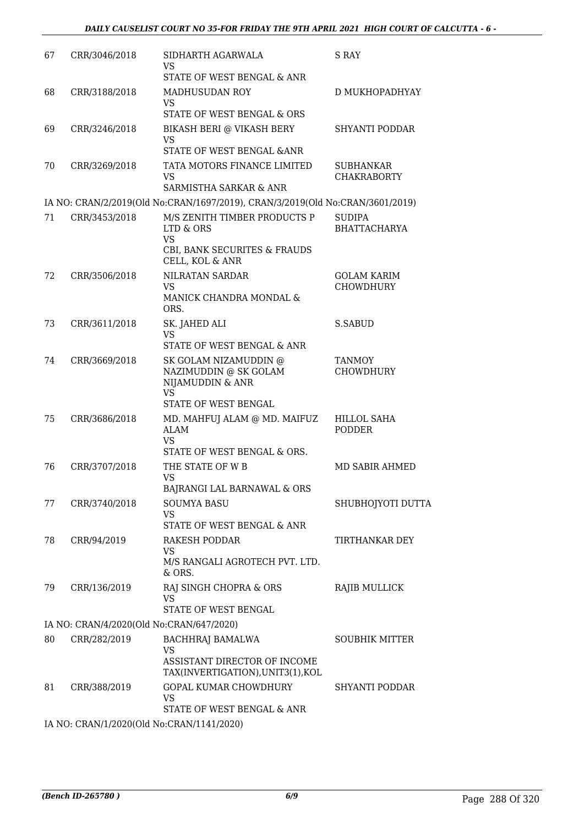| 67                               | CRR/3046/2018 | SIDHARTH AGARWALA<br><b>VS</b><br>STATE OF WEST BENGAL & ANR                                            | S RAY                                  |
|----------------------------------|---------------|---------------------------------------------------------------------------------------------------------|----------------------------------------|
| 68                               | CRR/3188/2018 | <b>MADHUSUDAN ROY</b><br><b>VS</b><br>STATE OF WEST BENGAL & ORS                                        | D MUKHOPADHYAY                         |
| 69                               | CRR/3246/2018 | BIKASH BERI @ VIKASH BERY<br><b>VS</b>                                                                  | <b>SHYANTI PODDAR</b>                  |
| 70                               | CRR/3269/2018 | STATE OF WEST BENGAL & ANR<br>TATA MOTORS FINANCE LIMITED<br><b>VS</b><br>SARMISTHA SARKAR & ANR        | SUBHANKAR<br><b>CHAKRABORTY</b>        |
|                                  |               | IA NO: CRAN/2/2019(Old No:CRAN/1697/2019), CRAN/3/2019(Old No:CRAN/3601/2019)                           |                                        |
| 71                               | CRR/3453/2018 | M/S ZENITH TIMBER PRODUCTS P<br>LTD & ORS<br><b>VS</b>                                                  | <b>SUDIPA</b><br><b>BHATTACHARYA</b>   |
|                                  |               | CBI, BANK SECURITES & FRAUDS<br>CELL, KOL & ANR                                                         |                                        |
| 72                               | CRR/3506/2018 | NILRATAN SARDAR<br><b>VS</b><br>MANICK CHANDRA MONDAL &<br>ORS.                                         | <b>GOLAM KARIM</b><br><b>CHOWDHURY</b> |
| 73                               | CRR/3611/2018 | SK. JAHED ALI<br><b>VS</b><br>STATE OF WEST BENGAL & ANR                                                | S.SABUD                                |
| 74                               | CRR/3669/2018 | SK GOLAM NIZAMUDDIN @<br>NAZIMUDDIN @ SK GOLAM<br>NIJAMUDDIN & ANR<br><b>VS</b><br>STATE OF WEST BENGAL | <b>TANMOY</b><br>CHOWDHURY             |
| 75                               | CRR/3686/2018 | MD. MAHFUJ ALAM @ MD. MAIFUZ<br><b>ALAM</b><br><b>VS</b><br>STATE OF WEST BENGAL & ORS.                 | HILLOL SAHA<br>PODDER                  |
| 76                               | CRR/3707/2018 | THE STATE OF W B<br>VS<br>BAJRANGI LAL BARNAWAL & ORS                                                   | <b>MD SABIR AHMED</b>                  |
| 77                               | CRR/3740/2018 | <b>SOUMYA BASU</b><br><b>VS</b><br>STATE OF WEST BENGAL & ANR                                           | SHUBHOJYOTI DUTTA                      |
| 78                               | CRR/94/2019   | RAKESH PODDAR<br><b>VS</b><br>M/S RANGALI AGROTECH PVT. LTD.                                            | TIRTHANKAR DEY                         |
| 79                               | CRR/136/2019  | & ORS.<br>RAJ SINGH CHOPRA & ORS<br>VS<br>STATE OF WEST BENGAL                                          | RAJIB MULLICK                          |
|                                  |               | IA NO: CRAN/4/2020(Old No:CRAN/647/2020)                                                                |                                        |
| 80                               | CRR/282/2019  | BACHHRAJ BAMALWA<br>VS                                                                                  | <b>SOUBHIK MITTER</b>                  |
|                                  |               | ASSISTANT DIRECTOR OF INCOME<br>TAX(INVERTIGATION), UNIT3(1), KOL                                       |                                        |
| 81                               | CRR/388/2019  | <b>GOPAL KUMAR CHOWDHURY</b><br><b>VS</b><br>STATE OF WEST BENGAL & ANR                                 | SHYANTI PODDAR                         |
| $T^{\Lambda}$ $\Lambda$ T $\cap$ |               | $CDAM14/2020(OM)$ Me $CDAM1414/2020$                                                                    |                                        |

IA NO: CRAN/1/2020(Old No:CRAN/1141/2020)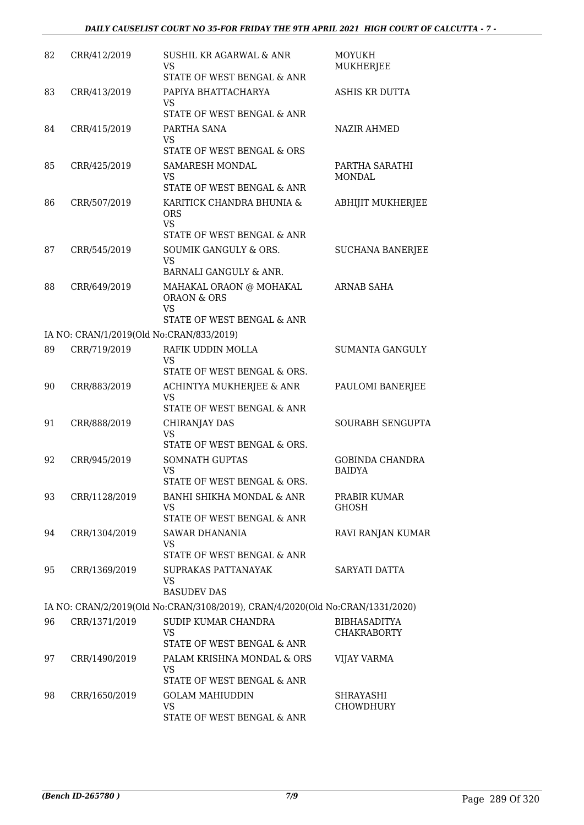| 82 | CRR/412/2019  | <b>SUSHIL KR AGARWAL &amp; ANR</b><br><b>VS</b><br>STATE OF WEST BENGAL & ANR      | MOYUKH<br><b>MUKHERJEE</b>                |
|----|---------------|------------------------------------------------------------------------------------|-------------------------------------------|
| 83 | CRR/413/2019  | PAPIYA BHATTACHARYA<br><b>VS</b><br>STATE OF WEST BENGAL & ANR                     | ASHIS KR DUTTA                            |
| 84 | CRR/415/2019  | PARTHA SANA<br>VS<br>STATE OF WEST BENGAL & ORS                                    | <b>NAZIR AHMED</b>                        |
| 85 | CRR/425/2019  | <b>SAMARESH MONDAL</b><br><b>VS</b><br>STATE OF WEST BENGAL & ANR                  | PARTHA SARATHI<br><b>MONDAL</b>           |
| 86 | CRR/507/2019  | KARITICK CHANDRA BHUNIA &<br><b>ORS</b><br><b>VS</b><br>STATE OF WEST BENGAL & ANR | <b>ABHIJIT MUKHERJEE</b>                  |
| 87 | CRR/545/2019  | SOUMIK GANGULY & ORS.<br><b>VS</b><br><b>BARNALI GANGULY &amp; ANR.</b>            | <b>SUCHANA BANERJEE</b>                   |
| 88 | CRR/649/2019  | MAHAKAL ORAON @ MOHAKAL<br><b>ORAON &amp; ORS</b><br><b>VS</b>                     | <b>ARNAB SAHA</b>                         |
|    |               | STATE OF WEST BENGAL & ANR<br>IA NO: CRAN/1/2019(Old No:CRAN/833/2019)             |                                           |
| 89 | CRR/719/2019  | RAFIK UDDIN MOLLA                                                                  | <b>SUMANTA GANGULY</b>                    |
|    |               | <b>VS</b><br>STATE OF WEST BENGAL & ORS.                                           |                                           |
| 90 | CRR/883/2019  | ACHINTYA MUKHERJEE & ANR<br><b>VS</b>                                              | PAULOMI BANERJEE                          |
|    |               | STATE OF WEST BENGAL & ANR                                                         |                                           |
| 91 | CRR/888/2019  | CHIRANJAY DAS<br><b>VS</b><br>STATE OF WEST BENGAL & ORS.                          | <b>SOURABH SENGUPTA</b>                   |
| 92 | CRR/945/2019  | <b>SOMNATH GUPTAS</b><br><b>VS</b><br>STATE OF WEST BENGAL & ORS.                  | <b>GOBINDA CHANDRA</b><br><b>BAIDYA</b>   |
| 93 | CRR/1128/2019 | BANHI SHIKHA MONDAL & ANR<br><b>VS</b><br>STATE OF WEST BENGAL & ANR               | PRABIR KUMAR<br><b>GHOSH</b>              |
| 94 | CRR/1304/2019 | <b>SAWAR DHANANIA</b><br><b>VS</b><br>STATE OF WEST BENGAL & ANR                   | RAVI RANJAN KUMAR                         |
| 95 | CRR/1369/2019 | SUPRAKAS PATTANAYAK<br><b>VS</b><br><b>BASUDEV DAS</b>                             | SARYATI DATTA                             |
|    |               | IA NO: CRAN/2/2019(Old No:CRAN/3108/2019), CRAN/4/2020(Old No:CRAN/1331/2020)      |                                           |
| 96 | CRR/1371/2019 | SUDIP KUMAR CHANDRA<br><b>VS</b><br>STATE OF WEST BENGAL & ANR                     | <b>BIBHASADITYA</b><br><b>CHAKRABORTY</b> |
| 97 | CRR/1490/2019 | PALAM KRISHNA MONDAL & ORS<br>VS<br>STATE OF WEST BENGAL & ANR                     | <b>VIJAY VARMA</b>                        |
| 98 | CRR/1650/2019 | <b>GOLAM MAHIUDDIN</b><br><b>VS</b><br>STATE OF WEST BENGAL & ANR                  | SHRAYASHI<br>CHOWDHURY                    |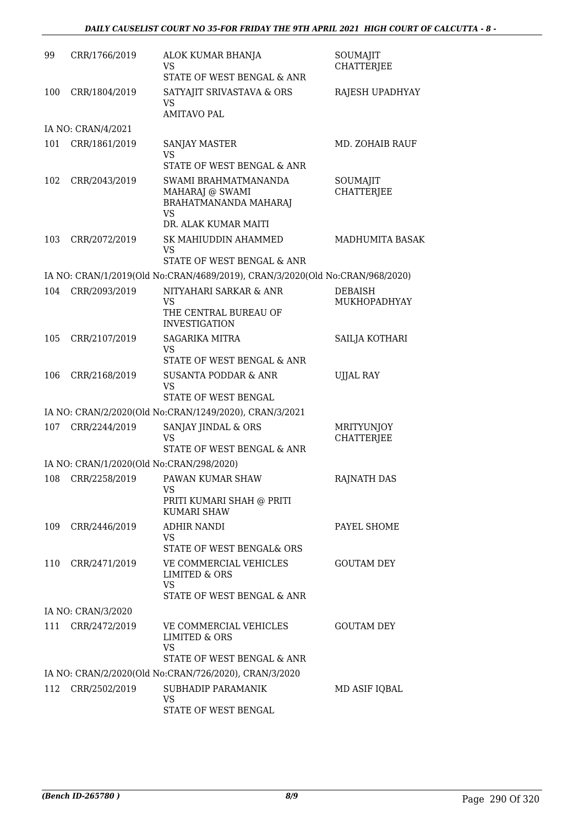| 99  | CRR/1766/2019                            | ALOK KUMAR BHANJA<br>VS<br>STATE OF WEST BENGAL & ANR                                         | SOUMAJIT<br><b>CHATTERJEE</b>          |
|-----|------------------------------------------|-----------------------------------------------------------------------------------------------|----------------------------------------|
| 100 | CRR/1804/2019                            | SATYAJIT SRIVASTAVA & ORS<br><b>VS</b><br><b>AMITAVO PAL</b>                                  | RAJESH UPADHYAY                        |
|     | IA NO: CRAN/4/2021                       |                                                                                               |                                        |
| 101 | CRR/1861/2019                            | <b>SANJAY MASTER</b><br><b>VS</b><br>STATE OF WEST BENGAL & ANR                               | MD. ZOHAIB RAUF                        |
| 102 | CRR/2043/2019                            | SWAMI BRAHMATMANANDA<br>MAHARAJ @ SWAMI<br>BRAHATMANANDA MAHARAJ<br><b>VS</b>                 | SOUMAJIT<br><b>CHATTERJEE</b>          |
|     |                                          | DR. ALAK KUMAR MAITI                                                                          |                                        |
| 103 | CRR/2072/2019                            | SK MAHIUDDIN AHAMMED<br>VS                                                                    | MADHUMITA BASAK                        |
|     |                                          | STATE OF WEST BENGAL & ANR                                                                    |                                        |
|     |                                          | IA NO: CRAN/1/2019(Old No:CRAN/4689/2019), CRAN/3/2020(Old No:CRAN/968/2020)                  |                                        |
| 104 | CRR/2093/2019                            | NITYAHARI SARKAR & ANR<br>VS<br>THE CENTRAL BUREAU OF<br><b>INVESTIGATION</b>                 | <b>DEBAISH</b><br>MUKHOPADHYAY         |
| 105 | CRR/2107/2019                            | <b>SAGARIKA MITRA</b><br>VS                                                                   | SAILJA KOTHARI                         |
| 106 | CRR/2168/2019                            | STATE OF WEST BENGAL & ANR<br><b>SUSANTA PODDAR &amp; ANR</b><br>VS                           | <b>UJJAL RAY</b>                       |
|     |                                          | STATE OF WEST BENGAL                                                                          |                                        |
|     |                                          | IA NO: CRAN/2/2020(Old No:CRAN/1249/2020), CRAN/3/2021                                        |                                        |
| 107 | CRR/2244/2019                            | SANJAY JINDAL & ORS<br>VS<br>STATE OF WEST BENGAL & ANR                                       | <b>MRITYUNJOY</b><br><b>CHATTERJEE</b> |
|     | IA NO: CRAN/1/2020(Old No:CRAN/298/2020) |                                                                                               |                                        |
| 108 | CRR/2258/2019                            | PAWAN KUMAR SHAW<br>VS<br>PRITI KUMARI SHAH @ PRITI                                           | <b>RAJNATH DAS</b>                     |
|     |                                          | <b>KUMARI SHAW</b>                                                                            |                                        |
| 109 | CRR/2446/2019                            | <b>ADHIR NANDI</b><br>VS<br>STATE OF WEST BENGAL& ORS                                         | PAYEL SHOME                            |
| 110 | CRR/2471/2019                            | VE COMMERCIAL VEHICLES<br><b>LIMITED &amp; ORS</b><br><b>VS</b><br>STATE OF WEST BENGAL & ANR | <b>GOUTAM DEY</b>                      |
|     | IA NO: CRAN/3/2020                       |                                                                                               |                                        |
| 111 | CRR/2472/2019                            | VE COMMERCIAL VEHICLES<br><b>LIMITED &amp; ORS</b><br>VS                                      | <b>GOUTAM DEY</b>                      |
|     |                                          | STATE OF WEST BENGAL & ANR                                                                    |                                        |
|     |                                          | IA NO: CRAN/2/2020(Old No:CRAN/726/2020), CRAN/3/2020                                         |                                        |
| 112 | CRR/2502/2019                            | SUBHADIP PARAMANIK<br>VS<br>STATE OF WEST BENGAL                                              | MD ASIF IQBAL                          |
|     |                                          |                                                                                               |                                        |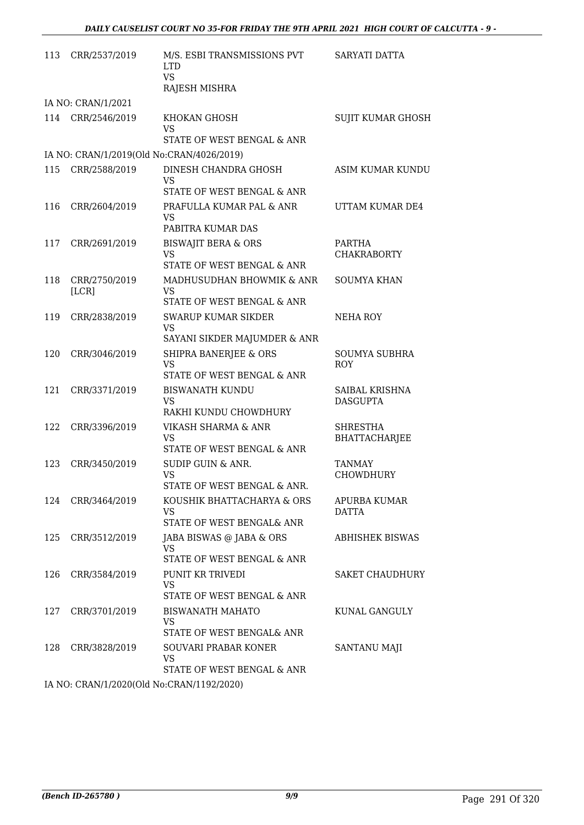| 113 | CRR/2537/2019          | M/S. ESBI TRANSMISSIONS PVT<br><b>LTD</b><br><b>VS</b><br>RAJESH MISHRA                          | SARYATI DATTA                     |
|-----|------------------------|--------------------------------------------------------------------------------------------------|-----------------------------------|
|     | IA NO: CRAN/1/2021     |                                                                                                  |                                   |
| 114 | CRR/2546/2019          | KHOKAN GHOSH<br><b>VS</b><br>STATE OF WEST BENGAL & ANR                                          | <b>SUJIT KUMAR GHOSH</b>          |
|     |                        | IA NO: CRAN/1/2019(Old No:CRAN/4026/2019)                                                        |                                   |
| 115 | CRR/2588/2019          | DINESH CHANDRA GHOSH<br><b>VS</b>                                                                | ASIM KUMAR KUNDU                  |
| 116 | CRR/2604/2019          | STATE OF WEST BENGAL & ANR<br>PRAFULLA KUMAR PAL & ANR<br><b>VS</b><br>PABITRA KUMAR DAS         | UTTAM KUMAR DE4                   |
| 117 | CRR/2691/2019          | <b>BISWAJIT BERA &amp; ORS</b><br><b>VS</b><br>STATE OF WEST BENGAL & ANR                        | PARTHA<br><b>CHAKRABORTY</b>      |
| 118 | CRR/2750/2019<br>[LCR] | MADHUSUDHAN BHOWMIK & ANR<br><b>VS</b><br>STATE OF WEST BENGAL & ANR                             | <b>SOUMYA KHAN</b>                |
| 119 | CRR/2838/2019          | <b>SWARUP KUMAR SIKDER</b><br><b>VS</b>                                                          | NEHA ROY                          |
| 120 | CRR/3046/2019          | SAYANI SIKDER MAJUMDER & ANR<br>SHIPRA BANERJEE & ORS<br><b>VS</b><br>STATE OF WEST BENGAL & ANR | <b>SOUMYA SUBHRA</b><br>ROY       |
| 121 | CRR/3371/2019          | <b>BISWANATH KUNDU</b><br><b>VS</b><br>RAKHI KUNDU CHOWDHURY                                     | SAIBAL KRISHNA<br><b>DASGUPTA</b> |
| 122 | CRR/3396/2019          | VIKASH SHARMA & ANR<br><b>VS</b><br>STATE OF WEST BENGAL & ANR                                   | <b>SHRESTHA</b><br>BHATTACHARJEE  |
| 123 | CRR/3450/2019          | SUDIP GUIN & ANR.<br><b>VS</b><br>STATE OF WEST BENGAL & ANR                                     | <b>TANMAY</b><br><b>CHOWDHURY</b> |
| 124 | CRR/3464/2019          | KOUSHIK BHATTACHARYA & ORS<br><b>VS</b><br>STATE OF WEST BENGAL& ANR                             | APURBA KUMAR<br><b>DATTA</b>      |
| 125 | CRR/3512/2019          | JABA BISWAS @ JABA & ORS<br><b>VS</b><br>STATE OF WEST BENGAL & ANR                              | <b>ABHISHEK BISWAS</b>            |
| 126 | CRR/3584/2019          | PUNIT KR TRIVEDI<br><b>VS</b><br>STATE OF WEST BENGAL & ANR                                      | <b>SAKET CHAUDHURY</b>            |
| 127 | CRR/3701/2019          | <b>BISWANATH MAHATO</b><br>VS.<br>STATE OF WEST BENGAL& ANR                                      | KUNAL GANGULY                     |
| 128 | CRR/3828/2019          | SOUVARI PRABAR KONER<br><b>VS</b><br>STATE OF WEST BENGAL & ANR                                  | <b>SANTANU MAJI</b>               |
|     |                        | IA NO: CRANI1/2020(Old No:CRANI1192/2020)                                                        |                                   |

IA NO: CRAN/1/2020(Old No:CRAN/1192/2020)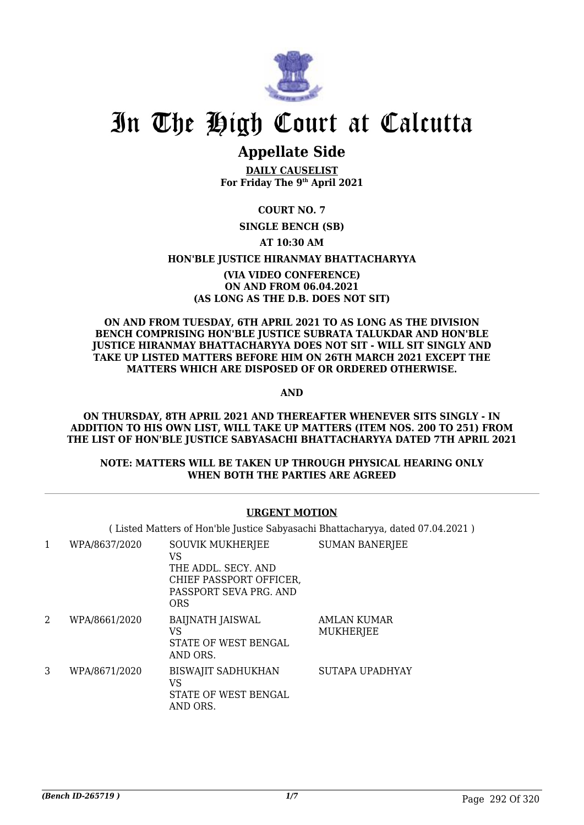

## **Appellate Side**

**DAILY CAUSELIST For Friday The 9th April 2021**

## **COURT NO. 7**

## **SINGLE BENCH (SB)**

## **AT 10:30 AM**

## **HON'BLE JUSTICE HIRANMAY BHATTACHARYYA**

## **(VIA VIDEO CONFERENCE) ON AND FROM 06.04.2021 (AS LONG AS THE D.B. DOES NOT SIT)**

### **ON AND FROM TUESDAY, 6TH APRIL 2021 TO AS LONG AS THE DIVISION BENCH COMPRISING HON'BLE JUSTICE SUBRATA TALUKDAR AND HON'BLE JUSTICE HIRANMAY BHATTACHARYYA DOES NOT SIT - WILL SIT SINGLY AND TAKE UP LISTED MATTERS BEFORE HIM ON 26TH MARCH 2021 EXCEPT THE MATTERS WHICH ARE DISPOSED OF OR ORDERED OTHERWISE.**

**AND**

#### **ON THURSDAY, 8TH APRIL 2021 AND THEREAFTER WHENEVER SITS SINGLY - IN ADDITION TO HIS OWN LIST, WILL TAKE UP MATTERS (ITEM NOS. 200 TO 251) FROM THE LIST OF HON'BLE JUSTICE SABYASACHI BHATTACHARYYA DATED 7TH APRIL 2021**

## **NOTE: MATTERS WILL BE TAKEN UP THROUGH PHYSICAL HEARING ONLY WHEN BOTH THE PARTIES ARE AGREED**

## **URGENT MOTION**

( Listed Matters of Hon'ble Justice Sabyasachi Bhattacharyya, dated 07.04.2021 )

| 1 | WPA/8637/2020 | <b>SOUVIK MUKHERJEE</b><br>VS<br>THE ADDL. SECY. AND<br>CHIEF PASSPORT OFFICER,<br>PASSPORT SEVA PRG. AND<br><b>ORS</b> | <b>SUMAN BANERJEE</b>                  |
|---|---------------|-------------------------------------------------------------------------------------------------------------------------|----------------------------------------|
| 2 | WPA/8661/2020 | <b>BAIJNATH JAISWAL</b><br>VS<br>STATE OF WEST BENGAL<br>AND ORS.                                                       | <b>AMLAN KUMAR</b><br><b>MUKHERJEE</b> |
| 3 | WPA/8671/2020 | <b>BISWAJIT SADHUKHAN</b><br>VS<br>STATE OF WEST BENGAL<br>AND ORS.                                                     | SUTAPA UPADHYAY                        |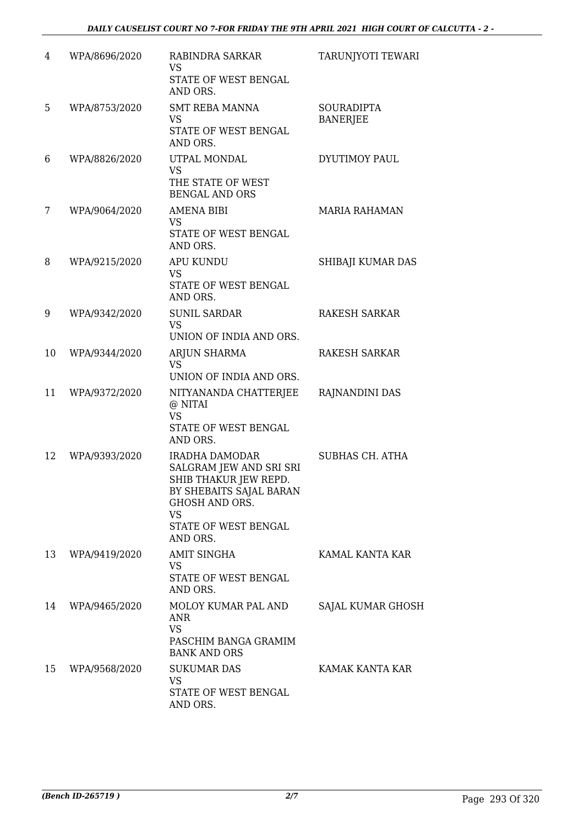| 4  | WPA/8696/2020 | RABINDRA SARKAR<br>VS<br>STATE OF WEST BENGAL<br>AND ORS.                                                                                                               | TARUNJYOTI TEWARI                    |
|----|---------------|-------------------------------------------------------------------------------------------------------------------------------------------------------------------------|--------------------------------------|
| 5  | WPA/8753/2020 | <b>SMT REBA MANNA</b><br><b>VS</b><br>STATE OF WEST BENGAL<br>AND ORS.                                                                                                  | <b>SOURADIPTA</b><br><b>BANERJEE</b> |
| 6  | WPA/8826/2020 | UTPAL MONDAL<br><b>VS</b><br>THE STATE OF WEST<br><b>BENGAL AND ORS</b>                                                                                                 | DYUTIMOY PAUL                        |
| 7  | WPA/9064/2020 | <b>AMENA BIBI</b><br><b>VS</b><br>STATE OF WEST BENGAL<br>AND ORS.                                                                                                      | <b>MARIA RAHAMAN</b>                 |
| 8  | WPA/9215/2020 | <b>APU KUNDU</b><br><b>VS</b><br>STATE OF WEST BENGAL<br>AND ORS.                                                                                                       | SHIBAJI KUMAR DAS                    |
| 9  | WPA/9342/2020 | <b>SUNIL SARDAR</b><br><b>VS</b><br>UNION OF INDIA AND ORS.                                                                                                             | <b>RAKESH SARKAR</b>                 |
| 10 | WPA/9344/2020 | ARJUN SHARMA<br>VS.<br>UNION OF INDIA AND ORS.                                                                                                                          | <b>RAKESH SARKAR</b>                 |
| 11 | WPA/9372/2020 | NITYANANDA CHATTERJEE<br>@ NITAI<br><b>VS</b><br>STATE OF WEST BENGAL<br>AND ORS.                                                                                       | RAJNANDINI DAS                       |
| 12 | WPA/9393/2020 | <b>IRADHA DAMODAR</b><br>SALGRAM JEW AND SRI SRI<br>SHIB THAKUR JEW REPD.<br>BY SHEBAITS SAJAL BARAN<br>GHOSH AND ORS.<br><b>VS</b><br>STATE OF WEST BENGAL<br>AND ORS. | SUBHAS CH. ATHA                      |
| 13 | WPA/9419/2020 | <b>AMIT SINGHA</b><br><b>VS</b><br>STATE OF WEST BENGAL<br>AND ORS.                                                                                                     | KAMAL KANTA KAR                      |
| 14 | WPA/9465/2020 | MOLOY KUMAR PAL AND<br>ANR<br><b>VS</b><br>PASCHIM BANGA GRAMIM<br><b>BANK AND ORS</b>                                                                                  | SAJAL KUMAR GHOSH                    |
| 15 | WPA/9568/2020 | <b>SUKUMAR DAS</b><br><b>VS</b><br>STATE OF WEST BENGAL<br>AND ORS.                                                                                                     | KAMAK KANTA KAR                      |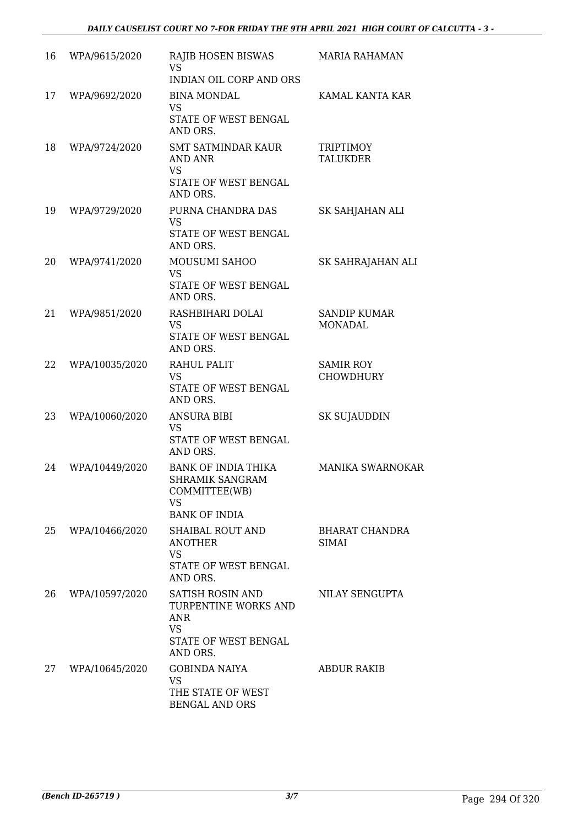| 16 | WPA/9615/2020  | RAJIB HOSEN BISWAS<br><b>VS</b><br>INDIAN OIL CORP AND ORS                                              | <b>MARIA RAHAMAN</b>                  |
|----|----------------|---------------------------------------------------------------------------------------------------------|---------------------------------------|
| 17 | WPA/9692/2020  | <b>BINA MONDAL</b><br><b>VS</b><br>STATE OF WEST BENGAL<br>AND ORS.                                     | KAMAL KANTA KAR                       |
| 18 | WPA/9724/2020  | <b>SMT SATMINDAR KAUR</b><br>AND ANR<br><b>VS</b><br>STATE OF WEST BENGAL<br>AND ORS.                   | <b>TRIPTIMOY</b><br><b>TALUKDER</b>   |
| 19 | WPA/9729/2020  | PURNA CHANDRA DAS<br><b>VS</b><br>STATE OF WEST BENGAL<br>AND ORS.                                      | SK SAHJAHAN ALI                       |
| 20 | WPA/9741/2020  | MOUSUMI SAHOO<br><b>VS</b><br>STATE OF WEST BENGAL<br>AND ORS.                                          | SK SAHRAJAHAN ALI                     |
| 21 | WPA/9851/2020  | RASHBIHARI DOLAI<br><b>VS</b><br>STATE OF WEST BENGAL<br>AND ORS.                                       | <b>SANDIP KUMAR</b><br><b>MONADAL</b> |
| 22 | WPA/10035/2020 | RAHUL PALIT<br><b>VS</b><br>STATE OF WEST BENGAL<br>AND ORS.                                            | <b>SAMIR ROY</b><br><b>CHOWDHURY</b>  |
| 23 | WPA/10060/2020 | <b>ANSURA BIBI</b><br>VS<br>STATE OF WEST BENGAL<br>AND ORS.                                            | SK SUJAUDDIN                          |
| 24 | WPA/10449/2020 | <b>BANK OF INDIA THIKA</b><br>SHRAMIK SANGRAM<br>COMMITTEE(WB)<br><b>VS</b><br><b>BANK OF INDIA</b>     | <b>MANIKA SWARNOKAR</b>               |
| 25 | WPA/10466/2020 | <b>SHAIBAL ROUT AND</b><br><b>ANOTHER</b><br><b>VS</b><br>STATE OF WEST BENGAL<br>AND ORS.              | <b>BHARAT CHANDRA</b><br><b>SIMAI</b> |
| 26 | WPA/10597/2020 | <b>SATISH ROSIN AND</b><br>TURPENTINE WORKS AND<br>ANR<br><b>VS</b><br>STATE OF WEST BENGAL<br>AND ORS. | NILAY SENGUPTA                        |
| 27 | WPA/10645/2020 | <b>GOBINDA NAIYA</b><br><b>VS</b><br>THE STATE OF WEST<br><b>BENGAL AND ORS</b>                         | <b>ABDUR RAKIB</b>                    |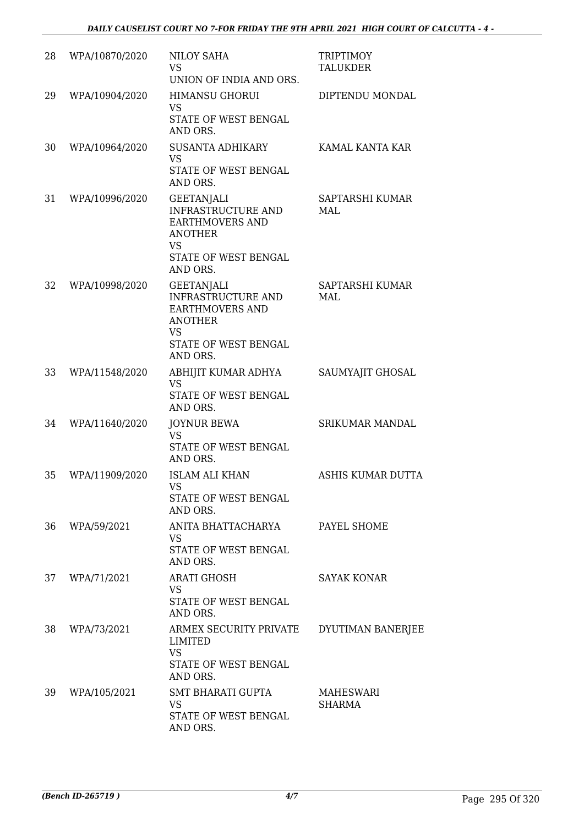| 28 | WPA/10870/2020 | <b>NILOY SAHA</b><br>VS<br>UNION OF INDIA AND ORS.                                                                                   | <b>TRIPTIMOY</b><br><b>TALUKDER</b> |
|----|----------------|--------------------------------------------------------------------------------------------------------------------------------------|-------------------------------------|
| 29 | WPA/10904/2020 | <b>HIMANSU GHORUI</b><br><b>VS</b><br>STATE OF WEST BENGAL<br>AND ORS.                                                               | DIPTENDU MONDAL                     |
| 30 | WPA/10964/2020 | <b>SUSANTA ADHIKARY</b><br>VS<br>STATE OF WEST BENGAL<br>AND ORS.                                                                    | KAMAL KANTA KAR                     |
| 31 | WPA/10996/2020 | <b>GEETANJALI</b><br>INFRASTRUCTURE AND<br><b>EARTHMOVERS AND</b><br><b>ANOTHER</b><br>VS<br>STATE OF WEST BENGAL<br>AND ORS.        | SAPTARSHI KUMAR<br>MAL              |
| 32 | WPA/10998/2020 | GEETANJALI<br><b>INFRASTRUCTURE AND</b><br><b>EARTHMOVERS AND</b><br><b>ANOTHER</b><br><b>VS</b><br>STATE OF WEST BENGAL<br>AND ORS. | SAPTARSHI KUMAR<br>MAI.             |
| 33 | WPA/11548/2020 | ABHIJIT KUMAR ADHYA<br><b>VS</b><br>STATE OF WEST BENGAL<br>AND ORS.                                                                 | SAUMYAJIT GHOSAL                    |
| 34 | WPA/11640/2020 | <b>JOYNUR BEWA</b><br><b>VS</b><br>STATE OF WEST BENGAL<br>AND ORS.                                                                  | <b>SRIKUMAR MANDAL</b>              |
| 35 | WPA/11909/2020 | <b>ISLAM ALI KHAN</b><br>VS<br>STATE OF WEST BENGAL<br>AND ORS.                                                                      | ASHIS KUMAR DUTTA                   |
| 36 | WPA/59/2021    | ANITA BHATTACHARYA<br><b>VS</b><br>STATE OF WEST BENGAL<br>AND ORS.                                                                  | PAYEL SHOME                         |
| 37 | WPA/71/2021    | <b>ARATI GHOSH</b><br><b>VS</b><br>STATE OF WEST BENGAL<br>AND ORS.                                                                  | <b>SAYAK KONAR</b>                  |
| 38 | WPA/73/2021    | ARMEX SECURITY PRIVATE<br>LIMITED<br><b>VS</b><br>STATE OF WEST BENGAL<br>AND ORS.                                                   | DYUTIMAN BANERJEE                   |
| 39 | WPA/105/2021   | <b>SMT BHARATI GUPTA</b><br>VS<br>STATE OF WEST BENGAL<br>AND ORS.                                                                   | <b>MAHESWARI</b><br><b>SHARMA</b>   |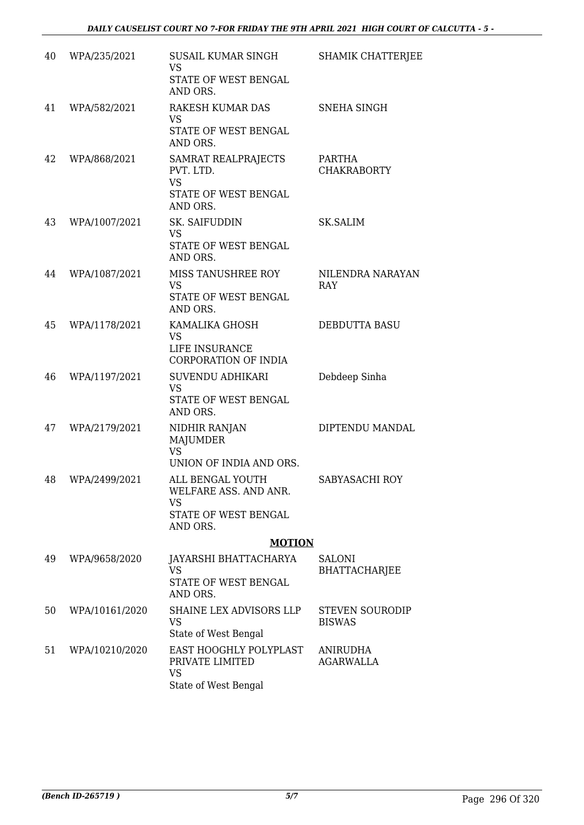| 40 | WPA/235/2021   | SUSAIL KUMAR SINGH<br><b>VS</b><br>STATE OF WEST BENGAL<br>AND ORS.               | <b>SHAMIK CHATTERJEE</b>                |
|----|----------------|-----------------------------------------------------------------------------------|-----------------------------------------|
| 41 | WPA/582/2021   | <b>RAKESH KUMAR DAS</b><br><b>VS</b><br>STATE OF WEST BENGAL<br>AND ORS.          | SNEHA SINGH                             |
| 42 | WPA/868/2021   | SAMRAT REALPRAJECTS<br>PVT. LTD.<br><b>VS</b><br>STATE OF WEST BENGAL<br>AND ORS. | PARTHA<br><b>CHAKRABORTY</b>            |
| 43 | WPA/1007/2021  | SK. SAIFUDDIN<br><b>VS</b><br>STATE OF WEST BENGAL<br>AND ORS.                    | <b>SK.SALIM</b>                         |
| 44 | WPA/1087/2021  | MISS TANUSHREE ROY<br><b>VS</b><br>STATE OF WEST BENGAL<br>AND ORS.               | NILENDRA NARAYAN<br>RAY                 |
| 45 | WPA/1178/2021  | KAMALIKA GHOSH<br><b>VS</b><br>LIFE INSURANCE<br>CORPORATION OF INDIA             | <b>DEBDUTTA BASU</b>                    |
| 46 | WPA/1197/2021  | <b>SUVENDU ADHIKARI</b><br><b>VS</b><br>STATE OF WEST BENGAL<br>AND ORS.          | Debdeep Sinha                           |
| 47 | WPA/2179/2021  | NIDHIR RANJAN<br><b>MAJUMDER</b><br><b>VS</b><br>UNION OF INDIA AND ORS.          | DIPTENDU MANDAL                         |
| 48 | WPA/2499/2021  | ALL BENGAL YOUTH<br>WELFARE ASS. AND ANR.<br><b>VS</b><br>STATE OF WEST BENGAL    | SABYASACHI ROY                          |
|    |                | AND ORS.<br><b>MOTION</b>                                                         |                                         |
| 49 | WPA/9658/2020  | JAYARSHI BHATTACHARYA<br><b>VS</b>                                                | <b>SALONI</b><br><b>BHATTACHARJEE</b>   |
|    |                | STATE OF WEST BENGAL<br>AND ORS.                                                  |                                         |
| 50 | WPA/10161/2020 | SHAINE LEX ADVISORS LLP<br><b>VS</b><br>State of West Bengal                      | <b>STEVEN SOURODIP</b><br><b>BISWAS</b> |
| 51 | WPA/10210/2020 | EAST HOOGHLY POLYPLAST<br>PRIVATE LIMITED<br><b>VS</b><br>State of West Bengal    | <b>ANIRUDHA</b><br><b>AGARWALLA</b>     |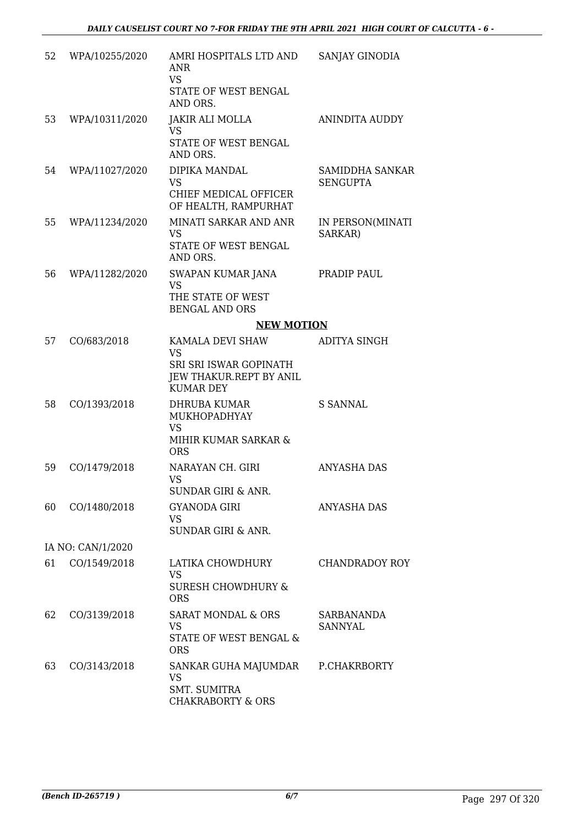| 52 | WPA/10255/2020    | AMRI HOSPITALS LTD AND<br><b>ANR</b><br><b>VS</b><br>STATE OF WEST BENGAL<br>AND ORS.                  | SANJAY GINODIA                     |
|----|-------------------|--------------------------------------------------------------------------------------------------------|------------------------------------|
| 53 | WPA/10311/2020    | <b>JAKIR ALI MOLLA</b><br><b>VS</b><br>STATE OF WEST BENGAL<br>AND ORS.                                | <b>ANINDITA AUDDY</b>              |
| 54 | WPA/11027/2020    | DIPIKA MANDAL<br><b>VS</b><br>CHIEF MEDICAL OFFICER<br>OF HEALTH, RAMPURHAT                            | SAMIDDHA SANKAR<br><b>SENGUPTA</b> |
| 55 | WPA/11234/2020    | MINATI SARKAR AND ANR<br><b>VS</b><br>STATE OF WEST BENGAL<br>AND ORS.                                 | IN PERSON(MINATI<br>SARKAR)        |
| 56 | WPA/11282/2020    | SWAPAN KUMAR JANA<br><b>VS</b><br>THE STATE OF WEST<br><b>BENGAL AND ORS</b>                           | PRADIP PAUL                        |
|    |                   | <b>NEW MOTION</b>                                                                                      |                                    |
| 57 | CO/683/2018       | KAMALA DEVI SHAW<br><b>VS</b><br>SRI SRI ISWAR GOPINATH<br>JEW THAKUR.REPT BY ANIL<br><b>KUMAR DEY</b> | ADITYA SINGH                       |
| 58 | CO/1393/2018      | DHRUBA KUMAR<br>MUKHOPADHYAY<br><b>VS</b><br>MIHIR KUMAR SARKAR &<br><b>ORS</b>                        | <b>S SANNAL</b>                    |
| 59 | CO/1479/2018      | NARAYAN CH. GIRI<br><b>VS</b><br><b>SUNDAR GIRI &amp; ANR.</b>                                         | <b>ANYASHA DAS</b>                 |
| 60 | CO/1480/2018      | <b>GYANODA GIRI</b><br>VS.<br><b>SUNDAR GIRI &amp; ANR.</b>                                            | ANYASHA DAS                        |
|    | IA NO: CAN/1/2020 |                                                                                                        |                                    |
| 61 | CO/1549/2018      | LATIKA CHOWDHURY<br>VS.<br><b>SURESH CHOWDHURY &amp;</b><br><b>ORS</b>                                 | CHANDRADOY ROY                     |
| 62 | CO/3139/2018      | SARAT MONDAL & ORS<br>VS.<br>STATE OF WEST BENGAL &<br><b>ORS</b>                                      | SARBANANDA<br>SANNYAL              |
| 63 | CO/3143/2018      | SANKAR GUHA MAJUMDAR<br><b>VS</b><br><b>SMT. SUMITRA</b><br><b>CHAKRABORTY &amp; ORS</b>               | P.CHAKRBORTY                       |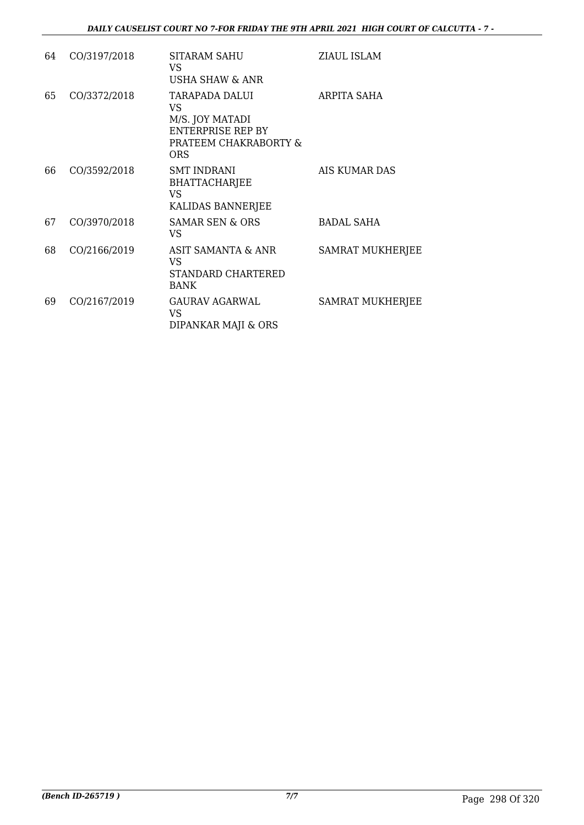| 64 | CO/3197/2018 | SITARAM SAHU<br>VS.<br><b>USHA SHAW &amp; ANR</b>                                                   | ZIAUL ISLAM             |
|----|--------------|-----------------------------------------------------------------------------------------------------|-------------------------|
| 65 | CO/3372/2018 | TARAPADA DALUI<br>VS<br>M/S. JOY MATADI<br>ENTERPRISE REP BY<br>PRATEEM CHAKRABORTY &<br><b>ORS</b> | ARPITA SAHA             |
| 66 | CO/3592/2018 | <b>SMT INDRANI</b><br><b>BHATTACHARJEE</b><br><b>VS</b><br>KALIDAS BANNERJEE                        | AIS KUMAR DAS           |
| 67 | CO/3970/2018 | <b>SAMAR SEN &amp; ORS</b><br>VS                                                                    | <b>BADAL SAHA</b>       |
| 68 | CO/2166/2019 | <b>ASIT SAMANTA &amp; ANR</b><br>VS.<br>STANDARD CHARTERED<br><b>BANK</b>                           | <b>SAMRAT MUKHERJEE</b> |
| 69 | CO/2167/2019 | GAURAV AGARWAL<br>VS.<br>DIPANKAR MAJI & ORS                                                        | <b>SAMRAT MUKHERJEE</b> |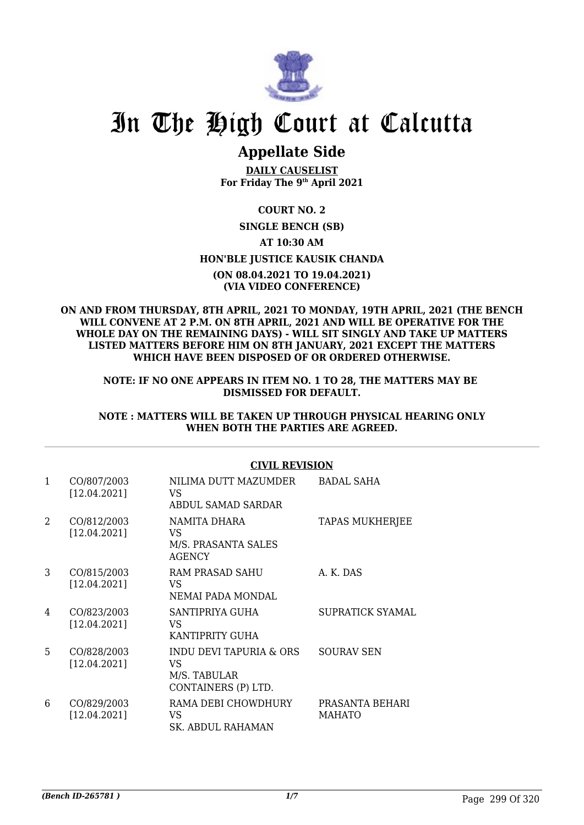

## **Appellate Side**

**DAILY CAUSELIST For Friday The 9th April 2021**

## **COURT NO. 2 SINGLE BENCH (SB) AT 10:30 AM HON'BLE JUSTICE KAUSIK CHANDA (ON 08.04.2021 TO 19.04.2021) (VIA VIDEO CONFERENCE)**

### **ON AND FROM THURSDAY, 8TH APRIL, 2021 TO MONDAY, 19TH APRIL, 2021 (THE BENCH WILL CONVENE AT 2 P.M. ON 8TH APRIL, 2021 AND WILL BE OPERATIVE FOR THE WHOLE DAY ON THE REMAINING DAYS) - WILL SIT SINGLY AND TAKE UP MATTERS LISTED MATTERS BEFORE HIM ON 8TH JANUARY, 2021 EXCEPT THE MATTERS WHICH HAVE BEEN DISPOSED OF OR ORDERED OTHERWISE.**

**NOTE: IF NO ONE APPEARS IN ITEM NO. 1 TO 28, THE MATTERS MAY BE DISMISSED FOR DEFAULT.**

## **NOTE : MATTERS WILL BE TAKEN UP THROUGH PHYSICAL HEARING ONLY WHEN BOTH THE PARTIES ARE AGREED.**

## **CIVIL REVISION**

| $\mathbf{1}$ | CO/807/2003<br>[12.04.2021] | NILIMA DUTT MAZUMDER<br>VS<br>ABDUL SAMAD SARDAR                     | <b>BADAL SAHA</b>                |
|--------------|-----------------------------|----------------------------------------------------------------------|----------------------------------|
| 2            | CO/812/2003<br>[12.04.2021] | NAMITA DHARA<br>VS<br>M/S. PRASANTA SALES<br>AGENCY                  | <b>TAPAS MUKHERJEE</b>           |
| 3            | CO/815/2003<br>[12.04.2021] | RAM PRASAD SAHU<br>VS<br>NEMAI PADA MONDAI.                          | A. K. DAS                        |
| 4            | CO/823/2003<br>[12.04.2021] | SANTIPRIYA GUHA<br>VS<br>KANTIPRITY GUHA                             | <b>SUPRATICK SYAMAL</b>          |
| 5            | CO/828/2003<br>[12.04.2021] | INDU DEVI TAPURIA & ORS<br>VS<br>M/S. TABULAR<br>CONTAINERS (P) LTD. | <b>SOURAV SEN</b>                |
| 6            | CO/829/2003<br>[12.04.2021] | RAMA DEBI CHOWDHURY<br>VS<br>SK. ABDUL RAHAMAN                       | PRASANTA BEHARI<br><b>MAHATO</b> |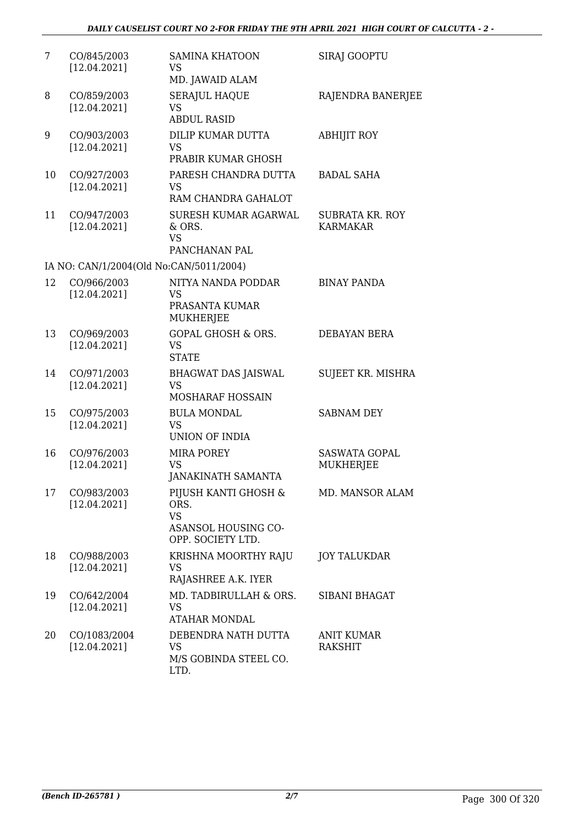| 7  | CO/845/2003<br>[12.04.2021]  | <b>SAMINA KHATOON</b><br><b>VS</b><br>MD. JAWAID ALAM                                 | <b>SIRAJ GOOPTU</b>                 |
|----|------------------------------|---------------------------------------------------------------------------------------|-------------------------------------|
| 8  | CO/859/2003<br>[12.04.2021]  | <b>SERAJUL HAQUE</b><br><b>VS</b><br><b>ABDUL RASID</b>                               | RAJENDRA BANERJEE                   |
| 9  | CO/903/2003<br>[12.04.2021]  | DILIP KUMAR DUTTA<br><b>VS</b><br>PRABIR KUMAR GHOSH                                  | <b>ABHIJIT ROY</b>                  |
| 10 | CO/927/2003<br>[12.04.2021]  | PARESH CHANDRA DUTTA<br><b>VS</b><br>RAM CHANDRA GAHALOT                              | <b>BADAL SAHA</b>                   |
| 11 | CO/947/2003<br>[12.04.2021]  | SURESH KUMAR AGARWAL<br>& ORS.<br><b>VS</b><br>PANCHANAN PAL                          | SUBRATA KR. ROY<br><b>KARMAKAR</b>  |
|    |                              | IA NO: CAN/1/2004(Old No:CAN/5011/2004)                                               |                                     |
| 12 | CO/966/2003<br>[12.04.2021]  | NITYA NANDA PODDAR<br><b>VS</b><br>PRASANTA KUMAR<br><b>MUKHERJEE</b>                 | <b>BINAY PANDA</b>                  |
| 13 | CO/969/2003<br>[12.04.2021]  | <b>GOPAL GHOSH &amp; ORS.</b><br><b>VS</b><br><b>STATE</b>                            | DEBAYAN BERA                        |
| 14 | CO/971/2003<br>[12.04.2021]  | <b>BHAGWAT DAS JAISWAL</b><br>VS<br>MOSHARAF HOSSAIN                                  | SUJEET KR. MISHRA                   |
| 15 | CO/975/2003<br>[12.04.2021]  | <b>BULA MONDAL</b><br><b>VS</b><br>UNION OF INDIA                                     | <b>SABNAM DEY</b>                   |
| 16 | CO/976/2003<br>[12.04.2021]  | <b>MIRA POREY</b><br><b>VS</b><br><b>JANAKINATH SAMANTA</b>                           | <b>SASWATA GOPAL</b><br>MUKHERJEE   |
| 17 | CO/983/2003<br>[12.04.2021]  | PIJUSH KANTI GHOSH &<br>ORS.<br><b>VS</b><br>ASANSOL HOUSING CO-<br>OPP. SOCIETY LTD. | MD. MANSOR ALAM                     |
| 18 | CO/988/2003<br>[12.04.2021]  | KRISHNA MOORTHY RAJU<br>VS<br>RAJASHREE A.K. IYER                                     | <b>JOY TALUKDAR</b>                 |
| 19 | CO/642/2004<br>[12.04.2021]  | MD. TADBIRULLAH & ORS.<br><b>VS</b><br><b>ATAHAR MONDAL</b>                           | SIBANI BHAGAT                       |
| 20 | CO/1083/2004<br>[12.04.2021] | DEBENDRA NATH DUTTA<br>VS<br>M/S GOBINDA STEEL CO.<br>LTD.                            | <b>ANIT KUMAR</b><br><b>RAKSHIT</b> |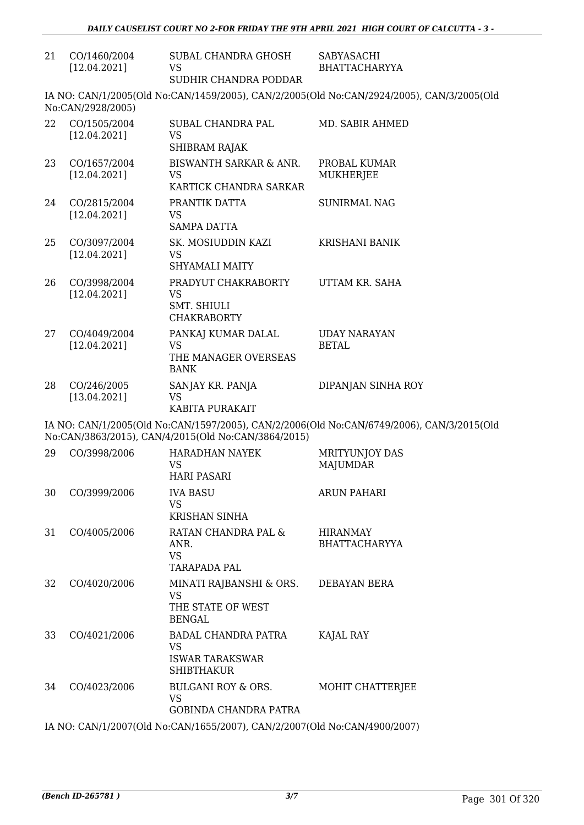| 21 | CO/1460/2004<br>[12.04.2021] | SUBAL CHANDRA GHOSH<br><b>VS</b><br>SUDHIR CHANDRA PODDAR                               | <b>SABYASACHI</b><br><b>BHATTACHARYYA</b>                                                 |  |  |
|----|------------------------------|-----------------------------------------------------------------------------------------|-------------------------------------------------------------------------------------------|--|--|
|    | No:CAN/2928/2005)            |                                                                                         | IA NO: CAN/1/2005(Old No:CAN/1459/2005), CAN/2/2005(Old No:CAN/2924/2005), CAN/3/2005(Old |  |  |
| 22 | CO/1505/2004<br>[12.04.2021] | SUBAL CHANDRA PAL<br><b>VS</b><br>SHIBRAM RAJAK                                         | MD. SABIR AHMED                                                                           |  |  |
| 23 | CO/1657/2004<br>[12.04.2021] | BISWANTH SARKAR & ANR.<br>VS<br>KARTICK CHANDRA SARKAR                                  | PROBAL KUMAR<br>MUKHERJEE                                                                 |  |  |
| 24 | CO/2815/2004<br>[12.04.2021] | PRANTIK DATTA<br><b>VS</b><br><b>SAMPA DATTA</b>                                        | <b>SUNIRMAL NAG</b>                                                                       |  |  |
| 25 | CO/3097/2004<br>[12.04.2021] | SK. MOSIUDDIN KAZI<br><b>VS</b><br><b>SHYAMALI MAITY</b>                                | <b>KRISHANI BANIK</b>                                                                     |  |  |
| 26 | CO/3998/2004<br>[12.04.2021] | PRADYUT CHAKRABORTY<br><b>VS</b><br><b>SMT. SHIULI</b><br><b>CHAKRABORTY</b>            | UTTAM KR. SAHA                                                                            |  |  |
| 27 | CO/4049/2004<br>[12.04.2021] | PANKAJ KUMAR DALAL<br><b>VS</b><br>THE MANAGER OVERSEAS<br><b>BANK</b>                  | <b>UDAY NARAYAN</b><br><b>BETAL</b>                                                       |  |  |
| 28 | CO/246/2005<br>[13.04.2021]  | SANJAY KR. PANJA<br><b>VS</b><br>KABITA PURAKAIT                                        | DIPANJAN SINHA ROY                                                                        |  |  |
|    |                              | No:CAN/3863/2015), CAN/4/2015(Old No:CAN/3864/2015)                                     | IA NO: CAN/1/2005(Old No:CAN/1597/2005), CAN/2/2006(Old No:CAN/6749/2006), CAN/3/2015(Old |  |  |
| 29 | CO/3998/2006                 | <b>HARADHAN NAYEK</b><br><b>VS</b><br><b>HARI PASARI</b>                                | <b>MRITYUNJOY DAS</b><br><b>MAJUMDAR</b>                                                  |  |  |
| 30 | CO/3999/2006                 | <b>IVA BASU</b><br><b>VS</b><br><b>KRISHAN SINHA</b>                                    | <b>ARUN PAHARI</b>                                                                        |  |  |
| 31 | CO/4005/2006                 | RATAN CHANDRA PAL &<br>ANR.<br><b>VS</b><br>TARAPADA PAL                                | <b>HIRANMAY</b><br><b>BHATTACHARYYA</b>                                                   |  |  |
| 32 | CO/4020/2006                 | MINATI RAJBANSHI & ORS. DEBAYAN BERA<br><b>VS</b><br>THE STATE OF WEST<br><b>BENGAL</b> |                                                                                           |  |  |
| 33 | CO/4021/2006                 | BADAL CHANDRA PATRA<br>VS<br><b>ISWAR TARAKSWAR</b><br><b>SHIBTHAKUR</b>                | KAJAL RAY                                                                                 |  |  |
| 34 | CO/4023/2006                 | BULGANI ROY & ORS.<br>VS<br>GOBINDA CHANDRA PATRA                                       | MOHIT CHATTERJEE                                                                          |  |  |
|    |                              |                                                                                         |                                                                                           |  |  |

IA NO: CAN/1/2007(Old No:CAN/1655/2007), CAN/2/2007(Old No:CAN/4900/2007)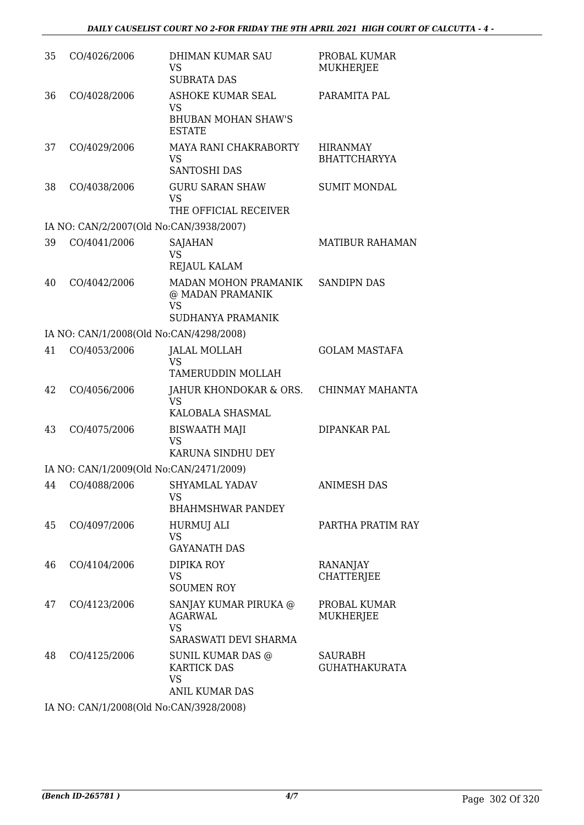| PARAMITA PAL<br>CO/4028/2006<br>ASHOKE KUMAR SEAL<br>36<br><b>VS</b><br><b>BHUBAN MOHAN SHAW'S</b><br><b>ESTATE</b><br>MAYA RANI CHAKRABORTY<br>37<br>CO/4029/2006<br><b>HIRANMAY</b><br><b>BHATTCHARYYA</b><br><b>VS</b><br><b>SANTOSHI DAS</b><br>CO/4038/2006<br><b>GURU SARAN SHAW</b><br><b>SUMIT MONDAL</b><br>38<br><b>VS</b><br>THE OFFICIAL RECEIVER<br>IA NO: CAN/2/2007(Old No:CAN/3938/2007)<br>39<br>CO/4041/2006<br>MATIBUR RAHAMAN<br>SAJAHAN<br><b>VS</b><br>REJAUL KALAM<br>CO/4042/2006<br>MADAN MOHON PRAMANIK<br><b>SANDIPN DAS</b><br>40<br>@ MADAN PRAMANIK<br><b>VS</b><br>SUDHANYA PRAMANIK<br>IA NO: CAN/1/2008(Old No:CAN/4298/2008)<br>41<br>CO/4053/2006<br><b>JALAL MOLLAH</b><br><b>GOLAM MASTAFA</b><br><b>VS</b><br>TAMERUDDIN MOLLAH<br>42<br>CO/4056/2006<br>JAHUR KHONDOKAR & ORS.<br>CHINMAY MAHANTA<br><b>VS</b><br>KALOBALA SHASMAL<br>CO/4075/2006<br>DIPANKAR PAL<br>43<br><b>BISWAATH MAJI</b><br><b>VS</b><br>KARUNA SINDHU DEY<br>IA NO: CAN/1/2009(Old No:CAN/2471/2009)<br>44 CO/4088/2006 SHYAMLAL YADAV<br><b>ANIMESH DAS</b><br><b>VS</b><br><b>BHAHMSHWAR PANDEY</b><br>45<br>CO/4097/2006<br>PARTHA PRATIM RAY<br>HURMUJ ALI<br><b>VS</b><br><b>GAYANATH DAS</b><br>46<br>CO/4104/2006<br>DIPIKA ROY<br>RANANJAY<br><b>CHATTERJEE</b><br><b>VS</b><br><b>SOUMEN ROY</b><br>CO/4123/2006<br>SANJAY KUMAR PIRUKA @<br>PROBAL KUMAR<br>47<br><b>AGARWAL</b><br>MUKHERJEE<br><b>VS</b><br>SARASWATI DEVI SHARMA<br>48<br>CO/4125/2006<br><b>SUNIL KUMAR DAS @</b><br><b>SAURABH</b><br><b>KARTICK DAS</b><br><b>GUHATHAKURATA</b><br><b>VS</b><br><b>ANIL KUMAR DAS</b><br>IA NO: CAN/1/2008(Old No:CAN/3928/2008) | 35 | CO/4026/2006 | DHIMAN KUMAR SAU<br><b>VS</b><br><b>SUBRATA DAS</b> | PROBAL KUMAR<br>MUKHERJEE |
|------------------------------------------------------------------------------------------------------------------------------------------------------------------------------------------------------------------------------------------------------------------------------------------------------------------------------------------------------------------------------------------------------------------------------------------------------------------------------------------------------------------------------------------------------------------------------------------------------------------------------------------------------------------------------------------------------------------------------------------------------------------------------------------------------------------------------------------------------------------------------------------------------------------------------------------------------------------------------------------------------------------------------------------------------------------------------------------------------------------------------------------------------------------------------------------------------------------------------------------------------------------------------------------------------------------------------------------------------------------------------------------------------------------------------------------------------------------------------------------------------------------------------------------------------------------------------------------------------------------------------------------------------------------|----|--------------|-----------------------------------------------------|---------------------------|
|                                                                                                                                                                                                                                                                                                                                                                                                                                                                                                                                                                                                                                                                                                                                                                                                                                                                                                                                                                                                                                                                                                                                                                                                                                                                                                                                                                                                                                                                                                                                                                                                                                                                  |    |              |                                                     |                           |
|                                                                                                                                                                                                                                                                                                                                                                                                                                                                                                                                                                                                                                                                                                                                                                                                                                                                                                                                                                                                                                                                                                                                                                                                                                                                                                                                                                                                                                                                                                                                                                                                                                                                  |    |              |                                                     |                           |
|                                                                                                                                                                                                                                                                                                                                                                                                                                                                                                                                                                                                                                                                                                                                                                                                                                                                                                                                                                                                                                                                                                                                                                                                                                                                                                                                                                                                                                                                                                                                                                                                                                                                  |    |              |                                                     |                           |
|                                                                                                                                                                                                                                                                                                                                                                                                                                                                                                                                                                                                                                                                                                                                                                                                                                                                                                                                                                                                                                                                                                                                                                                                                                                                                                                                                                                                                                                                                                                                                                                                                                                                  |    |              |                                                     |                           |
|                                                                                                                                                                                                                                                                                                                                                                                                                                                                                                                                                                                                                                                                                                                                                                                                                                                                                                                                                                                                                                                                                                                                                                                                                                                                                                                                                                                                                                                                                                                                                                                                                                                                  |    |              |                                                     |                           |
|                                                                                                                                                                                                                                                                                                                                                                                                                                                                                                                                                                                                                                                                                                                                                                                                                                                                                                                                                                                                                                                                                                                                                                                                                                                                                                                                                                                                                                                                                                                                                                                                                                                                  |    |              |                                                     |                           |
|                                                                                                                                                                                                                                                                                                                                                                                                                                                                                                                                                                                                                                                                                                                                                                                                                                                                                                                                                                                                                                                                                                                                                                                                                                                                                                                                                                                                                                                                                                                                                                                                                                                                  |    |              |                                                     |                           |
|                                                                                                                                                                                                                                                                                                                                                                                                                                                                                                                                                                                                                                                                                                                                                                                                                                                                                                                                                                                                                                                                                                                                                                                                                                                                                                                                                                                                                                                                                                                                                                                                                                                                  |    |              |                                                     |                           |
|                                                                                                                                                                                                                                                                                                                                                                                                                                                                                                                                                                                                                                                                                                                                                                                                                                                                                                                                                                                                                                                                                                                                                                                                                                                                                                                                                                                                                                                                                                                                                                                                                                                                  |    |              |                                                     |                           |
|                                                                                                                                                                                                                                                                                                                                                                                                                                                                                                                                                                                                                                                                                                                                                                                                                                                                                                                                                                                                                                                                                                                                                                                                                                                                                                                                                                                                                                                                                                                                                                                                                                                                  |    |              |                                                     |                           |
|                                                                                                                                                                                                                                                                                                                                                                                                                                                                                                                                                                                                                                                                                                                                                                                                                                                                                                                                                                                                                                                                                                                                                                                                                                                                                                                                                                                                                                                                                                                                                                                                                                                                  |    |              |                                                     |                           |
|                                                                                                                                                                                                                                                                                                                                                                                                                                                                                                                                                                                                                                                                                                                                                                                                                                                                                                                                                                                                                                                                                                                                                                                                                                                                                                                                                                                                                                                                                                                                                                                                                                                                  |    |              |                                                     |                           |
|                                                                                                                                                                                                                                                                                                                                                                                                                                                                                                                                                                                                                                                                                                                                                                                                                                                                                                                                                                                                                                                                                                                                                                                                                                                                                                                                                                                                                                                                                                                                                                                                                                                                  |    |              |                                                     |                           |
|                                                                                                                                                                                                                                                                                                                                                                                                                                                                                                                                                                                                                                                                                                                                                                                                                                                                                                                                                                                                                                                                                                                                                                                                                                                                                                                                                                                                                                                                                                                                                                                                                                                                  |    |              |                                                     |                           |
|                                                                                                                                                                                                                                                                                                                                                                                                                                                                                                                                                                                                                                                                                                                                                                                                                                                                                                                                                                                                                                                                                                                                                                                                                                                                                                                                                                                                                                                                                                                                                                                                                                                                  |    |              |                                                     |                           |
|                                                                                                                                                                                                                                                                                                                                                                                                                                                                                                                                                                                                                                                                                                                                                                                                                                                                                                                                                                                                                                                                                                                                                                                                                                                                                                                                                                                                                                                                                                                                                                                                                                                                  |    |              |                                                     |                           |
|                                                                                                                                                                                                                                                                                                                                                                                                                                                                                                                                                                                                                                                                                                                                                                                                                                                                                                                                                                                                                                                                                                                                                                                                                                                                                                                                                                                                                                                                                                                                                                                                                                                                  |    |              |                                                     |                           |
|                                                                                                                                                                                                                                                                                                                                                                                                                                                                                                                                                                                                                                                                                                                                                                                                                                                                                                                                                                                                                                                                                                                                                                                                                                                                                                                                                                                                                                                                                                                                                                                                                                                                  |    |              |                                                     |                           |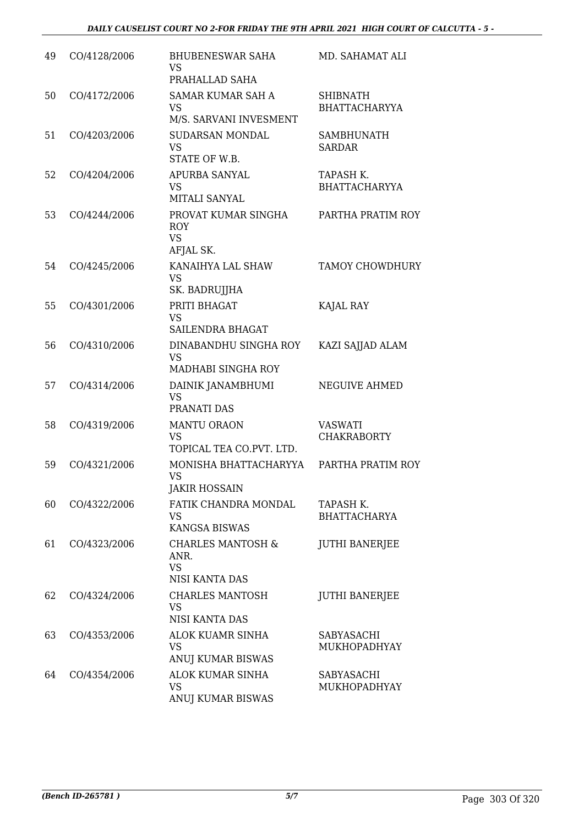| 49 | CO/4128/2006 | <b>BHUBENESWAR SAHA</b><br><b>VS</b><br>PRAHALLAD SAHA                     | MD. SAHAMAT ALI                         |
|----|--------------|----------------------------------------------------------------------------|-----------------------------------------|
| 50 | CO/4172/2006 | <b>SAMAR KUMAR SAH A</b><br><b>VS</b><br>M/S. SARVANI INVESMENT            | <b>SHIBNATH</b><br><b>BHATTACHARYYA</b> |
| 51 | CO/4203/2006 | SUDARSAN MONDAL<br><b>VS</b><br>STATE OF W.B.                              | <b>SAMBHUNATH</b><br><b>SARDAR</b>      |
| 52 | CO/4204/2006 | APURBA SANYAL<br><b>VS</b><br>MITALI SANYAL                                | TAPASH K.<br><b>BHATTACHARYYA</b>       |
| 53 | CO/4244/2006 | PROVAT KUMAR SINGHA<br><b>ROY</b><br><b>VS</b><br>AFJAL SK.                | PARTHA PRATIM ROY                       |
| 54 | CO/4245/2006 | KANAIHYA LAL SHAW<br><b>VS</b><br>SK. BADRUJJHA                            | <b>TAMOY CHOWDHURY</b>                  |
| 55 | CO/4301/2006 | PRITI BHAGAT<br><b>VS</b><br>SAILENDRA BHAGAT                              | KAJAL RAY                               |
| 56 | CO/4310/2006 | DINABANDHU SINGHA ROY<br><b>VS</b><br>MADHABI SINGHA ROY                   | KAZI SAJJAD ALAM                        |
| 57 | CO/4314/2006 | DAINIK JANAMBHUMI<br><b>VS</b><br>PRANATI DAS                              | NEGUIVE AHMED                           |
| 58 | CO/4319/2006 | <b>MANTU ORAON</b><br><b>VS</b><br>TOPICAL TEA CO.PVT. LTD.                | <b>VASWATI</b><br><b>CHAKRABORTY</b>    |
| 59 | CO/4321/2006 | MONISHA BHATTACHARYYA<br><b>VS</b><br><b>JAKIR HOSSAIN</b>                 | PARTHA PRATIM ROY                       |
| 60 | CO/4322/2006 | FATIK CHANDRA MONDAL<br><b>VS</b><br><b>KANGSA BISWAS</b>                  | TAPASH K.<br><b>BHATTACHARYA</b>        |
| 61 | CO/4323/2006 | <b>CHARLES MANTOSH &amp;</b><br>ANR.<br><b>VS</b><br><b>NISI KANTA DAS</b> | <b>JUTHI BANERJEE</b>                   |
| 62 | CO/4324/2006 | <b>CHARLES MANTOSH</b><br><b>VS</b><br><b>NISI KANTA DAS</b>               | <b>JUTHI BANERJEE</b>                   |
| 63 | CO/4353/2006 | ALOK KUAMR SINHA<br><b>VS</b><br>ANUJ KUMAR BISWAS                         | SABYASACHI<br>MUKHOPADHYAY              |
| 64 | CO/4354/2006 | ALOK KUMAR SINHA<br><b>VS</b><br>ANUJ KUMAR BISWAS                         | SABYASACHI<br>MUKHOPADHYAY              |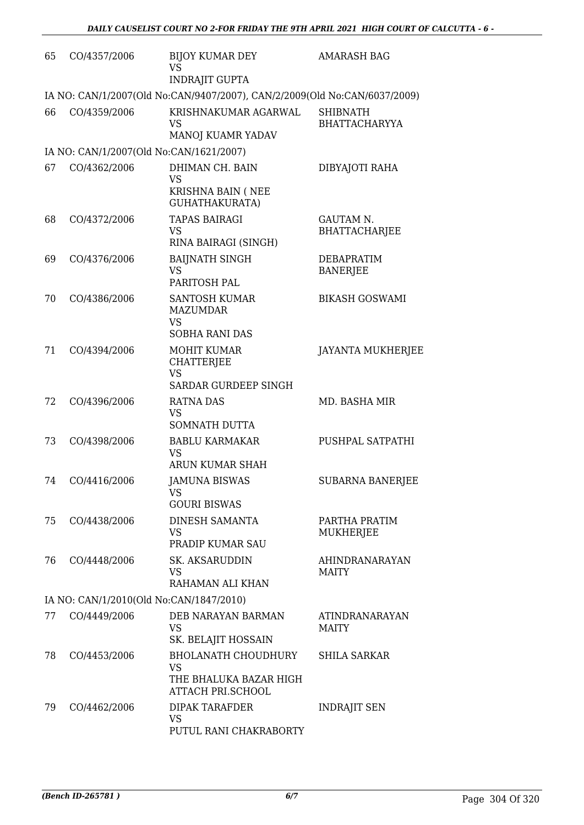| 65 | CO/4357/2006                            | <b>BIJOY KUMAR DEY</b><br><b>VS</b><br><b>INDRAJIT GUPTA</b>                                  | <b>AMARASH BAG</b>                      |  |  |  |
|----|-----------------------------------------|-----------------------------------------------------------------------------------------------|-----------------------------------------|--|--|--|
|    |                                         | IA NO: CAN/1/2007(Old No:CAN/9407/2007), CAN/2/2009(Old No:CAN/6037/2009)                     |                                         |  |  |  |
| 66 | CO/4359/2006                            | KRISHNAKUMAR AGARWAL<br>VS<br>MANOJ KUAMR YADAV                                               | <b>SHIBNATH</b><br><b>BHATTACHARYYA</b> |  |  |  |
|    | IA NO: CAN/1/2007(Old No:CAN/1621/2007) |                                                                                               |                                         |  |  |  |
| 67 | CO/4362/2006                            | DHIMAN CH. BAIN<br><b>VS</b><br>KRISHNA BAIN (NEE<br>GUHATHAKURATA)                           | DIBYAJOTI RAHA                          |  |  |  |
| 68 | CO/4372/2006                            | <b>TAPAS BAIRAGI</b><br>VS<br>RINA BAIRAGI (SINGH)                                            | GAUTAM N.<br><b>BHATTACHARJEE</b>       |  |  |  |
| 69 | CO/4376/2006                            | <b>BAIJNATH SINGH</b><br><b>VS</b><br>PARITOSH PAL                                            | <b>DEBAPRATIM</b><br><b>BANERJEE</b>    |  |  |  |
| 70 | CO/4386/2006                            | <b>SANTOSH KUMAR</b><br><b>MAZUMDAR</b><br><b>VS</b><br><b>SOBHA RANI DAS</b>                 | <b>BIKASH GOSWAMI</b>                   |  |  |  |
| 71 | CO/4394/2006                            | <b>MOHIT KUMAR</b><br><b>CHATTERJEE</b><br><b>VS</b><br>SARDAR GURDEEP SINGH                  | JAYANTA MUKHERJEE                       |  |  |  |
| 72 | CO/4396/2006                            | <b>RATNA DAS</b><br><b>VS</b><br><b>SOMNATH DUTTA</b>                                         | MD. BASHA MIR                           |  |  |  |
| 73 | CO/4398/2006                            | <b>BABLU KARMAKAR</b><br>VS<br><b>ARUN KUMAR SHAH</b>                                         | PUSHPAL SATPATHI                        |  |  |  |
| 74 | CO/4416/2006                            | <b>JAMUNA BISWAS</b><br>VS<br><b>GOURI BISWAS</b>                                             | <b>SUBARNA BANERJEE</b>                 |  |  |  |
| 75 | CO/4438/2006                            | DINESH SAMANTA<br>VS<br>PRADIP KUMAR SAU                                                      | PARTHA PRATIM<br><b>MUKHERJEE</b>       |  |  |  |
| 76 | CO/4448/2006                            | <b>SK. AKSARUDDIN</b><br>VS<br>RAHAMAN ALI KHAN                                               | <b>AHINDRANARAYAN</b><br><b>MAITY</b>   |  |  |  |
|    | IA NO: CAN/1/2010(Old No:CAN/1847/2010) |                                                                                               |                                         |  |  |  |
| 77 | CO/4449/2006                            | DEB NARAYAN BARMAN<br>VS<br>SK. BELAJIT HOSSAIN                                               | ATINDRANARAYAN<br>MAITY                 |  |  |  |
| 78 | CO/4453/2006                            | <b>BHOLANATH CHOUDHURY</b><br><b>VS</b><br>THE BHALUKA BAZAR HIGH<br><b>ATTACH PRI.SCHOOL</b> | <b>SHILA SARKAR</b>                     |  |  |  |
| 79 | CO/4462/2006                            | <b>DIPAK TARAFDER</b><br>VS<br>PUTUL RANI CHAKRABORTY                                         | <b>INDRAJIT SEN</b>                     |  |  |  |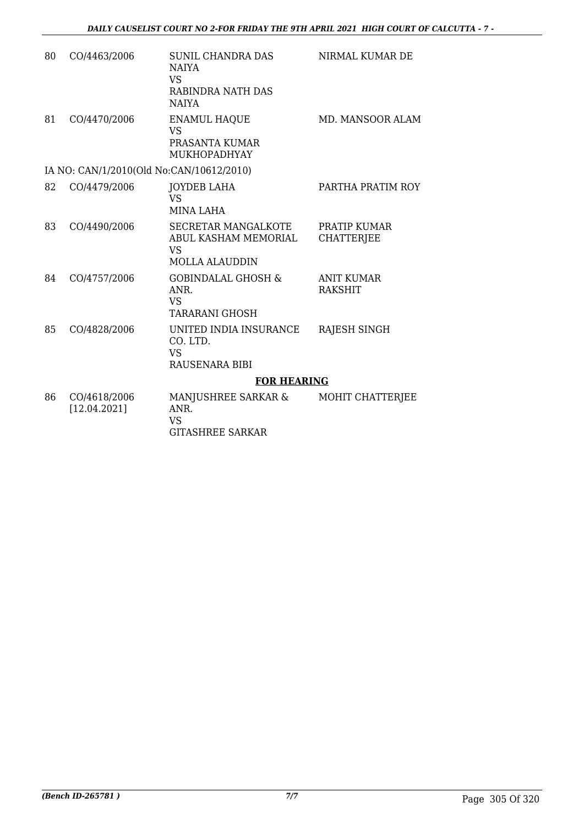| 80 | CO/4463/2006                             | <b>SUNIL CHANDRA DAS</b><br><b>NAIYA</b><br><b>VS</b><br>RABINDRA NATH DAS<br><b>NAIYA</b> | NIRMAL KUMAR DE                     |
|----|------------------------------------------|--------------------------------------------------------------------------------------------|-------------------------------------|
| 81 | CO/4470/2006                             | <b>ENAMUL HAQUE</b><br>VS <sub>1</sub><br>PRASANTA KUMAR<br><b>MUKHOPADHYAY</b>            | MD. MANSOOR ALAM                    |
|    | IA NO: CAN/1/2010(Old No:CAN/10612/2010) |                                                                                            |                                     |
| 82 | CO/4479/2006                             | JOYDEB LAHA<br>VS <sub>1</sub><br><b>MINA LAHA</b>                                         | PARTHA PRATIM ROY                   |
| 83 | CO/4490/2006                             | <b>SECRETAR MANGALKOTE</b><br>ABUL KASHAM MEMORIAL<br><b>VS</b><br><b>MOLLA ALAUDDIN</b>   | PRATIP KUMAR<br><b>CHATTERJEE</b>   |
| 84 | CO/4757/2006                             | <b>GOBINDALAL GHOSH &amp;</b><br>ANR.<br><b>VS</b><br><b>TARARANI GHOSH</b>                | <b>ANIT KUMAR</b><br><b>RAKSHIT</b> |
| 85 | CO/4828/2006                             | UNITED INDIA INSURANCE<br>CO. LTD.<br><b>VS</b><br>RAUSENARA BIBI                          | <b>RAJESH SINGH</b>                 |
|    |                                          | <b>FOR HEARING</b>                                                                         |                                     |
| 86 | CO/4618/2006<br>[12.04.2021]             | MANJUSHREE SARKAR &<br>ANR.<br><b>VS</b><br><b>GITASHREE SARKAR</b>                        | MOHIT CHATTERJEE                    |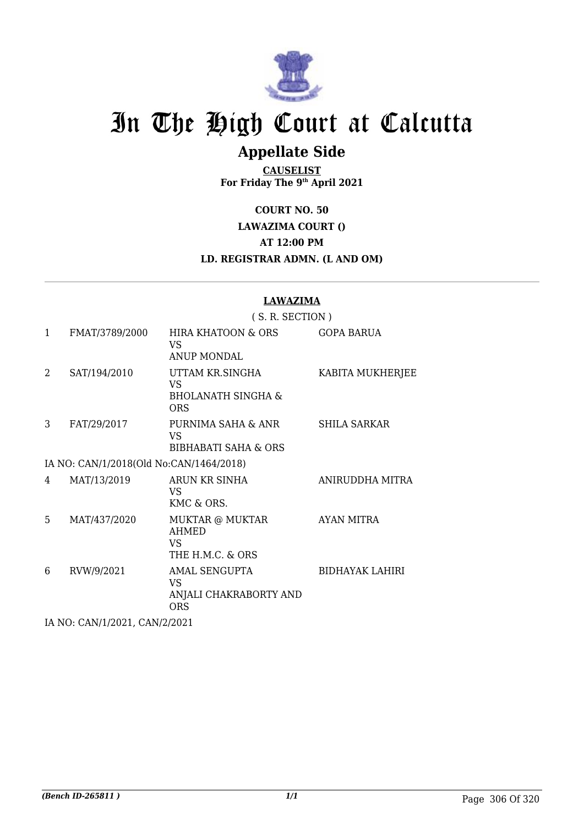

## **Appellate Side**

**CAUSELIST For Friday The 9th April 2021**

**COURT NO. 50**

**LAWAZIMA COURT ()**

**AT 12:00 PM**

**LD. REGISTRAR ADMN. (L AND OM)**

## **LAWAZIMA**

|              |                                         | (S. R. SECTION)                                                             |                        |  |
|--------------|-----------------------------------------|-----------------------------------------------------------------------------|------------------------|--|
| $\mathbf{1}$ | FMAT/3789/2000                          | HIRA KHATOON & ORS<br>VS.<br><b>ANUP MONDAL</b>                             | <b>GOPA BARUA</b>      |  |
| 2            | SAT/194/2010                            | UTTAM KR.SINGHA<br><b>VS</b><br><b>BHOLANATH SINGHA &amp;</b><br><b>ORS</b> | KABITA MUKHERJEE       |  |
| 3            | FAT/29/2017                             | PURNIMA SAHA & ANR<br>VS<br><b>BIBHABATI SAHA &amp; ORS</b>                 | SHILA SARKAR           |  |
|              | IA NO: CAN/1/2018(Old No:CAN/1464/2018) |                                                                             |                        |  |
| 4            | MAT/13/2019                             | ARUN KR SINHA<br>VS.<br>KMC & ORS.                                          | ANIRUDDHA MITRA        |  |
| 5            | MAT/437/2020                            | MUKTAR @ MUKTAR<br><b>AHMED</b><br>VS.<br>THE H.M.C. & ORS                  | AYAN MITRA             |  |
| 6            | RVW/9/2021                              | AMAL SENGUPTA<br>VS.<br>ANJALI CHAKRABORTY AND<br><b>ORS</b>                | <b>BIDHAYAK LAHIRI</b> |  |
|              | IA NO: CAN/1/2021, CAN/2/2021           |                                                                             |                        |  |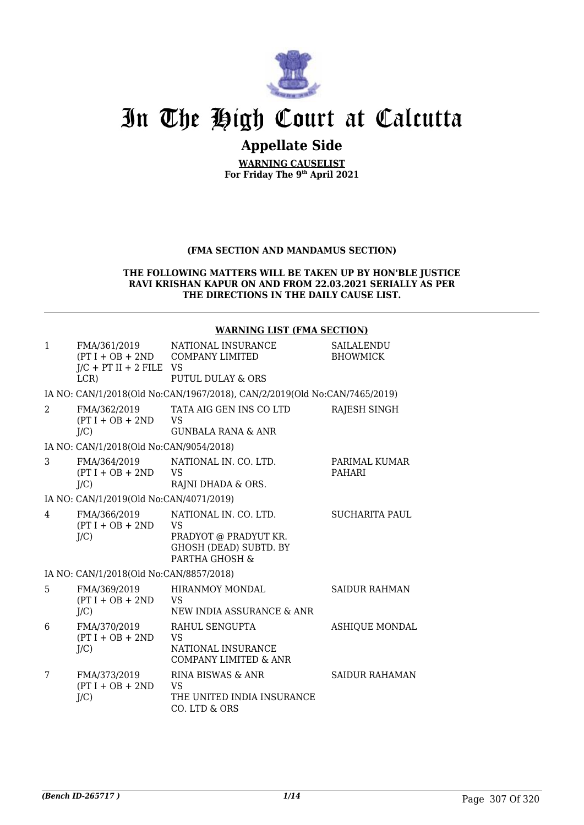

## **Appellate Side**

**WARNING CAUSELIST For Friday The 9th April 2021**

## **(FMA SECTION AND MANDAMUS SECTION)**

#### **THE FOLLOWING MATTERS WILL BE TAKEN UP BY HON'BLE JUSTICE RAVI KRISHAN KAPUR ON AND FROM 22.03.2021 SERIALLY AS PER THE DIRECTIONS IN THE DAILY CAUSE LIST.**

#### **WARNING LIST (FMA SECTION)**

| $\mathbf{1}$   | FMA/361/2019<br>$J/C$ + PT II + 2 FILE VS<br>$LCR$ ) | NATIONAL INSURANCE<br>(PT I + OB + 2ND COMPANY LIMITED<br><b>PUTUL DULAY &amp; ORS</b>                         | SAILALENDU<br><b>BHOWMICK</b> |
|----------------|------------------------------------------------------|----------------------------------------------------------------------------------------------------------------|-------------------------------|
|                |                                                      | IA NO: CAN/1/2018(Old No:CAN/1967/2018), CAN/2/2019(Old No:CAN/7465/2019)                                      |                               |
| $\overline{2}$ | FMA/362/2019<br>$(PT I + OB + 2ND$<br>$J/C$ )        | TATA AIG GEN INS CO LTD<br><b>VS</b><br><b>GUNBALA RANA &amp; ANR</b>                                          | RAJESH SINGH                  |
|                | IA NO: CAN/1/2018(Old No:CAN/9054/2018)              |                                                                                                                |                               |
| 3              | FMA/364/2019<br>$(PT I + OB + 2ND$<br>$J/C$ )        | NATIONAL IN. CO. LTD.<br><b>VS</b><br>RAJNI DHADA & ORS.                                                       | PARIMAL KUMAR<br>PAHARI       |
|                | IA NO: CAN/1/2019(Old No:CAN/4071/2019)              |                                                                                                                |                               |
| 4              | FMA/366/2019<br>$(PT I + OB + 2ND$<br>$J/C$ )        | NATIONAL IN, CO. LTD.<br><b>VS</b><br>PRADYOT @ PRADYUT KR.<br><b>GHOSH (DEAD) SUBTD. BY</b><br>PARTHA GHOSH & | SUCHARITA PAUL                |
|                | IA NO: CAN/1/2018(Old No:CAN/8857/2018)              |                                                                                                                |                               |
| 5              | FMA/369/2019<br>$(PT I + OB + 2ND$<br>$J/C$ )        | <b>HIRANMOY MONDAL</b><br>VS.<br>NEW INDIA ASSURANCE & ANR                                                     | <b>SAIDUR RAHMAN</b>          |
| 6              | FMA/370/2019<br>$(PT I + OB + 2ND$<br>$J/C$ )        | RAHUL SENGUPTA<br><b>VS</b><br>NATIONAL INSURANCE<br><b>COMPANY LIMITED &amp; ANR</b>                          | <b>ASHIQUE MONDAL</b>         |
| 7              | FMA/373/2019<br>$(PT I + OB + 2ND$<br>$J/C$ )        | RINA BISWAS & ANR<br><b>VS</b><br>THE UNITED INDIA INSURANCE<br>CO. LTD & ORS                                  | <b>SAIDUR RAHAMAN</b>         |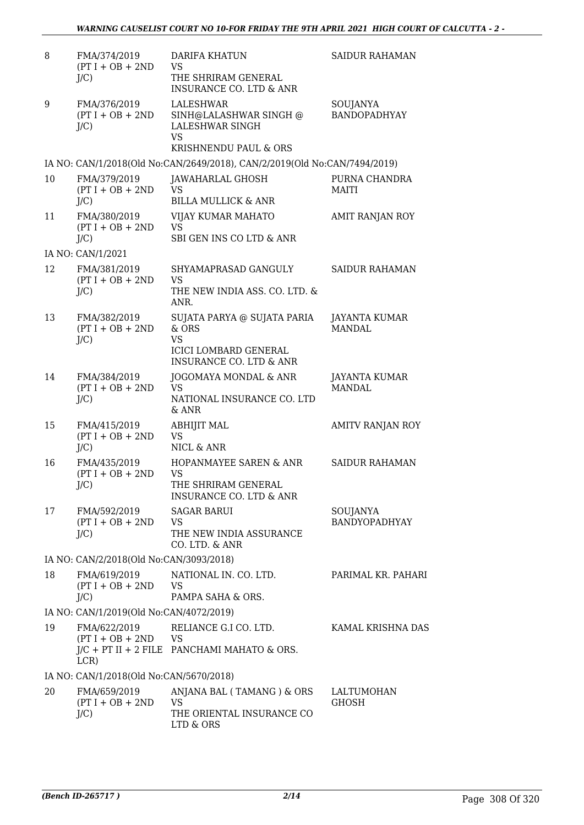| 8  | FMA/374/2019<br>$(PT I + OB + 2ND$<br>$J/C$ ) | <b>DARIFA KHATUN</b><br><b>VS</b><br>THE SHRIRAM GENERAL                                     | <b>SAIDUR RAHAMAN</b>            |
|----|-----------------------------------------------|----------------------------------------------------------------------------------------------|----------------------------------|
|    |                                               | <b>INSURANCE CO. LTD &amp; ANR</b>                                                           |                                  |
| 9  | FMA/376/2019<br>$(PT I + OB + 2ND$<br>$J/C$ ) | LALESHWAR<br>SINH@LALASHWAR SINGH @<br>LALESHWAR SINGH<br><b>VS</b><br>KRISHNENDU PAUL & ORS | SOUJANYA<br><b>BANDOPADHYAY</b>  |
|    |                                               | IA NO: CAN/1/2018(Old No:CAN/2649/2018), CAN/2/2019(Old No:CAN/7494/2019)                    |                                  |
| 10 | FMA/379/2019<br>$(PT I + OB + 2ND$            | JAWAHARLAL GHOSH<br>VS                                                                       | PURNA CHANDRA<br><b>MAITI</b>    |
|    | $J/C$ )                                       | <b>BILLA MULLICK &amp; ANR</b>                                                               |                                  |
| 11 | FMA/380/2019<br>$(PT I + OB + 2ND$<br>$J/C$ ) | VIJAY KUMAR MAHATO<br><b>VS</b><br>SBI GEN INS CO LTD & ANR                                  | AMIT RANJAN ROY                  |
|    | IA NO: CAN/1/2021                             |                                                                                              |                                  |
| 12 | FMA/381/2019<br>$(PT I + OB + 2ND$<br>$J/C$ ) | SHYAMAPRASAD GANGULY<br>VS<br>THE NEW INDIA ASS. CO. LTD. &                                  | <b>SAIDUR RAHAMAN</b>            |
| 13 | FMA/382/2019                                  | ANR.<br>SUJATA PARYA @ SUJATA PARIA                                                          | JAYANTA KUMAR                    |
|    | $(PT I + OB + 2ND$<br>$J/C$ )                 | & ORS<br><b>VS</b><br><b>ICICI LOMBARD GENERAL</b><br><b>INSURANCE CO. LTD &amp; ANR</b>     | MANDAL.                          |
| 14 | FMA/384/2019<br>$(PT I + OB + 2ND$<br>$J/C$ ) | JOGOMAYA MONDAL & ANR<br><b>VS</b><br>NATIONAL INSURANCE CO. LTD<br>$&$ ANR                  | JAYANTA KUMAR<br><b>MANDAL</b>   |
| 15 | FMA/415/2019<br>$(PT I + OB + 2ND$<br>$J/C$ ) | <b>ABHIJIT MAL</b><br><b>VS</b><br>NICL & ANR                                                | <b>AMITV RANJAN ROY</b>          |
| 16 | FMA/435/2019<br>$(PT I + OB + 2ND$<br>$J/C$ ) | HOPANMAYEE SAREN & ANR<br>VS<br>THE SHRIRAM GENERAL<br>INSURANCE CO. LTD & ANR               | <b>SAIDUR RAHAMAN</b>            |
| 17 | FMA/592/2019<br>$(PT I + OB + 2ND$<br>$J/C$ ) | <b>SAGAR BARUI</b><br>VS<br>THE NEW INDIA ASSURANCE<br>CO. LTD. & ANR                        | SOUJANYA<br><b>BANDYOPADHYAY</b> |
|    | IA NO: CAN/2/2018(Old No:CAN/3093/2018)       |                                                                                              |                                  |
| 18 | FMA/619/2019<br>$(PT I + OB + 2ND$            | NATIONAL IN. CO. LTD.<br><b>VS</b>                                                           | PARIMAL KR. PAHARI               |
|    | $J/C$ )                                       | PAMPA SAHA & ORS.                                                                            |                                  |
|    | IA NO: CAN/1/2019(Old No:CAN/4072/2019)       |                                                                                              |                                  |
| 19 | FMA/622/2019<br>$(PT I + OB + 2ND$ VS<br>LCR) | RELIANCE G.I CO. LTD.<br>$J/C$ + PT II + 2 FILE PANCHAMI MAHATO & ORS.                       | KAMAL KRISHNA DAS                |
|    | IA NO: CAN/1/2018(Old No:CAN/5670/2018)       |                                                                                              |                                  |
| 20 | FMA/659/2019<br>$(PT I + OB + 2ND$<br>$J/C$ ) | ANJANA BAL (TAMANG) & ORS<br><b>VS</b><br>THE ORIENTAL INSURANCE CO                          | LALTUMOHAN<br><b>GHOSH</b>       |
|    |                                               | LTD & ORS                                                                                    |                                  |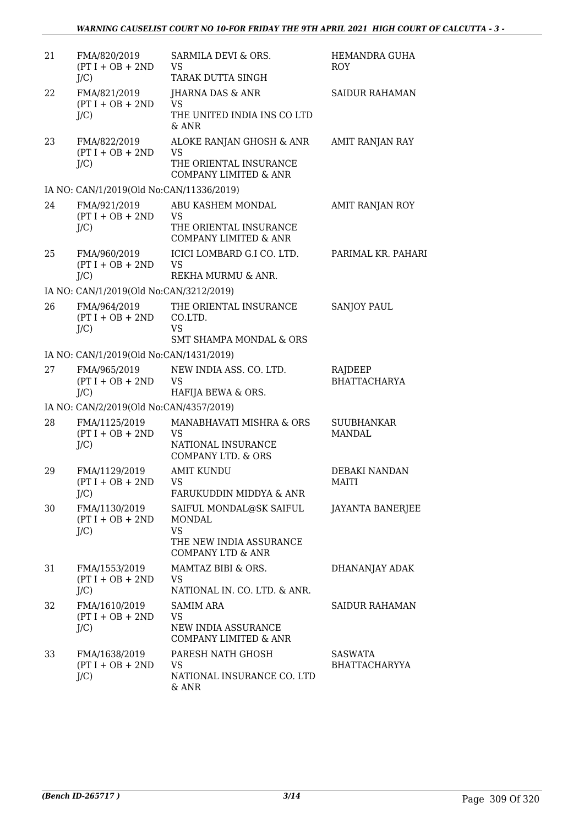| 21 | FMA/820/2019<br>$(PT I + OB + 2ND$<br>$J/C$ )  | SARMILA DEVI & ORS.<br><b>VS</b><br>TARAK DUTTA SINGH                                                     | HEMANDRA GUHA<br><b>ROY</b>            |
|----|------------------------------------------------|-----------------------------------------------------------------------------------------------------------|----------------------------------------|
| 22 | FMA/821/2019<br>$(PT I + OB + 2ND$<br>$J/C$ )  | JHARNA DAS & ANR<br><b>VS</b><br>THE UNITED INDIA INS CO LTD<br>& ANR                                     | <b>SAIDUR RAHAMAN</b>                  |
| 23 | FMA/822/2019<br>$(PT I + OB + 2ND$<br>$J/C$ )  | ALOKE RANJAN GHOSH & ANR<br><b>VS</b><br>THE ORIENTAL INSURANCE<br><b>COMPANY LIMITED &amp; ANR</b>       | AMIT RANJAN RAY                        |
|    | IA NO: CAN/1/2019(Old No:CAN/11336/2019)       |                                                                                                           |                                        |
| 24 | FMA/921/2019<br>$(PT I + OB + 2ND$<br>$J/C$ )  | ABU KASHEM MONDAL<br><b>VS</b><br>THE ORIENTAL INSURANCE<br><b>COMPANY LIMITED &amp; ANR</b>              | AMIT RANJAN ROY                        |
| 25 | FMA/960/2019<br>$(PT I + OB + 2ND$<br>$J/C$ )  | ICICI LOMBARD G.I CO. LTD.<br><b>VS</b><br>REKHA MURMU & ANR.                                             | PARIMAL KR. PAHARI                     |
|    | IA NO: CAN/1/2019(Old No:CAN/3212/2019)        |                                                                                                           |                                        |
| 26 | FMA/964/2019<br>$(PT I + OB + 2ND$<br>$J/C$ )  | THE ORIENTAL INSURANCE<br>CO.LTD.<br><b>VS</b>                                                            | <b>SANJOY PAUL</b>                     |
|    |                                                | <b>SMT SHAMPA MONDAL &amp; ORS</b>                                                                        |                                        |
|    | IA NO: CAN/1/2019(Old No:CAN/1431/2019)        |                                                                                                           |                                        |
| 27 | FMA/965/2019<br>$(PT I + OB + 2ND$<br>$J/C$ )  | NEW INDIA ASS. CO. LTD.<br><b>VS</b><br>HAFIJA BEWA & ORS.                                                | RAJDEEP<br><b>BHATTACHARYA</b>         |
|    | IA NO: CAN/2/2019(Old No:CAN/4357/2019)        |                                                                                                           |                                        |
| 28 | FMA/1125/2019<br>$(PT I + OB + 2ND$<br>$J/C$ ) | MANABHAVATI MISHRA & ORS<br><b>VS</b><br>NATIONAL INSURANCE<br><b>COMPANY LTD. &amp; ORS</b>              | <b>SUUBHANKAR</b><br><b>MANDAL</b>     |
| 29 | FMA/1129/2019<br>$(PT I + OB + 2ND$<br>$J/C$ ) | <b>AMIT KUNDU</b><br>VS.<br>FARUKUDDIN MIDDYA & ANR                                                       | DEBAKI NANDAN<br>MAITI                 |
| 30 | FMA/1130/2019<br>$(PT I + OB + 2ND$<br>$J/C$ ) | SAIFUL MONDAL@SK SAIFUL<br>MONDAL<br><b>VS</b><br>THE NEW INDIA ASSURANCE<br><b>COMPANY LTD &amp; ANR</b> | <b>JAYANTA BANERJEE</b>                |
| 31 | FMA/1553/2019<br>$(PT I + OB + 2ND$<br>$J/C$ ) | MAMTAZ BIBI & ORS.<br>VS<br>NATIONAL IN. CO. LTD. & ANR.                                                  | DHANANJAY ADAK                         |
| 32 | FMA/1610/2019<br>$(PT I + OB + 2ND$<br>$J/C$ ) | <b>SAMIM ARA</b><br>VS<br>NEW INDIA ASSURANCE<br>COMPANY LIMITED & ANR                                    | <b>SAIDUR RAHAMAN</b>                  |
| 33 | FMA/1638/2019<br>$(PT I + OB + 2ND$<br>$J/C$ ) | PARESH NATH GHOSH<br><b>VS</b><br>NATIONAL INSURANCE CO. LTD<br>& ANR                                     | <b>SASWATA</b><br><b>BHATTACHARYYA</b> |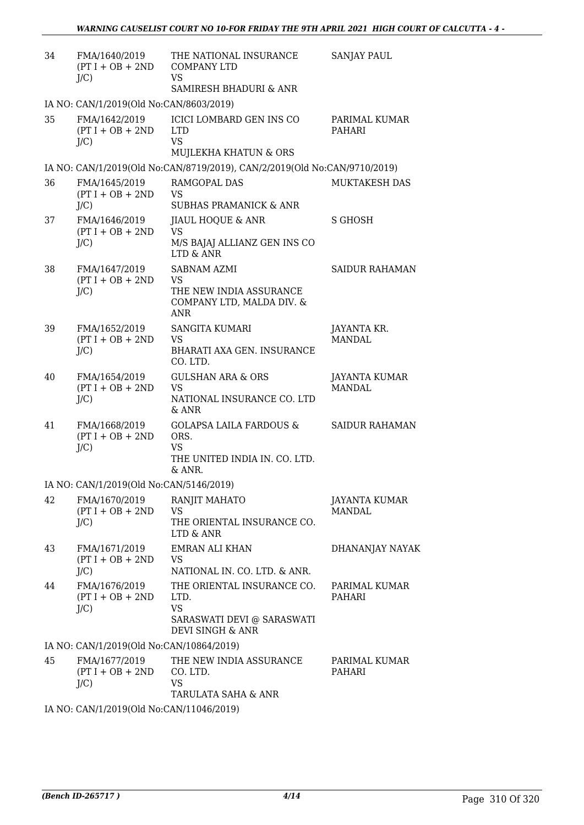| 34 | FMA/1640/2019<br>$(PT I + OB + 2ND$<br>$J/C$ ) | THE NATIONAL INSURANCE<br><b>COMPANY LTD</b><br><b>VS</b><br>SAMIRESH BHADURI & ANR                | <b>SANJAY PAUL</b>             |
|----|------------------------------------------------|----------------------------------------------------------------------------------------------------|--------------------------------|
|    | IA NO: CAN/1/2019(Old No:CAN/8603/2019)        |                                                                                                    |                                |
| 35 | FMA/1642/2019<br>$(PT I + OB + 2ND$<br>$J/C$ ) | <b>ICICI LOMBARD GEN INS CO</b><br><b>LTD</b><br><b>VS</b>                                         | PARIMAL KUMAR<br>PAHARI        |
|    |                                                | MUJLEKHA KHATUN & ORS                                                                              |                                |
|    |                                                | IA NO: CAN/1/2019(Old No:CAN/8719/2019), CAN/2/2019(Old No:CAN/9710/2019)                          |                                |
| 36 | FMA/1645/2019<br>$(PT I + OB + 2ND$<br>$J/C$ ) | RAMGOPAL DAS<br><b>VS</b><br><b>SUBHAS PRAMANICK &amp; ANR</b>                                     | MUKTAKESH DAS                  |
| 37 | FMA/1646/2019<br>$(PT I + OB + 2ND$<br>$J/C$ ) | JIAUL HOQUE & ANR<br><b>VS</b><br>M/S BAJAJ ALLIANZ GEN INS CO<br>LTD & ANR                        | <b>S GHOSH</b>                 |
| 38 | FMA/1647/2019<br>$(PT I + OB + 2ND$<br>$J/C$ ) | SABNAM AZMI<br>VS<br>THE NEW INDIA ASSURANCE<br>COMPANY LTD, MALDA DIV. &<br><b>ANR</b>            | <b>SAIDUR RAHAMAN</b>          |
| 39 | FMA/1652/2019<br>$(PT I + OB + 2ND$<br>$J/C$ ) | <b>SANGITA KUMARI</b><br><b>VS</b><br>BHARATI AXA GEN. INSURANCE<br>CO. LTD.                       | JAYANTA KR.<br><b>MANDAL</b>   |
| 40 | FMA/1654/2019<br>$(PT I + OB + 2ND$<br>$J/C$ ) | <b>GULSHAN ARA &amp; ORS</b><br><b>VS</b><br>NATIONAL INSURANCE CO. LTD<br>$&$ ANR                 | JAYANTA KUMAR<br><b>MANDAL</b> |
| 41 | FMA/1668/2019<br>$(PT I + OB + 2ND$<br>$J/C$ ) | <b>GOLAPSA LAILA FARDOUS &amp;</b><br>ORS.<br><b>VS</b><br>THE UNITED INDIA IN. CO. LTD.<br>& ANR. | <b>SAIDUR RAHAMAN</b>          |
|    | IA NO: CAN/1/2019(Old No:CAN/5146/2019)        |                                                                                                    |                                |
| 42 | FMA/1670/2019<br>$(PT I + OB + 2ND$<br>$J/C$ ) | RANJIT MAHATO<br><b>VS</b><br>THE ORIENTAL INSURANCE CO.<br>LTD & ANR                              | JAYANTA KUMAR<br><b>MANDAL</b> |
| 43 | FMA/1671/2019<br>$(PT I + OB + 2ND$<br>$J/C$ ) | <b>EMRAN ALI KHAN</b><br>VS<br>NATIONAL IN. CO. LTD. & ANR.                                        | DHANANJAY NAYAK                |
| 44 | FMA/1676/2019<br>$(PT I + OB + 2ND$<br>$J/C$ ) | THE ORIENTAL INSURANCE CO.<br>LTD.<br><b>VS</b><br>SARASWATI DEVI @ SARASWATI<br>DEVI SINGH & ANR  | PARIMAL KUMAR<br>PAHARI        |
|    | IA NO: CAN/1/2019(Old No:CAN/10864/2019)       |                                                                                                    |                                |
| 45 | FMA/1677/2019<br>$(PT I + OB + 2ND$<br>$J/C$ ) | THE NEW INDIA ASSURANCE<br>CO. LTD.<br><b>VS</b><br>TARULATA SAHA & ANR                            | PARIMAL KUMAR<br>PAHARI        |
|    | IA NO: CAN/1/2019(Old No:CAN/11046/2019)       |                                                                                                    |                                |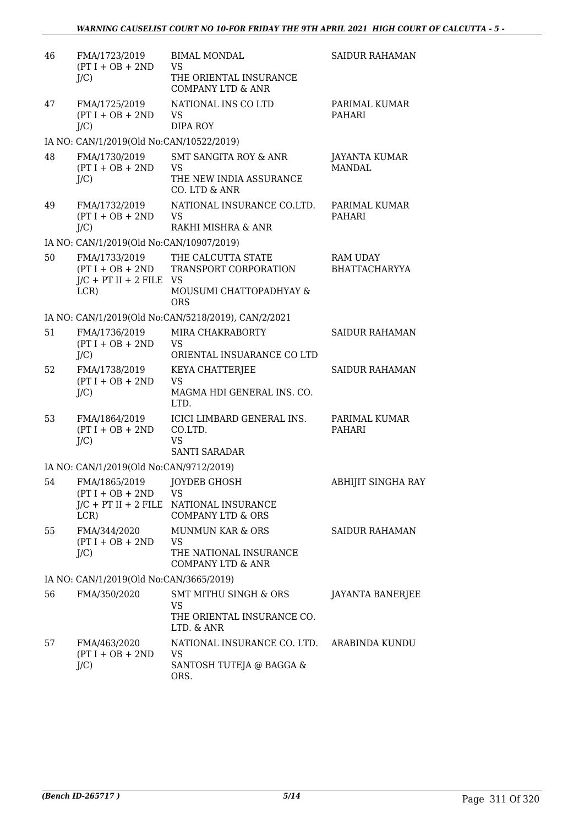| 46 | FMA/1723/2019<br>$(PT I + OB + 2ND$                 | <b>BIMAL MONDAL</b><br><b>VS</b>                    | <b>SAIDUR RAHAMAN</b>                   |
|----|-----------------------------------------------------|-----------------------------------------------------|-----------------------------------------|
|    | $J/C$ )                                             | THE ORIENTAL INSURANCE                              |                                         |
|    |                                                     | <b>COMPANY LTD &amp; ANR</b>                        |                                         |
| 47 | FMA/1725/2019                                       | NATIONAL INS CO LTD                                 | PARIMAL KUMAR                           |
|    | $(PT I + OB + 2ND$                                  | <b>VS</b>                                           | PAHARI                                  |
|    | J/C                                                 | <b>DIPA ROY</b>                                     |                                         |
|    | IA NO: CAN/1/2019(Old No:CAN/10522/2019)            |                                                     |                                         |
| 48 | FMA/1730/2019<br>$(PT I + OB + 2ND$                 | <b>SMT SANGITA ROY &amp; ANR</b><br><b>VS</b>       | JAYANTA KUMAR<br><b>MANDAL</b>          |
|    | $J/C$ )                                             | THE NEW INDIA ASSURANCE                             |                                         |
|    |                                                     | CO. LTD & ANR                                       |                                         |
| 49 | FMA/1732/2019                                       | NATIONAL INSURANCE CO.LTD.                          | PARIMAL KUMAR                           |
|    | $(PT I + OB + 2ND$<br>$J/C$ )                       | <b>VS</b><br>RAKHI MISHRA & ANR                     | PAHARI                                  |
|    | IA NO: CAN/1/2019(Old No:CAN/10907/2019)            |                                                     |                                         |
|    |                                                     |                                                     |                                         |
| 50 | FMA/1733/2019<br>$(PT I + OB + 2ND$                 | THE CALCUTTA STATE<br>TRANSPORT CORPORATION         | <b>RAM UDAY</b><br><b>BHATTACHARYYA</b> |
|    | $J/C$ + PT II + 2 FILE VS                           |                                                     |                                         |
|    | LCR)                                                | MOUSUMI CHATTOPADHYAY &                             |                                         |
|    |                                                     | <b>ORS</b>                                          |                                         |
|    |                                                     | IA NO: CAN/1/2019(Old No:CAN/5218/2019), CAN/2/2021 |                                         |
| 51 | FMA/1736/2019<br>$(PT I + OB + 2ND$                 | MIRA CHAKRABORTY<br><b>VS</b>                       | <b>SAIDUR RAHAMAN</b>                   |
|    | $J/C$ )                                             | ORIENTAL INSUARANCE CO LTD                          |                                         |
| 52 | FMA/1738/2019                                       | KEYA CHATTERJEE                                     | <b>SAIDUR RAHAMAN</b>                   |
|    | $(PT I + OB + 2ND$                                  | <b>VS</b>                                           |                                         |
|    | $J/C$ )                                             | MAGMA HDI GENERAL INS. CO.<br>LTD.                  |                                         |
| 53 | FMA/1864/2019                                       | ICICI LIMBARD GENERAL INS.                          | PARIMAL KUMAR                           |
|    | $(PT I + OB + 2ND$                                  | CO.LTD.                                             | PAHARI                                  |
|    | $J/C$ )                                             | <b>VS</b>                                           |                                         |
|    |                                                     | <b>SANTI SARADAR</b>                                |                                         |
|    | IA NO: CAN/1/2019(Old No:CAN/9712/2019)             |                                                     |                                         |
|    | 54 FMA/1865/2019 JOYDEB GHOSH<br>$(PT I + OB + 2ND$ | <b>VS</b>                                           | ABHIJIT SINGHA RAY                      |
|    |                                                     | J/C + PT II + 2 FILE NATIONAL INSURANCE             |                                         |
|    | LCR)                                                | <b>COMPANY LTD &amp; ORS</b>                        |                                         |
| 55 | FMA/344/2020                                        | <b>MUNMUN KAR &amp; ORS</b>                         | <b>SAIDUR RAHAMAN</b>                   |
|    | $(PT I + OB + 2ND$<br>$J/C$ )                       | <b>VS</b><br>THE NATIONAL INSURANCE                 |                                         |
|    |                                                     | <b>COMPANY LTD &amp; ANR</b>                        |                                         |
|    | IA NO: CAN/1/2019(Old No:CAN/3665/2019)             |                                                     |                                         |
| 56 | FMA/350/2020                                        | <b>SMT MITHU SINGH &amp; ORS</b>                    | <b>JAYANTA BANERJEE</b>                 |
|    |                                                     | <b>VS</b>                                           |                                         |
|    |                                                     | THE ORIENTAL INSURANCE CO.<br>LTD. & ANR            |                                         |
| 57 | FMA/463/2020                                        | NATIONAL INSURANCE CO. LTD. ARABINDA KUNDU          |                                         |
|    | $(PT I + OB + 2ND$                                  | <b>VS</b>                                           |                                         |
|    | $J/C$ )                                             | SANTOSH TUTEJA @ BAGGA &                            |                                         |
|    |                                                     | ORS.                                                |                                         |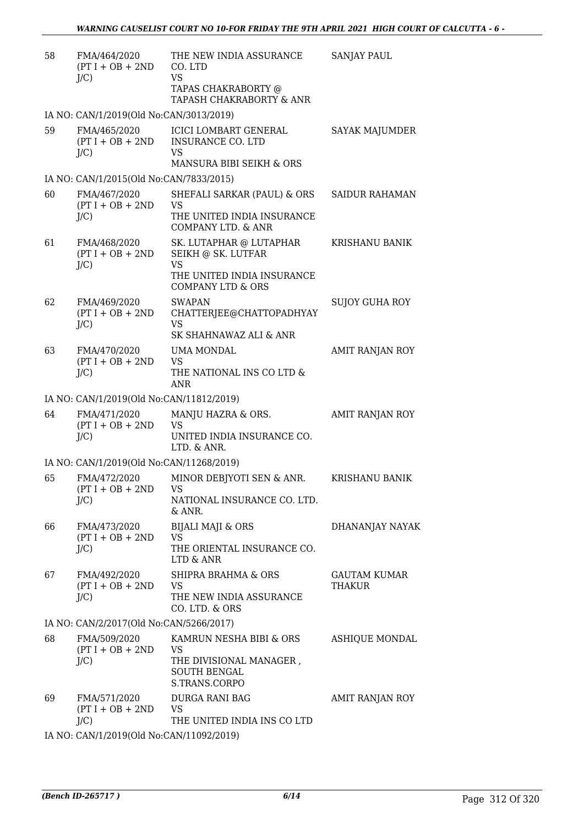| 58 | FMA/464/2020<br>$(PT I + OB + 2ND$<br>J/C     | THE NEW INDIA ASSURANCE<br>CO. LTD<br><b>VS</b><br>TAPAS CHAKRABORTY @<br>TAPASH CHAKRABORTY & ANR                       | <b>SANJAY PAUL</b>            |
|----|-----------------------------------------------|--------------------------------------------------------------------------------------------------------------------------|-------------------------------|
|    | IA NO: CAN/1/2019(Old No:CAN/3013/2019)       |                                                                                                                          |                               |
| 59 | FMA/465/2020<br>$(PT I + OB + 2ND$<br>$J/C$ ) | <b>ICICI LOMBART GENERAL</b><br><b>INSURANCE CO. LTD</b><br>VS<br>MANSURA BIBI SEIKH & ORS                               | SAYAK MAJUMDER                |
|    | IA NO: CAN/1/2015(Old No:CAN/7833/2015)       |                                                                                                                          |                               |
| 60 | FMA/467/2020<br>$(PT I + OB + 2ND$<br>$J/C$ ) | SHEFALI SARKAR (PAUL) & ORS<br><b>VS</b><br>THE UNITED INDIA INSURANCE<br><b>COMPANY LTD. &amp; ANR</b>                  | <b>SAIDUR RAHAMAN</b>         |
| 61 | FMA/468/2020<br>$(PT I + OB + 2ND$<br>$J/C$ ) | SK. LUTAPHAR @ LUTAPHAR<br>SEIKH @ SK. LUTFAR<br><b>VS</b><br>THE UNITED INDIA INSURANCE<br><b>COMPANY LTD &amp; ORS</b> | KRISHANU BANIK                |
| 62 | FMA/469/2020<br>$(PT I + OB + 2ND$<br>J/C     | <b>SWAPAN</b><br>CHATTERJEE@CHATTOPADHYAY<br><b>VS</b><br>SK SHAHNAWAZ ALI & ANR                                         | <b>SUJOY GUHA ROY</b>         |
| 63 | FMA/470/2020<br>$(PT I + OB + 2ND$<br>$J/C$ ) | UMA MONDAL<br><b>VS</b><br>THE NATIONAL INS CO LTD &<br>ANR                                                              | AMIT RANJAN ROY               |
|    | IA NO: CAN/1/2019(Old No:CAN/11812/2019)      |                                                                                                                          |                               |
| 64 | FMA/471/2020<br>$(PT I + OB + 2ND$<br>$J/C$ ) | MANJU HAZRA & ORS.<br>VS<br>UNITED INDIA INSURANCE CO.<br>LTD. & ANR.                                                    | AMIT RANJAN ROY               |
|    | IA NO: CAN/1/2019(Old No:CAN/11268/2019)      |                                                                                                                          |                               |
| 65 | FMA/472/2020<br>$(PT I + OB + 2ND$<br>J/C     | MINOR DEBJYOTI SEN & ANR.<br>VS.<br>NATIONAL INSURANCE CO. LTD.<br>$&$ ANR.                                              | KRISHANU BANIK                |
| 66 | FMA/473/2020<br>$(PT I + OB + 2ND$<br>J/C     | <b>BIJALI MAJI &amp; ORS</b><br><b>VS</b><br>THE ORIENTAL INSURANCE CO.<br>LTD & ANR                                     | DHANANJAY NAYAK               |
| 67 | FMA/492/2020<br>$(PT I + OB + 2ND$<br>$J/C$ ) | SHIPRA BRAHMA & ORS<br><b>VS</b><br>THE NEW INDIA ASSURANCE<br>CO. LTD. & ORS                                            | GAUTAM KUMAR<br><b>THAKUR</b> |
|    | IA NO: CAN/2/2017(Old No:CAN/5266/2017)       |                                                                                                                          |                               |
| 68 | FMA/509/2020<br>$(PT I + OB + 2ND$<br>$J/C$ ) | KAMRUN NESHA BIBI & ORS<br><b>VS</b><br>THE DIVISIONAL MANAGER,<br><b>SOUTH BENGAL</b><br>S.TRANS.CORPO                  | <b>ASHIQUE MONDAL</b>         |
| 69 | FMA/571/2020<br>$(PT I + OB + 2ND$<br>J/C     | DURGA RANI BAG<br>VS<br>THE UNITED INDIA INS CO LTD                                                                      | AMIT RANJAN ROY               |
|    |                                               | 0.10(01.1M, 0.1M1/1000/0010)                                                                                             |                               |

IA NO: CAN/1/2019(Old No:CAN/11092/2019)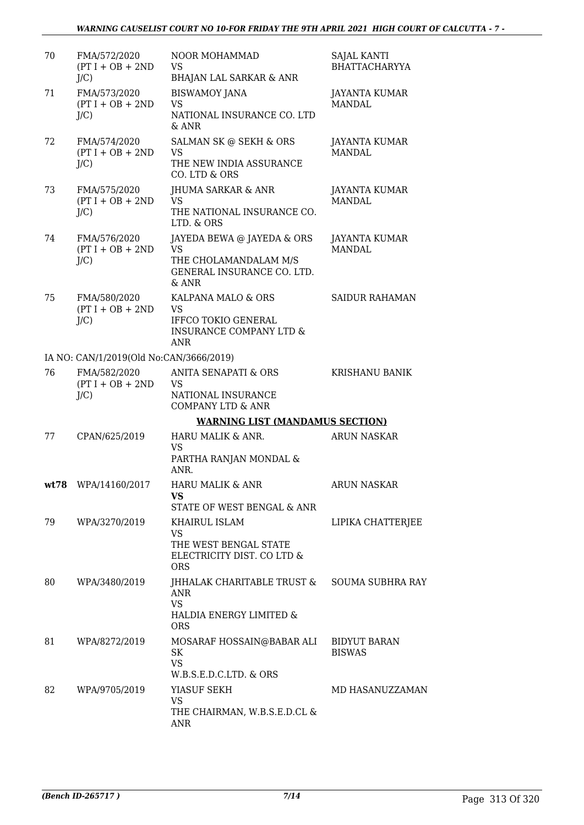| 70 | FMA/572/2020<br>$(PT I + OB + 2ND$<br>$J/C$ ) | NOOR MOHAMMAD<br><b>VS</b><br><b>BHAJAN LAL SARKAR &amp; ANR</b>                                                  | <b>SAJAL KANTI</b><br><b>BHATTACHARYYA</b> |
|----|-----------------------------------------------|-------------------------------------------------------------------------------------------------------------------|--------------------------------------------|
| 71 | FMA/573/2020<br>$(PT I + OB + 2ND$<br>$J/C$ ) | <b>BISWAMOY JANA</b><br><b>VS</b><br>NATIONAL INSURANCE CO. LTD<br>& ANR                                          | JAYANTA KUMAR<br><b>MANDAL</b>             |
| 72 | FMA/574/2020<br>$(PT I + OB + 2ND$<br>$J/C$ ) | SALMAN SK @ SEKH & ORS<br><b>VS</b><br>THE NEW INDIA ASSURANCE<br>CO. LTD & ORS                                   | JAYANTA KUMAR<br><b>MANDAL</b>             |
| 73 | FMA/575/2020<br>$(PT I + OB + 2ND$<br>$J/C$ ) | JHUMA SARKAR & ANR<br><b>VS</b><br>THE NATIONAL INSURANCE CO.<br>LTD. & ORS                                       | JAYANTA KUMAR<br><b>MANDAL</b>             |
| 74 | FMA/576/2020<br>$(PT I + OB + 2ND$<br>$J/C$ ) | JAYEDA BEWA @ JAYEDA & ORS<br><b>VS</b><br>THE CHOLAMANDALAM M/S<br>GENERAL INSURANCE CO. LTD.<br>$&$ ANR         | <b>JAYANTA KUMAR</b><br><b>MANDAL</b>      |
| 75 | FMA/580/2020<br>$(PT I + OB + 2ND$<br>$J/C$ ) | KALPANA MALO & ORS<br><b>VS</b><br><b>IFFCO TOKIO GENERAL</b><br><b>INSURANCE COMPANY LTD &amp;</b><br><b>ANR</b> | <b>SAIDUR RAHAMAN</b>                      |
|    | IA NO: CAN/1/2019(Old No:CAN/3666/2019)       |                                                                                                                   |                                            |
| 76 | FMA/582/2020<br>$(PT I + OB + 2ND$<br>$J/C$ ) | <b>ANITA SENAPATI &amp; ORS</b><br><b>VS</b><br>NATIONAL INSURANCE<br><b>COMPANY LTD &amp; ANR</b>                | <b>KRISHANU BANIK</b>                      |
|    |                                               | <b>WARNING LIST (MANDAMUS SECTION)</b>                                                                            |                                            |
| 77 | CPAN/625/2019                                 | HARU MALIK & ANR.<br><b>VS</b><br>PARTHA RANJAN MONDAL &<br>ANR.                                                  | <b>ARUN NASKAR</b>                         |
|    | wt78 WPA/14160/2017                           | HARU MALIK & ANR<br>VS<br>STATE OF WEST BENGAL & ANR                                                              | <b>ARUN NASKAR</b>                         |
| 79 | WPA/3270/2019                                 | KHAIRUL ISLAM<br><b>VS</b><br>THE WEST BENGAL STATE<br>ELECTRICITY DIST. CO LTD &<br><b>ORS</b>                   | LIPIKA CHATTERJEE                          |
| 80 | WPA/3480/2019                                 | JHHALAK CHARITABLE TRUST &<br>ANR<br><b>VS</b><br>HALDIA ENERGY LIMITED &<br><b>ORS</b>                           | <b>SOUMA SUBHRA RAY</b>                    |
| 81 | WPA/8272/2019                                 | MOSARAF HOSSAIN@BABAR ALI<br>SK<br><b>VS</b><br>W.B.S.E.D.C.LTD. & ORS                                            | <b>BIDYUT BARAN</b><br><b>BISWAS</b>       |
| 82 | WPA/9705/2019                                 | YIASUF SEKH<br><b>VS</b><br>THE CHAIRMAN, W.B.S.E.D.CL &<br>ANR                                                   | MD HASANUZZAMAN                            |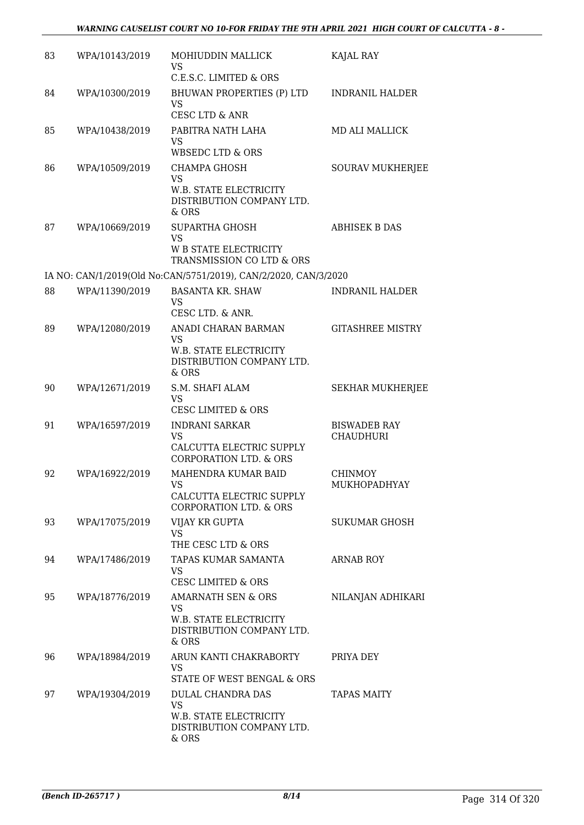| 83 | WPA/10143/2019 | MOHIUDDIN MALLICK<br>VS<br>C.E.S.C. LIMITED & ORS                                                            | KAJAL RAY                               |
|----|----------------|--------------------------------------------------------------------------------------------------------------|-----------------------------------------|
| 84 | WPA/10300/2019 | BHUWAN PROPERTIES (P) LTD<br><b>VS</b><br><b>CESC LTD &amp; ANR</b>                                          | <b>INDRANIL HALDER</b>                  |
| 85 | WPA/10438/2019 | PABITRA NATH LAHA<br><b>VS</b><br><b>WBSEDC LTD &amp; ORS</b>                                                | <b>MD ALI MALLICK</b>                   |
| 86 | WPA/10509/2019 | CHAMPA GHOSH<br><b>VS</b><br>W.B. STATE ELECTRICITY<br>DISTRIBUTION COMPANY LTD.<br>$&$ ORS                  | <b>SOURAV MUKHERJEE</b>                 |
| 87 | WPA/10669/2019 | SUPARTHA GHOSH<br><b>VS</b><br>W B STATE ELECTRICITY<br>TRANSMISSION CO LTD & ORS                            | <b>ABHISEK B DAS</b>                    |
|    |                | IA NO: CAN/1/2019(Old No:CAN/5751/2019), CAN/2/2020, CAN/3/2020                                              |                                         |
| 88 | WPA/11390/2019 | <b>BASANTA KR. SHAW</b><br>VS<br>CESC LTD. & ANR.                                                            | <b>INDRANIL HALDER</b>                  |
| 89 | WPA/12080/2019 | ANADI CHARAN BARMAN<br>VS<br>W.B. STATE ELECTRICITY<br>DISTRIBUTION COMPANY LTD.<br>& ORS                    | <b>GITASHREE MISTRY</b>                 |
| 90 | WPA/12671/2019 | S.M. SHAFI ALAM<br>VS<br><b>CESC LIMITED &amp; ORS</b>                                                       | <b>SEKHAR MUKHERJEE</b>                 |
| 91 | WPA/16597/2019 | <b>INDRANI SARKAR</b><br><b>VS</b><br>CALCUTTA ELECTRIC SUPPLY<br><b>CORPORATION LTD. &amp; ORS</b>          | <b>BISWADEB RAY</b><br><b>CHAUDHURI</b> |
| 92 | WPA/16922/2019 | MAHENDRA KUMAR BAID<br>VS<br>CALCUTTA ELECTRIC SUPPLY<br><b>CORPORATION LTD. &amp; ORS</b>                   | <b>CHINMOY</b><br>MUKHOPADHYAY          |
| 93 | WPA/17075/2019 | VIJAY KR GUPTA<br><b>VS</b><br>THE CESC LTD & ORS                                                            | <b>SUKUMAR GHOSH</b>                    |
| 94 | WPA/17486/2019 | TAPAS KUMAR SAMANTA<br><b>VS</b><br><b>CESC LIMITED &amp; ORS</b>                                            | <b>ARNAB ROY</b>                        |
| 95 | WPA/18776/2019 | <b>AMARNATH SEN &amp; ORS</b><br><b>VS</b><br>W.B. STATE ELECTRICITY<br>DISTRIBUTION COMPANY LTD.<br>$&$ ORS | NILANJAN ADHIKARI                       |
| 96 | WPA/18984/2019 | ARUN KANTI CHAKRABORTY<br>VS<br>STATE OF WEST BENGAL & ORS                                                   | PRIYA DEY                               |
| 97 | WPA/19304/2019 | DULAL CHANDRA DAS<br><b>VS</b><br>W.B. STATE ELECTRICITY<br>DISTRIBUTION COMPANY LTD.<br>& ORS               | <b>TAPAS MAITY</b>                      |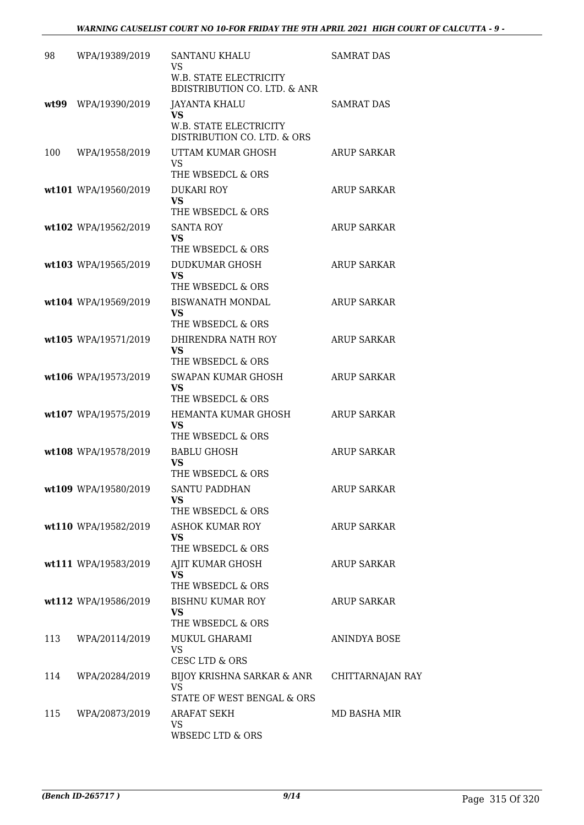| 98  | WPA/19389/2019       | <b>SANTANU KHALU</b><br><b>VS</b>                                        | <b>SAMRAT DAS</b>  |
|-----|----------------------|--------------------------------------------------------------------------|--------------------|
|     |                      | <b>W.B. STATE ELECTRICITY</b><br><b>BDISTRIBUTION CO. LTD. &amp; ANR</b> |                    |
|     | wt99 WPA/19390/2019  | <b>JAYANTA KHALU</b><br><b>VS</b>                                        | <b>SAMRAT DAS</b>  |
|     |                      | W.B. STATE ELECTRICITY<br>DISTRIBUTION CO. LTD. & ORS                    |                    |
| 100 | WPA/19558/2019       | UTTAM KUMAR GHOSH<br><b>VS</b>                                           | <b>ARUP SARKAR</b> |
|     | wt101 WPA/19560/2019 | THE WBSEDCL & ORS<br><b>DUKARI ROY</b>                                   | <b>ARUP SARKAR</b> |
|     |                      | <b>VS</b><br>THE WBSEDCL & ORS                                           |                    |
|     | wt102 WPA/19562/2019 | <b>SANTA ROY</b><br>VS                                                   | <b>ARUP SARKAR</b> |
|     | wt103 WPA/19565/2019 | THE WBSEDCL & ORS<br>DUDKUMAR GHOSH                                      | <b>ARUP SARKAR</b> |
|     |                      | <b>VS</b>                                                                |                    |
|     | wt104 WPA/19569/2019 | THE WBSEDCL & ORS<br><b>BISWANATH MONDAL</b>                             | <b>ARUP SARKAR</b> |
|     |                      | <b>VS</b><br>THE WBSEDCL & ORS                                           |                    |
|     | wt105 WPA/19571/2019 | DHIRENDRA NATH ROY                                                       | <b>ARUP SARKAR</b> |
|     |                      | <b>VS</b><br>THE WBSEDCL & ORS                                           |                    |
|     | wt106 WPA/19573/2019 | SWAPAN KUMAR GHOSH<br>VS                                                 | <b>ARUP SARKAR</b> |
|     | wt107 WPA/19575/2019 | THE WBSEDCL & ORS<br>HEMANTA KUMAR GHOSH                                 | <b>ARUP SARKAR</b> |
|     |                      | VS<br>THE WBSEDCL & ORS                                                  |                    |
|     | wt108 WPA/19578/2019 | <b>BABLU GHOSH</b>                                                       | <b>ARUP SARKAR</b> |
|     |                      | VS<br>THE WBSEDCL & ORS                                                  |                    |
|     | wt109 WPA/19580/2019 | <b>SANTU PADDHAN</b><br>VS                                               | <b>ARUP SARKAR</b> |
|     | wt110 WPA/19582/2019 | THE WBSEDCL & ORS<br><b>ASHOK KUMAR ROY</b>                              | <b>ARUP SARKAR</b> |
|     |                      | <b>VS</b>                                                                |                    |
|     | wt111 WPA/19583/2019 | THE WBSEDCL & ORS<br>AJIT KUMAR GHOSH                                    | <b>ARUP SARKAR</b> |
|     |                      | <b>VS</b><br>THE WBSEDCL & ORS                                           |                    |
|     | wt112 WPA/19586/2019 | <b>BISHNU KUMAR ROY</b><br><b>VS</b>                                     | <b>ARUP SARKAR</b> |
|     |                      | THE WBSEDCL & ORS                                                        |                    |
| 113 | WPA/20114/2019       | MUKUL GHARAMI<br><b>VS</b><br><b>CESC LTD &amp; ORS</b>                  | ANINDYA BOSE       |
| 114 | WPA/20284/2019       | BIJOY KRISHNA SARKAR & ANR<br><b>VS</b>                                  | CHITTARNAJAN RAY   |
| 115 | WPA/20873/2019       | STATE OF WEST BENGAL & ORS<br><b>ARAFAT SEKH</b>                         | MD BASHA MIR       |
|     |                      | <b>VS</b><br>WBSEDC LTD & ORS                                            |                    |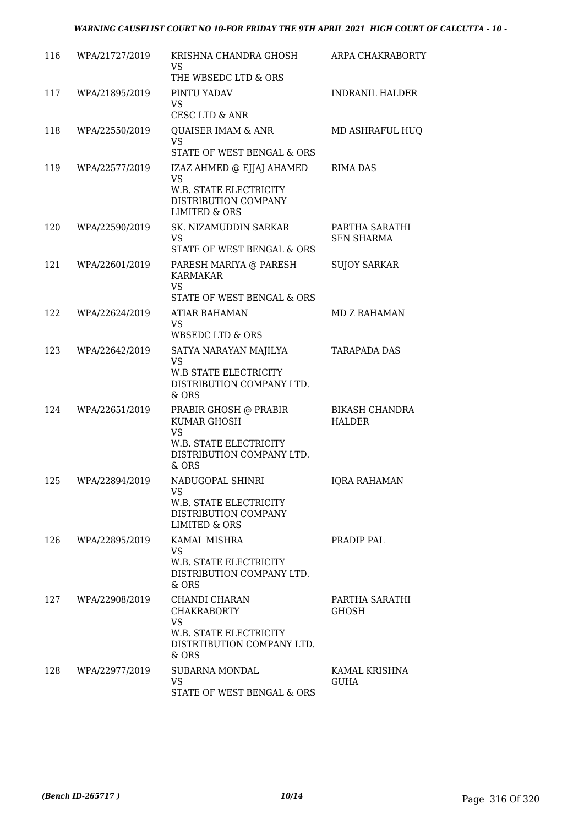| 116 | WPA/21727/2019 | KRISHNA CHANDRA GHOSH<br><b>VS</b><br>THE WBSEDC LTD & ORS                                                           | ARPA CHAKRABORTY                       |
|-----|----------------|----------------------------------------------------------------------------------------------------------------------|----------------------------------------|
| 117 | WPA/21895/2019 | PINTU YADAV<br>VS.<br>CESC LTD & ANR                                                                                 | <b>INDRANIL HALDER</b>                 |
| 118 | WPA/22550/2019 | <b>QUAISER IMAM &amp; ANR</b><br><b>VS</b><br>STATE OF WEST BENGAL & ORS                                             | MD ASHRAFUL HUQ                        |
| 119 | WPA/22577/2019 | IZAZ AHMED @ EJJAJ AHAMED<br><b>VS</b><br>W.B. STATE ELECTRICITY<br>DISTRIBUTION COMPANY<br><b>LIMITED &amp; ORS</b> | <b>RIMA DAS</b>                        |
| 120 | WPA/22590/2019 | SK. NIZAMUDDIN SARKAR<br>VS.<br>STATE OF WEST BENGAL & ORS                                                           | PARTHA SARATHI<br><b>SEN SHARMA</b>    |
| 121 | WPA/22601/2019 | PARESH MARIYA @ PARESH<br><b>KARMAKAR</b><br><b>VS</b><br>STATE OF WEST BENGAL & ORS                                 | <b>SUJOY SARKAR</b>                    |
| 122 | WPA/22624/2019 | ATIAR RAHAMAN<br><b>VS</b><br>WBSEDC LTD & ORS                                                                       | <b>MD Z RAHAMAN</b>                    |
| 123 | WPA/22642/2019 | SATYA NARAYAN MAJILYA<br><b>VS</b><br><b>W.B STATE ELECTRICITY</b><br>DISTRIBUTION COMPANY LTD.<br>$&$ ORS           | <b>TARAPADA DAS</b>                    |
| 124 | WPA/22651/2019 | PRABIR GHOSH @ PRABIR<br>KUMAR GHOSH<br><b>VS</b><br>W.B. STATE ELECTRICITY<br>DISTRIBUTION COMPANY LTD.<br>$&$ ORS  | <b>BIKASH CHANDRA</b><br><b>HALDER</b> |
| 125 | WPA/22894/2019 | NADUGOPAL SHINRI<br><b>VS</b><br>W.B. STATE ELECTRICITY<br>DISTRIBUTION COMPANY<br><b>LIMITED &amp; ORS</b>          | <b>IQRA RAHAMAN</b>                    |
| 126 | WPA/22895/2019 | <b>KAMAL MISHRA</b><br><b>VS</b><br>W.B. STATE ELECTRICITY<br>DISTRIBUTION COMPANY LTD.<br>& ORS                     | PRADIP PAL                             |
| 127 | WPA/22908/2019 | CHANDI CHARAN<br><b>CHAKRABORTY</b><br><b>VS</b><br>W.B. STATE ELECTRICITY<br>DISTRTIBUTION COMPANY LTD.<br>& ORS    | PARTHA SARATHI<br><b>GHOSH</b>         |
| 128 | WPA/22977/2019 | SUBARNA MONDAL<br>VS<br>STATE OF WEST BENGAL & ORS                                                                   | KAMAL KRISHNA<br>GUHA                  |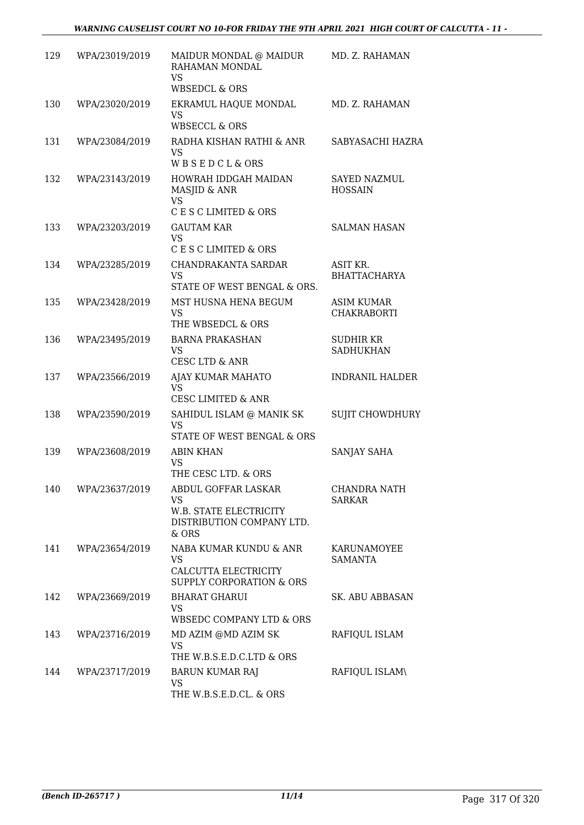| 129 | WPA/23019/2019 | MAIDUR MONDAL @ MAIDUR<br>RAHAMAN MONDAL<br><b>VS</b><br><b>WBSEDCL &amp; ORS</b>                | MD. Z. RAHAMAN                          |
|-----|----------------|--------------------------------------------------------------------------------------------------|-----------------------------------------|
| 130 | WPA/23020/2019 | EKRAMUL HAQUE MONDAL<br><b>VS</b><br><b>WBSECCL &amp; ORS</b>                                    | MD. Z. RAHAMAN                          |
| 131 | WPA/23084/2019 | RADHA KISHAN RATHI & ANR<br><b>VS</b><br>WBSEDCL&ORS                                             | SABYASACHI HAZRA                        |
| 132 | WPA/23143/2019 | HOWRAH IDDGAH MAIDAN<br>MASJID & ANR<br><b>VS</b><br>C E S C LIMITED & ORS                       | <b>SAYED NAZMUL</b><br><b>HOSSAIN</b>   |
| 133 | WPA/23203/2019 | <b>GAUTAM KAR</b><br><b>VS</b><br>C E S C LIMITED & ORS                                          | <b>SALMAN HASAN</b>                     |
| 134 | WPA/23285/2019 | CHANDRAKANTA SARDAR<br><b>VS</b><br>STATE OF WEST BENGAL & ORS.                                  | ASIT KR.<br><b>BHATTACHARYA</b>         |
| 135 | WPA/23428/2019 | MST HUSNA HENA BEGUM<br><b>VS</b><br>THE WBSEDCL & ORS                                           | <b>ASIM KUMAR</b><br><b>CHAKRABORTI</b> |
| 136 | WPA/23495/2019 | <b>BARNA PRAKASHAN</b><br><b>VS</b><br><b>CESC LTD &amp; ANR</b>                                 | SUDHIR KR<br><b>SADHUKHAN</b>           |
| 137 | WPA/23566/2019 | AJAY KUMAR MAHATO<br><b>VS</b><br><b>CESC LIMITED &amp; ANR</b>                                  | <b>INDRANIL HALDER</b>                  |
| 138 | WPA/23590/2019 | SAHIDUL ISLAM @ MANIK SK<br><b>VS</b><br>STATE OF WEST BENGAL & ORS                              | <b>SUJIT CHOWDHURY</b>                  |
| 139 | WPA/23608/2019 | <b>ABIN KHAN</b><br><b>VS</b><br>THE CESC LTD. & ORS                                             | SANJAY SAHA                             |
| 140 | WPA/23637/2019 | ABDUL GOFFAR LASKAR<br><b>VS</b><br>W.B. STATE ELECTRICITY<br>DISTRIBUTION COMPANY LTD.<br>& ORS | CHANDRA NATH<br><b>SARKAR</b>           |
| 141 | WPA/23654/2019 | NABA KUMAR KUNDU & ANR<br>VS<br>CALCUTTA ELECTRICITY<br>SUPPLY CORPORATION & ORS                 | KARUNAMOYEE<br>SAMANTA                  |
| 142 | WPA/23669/2019 | <b>BHARAT GHARUI</b><br>VS.<br>WBSEDC COMPANY LTD & ORS                                          | <b>SK. ABU ABBASAN</b>                  |
| 143 | WPA/23716/2019 | MD AZIM @MD AZIM SK<br><b>VS</b><br>THE W.B.S.E.D.C.LTD & ORS                                    | RAFIQUL ISLAM                           |
| 144 | WPA/23717/2019 | <b>BARUN KUMAR RAJ</b><br>VS<br>THE W.B.S.E.D.CL. & ORS                                          | RAFIQUL ISLAM\                          |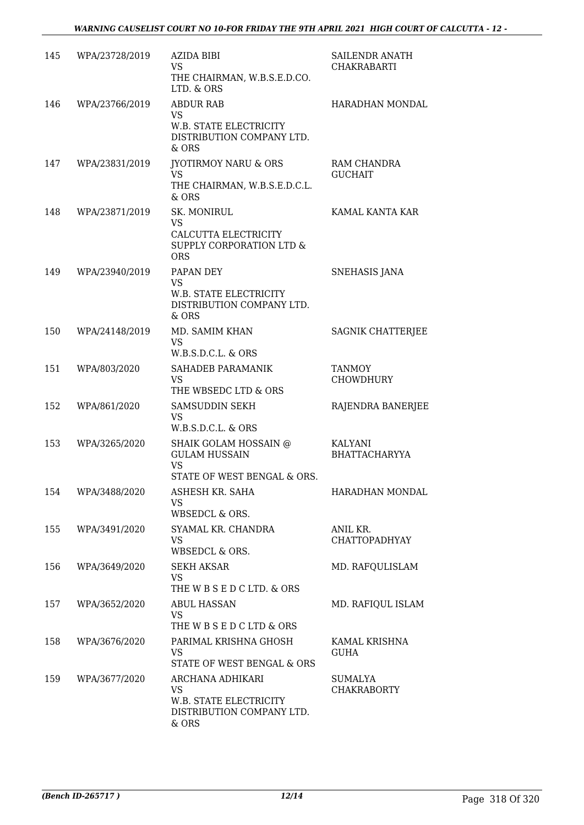| 145 | WPA/23728/2019 | AZIDA BIBI<br><b>VS</b><br>THE CHAIRMAN, W.B.S.E.D.CO.<br>LTD. & ORS                            | SAILENDR ANATH<br><b>CHAKRABARTI</b>   |
|-----|----------------|-------------------------------------------------------------------------------------------------|----------------------------------------|
| 146 | WPA/23766/2019 | <b>ABDUR RAB</b><br><b>VS</b><br>W.B. STATE ELECTRICITY<br>DISTRIBUTION COMPANY LTD.<br>$&$ ORS | HARADHAN MONDAL                        |
| 147 | WPA/23831/2019 | <b>IYOTIRMOY NARU &amp; ORS</b><br><b>VS</b><br>THE CHAIRMAN, W.B.S.E.D.C.L.<br>$&$ ORS         | RAM CHANDRA<br><b>GUCHAIT</b>          |
| 148 | WPA/23871/2019 | SK. MONIRUL<br>VS<br>CALCUTTA ELECTRICITY<br>SUPPLY CORPORATION LTD &<br><b>ORS</b>             | KAMAL KANTA KAR                        |
| 149 | WPA/23940/2019 | PAPAN DEY<br><b>VS</b><br>W.B. STATE ELECTRICITY<br>DISTRIBUTION COMPANY LTD.<br>$&$ ORS        | <b>SNEHASIS JANA</b>                   |
| 150 | WPA/24148/2019 | MD. SAMIM KHAN<br><b>VS</b><br>W.B.S.D.C.L. & ORS                                               | <b>SAGNIK CHATTERJEE</b>               |
| 151 | WPA/803/2020   | SAHADEB PARAMANIK<br>VS.<br>THE WBSEDC LTD & ORS                                                | <b>TANMOY</b><br><b>CHOWDHURY</b>      |
| 152 | WPA/861/2020   | SAMSUDDIN SEKH<br>VS.<br>W.B.S.D.C.L. & ORS                                                     | RAJENDRA BANERJEE                      |
| 153 | WPA/3265/2020  | SHAIK GOLAM HOSSAIN @<br><b>GULAM HUSSAIN</b><br><b>VS</b><br>STATE OF WEST BENGAL & ORS.       | <b>KALYANI</b><br><b>BHATTACHARYYA</b> |
| 154 | WPA/3488/2020  | ASHESH KR. SAHA<br><b>VS</b><br>WBSEDCL & ORS.                                                  | HARADHAN MONDAL                        |
| 155 | WPA/3491/2020  | SYAMAL KR. CHANDRA<br><b>VS</b><br>WBSEDCL & ORS.                                               | ANIL KR.<br><b>CHATTOPADHYAY</b>       |
| 156 | WPA/3649/2020  | SEKH AKSAR<br><b>VS</b><br>THE W B S E D C LTD. & ORS                                           | MD. RAFQULISLAM                        |
| 157 | WPA/3652/2020  | <b>ABUL HASSAN</b><br><b>VS</b><br>THE W B S E D C LTD & ORS                                    | MD. RAFIQUL ISLAM                      |
| 158 | WPA/3676/2020  | PARIMAL KRISHNA GHOSH<br>VS.<br>STATE OF WEST BENGAL & ORS                                      | KAMAL KRISHNA<br>GUHA                  |
| 159 | WPA/3677/2020  | ARCHANA ADHIKARI<br><b>VS</b><br>W.B. STATE ELECTRICITY<br>DISTRIBUTION COMPANY LTD.<br>$&$ ORS | SUMALYA<br><b>CHAKRABORTY</b>          |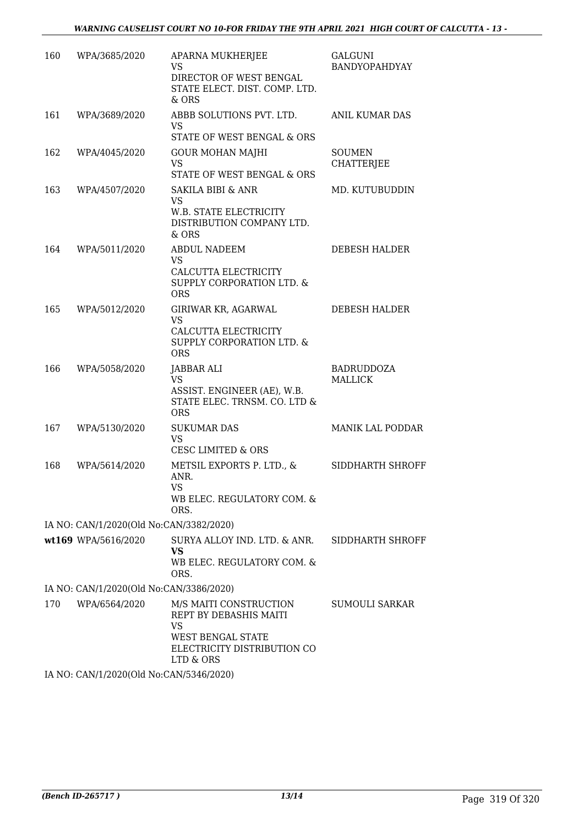| 160 | WPA/3685/2020                           | APARNA MUKHERJEE<br><b>VS</b><br>DIRECTOR OF WEST BENGAL<br>STATE ELECT. DIST. COMP. LTD.<br>& ORS                             | <b>GALGUNI</b><br>BANDYOPAHDYAY     |
|-----|-----------------------------------------|--------------------------------------------------------------------------------------------------------------------------------|-------------------------------------|
| 161 | WPA/3689/2020                           | ABBB SOLUTIONS PVT. LTD.<br><b>VS</b><br>STATE OF WEST BENGAL & ORS                                                            | ANIL KUMAR DAS                      |
| 162 | WPA/4045/2020                           | <b>GOUR MOHAN MAJHI</b><br><b>VS</b><br>STATE OF WEST BENGAL & ORS                                                             | <b>SOUMEN</b><br><b>CHATTERJEE</b>  |
| 163 | WPA/4507/2020                           | <b>SAKILA BIBI &amp; ANR</b><br><b>VS</b><br>W.B. STATE ELECTRICITY<br>DISTRIBUTION COMPANY LTD.<br>& ORS                      | MD. KUTUBUDDIN                      |
| 164 | WPA/5011/2020                           | <b>ABDUL NADEEM</b><br><b>VS</b><br>CALCUTTA ELECTRICITY<br>SUPPLY CORPORATION LTD. &<br><b>ORS</b>                            | DEBESH HALDER                       |
| 165 | WPA/5012/2020                           | GIRIWAR KR, AGARWAL<br><b>VS</b><br>CALCUTTA ELECTRICITY<br><b>SUPPLY CORPORATION LTD. &amp;</b><br><b>ORS</b>                 | DEBESH HALDER                       |
| 166 | WPA/5058/2020                           | JABBAR ALI<br><b>VS</b><br>ASSIST. ENGINEER (AE), W.B.<br>STATE ELEC. TRNSM. CO. LTD &<br><b>ORS</b>                           | <b>BADRUDDOZA</b><br><b>MALLICK</b> |
| 167 | WPA/5130/2020                           | <b>SUKUMAR DAS</b><br><b>VS</b><br><b>CESC LIMITED &amp; ORS</b>                                                               | <b>MANIK LAL PODDAR</b>             |
| 168 | WPA/5614/2020                           | METSIL EXPORTS P. LTD., &<br>ANR.<br>VS<br>WB ELEC. REGULATORY COM. &<br>ORS.                                                  | SIDDHARTH SHROFF                    |
|     | IA NO: CAN/1/2020(Old No:CAN/3382/2020) |                                                                                                                                |                                     |
|     | wt169 WPA/5616/2020                     | SURYA ALLOY IND. LTD. & ANR.<br><b>VS</b><br>WB ELEC. REGULATORY COM. &<br>ORS.                                                | SIDDHARTH SHROFF                    |
|     | IA NO: CAN/1/2020(Old No:CAN/3386/2020) |                                                                                                                                |                                     |
| 170 | WPA/6564/2020                           | M/S MAITI CONSTRUCTION<br>REPT BY DEBASHIS MAITI<br>VS<br><b>WEST BENGAL STATE</b><br>ELECTRICITY DISTRIBUTION CO<br>LTD & ORS | SUMOULI SARKAR                      |
|     | IA NO: CAN/1/2020(Old No:CAN/5346/2020) |                                                                                                                                |                                     |